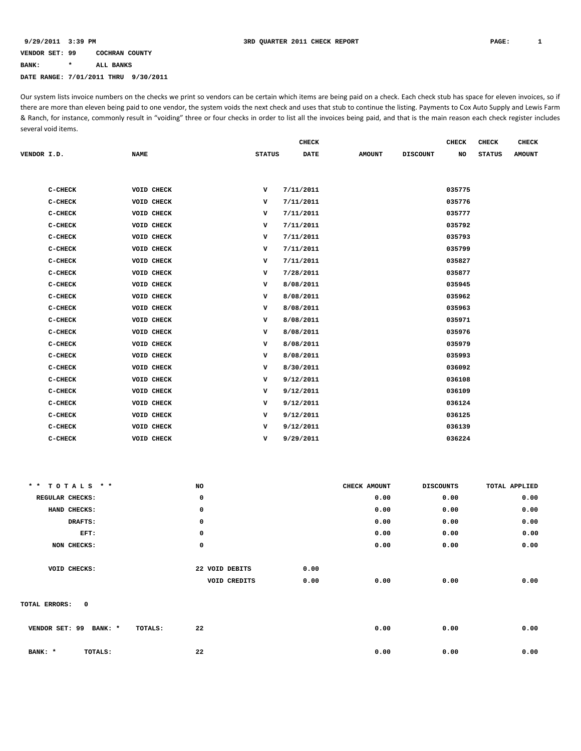### **VENDOR SET: 99 COCHRAN COUNTY BANK: \* ALL BANKS DATE RANGE: 7/01/2011 THRU 9/30/2011**

Our system lists invoice numbers on the checks we print so vendors can be certain which items are being paid on a check. Each check stub has space for eleven invoices, so if there are more than eleven being paid to one vendor, the system voids the next check and uses that stub to continue the listing. Payments to Cox Auto Supply and Lewis Farm & Ranch, for instance, commonly result in "voiding" three or four checks in order to list all the invoices being paid, and that is the main reason each check register includes several void items.

|             |           |                   |               | <b>CHECK</b> |               |                 | <b>CHECK</b> | <b>CHECK</b>  | <b>CHECK</b>  |
|-------------|-----------|-------------------|---------------|--------------|---------------|-----------------|--------------|---------------|---------------|
| VENDOR I.D. |           | <b>NAME</b>       | <b>STATUS</b> | <b>DATE</b>  | <b>AMOUNT</b> | <b>DISCOUNT</b> | NO           | <b>STATUS</b> | <b>AMOUNT</b> |
|             |           |                   |               |              |               |                 |              |               |               |
|             |           |                   |               |              |               |                 |              |               |               |
|             | C-CHECK   | <b>VOID CHECK</b> | v             | 7/11/2011    |               |                 | 035775       |               |               |
|             | C-CHECK   | VOID CHECK        | v             | 7/11/2011    |               |                 | 035776       |               |               |
|             | $C-CHECK$ | VOID CHECK        | v             | 7/11/2011    |               |                 | 035777       |               |               |
|             | C-CHECK   | VOID CHECK        | v             | 7/11/2011    |               |                 | 035792       |               |               |
|             | $C-CHECK$ | VOID CHECK        | v             | 7/11/2011    |               |                 | 035793       |               |               |
|             | C-CHECK   | VOID CHECK        | v             | 7/11/2011    |               |                 | 035799       |               |               |
|             | $C-CHECK$ | VOID CHECK        | v             | 7/11/2011    |               |                 | 035827       |               |               |
|             | $C-CHECK$ | VOID CHECK        | v             | 7/28/2011    |               |                 | 035877       |               |               |
|             | $C-CHECK$ | <b>VOID CHECK</b> | v             | 8/08/2011    |               |                 | 035945       |               |               |
|             | $C-CHECK$ | VOID CHECK        | v             | 8/08/2011    |               |                 | 035962       |               |               |
|             | $C-CHECK$ | VOID CHECK        | v             | 8/08/2011    |               |                 | 035963       |               |               |
|             | C-CHECK   | <b>VOID CHECK</b> | v             | 8/08/2011    |               |                 | 035971       |               |               |
|             | $C-CHECK$ | VOID CHECK        | v             | 8/08/2011    |               |                 | 035976       |               |               |
|             | $C-CHECK$ | <b>VOID CHECK</b> | v             | 8/08/2011    |               |                 | 035979       |               |               |
|             | C-CHECK   | VOID CHECK        | v             | 8/08/2011    |               |                 | 035993       |               |               |
|             | $C-CHECK$ | VOID CHECK        | v             | 8/30/2011    |               |                 | 036092       |               |               |
|             | $C-CHECK$ | VOID CHECK        | v             | 9/12/2011    |               |                 | 036108       |               |               |
|             | $C-CHECK$ | VOID CHECK        | v             | 9/12/2011    |               |                 | 036109       |               |               |
|             | C-CHECK   | VOID CHECK        | v             | 9/12/2011    |               |                 | 036124       |               |               |
|             | $C-CHECK$ | VOID CHECK        | v             | 9/12/2011    |               |                 | 036125       |               |               |
|             | $C-CHECK$ | VOID CHECK        | v             | 9/12/2011    |               |                 | 036139       |               |               |
|             | $C-CHECK$ | VOID CHECK        | v             | 9/29/2011    |               |                 | 036224       |               |               |
|             |           |                   |               |              |               |                 |              |               |               |

| ** TOTALS **                 | NO             | CHECK AMOUNT | <b>DISCOUNTS</b> | TOTAL APPLIED |
|------------------------------|----------------|--------------|------------------|---------------|
| REGULAR CHECKS:              | 0              | 0.00         | 0.00             | 0.00          |
| HAND CHECKS:                 | 0              | 0.00         | 0.00             | 0.00          |
| DRAFTS:                      | 0              | 0.00         | 0.00             | 0.00          |
| EFT:                         | 0              | 0.00         | 0.00             | 0.00          |
| NON CHECKS:                  | $\mathbf 0$    | 0.00         | 0.00             | 0.00          |
|                              |                |              |                  |               |
| VOID CHECKS:                 | 22 VOID DEBITS | 0.00         |                  |               |
|                              | VOID CREDITS   | 0.00<br>0.00 | 0.00             | 0.00          |
|                              |                |              |                  |               |
| $\mathbf 0$<br>TOTAL ERRORS: |                |              |                  |               |
|                              |                |              |                  |               |
| VENDOR SET: 99<br>BANK: *    | 22<br>TOTALS:  | 0.00         | 0.00             | 0.00          |
|                              |                |              |                  |               |
| BANK: *<br>TOTALS:           | 22             | 0.00         | 0.00             | 0.00          |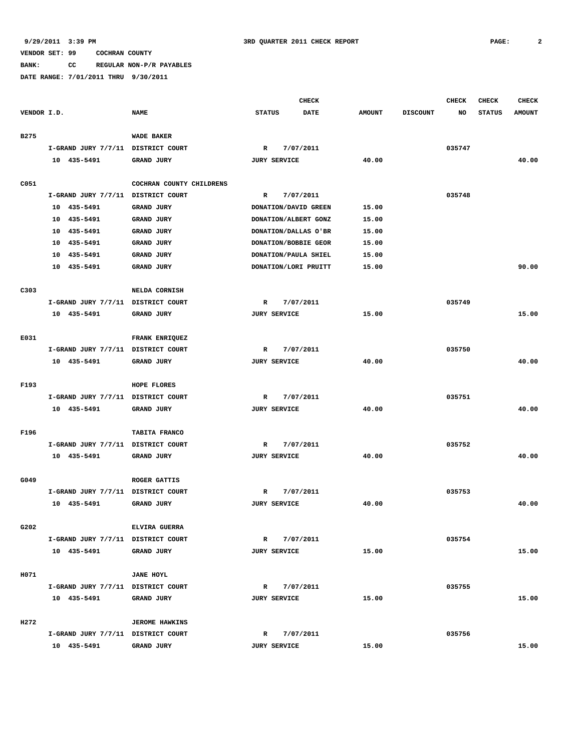**BANK: CC REGULAR NON-P/R PAYABLES**

|             |                                    |                          |                     | <b>CHECK</b>         |               |                 | <b>CHECK</b> | <b>CHECK</b>  | <b>CHECK</b>  |
|-------------|------------------------------------|--------------------------|---------------------|----------------------|---------------|-----------------|--------------|---------------|---------------|
| VENDOR I.D. |                                    | <b>NAME</b>              | <b>STATUS</b>       | <b>DATE</b>          | <b>AMOUNT</b> | <b>DISCOUNT</b> | NO           | <b>STATUS</b> | <b>AMOUNT</b> |
| <b>B275</b> |                                    | <b>WADE BAKER</b>        |                     |                      |               |                 |              |               |               |
|             | I-GRAND JURY 7/7/11 DISTRICT COURT |                          | $\mathbb{R}$        | 7/07/2011            |               |                 | 035747       |               |               |
|             | 10 435-5491                        | <b>GRAND JURY</b>        | <b>JURY SERVICE</b> |                      | 40.00         |                 |              |               | 40.00         |
|             |                                    |                          |                     |                      |               |                 |              |               |               |
| C051        |                                    | COCHRAN COUNTY CHILDRENS |                     |                      |               |                 |              |               |               |
|             | I-GRAND JURY 7/7/11 DISTRICT COURT |                          | $\mathbb{R}$        | 7/07/2011            |               |                 | 035748       |               |               |
|             | 10 435-5491                        | <b>GRAND JURY</b>        |                     | DONATION/DAVID GREEN | 15.00         |                 |              |               |               |
|             | 10<br>435-5491                     | <b>GRAND JURY</b>        |                     | DONATION/ALBERT GONZ | 15.00         |                 |              |               |               |
|             | 435-5491<br>10                     | <b>GRAND JURY</b>        |                     | DONATION/DALLAS O'BR | 15.00         |                 |              |               |               |
|             | 435-5491<br>10                     | GRAND JURY               |                     | DONATION/BOBBIE GEOR | 15.00         |                 |              |               |               |
|             | 10<br>435-5491                     | <b>GRAND JURY</b>        |                     | DONATION/PAULA SHIEL | 15.00         |                 |              |               |               |
|             | 10<br>435-5491                     | GRAND JURY               |                     | DONATION/LORI PRUITT | 15.00         |                 |              |               | 90.00         |
|             |                                    |                          |                     |                      |               |                 |              |               |               |
| C303        |                                    | NELDA CORNISH            |                     |                      |               |                 |              |               |               |
|             | I-GRAND JURY 7/7/11 DISTRICT COURT |                          | R                   | 7/07/2011            |               |                 | 035749       |               |               |
|             | 10 435-5491                        | <b>GRAND JURY</b>        | <b>JURY SERVICE</b> |                      | 15.00         |                 |              |               | 15.00         |
|             |                                    |                          |                     |                      |               |                 |              |               |               |
| E031        |                                    | FRANK ENRIQUEZ           |                     |                      |               |                 |              |               |               |
|             | I-GRAND JURY 7/7/11 DISTRICT COURT |                          | R                   | 7/07/2011            |               |                 | 035750       |               |               |
|             | 10 435-5491                        | <b>GRAND JURY</b>        | <b>JURY SERVICE</b> |                      | 40.00         |                 |              |               | 40.00         |
|             |                                    |                          |                     |                      |               |                 |              |               |               |
| F193        |                                    | HOPE FLORES              |                     |                      |               |                 |              |               |               |
|             | I-GRAND JURY 7/7/11 DISTRICT COURT |                          | $\mathbb{R}$        | 7/07/2011            |               |                 | 035751       |               |               |
|             | 10 435-5491                        | GRAND JURY               | <b>JURY SERVICE</b> |                      | 40.00         |                 |              |               | 40.00         |
|             |                                    |                          |                     |                      |               |                 |              |               |               |
| F196        |                                    | TABITA FRANCO            |                     |                      |               |                 |              |               |               |
|             | I-GRAND JURY 7/7/11 DISTRICT COURT |                          | R                   | 7/07/2011            |               |                 | 035752       |               |               |
|             | 10 435-5491                        | <b>GRAND JURY</b>        | <b>JURY SERVICE</b> |                      | 40.00         |                 |              |               | 40.00         |
|             |                                    |                          |                     |                      |               |                 |              |               |               |
| G049        |                                    | <b>ROGER GATTIS</b>      |                     |                      |               |                 |              |               |               |
|             | I-GRAND JURY 7/7/11 DISTRICT COURT |                          | R                   | 7/07/2011            |               |                 | 035753       |               |               |
|             | 10 435-5491                        | GRAND JURY               | <b>JURY SERVICE</b> |                      | 40.00         |                 |              |               | 40.00         |
|             |                                    |                          |                     |                      |               |                 |              |               |               |
| G202        |                                    | ELVIRA GUERRA            |                     |                      |               |                 |              |               |               |
|             | I-GRAND JURY 7/7/11 DISTRICT COURT |                          | R                   | 7/07/2011            |               |                 | 035754       |               |               |
|             | 10 435-5491                        | GRAND JURY               | <b>JURY SERVICE</b> |                      | 15.00         |                 |              |               | 15.00         |
|             |                                    |                          |                     |                      |               |                 |              |               |               |
| H071        |                                    | <b>JANE HOYL</b>         |                     |                      |               |                 |              |               |               |
|             | I-GRAND JURY 7/7/11 DISTRICT COURT |                          | $\mathbb{R}$        | 7/07/2011            |               |                 | 035755       |               |               |
|             | 10 435-5491                        | GRAND JURY               | <b>JURY SERVICE</b> |                      | 15.00         |                 |              |               | 15.00         |
|             |                                    |                          |                     |                      |               |                 |              |               |               |
| H272        |                                    | <b>JEROME HAWKINS</b>    |                     |                      |               |                 |              |               |               |
|             | I-GRAND JURY 7/7/11 DISTRICT COURT |                          | $\mathbb{R}$        | 7/07/2011            |               |                 | 035756       |               |               |
|             | 10 435-5491                        | GRAND JURY               | <b>JURY SERVICE</b> |                      | 15.00         |                 |              |               | 15.00         |
|             |                                    |                          |                     |                      |               |                 |              |               |               |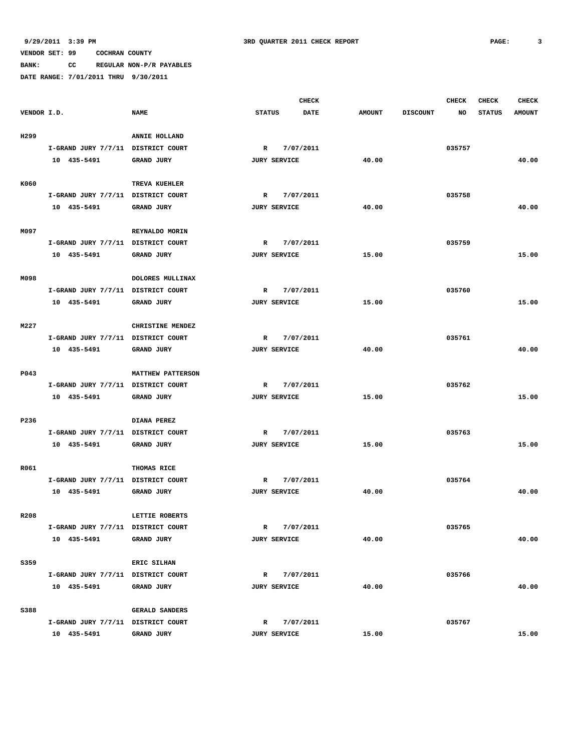**BANK: CC REGULAR NON-P/R PAYABLES DATE RANGE: 7/01/2011 THRU 9/30/2011**

|                  |                                    |                          |               |                     | <b>CHECK</b> |               |                 | <b>CHECK</b> | <b>CHECK</b>  | <b>CHECK</b>  |
|------------------|------------------------------------|--------------------------|---------------|---------------------|--------------|---------------|-----------------|--------------|---------------|---------------|
| VENDOR I.D.      |                                    | <b>NAME</b>              | <b>STATUS</b> |                     | <b>DATE</b>  | <b>AMOUNT</b> | <b>DISCOUNT</b> | NO           | <b>STATUS</b> | <b>AMOUNT</b> |
| H299             |                                    | ANNIE HOLLAND            |               |                     |              |               |                 |              |               |               |
|                  | I-GRAND JURY 7/7/11 DISTRICT COURT |                          | $\mathbb{R}$  |                     | 7/07/2011    |               |                 | 035757       |               |               |
|                  | 10 435-5491                        | <b>GRAND JURY</b>        |               | <b>JURY SERVICE</b> |              | 40.00         |                 |              |               | 40.00         |
|                  |                                    |                          |               |                     |              |               |                 |              |               |               |
| K060             |                                    | TREVA KUEHLER            |               |                     |              |               |                 |              |               |               |
|                  | I-GRAND JURY 7/7/11 DISTRICT COURT |                          | $\mathbb{R}$  |                     | 7/07/2011    |               |                 | 035758       |               |               |
|                  | 10 435-5491                        | GRAND JURY               |               | <b>JURY SERVICE</b> |              | 40.00         |                 |              |               | 40.00         |
|                  |                                    |                          |               |                     |              |               |                 |              |               |               |
| M097             |                                    | REYNALDO MORIN           |               |                     |              |               |                 |              |               |               |
|                  | I-GRAND JURY 7/7/11 DISTRICT COURT |                          | R             |                     | 7/07/2011    |               |                 | 035759       |               |               |
|                  | 10 435-5491                        | <b>GRAND JURY</b>        |               | <b>JURY SERVICE</b> |              | 15.00         |                 |              |               | 15.00         |
| M098             |                                    | DOLORES MULLINAX         |               |                     |              |               |                 |              |               |               |
|                  | I-GRAND JURY 7/7/11 DISTRICT COURT |                          |               |                     |              |               |                 |              |               |               |
|                  |                                    |                          | $\mathbb{R}$  |                     | 7/07/2011    |               |                 | 035760       |               |               |
|                  | 10 435-5491                        | <b>GRAND JURY</b>        |               | <b>JURY SERVICE</b> |              | 15.00         |                 |              |               | 15.00         |
| M227             |                                    | CHRISTINE MENDEZ         |               |                     |              |               |                 |              |               |               |
|                  | I-GRAND JURY 7/7/11 DISTRICT COURT |                          | $\mathbb{R}$  |                     | 7/07/2011    |               |                 | 035761       |               |               |
|                  | 10 435-5491                        | GRAND JURY               |               | <b>JURY SERVICE</b> |              | 40.00         |                 |              |               | 40.00         |
|                  |                                    |                          |               |                     |              |               |                 |              |               |               |
| P043             |                                    | <b>MATTHEW PATTERSON</b> |               |                     |              |               |                 |              |               |               |
|                  | I-GRAND JURY 7/7/11 DISTRICT COURT |                          | R             |                     | 7/07/2011    |               |                 | 035762       |               |               |
|                  | 10 435-5491                        | <b>GRAND JURY</b>        |               | <b>JURY SERVICE</b> |              | 15.00         |                 |              |               | 15.00         |
|                  |                                    |                          |               |                     |              |               |                 |              |               |               |
| P236             |                                    | DIANA PEREZ              |               |                     |              |               |                 |              |               |               |
|                  | I-GRAND JURY 7/7/11 DISTRICT COURT |                          | $\mathbb{R}$  |                     | 7/07/2011    |               |                 | 035763       |               |               |
|                  | 10 435-5491                        | <b>GRAND JURY</b>        |               | <b>JURY SERVICE</b> |              | 15.00         |                 |              |               | 15.00         |
|                  |                                    |                          |               |                     |              |               |                 |              |               |               |
| R061             |                                    | THOMAS RICE              |               |                     |              |               |                 |              |               |               |
|                  | I-GRAND JURY 7/7/11 DISTRICT COURT |                          | R             |                     | 7/07/2011    |               |                 | 035764       |               |               |
|                  | 10 435-5491                        | GRAND JURY               |               | <b>JURY SERVICE</b> |              | 40.00         |                 |              |               | 40.00         |
|                  |                                    |                          |               |                     |              |               |                 |              |               |               |
| R <sub>208</sub> |                                    | LETTIE ROBERTS           |               |                     |              |               |                 |              |               |               |
|                  | I-GRAND JURY 7/7/11 DISTRICT COURT |                          |               | $\mathbb{R}$        | 7/07/2011    |               |                 | 035765       |               |               |
|                  | 10 435-5491                        | <b>GRAND JURY</b>        |               | <b>JURY SERVICE</b> |              | 40.00         |                 |              |               | 40.00         |
| S359             |                                    | ERIC SILHAN              |               |                     |              |               |                 |              |               |               |
|                  | I-GRAND JURY 7/7/11 DISTRICT COURT |                          |               | $\mathbf{R}$        | 7/07/2011    |               |                 | 035766       |               |               |
|                  | 10 435-5491                        | GRAND JURY               |               | <b>JURY SERVICE</b> |              | 40.00         |                 |              |               | 40.00         |
|                  |                                    |                          |               |                     |              |               |                 |              |               |               |
| S388             |                                    | <b>GERALD SANDERS</b>    |               |                     |              |               |                 |              |               |               |
|                  | I-GRAND JURY 7/7/11 DISTRICT COURT |                          | $\mathbb{R}$  |                     | 7/07/2011    |               |                 | 035767       |               |               |
|                  | 10 435-5491                        | GRAND JURY               |               | <b>JURY SERVICE</b> |              | 15.00         |                 |              |               | 15.00         |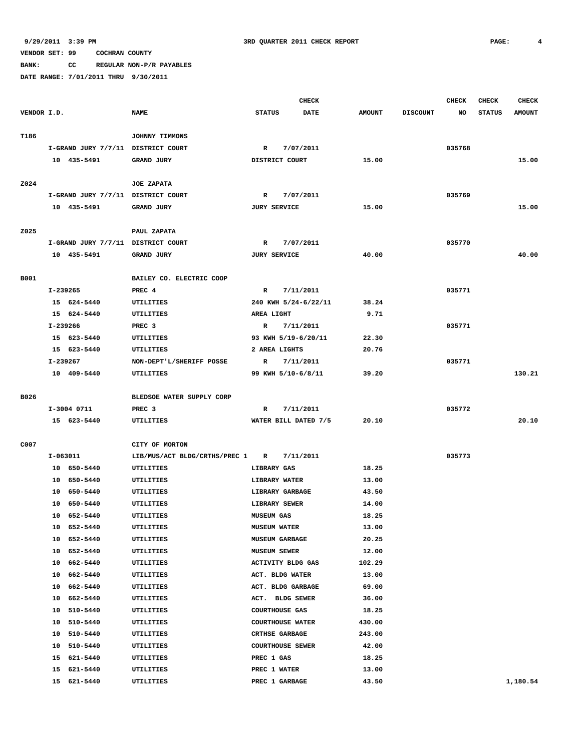**BANK: CC REGULAR NON-P/R PAYABLES**

|             |    |                                    |                               |                         | <b>CHECK</b> |               |                 | <b>CHECK</b> | <b>CHECK</b>  | <b>CHECK</b>  |
|-------------|----|------------------------------------|-------------------------------|-------------------------|--------------|---------------|-----------------|--------------|---------------|---------------|
| VENDOR I.D. |    |                                    | <b>NAME</b>                   | <b>STATUS</b>           | <b>DATE</b>  | <b>AMOUNT</b> | <b>DISCOUNT</b> | NO           | <b>STATUS</b> | <b>AMOUNT</b> |
|             |    |                                    |                               |                         |              |               |                 |              |               |               |
| T186        |    |                                    | JOHNNY TIMMONS                |                         |              |               |                 |              |               |               |
|             |    | I-GRAND JURY 7/7/11 DISTRICT COURT |                               | R                       | 7/07/2011    |               |                 | 035768       |               |               |
|             |    | 10 435-5491                        | GRAND JURY                    | DISTRICT COURT          |              | 15.00         |                 |              |               | 15.00         |
|             |    |                                    |                               |                         |              |               |                 |              |               |               |
| Z024        |    |                                    | <b>JOE ZAPATA</b>             |                         |              |               |                 |              |               |               |
|             |    | I-GRAND JURY 7/7/11 DISTRICT COURT |                               | $\mathbb{R}$            | 7/07/2011    |               |                 | 035769       |               | 15.00         |
|             |    | 10 435-5491                        | GRAND JURY                    | <b>JURY SERVICE</b>     |              | 15.00         |                 |              |               |               |
| Z025        |    |                                    | PAUL ZAPATA                   |                         |              |               |                 |              |               |               |
|             |    | I-GRAND JURY 7/7/11 DISTRICT COURT |                               | R                       | 7/07/2011    |               |                 | 035770       |               |               |
|             |    | 10 435-5491                        | <b>GRAND JURY</b>             | <b>JURY SERVICE</b>     |              | 40.00         |                 |              |               | 40.00         |
|             |    |                                    |                               |                         |              |               |                 |              |               |               |
| B001        |    |                                    | BAILEY CO. ELECTRIC COOP      |                         |              |               |                 |              |               |               |
|             |    | I-239265                           | PREC 4                        | R                       | 7/11/2011    |               |                 | 035771       |               |               |
|             |    | 15 624-5440                        | <b>UTILITIES</b>              | 240 KWH 5/24-6/22/11    |              | 38.24         |                 |              |               |               |
|             |    | 15 624-5440                        | UTILITIES                     | AREA LIGHT              |              | 9.71          |                 |              |               |               |
|             |    | I-239266                           | PREC <sub>3</sub>             | $\mathbb{R}$            | 7/11/2011    |               |                 | 035771       |               |               |
|             |    | 15 623-5440                        | UTILITIES                     | 93 KWH 5/19-6/20/11     |              | 22.30         |                 |              |               |               |
|             |    | 15 623-5440                        | UTILITIES                     | 2 AREA LIGHTS           |              | 20.76         |                 |              |               |               |
|             |    | I-239267                           | NON-DEPT'L/SHERIFF POSSE      | $\mathbb{R}$            | 7/11/2011    |               |                 | 035771       |               |               |
|             |    | 10 409-5440                        | UTILITIES                     | 99 KWH 5/10-6/8/11      |              | 39.20         |                 |              |               | 130.21        |
|             |    |                                    |                               |                         |              |               |                 |              |               |               |
| B026        |    |                                    | BLEDSOE WATER SUPPLY CORP     |                         |              |               |                 |              |               |               |
|             |    | I-3004 0711                        | PREC <sub>3</sub>             | R                       | 7/11/2011    |               |                 | 035772       |               |               |
|             |    | 15 623-5440                        | UTILITIES                     | WATER BILL DATED 7/5    |              | 20.10         |                 |              |               | 20.10         |
| C007        |    |                                    | CITY OF MORTON                |                         |              |               |                 |              |               |               |
|             |    | I-063011                           | LIB/MUS/ACT BLDG/CRTHS/PREC 1 | $\mathbb{R}$            | 7/11/2011    |               |                 | 035773       |               |               |
|             |    | 10 650-5440                        | UTILITIES                     | LIBRARY GAS             |              | 18.25         |                 |              |               |               |
|             |    | 10 650-5440                        | UTILITIES                     | <b>LIBRARY WATER</b>    |              | 13.00         |                 |              |               |               |
|             |    | 10 650-5440                        | UTILITIES                     | <b>LIBRARY GARBAGE</b>  |              | 43.50         |                 |              |               |               |
|             | 10 | 650-5440                           | UTILITIES                     | LIBRARY SEWER           |              | 14.00         |                 |              |               |               |
|             |    | 10 652-5440                        | UTILITIES                     | <b>MUSEUM GAS</b>       |              | 18.25         |                 |              |               |               |
|             |    | 10 652-5440                        | UTILITIES                     | <b>MUSEUM WATER</b>     |              | 13.00         |                 |              |               |               |
|             |    | 10 652-5440                        | <b>UTILITIES</b>              | <b>MUSEUM GARBAGE</b>   |              | 20.25         |                 |              |               |               |
|             |    | 10 652-5440                        | UTILITIES                     | <b>MUSEUM SEWER</b>     |              | 12.00         |                 |              |               |               |
|             |    | 10 662-5440                        | UTILITIES                     | ACTIVITY BLDG GAS       |              | 102.29        |                 |              |               |               |
|             |    | 10 662-5440                        | <b>UTILITIES</b>              | ACT. BLDG WATER         |              | 13.00         |                 |              |               |               |
|             |    | 10 662-5440                        | UTILITIES                     | ACT. BLDG GARBAGE       |              | 69.00         |                 |              |               |               |
|             |    | 10 662-5440                        | UTILITIES                     | ACT. BLDG SEWER         |              | 36.00         |                 |              |               |               |
|             |    | 10 510-5440                        | UTILITIES                     | <b>COURTHOUSE GAS</b>   |              | 18.25         |                 |              |               |               |
|             |    | 10 510-5440                        | UTILITIES                     | <b>COURTHOUSE WATER</b> |              | 430.00        |                 |              |               |               |
|             |    | 10 510-5440                        | UTILITIES                     | <b>CRTHSE GARBAGE</b>   |              | 243.00        |                 |              |               |               |
|             |    | 10 510-5440                        | UTILITIES                     | <b>COURTHOUSE SEWER</b> |              | 42.00         |                 |              |               |               |
|             |    | 15 621-5440                        | UTILITIES                     | PREC 1 GAS              |              | 18.25         |                 |              |               |               |
|             |    | 15 621-5440                        | UTILITIES                     | PREC 1 WATER            |              | 13.00         |                 |              |               |               |
|             |    | 15 621-5440                        | UTILITIES                     | PREC 1 GARBAGE          |              | 43.50         |                 |              |               | 1,180.54      |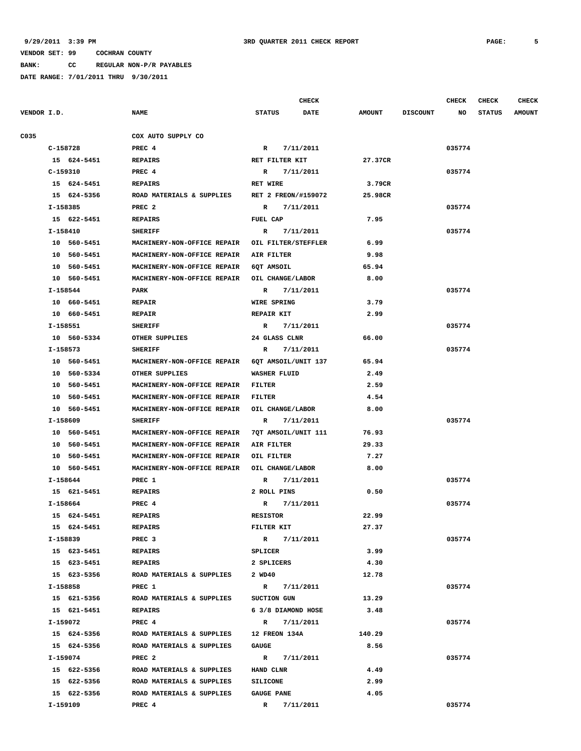**BANK: CC REGULAR NON-P/R PAYABLES**

|             |             |                                                 | CHECK                     |               |                 | <b>CHECK</b> | <b>CHECK</b>  | <b>CHECK</b>  |
|-------------|-------------|-------------------------------------------------|---------------------------|---------------|-----------------|--------------|---------------|---------------|
| VENDOR I.D. |             | <b>NAME</b>                                     | <b>STATUS</b><br>DATE     | <b>AMOUNT</b> | <b>DISCOUNT</b> | NO           | <b>STATUS</b> | <b>AMOUNT</b> |
| C035        |             | COX AUTO SUPPLY CO                              |                           |               |                 |              |               |               |
|             | C-158728    | PREC 4                                          | 7/11/2011<br>$\mathbb{R}$ |               |                 | 035774       |               |               |
|             | 15 624-5451 | <b>REPAIRS</b>                                  | RET FILTER KIT            | 27.37CR       |                 |              |               |               |
|             | C-159310    | PREC 4                                          | 7/11/2011<br>R            |               |                 | 035774       |               |               |
|             | 15 624-5451 | <b>REPAIRS</b>                                  | RET WIRE                  | 3.79CR        |                 |              |               |               |
|             | 15 624-5356 | ROAD MATERIALS & SUPPLIES                       | RET 2 FREON/#159072       | 25.98CR       |                 |              |               |               |
|             | I-158385    | PREC <sub>2</sub>                               | 7/11/2011<br>R            |               |                 | 035774       |               |               |
|             | 15 622-5451 | <b>REPAIRS</b>                                  | FUEL CAP                  | 7.95          |                 |              |               |               |
|             | I-158410    | <b>SHERIFF</b>                                  | 7/11/2011<br>R            |               |                 | 035774       |               |               |
|             | 10 560-5451 | MACHINERY-NON-OFFICE REPAIR                     | OIL FILTER/STEFFLER       | 6.99          |                 |              |               |               |
|             | 10 560-5451 | MACHINERY-NON-OFFICE REPAIR                     | AIR FILTER                | 9.98          |                 |              |               |               |
|             | 10 560-5451 | MACHINERY-NON-OFFICE REPAIR                     | 6QT AMSOIL                | 65.94         |                 |              |               |               |
|             | 10 560-5451 | MACHINERY-NON-OFFICE REPAIR OIL CHANGE/LABOR    |                           | 8.00          |                 |              |               |               |
|             | I-158544    | PARK                                            | R<br>7/11/2011            |               |                 | 035774       |               |               |
|             | 10 660-5451 | <b>REPAIR</b>                                   | <b>WIRE SPRING</b>        | 3.79          |                 |              |               |               |
|             | 10 660-5451 | <b>REPAIR</b>                                   | <b>REPAIR KIT</b>         | 2.99          |                 |              |               |               |
|             | I-158551    | <b>SHERIFF</b>                                  | 7/11/2011<br>R            |               |                 | 035774       |               |               |
|             | 10 560-5334 | OTHER SUPPLIES                                  | 24 GLASS CLNR             | 66.00         |                 |              |               |               |
|             | I-158573    | <b>SHERIFF</b>                                  | 7/11/2011<br>$\mathbb{R}$ |               |                 | 035774       |               |               |
|             | 10 560-5451 | MACHINERY-NON-OFFICE REPAIR 6OT AMSOIL/UNIT 137 |                           | 65.94         |                 |              |               |               |
|             | 10 560-5334 | OTHER SUPPLIES                                  | <b>WASHER FLUID</b>       | 2.49          |                 |              |               |               |
|             | 10 560-5451 | MACHINERY-NON-OFFICE REPAIR                     | <b>FILTER</b>             | 2.59          |                 |              |               |               |
|             | 10 560-5451 | MACHINERY-NON-OFFICE REPAIR                     | <b>FILTER</b>             | 4.54          |                 |              |               |               |
|             | 10 560-5451 | MACHINERY-NON-OFFICE REPAIR                     | OIL CHANGE/LABOR          | 8.00          |                 |              |               |               |
|             | I-158609    | <b>SHERIFF</b>                                  | 7/11/2011<br>R            |               |                 | 035774       |               |               |
|             | 10 560-5451 | MACHINERY-NON-OFFICE REPAIR                     | 7QT AMSOIL/UNIT 111       | 76.93         |                 |              |               |               |
|             | 10 560-5451 | MACHINERY-NON-OFFICE REPAIR                     | AIR FILTER                | 29.33         |                 |              |               |               |
|             | 10 560-5451 | MACHINERY-NON-OFFICE REPAIR                     | OIL FILTER                | 7.27          |                 |              |               |               |
|             | 10 560-5451 | MACHINERY-NON-OFFICE REPAIR                     | OIL CHANGE/LABOR          | 8.00          |                 |              |               |               |
|             | I-158644    | PREC 1                                          | 7/11/2011<br>R            |               |                 | 035774       |               |               |
|             | 15 621-5451 | <b>REPAIRS</b>                                  | 2 ROLL PINS               | 0.50          |                 |              |               |               |
|             | I-158664    | PREC 4                                          | R<br>7/11/2011            |               |                 | 035774       |               |               |
|             | 15 624-5451 | <b>REPAIRS</b>                                  | <b>RESISTOR</b>           | 22.99         |                 |              |               |               |
|             | 15 624-5451 | REPAIRS                                         | FILTER KIT                | 27.37         |                 |              |               |               |
|             | I-158839    | PREC <sub>3</sub>                               | R 7/11/2011               |               |                 | 035774       |               |               |
|             | 15 623-5451 | <b>REPAIRS</b>                                  | SPLICER                   | 3.99          |                 |              |               |               |
|             | 15 623-5451 | <b>REPAIRS</b>                                  | 2 SPLICERS                | 4.30          |                 |              |               |               |
|             | 15 623-5356 | ROAD MATERIALS & SUPPLIES                       | 2 WD40                    | 12.78         |                 |              |               |               |
|             | I-158858    | PREC 1                                          | R 7/11/2011               |               |                 | 035774       |               |               |
|             | 15 621-5356 | ROAD MATERIALS & SUPPLIES                       | SUCTION GUN               | 13.29         |                 |              |               |               |
|             | 15 621-5451 | <b>REPAIRS</b>                                  | 6 3/8 DIAMOND HOSE        | 3.48          |                 |              |               |               |
|             | I-159072    | PREC 4                                          | R 7/11/2011               |               |                 | 035774       |               |               |
|             | 15 624-5356 | ROAD MATERIALS & SUPPLIES                       | <b>12 FREON 134A</b>      | 140.29        |                 |              |               |               |
|             | 15 624-5356 | ROAD MATERIALS & SUPPLIES                       | <b>GAUGE</b>              | 8.56          |                 |              |               |               |
|             | I-159074    | PREC <sub>2</sub>                               | R 7/11/2011               |               |                 | 035774       |               |               |
|             | 15 622-5356 | ROAD MATERIALS & SUPPLIES                       | <b>HAND CLNR</b>          | 4.49          |                 |              |               |               |
|             | 15 622-5356 | ROAD MATERIALS & SUPPLIES                       | <b>SILICONE</b>           | 2.99          |                 |              |               |               |
|             | 15 622-5356 | ROAD MATERIALS & SUPPLIES                       | <b>GAUGE PANE</b>         | 4.05          |                 |              |               |               |
|             | I-159109    | PREC 4                                          | R 7/11/2011               |               |                 | 035774       |               |               |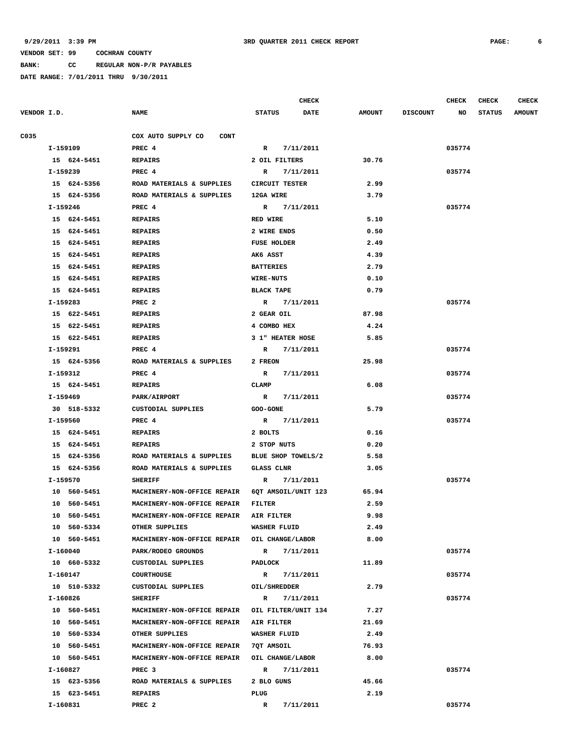**BANK: CC REGULAR NON-P/R PAYABLES**

|             |             |                                                 |                     | <b>CHECK</b> |               |                 | <b>CHECK</b> | <b>CHECK</b>  | <b>CHECK</b>  |
|-------------|-------------|-------------------------------------------------|---------------------|--------------|---------------|-----------------|--------------|---------------|---------------|
| VENDOR I.D. |             | <b>NAME</b>                                     | <b>STATUS</b>       | <b>DATE</b>  | <b>AMOUNT</b> | <b>DISCOUNT</b> | NO           | <b>STATUS</b> | <b>AMOUNT</b> |
|             |             |                                                 |                     |              |               |                 |              |               |               |
| C035        |             | COX AUTO SUPPLY CO<br>CONT                      |                     |              |               |                 |              |               |               |
|             | I-159109    | PREC 4                                          | R 7/11/2011         |              |               |                 | 035774       |               |               |
|             | 15 624-5451 | <b>REPAIRS</b>                                  | 2 OIL FILTERS       |              | 30.76         |                 |              |               |               |
|             | I-159239    | PREC <sub>4</sub>                               | R                   | 7/11/2011    |               |                 | 035774       |               |               |
|             | 15 624-5356 | ROAD MATERIALS & SUPPLIES                       | CIRCUIT TESTER      |              | 2.99          |                 |              |               |               |
|             | 15 624-5356 | ROAD MATERIALS & SUPPLIES                       | 12GA WIRE           |              | 3.79          |                 |              |               |               |
|             | I-159246    | PREC 4                                          | R                   | 7/11/2011    |               |                 | 035774       |               |               |
|             | 15 624-5451 | <b>REPAIRS</b>                                  | <b>RED WIRE</b>     |              | 5.10          |                 |              |               |               |
|             | 15 624-5451 | <b>REPAIRS</b>                                  | 2 WIRE ENDS         |              | 0.50          |                 |              |               |               |
|             | 15 624-5451 | <b>REPAIRS</b>                                  | <b>FUSE HOLDER</b>  |              | 2.49          |                 |              |               |               |
|             | 15 624-5451 | <b>REPAIRS</b>                                  | AK6 ASST            |              | 4.39          |                 |              |               |               |
|             | 15 624-5451 | <b>REPAIRS</b>                                  | <b>BATTERIES</b>    |              | 2.79          |                 |              |               |               |
|             | 15 624-5451 | <b>REPAIRS</b>                                  | <b>WIRE-NUTS</b>    |              | 0.10          |                 |              |               |               |
|             | 15 624-5451 | <b>REPAIRS</b>                                  | <b>BLACK TAPE</b>   |              | 0.79          |                 |              |               |               |
|             | I-159283    | PREC <sub>2</sub>                               | R 7/11/2011         |              |               |                 | 035774       |               |               |
|             | 15 622-5451 | <b>REPAIRS</b>                                  | 2 GEAR OIL          |              | 87.98         |                 |              |               |               |
|             | 15 622-5451 | <b>REPAIRS</b>                                  | 4 COMBO HEX         |              | 4.24          |                 |              |               |               |
|             | 15 622-5451 | REPAIRS                                         | 3 1" HEATER HOSE    |              | 5.85          |                 |              |               |               |
|             | I-159291    | PREC 4                                          | R 7/11/2011         |              |               |                 | 035774       |               |               |
|             | 15 624-5356 | ROAD MATERIALS & SUPPLIES                       | 2 FREON             |              | 25.98         |                 |              |               |               |
|             | I-159312    | PREC 4                                          | R 7/11/2011         |              |               |                 | 035774       |               |               |
|             | 15 624-5451 | <b>REPAIRS</b>                                  | CLAMP               |              | 6.08          |                 |              |               |               |
|             | I-159469    | PARK/AIRPORT                                    | R 7/11/2011         |              |               |                 | 035774       |               |               |
|             | 30 518-5332 | CUSTODIAL SUPPLIES                              | <b>GOO-GONE</b>     |              | 5.79          |                 |              |               |               |
|             | I-159560    | PREC 4                                          | R 7/11/2011         |              |               |                 | 035774       |               |               |
|             | 15 624-5451 | <b>REPAIRS</b>                                  | 2 BOLTS             |              | 0.16          |                 |              |               |               |
|             | 15 624-5451 | <b>REPAIRS</b>                                  | 2 STOP NUTS         |              | 0.20          |                 |              |               |               |
|             | 15 624-5356 | ROAD MATERIALS & SUPPLIES BLUE SHOP TOWELS/2    |                     |              | 5.58          |                 |              |               |               |
|             | 15 624-5356 | ROAD MATERIALS & SUPPLIES                       | <b>GLASS CLNR</b>   |              | 3.05          |                 |              |               |               |
|             | I-159570    | <b>SHERIFF</b>                                  | R                   | 7/11/2011    |               |                 | 035774       |               |               |
|             | 10 560-5451 | MACHINERY-NON-OFFICE REPAIR                     | 6QT AMSOIL/UNIT 123 |              | 65.94         |                 |              |               |               |
|             | 10 560-5451 | MACHINERY-NON-OFFICE REPAIR                     | FILTER              |              | 2.59          |                 |              |               |               |
|             | 10 560-5451 | MACHINERY-NON-OFFICE REPAIR                     | AIR FILTER          |              | 9.98          |                 |              |               |               |
|             | 10 560-5334 | OTHER SUPPLIES                                  | WASHER FLUID        |              | 2.49          |                 |              |               |               |
|             | 10 560-5451 | MACHINERY-NON-OFFICE REPAIR OIL CHANGE/LABOR    |                     |              | 8.00          |                 |              |               |               |
|             | I-160040    | PARK/RODEO GROUNDS                              | R 7/11/2011         |              |               |                 | 035774       |               |               |
|             | 10 660-5332 | CUSTODIAL SUPPLIES                              | PADLOCK             |              | 11.89         |                 |              |               |               |
|             | I-160147    | <b>COURTHOUSE</b>                               | R 7/11/2011         |              |               |                 | 035774       |               |               |
|             | 10 510-5332 | CUSTODIAL SUPPLIES                              | OIL/SHREDDER        |              | 2.79          |                 |              |               |               |
|             | I-160826    | <b>SHERIFF</b>                                  | $\mathbf{R}$        | 7/11/2011    |               |                 | 035774       |               |               |
|             | 10 560-5451 | MACHINERY-NON-OFFICE REPAIR OIL FILTER/UNIT 134 |                     |              | 7.27          |                 |              |               |               |
|             | 10 560-5451 | MACHINERY-NON-OFFICE REPAIR AIR FILTER          |                     |              | 21.69         |                 |              |               |               |
|             | 10 560-5334 | OTHER SUPPLIES                                  | <b>WASHER FLUID</b> |              | 2.49          |                 |              |               |               |
|             | 10 560-5451 | MACHINERY-NON-OFFICE REPAIR 7QT AMSOIL          |                     |              | 76.93         |                 |              |               |               |
|             | 10 560-5451 | MACHINERY-NON-OFFICE REPAIR OIL CHANGE/LABOR    |                     |              | 8.00          |                 |              |               |               |
|             | I-160827    | PREC 3                                          | $\mathbb{R}$        | 7/11/2011    |               |                 | 035774       |               |               |
|             | 15 623-5356 | ROAD MATERIALS & SUPPLIES                       | 2 BLO GUNS          |              | 45.66         |                 |              |               |               |
|             | 15 623-5451 | REPAIRS                                         | PLUG                |              | 2.19          |                 |              |               |               |
|             | I-160831    | PREC <sub>2</sub>                               | R                   | 7/11/2011    |               |                 | 035774       |               |               |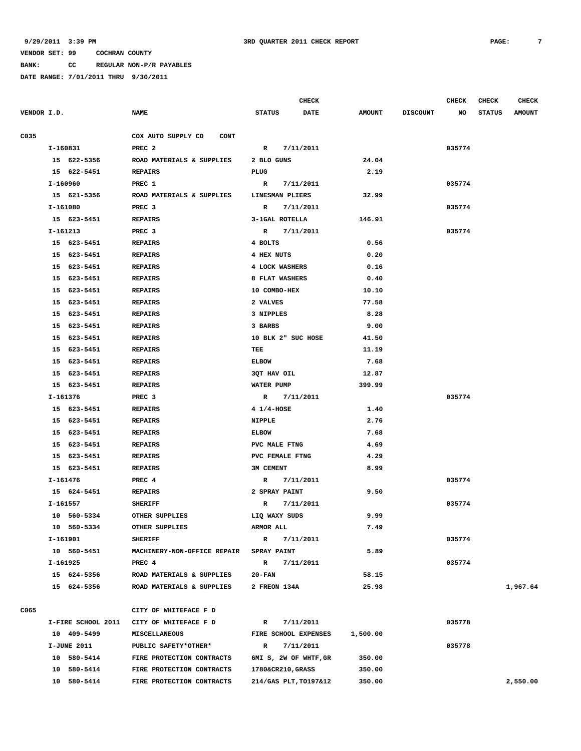**BANK: CC REGULAR NON-P/R PAYABLES**

|             |          |                      |                                   |                           | <b>CHECK</b> |                |                 | <b>CHECK</b> | <b>CHECK</b>  | <b>CHECK</b>  |
|-------------|----------|----------------------|-----------------------------------|---------------------------|--------------|----------------|-----------------|--------------|---------------|---------------|
| VENDOR I.D. |          |                      | <b>NAME</b>                       | <b>STATUS</b>             | DATE         | <b>AMOUNT</b>  | <b>DISCOUNT</b> | NO           | <b>STATUS</b> | <b>AMOUNT</b> |
| C035        |          |                      | COX AUTO SUPPLY CO<br><b>CONT</b> |                           |              |                |                 |              |               |               |
|             |          | I-160831             | PREC <sub>2</sub>                 | $\mathbf R$               | 7/11/2011    |                |                 | 035774       |               |               |
|             |          | 15 622-5356          | ROAD MATERIALS & SUPPLIES         | 2 BLO GUNS                |              | 24.04          |                 |              |               |               |
|             |          | 15 622-5451          | <b>REPAIRS</b>                    | PLUG                      |              | 2.19           |                 |              |               |               |
|             | I-160960 |                      | PREC 1                            | R                         | 7/11/2011    |                |                 | 035774       |               |               |
|             |          | 15 621-5356          | ROAD MATERIALS & SUPPLIES         | LINESMAN PLIERS           |              | 32.99          |                 |              |               |               |
|             | I-161080 |                      | PREC <sub>3</sub>                 | $\mathbf{R}$              | 7/11/2011    |                |                 | 035774       |               |               |
|             |          | 15 623-5451          | <b>REPAIRS</b>                    | 3-1GAL ROTELLA            |              | 146.91         |                 |              |               |               |
|             | I-161213 |                      | PREC <sub>3</sub>                 | $\mathbb{R}$              | 7/11/2011    |                |                 | 035774       |               |               |
|             |          | 15 623-5451          | <b>REPAIRS</b>                    | 4 BOLTS                   |              | 0.56           |                 |              |               |               |
|             |          | 15 623-5451          | <b>REPAIRS</b>                    | 4 HEX NUTS                |              | 0.20           |                 |              |               |               |
|             |          | 15 623-5451          | <b>REPAIRS</b>                    | 4 LOCK WASHERS            |              | 0.16           |                 |              |               |               |
|             |          | 15 623-5451          | <b>REPAIRS</b>                    | 8 FLAT WASHERS            |              | 0.40           |                 |              |               |               |
|             |          | 15 623-5451          | <b>REPAIRS</b>                    | 10 COMBO-HEX              |              | 10.10          |                 |              |               |               |
|             |          | 15 623-5451          | <b>REPAIRS</b>                    | 2 VALVES                  |              | 77.58          |                 |              |               |               |
|             | 15       | 623-5451             |                                   |                           |              | 8.28           |                 |              |               |               |
|             |          |                      | <b>REPAIRS</b>                    | 3 NIPPLES                 |              |                |                 |              |               |               |
|             | 15<br>15 | 623-5451<br>623-5451 | <b>REPAIRS</b>                    | 3 BARBS                   |              | 9.00           |                 |              |               |               |
|             | 15       | 623-5451             | <b>REPAIRS</b><br><b>REPAIRS</b>  | 10 BLK 2" SUC HOSE<br>TEE |              | 41.50<br>11.19 |                 |              |               |               |
|             |          |                      |                                   |                           |              |                |                 |              |               |               |
|             | 15       | 623-5451             | <b>REPAIRS</b>                    | <b>ELBOW</b>              |              | 7.68           |                 |              |               |               |
|             | 15       | 623-5451             | <b>REPAIRS</b>                    | 3QT HAV OIL               |              | 12.87          |                 |              |               |               |
|             |          | 15 623-5451          | <b>REPAIRS</b>                    | WATER PUMP                |              | 399.99         |                 |              |               |               |
|             |          | I-161376             | PREC <sub>3</sub>                 | $\mathbb{R}$              | 7/11/2011    |                |                 | 035774       |               |               |
|             |          | 15 623-5451          | <b>REPAIRS</b>                    | 4 1/4-HOSE                |              | 1.40           |                 |              |               |               |
|             |          | 15 623-5451          | <b>REPAIRS</b>                    | <b>NIPPLE</b>             |              | 2.76           |                 |              |               |               |
|             |          | 15 623-5451          | <b>REPAIRS</b>                    | <b>ELBOW</b>              |              | 7.68           |                 |              |               |               |
|             |          | 15 623-5451          | <b>REPAIRS</b>                    | PVC MALE FTNG             |              | 4.69           |                 |              |               |               |
|             |          | 15 623-5451          | <b>REPAIRS</b>                    | PVC FEMALE FTNG           |              | 4.29           |                 |              |               |               |
|             |          | 15 623-5451          | <b>REPAIRS</b>                    | 3M CEMENT                 |              | 8.99           |                 |              |               |               |
|             |          | $I-161476$           | PREC 4                            | $\mathbb{R}$              | 7/11/2011    |                |                 | 035774       |               |               |
|             |          | 15 624-5451          | <b>REPAIRS</b>                    | 2 SPRAY PAINT             |              | 9.50           |                 |              |               |               |
|             | I-161557 |                      | <b>SHERIFF</b>                    | R                         | 7/11/2011    |                |                 | 035774       |               |               |
|             |          | 10 560-5334          | OTHER SUPPLIES                    | LIQ WAXY SUDS             |              | 9.99           |                 |              |               |               |
|             |          | 10 560-5334          | OTHER SUPPLIES                    | ARMOR ALL                 |              | 7.49           |                 |              |               |               |
|             |          | I-161901             | <b>SHERIFF</b>                    | $\mathbb{R}$              | 7/11/2011    |                |                 | 035774       |               |               |
|             |          | 10 560-5451          | MACHINERY-NON-OFFICE REPAIR       | <b>SPRAY PAINT</b>        |              | 5.89           |                 |              |               |               |
|             |          | I-161925             | PREC 4                            | $\mathbb{R}$              | 7/11/2011    |                |                 | 035774       |               |               |
|             |          | 15 624-5356          | ROAD MATERIALS & SUPPLIES         | $20 - FAN$                |              | 58.15          |                 |              |               |               |
|             |          | 15 624-5356          | ROAD MATERIALS & SUPPLIES         | 2 FREON 134A              |              | 25.98          |                 |              |               | 1,967.64      |
| C065        |          |                      | CITY OF WHITEFACE F D             |                           |              |                |                 |              |               |               |
|             |          | I-FIRE SCHOOL 2011   | CITY OF WHITEFACE F D             | $\mathbb{R}$              | 7/11/2011    |                |                 | 035778       |               |               |
|             |          | 10 409-5499          | MISCELLANEOUS                     | FIRE SCHOOL EXPENSES      |              | 1,500.00       |                 |              |               |               |
|             |          | <b>I-JUNE 2011</b>   | PUBLIC SAFETY*OTHER*              | $\mathbf R$               | 7/11/2011    |                |                 | 035778       |               |               |
|             |          | 10 580-5414          | FIRE PROTECTION CONTRACTS         | 6MI S, 2W OF WHTF, GR     |              | 350.00         |                 |              |               |               |
|             |          | 10 580-5414          | FIRE PROTECTION CONTRACTS         | 1780&CR210, GRASS         |              | 350.00         |                 |              |               |               |
|             |          | 10 580-5414          | FIRE PROTECTION CONTRACTS         | 214/GAS PLT, TO197&12     |              | 350.00         |                 |              |               | 2,550.00      |
|             |          |                      |                                   |                           |              |                |                 |              |               |               |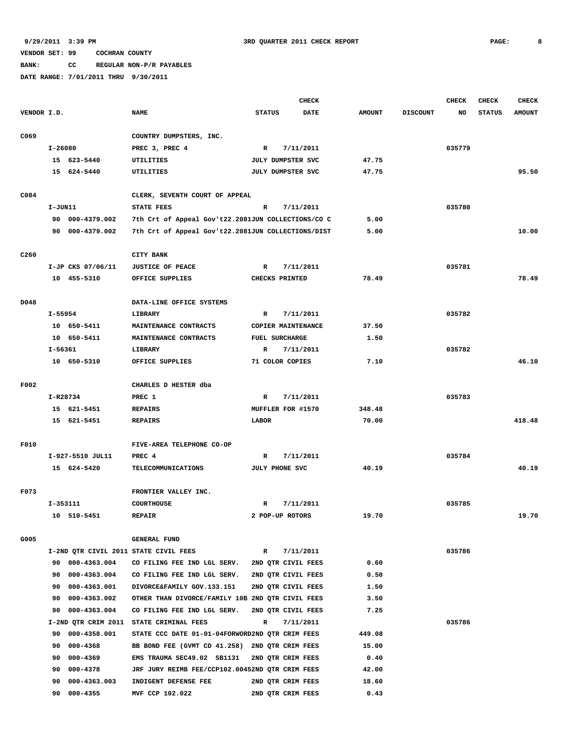**BANK: CC REGULAR NON-P/R PAYABLES**

|                  |             |                              |                                                              |                       | CHECK                                    |               |                 | <b>CHECK</b> | <b>CHECK</b>  | <b>CHECK</b>  |
|------------------|-------------|------------------------------|--------------------------------------------------------------|-----------------------|------------------------------------------|---------------|-----------------|--------------|---------------|---------------|
| VENDOR I.D.      |             |                              | <b>NAME</b>                                                  | <b>STATUS</b>         | <b>DATE</b>                              | <b>AMOUNT</b> | <b>DISCOUNT</b> | <b>NO</b>    | <b>STATUS</b> | <b>AMOUNT</b> |
| C069             |             |                              | COUNTRY DUMPSTERS, INC.                                      |                       |                                          |               |                 |              |               |               |
|                  | I-26080     |                              | PREC 3, PREC 4                                               | $\mathbb{R}$          | 7/11/2011                                |               |                 | 035779       |               |               |
|                  |             | 15 623-5440                  | UTILITIES                                                    | JULY DUMPSTER SVC     |                                          | 47.75         |                 |              |               |               |
|                  |             | 15 624-5440                  | UTILITIES                                                    | JULY DUMPSTER SVC     |                                          | 47.75         |                 |              |               | 95.50         |
|                  |             |                              |                                                              |                       |                                          |               |                 |              |               |               |
| C084             |             |                              | CLERK, SEVENTH COURT OF APPEAL                               |                       |                                          |               |                 |              |               |               |
|                  | I-JUN11     |                              | STATE FEES                                                   | R                     | 7/11/2011                                |               |                 | 035780       |               |               |
|                  |             | 90 000-4379.002              | 7th Crt of Appeal Gov't22.2081JUN COLLECTIONS/CO C           |                       |                                          | 5.00          |                 |              |               |               |
|                  |             | 90 000-4379.002              | 7th Crt of Appeal Gov't22.2081JUN COLLECTIONS/DIST           |                       |                                          | 5.00          |                 |              |               | 10.00         |
|                  |             |                              |                                                              |                       |                                          |               |                 |              |               |               |
| C <sub>260</sub> |             |                              | CITY BANK                                                    |                       |                                          |               |                 |              |               |               |
|                  |             | I-JP CKS 07/06/11            | <b>JUSTICE OF PEACE</b>                                      | $\mathbb{R}$          | 7/11/2011                                |               |                 | 035781       |               |               |
|                  |             | 10 455-5310                  | OFFICE SUPPLIES                                              | CHECKS PRINTED        |                                          | 78.49         |                 |              |               | 78.49         |
|                  |             |                              |                                                              |                       |                                          |               |                 |              |               |               |
| D048             |             |                              | DATA-LINE OFFICE SYSTEMS                                     |                       |                                          |               |                 |              |               |               |
|                  | I-55954     |                              | LIBRARY                                                      | R                     | 7/11/2011                                |               |                 | 035782       |               |               |
|                  |             | 10 650-5411                  | MAINTENANCE CONTRACTS                                        |                       | COPIER MAINTENANCE                       | 37.50         |                 |              |               |               |
|                  |             | 10 650-5411                  | MAINTENANCE CONTRACTS                                        | <b>FUEL SURCHARGE</b> |                                          | 1.50          |                 |              |               |               |
|                  | $I - 56361$ |                              | LIBRARY                                                      | R                     | 7/11/2011                                |               |                 | 035782       |               |               |
|                  |             | 10 650-5310                  | OFFICE SUPPLIES                                              | 71 COLOR COPIES       |                                          | 7.10          |                 |              |               | 46.10         |
|                  |             |                              |                                                              |                       |                                          |               |                 |              |               |               |
| F002             |             |                              | CHARLES D HESTER dba                                         |                       |                                          |               |                 |              |               |               |
|                  | I-R28734    |                              | PREC 1                                                       | R                     | 7/11/2011                                |               |                 | 035783       |               |               |
|                  |             | 15 621-5451                  | <b>REPAIRS</b>                                               | MUFFLER FOR #1570     |                                          | 348.48        |                 |              |               |               |
|                  |             | 15 621-5451                  | <b>REPAIRS</b>                                               | LABOR                 |                                          | 70.00         |                 |              |               | 418.48        |
|                  |             |                              |                                                              |                       |                                          |               |                 |              |               |               |
| F010             |             |                              | FIVE-AREA TELEPHONE CO-OP                                    |                       |                                          |               |                 |              |               |               |
|                  |             | I-927-5510 JUL11             | PREC 4                                                       | R                     | 7/11/2011                                |               |                 | 035784       |               |               |
|                  |             | 15 624-5420                  | <b>TELECOMMUNICATIONS</b>                                    | JULY PHONE SVC        |                                          | 40.19         |                 |              |               | 40.19         |
|                  |             |                              |                                                              |                       |                                          |               |                 |              |               |               |
| F073             |             |                              | FRONTIER VALLEY INC.                                         |                       |                                          |               |                 |              |               |               |
|                  | $I-353111$  |                              | <b>COURTHOUSE</b>                                            | R                     | 7/11/2011                                |               |                 | 035785       |               |               |
|                  |             | 10 510-5451                  | <b>REPAIR</b>                                                | 2 POP-UP ROTORS       |                                          | 19.70         |                 |              |               | 19.70         |
|                  |             |                              |                                                              |                       |                                          |               |                 |              |               |               |
| G005             |             |                              | <b>GENERAL FUND</b><br>I-2ND QTR CIVIL 2011 STATE CIVIL FEES |                       |                                          |               |                 |              |               |               |
|                  |             | 90 000-4363.004              | CO FILING FEE IND LGL SERV.                                  | R                     | 7/11/2011                                | 0.60          |                 | 035786       |               |               |
|                  |             |                              | CO FILING FEE IND LGL SERV.                                  |                       | 2ND QTR CIVIL FEES<br>2ND OTR CIVIL FEES |               |                 |              |               |               |
|                  | 90<br>90    | 000-4363.004<br>000-4363.001 | DIVORCE&FAMILY GOV.133.151                                   |                       | 2ND QTR CIVIL FEES                       | 0.50<br>1.50  |                 |              |               |               |
|                  | 90          | 000-4363.002                 | OTHER THAN DIVORCE/FAMILY 10B 2ND QTR CIVIL FEES             |                       |                                          | 3.50          |                 |              |               |               |
|                  | 90          | 000-4363.004                 | CO FILING FEE IND LGL SERV.                                  |                       | 2ND QTR CIVIL FEES                       | 7.25          |                 |              |               |               |
|                  |             |                              | I-2ND QTR CRIM 2011 STATE CRIMINAL FEES                      | R                     | 7/11/2011                                |               |                 | 035786       |               |               |
|                  | 90          | 000-4358.001                 | STATE CCC DATE 01-01-04FORWORD2ND QTR CRIM FEES              |                       |                                          | 449.08        |                 |              |               |               |
|                  | 90          | 000-4368                     | BB BOND FEE (GVMT CD 41.258)                                 | 2ND QTR CRIM FEES     |                                          | 15.00         |                 |              |               |               |
|                  | 90          | 000-4369                     | EMS TRAUMA SEC49.02 SB1131                                   | 2ND QTR CRIM FEES     |                                          | 0.40          |                 |              |               |               |
|                  | 90          | 000-4378                     | JRF JURY REIMB FEE/CCP102.00452ND QTR CRIM FEES              |                       |                                          | 42.00         |                 |              |               |               |
|                  | 90          | 000-4363.003                 | INDIGENT DEFENSE FEE                                         | 2ND QTR CRIM FEES     |                                          | 18.60         |                 |              |               |               |
|                  | 90          | $000 - 4355$                 | MVF CCP 102.022                                              | 2ND QTR CRIM FEES     |                                          | 0.43          |                 |              |               |               |
|                  |             |                              |                                                              |                       |                                          |               |                 |              |               |               |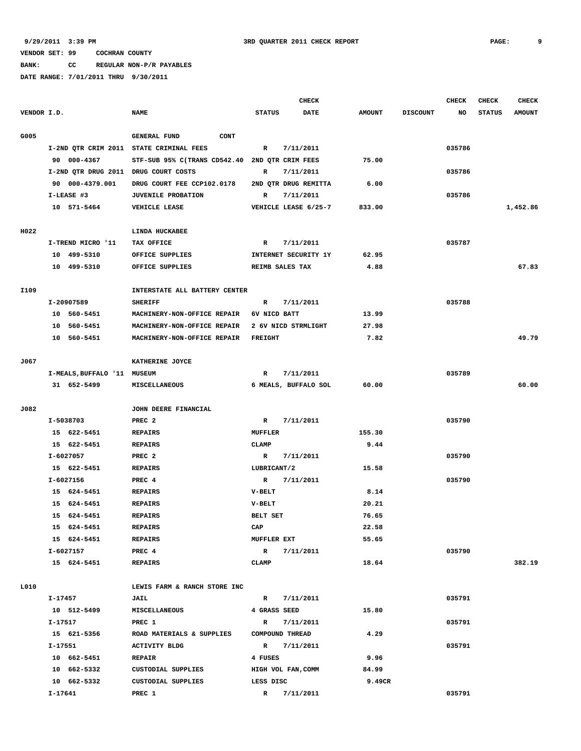**BANK: CC REGULAR NON-P/R PAYABLES**

|             |         |                             |                                                |                    | <b>CHECK</b>           |               |                 | <b>CHECK</b> | <b>CHECK</b>  | <b>CHECK</b>  |
|-------------|---------|-----------------------------|------------------------------------------------|--------------------|------------------------|---------------|-----------------|--------------|---------------|---------------|
| VENDOR I.D. |         |                             | <b>NAME</b>                                    | <b>STATUS</b>      | DATE                   | <b>AMOUNT</b> | <b>DISCOUNT</b> | NO           | <b>STATUS</b> | <b>AMOUNT</b> |
| G005        |         |                             | <b>GENERAL FUND</b><br>CONT                    |                    |                        |               |                 |              |               |               |
|             |         |                             | I-2ND QTR CRIM 2011 STATE CRIMINAL FEES        | R                  | 7/11/2011              |               |                 | 035786       |               |               |
|             |         | 90 000-4367                 | STF-SUB 95% C(TRANS CD542.40 2ND QTR CRIM FEES |                    |                        | 75.00         |                 |              |               |               |
|             |         |                             | I-2ND QTR DRUG 2011 DRUG COURT COSTS           | R                  | 7/11/2011              |               |                 | 035786       |               |               |
|             |         | 90 000-4379.001             | DRUG COURT FEE CCP102.0178                     |                    | 2ND OTR DRUG REMITTA   | 6.00          |                 |              |               |               |
|             |         | I-LEASE #3                  | <b>JUVENILE PROBATION</b>                      | R                  | 7/11/2011              |               |                 | 035786       |               |               |
|             |         | 10 571-5464                 | VEHICLE LEASE                                  |                    | VEHICLE LEASE 6/25-7   | 833.00        |                 |              |               | 1,452.86      |
| H022        |         |                             | LINDA HUCKABEE                                 |                    |                        |               |                 |              |               |               |
|             |         | I-TREND MICRO '11           | TAX OFFICE                                     | R                  | 7/11/2011              |               |                 | 035787       |               |               |
|             |         | 10 499-5310                 | OFFICE SUPPLIES                                |                    | INTERNET SECURITY 1Y   | 62.95         |                 |              |               |               |
|             |         | 10 499-5310                 | OFFICE SUPPLIES                                |                    | REIMB SALES TAX        | 4.88          |                 |              |               | 67.83         |
| I109        |         |                             | INTERSTATE ALL BATTERY CENTER                  |                    |                        |               |                 |              |               |               |
|             |         | I-20907589                  | <b>SHERIFF</b>                                 | R                  | 7/11/2011              |               |                 | 035788       |               |               |
|             |         | 10 560-5451                 | MACHINERY-NON-OFFICE REPAIR                    | 6V NICD BATT       |                        | 13.99         |                 |              |               |               |
|             |         | 10 560-5451                 | MACHINERY-NON-OFFICE REPAIR                    |                    | 2 6V NICD STRMLIGHT    | 27.98         |                 |              |               |               |
|             |         | 10 560-5451                 | MACHINERY-NON-OFFICE REPAIR                    | <b>FREIGHT</b>     |                        | 7.82          |                 |              |               | 49.79         |
|             |         |                             |                                                |                    |                        |               |                 |              |               |               |
| J067        |         |                             | KATHERINE JOYCE                                |                    |                        |               |                 |              |               |               |
|             |         | I-MEALS, BUFFALO '11 MUSEUM |                                                | $\mathbb{R}$       | 7/11/2011              |               |                 | 035789       |               |               |
|             |         | 31 652-5499                 | MISCELLANEOUS                                  |                    | 6 MEALS, BUFFALO SOL   | 60.00         |                 |              |               | 60.00         |
| J082        |         |                             | JOHN DEERE FINANCIAL                           |                    |                        |               |                 |              |               |               |
|             |         | I-5038703                   | PREC <sub>2</sub>                              | $\mathbf{R}$       | 7/11/2011              |               |                 | 035790       |               |               |
|             |         | 15 622-5451                 | <b>REPAIRS</b>                                 | <b>MUFFLER</b>     |                        | 155.30        |                 |              |               |               |
|             |         | 15 622-5451                 | <b>REPAIRS</b>                                 | <b>CLAMP</b>       |                        | 9.44          |                 |              |               |               |
|             |         | I-6027057                   | PREC <sub>2</sub>                              | R                  | 7/11/2011              |               |                 | 035790       |               |               |
|             |         | 15 622-5451                 | <b>REPAIRS</b>                                 | LUBRICANT/2        |                        | 15.58         |                 |              |               |               |
|             |         | I-6027156                   | PREC 4                                         | R                  | 7/11/2011              |               |                 | 035790       |               |               |
|             |         | 15 624-5451                 | <b>REPAIRS</b>                                 | $V-BELT$           |                        | 8.14          |                 |              |               |               |
|             |         | 15 624-5451                 | <b>REPAIRS</b>                                 | $V-BELT$           |                        | 20.21         |                 |              |               |               |
|             |         | 15 624-5451                 | <b>REPAIRS</b>                                 | <b>BELT SET</b>    |                        | 76.65         |                 |              |               |               |
|             |         | 15 624-5451                 | <b>REPAIRS</b>                                 | $_{\rm CAP}$       |                        | 22.58         |                 |              |               |               |
|             |         | 15 624-5451                 | <b>REPAIRS</b>                                 | <b>MUFFLER EXT</b> |                        | 55.65         |                 |              |               |               |
|             |         | I-6027157                   | PREC 4                                         |                    | R 7/11/2011            |               |                 | 035790       |               |               |
|             |         | 15 624-5451                 | REPAIRS                                        | CLAMP              |                        | 18.64         |                 |              |               | 382.19        |
| L010        |         |                             | LEWIS FARM & RANCH STORE INC                   |                    |                        |               |                 |              |               |               |
|             | I-17457 |                             | JAIL                                           |                    | R 7/11/2011            |               |                 | 035791       |               |               |
|             |         | 10 512-5499                 | MISCELLANEOUS                                  | 4 GRASS SEED       |                        | 15.80         |                 |              |               |               |
|             | I-17517 |                             | PREC 1                                         | $\mathbb{R}$       | 7/11/2011              |               |                 | 035791       |               |               |
|             |         | 15 621-5356                 | ROAD MATERIALS & SUPPLIES                      |                    | <b>COMPOUND THREAD</b> | 4.29          |                 |              |               |               |
|             | I-17551 |                             | ACTIVITY BLDG                                  | $\mathbb{R}$       | 7/11/2011              |               |                 | 035791       |               |               |
|             |         | 10 662-5451                 | <b>REPAIR</b>                                  | 4 FUSES            |                        | 9.96          |                 |              |               |               |
|             |         | 10 662-5332                 | CUSTODIAL SUPPLIES                             |                    | HIGH VOL FAN, COMM     | 84.99         |                 |              |               |               |
|             |         | 10 662-5332                 | CUSTODIAL SUPPLIES                             | LESS DISC          |                        | 9.49CR        |                 |              |               |               |
|             | I-17641 |                             | PREC 1                                         |                    | R 7/11/2011            |               |                 | 035791       |               |               |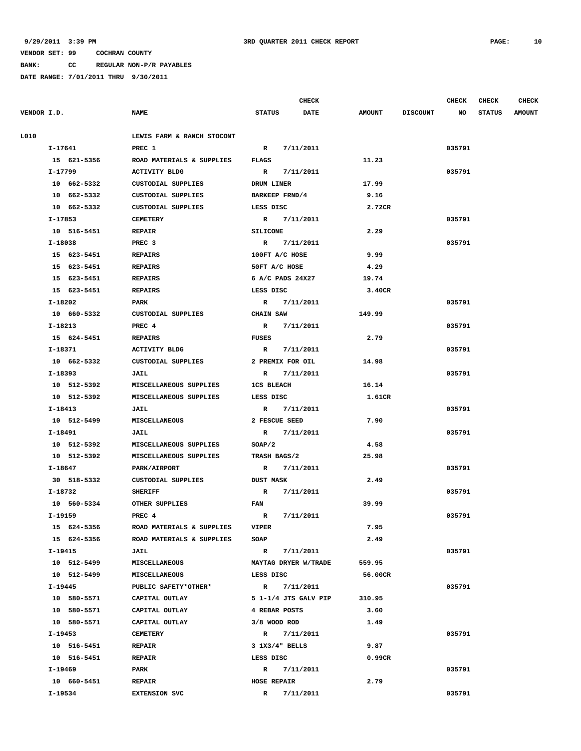**BANK: CC REGULAR NON-P/R PAYABLES**

|             |             |                            |                    | <b>CHECK</b>         |               |                 | <b>CHECK</b> | <b>CHECK</b>  | <b>CHECK</b>  |
|-------------|-------------|----------------------------|--------------------|----------------------|---------------|-----------------|--------------|---------------|---------------|
| VENDOR I.D. |             | <b>NAME</b>                | <b>STATUS</b>      | <b>DATE</b>          | <b>AMOUNT</b> | <b>DISCOUNT</b> | NO           | <b>STATUS</b> | <b>AMOUNT</b> |
| L010        |             | LEWIS FARM & RANCH STOCONT |                    |                      |               |                 |              |               |               |
|             | I-17641     | PREC 1                     | $\mathbb{R}$       | 7/11/2011            |               |                 | 035791       |               |               |
|             | 15 621-5356 | ROAD MATERIALS & SUPPLIES  | <b>FLAGS</b>       |                      | 11.23         |                 |              |               |               |
|             | I-17799     | <b>ACTIVITY BLDG</b>       | $\mathbb{R}$       | 7/11/2011            |               |                 | 035791       |               |               |
|             | 10 662-5332 | CUSTODIAL SUPPLIES         | DRUM LINER         |                      | 17.99         |                 |              |               |               |
|             | 10 662-5332 | CUSTODIAL SUPPLIES         | BARKEEP FRND/4     |                      | 9.16          |                 |              |               |               |
|             | 10 662-5332 | CUSTODIAL SUPPLIES         | LESS DISC          |                      | 2.72CR        |                 |              |               |               |
|             | I-17853     | <b>CEMETERY</b>            |                    | R 7/11/2011          |               |                 | 035791       |               |               |
|             | 10 516-5451 | <b>REPAIR</b>              | <b>SILICONE</b>    |                      | 2.29          |                 |              |               |               |
|             | I-18038     | PREC <sub>3</sub>          |                    | R 7/11/2011          |               |                 | 035791       |               |               |
|             | 15 623-5451 | <b>REPAIRS</b>             | 100FT A/C HOSE     |                      | 9.99          |                 |              |               |               |
|             | 15 623-5451 | <b>REPAIRS</b>             | 50FT A/C HOSE      |                      | 4.29          |                 |              |               |               |
|             | 15 623-5451 | <b>REPAIRS</b>             |                    | 6 A/C PADS 24X27     | 19.74         |                 |              |               |               |
|             | 15 623-5451 | <b>REPAIRS</b>             | LESS DISC          |                      | 3.40CR        |                 |              |               |               |
|             | I-18202     | PARK                       |                    | R 7/11/2011          |               |                 | 035791       |               |               |
|             | 10 660-5332 | CUSTODIAL SUPPLIES         | <b>CHAIN SAW</b>   |                      | 149.99        |                 |              |               |               |
|             | I-18213     | PREC 4                     |                    | R 7/11/2011          |               |                 | 035791       |               |               |
|             | 15 624-5451 | REPAIRS                    | FUSES              |                      | 2.79          |                 |              |               |               |
|             | I-18371     | ACTIVITY BLDG              |                    | R 7/11/2011          |               |                 | 035791       |               |               |
|             | 10 662-5332 | CUSTODIAL SUPPLIES         |                    | 2 PREMIX FOR OIL     | 14.98         |                 |              |               |               |
|             | I-18393     | JAIL                       |                    | R 7/11/2011          |               |                 | 035791       |               |               |
|             | 10 512-5392 | MISCELLANEOUS SUPPLIES     | <b>1CS BLEACH</b>  |                      | 16.14         |                 |              |               |               |
|             | 10 512-5392 | MISCELLANEOUS SUPPLIES     | LESS DISC          |                      | 1.61CR        |                 |              |               |               |
|             | I-18413     | JAIL                       |                    | R 7/11/2011          |               |                 | 035791       |               |               |
|             | 10 512-5499 | <b>MISCELLANEOUS</b>       | 2 FESCUE SEED      |                      | 7.90          |                 |              |               |               |
|             | I-18491     | JAIL                       | $\mathbb{R}$       | 7/11/2011            |               |                 | 035791       |               |               |
|             | 10 512-5392 | MISCELLANEOUS SUPPLIES     | SOP/2              |                      | 4.58          |                 |              |               |               |
|             | 10 512-5392 | MISCELLANEOUS SUPPLIES     | TRASH BAGS/2       |                      | 25.98         |                 |              |               |               |
|             | I-18647     | PARK/AIRPORT               |                    | R 7/11/2011          |               |                 | 035791       |               |               |
|             | 30 518-5332 | CUSTODIAL SUPPLIES         | <b>DUST MASK</b>   |                      | 2.49          |                 |              |               |               |
|             | I-18732     | <b>SHERIFF</b>             | R                  | 7/11/2011            |               |                 | 035791       |               |               |
|             | 10 560-5334 | OTHER SUPPLIES             | <b>FAN</b>         |                      | 39.99         |                 |              |               |               |
|             | I-19159     | PREC 4                     | $\mathbf{R}$       | 7/11/2011            |               |                 | 035791       |               |               |
|             | 15 624-5356 | ROAD MATERIALS & SUPPLIES  | <b>VIPER</b>       |                      | 7.95          |                 |              |               |               |
|             | 15 624-5356 | ROAD MATERIALS & SUPPLIES  | SOAP               |                      | 2.49          |                 |              |               |               |
|             | I-19415     | JAIL                       |                    | R 7/11/2011          |               |                 | 035791       |               |               |
|             | 10 512-5499 | <b>MISCELLANEOUS</b>       |                    | MAYTAG DRYER W/TRADE | 559.95        |                 |              |               |               |
|             | 10 512-5499 | <b>MISCELLANEOUS</b>       | LESS DISC          |                      | 56.00CR       |                 |              |               |               |
|             | I-19445     | PUBLIC SAFETY*OTHER*       |                    | R 7/11/2011          |               |                 | 035791       |               |               |
|             | 10 580-5571 | CAPITAL OUTLAY             |                    | 5 1-1/4 JTS GALV PIP | 310.95        |                 |              |               |               |
|             | 10 580-5571 | CAPITAL OUTLAY             | 4 REBAR POSTS      |                      | 3.60          |                 |              |               |               |
|             | 10 580-5571 | CAPITAL OUTLAY             | 3/8 WOOD ROD       |                      | 1.49          |                 |              |               |               |
|             | I-19453     | <b>CEMETERY</b>            |                    | R 7/11/2011          |               |                 | 035791       |               |               |
|             | 10 516-5451 | <b>REPAIR</b>              | 3 1X3/4" BELLS     |                      | 9.87          |                 |              |               |               |
|             | 10 516-5451 | <b>REPAIR</b>              | LESS DISC          |                      | 0.99CR        |                 |              |               |               |
|             | I-19469     | PARK                       |                    | R 7/11/2011          |               |                 | 035791       |               |               |
|             | 10 660-5451 | <b>REPAIR</b>              | <b>HOSE REPAIR</b> |                      | 2.79          |                 |              |               |               |
|             | I-19534     | <b>EXTENSION SVC</b>       |                    | R 7/11/2011          |               |                 | 035791       |               |               |
|             |             |                            |                    |                      |               |                 |              |               |               |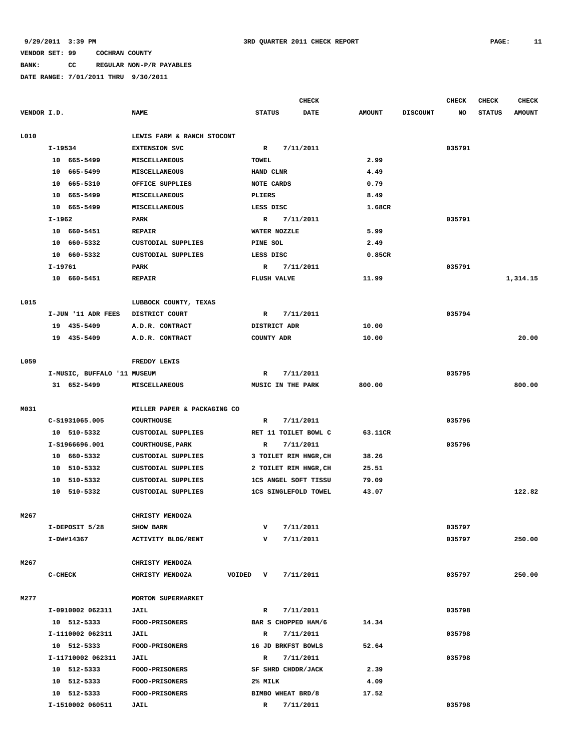# **BANK: CC REGULAR NON-P/R PAYABLES**

|             |                             |                             |                       | CHECK       |               |                 | CHECK     | CHECK         | <b>CHECK</b>  |
|-------------|-----------------------------|-----------------------------|-----------------------|-------------|---------------|-----------------|-----------|---------------|---------------|
| VENDOR I.D. |                             | <b>NAME</b>                 | <b>STATUS</b>         | <b>DATE</b> | <b>AMOUNT</b> | <b>DISCOUNT</b> | <b>NO</b> | <b>STATUS</b> | <b>AMOUNT</b> |
| L010        |                             | LEWIS FARM & RANCH STOCONT  |                       |             |               |                 |           |               |               |
|             | I-19534                     | <b>EXTENSION SVC</b>        | $\mathbb{R}$          | 7/11/2011   |               |                 | 035791    |               |               |
|             | 10 665-5499                 | <b>MISCELLANEOUS</b>        | TOWEL                 |             | 2.99          |                 |           |               |               |
|             | 10 665-5499                 | <b>MISCELLANEOUS</b>        | HAND CLNR             |             | 4.49          |                 |           |               |               |
|             | 10<br>665-5310              | OFFICE SUPPLIES             | NOTE CARDS            |             | 0.79          |                 |           |               |               |
|             | 10 665-5499                 | MISCELLANEOUS               | PLIERS                |             | 8.49          |                 |           |               |               |
|             | 10 665-5499                 | <b>MISCELLANEOUS</b>        | LESS DISC             |             | 1.68CR        |                 |           |               |               |
|             | I-1962                      | <b>PARK</b>                 | R                     | 7/11/2011   |               |                 | 035791    |               |               |
|             | 10 660-5451                 | <b>REPAIR</b>               | WATER NOZZLE          |             | 5.99          |                 |           |               |               |
|             | 10 660-5332                 | CUSTODIAL SUPPLIES          | PINE SOL              |             | 2.49          |                 |           |               |               |
|             | 10 660-5332                 | CUSTODIAL SUPPLIES          | LESS DISC             |             | 0.85CR        |                 |           |               |               |
|             | I-19761                     | PARK                        | R                     | 7/11/2011   |               |                 | 035791    |               |               |
|             | 10 660-5451                 | <b>REPAIR</b>               | <b>FLUSH VALVE</b>    |             | 11.99         |                 |           |               | 1,314.15      |
|             |                             |                             |                       |             |               |                 |           |               |               |
| L015        |                             | LUBBOCK COUNTY, TEXAS       |                       |             |               |                 |           |               |               |
|             | I-JUN '11 ADR FEES          | DISTRICT COURT              | R                     | 7/11/2011   |               |                 | 035794    |               |               |
|             | 19 435-5409                 | A.D.R. CONTRACT             | DISTRICT ADR          |             | 10.00         |                 |           |               |               |
|             | 19 435-5409                 | A.D.R. CONTRACT             | COUNTY ADR            |             | 10.00         |                 |           |               | 20.00         |
|             |                             |                             |                       |             |               |                 |           |               |               |
| L059        |                             | FREDDY LEWIS                |                       |             |               |                 |           |               |               |
|             | I-MUSIC, BUFFALO '11 MUSEUM |                             | R                     | 7/11/2011   |               |                 | 035795    |               |               |
|             | 31 652-5499                 | <b>MISCELLANEOUS</b>        | MUSIC IN THE PARK     |             | 800.00        |                 |           |               | 800.00        |
|             |                             |                             |                       |             |               |                 |           |               |               |
| M031        |                             | MILLER PAPER & PACKAGING CO |                       |             |               |                 |           |               |               |
|             | C-S1931065.005              | <b>COURTHOUSE</b>           | R                     | 7/11/2011   |               |                 | 035796    |               |               |
|             | 10 510-5332                 | CUSTODIAL SUPPLIES          | RET 11 TOILET BOWL C  |             | 63.11CR       |                 |           |               |               |
|             | I-S1966696.001              | <b>COURTHOUSE, PARK</b>     | R                     | 7/11/2011   |               |                 | 035796    |               |               |
|             | 10 660-5332                 | CUSTODIAL SUPPLIES          | 3 TOILET RIM HNGR, CH |             | 38.26         |                 |           |               |               |
|             | 10<br>510-5332              | CUSTODIAL SUPPLIES          | 2 TOILET RIM HNGR, CH |             | 25.51         |                 |           |               |               |
|             | 10 510-5332                 | CUSTODIAL SUPPLIES          | 1CS ANGEL SOFT TISSU  |             | 79.09         |                 |           |               |               |
|             | 10 510-5332                 | CUSTODIAL SUPPLIES          | 1CS SINGLEFOLD TOWEL  |             | 43.07         |                 |           |               | 122.82        |
|             |                             |                             |                       |             |               |                 |           |               |               |
| M267        |                             | CHRISTY MENDOZA             |                       |             |               |                 |           |               |               |
|             | I-DEPOSIT 5/28              | <b>SHOW BARN</b>            | v                     | 7/11/2011   |               |                 | 035797    |               |               |
|             | I-DW#14367                  | <b>ACTIVITY BLDG/RENT</b>   | v                     | 7/11/2011   |               |                 | 035797    |               | 250.00        |
|             |                             |                             |                       |             |               |                 |           |               |               |
| M267        |                             | CHRISTY MENDOZA             |                       |             |               |                 |           |               |               |
|             | $C-CHECK$                   | CHRISTY MENDOZA<br>VOIDED   | $\mathbf v$           | 7/11/2011   |               |                 | 035797    |               | 250.00        |
| M277        |                             | <b>MORTON SUPERMARKET</b>   |                       |             |               |                 |           |               |               |
|             | I-0910002 062311            | <b>JAIL</b>                 | $\mathbb{R}$          | 7/11/2011   |               |                 | 035798    |               |               |
|             |                             |                             |                       |             |               |                 |           |               |               |
|             | 10 512-5333                 | FOOD-PRISONERS              | BAR S CHOPPED HAM/6   |             | 14.34         |                 |           |               |               |
|             | I-1110002 062311            | <b>JAIL</b>                 | R                     | 7/11/2011   |               |                 | 035798    |               |               |
|             | 10 512-5333                 | <b>FOOD-PRISONERS</b>       | 16 JD BRKFST BOWLS    |             | 52.64         |                 |           |               |               |
|             | I-11710002 062311           | JAIL                        | R                     | 7/11/2011   |               |                 | 035798    |               |               |
|             | 10 512-5333                 | FOOD-PRISONERS              | SF SHRD CHDDR/JACK    |             | 2.39          |                 |           |               |               |
|             | 10 512-5333                 | <b>FOOD-PRISONERS</b>       | 2% MILK               |             | 4.09          |                 |           |               |               |
|             | 10 512-5333                 | FOOD-PRISONERS              | BIMBO WHEAT BRD/8     |             | 17.52         |                 |           |               |               |
|             | I-1510002 060511            | <b>JAIL</b>                 | $\mathbb{R}$          | 7/11/2011   |               |                 | 035798    |               |               |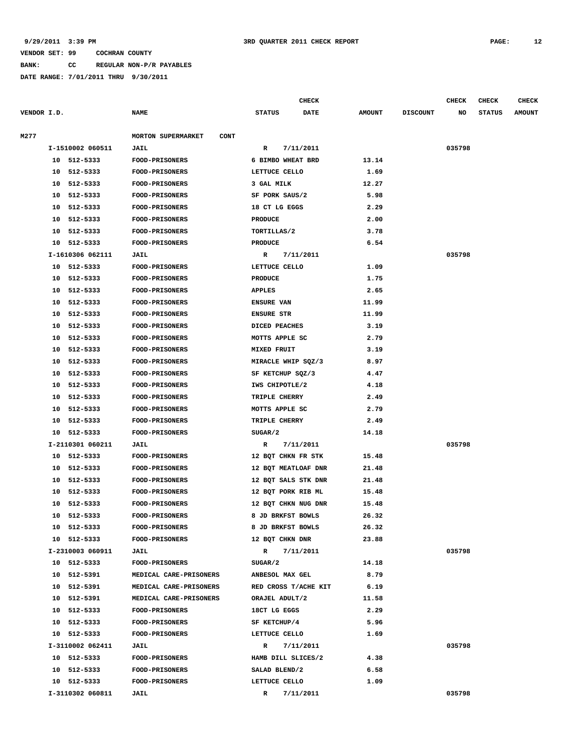**BANK: CC REGULAR NON-P/R PAYABLES**

**DATE RANGE: 7/01/2011 THRU 9/30/2011**

|             |    |                  |                                   |                    |           | <b>CHECK</b> |               |                 | <b>CHECK</b> | <b>CHECK</b>  | <b>CHECK</b>  |
|-------------|----|------------------|-----------------------------------|--------------------|-----------|--------------|---------------|-----------------|--------------|---------------|---------------|
| VENDOR I.D. |    |                  | <b>NAME</b>                       | <b>STATUS</b>      |           | <b>DATE</b>  | <b>AMOUNT</b> | <b>DISCOUNT</b> | NO           | <b>STATUS</b> | <b>AMOUNT</b> |
| M277        |    |                  | MORTON SUPERMARKET<br><b>CONT</b> |                    |           |              |               |                 |              |               |               |
|             |    | I-1510002 060511 | JAIL                              | R                  | 7/11/2011 |              |               |                 | 035798       |               |               |
|             |    | 10 512-5333      | <b>FOOD-PRISONERS</b>             | 6 BIMBO WHEAT BRD  |           |              | 13.14         |                 |              |               |               |
|             |    | 10 512-5333      | <b>FOOD-PRISONERS</b>             | LETTUCE CELLO      |           |              | 1.69          |                 |              |               |               |
|             | 10 | 512-5333         | <b>FOOD-PRISONERS</b>             | 3 GAL MILK         |           |              | 12.27         |                 |              |               |               |
|             | 10 | 512-5333         | <b>FOOD-PRISONERS</b>             | SF PORK SAUS/2     |           |              | 5.98          |                 |              |               |               |
|             | 10 | 512-5333         | <b>FOOD-PRISONERS</b>             | 18 CT LG EGGS      |           |              | 2.29          |                 |              |               |               |
|             | 10 | 512-5333         | <b>FOOD-PRISONERS</b>             | <b>PRODUCE</b>     |           |              | 2.00          |                 |              |               |               |
|             | 10 | 512-5333         | FOOD-PRISONERS                    | TORTILLAS/2        |           |              | 3.78          |                 |              |               |               |
|             |    | 10 512-5333      | <b>FOOD-PRISONERS</b>             | <b>PRODUCE</b>     |           |              | 6.54          |                 |              |               |               |
|             |    | I-1610306 062111 | JAIL                              | $\mathbb{R}$       | 7/11/2011 |              |               |                 | 035798       |               |               |
|             |    | 10 512-5333      | <b>FOOD-PRISONERS</b>             | LETTUCE CELLO      |           |              | 1.09          |                 |              |               |               |
|             |    | 10 512-5333      | FOOD-PRISONERS                    | <b>PRODUCE</b>     |           |              | 1.75          |                 |              |               |               |
|             | 10 | 512-5333         | <b>FOOD-PRISONERS</b>             | <b>APPLES</b>      |           |              | 2.65          |                 |              |               |               |
|             | 10 | 512-5333         | <b>FOOD-PRISONERS</b>             | <b>ENSURE VAN</b>  |           |              | 11.99         |                 |              |               |               |
|             | 10 | 512-5333         | <b>FOOD-PRISONERS</b>             | <b>ENSURE STR</b>  |           |              | 11.99         |                 |              |               |               |
|             | 10 | 512-5333         | FOOD-PRISONERS                    | DICED PEACHES      |           |              | 3.19          |                 |              |               |               |
|             | 10 | 512-5333         | FOOD-PRISONERS                    | MOTTS APPLE SC     |           |              | 2.79          |                 |              |               |               |
|             | 10 | 512-5333         | <b>FOOD-PRISONERS</b>             | MIXED FRUIT        |           |              | 3.19          |                 |              |               |               |
|             | 10 | 512-5333         | FOOD-PRISONERS                    | MIRACLE WHIP SQZ/3 |           |              | 8.97          |                 |              |               |               |
|             | 10 | 512-5333         | <b>FOOD-PRISONERS</b>             | SF KETCHUP SQZ/3   |           |              | 4.47          |                 |              |               |               |
|             | 10 | 512-5333         | <b>FOOD-PRISONERS</b>             | IWS CHIPOTLE/2     |           |              | 4.18          |                 |              |               |               |
|             | 10 | 512-5333         | <b>FOOD-PRISONERS</b>             | TRIPLE CHERRY      |           |              | 2.49          |                 |              |               |               |
|             |    |                  |                                   |                    |           |              |               |                 |              |               |               |

| 10 512-5333      | <b>FOOD-PRISONERS</b>  | SUGAR/2                   | 14.18 |        |
|------------------|------------------------|---------------------------|-------|--------|
| I-2110301 060211 | JAIL                   | $\mathbb{R}$<br>7/11/2011 |       | 035798 |
| 10 512-5333      | <b>FOOD-PRISONERS</b>  | 12 BQT CHKN FR STK        | 15.48 |        |
| 10 512-5333      | FOOD-PRISONERS         | 12 BOT MEATLOAF DNR       | 21.48 |        |
| 10 512-5333      | FOOD-PRISONERS         | 12 BOT SALS STK DNR       | 21.48 |        |
| 512-5333<br>10   | <b>FOOD-PRISONERS</b>  | 12 BOT PORK RIB ML        | 15.48 |        |
| 512-5333<br>10   | FOOD-PRISONERS         | 12 BOT CHKN NUG DNR       | 15.48 |        |
| 10 512-5333      | <b>FOOD-PRISONERS</b>  | 8 JD BRKFST BOWLS         | 26.32 |        |
| 512-5333<br>10   | <b>FOOD-PRISONERS</b>  | 8 JD BRKFST BOWLS         | 26.32 |        |
| 10 512-5333      | <b>FOOD-PRISONERS</b>  | 12 BOT CHKN DNR           | 23.88 |        |
| I-2310003 060911 | JAIL                   | $\mathbb{R}$<br>7/11/2011 |       | 035798 |
| 10 512-5333      | <b>FOOD-PRISONERS</b>  | SUGAR/2                   | 14.18 |        |
| 512-5391<br>10   | MEDICAL CARE-PRISONERS | ANBESOL MAX GEL           | 8.79  |        |
| 10 512-5391      | MEDICAL CARE-PRISONERS | RED CROSS T/ACHE KIT      | 6.19  |        |
| 512-5391<br>10   | MEDICAL CARE-PRISONERS | ORAJEL ADULT/2            | 11.58 |        |
| 512-5333<br>10   | <b>FOOD-PRISONERS</b>  | 18CT LG EGGS              | 2.29  |        |
| 512-5333<br>10   | FOOD-PRISONERS         | SF KETCHUP/4              | 5.96  |        |
| 10 512-5333      | <b>FOOD-PRISONERS</b>  | LETTUCE CELLO             | 1.69  |        |
| I-3110002 062411 | JAIL                   | 7/11/2011<br>R            |       | 035798 |
| 10 512-5333      | <b>FOOD-PRISONERS</b>  | HAMB DILL SLICES/2        | 4.38  |        |
| 512-5333<br>10   | <b>FOOD-PRISONERS</b>  | SALAD BLEND/2             | 6.58  |        |
| 10<br>512-5333   | <b>FOOD-PRISONERS</b>  | LETTUCE CELLO             | 1.09  |        |
| I-3110302 060811 | <b>JAIL</b>            | $\mathbb{R}$<br>7/11/2011 |       | 035798 |
|                  |                        |                           |       |        |

 **10 512-5333 FOOD-PRISONERS MOTTS APPLE SC 2.79 10 512-5333 FOOD-PRISONERS TRIPLE CHERRY 2.49**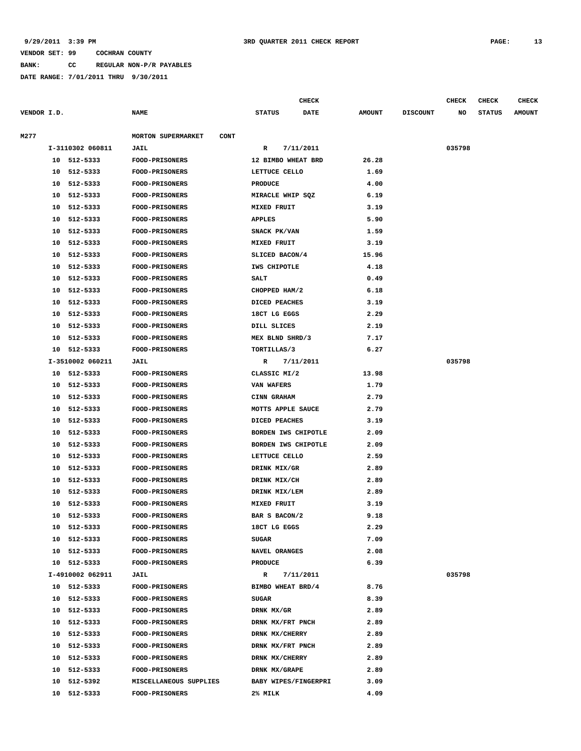## **9/29/2011 3:39 PM 3RD QUARTER 2011 CHECK REPORT PAGE: 13**

### **VENDOR SET: 99 COCHRAN COUNTY**

**BANK: CC REGULAR NON-P/R PAYABLES**

**DATE RANGE: 7/01/2011 THRU 9/30/2011**

| VENDOR I.D. |    |                  | <b>NAME</b>                              | <b>STATUS</b>        | <b>DATE</b> | <b>AMOUNT</b> | <b>DISCOUNT</b> | NO     | <b>STATUS</b> | <b>AMOUNT</b> |
|-------------|----|------------------|------------------------------------------|----------------------|-------------|---------------|-----------------|--------|---------------|---------------|
| M277        |    |                  | <b>MORTON SUPERMARKET</b><br><b>CONT</b> |                      |             |               |                 |        |               |               |
|             |    | I-3110302 060811 | <b>JAIL</b>                              | R                    | 7/11/2011   |               |                 | 035798 |               |               |
|             |    | 10 512-5333      | FOOD-PRISONERS                           | 12 BIMBO WHEAT BRD   |             | 26.28         |                 |        |               |               |
|             |    | 10 512-5333      | FOOD-PRISONERS                           | LETTUCE CELLO        |             | 1.69          |                 |        |               |               |
|             | 10 | 512-5333         | <b>FOOD-PRISONERS</b>                    | <b>PRODUCE</b>       |             | 4.00          |                 |        |               |               |
|             | 10 | 512-5333         | <b>FOOD-PRISONERS</b>                    | MIRACLE WHIP SQZ     |             | 6.19          |                 |        |               |               |
|             | 10 | 512-5333         | <b>FOOD-PRISONERS</b>                    | MIXED FRUIT          |             | 3.19          |                 |        |               |               |
|             | 10 | 512-5333         | <b>FOOD-PRISONERS</b>                    | <b>APPLES</b>        |             | 5.90          |                 |        |               |               |
|             | 10 | 512-5333         | FOOD-PRISONERS                           | SNACK PK/VAN         |             | 1.59          |                 |        |               |               |
|             | 10 | 512-5333         | FOOD-PRISONERS                           | MIXED FRUIT          |             | 3.19          |                 |        |               |               |
|             | 10 | 512-5333         | <b>FOOD-PRISONERS</b>                    | SLICED BACON/4       |             | 15.96         |                 |        |               |               |
|             | 10 | 512-5333         | <b>FOOD-PRISONERS</b>                    | IWS CHIPOTLE         |             | 4.18          |                 |        |               |               |
|             | 10 | 512-5333         | <b>FOOD-PRISONERS</b>                    | SALT                 |             | 0.49          |                 |        |               |               |
|             | 10 | 512-5333         | <b>FOOD-PRISONERS</b>                    | CHOPPED HAM/2        |             | 6.18          |                 |        |               |               |
|             | 10 | 512-5333         | <b>FOOD-PRISONERS</b>                    | DICED PEACHES        |             | 3.19          |                 |        |               |               |
|             | 10 | 512-5333         | <b>FOOD-PRISONERS</b>                    | 18CT LG EGGS         |             | 2.29          |                 |        |               |               |
|             | 10 | 512-5333         | <b>FOOD-PRISONERS</b>                    | DILL SLICES          |             | 2.19          |                 |        |               |               |
|             | 10 | 512-5333         | <b>FOOD-PRISONERS</b>                    | MEX BLND SHRD/3      |             | 7.17          |                 |        |               |               |
|             |    | 10 512-5333      | <b>FOOD-PRISONERS</b>                    | TORTILLAS/3          |             | 6.27          |                 |        |               |               |
|             |    | I-3510002 060211 | <b>JAIL</b>                              | R                    | 7/11/2011   |               |                 | 035798 |               |               |
|             |    | 10 512-5333      | <b>FOOD-PRISONERS</b>                    | CLASSIC MI/2         |             | 13.98         |                 |        |               |               |
|             | 10 | 512-5333         | FOOD-PRISONERS                           | VAN WAFERS           |             | 1.79          |                 |        |               |               |
|             | 10 | 512-5333         | <b>FOOD-PRISONERS</b>                    | CINN GRAHAM          |             | 2.79          |                 |        |               |               |
|             | 10 | 512-5333         | <b>FOOD-PRISONERS</b>                    | MOTTS APPLE SAUCE    |             | 2.79          |                 |        |               |               |
|             | 10 | 512-5333         | <b>FOOD-PRISONERS</b>                    | DICED PEACHES        |             | 3.19          |                 |        |               |               |
|             | 10 | 512-5333         | <b>FOOD-PRISONERS</b>                    | BORDEN IWS CHIPOTLE  |             | 2.09          |                 |        |               |               |
|             | 10 | 512-5333         | <b>FOOD-PRISONERS</b>                    | BORDEN IWS CHIPOTLE  |             | 2.09          |                 |        |               |               |
|             | 10 | 512-5333         | FOOD-PRISONERS                           | LETTUCE CELLO        |             | 2.59          |                 |        |               |               |
|             | 10 | 512-5333         | <b>FOOD-PRISONERS</b>                    | DRINK MIX/GR         |             | 2.89          |                 |        |               |               |
|             | 10 | 512-5333         | <b>FOOD-PRISONERS</b>                    | DRINK MIX/CH         |             | 2.89          |                 |        |               |               |
|             | 10 | 512-5333         | <b>FOOD-PRISONERS</b>                    | DRINK MIX/LEM        |             | 2.89          |                 |        |               |               |
|             | 10 | 512-5333         | <b>FOOD-PRISONERS</b>                    | MIXED FRUIT          |             | 3.19          |                 |        |               |               |
|             | 10 | 512-5333         | <b>FOOD-PRISONERS</b>                    | BAR S BACON/2        |             | 9.18          |                 |        |               |               |
|             | 10 | 512-5333         | <b>FOOD-PRISONERS</b>                    | 18CT LG EGGS         |             | 2.29          |                 |        |               |               |
|             | 10 | 512-5333         | <b>FOOD-PRISONERS</b>                    | <b>SUGAR</b>         |             | 7.09          |                 |        |               |               |
|             | 10 | 512-5333         | <b>FOOD-PRISONERS</b>                    | NAVEL ORANGES        |             | 2.08          |                 |        |               |               |
|             |    | 10 512-5333      | FOOD-PRISONERS                           | <b>PRODUCE</b>       |             | 6.39          |                 |        |               |               |
|             |    | I-4910002 062911 | <b>JAIL</b>                              | R                    | 7/11/2011   |               |                 | 035798 |               |               |
|             |    | 10 512-5333      | <b>FOOD-PRISONERS</b>                    | BIMBO WHEAT BRD/4    |             | 8.76          |                 |        |               |               |
|             | 10 | 512-5333         | <b>FOOD-PRISONERS</b>                    | <b>SUGAR</b>         |             | 8.39          |                 |        |               |               |
|             | 10 | 512-5333         | <b>FOOD-PRISONERS</b>                    | DRNK MX/GR           |             | 2.89          |                 |        |               |               |
|             | 10 | 512-5333         | <b>FOOD-PRISONERS</b>                    | DRNK MX/FRT PNCH     |             | 2.89          |                 |        |               |               |
|             | 10 | 512-5333         | FOOD-PRISONERS                           | DRNK MX/CHERRY       |             | 2.89          |                 |        |               |               |
|             | 10 | 512-5333         | <b>FOOD-PRISONERS</b>                    | DRNK MX/FRT PNCH     |             | 2.89          |                 |        |               |               |
|             | 10 | 512-5333         | <b>FOOD-PRISONERS</b>                    | DRNK MX/CHERRY       |             | 2.89          |                 |        |               |               |
|             | 10 | 512-5333         | <b>FOOD-PRISONERS</b>                    | DRNK MX/GRAPE        |             | 2.89          |                 |        |               |               |
|             | 10 | 512-5392         | MISCELLANEOUS SUPPLIES                   | BABY WIPES/FINGERPRI |             | 3.09          |                 |        |               |               |
|             |    | 10 512-5333      | <b>FOOD-PRISONERS</b>                    | 2% MILK              |             | 4.09          |                 |        |               |               |
|             |    |                  |                                          |                      |             |               |                 |        |               |               |

**CHECK CHECK CHECK CHECK CHECK CHECK CHECK**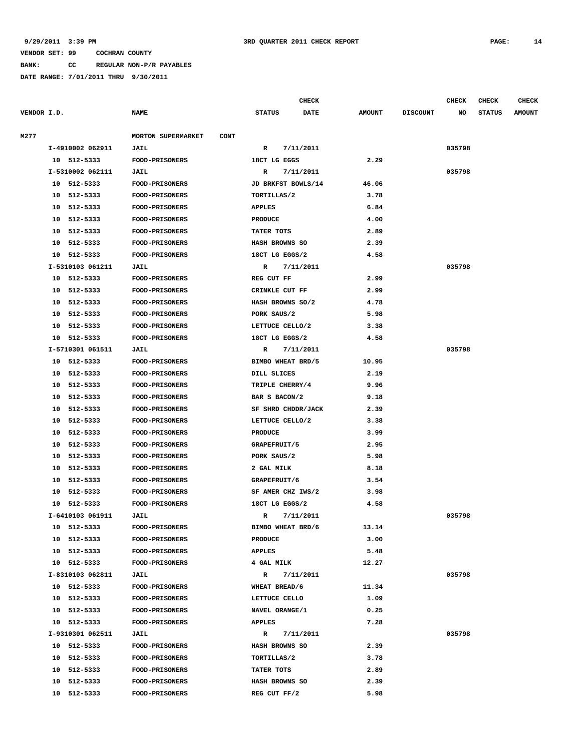**BANK: CC REGULAR NON-P/R PAYABLES**

|             |                  |                                          |                    | <b>CHECK</b> |               |                 | <b>CHECK</b> | <b>CHECK</b>  | <b>CHECK</b>  |
|-------------|------------------|------------------------------------------|--------------------|--------------|---------------|-----------------|--------------|---------------|---------------|
| VENDOR I.D. |                  | <b>NAME</b>                              | <b>STATUS</b>      | DATE         | <b>AMOUNT</b> | <b>DISCOUNT</b> | NO           | <b>STATUS</b> | <b>AMOUNT</b> |
|             |                  |                                          |                    |              |               |                 |              |               |               |
| M277        |                  | <b>MORTON SUPERMARKET</b><br><b>CONT</b> |                    |              |               |                 |              |               |               |
|             | I-4910002 062911 | JAIL                                     | R                  | 7/11/2011    |               |                 | 035798       |               |               |
|             | 10 512-5333      | FOOD-PRISONERS                           | 18CT LG EGGS       |              | 2.29          |                 |              |               |               |
|             | I-5310002 062111 | JAIL                                     | R                  | 7/11/2011    |               |                 | 035798       |               |               |
|             | 10 512-5333      | FOOD-PRISONERS                           | JD BRKFST BOWLS/14 |              | 46.06         |                 |              |               |               |
|             | 10 512-5333      | <b>FOOD-PRISONERS</b>                    | TORTILLAS/2        |              | 3.78          |                 |              |               |               |
|             | 512-5333<br>10   | <b>FOOD-PRISONERS</b>                    | <b>APPLES</b>      |              | 6.84          |                 |              |               |               |
|             | 512-5333<br>10   | <b>FOOD-PRISONERS</b>                    | <b>PRODUCE</b>     |              | 4.00          |                 |              |               |               |
|             | 512-5333<br>10   | <b>FOOD-PRISONERS</b>                    | TATER TOTS         |              | 2.89          |                 |              |               |               |
|             | 512-5333<br>10   | <b>FOOD-PRISONERS</b>                    | HASH BROWNS SO     |              | 2.39          |                 |              |               |               |
|             | 512-5333<br>10   | <b>FOOD-PRISONERS</b>                    | 18CT LG EGGS/2     |              | 4.58          |                 |              |               |               |
|             | I-5310103 061211 | <b>JAIL</b>                              | R                  | 7/11/2011    |               |                 | 035798       |               |               |
|             | 10<br>512-5333   | <b>FOOD-PRISONERS</b>                    | REG CUT FF         |              | 2.99          |                 |              |               |               |
|             | 512-5333<br>10   | FOOD-PRISONERS                           | CRINKLE CUT FF     |              | 2.99          |                 |              |               |               |
|             | 512-5333<br>10   | <b>FOOD-PRISONERS</b>                    | HASH BROWNS SO/2   |              | 4.78          |                 |              |               |               |
|             | 512-5333<br>10   | FOOD-PRISONERS                           | PORK SAUS/2        |              | 5.98          |                 |              |               |               |
|             | 512-5333<br>10   | FOOD-PRISONERS                           | LETTUCE CELLO/2    |              | 3.38          |                 |              |               |               |
|             | 512-5333<br>10   | FOOD-PRISONERS                           | 18CT LG EGGS/2     |              | 4.58          |                 |              |               |               |
|             | I-5710301 061511 | JAIL                                     | R                  | 7/11/2011    |               |                 | 035798       |               |               |
|             | 512-5333<br>10   | FOOD-PRISONERS                           | BIMBO WHEAT BRD/5  |              | 10.95         |                 |              |               |               |
|             | 512-5333<br>10   | <b>FOOD-PRISONERS</b>                    | DILL SLICES        |              | 2.19          |                 |              |               |               |
|             | 512-5333<br>10   | <b>FOOD-PRISONERS</b>                    | TRIPLE CHERRY/4    |              | 9.96          |                 |              |               |               |
|             | 512-5333<br>10   | <b>FOOD-PRISONERS</b>                    | BAR S BACON/2      |              | 9.18          |                 |              |               |               |
|             | 512-5333<br>10   | <b>FOOD-PRISONERS</b>                    | SF SHRD CHDDR/JACK |              | 2.39          |                 |              |               |               |
|             | 10<br>512-5333   | <b>FOOD-PRISONERS</b>                    | LETTUCE CELLO/2    |              | 3.38          |                 |              |               |               |
|             | 512-5333<br>10   | <b>FOOD-PRISONERS</b>                    | <b>PRODUCE</b>     |              | 3.99          |                 |              |               |               |
|             | 512-5333<br>10   | <b>FOOD-PRISONERS</b>                    | GRAPEFRUIT/5       |              | 2.95          |                 |              |               |               |
|             | 512-5333<br>10   | <b>FOOD-PRISONERS</b>                    | PORK SAUS/2        |              | 5.98          |                 |              |               |               |
|             | 512-5333<br>10   | FOOD-PRISONERS                           | 2 GAL MILK         |              | 8.18          |                 |              |               |               |
|             | 512-5333<br>10   | <b>FOOD-PRISONERS</b>                    | GRAPEFRUIT/6       |              | 3.54          |                 |              |               |               |
|             | 10<br>512-5333   | <b>FOOD-PRISONERS</b>                    | SF AMER CHZ IWS/2  |              | 3.98          |                 |              |               |               |
|             | 512-5333<br>10   | <b>FOOD-PRISONERS</b>                    | 18CT LG EGGS/2     |              | 4.58          |                 |              |               |               |
|             | I-6410103 061911 | JAIL                                     | R                  | 7/11/2011    |               |                 | 035798       |               |               |
|             | 10 512-5333      | <b>FOOD-PRISONERS</b>                    | BIMBO WHEAT BRD/6  |              | 13.14         |                 |              |               |               |
|             | 10 512-5333      | FOOD-PRISONERS                           | <b>PRODUCE</b>     |              | 3.00          |                 |              |               |               |
|             | 10 512-5333      | FOOD-PRISONERS                           | <b>APPLES</b>      |              | 5.48          |                 |              |               |               |
|             | 10 512-5333      | FOOD-PRISONERS                           | 4 GAL MILK         |              | 12.27         |                 |              |               |               |
|             | I-8310103 062811 | <b>JAIL</b>                              | R                  | 7/11/2011    |               |                 | 035798       |               |               |
|             | 10 512-5333      | <b>FOOD-PRISONERS</b>                    | WHEAT BREAD/6      |              | 11.34         |                 |              |               |               |
|             | 10 512-5333      | <b>FOOD-PRISONERS</b>                    | LETTUCE CELLO      |              | 1.09          |                 |              |               |               |
|             | 10 512-5333      | FOOD-PRISONERS                           | NAVEL ORANGE/1     |              | 0.25          |                 |              |               |               |
|             | 10 512-5333      | <b>FOOD-PRISONERS</b>                    | <b>APPLES</b>      |              | 7.28          |                 |              |               |               |
|             | I-9310301 062511 | <b>JAIL</b>                              | $\mathbb{R}$       | 7/11/2011    |               |                 | 035798       |               |               |
|             | 10 512-5333      | <b>FOOD-PRISONERS</b>                    | HASH BROWNS SO     |              | 2.39          |                 |              |               |               |
|             | 10 512-5333      | <b>FOOD-PRISONERS</b>                    | TORTILLAS/2        |              | 3.78          |                 |              |               |               |
|             | 10 512-5333      | FOOD-PRISONERS                           | TATER TOTS         |              | 2.89          |                 |              |               |               |
|             | 10 512-5333      | FOOD-PRISONERS                           | HASH BROWNS SO     |              | 2.39          |                 |              |               |               |
|             | 10 512-5333      | <b>FOOD-PRISONERS</b>                    | REG CUT FF/2       |              | 5.98          |                 |              |               |               |
|             |                  |                                          |                    |              |               |                 |              |               |               |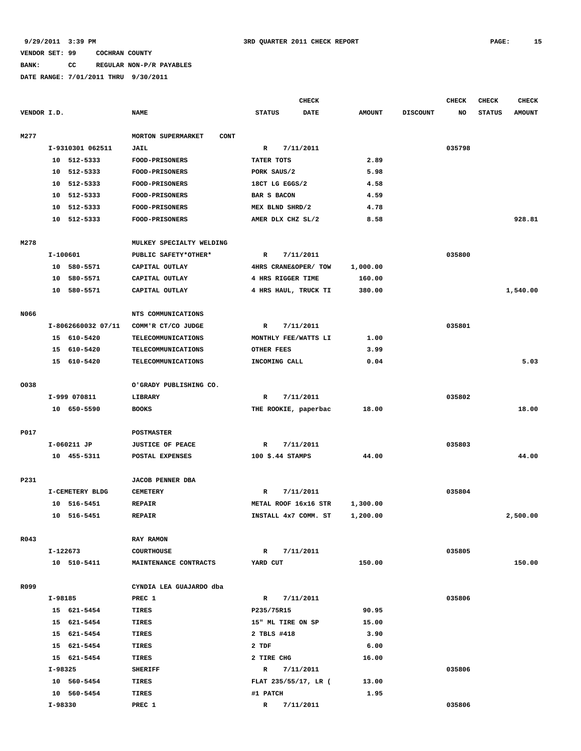## **BANK: CC REGULAR NON-P/R PAYABLES**

|             |                    |                                          | CHECK                        |                      |                 | <b>CHECK</b> | CHECK         | <b>CHECK</b>  |
|-------------|--------------------|------------------------------------------|------------------------------|----------------------|-----------------|--------------|---------------|---------------|
| VENDOR I.D. |                    | <b>NAME</b>                              | <b>STATUS</b><br><b>DATE</b> | <b>AMOUNT</b>        | <b>DISCOUNT</b> | NO           | <b>STATUS</b> | <b>AMOUNT</b> |
| M277        |                    | <b>MORTON SUPERMARKET</b><br><b>CONT</b> |                              |                      |                 |              |               |               |
|             | I-9310301 062511   | <b>JAIL</b>                              | R<br>7/11/2011               |                      |                 | 035798       |               |               |
|             | 10 512-5333        | <b>FOOD-PRISONERS</b>                    | TATER TOTS                   | 2.89                 |                 |              |               |               |
|             | 10 512-5333        | FOOD-PRISONERS                           | PORK SAUS/2                  | 5.98                 |                 |              |               |               |
|             | 512-5333<br>10     | <b>FOOD-PRISONERS</b>                    | 18CT LG EGGS/2               | 4.58                 |                 |              |               |               |
|             | 512-5333<br>10     | <b>FOOD-PRISONERS</b>                    | <b>BAR S BACON</b>           | 4.59                 |                 |              |               |               |
|             | 10<br>512-5333     | FOOD-PRISONERS                           | MEX BLND SHRD/2              | 4.78                 |                 |              |               |               |
|             | 512-5333<br>10     | <b>FOOD-PRISONERS</b>                    | AMER DLX CHZ SL/2            | 8.58                 |                 |              |               | 928.81        |
| M278        |                    | MULKEY SPECIALTY WELDING                 |                              |                      |                 |              |               |               |
|             | I-100601           | PUBLIC SAFETY*OTHER*                     | 7/11/2011<br>R               |                      |                 | 035800       |               |               |
|             | 10 580-5571        | CAPITAL OUTLAY                           | 4HRS CRANE&OPER/ TOW         | 1,000.00             |                 |              |               |               |
|             | 10 580-5571        | CAPITAL OUTLAY                           | 4 HRS RIGGER TIME            | 160.00               |                 |              |               |               |
|             | 580-5571<br>10     | CAPITAL OUTLAY                           | 4 HRS HAUL, TRUCK TI         | 380.00               |                 |              |               | 1,540.00      |
|             |                    |                                          |                              |                      |                 |              |               |               |
| N066        |                    | NTS COMMUNICATIONS                       |                              |                      |                 |              |               |               |
|             | I-8062660032 07/11 | COMM'R CT/CO JUDGE                       | 7/11/2011<br>R               |                      |                 | 035801       |               |               |
|             | 15 610-5420        | <b>TELECOMMUNICATIONS</b>                | MONTHLY FEE/WATTS LI         | 1.00                 |                 |              |               |               |
|             | 15 610-5420        | TELECOMMUNICATIONS                       | OTHER FEES                   | 3.99                 |                 |              |               |               |
|             | 610-5420<br>15     | TELECOMMUNICATIONS                       | INCOMING CALL                | 0.04                 |                 |              |               | 5.03          |
| 0038        |                    | O'GRADY PUBLISHING CO.                   |                              |                      |                 |              |               |               |
|             | I-999 070811       | LIBRARY                                  | R<br>7/11/2011               |                      |                 | 035802       |               |               |
|             | 10 650-5590        | <b>BOOKS</b>                             | THE ROOKIE, paperbac         | 18.00                |                 |              |               | 18.00         |
|             |                    |                                          |                              |                      |                 |              |               |               |
| P017        |                    | <b>POSTMASTER</b>                        |                              |                      |                 |              |               |               |
|             | I-060211 JP        | <b>JUSTICE OF PEACE</b>                  | R<br>7/11/2011               |                      |                 | 035803       |               |               |
|             | 10 455-5311        | POSTAL EXPENSES                          | $100$ \$.44 STAMPS           | 44.00                |                 |              |               | 44.00         |
| P231        |                    | <b>JACOB PENNER DBA</b>                  |                              |                      |                 |              |               |               |
|             | I-CEMETERY BLDG    | <b>CEMETERY</b>                          | 7/11/2011<br>R               |                      |                 | 035804       |               |               |
|             | 516-5451<br>10     | <b>REPAIR</b>                            | METAL ROOF 16x16 STR         |                      |                 |              |               |               |
|             | 10 516-5451        | <b>REPAIR</b>                            | INSTALL 4x7 COMM. ST         | 1,300.00<br>1,200.00 |                 |              |               | 2,500.00      |
|             |                    |                                          |                              |                      |                 |              |               |               |
| R043        |                    | RAY RAMON                                |                              |                      |                 |              |               |               |
|             | I-122673           | <b>COURTHOUSE</b>                        | $\mathbb{R}$<br>7/11/2011    |                      |                 | 035805       |               |               |
|             | 10 510-5411        | MAINTENANCE CONTRACTS                    | YARD CUT                     | 150.00               |                 |              |               | 150.00        |
| R099        |                    | CYNDIA LEA GUAJARDO dba                  |                              |                      |                 |              |               |               |
|             | I-98185            | PREC 1                                   | $\mathbf R$<br>7/11/2011     |                      |                 | 035806       |               |               |
|             | 15 621-5454        | TIRES                                    | P235/75R15                   | 90.95                |                 |              |               |               |
|             | 15 621-5454        | TIRES                                    | 15" ML TIRE ON SP            | 15.00                |                 |              |               |               |
|             | 15 621-5454        | TIRES                                    | 2 TBLS #418                  | 3.90                 |                 |              |               |               |
|             | 15 621-5454        | TIRES                                    | 2 TDF                        | 6.00                 |                 |              |               |               |
|             | 15 621-5454        | TIRES                                    | 2 TIRE CHG                   | 16.00                |                 |              |               |               |
|             | I-98325            | <b>SHERIFF</b>                           | $\mathbb{R}$<br>7/11/2011    |                      |                 | 035806       |               |               |
|             | 10 560-5454        | TIRES                                    | FLAT 235/55/17, LR (         | 13.00                |                 |              |               |               |
|             | 10 560-5454        | TIRES                                    | #1 PATCH                     | 1.95                 |                 |              |               |               |
|             | I-98330            | PREC 1                                   | $\mathbb{R}$<br>7/11/2011    |                      |                 | 035806       |               |               |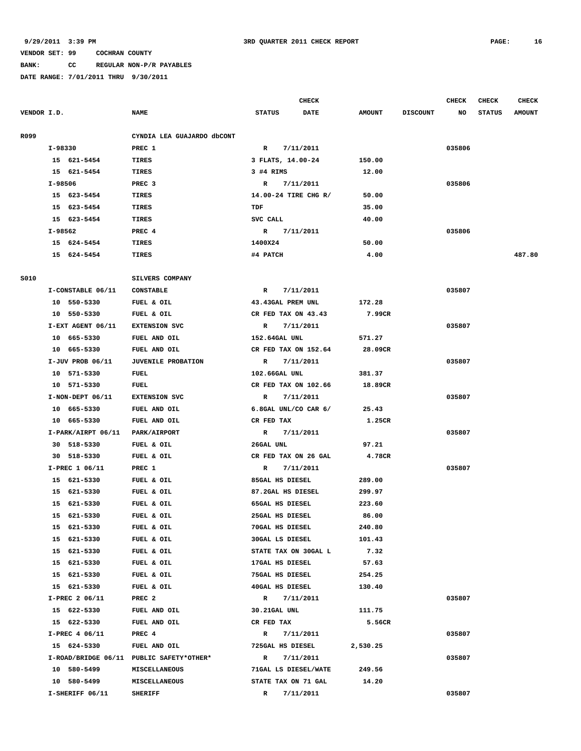**BANK: CC REGULAR NON-P/R PAYABLES**

|             |                    |                                          |                      | <b>CHECK</b> |               |                 | <b>CHECK</b> | <b>CHECK</b>  | CHECK         |
|-------------|--------------------|------------------------------------------|----------------------|--------------|---------------|-----------------|--------------|---------------|---------------|
| VENDOR I.D. |                    | <b>NAME</b>                              | <b>STATUS</b>        | <b>DATE</b>  | <b>AMOUNT</b> | <b>DISCOUNT</b> | NO           | <b>STATUS</b> | <b>AMOUNT</b> |
| R099        |                    | CYNDIA LEA GUAJARDO dbCONT               |                      |              |               |                 |              |               |               |
|             | I-98330            | PREC 1                                   | R                    | 7/11/2011    |               |                 | 035806       |               |               |
|             | 15 621-5454        | TIRES                                    | 3 FLATS, 14.00-24    |              | 150.00        |                 |              |               |               |
|             | 15 621-5454        | TIRES                                    | 3 #4 RIMS            |              | 12.00         |                 |              |               |               |
|             | I-98506            | PREC <sub>3</sub>                        | R                    | 7/11/2011    |               |                 | 035806       |               |               |
|             | 15 623-5454        | <b>TIRES</b>                             | 14.00-24 TIRE CHG R/ |              | 50.00         |                 |              |               |               |
|             | 15 623-5454        | TIRES                                    | TDF                  |              | 35.00         |                 |              |               |               |
|             | 15 623-5454        | <b>TIRES</b>                             | SVC CALL             |              | 40.00         |                 |              |               |               |
|             | I-98562            | PREC <sub>4</sub>                        | $\mathbf R$          | 7/11/2011    |               |                 | 035806       |               |               |
|             | 15 624-5454        | TIRES                                    | 1400X24              |              | 50.00         |                 |              |               |               |
|             | 15 624-5454        | TIRES                                    | #4 PATCH             |              | 4.00          |                 |              |               | 487.80        |
| S010        |                    | SILVERS COMPANY                          |                      |              |               |                 |              |               |               |
|             | I-CONSTABLE 06/11  | <b>CONSTABLE</b>                         | R                    | 7/11/2011    |               |                 | 035807       |               |               |
|             | 10 550-5330        | FUEL & OIL                               | 43.43GAL PREM UNL    |              | 172.28        |                 |              |               |               |
|             | 10 550-5330        | FUEL & OIL                               | CR FED TAX ON 43.43  |              | 7.99CR        |                 |              |               |               |
|             | I-EXT AGENT 06/11  | <b>EXTENSION SVC</b>                     | $\mathbf{R}$         | 7/11/2011    |               |                 | 035807       |               |               |
|             | 10 665-5330        | FUEL AND OIL                             | 152.64GAL UNL        |              | 571.27        |                 |              |               |               |
|             | 10 665-5330        | FUEL AND OIL                             | CR FED TAX ON 152.64 |              | 28.09CR       |                 |              |               |               |
|             | $I-JUV$ PROB 06/11 | JUVENILE PROBATION                       | R                    | 7/11/2011    |               |                 | 035807       |               |               |
|             | 10 571-5330        | FUEL                                     | 102.66GAL UNL        |              | 381.37        |                 |              |               |               |
|             | 10 571-5330        | FUEL                                     | CR FED TAX ON 102.66 |              | 18.89CR       |                 |              |               |               |
|             | I-NON-DEPT 06/11   | <b>EXTENSION SVC</b>                     | R                    | 7/11/2011    |               |                 | 035807       |               |               |
|             | 10 665-5330        | FUEL AND OIL                             | 6.8GAL UNL/CO CAR 6/ |              | 25.43         |                 |              |               |               |
|             | 10 665-5330        | FUEL AND OIL                             | CR FED TAX           |              | 1.25CR        |                 |              |               |               |
|             | I-PARK/AIRPT 06/11 | PARK/AIRPORT                             | R                    | 7/11/2011    |               |                 | 035807       |               |               |
|             | 30 518-5330        | FUEL & OIL                               | 26GAL UNL            |              | 97.21         |                 |              |               |               |
|             | 30 518-5330        | FUEL & OIL                               | CR FED TAX ON 26 GAL |              | 4.78CR        |                 |              |               |               |
|             | I-PREC 1 06/11     | PREC 1                                   | R                    | 7/11/2011    |               |                 | 035807       |               |               |
|             | 15 621-5330        | FUEL & OIL                               | 85GAL HS DIESEL      |              | 289.00        |                 |              |               |               |
|             | 15 621-5330        | FUEL & OIL                               | 87.2GAL HS DIESEL    |              | 299.97        |                 |              |               |               |
|             | 15<br>621-5330     | FUEL & OIL                               | 65GAL HS DIESEL      |              | 223.60        |                 |              |               |               |
|             | 15 621-5330        | FUEL & OIL                               | 25GAL HS DIESEL      |              | 86.00         |                 |              |               |               |
|             | 621-5330           | FUEL & OIL                               | 70GAL HS DIESEL      |              | 240.80        |                 |              |               |               |
|             | 15<br>15 621-5330  | FUEL & OIL                               | 30GAL LS DIESEL      |              | 101.43        |                 |              |               |               |
|             | 15 621-5330        | FUEL & OIL                               | STATE TAX ON 30GAL L |              | 7.32          |                 |              |               |               |
|             | 15 621-5330        | FUEL & OIL                               | 17GAL HS DIESEL      |              | 57.63         |                 |              |               |               |
|             | 15 621-5330        | FUEL & OIL                               | 75GAL HS DIESEL      |              | 254.25        |                 |              |               |               |
|             | 15 621-5330        | FUEL & OIL                               | 40GAL HS DIESEL      |              | 130.40        |                 |              |               |               |
|             | I-PREC 2 06/11     | PREC <sub>2</sub>                        | $\mathbb{R}$         | 7/11/2011    |               |                 | 035807       |               |               |
|             | 15 622-5330        |                                          | 30.21GAL UNL         |              | 111.75        |                 |              |               |               |
|             | 15 622-5330        | FUEL AND OIL<br>FUEL AND OIL             | CR FED TAX           |              | 5.56CR        |                 |              |               |               |
|             | I-PREC 4 06/11     | PREC 4                                   | $\mathbb{R}$         | 7/11/2011    |               |                 | 035807       |               |               |
|             | 15 624-5330        | FUEL AND OIL                             | 725GAL HS DIESEL     |              | 2,530.25      |                 |              |               |               |
|             |                    | I-ROAD/BRIDGE 06/11 PUBLIC SAFETY*OTHER* | $\mathbb{R}$         | 7/11/2011    |               |                 | 035807       |               |               |
|             | 10 580-5499        |                                          | 71GAL LS DIESEL/WATE |              | 249.56        |                 |              |               |               |
|             |                    | MISCELLANEOUS                            |                      |              |               |                 |              |               |               |
|             | 10 580-5499        | MISCELLANEOUS                            | STATE TAX ON 71 GAL  |              | 14.20         |                 |              |               |               |
|             | I-SHERIFF 06/11    | <b>SHERIFF</b>                           | R                    | 7/11/2011    |               |                 | 035807       |               |               |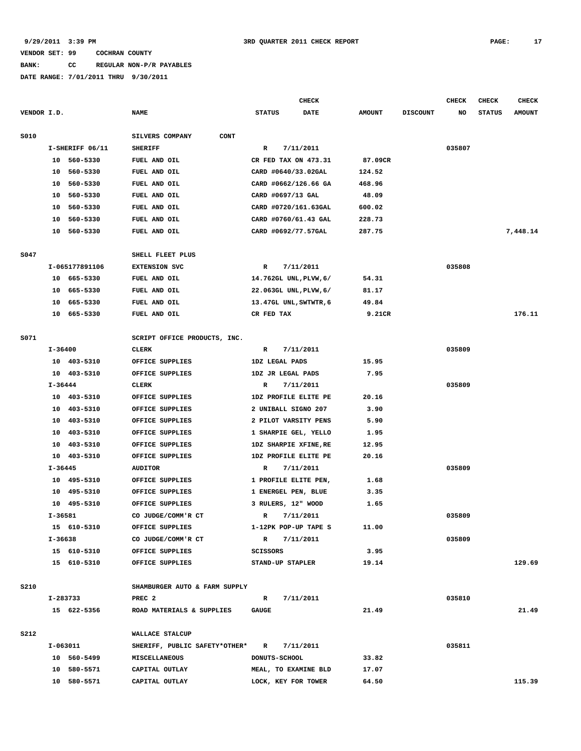# **BANK: CC REGULAR NON-P/R PAYABLES**

|             |         |                 |                               |                        | <b>CHECK</b> |               |                 | <b>CHECK</b> | CHECK         | <b>CHECK</b>  |
|-------------|---------|-----------------|-------------------------------|------------------------|--------------|---------------|-----------------|--------------|---------------|---------------|
| VENDOR I.D. |         |                 | <b>NAME</b>                   | <b>STATUS</b>          | DATE         | <b>AMOUNT</b> | <b>DISCOUNT</b> | NO           | <b>STATUS</b> | <b>AMOUNT</b> |
| S010        |         |                 | CONT<br>SILVERS COMPANY       |                        |              |               |                 |              |               |               |
|             |         | I-SHERIFF 06/11 | <b>SHERIFF</b>                | R                      | 7/11/2011    |               |                 | 035807       |               |               |
|             |         | 10 560-5330     | FUEL AND OIL                  | CR FED TAX ON 473.31   |              | 87.09CR       |                 |              |               |               |
|             |         | 10 560-5330     | FUEL AND OIL                  | CARD #0640/33.02GAL    |              | 124.52        |                 |              |               |               |
|             | 10      | 560-5330        | FUEL AND OIL                  | CARD #0662/126.66 GA   |              | 468.96        |                 |              |               |               |
|             | 10      | 560-5330        | FUEL AND OIL                  | CARD #0697/13 GAL      |              | 48.09         |                 |              |               |               |
|             | 10      | 560-5330        | FUEL AND OIL                  | CARD #0720/161.63GAL   |              | 600.02        |                 |              |               |               |
|             | 10      | 560-5330        | FUEL AND OIL                  | CARD #0760/61.43 GAL   |              | 228.73        |                 |              |               |               |
|             | 10      | 560-5330        | FUEL AND OIL                  | CARD #0692/77.57GAL    |              | 287.75        |                 |              |               | 7,448.14      |
|             |         |                 |                               |                        |              |               |                 |              |               |               |
| S047        |         |                 | SHELL FLEET PLUS              |                        |              |               |                 |              |               |               |
|             |         | I-065177891106  | <b>EXTENSION SVC</b>          | R                      | 7/11/2011    |               |                 | 035808       |               |               |
|             |         | 10 665-5330     | FUEL AND OIL                  | 14.762GL UNL, PLVW, 6/ |              | 54.31         |                 |              |               |               |
|             |         | 10 665-5330     | FUEL AND OIL                  | 22.063GL UNL, PLVW, 6/ |              | 81.17         |                 |              |               |               |
|             | 10      | 665-5330        | FUEL AND OIL                  | 13.47GL UNL, SWTWTR, 6 |              | 49.84         |                 |              |               |               |
|             |         | 10 665-5330     | FUEL AND OIL                  | CR FED TAX             |              | 9.21CR        |                 |              |               | 176.11        |
| S071        |         |                 | SCRIPT OFFICE PRODUCTS, INC.  |                        |              |               |                 |              |               |               |
|             | I-36400 |                 | CLERK                         | R                      | 7/11/2011    |               |                 | 035809       |               |               |
|             |         | 10 403-5310     | OFFICE SUPPLIES               | 1DZ LEGAL PADS         |              | 15.95         |                 |              |               |               |
|             | 10      | 403-5310        | OFFICE SUPPLIES               | 1DZ JR LEGAL PADS      |              | 7.95          |                 |              |               |               |
|             | I-36444 |                 | <b>CLERK</b>                  | R                      | 7/11/2011    |               |                 | 035809       |               |               |
|             |         | 10 403-5310     | OFFICE SUPPLIES               | 1DZ PROFILE ELITE PE   |              | 20.16         |                 |              |               |               |
|             |         | 10 403-5310     | OFFICE SUPPLIES               | 2 UNIBALL SIGNO 207    |              | 3.90          |                 |              |               |               |
|             |         | 10 403-5310     | OFFICE SUPPLIES               | 2 PILOT VARSITY PENS   |              | 5.90          |                 |              |               |               |
|             | 10      | 403-5310        | OFFICE SUPPLIES               | 1 SHARPIE GEL, YELLO   |              | 1.95          |                 |              |               |               |
|             | 10      | 403-5310        | OFFICE SUPPLIES               | 1DZ SHARPIE XFINE, RE  |              | 12.95         |                 |              |               |               |
|             | 10      | 403-5310        | OFFICE SUPPLIES               | 1DZ PROFILE ELITE PE   |              | 20.16         |                 |              |               |               |
|             | I-36445 |                 | <b>AUDITOR</b>                | R                      | 7/11/2011    |               |                 | 035809       |               |               |
|             |         | 10 495-5310     | OFFICE SUPPLIES               | 1 PROFILE ELITE PEN,   |              | 1.68          |                 |              |               |               |
|             | 10      | 495-5310        | OFFICE SUPPLIES               | 1 ENERGEL PEN, BLUE    |              | 3.35          |                 |              |               |               |
|             | 10      | 495-5310        | OFFICE SUPPLIES               | 3 RULERS, 12" WOOD     |              | 1.65          |                 |              |               |               |
|             | I-36581 |                 | CO JUDGE/COMM'R CT            | $\mathbb{R}$           | 7/11/2011    |               |                 | 035809       |               |               |
|             |         | 15 610-5310     | OFFICE SUPPLIES               | 1-12PK POP-UP TAPE S   |              | 11.00         |                 |              |               |               |
|             | I-36638 |                 | CO JUDGE/COMM'R CT            | $\mathbb{R}$           | 7/11/2011    |               |                 | 035809       |               |               |
|             |         | 15 610-5310     | OFFICE SUPPLIES               | <b>SCISSORS</b>        |              | 3.95          |                 |              |               |               |
|             |         | 15 610-5310     | OFFICE SUPPLIES               | STAND-UP STAPLER       |              | 19.14         |                 |              |               | 129.69        |
|             |         |                 |                               |                        |              |               |                 |              |               |               |
| S210        |         |                 | SHAMBURGER AUTO & FARM SUPPLY |                        |              |               |                 |              |               |               |
|             |         | I-283733        | PREC <sub>2</sub>             | $\mathbb{R}$           | 7/11/2011    |               |                 | 035810       |               |               |
|             |         | 15 622-5356     | ROAD MATERIALS & SUPPLIES     | <b>GAUGE</b>           |              | 21.49         |                 |              |               | 21.49         |
| S212        |         |                 | WALLACE STALCUP               |                        |              |               |                 |              |               |               |
|             |         | I-063011        | SHERIFF, PUBLIC SAFETY*OTHER* | R                      | 7/11/2011    |               |                 | 035811       |               |               |
|             |         | 10 560-5499     | <b>MISCELLANEOUS</b>          | DONUTS-SCHOOL          |              | 33.82         |                 |              |               |               |
|             |         | 10 580-5571     | CAPITAL OUTLAY                | MEAL, TO EXAMINE BLD   |              | 17.07         |                 |              |               |               |
|             |         | 10 580-5571     | CAPITAL OUTLAY                | LOCK, KEY FOR TOWER    |              | 64.50         |                 |              |               | 115.39        |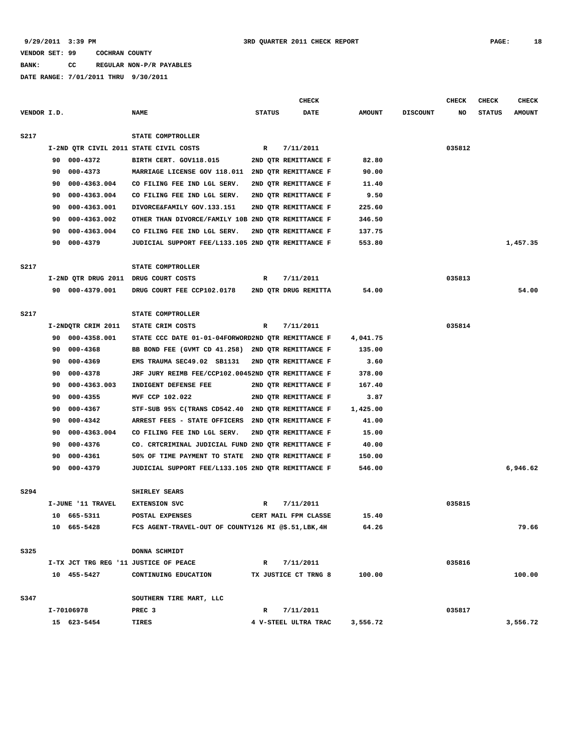**BANK: CC REGULAR NON-P/R PAYABLES**

|             |     |                    |                                                      |               | <b>CHECK</b>         |               |                 | <b>CHECK</b> | <b>CHECK</b>  | <b>CHECK</b>  |
|-------------|-----|--------------------|------------------------------------------------------|---------------|----------------------|---------------|-----------------|--------------|---------------|---------------|
| VENDOR I.D. |     |                    | <b>NAME</b>                                          | <b>STATUS</b> | <b>DATE</b>          | <b>AMOUNT</b> | <b>DISCOUNT</b> | NO           | <b>STATUS</b> | <b>AMOUNT</b> |
| <b>S217</b> |     |                    | STATE COMPTROLLER                                    |               |                      |               |                 |              |               |               |
|             |     |                    | I-2ND OTR CIVIL 2011 STATE CIVIL COSTS               | R             | 7/11/2011            |               |                 | 035812       |               |               |
|             | 90  | 000-4372           | BIRTH CERT. GOV118.015                               |               | 2ND QTR REMITTANCE F | 82.80         |                 |              |               |               |
|             | 90  | 000-4373           | MARRIAGE LICENSE GOV 118.011                         |               | 2ND QTR REMITTANCE F | 90.00         |                 |              |               |               |
|             | 90  | 000-4363.004       | CO FILING FEE IND LGL SERV.                          |               | 2ND QTR REMITTANCE F | 11.40         |                 |              |               |               |
|             | 90  | 000-4363.004       | CO FILING FEE IND LGL SERV.                          |               | 2ND QTR REMITTANCE F | 9.50          |                 |              |               |               |
|             | 90  | 000-4363.001       | DIVORCE&FAMILY GOV.133.151                           |               | 2ND QTR REMITTANCE F | 225.60        |                 |              |               |               |
|             | 90  | 000-4363.002       | OTHER THAN DIVORCE/FAMILY 10B 2ND QTR REMITTANCE F   |               |                      | 346.50        |                 |              |               |               |
|             | 90  | 000-4363.004       | CO FILING FEE IND LGL SERV.                          |               | 2ND OTR REMITTANCE F | 137.75        |                 |              |               |               |
|             | 90  | 000-4379           | JUDICIAL SUPPORT FEE/L133.105 2ND QTR REMITTANCE F   |               |                      | 553.80        |                 |              |               | 1,457.35      |
|             |     |                    |                                                      |               |                      |               |                 |              |               |               |
| S217        |     |                    | STATE COMPTROLLER                                    |               |                      |               |                 |              |               |               |
|             |     |                    | I-2ND QTR DRUG 2011 DRUG COURT COSTS                 | R             | 7/11/2011            |               |                 | 035813       |               |               |
|             | 90. | 000-4379.001       | DRUG COURT FEE CCP102.0178                           |               | 2ND OTR DRUG REMITTA | 54.00         |                 |              |               | 54.00         |
| <b>S217</b> |     |                    | STATE COMPTROLLER                                    |               |                      |               |                 |              |               |               |
|             |     | I-2NDQTR CRIM 2011 | STATE CRIM COSTS                                     | R             | 7/11/2011            |               |                 | 035814       |               |               |
|             | 90  | 000-4358.001       | STATE CCC DATE 01-01-04FORWORD2ND QTR REMITTANCE F   |               |                      | 4,041.75      |                 |              |               |               |
|             | 90  | 000-4368           | BB BOND FEE (GVMT CD 41.258)                         |               | 2ND QTR REMITTANCE F | 135.00        |                 |              |               |               |
|             | 90  | 000-4369           | EMS TRAUMA SEC49.02 SB1131                           |               | 2ND OTR REMITTANCE F | 3.60          |                 |              |               |               |
|             | 90  | 000-4378           | JRF JURY REIMB FEE/CCP102.00452ND QTR REMITTANCE F   |               |                      | 378.00        |                 |              |               |               |
|             | 90  | 000-4363.003       | INDIGENT DEFENSE FEE                                 |               | 2ND QTR REMITTANCE F | 167.40        |                 |              |               |               |
|             | 90  | $000 - 4355$       | MVF CCP 102.022                                      |               | 2ND QTR REMITTANCE F | 3.87          |                 |              |               |               |
|             | 90  | 000-4367           | STF-SUB 95% C(TRANS CD542.40                         |               | 2ND QTR REMITTANCE F | 1,425.00      |                 |              |               |               |
|             | 90  | 000-4342           | ARREST FEES - STATE OFFICERS                         |               | 2ND QTR REMITTANCE F | 41.00         |                 |              |               |               |
|             | 90  | 000-4363.004       | CO FILING FEE IND LGL SERV.                          |               | 2ND OTR REMITTANCE F | 15.00         |                 |              |               |               |
|             | 90  | 000-4376           | CO. CRTCRIMINAL JUDICIAL FUND 2ND QTR REMITTANCE F   |               |                      | 40.00         |                 |              |               |               |
|             | 90  | 000-4361           | 50% OF TIME PAYMENT TO STATE                         |               | 2ND QTR REMITTANCE F | 150.00        |                 |              |               |               |
|             | 90  | 000-4379           | JUDICIAL SUPPORT FEE/L133.105 2ND QTR REMITTANCE F   |               |                      | 546.00        |                 |              |               | 6,946.62      |
| S294        |     |                    | SHIRLEY SEARS                                        |               |                      |               |                 |              |               |               |
|             |     | I-JUNE '11 TRAVEL  | <b>EXTENSION SVC</b>                                 | R             | 7/11/2011            |               |                 | 035815       |               |               |
|             |     | 10 665-5311        | POSTAL EXPENSES                                      |               | CERT MAIL FPM CLASSE | 15.40         |                 |              |               |               |
|             |     | 10 665-5428        | FCS AGENT-TRAVEL-OUT OF COUNTY126 MI @\$.51, LBK, 4H |               |                      | 64.26         |                 |              |               | 79.66         |
|             |     |                    |                                                      |               |                      |               |                 |              |               |               |
| S325        |     |                    | DONNA SCHMIDT                                        |               |                      |               |                 |              |               |               |
|             |     |                    | I-TX JCT TRG REG '11 JUSTICE OF PEACE                | $\mathbb{R}$  | 7/11/2011            |               |                 | 035816       |               |               |
|             |     | 10 455-5427        | CONTINUING EDUCATION                                 |               | TX JUSTICE CT TRNG 8 | 100.00        |                 |              |               | 100.00        |
| S347        |     |                    | SOUTHERN TIRE MART, LLC                              |               |                      |               |                 |              |               |               |
|             |     | I-70106978         | PREC <sub>3</sub>                                    | R             | 7/11/2011            |               |                 | 035817       |               |               |
|             |     | 15 623-5454        | TIRES                                                |               | 4 V-STEEL ULTRA TRAC | 3,556.72      |                 |              |               | 3,556.72      |
|             |     |                    |                                                      |               |                      |               |                 |              |               |               |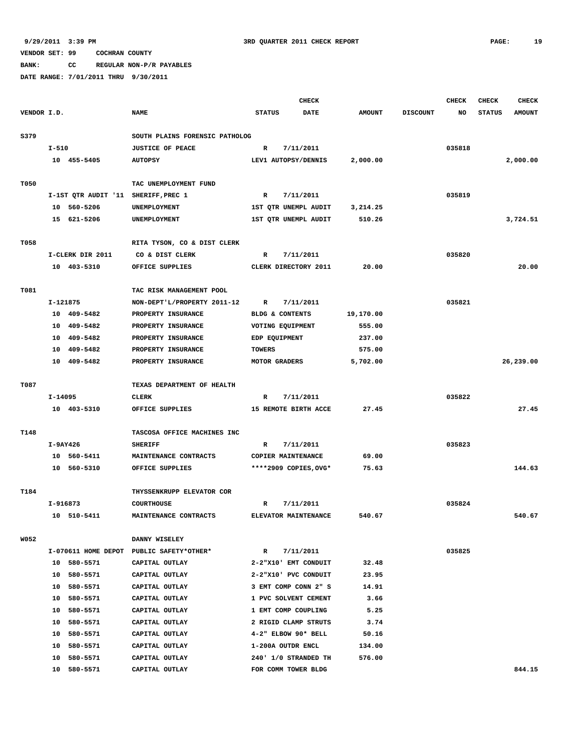**BANK: CC REGULAR NON-P/R PAYABLES**

|             |          |                                     |                                          | <b>CHECK</b>  |                                   |               |                 | <b>CHECK</b> | <b>CHECK</b>  | <b>CHECK</b>  |
|-------------|----------|-------------------------------------|------------------------------------------|---------------|-----------------------------------|---------------|-----------------|--------------|---------------|---------------|
| VENDOR I.D. |          |                                     | <b>NAME</b>                              | <b>STATUS</b> | <b>DATE</b>                       | <b>AMOUNT</b> | <b>DISCOUNT</b> | NO           | <b>STATUS</b> | <b>AMOUNT</b> |
|             |          |                                     |                                          |               |                                   |               |                 |              |               |               |
| S379        |          |                                     | SOUTH PLAINS FORENSIC PATHOLOG           |               |                                   |               |                 |              |               |               |
|             | $I-510$  |                                     | <b>JUSTICE OF PEACE</b>                  | R             | 7/11/2011                         |               |                 | 035818       |               |               |
|             |          | 10 455-5405                         | <b>AUTOPSY</b>                           |               | LEV1 AUTOPSY/DENNIS               | 2,000.00      |                 |              |               | 2,000.00      |
|             |          |                                     |                                          |               |                                   |               |                 |              |               |               |
| T050        |          |                                     | TAC UNEMPLOYMENT FUND                    |               |                                   |               |                 |              |               |               |
|             |          | I-1ST QTR AUDIT '11 SHERIFF, PREC 1 |                                          | R             | 7/11/2011                         |               |                 | 035819       |               |               |
|             |          | 10 560-5206                         | UNEMPLOYMENT                             |               | 1ST QTR UNEMPL AUDIT              | 3,214.25      |                 |              |               |               |
|             |          | 15 621-5206                         | UNEMPLOYMENT                             |               | 1ST QTR UNEMPL AUDIT              | 510.26        |                 |              |               | 3,724.51      |
|             |          |                                     |                                          |               |                                   |               |                 |              |               |               |
| T058        |          |                                     | RITA TYSON, CO & DIST CLERK              |               |                                   |               |                 |              |               |               |
|             |          | I-CLERK DIR 2011                    | CO & DIST CLERK                          | R             | 7/11/2011                         |               |                 | 035820       |               |               |
|             |          | 10 403-5310                         | OFFICE SUPPLIES                          |               | CLERK DIRECTORY 2011              | 20.00         |                 |              |               | 20.00         |
|             |          |                                     |                                          |               |                                   |               |                 |              |               |               |
| T081        |          |                                     | TAC RISK MANAGEMENT POOL                 |               |                                   |               |                 |              |               |               |
|             | I-121875 |                                     | NON-DEPT'L/PROPERTY 2011-12              | R             | 7/11/2011                         |               |                 | 035821       |               |               |
|             |          | 10 409-5482                         | PROPERTY INSURANCE                       |               | BLDG & CONTENTS                   | 19,170.00     |                 |              |               |               |
|             |          | 10 409-5482                         | PROPERTY INSURANCE                       |               | VOTING EQUIPMENT                  | 555.00        |                 |              |               |               |
|             |          | 10 409-5482                         | PROPERTY INSURANCE                       | EDP EQUIPMENT |                                   | 237.00        |                 |              |               |               |
|             |          | 10 409-5482                         | PROPERTY INSURANCE                       | <b>TOWERS</b> |                                   | 575.00        |                 |              |               |               |
|             |          | 10 409-5482                         | PROPERTY INSURANCE                       | MOTOR GRADERS |                                   | 5,702.00      |                 |              |               | 26,239.00     |
|             |          |                                     |                                          |               |                                   |               |                 |              |               |               |
| T087        |          |                                     | TEXAS DEPARTMENT OF HEALTH               |               |                                   |               |                 | 035822       |               |               |
|             | I-14095  | 10 403-5310                         | <b>CLERK</b><br>OFFICE SUPPLIES          | R             | 7/11/2011<br>15 REMOTE BIRTH ACCE | 27.45         |                 |              |               | 27.45         |
|             |          |                                     |                                          |               |                                   |               |                 |              |               |               |
| T148        |          |                                     | TASCOSA OFFICE MACHINES INC              |               |                                   |               |                 |              |               |               |
|             | I-9AY426 |                                     | <b>SHERIFF</b>                           | R             | 7/11/2011                         |               |                 | 035823       |               |               |
|             |          | 10 560-5411                         | MAINTENANCE CONTRACTS                    |               | COPIER MAINTENANCE                | 69.00         |                 |              |               |               |
|             |          | 10 560-5310                         | OFFICE SUPPLIES                          |               | ****2909 COPIES, OVG*             | 75.63         |                 |              |               | 144.63        |
|             |          |                                     |                                          |               |                                   |               |                 |              |               |               |
| T184        |          |                                     | THYSSENKRUPP ELEVATOR COR                |               |                                   |               |                 |              |               |               |
|             | I-916873 |                                     | <b>COURTHOUSE</b>                        | R             | 7/11/2011                         |               |                 | 035824       |               |               |
|             |          | 10 510-5411                         | MAINTENANCE CONTRACTS                    |               | ELEVATOR MAINTENANCE              | 540.67        |                 |              |               | 540.67        |
|             |          |                                     |                                          |               |                                   |               |                 |              |               |               |
| <b>W052</b> |          |                                     | DANNY WISELEY                            |               |                                   |               |                 |              |               |               |
|             |          |                                     | I-070611 HOME DEPOT PUBLIC SAFETY*OTHER* | $\mathbb{R}$  | 7/11/2011                         |               |                 | 035825       |               |               |
|             |          | 10 580-5571                         | CAPITAL OUTLAY                           |               | 2-2"X10' EMT CONDUIT              | 32.48         |                 |              |               |               |
|             |          | 10 580-5571                         | CAPITAL OUTLAY                           |               | 2-2"X10' PVC CONDUIT              | 23.95         |                 |              |               |               |
|             |          | 10 580-5571                         | CAPITAL OUTLAY                           |               | 3 EMT COMP CONN 2" S              | 14.91         |                 |              |               |               |
|             |          | 10 580-5571                         | CAPITAL OUTLAY                           |               | 1 PVC SOLVENT CEMENT              | 3.66          |                 |              |               |               |
|             |          | 10 580-5571                         | CAPITAL OUTLAY                           |               | 1 EMT COMP COUPLING               | 5.25          |                 |              |               |               |
|             | 10       | 580-5571                            | CAPITAL OUTLAY                           |               | 2 RIGID CLAMP STRUTS              | 3.74          |                 |              |               |               |
|             | 10       | 580-5571                            | CAPITAL OUTLAY                           |               | 4-2" ELBOW 90* BELL               | 50.16         |                 |              |               |               |
|             | 10       | 580-5571                            | CAPITAL OUTLAY                           |               | 1-200A OUTDR ENCL                 | 134.00        |                 |              |               |               |
|             | 10       | 580-5571                            | CAPITAL OUTLAY                           |               | 240' 1/0 STRANDED TH              | 576.00        |                 |              |               |               |
|             |          | 10 580-5571                         | CAPITAL OUTLAY                           |               | FOR COMM TOWER BLDG               |               |                 |              |               | 844.15        |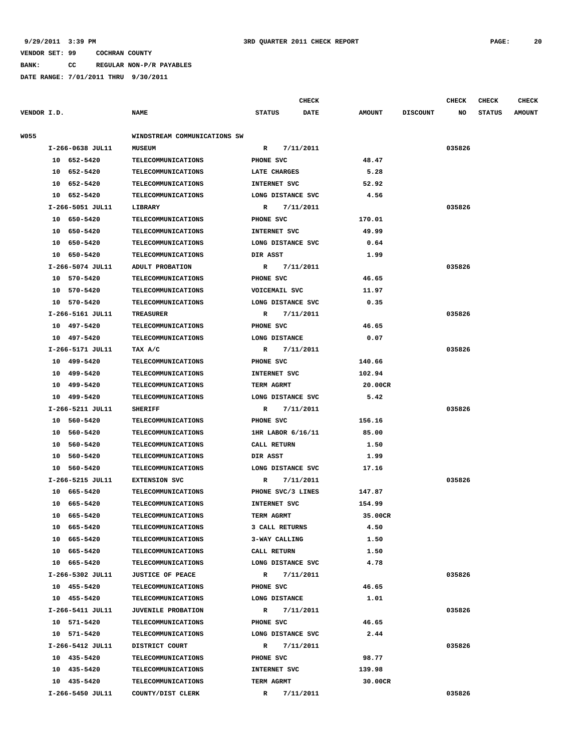**BANK: CC REGULAR NON-P/R PAYABLES**

|             |                  |                              |                   | <b>CHECK</b> |               |                 | <b>CHECK</b> | <b>CHECK</b>  | <b>CHECK</b>  |
|-------------|------------------|------------------------------|-------------------|--------------|---------------|-----------------|--------------|---------------|---------------|
| VENDOR I.D. |                  | <b>NAME</b>                  | <b>STATUS</b>     | DATE         | <b>AMOUNT</b> | <b>DISCOUNT</b> | NO           | <b>STATUS</b> | <b>AMOUNT</b> |
| <b>W055</b> |                  | WINDSTREAM COMMUNICATIONS SW |                   |              |               |                 |              |               |               |
|             | I-266-0638 JUL11 | <b>MUSEUM</b>                | R                 | 7/11/2011    |               |                 | 035826       |               |               |
|             | 10 652-5420      | <b>TELECOMMUNICATIONS</b>    | PHONE SVC         |              | 48.47         |                 |              |               |               |
|             | 10 652-5420      | TELECOMMUNICATIONS           | LATE CHARGES      |              | 5.28          |                 |              |               |               |
|             | 10<br>652–5420   | <b>TELECOMMUNICATIONS</b>    | INTERNET SVC      |              | 52.92         |                 |              |               |               |
|             | 10 652-5420      | <b>TELECOMMUNICATIONS</b>    | LONG DISTANCE SVC |              | 4.56          |                 |              |               |               |
|             | I-266-5051 JUL11 | <b>LIBRARY</b>               | R                 | 7/11/2011    |               |                 | 035826       |               |               |
|             | 10 650-5420      | <b>TELECOMMUNICATIONS</b>    | PHONE SVC         |              | 170.01        |                 |              |               |               |
|             | 650-5420<br>10   | TELECOMMUNICATIONS           | INTERNET SVC      |              | 49.99         |                 |              |               |               |
|             | 650-5420<br>10   | TELECOMMUNICATIONS           | LONG DISTANCE SVC |              | 0.64          |                 |              |               |               |
|             | 10 650-5420      | <b>TELECOMMUNICATIONS</b>    | DIR ASST          |              | 1.99          |                 |              |               |               |
|             | I-266-5074 JUL11 | ADULT PROBATION              | R                 | 7/11/2011    |               |                 | 035826       |               |               |
|             | 10 570-5420      | TELECOMMUNICATIONS           | PHONE SVC         |              | 46.65         |                 |              |               |               |
|             | 10 570-5420      | <b>TELECOMMUNICATIONS</b>    | VOICEMAIL SVC     |              | 11.97         |                 |              |               |               |
|             | 10 570-5420      | <b>TELECOMMUNICATIONS</b>    | LONG DISTANCE SVC |              | 0.35          |                 |              |               |               |
|             | I-266-5161 JUL11 | <b>TREASURER</b>             | R                 | 7/11/2011    |               |                 | 035826       |               |               |
|             | 10 497-5420      | <b>TELECOMMUNICATIONS</b>    | PHONE SVC         |              | 46.65         |                 |              |               |               |
|             | 10 497-5420      | <b>TELECOMMUNICATIONS</b>    | LONG DISTANCE     |              | 0.07          |                 |              |               |               |
|             | I-266-5171 JUL11 | TAX A/C                      | R                 | 7/11/2011    |               |                 | 035826       |               |               |
|             | 10 499-5420      | <b>TELECOMMUNICATIONS</b>    | PHONE SVC         |              | 140.66        |                 |              |               |               |
|             | 499-5420<br>10   | <b>TELECOMMUNICATIONS</b>    | INTERNET SVC      |              | 102.94        |                 |              |               |               |
|             | 499-5420<br>10   | TELECOMMUNICATIONS           | TERM AGRMT        |              | 20.00CR       |                 |              |               |               |
|             | 10 499-5420      | <b>TELECOMMUNICATIONS</b>    | LONG DISTANCE SVC |              | 5.42          |                 |              |               |               |
|             | I-266-5211 JUL11 | <b>SHERIFF</b>               | R                 | 7/11/2011    |               |                 | 035826       |               |               |
|             | 10 560-5420      | TELECOMMUNICATIONS           | PHONE SVC         |              | 156.16        |                 |              |               |               |
|             | 10 560-5420      | <b>TELECOMMUNICATIONS</b>    | 1HR LABOR 6/16/11 |              | 85.00         |                 |              |               |               |
|             | 560-5420<br>10   | <b>TELECOMMUNICATIONS</b>    | CALL RETURN       |              | 1.50          |                 |              |               |               |
|             | 560-5420<br>10   | TELECOMMUNICATIONS           | DIR ASST          |              | 1.99          |                 |              |               |               |
|             | 10<br>560-5420   | <b>TELECOMMUNICATIONS</b>    | LONG DISTANCE SVC |              | 17.16         |                 |              |               |               |
|             | I-266-5215 JUL11 | <b>EXTENSION SVC</b>         | R                 | 7/11/2011    |               |                 | 035826       |               |               |
|             | 10 665-5420      | TELECOMMUNICATIONS           | PHONE SVC/3 LINES |              | 147.87        |                 |              |               |               |
|             | 10<br>665-5420   | <b>TELECOMMUNICATIONS</b>    | INTERNET SVC      |              | 154.99        |                 |              |               |               |
|             | 10 665-5420      | <b>TELECOMMUNICATIONS</b>    | TERM AGRMT        |              | 35.00CR       |                 |              |               |               |
|             | 665-5420<br>10   | TELECOMMUNICATIONS           | 3 CALL RETURNS    |              | 4.50          |                 |              |               |               |
|             | 10 665-5420      | <b>TELECOMMUNICATIONS</b>    | 3-WAY CALLING     |              | 1.50          |                 |              |               |               |
|             | 10 665-5420      | TELECOMMUNICATIONS           | CALL RETURN       |              | 1.50          |                 |              |               |               |
|             | 10 665-5420      | TELECOMMUNICATIONS           | LONG DISTANCE SVC |              | 4.78          |                 |              |               |               |
|             | I-266-5302 JUL11 | <b>JUSTICE OF PEACE</b>      | $\mathbf{R}$      | 7/11/2011    |               |                 | 035826       |               |               |
|             | 10 455-5420      | <b>TELECOMMUNICATIONS</b>    | PHONE SVC         |              | 46.65         |                 |              |               |               |
|             | 10 455-5420      | <b>TELECOMMUNICATIONS</b>    | LONG DISTANCE     |              | 1.01          |                 |              |               |               |
|             | I-266-5411 JUL11 | <b>JUVENILE PROBATION</b>    | R                 | 7/11/2011    |               |                 | 035826       |               |               |
|             | 10 571-5420      | <b>TELECOMMUNICATIONS</b>    | PHONE SVC         |              | 46.65         |                 |              |               |               |
|             | 10 571-5420      | <b>TELECOMMUNICATIONS</b>    | LONG DISTANCE SVC |              | 2.44          |                 |              |               |               |
|             | I-266-5412 JUL11 | DISTRICT COURT               | R                 | 7/11/2011    |               |                 | 035826       |               |               |
|             | 10 435-5420      | <b>TELECOMMUNICATIONS</b>    | PHONE SVC         |              | 98.77         |                 |              |               |               |
|             | 10 435-5420      | <b>TELECOMMUNICATIONS</b>    | INTERNET SVC      |              | 139.98        |                 |              |               |               |
|             | 10 435-5420      | TELECOMMUNICATIONS           | TERM AGRMT        |              | 30.00CR       |                 |              |               |               |
|             | I-266-5450 JUL11 | COUNTY/DIST CLERK            | R                 | 7/11/2011    |               |                 | 035826       |               |               |
|             |                  |                              |                   |              |               |                 |              |               |               |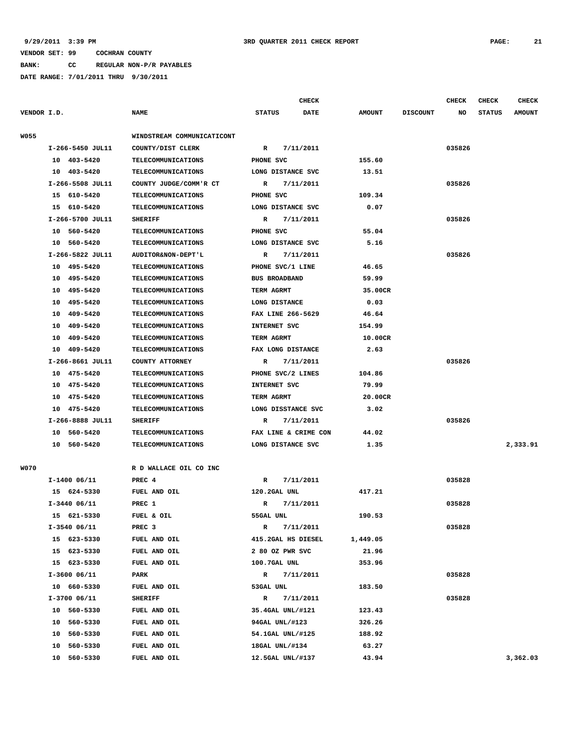**BANK: CC REGULAR NON-P/R PAYABLES**

**DATE RANGE: 7/01/2011 THRU 9/30/2011**

| VENDOR I.D.<br><b>NAME</b><br><b>STATUS</b><br><b>DATE</b><br><b>AMOUNT</b><br><b>DISCOUNT</b><br>NO<br><b>STATUS</b><br><b>AMOUNT</b><br>WINDSTREAM COMMUNICATICONT<br>I-266-5450 JUL11<br>COUNTY/DIST CLERK<br>R<br>7/11/2011<br>035826<br>10 403-5420<br>PHONE SVC<br>155.60<br><b>TELECOMMUNICATIONS</b><br>10 403-5420<br>TELECOMMUNICATIONS<br>LONG DISTANCE SVC<br>13.51<br>I-266-5508 JUL11<br>035826<br>COUNTY JUDGE/COMM'R CT<br>R<br>7/11/2011<br>15 610-5420<br>PHONE SVC<br>109.34<br><b>TELECOMMUNICATIONS</b><br>15 610-5420<br>TELECOMMUNICATIONS<br>LONG DISTANCE SVC<br>0.07<br>I-266-5700 JUL11<br>7/11/2011<br>035826<br><b>SHERIFF</b><br>R<br>10 560-5420<br>PHONE SVC<br>55.04<br><b>TELECOMMUNICATIONS</b><br>10 560-5420<br>TELECOMMUNICATIONS<br>LONG DISTANCE SVC<br>5.16<br>I-266-5822 JUL11<br>035826<br>AUDITOR&NON-DEPT'L<br>R<br>7/11/2011<br>10 495-5420<br>PHONE SVC/1 LINE<br>46.65<br><b>TELECOMMUNICATIONS</b><br>10 495-5420<br><b>BUS BROADBAND</b><br>59.99<br><b>TELECOMMUNICATIONS</b><br>495-5420<br>10<br><b>TELECOMMUNICATIONS</b><br>TERM AGRMT<br>35.00CR<br>495-5420<br>LONG DISTANCE<br>0.03<br>10<br><b>TELECOMMUNICATIONS</b><br>FAX LINE 266-5629<br>409-5420<br>TELECOMMUNICATIONS<br>46.64<br>10<br>409-5420<br>INTERNET SVC<br>154.99<br>10<br><b>TELECOMMUNICATIONS</b><br>409-5420<br><b>TELECOMMUNICATIONS</b><br>TERM AGRMT<br>10.00CR<br>10<br>10 409-5420<br>TELECOMMUNICATIONS<br>FAX LONG DISTANCE<br>2.63<br>I-266-8661 JUL11<br>COUNTY ATTORNEY<br>7/11/2011<br>035826<br>R<br>10 475-5420<br><b>TELECOMMUNICATIONS</b><br>PHONE SVC/2 LINES<br>104.86<br>79.99<br>10 475-5420<br>TELECOMMUNICATIONS<br>INTERNET SVC<br>20.00CR<br>10<br>475-5420<br><b>TELECOMMUNICATIONS</b><br>TERM AGRMT<br>10 475-5420<br>LONG DISSTANCE SVC<br>3.02<br><b>TELECOMMUNICATIONS</b><br>I-266-8888 JUL11<br>7/11/2011<br>035826<br><b>SHERIFF</b><br>R<br>10 560-5420<br><b>TELECOMMUNICATIONS</b><br>FAX LINE & CRIME CON<br>44.02<br>10 560-5420<br>LONG DISTANCE SVC<br>1.35<br>2,333.91<br><b>TELECOMMUNICATIONS</b><br>R D WALLACE OIL CO INC<br>$I-1400$ 06/11<br>PREC <sub>4</sub><br>7/11/2011<br>035828<br>R<br>417.21<br>15 624-5330<br>FUEL AND OIL<br>120.2GAL UNL<br>$I-3440$ 06/11<br>7/11/2011<br>035828<br>PREC 1<br>R<br>15 621-5330<br>FUEL & OIL<br>55GAL UNL<br>190.53<br>I-3540 06/11<br>PREC <sub>3</sub><br>7/11/2011<br>035828<br>R<br>15 623-5330<br>415.2GAL HS DIESEL<br>FUEL AND OIL<br>1,449.05<br>15 623-5330<br>FUEL AND OIL<br>2 80 OZ PWR SVC<br>21.96<br>15 623-5330<br>FUEL AND OIL<br>100.7GAL UNL<br>353.96<br>$I-3600$ 06/11<br>7/11/2011<br>035828<br>PARK<br>R<br>10 660-5330<br>FUEL AND OIL<br>53GAL UNL<br>183.50<br>I-3700 06/11<br><b>SHERIFF</b><br>7/11/2011<br>035828<br>R<br>10 560-5330<br>35.4GAL UNL/#121<br>123.43<br>FUEL AND OIL<br>10 560-5330<br>FUEL AND OIL<br>94GAL UNL/#123<br>326.26<br>560-5330<br>FUEL AND OIL<br>188.92<br>10<br>54.1GAL UNL/#125<br>63.27<br>10 |             |          |              | <b>CHECK</b>   |  | <b>CHECK</b> | <b>CHECK</b> | <b>CHECK</b> |
|--------------------------------------------------------------------------------------------------------------------------------------------------------------------------------------------------------------------------------------------------------------------------------------------------------------------------------------------------------------------------------------------------------------------------------------------------------------------------------------------------------------------------------------------------------------------------------------------------------------------------------------------------------------------------------------------------------------------------------------------------------------------------------------------------------------------------------------------------------------------------------------------------------------------------------------------------------------------------------------------------------------------------------------------------------------------------------------------------------------------------------------------------------------------------------------------------------------------------------------------------------------------------------------------------------------------------------------------------------------------------------------------------------------------------------------------------------------------------------------------------------------------------------------------------------------------------------------------------------------------------------------------------------------------------------------------------------------------------------------------------------------------------------------------------------------------------------------------------------------------------------------------------------------------------------------------------------------------------------------------------------------------------------------------------------------------------------------------------------------------------------------------------------------------------------------------------------------------------------------------------------------------------------------------------------------------------------------------------------------------------------------------------------------------------------------------------------------------------------------------------------------------------------------------------------------------------------------------------------------------------------------------------------------------------------------------------------------------------------------------------------------------------------------------------------------------------------------------------------------------------------------------------------------------------------------------------------------------------------------|-------------|----------|--------------|----------------|--|--------------|--------------|--------------|
|                                                                                                                                                                                                                                                                                                                                                                                                                                                                                                                                                                                                                                                                                                                                                                                                                                                                                                                                                                                                                                                                                                                                                                                                                                                                                                                                                                                                                                                                                                                                                                                                                                                                                                                                                                                                                                                                                                                                                                                                                                                                                                                                                                                                                                                                                                                                                                                                                                                                                                                                                                                                                                                                                                                                                                                                                                                                                                                                                                                      |             |          |              |                |  |              |              |              |
|                                                                                                                                                                                                                                                                                                                                                                                                                                                                                                                                                                                                                                                                                                                                                                                                                                                                                                                                                                                                                                                                                                                                                                                                                                                                                                                                                                                                                                                                                                                                                                                                                                                                                                                                                                                                                                                                                                                                                                                                                                                                                                                                                                                                                                                                                                                                                                                                                                                                                                                                                                                                                                                                                                                                                                                                                                                                                                                                                                                      | W055        |          |              |                |  |              |              |              |
|                                                                                                                                                                                                                                                                                                                                                                                                                                                                                                                                                                                                                                                                                                                                                                                                                                                                                                                                                                                                                                                                                                                                                                                                                                                                                                                                                                                                                                                                                                                                                                                                                                                                                                                                                                                                                                                                                                                                                                                                                                                                                                                                                                                                                                                                                                                                                                                                                                                                                                                                                                                                                                                                                                                                                                                                                                                                                                                                                                                      |             |          |              |                |  |              |              |              |
|                                                                                                                                                                                                                                                                                                                                                                                                                                                                                                                                                                                                                                                                                                                                                                                                                                                                                                                                                                                                                                                                                                                                                                                                                                                                                                                                                                                                                                                                                                                                                                                                                                                                                                                                                                                                                                                                                                                                                                                                                                                                                                                                                                                                                                                                                                                                                                                                                                                                                                                                                                                                                                                                                                                                                                                                                                                                                                                                                                                      |             |          |              |                |  |              |              |              |
|                                                                                                                                                                                                                                                                                                                                                                                                                                                                                                                                                                                                                                                                                                                                                                                                                                                                                                                                                                                                                                                                                                                                                                                                                                                                                                                                                                                                                                                                                                                                                                                                                                                                                                                                                                                                                                                                                                                                                                                                                                                                                                                                                                                                                                                                                                                                                                                                                                                                                                                                                                                                                                                                                                                                                                                                                                                                                                                                                                                      |             |          |              |                |  |              |              |              |
|                                                                                                                                                                                                                                                                                                                                                                                                                                                                                                                                                                                                                                                                                                                                                                                                                                                                                                                                                                                                                                                                                                                                                                                                                                                                                                                                                                                                                                                                                                                                                                                                                                                                                                                                                                                                                                                                                                                                                                                                                                                                                                                                                                                                                                                                                                                                                                                                                                                                                                                                                                                                                                                                                                                                                                                                                                                                                                                                                                                      |             |          |              |                |  |              |              |              |
|                                                                                                                                                                                                                                                                                                                                                                                                                                                                                                                                                                                                                                                                                                                                                                                                                                                                                                                                                                                                                                                                                                                                                                                                                                                                                                                                                                                                                                                                                                                                                                                                                                                                                                                                                                                                                                                                                                                                                                                                                                                                                                                                                                                                                                                                                                                                                                                                                                                                                                                                                                                                                                                                                                                                                                                                                                                                                                                                                                                      |             |          |              |                |  |              |              |              |
|                                                                                                                                                                                                                                                                                                                                                                                                                                                                                                                                                                                                                                                                                                                                                                                                                                                                                                                                                                                                                                                                                                                                                                                                                                                                                                                                                                                                                                                                                                                                                                                                                                                                                                                                                                                                                                                                                                                                                                                                                                                                                                                                                                                                                                                                                                                                                                                                                                                                                                                                                                                                                                                                                                                                                                                                                                                                                                                                                                                      |             |          |              |                |  |              |              |              |
|                                                                                                                                                                                                                                                                                                                                                                                                                                                                                                                                                                                                                                                                                                                                                                                                                                                                                                                                                                                                                                                                                                                                                                                                                                                                                                                                                                                                                                                                                                                                                                                                                                                                                                                                                                                                                                                                                                                                                                                                                                                                                                                                                                                                                                                                                                                                                                                                                                                                                                                                                                                                                                                                                                                                                                                                                                                                                                                                                                                      |             |          |              |                |  |              |              |              |
|                                                                                                                                                                                                                                                                                                                                                                                                                                                                                                                                                                                                                                                                                                                                                                                                                                                                                                                                                                                                                                                                                                                                                                                                                                                                                                                                                                                                                                                                                                                                                                                                                                                                                                                                                                                                                                                                                                                                                                                                                                                                                                                                                                                                                                                                                                                                                                                                                                                                                                                                                                                                                                                                                                                                                                                                                                                                                                                                                                                      |             |          |              |                |  |              |              |              |
|                                                                                                                                                                                                                                                                                                                                                                                                                                                                                                                                                                                                                                                                                                                                                                                                                                                                                                                                                                                                                                                                                                                                                                                                                                                                                                                                                                                                                                                                                                                                                                                                                                                                                                                                                                                                                                                                                                                                                                                                                                                                                                                                                                                                                                                                                                                                                                                                                                                                                                                                                                                                                                                                                                                                                                                                                                                                                                                                                                                      |             |          |              |                |  |              |              |              |
|                                                                                                                                                                                                                                                                                                                                                                                                                                                                                                                                                                                                                                                                                                                                                                                                                                                                                                                                                                                                                                                                                                                                                                                                                                                                                                                                                                                                                                                                                                                                                                                                                                                                                                                                                                                                                                                                                                                                                                                                                                                                                                                                                                                                                                                                                                                                                                                                                                                                                                                                                                                                                                                                                                                                                                                                                                                                                                                                                                                      |             |          |              |                |  |              |              |              |
|                                                                                                                                                                                                                                                                                                                                                                                                                                                                                                                                                                                                                                                                                                                                                                                                                                                                                                                                                                                                                                                                                                                                                                                                                                                                                                                                                                                                                                                                                                                                                                                                                                                                                                                                                                                                                                                                                                                                                                                                                                                                                                                                                                                                                                                                                                                                                                                                                                                                                                                                                                                                                                                                                                                                                                                                                                                                                                                                                                                      |             |          |              |                |  |              |              |              |
|                                                                                                                                                                                                                                                                                                                                                                                                                                                                                                                                                                                                                                                                                                                                                                                                                                                                                                                                                                                                                                                                                                                                                                                                                                                                                                                                                                                                                                                                                                                                                                                                                                                                                                                                                                                                                                                                                                                                                                                                                                                                                                                                                                                                                                                                                                                                                                                                                                                                                                                                                                                                                                                                                                                                                                                                                                                                                                                                                                                      |             |          |              |                |  |              |              |              |
|                                                                                                                                                                                                                                                                                                                                                                                                                                                                                                                                                                                                                                                                                                                                                                                                                                                                                                                                                                                                                                                                                                                                                                                                                                                                                                                                                                                                                                                                                                                                                                                                                                                                                                                                                                                                                                                                                                                                                                                                                                                                                                                                                                                                                                                                                                                                                                                                                                                                                                                                                                                                                                                                                                                                                                                                                                                                                                                                                                                      |             |          |              |                |  |              |              |              |
|                                                                                                                                                                                                                                                                                                                                                                                                                                                                                                                                                                                                                                                                                                                                                                                                                                                                                                                                                                                                                                                                                                                                                                                                                                                                                                                                                                                                                                                                                                                                                                                                                                                                                                                                                                                                                                                                                                                                                                                                                                                                                                                                                                                                                                                                                                                                                                                                                                                                                                                                                                                                                                                                                                                                                                                                                                                                                                                                                                                      |             |          |              |                |  |              |              |              |
|                                                                                                                                                                                                                                                                                                                                                                                                                                                                                                                                                                                                                                                                                                                                                                                                                                                                                                                                                                                                                                                                                                                                                                                                                                                                                                                                                                                                                                                                                                                                                                                                                                                                                                                                                                                                                                                                                                                                                                                                                                                                                                                                                                                                                                                                                                                                                                                                                                                                                                                                                                                                                                                                                                                                                                                                                                                                                                                                                                                      |             |          |              |                |  |              |              |              |
|                                                                                                                                                                                                                                                                                                                                                                                                                                                                                                                                                                                                                                                                                                                                                                                                                                                                                                                                                                                                                                                                                                                                                                                                                                                                                                                                                                                                                                                                                                                                                                                                                                                                                                                                                                                                                                                                                                                                                                                                                                                                                                                                                                                                                                                                                                                                                                                                                                                                                                                                                                                                                                                                                                                                                                                                                                                                                                                                                                                      |             |          |              |                |  |              |              |              |
|                                                                                                                                                                                                                                                                                                                                                                                                                                                                                                                                                                                                                                                                                                                                                                                                                                                                                                                                                                                                                                                                                                                                                                                                                                                                                                                                                                                                                                                                                                                                                                                                                                                                                                                                                                                                                                                                                                                                                                                                                                                                                                                                                                                                                                                                                                                                                                                                                                                                                                                                                                                                                                                                                                                                                                                                                                                                                                                                                                                      |             |          |              |                |  |              |              |              |
|                                                                                                                                                                                                                                                                                                                                                                                                                                                                                                                                                                                                                                                                                                                                                                                                                                                                                                                                                                                                                                                                                                                                                                                                                                                                                                                                                                                                                                                                                                                                                                                                                                                                                                                                                                                                                                                                                                                                                                                                                                                                                                                                                                                                                                                                                                                                                                                                                                                                                                                                                                                                                                                                                                                                                                                                                                                                                                                                                                                      |             |          |              |                |  |              |              |              |
|                                                                                                                                                                                                                                                                                                                                                                                                                                                                                                                                                                                                                                                                                                                                                                                                                                                                                                                                                                                                                                                                                                                                                                                                                                                                                                                                                                                                                                                                                                                                                                                                                                                                                                                                                                                                                                                                                                                                                                                                                                                                                                                                                                                                                                                                                                                                                                                                                                                                                                                                                                                                                                                                                                                                                                                                                                                                                                                                                                                      |             |          |              |                |  |              |              |              |
|                                                                                                                                                                                                                                                                                                                                                                                                                                                                                                                                                                                                                                                                                                                                                                                                                                                                                                                                                                                                                                                                                                                                                                                                                                                                                                                                                                                                                                                                                                                                                                                                                                                                                                                                                                                                                                                                                                                                                                                                                                                                                                                                                                                                                                                                                                                                                                                                                                                                                                                                                                                                                                                                                                                                                                                                                                                                                                                                                                                      |             |          |              |                |  |              |              |              |
|                                                                                                                                                                                                                                                                                                                                                                                                                                                                                                                                                                                                                                                                                                                                                                                                                                                                                                                                                                                                                                                                                                                                                                                                                                                                                                                                                                                                                                                                                                                                                                                                                                                                                                                                                                                                                                                                                                                                                                                                                                                                                                                                                                                                                                                                                                                                                                                                                                                                                                                                                                                                                                                                                                                                                                                                                                                                                                                                                                                      |             |          |              |                |  |              |              |              |
|                                                                                                                                                                                                                                                                                                                                                                                                                                                                                                                                                                                                                                                                                                                                                                                                                                                                                                                                                                                                                                                                                                                                                                                                                                                                                                                                                                                                                                                                                                                                                                                                                                                                                                                                                                                                                                                                                                                                                                                                                                                                                                                                                                                                                                                                                                                                                                                                                                                                                                                                                                                                                                                                                                                                                                                                                                                                                                                                                                                      |             |          |              |                |  |              |              |              |
|                                                                                                                                                                                                                                                                                                                                                                                                                                                                                                                                                                                                                                                                                                                                                                                                                                                                                                                                                                                                                                                                                                                                                                                                                                                                                                                                                                                                                                                                                                                                                                                                                                                                                                                                                                                                                                                                                                                                                                                                                                                                                                                                                                                                                                                                                                                                                                                                                                                                                                                                                                                                                                                                                                                                                                                                                                                                                                                                                                                      |             |          |              |                |  |              |              |              |
|                                                                                                                                                                                                                                                                                                                                                                                                                                                                                                                                                                                                                                                                                                                                                                                                                                                                                                                                                                                                                                                                                                                                                                                                                                                                                                                                                                                                                                                                                                                                                                                                                                                                                                                                                                                                                                                                                                                                                                                                                                                                                                                                                                                                                                                                                                                                                                                                                                                                                                                                                                                                                                                                                                                                                                                                                                                                                                                                                                                      |             |          |              |                |  |              |              |              |
|                                                                                                                                                                                                                                                                                                                                                                                                                                                                                                                                                                                                                                                                                                                                                                                                                                                                                                                                                                                                                                                                                                                                                                                                                                                                                                                                                                                                                                                                                                                                                                                                                                                                                                                                                                                                                                                                                                                                                                                                                                                                                                                                                                                                                                                                                                                                                                                                                                                                                                                                                                                                                                                                                                                                                                                                                                                                                                                                                                                      |             |          |              |                |  |              |              |              |
|                                                                                                                                                                                                                                                                                                                                                                                                                                                                                                                                                                                                                                                                                                                                                                                                                                                                                                                                                                                                                                                                                                                                                                                                                                                                                                                                                                                                                                                                                                                                                                                                                                                                                                                                                                                                                                                                                                                                                                                                                                                                                                                                                                                                                                                                                                                                                                                                                                                                                                                                                                                                                                                                                                                                                                                                                                                                                                                                                                                      |             |          |              |                |  |              |              |              |
|                                                                                                                                                                                                                                                                                                                                                                                                                                                                                                                                                                                                                                                                                                                                                                                                                                                                                                                                                                                                                                                                                                                                                                                                                                                                                                                                                                                                                                                                                                                                                                                                                                                                                                                                                                                                                                                                                                                                                                                                                                                                                                                                                                                                                                                                                                                                                                                                                                                                                                                                                                                                                                                                                                                                                                                                                                                                                                                                                                                      | <b>W070</b> |          |              |                |  |              |              |              |
|                                                                                                                                                                                                                                                                                                                                                                                                                                                                                                                                                                                                                                                                                                                                                                                                                                                                                                                                                                                                                                                                                                                                                                                                                                                                                                                                                                                                                                                                                                                                                                                                                                                                                                                                                                                                                                                                                                                                                                                                                                                                                                                                                                                                                                                                                                                                                                                                                                                                                                                                                                                                                                                                                                                                                                                                                                                                                                                                                                                      |             |          |              |                |  |              |              |              |
|                                                                                                                                                                                                                                                                                                                                                                                                                                                                                                                                                                                                                                                                                                                                                                                                                                                                                                                                                                                                                                                                                                                                                                                                                                                                                                                                                                                                                                                                                                                                                                                                                                                                                                                                                                                                                                                                                                                                                                                                                                                                                                                                                                                                                                                                                                                                                                                                                                                                                                                                                                                                                                                                                                                                                                                                                                                                                                                                                                                      |             |          |              |                |  |              |              |              |
|                                                                                                                                                                                                                                                                                                                                                                                                                                                                                                                                                                                                                                                                                                                                                                                                                                                                                                                                                                                                                                                                                                                                                                                                                                                                                                                                                                                                                                                                                                                                                                                                                                                                                                                                                                                                                                                                                                                                                                                                                                                                                                                                                                                                                                                                                                                                                                                                                                                                                                                                                                                                                                                                                                                                                                                                                                                                                                                                                                                      |             |          |              |                |  |              |              |              |
|                                                                                                                                                                                                                                                                                                                                                                                                                                                                                                                                                                                                                                                                                                                                                                                                                                                                                                                                                                                                                                                                                                                                                                                                                                                                                                                                                                                                                                                                                                                                                                                                                                                                                                                                                                                                                                                                                                                                                                                                                                                                                                                                                                                                                                                                                                                                                                                                                                                                                                                                                                                                                                                                                                                                                                                                                                                                                                                                                                                      |             |          |              |                |  |              |              |              |
|                                                                                                                                                                                                                                                                                                                                                                                                                                                                                                                                                                                                                                                                                                                                                                                                                                                                                                                                                                                                                                                                                                                                                                                                                                                                                                                                                                                                                                                                                                                                                                                                                                                                                                                                                                                                                                                                                                                                                                                                                                                                                                                                                                                                                                                                                                                                                                                                                                                                                                                                                                                                                                                                                                                                                                                                                                                                                                                                                                                      |             |          |              |                |  |              |              |              |
|                                                                                                                                                                                                                                                                                                                                                                                                                                                                                                                                                                                                                                                                                                                                                                                                                                                                                                                                                                                                                                                                                                                                                                                                                                                                                                                                                                                                                                                                                                                                                                                                                                                                                                                                                                                                                                                                                                                                                                                                                                                                                                                                                                                                                                                                                                                                                                                                                                                                                                                                                                                                                                                                                                                                                                                                                                                                                                                                                                                      |             |          |              |                |  |              |              |              |
|                                                                                                                                                                                                                                                                                                                                                                                                                                                                                                                                                                                                                                                                                                                                                                                                                                                                                                                                                                                                                                                                                                                                                                                                                                                                                                                                                                                                                                                                                                                                                                                                                                                                                                                                                                                                                                                                                                                                                                                                                                                                                                                                                                                                                                                                                                                                                                                                                                                                                                                                                                                                                                                                                                                                                                                                                                                                                                                                                                                      |             |          |              |                |  |              |              |              |
|                                                                                                                                                                                                                                                                                                                                                                                                                                                                                                                                                                                                                                                                                                                                                                                                                                                                                                                                                                                                                                                                                                                                                                                                                                                                                                                                                                                                                                                                                                                                                                                                                                                                                                                                                                                                                                                                                                                                                                                                                                                                                                                                                                                                                                                                                                                                                                                                                                                                                                                                                                                                                                                                                                                                                                                                                                                                                                                                                                                      |             |          |              |                |  |              |              |              |
|                                                                                                                                                                                                                                                                                                                                                                                                                                                                                                                                                                                                                                                                                                                                                                                                                                                                                                                                                                                                                                                                                                                                                                                                                                                                                                                                                                                                                                                                                                                                                                                                                                                                                                                                                                                                                                                                                                                                                                                                                                                                                                                                                                                                                                                                                                                                                                                                                                                                                                                                                                                                                                                                                                                                                                                                                                                                                                                                                                                      |             |          |              |                |  |              |              |              |
|                                                                                                                                                                                                                                                                                                                                                                                                                                                                                                                                                                                                                                                                                                                                                                                                                                                                                                                                                                                                                                                                                                                                                                                                                                                                                                                                                                                                                                                                                                                                                                                                                                                                                                                                                                                                                                                                                                                                                                                                                                                                                                                                                                                                                                                                                                                                                                                                                                                                                                                                                                                                                                                                                                                                                                                                                                                                                                                                                                                      |             |          |              |                |  |              |              |              |
|                                                                                                                                                                                                                                                                                                                                                                                                                                                                                                                                                                                                                                                                                                                                                                                                                                                                                                                                                                                                                                                                                                                                                                                                                                                                                                                                                                                                                                                                                                                                                                                                                                                                                                                                                                                                                                                                                                                                                                                                                                                                                                                                                                                                                                                                                                                                                                                                                                                                                                                                                                                                                                                                                                                                                                                                                                                                                                                                                                                      |             |          |              |                |  |              |              |              |
|                                                                                                                                                                                                                                                                                                                                                                                                                                                                                                                                                                                                                                                                                                                                                                                                                                                                                                                                                                                                                                                                                                                                                                                                                                                                                                                                                                                                                                                                                                                                                                                                                                                                                                                                                                                                                                                                                                                                                                                                                                                                                                                                                                                                                                                                                                                                                                                                                                                                                                                                                                                                                                                                                                                                                                                                                                                                                                                                                                                      |             |          |              |                |  |              |              |              |
|                                                                                                                                                                                                                                                                                                                                                                                                                                                                                                                                                                                                                                                                                                                                                                                                                                                                                                                                                                                                                                                                                                                                                                                                                                                                                                                                                                                                                                                                                                                                                                                                                                                                                                                                                                                                                                                                                                                                                                                                                                                                                                                                                                                                                                                                                                                                                                                                                                                                                                                                                                                                                                                                                                                                                                                                                                                                                                                                                                                      |             |          |              |                |  |              |              |              |
|                                                                                                                                                                                                                                                                                                                                                                                                                                                                                                                                                                                                                                                                                                                                                                                                                                                                                                                                                                                                                                                                                                                                                                                                                                                                                                                                                                                                                                                                                                                                                                                                                                                                                                                                                                                                                                                                                                                                                                                                                                                                                                                                                                                                                                                                                                                                                                                                                                                                                                                                                                                                                                                                                                                                                                                                                                                                                                                                                                                      |             |          |              |                |  |              |              |              |
|                                                                                                                                                                                                                                                                                                                                                                                                                                                                                                                                                                                                                                                                                                                                                                                                                                                                                                                                                                                                                                                                                                                                                                                                                                                                                                                                                                                                                                                                                                                                                                                                                                                                                                                                                                                                                                                                                                                                                                                                                                                                                                                                                                                                                                                                                                                                                                                                                                                                                                                                                                                                                                                                                                                                                                                                                                                                                                                                                                                      |             | 560-5330 | FUEL AND OIL | 18GAL UNL/#134 |  |              |              |              |

 **10 560-5330 FUEL AND OIL 12.5GAL UNL/#137 43.94 3,362.03**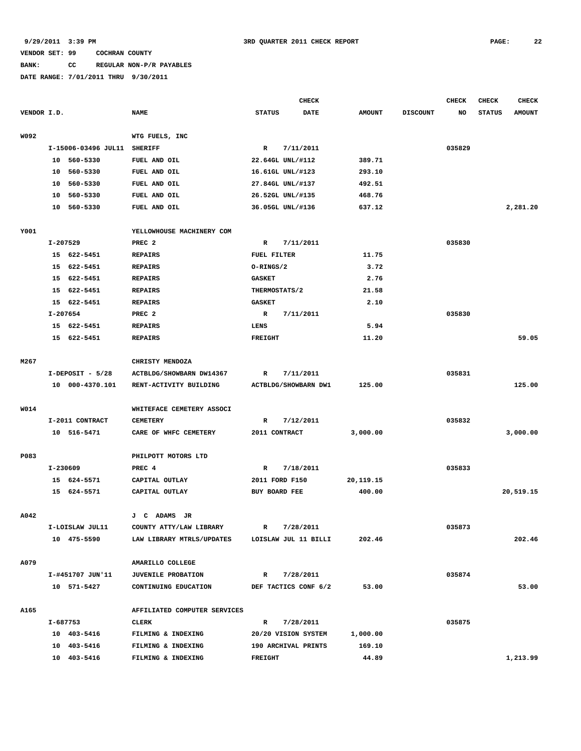### **BANK: CC REGULAR NON-P/R PAYABLES**

|             |          |                     |                              |                | <b>CHECK</b>         |               |                 | <b>CHECK</b> | <b>CHECK</b>  | <b>CHECK</b>  |
|-------------|----------|---------------------|------------------------------|----------------|----------------------|---------------|-----------------|--------------|---------------|---------------|
| VENDOR I.D. |          |                     | <b>NAME</b>                  | <b>STATUS</b>  | <b>DATE</b>          | <b>AMOUNT</b> | <b>DISCOUNT</b> | NO           | <b>STATUS</b> | <b>AMOUNT</b> |
|             |          |                     |                              |                |                      |               |                 |              |               |               |
| W092        |          |                     | WTG FUELS, INC               |                |                      |               |                 |              |               |               |
|             |          | I-15006-03496 JUL11 | <b>SHERIFF</b>               | $\mathbb{R}$   | 7/11/2011            |               |                 | 035829       |               |               |
|             |          | 10 560-5330         | FUEL AND OIL                 |                | 22.64GL UNL/#112     | 389.71        |                 |              |               |               |
|             |          | 10 560-5330         | FUEL AND OIL                 |                | 16.61GL UNL/#123     | 293.10        |                 |              |               |               |
|             | 10       | 560-5330            | FUEL AND OIL                 |                | 27.84GL UNL/#137     | 492.51        |                 |              |               |               |
|             | 10       | 560-5330            | FUEL AND OIL                 |                | 26.52GL UNL/#135     | 468.76        |                 |              |               |               |
|             |          | 10 560-5330         | FUEL AND OIL                 |                | 36.05GL UNL/#136     | 637.12        |                 |              |               | 2,281.20      |
|             |          |                     |                              |                |                      |               |                 |              |               |               |
| Y001        |          |                     | YELLOWHOUSE MACHINERY COM    |                |                      |               |                 |              |               |               |
|             | I-207529 |                     | PREC <sub>2</sub>            | R              | 7/11/2011            |               |                 | 035830       |               |               |
|             |          | 15 622-5451         | <b>REPAIRS</b>               | FUEL FILTER    |                      | 11.75         |                 |              |               |               |
|             | 15       | 622-5451            | <b>REPAIRS</b>               | O-RINGS/2      |                      | 3.72          |                 |              |               |               |
|             |          | 15 622-5451         | <b>REPAIRS</b>               | <b>GASKET</b>  |                      | 2.76          |                 |              |               |               |
|             | 15       | 622-5451            | <b>REPAIRS</b>               | THERMOSTATS/2  |                      | 21.58         |                 |              |               |               |
|             |          | 15 622-5451         | <b>REPAIRS</b>               | <b>GASKET</b>  |                      | 2.10          |                 |              |               |               |
|             | I-207654 |                     | PREC <sub>2</sub>            | $\mathbb{R}$   | 7/11/2011            |               |                 | 035830       |               |               |
|             |          | 15 622-5451         | <b>REPAIRS</b>               | LENS           |                      | 5.94          |                 |              |               |               |
|             |          | 15 622-5451         | <b>REPAIRS</b>               | <b>FREIGHT</b> |                      | 11.20         |                 |              |               | 59.05         |
|             |          |                     |                              |                |                      |               |                 |              |               |               |
| M267        |          |                     | CHRISTY MENDOZA              |                |                      |               |                 |              |               |               |
|             |          | $I-DEPOST - 5/28$   | ACTBLDG/SHOWBARN DW14367     | R              | 7/11/2011            |               |                 | 035831       |               |               |
|             |          | 10 000-4370.101     | RENT-ACTIVITY BUILDING       |                | ACTBLDG/SHOWBARN DW1 | 125.00        |                 |              |               | 125.00        |
|             |          |                     |                              |                |                      |               |                 |              |               |               |
| <b>W014</b> |          |                     | WHITEFACE CEMETERY ASSOCI    |                |                      |               |                 |              |               |               |
|             |          | I-2011 CONTRACT     | <b>CEMETERY</b>              | R              | 7/12/2011            |               |                 | 035832       |               |               |
|             |          | 10 516-5471         | CARE OF WHFC CEMETERY        | 2011 CONTRACT  |                      | 3,000.00      |                 |              |               | 3,000.00      |
|             |          |                     |                              |                |                      |               |                 |              |               |               |
| P083        |          |                     | PHILPOTT MOTORS LTD          |                |                      |               |                 |              |               |               |
|             | I-230609 |                     | PREC 4                       | R              | 7/18/2011            |               |                 | 035833       |               |               |
|             |          | 15 624-5571         | CAPITAL OUTLAY               | 2011 FORD F150 |                      | 20, 119. 15   |                 |              |               |               |
|             |          | 15 624-5571         | CAPITAL OUTLAY               | BUY BOARD FEE  |                      | 400.00        |                 |              |               | 20,519.15     |
|             |          |                     |                              |                |                      |               |                 |              |               |               |
| A042        |          |                     | J C ADAMS JR                 |                |                      |               |                 |              |               |               |
|             |          | I-LOISLAW JUL11     | COUNTY ATTY/LAW LIBRARY      | R              | 7/28/2011            |               |                 | 035873       |               |               |
|             |          | 10 475-5590         | LAW LIBRARY MTRLS/UPDATES    |                | LOISLAW JUL 11 BILLI | 202.46        |                 |              |               | 202.46        |
|             |          |                     |                              |                |                      |               |                 |              |               |               |
| A079        |          |                     | AMARILLO COLLEGE             |                |                      |               |                 |              |               |               |
|             |          | I-#451707 JUN'11    | <b>JUVENILE PROBATION</b>    | $\mathbf{R}$   | 7/28/2011            |               |                 | 035874       |               |               |
|             |          | 10 571-5427         | CONTINUING EDUCATION         |                | DEF TACTICS CONF 6/2 | 53.00         |                 |              |               | 53.00         |
|             |          |                     |                              |                |                      |               |                 |              |               |               |
| A165        |          |                     | AFFILIATED COMPUTER SERVICES |                |                      |               |                 |              |               |               |
|             |          | I-687753            | <b>CLERK</b>                 | R              | 7/28/2011            |               |                 | 035875       |               |               |
|             |          | 10 403-5416         | FILMING & INDEXING           |                | 20/20 VISION SYSTEM  | 1,000.00      |                 |              |               |               |
|             |          | 10 403-5416         | FILMING & INDEXING           |                | 190 ARCHIVAL PRINTS  | 169.10        |                 |              |               |               |
|             |          | 10 403-5416         | FILMING & INDEXING           | <b>FREIGHT</b> |                      | 44.89         |                 |              |               | 1,213.99      |
|             |          |                     |                              |                |                      |               |                 |              |               |               |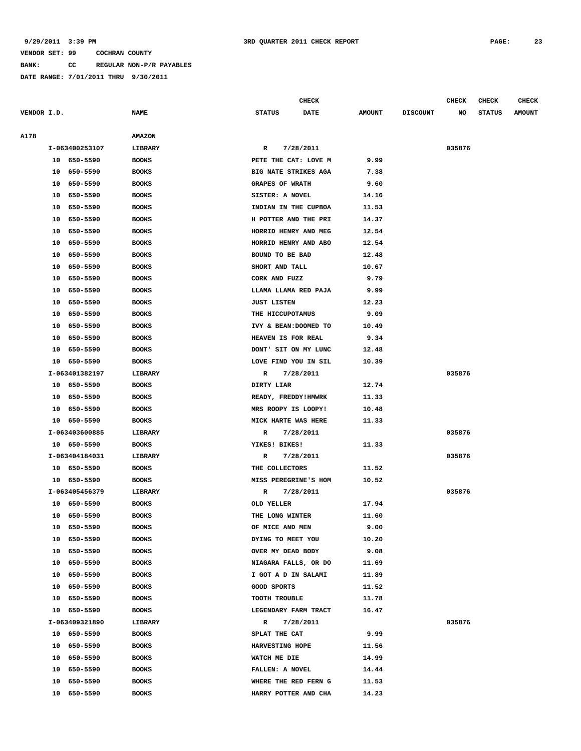**A178 AMAZON**

### **VENDOR SET: 99 COCHRAN COUNTY**

**BANK: CC REGULAR NON-P/R PAYABLES**

**DATE RANGE: 7/01/2011 THRU 9/30/2011**

**CHECK CHECK CHECK CHECK** 

| VENDOR I.D. |    |                | <b>NAME</b>   | <b>STATUS</b>          | <b>DATE</b> | <b>AMOUNT</b> | <b>DISCOUNT</b> | NO     | <b>STATUS</b> | <b>AMOUNT</b> |
|-------------|----|----------------|---------------|------------------------|-------------|---------------|-----------------|--------|---------------|---------------|
| <b>A178</b> |    |                | <b>AMAZON</b> |                        |             |               |                 |        |               |               |
|             |    | I-063400253107 | LIBRARY       | R                      | 7/28/2011   |               |                 | 035876 |               |               |
|             |    | 10 650-5590    | <b>BOOKS</b>  | PETE THE CAT: LOVE M   |             | 9.99          |                 |        |               |               |
|             |    | 10 650-5590    | <b>BOOKS</b>  | BIG NATE STRIKES AGA   |             | 7.38          |                 |        |               |               |
|             |    | 10 650-5590    | <b>BOOKS</b>  | <b>GRAPES OF WRATH</b> |             | 9.60          |                 |        |               |               |
|             | 10 | 650-5590       | <b>BOOKS</b>  | SISTER: A NOVEL        |             | 14.16         |                 |        |               |               |
|             | 10 | 650-5590       | <b>BOOKS</b>  | INDIAN IN THE CUPBOA   |             | 11.53         |                 |        |               |               |
|             | 10 | 650-5590       | <b>BOOKS</b>  | H POTTER AND THE PRI   |             | 14.37         |                 |        |               |               |
|             | 10 | 650-5590       | <b>BOOKS</b>  | HORRID HENRY AND MEG   |             | 12.54         |                 |        |               |               |
|             | 10 | 650-5590       | <b>BOOKS</b>  | HORRID HENRY AND ABO   |             | 12.54         |                 |        |               |               |
|             | 10 | 650-5590       | <b>BOOKS</b>  | BOUND TO BE BAD        |             | 12.48         |                 |        |               |               |
|             | 10 | 650-5590       | <b>BOOKS</b>  | SHORT AND TALL         |             | 10.67         |                 |        |               |               |
|             | 10 | 650-5590       | <b>BOOKS</b>  | CORK AND FUZZ          |             | 9.79          |                 |        |               |               |
|             | 10 | 650-5590       | <b>BOOKS</b>  | LLAMA LLAMA RED PAJA   |             | 9.99          |                 |        |               |               |
|             | 10 | 650-5590       | <b>BOOKS</b>  | <b>JUST LISTEN</b>     |             | 12.23         |                 |        |               |               |
|             |    | 10 650-5590    | <b>BOOKS</b>  | THE HICCUPOTAMUS       |             | 9.09          |                 |        |               |               |
|             |    | 10 650-5590    | <b>BOOKS</b>  | IVY & BEAN: DOOMED TO  |             | 10.49         |                 |        |               |               |
|             | 10 | 650-5590       | <b>BOOKS</b>  | HEAVEN IS FOR REAL     |             | 9.34          |                 |        |               |               |
|             | 10 | 650–5590       | <b>BOOKS</b>  | DONT' SIT ON MY LUNC   |             | 12.48         |                 |        |               |               |
|             |    | 10 650-5590    | <b>BOOKS</b>  | LOVE FIND YOU IN SIL   |             | 10.39         |                 |        |               |               |
|             |    | I-063401382197 | LIBRARY       | R                      | 7/28/2011   |               |                 | 035876 |               |               |
|             |    | 10 650-5590    | <b>BOOKS</b>  | DIRTY LIAR             |             | 12.74         |                 |        |               |               |
|             |    | 10 650-5590    | <b>BOOKS</b>  | READY, FREDDY!HMWRK    |             | 11.33         |                 |        |               |               |
|             |    | 10 650-5590    | <b>BOOKS</b>  | MRS ROOPY IS LOOPY!    |             | 10.48         |                 |        |               |               |
|             |    | 10 650-5590    | <b>BOOKS</b>  | MICK HARTE WAS HERE    |             | 11.33         |                 |        |               |               |
|             |    | I-063403600885 | LIBRARY       | R                      | 7/28/2011   |               |                 | 035876 |               |               |
|             |    | 10 650-5590    | <b>BOOKS</b>  | YIKES! BIKES!          |             | 11.33         |                 |        |               |               |
|             |    | I-063404184031 | LIBRARY       | R                      | 7/28/2011   |               |                 | 035876 |               |               |
|             |    | 10 650-5590    | <b>BOOKS</b>  | THE COLLECTORS         |             | 11.52         |                 |        |               |               |
|             |    | 10 650-5590    | <b>BOOKS</b>  | MISS PEREGRINE'S HOM   |             | 10.52         |                 |        |               |               |
|             |    | I-063405456379 | LIBRARY       | R                      | 7/28/2011   |               |                 | 035876 |               |               |
|             |    | 10 650-5590    | <b>BOOKS</b>  | OLD YELLER             |             | 17.94         |                 |        |               |               |
|             |    | 10 650-5590    | <b>BOOKS</b>  | THE LONG WINTER        |             | 11.60         |                 |        |               |               |
|             |    | 10 650-5590    | <b>BOOKS</b>  | OF MICE AND MEN        |             | 9.00          |                 |        |               |               |
|             | 10 | 650-5590       | <b>BOOKS</b>  | DYING TO MEET YOU      |             | 10.20         |                 |        |               |               |
|             | 10 | 650-5590       | <b>BOOKS</b>  | OVER MY DEAD BODY      |             | 9.08          |                 |        |               |               |
|             | 10 | 650-5590       | <b>BOOKS</b>  | NIAGARA FALLS, OR DO   |             | 11.69         |                 |        |               |               |
|             | 10 | 650-5590       | <b>BOOKS</b>  | I GOT A D IN SALAMI    |             | 11.89         |                 |        |               |               |
|             | 10 | 650-5590       | <b>BOOKS</b>  | GOOD SPORTS            |             | 11.52         |                 |        |               |               |
|             | 10 | 650-5590       | <b>BOOKS</b>  | TOOTH TROUBLE          |             | 11.78         |                 |        |               |               |
|             |    | 10 650-5590    | <b>BOOKS</b>  | LEGENDARY FARM TRACT   |             | 16.47         |                 |        |               |               |
|             |    | I-063409321890 | LIBRARY       | R                      | 7/28/2011   |               |                 | 035876 |               |               |
|             |    | 10 650-5590    | <b>BOOKS</b>  | SPLAT THE CAT          |             | 9.99          |                 |        |               |               |
|             | 10 | 650-5590       | <b>BOOKS</b>  | HARVESTING HOPE        |             | 11.56         |                 |        |               |               |
|             | 10 | 650-5590       | <b>BOOKS</b>  | WATCH ME DIE           |             | 14.99         |                 |        |               |               |
|             | 10 | 650-5590       | <b>BOOKS</b>  | FALLEN: A NOVEL        |             | 14.44         |                 |        |               |               |
|             | 10 | 650-5590       | <b>BOOKS</b>  | WHERE THE RED FERN G   |             | 11.53         |                 |        |               |               |
|             | 10 | 650-5590       | <b>BOOKS</b>  | HARRY POTTER AND CHA   |             | 14.23         |                 |        |               |               |
|             |    |                |               |                        |             |               |                 |        |               |               |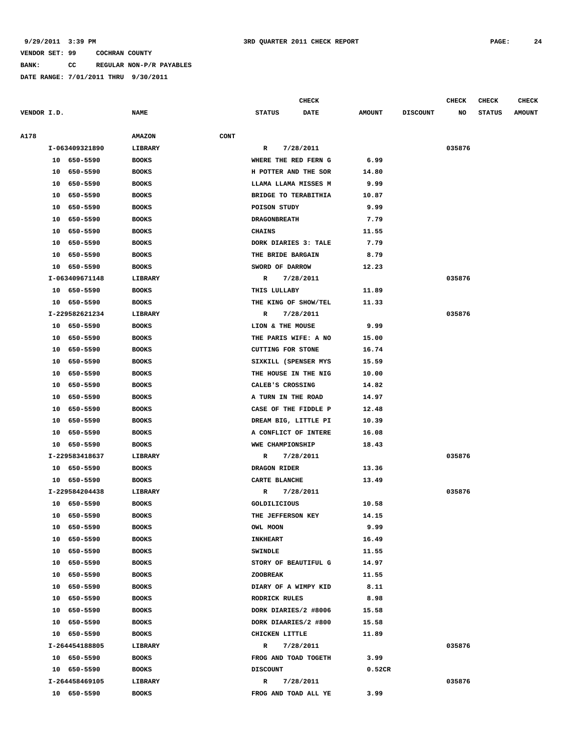**BANK: CC REGULAR NON-P/R PAYABLES**

|             |    |                |               |             |                          | <b>CHECK</b> |               |                 | CHECK  | <b>CHECK</b>  | <b>CHECK</b>  |
|-------------|----|----------------|---------------|-------------|--------------------------|--------------|---------------|-----------------|--------|---------------|---------------|
| VENDOR I.D. |    |                | <b>NAME</b>   |             | <b>STATUS</b>            | <b>DATE</b>  | <b>AMOUNT</b> | <b>DISCOUNT</b> | NO     | <b>STATUS</b> | <b>AMOUNT</b> |
|             |    |                |               |             |                          |              |               |                 |        |               |               |
| A178        |    |                | <b>AMAZON</b> | <b>CONT</b> |                          |              |               |                 |        |               |               |
|             |    | I-063409321890 | LIBRARY       |             | R                        | 7/28/2011    |               |                 | 035876 |               |               |
|             |    | 10 650-5590    | <b>BOOKS</b>  |             | WHERE THE RED FERN G     |              | 6.99          |                 |        |               |               |
|             | 10 | 650-5590       | <b>BOOKS</b>  |             | H POTTER AND THE SOR     |              | 14.80         |                 |        |               |               |
|             | 10 | 650-5590       | <b>BOOKS</b>  |             | LLAMA LLAMA MISSES M     |              | 9.99          |                 |        |               |               |
|             | 10 | 650-5590       | <b>BOOKS</b>  |             | BRIDGE TO TERABITHIA     |              | 10.87         |                 |        |               |               |
|             | 10 | 650-5590       | <b>BOOKS</b>  |             | POISON STUDY             |              | 9.99          |                 |        |               |               |
|             | 10 | 650-5590       | <b>BOOKS</b>  |             | <b>DRAGONBREATH</b>      |              | 7.79          |                 |        |               |               |
|             | 10 | 650-5590       | <b>BOOKS</b>  |             | <b>CHAINS</b>            |              | 11.55         |                 |        |               |               |
|             | 10 | 650-5590       | <b>BOOKS</b>  |             | DORK DIARIES 3: TALE     |              | 7.79          |                 |        |               |               |
|             | 10 | 650-5590       | <b>BOOKS</b>  |             | THE BRIDE BARGAIN        |              | 8.79          |                 |        |               |               |
|             | 10 | 650-5590       | <b>BOOKS</b>  |             | SWORD OF DARROW          |              | 12.23         |                 |        |               |               |
|             |    | I-063409671148 | LIBRARY       |             | R                        | 7/28/2011    |               |                 | 035876 |               |               |
|             | 10 | 650-5590       | <b>BOOKS</b>  |             | THIS LULLABY             |              | 11.89         |                 |        |               |               |
|             |    | 10 650-5590    | <b>BOOKS</b>  |             | THE KING OF SHOW/TEL     |              | 11.33         |                 |        |               |               |
|             |    | I-229582621234 | LIBRARY       |             | R                        | 7/28/2011    |               |                 | 035876 |               |               |
|             |    | 10 650-5590    | <b>BOOKS</b>  |             | LION & THE MOUSE         |              | 9.99          |                 |        |               |               |
|             | 10 | 650-5590       | <b>BOOKS</b>  |             | THE PARIS WIFE: A NO     |              | 15.00         |                 |        |               |               |
|             | 10 | 650-5590       | <b>BOOKS</b>  |             | <b>CUTTING FOR STONE</b> |              | 16.74         |                 |        |               |               |
|             | 10 | 650-5590       | <b>BOOKS</b>  |             | SIXKILL (SPENSER MYS     |              | 15.59         |                 |        |               |               |
|             | 10 | 650-5590       | <b>BOOKS</b>  |             | THE HOUSE IN THE NIG     |              | 10.00         |                 |        |               |               |
|             | 10 | 650-5590       | <b>BOOKS</b>  |             | CALEB'S CROSSING         |              | 14.82         |                 |        |               |               |
|             | 10 | 650-5590       | <b>BOOKS</b>  |             | A TURN IN THE ROAD       |              | 14.97         |                 |        |               |               |
|             | 10 | 650-5590       | <b>BOOKS</b>  |             | CASE OF THE FIDDLE P     |              | 12.48         |                 |        |               |               |
|             | 10 | 650-5590       | <b>BOOKS</b>  |             | DREAM BIG, LITTLE PI     |              | 10.39         |                 |        |               |               |
|             | 10 | 650-5590       | <b>BOOKS</b>  |             | A CONFLICT OF INTERE     |              | 16.08         |                 |        |               |               |
|             | 10 | 650-5590       | <b>BOOKS</b>  |             | WWE CHAMPIONSHIP         |              | 18.43         |                 |        |               |               |
|             |    | I-229583418637 | LIBRARY       |             | R                        | 7/28/2011    |               |                 | 035876 |               |               |
|             |    | 10 650-5590    | <b>BOOKS</b>  |             | DRAGON RIDER             |              | 13.36         |                 |        |               |               |
|             |    | 10 650-5590    | <b>BOOKS</b>  |             | CARTE BLANCHE            |              | 13.49         |                 |        |               |               |
|             |    | I-229584204438 | LIBRARY       |             | R                        | 7/28/2011    |               |                 | 035876 |               |               |
|             | 10 | 650-5590       | <b>BOOKS</b>  |             | <b>GOLDILICIOUS</b>      |              | 10.58         |                 |        |               |               |
|             |    | 10 650-5590    | <b>BOOKS</b>  |             | THE JEFFERSON KEY        |              | 14.15         |                 |        |               |               |
|             |    | 10 650-5590    | <b>BOOKS</b>  |             | OWL MOON                 |              | 9.99          |                 |        |               |               |
|             | 10 | 650-5590       | <b>BOOKS</b>  |             | <b>INKHEART</b>          |              | 16.49         |                 |        |               |               |
|             | 10 | 650-5590       | <b>BOOKS</b>  |             | <b>SWINDLE</b>           |              | 11.55         |                 |        |               |               |
|             | 10 | 650-5590       | <b>BOOKS</b>  |             | STORY OF BEAUTIFUL G     |              | 14.97         |                 |        |               |               |
|             | 10 | 650-5590       | <b>BOOKS</b>  |             | <b>ZOOBREAK</b>          |              | 11.55         |                 |        |               |               |
|             | 10 | 650-5590       | <b>BOOKS</b>  |             | DIARY OF A WIMPY KID     |              | 8.11          |                 |        |               |               |
|             | 10 | 650-5590       | <b>BOOKS</b>  |             | RODRICK RULES            |              | 8.98          |                 |        |               |               |
|             | 10 | 650-5590       | <b>BOOKS</b>  |             | DORK DIARIES/2 #8006     |              | 15.58         |                 |        |               |               |
|             | 10 | 650-5590       | <b>BOOKS</b>  |             | DORK DIAARIES/2 #800     |              | 15.58         |                 |        |               |               |
|             |    | 10 650-5590    | <b>BOOKS</b>  |             | CHICKEN LITTLE           |              | 11.89         |                 |        |               |               |
|             |    | I-264454188805 | LIBRARY       |             | R                        | 7/28/2011    |               |                 | 035876 |               |               |
|             |    | 10 650-5590    | <b>BOOKS</b>  |             | FROG AND TOAD TOGETH     |              | 3.99          |                 |        |               |               |
|             |    | 10 650-5590    | <b>BOOKS</b>  |             | <b>DISCOUNT</b>          |              | 0.52CR        |                 |        |               |               |
|             |    | I-264458469105 | LIBRARY       |             | R                        | 7/28/2011    |               |                 | 035876 |               |               |
|             |    | 10 650-5590    | <b>BOOKS</b>  |             | FROG AND TOAD ALL YE     |              | 3.99          |                 |        |               |               |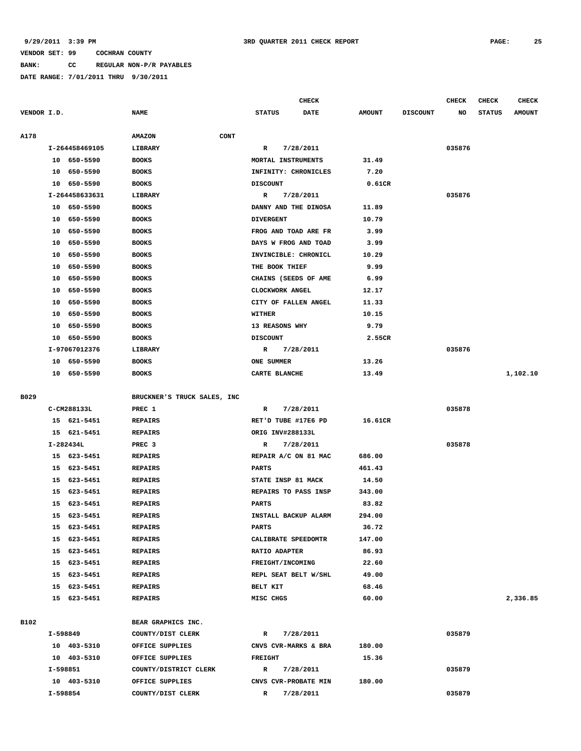### **BANK: CC REGULAR NON-P/R PAYABLES**

|             |                |                              | <b>CHECK</b>              |               |                 | CHECK  | CHECK         | <b>CHECK</b>  |
|-------------|----------------|------------------------------|---------------------------|---------------|-----------------|--------|---------------|---------------|
| VENDOR I.D. |                | <b>NAME</b>                  | <b>STATUS</b><br>DATE     | <b>AMOUNT</b> | <b>DISCOUNT</b> | NO     | <b>STATUS</b> | <b>AMOUNT</b> |
| A178        |                | <b>CONT</b><br><b>AMAZON</b> |                           |               |                 |        |               |               |
|             | I-264458469105 | LIBRARY                      | 7/28/2011<br>R            |               |                 | 035876 |               |               |
|             | 10 650-5590    | <b>BOOKS</b>                 | MORTAL INSTRUMENTS        | 31.49         |                 |        |               |               |
|             | 10<br>650-5590 | <b>BOOKS</b>                 | INFINITY: CHRONICLES      | 7.20          |                 |        |               |               |
|             | 10 650-5590    | <b>BOOKS</b>                 | <b>DISCOUNT</b>           | 0.61CR        |                 |        |               |               |
|             | I-264458633631 | LIBRARY                      | 7/28/2011<br>R            |               |                 | 035876 |               |               |
|             | 10 650-5590    | <b>BOOKS</b>                 | DANNY AND THE DINOSA      | 11.89         |                 |        |               |               |
|             | 10<br>650-5590 | <b>BOOKS</b>                 | <b>DIVERGENT</b>          | 10.79         |                 |        |               |               |
|             | 650-5590<br>10 | <b>BOOKS</b>                 | FROG AND TOAD ARE FR      | 3.99          |                 |        |               |               |
|             | 650-5590<br>10 | <b>BOOKS</b>                 | DAYS W FROG AND TOAD      | 3.99          |                 |        |               |               |
|             | 650-5590<br>10 | <b>BOOKS</b>                 | INVINCIBLE: CHRONICL      | 10.29         |                 |        |               |               |
|             | 650-5590<br>10 | <b>BOOKS</b>                 | THE BOOK THIEF            | 9.99          |                 |        |               |               |
|             | 650-5590<br>10 | <b>BOOKS</b>                 | CHAINS (SEEDS OF AME      | 6.99          |                 |        |               |               |
|             | 10<br>650-5590 | <b>BOOKS</b>                 | CLOCKWORK ANGEL           | 12.17         |                 |        |               |               |
|             | 650-5590<br>10 | <b>BOOKS</b>                 | CITY OF FALLEN ANGEL      | 11.33         |                 |        |               |               |
|             | 10<br>650-5590 | <b>BOOKS</b>                 | <b>WITHER</b>             | 10.15         |                 |        |               |               |
|             | 10<br>650-5590 | <b>BOOKS</b>                 | 13 REASONS WHY            | 9.79          |                 |        |               |               |
|             | 650-5590<br>10 | <b>BOOKS</b>                 | <b>DISCOUNT</b>           | 2.55CR        |                 |        |               |               |
|             | I-97067012376  | <b>LIBRARY</b>               | 7/28/2011<br>R            |               |                 | 035876 |               |               |
|             | 10 650-5590    | <b>BOOKS</b>                 | ONE SUMMER                | 13.26         |                 |        |               |               |
|             | 10 650-5590    | <b>BOOKS</b>                 | CARTE BLANCHE             | 13.49         |                 |        |               | 1,102.10      |
|             |                |                              |                           |               |                 |        |               |               |
| B029        |                | BRUCKNER'S TRUCK SALES, INC  |                           |               |                 |        |               |               |
|             | C-CM288133L    | PREC 1                       | 7/28/2011<br>R            |               |                 | 035878 |               |               |
|             | 15 621-5451    | <b>REPAIRS</b>               | RET'D TUBE #17E6 PD       | 16.61CR       |                 |        |               |               |
|             | 15 621-5451    | <b>REPAIRS</b>               | ORIG INV#288133L          |               |                 |        |               |               |
|             | I-282434L      | PREC <sub>3</sub>            | 7/28/2011<br>R            |               |                 | 035878 |               |               |
|             | 15 623-5451    | <b>REPAIRS</b>               | REPAIR A/C ON 81 MAC      | 686.00        |                 |        |               |               |
|             | 15<br>623-5451 | <b>REPAIRS</b>               | <b>PARTS</b>              | 461.43        |                 |        |               |               |
|             | 623-5451<br>15 | <b>REPAIRS</b>               | STATE INSP 81 MACK        | 14.50         |                 |        |               |               |
|             | 623-5451<br>15 | <b>REPAIRS</b>               | REPAIRS TO PASS INSP      | 343.00        |                 |        |               |               |
|             | 15<br>623-5451 | <b>REPAIRS</b>               | <b>PARTS</b>              | 83.82         |                 |        |               |               |
|             | 15 623-5451    | <b>REPAIRS</b>               | INSTALL BACKUP ALARM      | 294.00        |                 |        |               |               |
|             | 15 623-5451    | <b>REPAIRS</b>               | <b>PARTS</b>              | 36.72         |                 |        |               |               |
|             | 15 623-5451    | <b>REPAIRS</b>               | CALIBRATE SPEEDOMTR       | 147.00        |                 |        |               |               |
|             | 15 623-5451    | <b>REPAIRS</b>               | RATIO ADAPTER             | 86.93         |                 |        |               |               |
|             | 15 623-5451    | <b>REPAIRS</b>               | FREIGHT/INCOMING          | 22.60         |                 |        |               |               |
|             | 15 623-5451    | <b>REPAIRS</b>               | REPL SEAT BELT W/SHL      | 49.00         |                 |        |               |               |
|             | 15 623-5451    | REPAIRS                      | <b>BELT KIT</b>           | 68.46         |                 |        |               |               |
|             | 15 623-5451    | REPAIRS                      | MISC CHGS                 | 60.00         |                 |        |               | 2,336.85      |
|             |                |                              |                           |               |                 |        |               |               |
| B102        |                | BEAR GRAPHICS INC.           |                           |               |                 |        |               |               |
|             | I-598849       | COUNTY/DIST CLERK            | 7/28/2011<br>R            |               |                 | 035879 |               |               |
|             | 10 403-5310    | OFFICE SUPPLIES              | CNVS CVR-MARKS & BRA      | 180.00        |                 |        |               |               |
|             | 10 403-5310    | OFFICE SUPPLIES              | <b>FREIGHT</b>            | 15.36         |                 |        |               |               |
|             | I-598851       | COUNTY/DISTRICT CLERK        | 7/28/2011<br>$\mathbb{R}$ |               |                 | 035879 |               |               |
|             | 10 403-5310    | OFFICE SUPPLIES              | CNVS CVR-PROBATE MIN      | 180.00        |                 |        |               |               |
|             | I-598854       | COUNTY/DIST CLERK            | 7/28/2011<br>R            |               |                 | 035879 |               |               |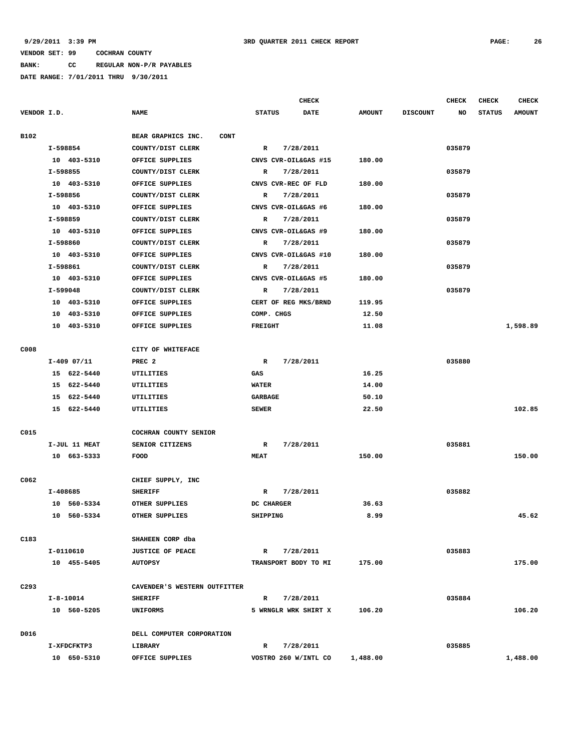**BANK: CC REGULAR NON-P/R PAYABLES**

|                  |          |               |                                   |                | <b>CHECK</b>         |               |                 | <b>CHECK</b> | CHECK         | <b>CHECK</b>  |
|------------------|----------|---------------|-----------------------------------|----------------|----------------------|---------------|-----------------|--------------|---------------|---------------|
| VENDOR I.D.      |          |               | <b>NAME</b>                       | <b>STATUS</b>  | <b>DATE</b>          | <b>AMOUNT</b> | <b>DISCOUNT</b> | NO           | <b>STATUS</b> | <b>AMOUNT</b> |
| B102             |          |               | BEAR GRAPHICS INC.<br><b>CONT</b> |                |                      |               |                 |              |               |               |
|                  |          | I-598854      | COUNTY/DIST CLERK                 | R              | 7/28/2011            |               |                 | 035879       |               |               |
|                  |          | 10 403-5310   | OFFICE SUPPLIES                   |                | CNVS CVR-OIL&GAS #15 | 180.00        |                 |              |               |               |
|                  |          | I-598855      | COUNTY/DIST CLERK                 | $\mathbb{R}$   | 7/28/2011            |               |                 | 035879       |               |               |
|                  |          | 10 403-5310   | OFFICE SUPPLIES                   |                | CNVS CVR-REC OF FLD  | 180.00        |                 |              |               |               |
|                  | I-598856 |               | COUNTY/DIST CLERK                 | $\mathbb{R}$   | 7/28/2011            |               |                 | 035879       |               |               |
|                  |          | 10 403-5310   | OFFICE SUPPLIES                   |                | CNVS CVR-OIL&GAS #6  | 180.00        |                 |              |               |               |
|                  |          | I-598859      | COUNTY/DIST CLERK                 | R              | 7/28/2011            |               |                 | 035879       |               |               |
|                  |          | 10 403-5310   | OFFICE SUPPLIES                   |                | CNVS CVR-OIL&GAS #9  | 180.00        |                 |              |               |               |
|                  | I-598860 |               | COUNTY/DIST CLERK                 | R              | 7/28/2011            |               |                 | 035879       |               |               |
|                  |          | 10 403-5310   | OFFICE SUPPLIES                   |                | CNVS CVR-OIL&GAS #10 | 180.00        |                 |              |               |               |
|                  | I-598861 |               | COUNTY/DIST CLERK                 | R              | 7/28/2011            |               |                 | 035879       |               |               |
|                  |          | 10 403-5310   | OFFICE SUPPLIES                   |                | CNVS CVR-OIL&GAS #5  | 180.00        |                 |              |               |               |
|                  |          | I-599048      | COUNTY/DIST CLERK                 | R              | 7/28/2011            |               |                 | 035879       |               |               |
|                  |          | 10 403-5310   | OFFICE SUPPLIES                   |                | CERT OF REG MKS/BRND | 119.95        |                 |              |               |               |
|                  |          | 10 403-5310   | OFFICE SUPPLIES                   | COMP. CHGS     |                      | 12.50         |                 |              |               |               |
|                  |          | 10 403-5310   | OFFICE SUPPLIES                   | <b>FREIGHT</b> |                      | 11.08         |                 |              |               | 1,598.89      |
| C008             |          |               | CITY OF WHITEFACE                 |                |                      |               |                 |              |               |               |
|                  |          | $I-409$ 07/11 | PREC <sub>2</sub>                 | R              | 7/28/2011            |               |                 | 035880       |               |               |
|                  |          | 15 622-5440   | UTILITIES                         | GAS            |                      | 16.25         |                 |              |               |               |
|                  |          | 15 622-5440   | UTILITIES                         | <b>WATER</b>   |                      | 14.00         |                 |              |               |               |
|                  |          | 15 622-5440   | UTILITIES                         | <b>GARBAGE</b> |                      | 50.10         |                 |              |               |               |
|                  |          | 15 622-5440   | UTILITIES                         | <b>SEWER</b>   |                      | 22.50         |                 |              |               | 102.85        |
| C015             |          |               | COCHRAN COUNTY SENIOR             |                |                      |               |                 |              |               |               |
|                  |          | I-JUL 11 MEAT | SENIOR CITIZENS                   | R              | 7/28/2011            |               |                 | 035881       |               |               |
|                  |          | 10 663-5333   | FOOD                              | <b>MEAT</b>    |                      | 150.00        |                 |              |               | 150.00        |
| C062             |          |               | CHIEF SUPPLY, INC                 |                |                      |               |                 |              |               |               |
|                  |          | I-408685      | <b>SHERIFF</b>                    | R              | 7/28/2011            |               |                 | 035882       |               |               |
|                  |          | 10 560-5334   | OTHER SUPPLIES                    | DC CHARGER     |                      | 36.63         |                 |              |               |               |
|                  |          | 10 560-5334   | OTHER SUPPLIES                    | SHIPPING       |                      | 8.99          |                 |              |               | 45.62         |
|                  |          |               |                                   |                |                      |               |                 |              |               |               |
| C183             |          |               | SHAHEEN CORP dba                  |                |                      |               |                 |              |               |               |
|                  |          | I-0110610     | <b>JUSTICE OF PEACE</b>           | $\mathbb{R}$   | 7/28/2011            |               |                 | 035883       |               |               |
|                  |          | 10 455-5405   | <b>AUTOPSY</b>                    |                | TRANSPORT BODY TO MI | 175.00        |                 |              |               | 175.00        |
| C <sub>293</sub> |          |               | CAVENDER'S WESTERN OUTFITTER      |                |                      |               |                 |              |               |               |
|                  |          | I-8-10014     | <b>SHERIFF</b>                    | R              | 7/28/2011            |               |                 | 035884       |               |               |
|                  |          | 10 560-5205   | UNIFORMS                          |                | 5 WRNGLR WRK SHIRT X | 106.20        |                 |              |               | 106.20        |
| D016             |          |               | DELL COMPUTER CORPORATION         |                |                      |               |                 |              |               |               |
|                  |          | I-XFDCFKTP3   | <b>LIBRARY</b>                    | R              | 7/28/2011            |               |                 | 035885       |               |               |
|                  |          | 10 650-5310   | OFFICE SUPPLIES                   |                | VOSTRO 260 W/INTL CO | 1,488.00      |                 |              |               | 1,488.00      |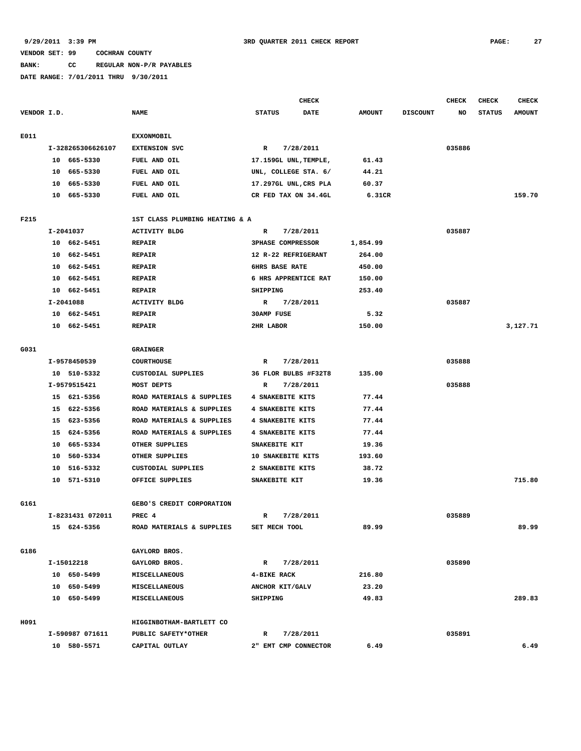## **BANK: CC REGULAR NON-P/R PAYABLES**

|             |    |                   |                                |                       | <b>CHECK</b>             |               |                 | <b>CHECK</b> | <b>CHECK</b>  | <b>CHECK</b>  |
|-------------|----|-------------------|--------------------------------|-----------------------|--------------------------|---------------|-----------------|--------------|---------------|---------------|
| VENDOR I.D. |    |                   | <b>NAME</b>                    | <b>STATUS</b><br>DATE |                          | <b>AMOUNT</b> | <b>DISCOUNT</b> | NO           | <b>STATUS</b> | <b>AMOUNT</b> |
| E011        |    |                   | <b>EXXONMOBIL</b>              |                       |                          |               |                 |              |               |               |
|             |    | I-328265306626107 | <b>EXTENSION SVC</b>           | R                     | 7/28/2011                |               |                 | 035886       |               |               |
|             |    | 10 665-5330       | FUEL AND OIL                   |                       | 17.159GL UNL, TEMPLE,    | 61.43         |                 |              |               |               |
|             | 10 | 665-5330          | FUEL AND OIL                   |                       | UNL, COLLEGE STA. 6/     | 44.21         |                 |              |               |               |
|             | 10 | 665-5330          | FUEL AND OIL                   |                       | 17.297GL UNL, CRS PLA    | 60.37         |                 |              |               |               |
|             |    | 10 665-5330       | FUEL AND OIL                   |                       | CR FED TAX ON 34.4GL     | 6.31CR        |                 |              |               | 159.70        |
|             |    |                   |                                |                       |                          |               |                 |              |               |               |
| F215        |    |                   | 1ST CLASS PLUMBING HEATING & A |                       |                          |               |                 |              |               |               |
|             |    | I-2041037         | <b>ACTIVITY BLDG</b>           | R                     | 7/28/2011                |               |                 | 035887       |               |               |
|             |    | 10 662-5451       | <b>REPAIR</b>                  |                       | <b>3PHASE COMPRESSOR</b> | 1,854.99      |                 |              |               |               |
|             |    | 10 662-5451       | <b>REPAIR</b>                  |                       | 12 R-22 REFRIGERANT      | 264.00        |                 |              |               |               |
|             |    | 10 662-5451       | <b>REPAIR</b>                  |                       | <b>6HRS BASE RATE</b>    | 450.00        |                 |              |               |               |
|             |    | 10 662-5451       | <b>REPAIR</b>                  |                       | 6 HRS APPRENTICE RAT     | 150.00        |                 |              |               |               |
|             |    | 10 662-5451       | <b>REPAIR</b>                  | <b>SHIPPING</b>       |                          | 253.40        |                 |              |               |               |
|             |    | I-2041088         | <b>ACTIVITY BLDG</b>           | R                     | 7/28/2011                |               |                 | 035887       |               |               |
|             |    | 10 662-5451       | <b>REPAIR</b>                  | <b>30AMP FUSE</b>     |                          | 5.32          |                 |              |               |               |
|             |    | 10 662-5451       | <b>REPAIR</b>                  | 2HR LABOR             |                          | 150.00        |                 |              |               | 3,127.71      |
| G031        |    |                   | <b>GRAINGER</b>                |                       |                          |               |                 |              |               |               |
|             |    | I-9578450539      | <b>COURTHOUSE</b>              | R                     | 7/28/2011                |               |                 | 035888       |               |               |
|             |    | 10 510-5332       | CUSTODIAL SUPPLIES             |                       | 36 FLOR BULBS #F32T8     | 135.00        |                 |              |               |               |
|             |    | I-9579515421      | MOST DEPTS                     | R                     | 7/28/2011                |               |                 | 035888       |               |               |
|             |    | 15 621-5356       | ROAD MATERIALS & SUPPLIES      |                       | 4 SNAKEBITE KITS         | 77.44         |                 |              |               |               |
|             |    | 15 622-5356       | ROAD MATERIALS & SUPPLIES      |                       | 4 SNAKEBITE KITS         | 77.44         |                 |              |               |               |
|             |    |                   |                                |                       |                          |               |                 |              |               |               |
|             |    | 15 623-5356       | ROAD MATERIALS & SUPPLIES      |                       | 4 SNAKEBITE KITS         | 77.44         |                 |              |               |               |
|             |    | 15 624-5356       | ROAD MATERIALS & SUPPLIES      |                       | 4 SNAKEBITE KITS         | 77.44         |                 |              |               |               |
|             | 10 | 665–5334          | OTHER SUPPLIES                 |                       | SNAKEBITE KIT            | 19.36         |                 |              |               |               |
|             | 10 | 560-5334          | OTHER SUPPLIES                 |                       | 10 SNAKEBITE KITS        | 193.60        |                 |              |               |               |
|             | 10 | 516-5332          | CUSTODIAL SUPPLIES             |                       | 2 SNAKEBITE KITS         | 38.72         |                 |              |               |               |
|             |    | 10 571-5310       | OFFICE SUPPLIES                |                       | SNAKEBITE KIT            | 19.36         |                 |              |               | 715.80        |
| G161        |    |                   | GEBO'S CREDIT CORPORATION      |                       |                          |               |                 |              |               |               |
|             |    | I-8231431 072011  | PREC 4                         | R                     | 7/28/2011                |               |                 | 035889       |               |               |
|             |    | 15 624-5356       | ROAD MATERIALS & SUPPLIES      |                       | SET MECH TOOL            | 89.99         |                 |              |               | 89.99         |
|             |    |                   |                                |                       |                          |               |                 |              |               |               |
| G186        |    |                   | GAYLORD BROS.                  |                       |                          |               |                 |              |               |               |
|             |    | I-15012218        | GAYLORD BROS.                  | R                     | 7/28/2011                |               |                 | 035890       |               |               |
|             |    | 10 650-5499       | MISCELLANEOUS                  | 4-BIKE RACK           |                          | 216.80        |                 |              |               |               |
|             |    | 10 650-5499       | MISCELLANEOUS                  |                       | ANCHOR KIT/GALV          | 23.20         |                 |              |               |               |
|             |    | 10 650-5499       | <b>MISCELLANEOUS</b>           | SHIPPING              |                          | 49.83         |                 |              |               | 289.83        |
| H091        |    |                   | HIGGINBOTHAM-BARTLETT CO       |                       |                          |               |                 |              |               |               |
|             |    | I-590987 071611   | PUBLIC SAFETY*OTHER            | R                     | 7/28/2011                |               |                 | 035891       |               |               |
|             |    | 10 580-5571       | CAPITAL OUTLAY                 |                       | 2" EMT CMP CONNECTOR     | 6.49          |                 |              |               | 6.49          |
|             |    |                   |                                |                       |                          |               |                 |              |               |               |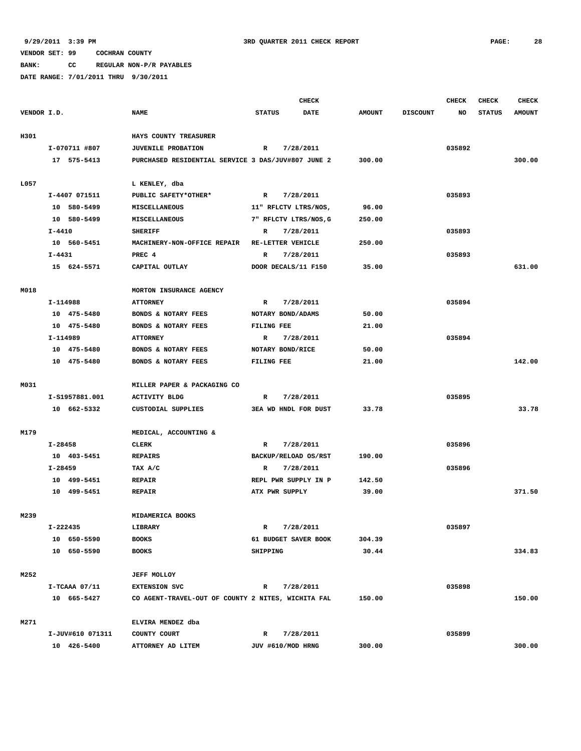**BANK: CC REGULAR NON-P/R PAYABLES**

|             |                  |                                                    | <b>CHECK</b>          |             |               |                 | CHECK  | <b>CHECK</b>  | <b>CHECK</b>  |
|-------------|------------------|----------------------------------------------------|-----------------------|-------------|---------------|-----------------|--------|---------------|---------------|
| VENDOR I.D. |                  | <b>NAME</b>                                        | <b>STATUS</b>         | <b>DATE</b> | <b>AMOUNT</b> | <b>DISCOUNT</b> | NO     | <b>STATUS</b> | <b>AMOUNT</b> |
|             |                  |                                                    |                       |             |               |                 |        |               |               |
| H301        |                  | HAYS COUNTY TREASURER                              |                       |             |               |                 |        |               |               |
|             | I-070711 #807    | <b>JUVENILE PROBATION</b>                          | R                     | 7/28/2011   |               |                 | 035892 |               |               |
|             | 17 575-5413      | PURCHASED RESIDENTIAL SERVICE 3 DAS/JUV#807 JUNE 2 |                       |             | 300.00        |                 |        |               | 300.00        |
|             |                  |                                                    |                       |             |               |                 |        |               |               |
| L057        |                  | L KENLEY, dba                                      |                       |             |               |                 |        |               |               |
|             | I-4407 071511    | PUBLIC SAFETY*OTHER*                               | $\mathbb{R}$          | 7/28/2011   |               |                 | 035893 |               |               |
|             | 10 580-5499      | MISCELLANEOUS                                      | 11" RFLCTV LTRS/NOS,  |             | 96.00         |                 |        |               |               |
|             | 10 580-5499      | <b>MISCELLANEOUS</b>                               | 7" RFLCTV LTRS/NOS, G |             | 250.00        |                 |        |               |               |
|             | $I - 4410$       | <b>SHERIFF</b>                                     | R                     | 7/28/2011   |               |                 | 035893 |               |               |
|             | 10 560-5451      | MACHINERY-NON-OFFICE REPAIR                        | RE-LETTER VEHICLE     |             | 250.00        |                 |        |               |               |
|             | I-4431           | PREC 4                                             | R                     | 7/28/2011   |               |                 | 035893 |               |               |
|             | 15 624-5571      | CAPITAL OUTLAY                                     | DOOR DECALS/11 F150   |             | 35.00         |                 |        |               | 631.00        |
|             |                  |                                                    |                       |             |               |                 |        |               |               |
| M018        |                  | MORTON INSURANCE AGENCY                            |                       |             |               |                 |        |               |               |
|             | I-114988         | <b>ATTORNEY</b>                                    | R                     | 7/28/2011   |               |                 | 035894 |               |               |
|             | 10 475-5480      | BONDS & NOTARY FEES                                | NOTARY BOND/ADAMS     |             | 50.00         |                 |        |               |               |
|             | 10 475-5480      | BONDS & NOTARY FEES                                | FILING FEE            |             | 21.00         |                 |        |               |               |
|             | I-114989         | <b>ATTORNEY</b>                                    | $\mathbb{R}$          | 7/28/2011   |               |                 | 035894 |               |               |
|             | 10 475-5480      | BONDS & NOTARY FEES                                | NOTARY BOND/RICE      |             | 50.00         |                 |        |               |               |
|             | 10 475-5480      | BONDS & NOTARY FEES                                | FILING FEE            |             | 21.00         |                 |        |               | 142.00        |
|             |                  |                                                    |                       |             |               |                 |        |               |               |
| M031        |                  | MILLER PAPER & PACKAGING CO                        |                       |             |               |                 |        |               |               |
|             | I-S1957881.001   | <b>ACTIVITY BLDG</b>                               | R                     | 7/28/2011   |               |                 | 035895 |               |               |
|             | 10 662-5332      | CUSTODIAL SUPPLIES                                 | 3EA WD HNDL FOR DUST  |             | 33.78         |                 |        |               | 33.78         |
|             |                  |                                                    |                       |             |               |                 |        |               |               |
| M179        |                  | MEDICAL, ACCOUNTING &                              |                       |             |               |                 |        |               |               |
|             | I-28458          | <b>CLERK</b>                                       | R                     | 7/28/2011   |               |                 | 035896 |               |               |
|             | 10 403-5451      | <b>REPAIRS</b>                                     | BACKUP/RELOAD OS/RST  |             | 190.00        |                 |        |               |               |
|             | I-28459          | TAX A/C                                            | R                     | 7/28/2011   |               |                 | 035896 |               |               |
|             | 10 499-5451      | <b>REPAIR</b>                                      | REPL PWR SUPPLY IN P  |             | 142.50        |                 |        |               |               |
|             | 10 499-5451      | <b>REPAIR</b>                                      | ATX PWR SUPPLY        |             | 39.00         |                 |        |               | 371.50        |
|             |                  |                                                    |                       |             |               |                 |        |               |               |
| M239        |                  | MIDAMERICA BOOKS                                   |                       |             |               |                 |        |               |               |
|             | I-222435         | LIBRARY                                            | R                     | 7/28/2011   |               |                 | 035897 |               |               |
|             | 10 650-5590      | <b>BOOKS</b>                                       | 61 BUDGET SAVER BOOK  |             | 304.39        |                 |        |               |               |
|             | 10 650-5590      | <b>BOOKS</b>                                       | SHIPPING              |             | 30.44         |                 |        |               | 334.83        |
|             |                  |                                                    |                       |             |               |                 |        |               |               |
| M252        |                  | <b>JEFF MOLLOY</b>                                 |                       |             |               |                 |        |               |               |
|             | $I-TCAAA$ 07/11  | <b>EXTENSION SVC</b>                               | $\mathbb{R}$          | 7/28/2011   |               |                 | 035898 |               |               |
|             | 10 665-5427      | CO AGENT-TRAVEL-OUT OF COUNTY 2 NITES, WICHITA FAL |                       |             | 150.00        |                 |        |               | 150.00        |
|             |                  |                                                    |                       |             |               |                 |        |               |               |
| M271        |                  | ELVIRA MENDEZ dba                                  |                       |             |               |                 |        |               |               |
|             | I-JUV#610 071311 | COUNTY COURT                                       | R                     | 7/28/2011   |               |                 | 035899 |               |               |
|             | 10 426-5400      | ATTORNEY AD LITEM                                  | JUV #610/MOD HRNG     |             | 300.00        |                 |        |               | 300.00        |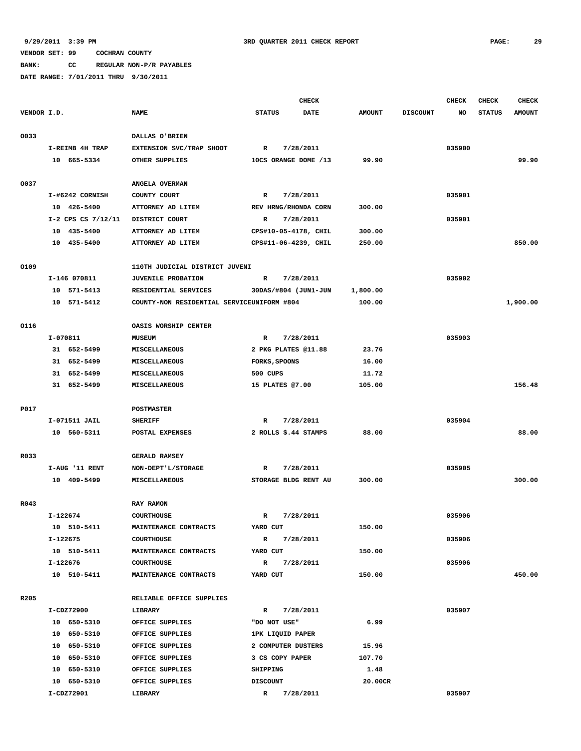**BANK: CC REGULAR NON-P/R PAYABLES**

|             |                    |                                                                    |                      | <b>CHECK</b> |                    |                 | <b>CHECK</b> | <b>CHECK</b>  | <b>CHECK</b>  |
|-------------|--------------------|--------------------------------------------------------------------|----------------------|--------------|--------------------|-----------------|--------------|---------------|---------------|
| VENDOR I.D. |                    | <b>NAME</b>                                                        | <b>STATUS</b>        | <b>DATE</b>  | <b>AMOUNT</b>      | <b>DISCOUNT</b> | NO           | <b>STATUS</b> | <b>AMOUNT</b> |
| 0033        |                    | DALLAS O'BRIEN                                                     |                      |              |                    |                 |              |               |               |
|             | I-REIMB 4H TRAP    | EXTENSION SVC/TRAP SHOOT                                           | $\mathbb{R}$         | 7/28/2011    |                    |                 | 035900       |               |               |
|             | 10 665-5334        | OTHER SUPPLIES                                                     | 10CS ORANGE DOME /13 |              | 99.90              |                 |              |               | 99.90         |
|             |                    |                                                                    |                      |              |                    |                 |              |               |               |
| 0037        |                    | ANGELA OVERMAN                                                     |                      |              |                    |                 |              |               |               |
|             | I-#6242 CORNISH    | COUNTY COURT                                                       | R                    | 7/28/2011    |                    |                 | 035901       |               |               |
|             | 10 426-5400        | ATTORNEY AD LITEM                                                  | REV HRNG/RHONDA CORN |              | 300.00             |                 |              |               |               |
|             | I-2 CPS CS 7/12/11 | DISTRICT COURT                                                     | $\mathbb{R}$         | 7/28/2011    |                    |                 | 035901       |               |               |
|             | 10 435-5400        | ATTORNEY AD LITEM                                                  | CPS#10-05-4178, CHIL |              | 300.00             |                 |              |               |               |
|             | 10 435-5400        | ATTORNEY AD LITEM                                                  | CPS#11-06-4239, CHIL |              | 250.00             |                 |              |               | 850.00        |
| 0109        |                    | 110TH JUDICIAL DISTRICT JUVENI                                     |                      |              |                    |                 |              |               |               |
|             | I-146 070811       | <b>JUVENILE PROBATION</b>                                          | R                    | 7/28/2011    |                    |                 | 035902       |               |               |
|             | 10 571-5413        |                                                                    |                      |              |                    |                 |              |               |               |
|             | 10 571-5412        | RESIDENTIAL SERVICES<br>COUNTY-NON RESIDENTIAL SERVICEUNIFORM #804 | 30DAS/#804 (JUN1-JUN |              | 1,800.00<br>100.00 |                 |              |               | 1,900.00      |
|             |                    |                                                                    |                      |              |                    |                 |              |               |               |
| 0116        |                    | OASIS WORSHIP CENTER                                               |                      |              |                    |                 |              |               |               |
|             | I-070811           | MUSEUM                                                             | $\mathbb{R}$         | 7/28/2011    |                    |                 | 035903       |               |               |
|             | 31 652-5499        | MISCELLANEOUS                                                      | 2 PKG PLATES @11.88  |              | 23.76              |                 |              |               |               |
|             | 31 652-5499        | MISCELLANEOUS                                                      | FORKS, SPOONS        |              | 16.00              |                 |              |               |               |
|             | 31 652-5499        | MISCELLANEOUS                                                      | 500 CUPS             |              | 11.72              |                 |              |               |               |
|             | 31 652-5499        | MISCELLANEOUS                                                      | 15 PLATES @7.00      |              | 105.00             |                 |              |               | 156.48        |
|             |                    |                                                                    |                      |              |                    |                 |              |               |               |
| P017        |                    | <b>POSTMASTER</b>                                                  |                      |              |                    |                 |              |               |               |
|             | I-071511 JAIL      | <b>SHERIFF</b>                                                     | $\mathbf R$          | 7/28/2011    |                    |                 | 035904       |               |               |
|             | 10 560-5311        | POSTAL EXPENSES                                                    | 2 ROLLS \$.44 STAMPS |              | 88.00              |                 |              |               | 88.00         |
| R033        |                    | <b>GERALD RAMSEY</b>                                               |                      |              |                    |                 |              |               |               |
|             | I-AUG '11 RENT     | NON-DEPT'L/STORAGE                                                 | R                    | 7/28/2011    |                    |                 | 035905       |               |               |
|             | 10 409-5499        | MISCELLANEOUS                                                      | STORAGE BLDG RENT AU |              | 300.00             |                 |              |               | 300.00        |
|             |                    |                                                                    |                      |              |                    |                 |              |               |               |
| R043        |                    | <b>RAY RAMON</b>                                                   |                      |              |                    |                 |              |               |               |
|             | I-122674           | <b>COURTHOUSE</b>                                                  | $\mathbb{R}$         | 7/28/2011    |                    |                 | 035906       |               |               |
|             | 10 510-5411        | MAINTENANCE CONTRACTS                                              | YARD CUT             |              | 150.00             |                 |              |               |               |
|             | I-122675           | <b>COURTHOUSE</b>                                                  | $\mathbb{R}$         | 7/28/2011    |                    |                 | 035906       |               |               |
|             | 10 510-5411        | MAINTENANCE CONTRACTS                                              | YARD CUT             |              | 150.00             |                 |              |               |               |
|             | I-122676           | <b>COURTHOUSE</b>                                                  | R                    | 7/28/2011    |                    |                 | 035906       |               |               |
|             | 10 510-5411        | MAINTENANCE CONTRACTS                                              | YARD CUT             |              | 150.00             |                 |              |               | 450.00        |
| R205        |                    | RELIABLE OFFICE SUPPLIES                                           |                      |              |                    |                 |              |               |               |
|             | I-CDZ72900         | LIBRARY                                                            | R                    | 7/28/2011    |                    |                 | 035907       |               |               |
|             | 10 650-5310        | OFFICE SUPPLIES                                                    | "DO NOT USE"         |              | 6.99               |                 |              |               |               |
|             | 10 650-5310        | OFFICE SUPPLIES                                                    | 1PK LIQUID PAPER     |              |                    |                 |              |               |               |
|             | 10 650-5310        | OFFICE SUPPLIES                                                    | 2 COMPUTER DUSTERS   |              | 15.96              |                 |              |               |               |
|             | 10 650-5310        | OFFICE SUPPLIES                                                    | 3 CS COPY PAPER      |              | 107.70             |                 |              |               |               |
|             | 10 650-5310        | OFFICE SUPPLIES                                                    | SHIPPING             |              | 1.48               |                 |              |               |               |
|             | 10 650-5310        | OFFICE SUPPLIES                                                    | <b>DISCOUNT</b>      |              | 20.00CR            |                 |              |               |               |
|             | I-CDZ72901         | LIBRARY                                                            | $\mathbb{R}$         | 7/28/2011    |                    |                 | 035907       |               |               |
|             |                    |                                                                    |                      |              |                    |                 |              |               |               |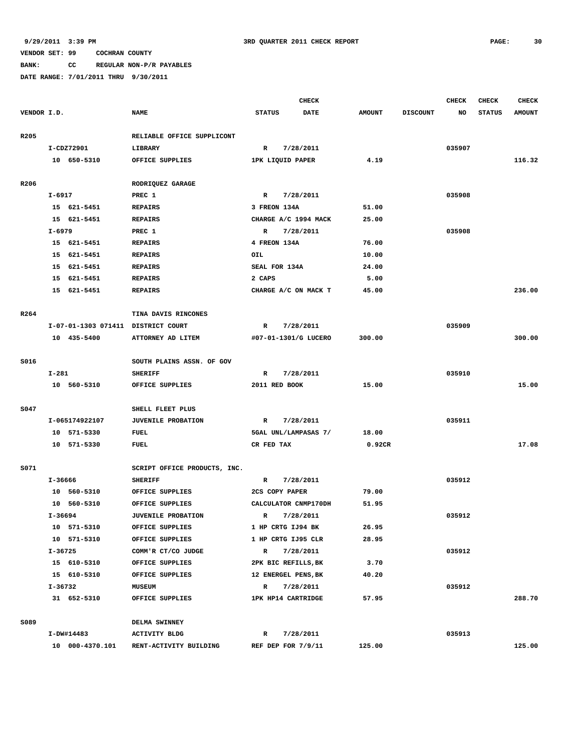**BANK: CC REGULAR NON-P/R PAYABLES**

|             |           |                                    |                              |                              | <b>CHECK</b>         |               |                 | <b>CHECK</b> | <b>CHECK</b>  | CHECK         |
|-------------|-----------|------------------------------------|------------------------------|------------------------------|----------------------|---------------|-----------------|--------------|---------------|---------------|
| VENDOR I.D. |           |                                    | <b>NAME</b>                  | <b>STATUS</b><br><b>DATE</b> |                      | <b>AMOUNT</b> | <b>DISCOUNT</b> | NO           | <b>STATUS</b> | <b>AMOUNT</b> |
| R205        |           |                                    | RELIABLE OFFICE SUPPLICONT   |                              |                      |               |                 |              |               |               |
|             |           | I-CDZ72901                         | LIBRARY                      | $\mathbb{R}$<br>7/28/2011    |                      |               |                 | 035907       |               |               |
|             |           | 10 650-5310                        | OFFICE SUPPLIES              | 1PK LIQUID PAPER             |                      | 4.19          |                 |              |               | 116.32        |
| R206        |           |                                    | RODRIQUEZ GARAGE             |                              |                      |               |                 |              |               |               |
|             | I-6917    |                                    | PREC 1                       | $\mathbb{R}$                 | 7/28/2011            |               |                 | 035908       |               |               |
|             |           | 15 621-5451                        | <b>REPAIRS</b>               | 3 FREON 134A                 |                      | 51.00         |                 |              |               |               |
|             |           | 15 621-5451                        | <b>REPAIRS</b>               |                              | CHARGE A/C 1994 MACK | 25.00         |                 |              |               |               |
|             | I-6979    |                                    | PREC 1                       | $\mathbb{R}$                 | 7/28/2011            |               |                 | 035908       |               |               |
|             |           | 15 621-5451                        | <b>REPAIRS</b>               | 4 FREON 134A                 |                      | 76.00         |                 |              |               |               |
|             |           | 15 621-5451                        | <b>REPAIRS</b>               | OIL                          |                      | 10.00         |                 |              |               |               |
|             |           | 15 621-5451                        | <b>REPAIRS</b>               |                              | SEAL FOR 134A        | 24.00         |                 |              |               |               |
|             |           | 15 621-5451                        | <b>REPAIRS</b>               | 2 CAPS                       |                      | 5.00          |                 |              |               |               |
|             |           | 15 621-5451                        | <b>REPAIRS</b>               |                              | CHARGE A/C ON MACK T | 45.00         |                 |              |               | 236.00        |
|             |           |                                    |                              |                              |                      |               |                 |              |               |               |
| R264        |           |                                    | TINA DAVIS RINCONES          |                              |                      |               |                 |              |               |               |
|             |           | I-07-01-1303 071411 DISTRICT COURT |                              | $\mathbb{R}$                 | 7/28/2011            |               |                 | 035909       |               |               |
|             |           | 10 435-5400                        | ATTORNEY AD LITEM            |                              | #07-01-1301/G LUCERO | 300.00        |                 |              |               | 300.00        |
|             |           |                                    |                              |                              |                      |               |                 |              |               |               |
| S016        |           |                                    | SOUTH PLAINS ASSN. OF GOV    |                              |                      |               |                 |              |               |               |
|             | I-281     |                                    | <b>SHERIFF</b>               | R                            | 7/28/2011            |               |                 | 035910       |               |               |
|             |           | 10 560-5310                        | OFFICE SUPPLIES              |                              | 2011 RED BOOK        | 15.00         |                 |              |               | 15.00         |
|             |           |                                    |                              |                              |                      |               |                 |              |               |               |
| S047        |           |                                    | SHELL FLEET PLUS             |                              |                      |               |                 |              |               |               |
|             |           | I-065174922107                     | <b>JUVENILE PROBATION</b>    | R                            | 7/28/2011            |               |                 | 035911       |               |               |
|             |           | 10 571-5330                        | <b>FUEL</b>                  |                              | 5GAL UNL/LAMPASAS 7/ | 18.00         |                 |              |               |               |
|             |           | 10 571-5330                        | FUEL                         | CR FED TAX                   |                      | 0.92CR        |                 |              |               | 17.08         |
| S071        |           |                                    | SCRIPT OFFICE PRODUCTS, INC. |                              |                      |               |                 |              |               |               |
|             |           |                                    | <b>SHERIFF</b>               | R                            |                      |               |                 | 035912       |               |               |
|             | I-36666   | 10 560-5310                        |                              |                              | 7/28/2011            | 79.00         |                 |              |               |               |
|             |           | 10 560-5310                        | OFFICE SUPPLIES              |                              | 2CS COPY PAPER       |               |                 |              |               |               |
|             |           |                                    | OFFICE SUPPLIES              |                              | CALCULATOR CNMP170DH | 51.95         |                 |              |               |               |
|             | $I-36694$ |                                    | <b>JUVENILE PROBATION</b>    | R                            | 7/28/2011            |               |                 | 035912       |               |               |
|             |           | 10 571-5310                        | OFFICE SUPPLIES              |                              | 1 HP CRTG IJ94 BK    | 26.95         |                 |              |               |               |
|             |           | 10 571-5310                        | OFFICE SUPPLIES              |                              | 1 HP CRTG IJ95 CLR   | 28.95         |                 |              |               |               |
|             | I-36725   |                                    | COMM'R CT/CO JUDGE           |                              | R 7/28/2011          |               |                 | 035912       |               |               |
|             |           | 15 610-5310                        | OFFICE SUPPLIES              |                              | 2PK BIC REFILLS, BK  | 3.70          |                 |              |               |               |
|             |           | 15 610-5310                        | OFFICE SUPPLIES              |                              | 12 ENERGEL PENS, BK  | 40.20         |                 |              |               |               |
|             |           | I-36732                            | <b>MUSEUM</b>                |                              | R 7/28/2011          |               |                 | 035912       |               |               |
|             |           | 31 652-5310                        | OFFICE SUPPLIES              |                              | 1PK HP14 CARTRIDGE   | 57.95         |                 |              |               | 288.70        |
| S089        |           |                                    | DELMA SWINNEY                |                              |                      |               |                 |              |               |               |
|             |           | I-DW#14483                         | <b>ACTIVITY BLDG</b>         |                              | R 7/28/2011          |               |                 | 035913       |               |               |
|             |           | 10 000-4370.101                    | RENT-ACTIVITY BUILDING       |                              | REF DEP FOR 7/9/11   | 125.00        |                 |              |               | 125.00        |
|             |           |                                    |                              |                              |                      |               |                 |              |               |               |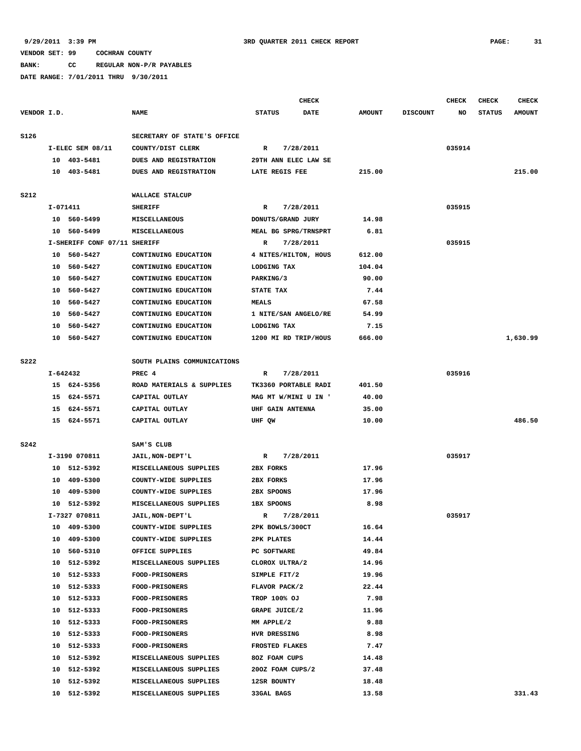**BANK: CC REGULAR NON-P/R PAYABLES**

|             |          |                              |                             |                      | <b>CHECK</b> |               |                 | <b>CHECK</b> | <b>CHECK</b>  | <b>CHECK</b>  |
|-------------|----------|------------------------------|-----------------------------|----------------------|--------------|---------------|-----------------|--------------|---------------|---------------|
| VENDOR I.D. |          |                              | <b>NAME</b>                 | <b>STATUS</b>        | <b>DATE</b>  | <b>AMOUNT</b> | <b>DISCOUNT</b> | NO           | <b>STATUS</b> | <b>AMOUNT</b> |
| S126        |          |                              | SECRETARY OF STATE'S OFFICE |                      |              |               |                 |              |               |               |
|             |          | I-ELEC SEM 08/11             | COUNTY/DIST CLERK           | R                    | 7/28/2011    |               |                 | 035914       |               |               |
|             |          | 10 403-5481                  | DUES AND REGISTRATION       | 29TH ANN ELEC LAW SE |              |               |                 |              |               |               |
|             |          | 10 403-5481                  | DUES AND REGISTRATION       | LATE REGIS FEE       |              | 215.00        |                 |              |               | 215.00        |
|             |          |                              |                             |                      |              |               |                 |              |               |               |
| <b>S212</b> |          |                              | WALLACE STALCUP             |                      |              |               |                 |              |               |               |
|             | I-071411 |                              | <b>SHERIFF</b>              | R                    | 7/28/2011    |               |                 | 035915       |               |               |
|             |          | 10 560-5499                  | MISCELLANEOUS               | DONUTS/GRAND JURY    |              | 14.98         |                 |              |               |               |
|             |          | 10 560-5499                  | MISCELLANEOUS               | MEAL BG SPRG/TRNSPRT |              | 6.81          |                 |              |               |               |
|             |          | I-SHERIFF CONF 07/11 SHERIFF |                             | $\mathbb{R}$         | 7/28/2011    |               |                 | 035915       |               |               |
|             |          | 10 560-5427                  | CONTINUING EDUCATION        | 4 NITES/HILTON, HOUS |              | 612.00        |                 |              |               |               |
|             |          | 10 560-5427                  | CONTINUING EDUCATION        | LODGING TAX          |              | 104.04        |                 |              |               |               |
|             |          | 10 560-5427                  | CONTINUING EDUCATION        | PARKING/3            |              | 90.00         |                 |              |               |               |
|             |          | 10 560-5427                  | CONTINUING EDUCATION        | STATE TAX            |              | 7.44          |                 |              |               |               |
|             | 10       | 560-5427                     | CONTINUING EDUCATION        | <b>MEALS</b>         |              | 67.58         |                 |              |               |               |
|             | 10       | 560-5427                     | CONTINUING EDUCATION        | 1 NITE/SAN ANGELO/RE |              | 54.99         |                 |              |               |               |
|             | 10       | 560-5427                     | CONTINUING EDUCATION        | LODGING TAX          |              | 7.15          |                 |              |               |               |
|             | 10       | 560-5427                     | CONTINUING EDUCATION        | 1200 MI RD TRIP/HOUS |              | 666.00        |                 |              |               | 1,630.99      |
|             |          |                              |                             |                      |              |               |                 |              |               |               |
| <b>S222</b> |          |                              | SOUTH PLAINS COMMUNICATIONS |                      |              |               |                 |              |               |               |
|             | I-642432 |                              | PREC 4                      | R                    | 7/28/2011    |               |                 | 035916       |               |               |
|             |          | 15 624-5356                  | ROAD MATERIALS & SUPPLIES   | TK3360 PORTABLE RADI |              | 401.50        |                 |              |               |               |
|             |          | 15 624-5571                  | CAPITAL OUTLAY              | MAG MT W/MINI U IN ' |              | 40.00         |                 |              |               |               |
|             |          | 15 624-5571                  | CAPITAL OUTLAY              | UHF GAIN ANTENNA     |              | 35.00         |                 |              |               |               |
|             |          | 15 624-5571                  | CAPITAL OUTLAY              | UHF QW               |              | 10.00         |                 |              |               | 486.50        |
| <b>S242</b> |          |                              | SAM'S CLUB                  |                      |              |               |                 |              |               |               |
|             |          | I-3190 070811                | JAIL, NON-DEPT'L            | R                    | 7/28/2011    |               |                 | 035917       |               |               |
|             |          | 10 512-5392                  | MISCELLANEOUS SUPPLIES      | 2BX FORKS            |              | 17.96         |                 |              |               |               |
|             |          | 10 409-5300                  | COUNTY-WIDE SUPPLIES        | 2BX FORKS            |              | 17.96         |                 |              |               |               |
|             | 10       | 409-5300                     | COUNTY-WIDE SUPPLIES        | 2BX SPOONS           |              | 17.96         |                 |              |               |               |
|             |          | 10 512-5392                  | MISCELLANEOUS SUPPLIES      | <b>1BX SPOONS</b>    |              | 8.98          |                 |              |               |               |
|             |          | I-7327 070811                | JAIL, NON-DEPT'L            | R                    | 7/28/2011    |               |                 | 035917       |               |               |
|             | 10       | 409-5300                     | COUNTY-WIDE SUPPLIES        | 2PK BOWLS/300CT      |              | 16.64         |                 |              |               |               |
|             |          | 10 409-5300                  | COUNTY-WIDE SUPPLIES        | 2PK PLATES           |              | 14.44         |                 |              |               |               |
|             |          | 10 560-5310                  | OFFICE SUPPLIES             | PC SOFTWARE          |              | 49.84         |                 |              |               |               |
|             | 10       | 512-5392                     | MISCELLANEOUS SUPPLIES      | CLOROX ULTRA/2       |              | 14.96         |                 |              |               |               |
|             |          | 10 512-5333                  | FOOD-PRISONERS              | SIMPLE FIT/2         |              | 19.96         |                 |              |               |               |
|             |          | 10 512-5333                  | <b>FOOD-PRISONERS</b>       | FLAVOR PACK/2        |              | 22.44         |                 |              |               |               |
|             | 10       | 512-5333                     | <b>FOOD-PRISONERS</b>       | <b>TROP 100% OJ</b>  |              | 7.98          |                 |              |               |               |
|             |          | 10 512-5333                  | FOOD-PRISONERS              | GRAPE JUICE/2        |              | 11.96         |                 |              |               |               |
|             | 10       | 512-5333                     | <b>FOOD-PRISONERS</b>       | MM APPLE/2           |              | 9.88          |                 |              |               |               |
|             | 10       | 512-5333                     | <b>FOOD-PRISONERS</b>       | HVR DRESSING         |              | 8.98          |                 |              |               |               |
|             |          | 10 512-5333                  | FOOD-PRISONERS              | FROSTED FLAKES       |              | 7.47          |                 |              |               |               |
|             |          | 10 512-5392                  | MISCELLANEOUS SUPPLIES      | 80Z FOAM CUPS        |              | 14.48         |                 |              |               |               |
|             |          | 10 512-5392                  | MISCELLANEOUS SUPPLIES      | 200Z FOAM CUPS/2     |              | 37.48         |                 |              |               |               |
|             |          | 10 512-5392                  | MISCELLANEOUS SUPPLIES      | 12SR BOUNTY          |              | 18.48         |                 |              |               |               |
|             |          | 10 512-5392                  | MISCELLANEOUS SUPPLIES      | 33GAL BAGS           |              | 13.58         |                 |              |               | 331.43        |
|             |          |                              |                             |                      |              |               |                 |              |               |               |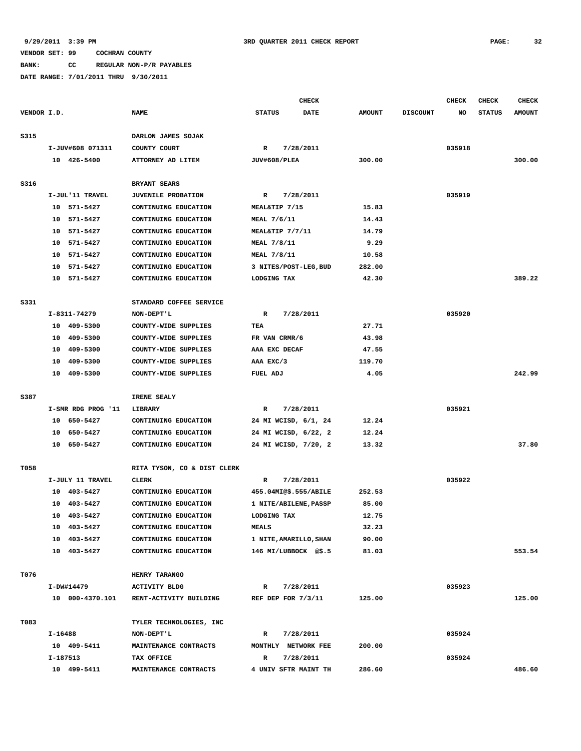### **VENDOR SET: 99 COCHRAN COUNTY BANK: CC REGULAR NON-P/R PAYABLES**

| VENDOR I.D. |                            |                                              | CHECK                        |                |                 | <b>CHECK</b> | CHECK         | <b>CHECK</b>  |
|-------------|----------------------------|----------------------------------------------|------------------------------|----------------|-----------------|--------------|---------------|---------------|
|             |                            | <b>NAME</b>                                  | <b>STATUS</b><br><b>DATE</b> | <b>AMOUNT</b>  | <b>DISCOUNT</b> | NO           | <b>STATUS</b> | <b>AMOUNT</b> |
| S315        |                            | DARLON JAMES SOJAK                           |                              |                |                 |              |               |               |
|             | I-JUV#608 071311           | COUNTY COURT                                 | $\mathbb{R}$<br>7/28/2011    |                |                 | 035918       |               |               |
|             | 10 426-5400                | ATTORNEY AD LITEM                            | JUV#608/PLEA                 | 300.00         |                 |              |               | 300.00        |
|             |                            |                                              |                              |                |                 |              |               |               |
| S316        |                            | BRYANT SEARS                                 |                              |                |                 |              |               |               |
|             | I-JUL'11 TRAVEL            | <b>JUVENILE PROBATION</b>                    | 7/28/2011<br>R               |                |                 | 035919       |               |               |
|             | 10 571-5427                | CONTINUING EDUCATION                         | MEAL&TIP 7/15                | 15.83          |                 |              |               |               |
|             | 10 571-5427                | CONTINUING EDUCATION                         | MEAL 7/6/11                  | 14.43          |                 |              |               |               |
|             | 10 571-5427                | CONTINUING EDUCATION                         | MEAL&TIP 7/7/11              | 14.79          |                 |              |               |               |
|             | 10<br>571-5427             | CONTINUING EDUCATION                         | MEAL 7/8/11                  | 9.29           |                 |              |               |               |
|             | 571-5427<br>10             | CONTINUING EDUCATION                         | MEAL 7/8/11                  | 10.58          |                 |              |               |               |
|             | 571-5427<br>10             | CONTINUING EDUCATION                         | 3 NITES/POST-LEG, BUD        | 282.00         |                 |              |               |               |
|             | 10<br>571-5427             | CONTINUING EDUCATION                         | LODGING TAX                  | 42.30          |                 |              |               | 389.22        |
| S331        |                            | STANDARD COFFEE SERVICE                      |                              |                |                 |              |               |               |
|             | I-8311-74279               | NON-DEPT'L                                   | $\mathbb{R}$<br>7/28/2011    |                |                 | 035920       |               |               |
|             | 10 409-5300                | COUNTY-WIDE SUPPLIES                         | TEA                          | 27.71          |                 |              |               |               |
|             | 10 409-5300                | COUNTY-WIDE SUPPLIES                         | FR VAN CRMR/6                | 43.98          |                 |              |               |               |
|             | 409-5300<br>10             | COUNTY-WIDE SUPPLIES                         | AAA EXC DECAF                | 47.55          |                 |              |               |               |
|             | 10<br>409-5300             | COUNTY-WIDE SUPPLIES                         | AAA EXC/3                    | 119.70         |                 |              |               |               |
|             | 10 409-5300                | COUNTY-WIDE SUPPLIES                         | FUEL ADJ                     | 4.05           |                 |              |               | 242.99        |
|             |                            |                                              |                              |                |                 |              |               |               |
| S387        |                            | IRENE SEALY                                  |                              |                |                 |              |               |               |
|             | I-SMR RDG PROG '11         | LIBRARY                                      | 7/28/2011<br>R               |                |                 | 035921       |               |               |
|             |                            |                                              |                              |                |                 |              |               |               |
|             | 10 650-5427                | CONTINUING EDUCATION                         | 24 MI WCISD, 6/1, 24         | 12.24          |                 |              |               |               |
|             | 10 650-5427                | CONTINUING EDUCATION                         | 24 MI WCISD, 6/22, 2         | 12.24          |                 |              |               |               |
|             | 10 650-5427                | CONTINUING EDUCATION                         | 24 MI WCISD, 7/20, 2         | 13.32          |                 |              |               | 37.80         |
|             |                            |                                              |                              |                |                 |              |               |               |
| T058        |                            | RITA TYSON, CO & DIST CLERK                  |                              |                |                 |              |               |               |
|             | I-JULY 11 TRAVEL           | <b>CLERK</b>                                 | 7/28/2011<br>R               |                |                 | 035922       |               |               |
|             | 10 403-5427<br>10          | CONTINUING EDUCATION                         | 455.04MI@\$.555/ABILE        | 252.53         |                 |              |               |               |
|             | 403-5427<br>10 403-5427    | CONTINUING EDUCATION                         | 1 NITE/ABILENE, PASSP        | 85.00<br>12.75 |                 |              |               |               |
|             |                            | CONTINUING EDUCATION                         | LODGING TAX<br><b>MEALS</b>  | 32.23          |                 |              |               |               |
|             | 10 403-5427<br>10 403-5427 | CONTINUING EDUCATION<br>CONTINUING EDUCATION | 1 NITE, AMARILLO, SHAN       | 90.00          |                 |              |               |               |
|             | 10 403-5427                | CONTINUING EDUCATION                         | 146 MI/LUBBOCK @\$.5         | 81.03          |                 |              |               | 553.54        |
|             |                            |                                              |                              |                |                 |              |               |               |
| T076        |                            | HENRY TARANGO                                |                              |                |                 |              |               |               |
|             | I-DW#14479                 | <b>ACTIVITY BLDG</b>                         | 7/28/2011<br>R               |                |                 | 035923       |               |               |
|             | 10 000-4370.101            | RENT-ACTIVITY BUILDING                       | REF DEP FOR 7/3/11           | 125.00         |                 |              |               | 125.00        |
| T083        |                            | TYLER TECHNOLOGIES, INC                      |                              |                |                 |              |               |               |
|             | I-16488                    | NON-DEPT'L                                   | $\mathbb{R}$<br>7/28/2011    |                |                 | 035924       |               |               |
|             | 10 409-5411                | MAINTENANCE CONTRACTS                        | MONTHLY NETWORK FEE          | 200.00         |                 |              |               |               |
|             | I-187513                   | TAX OFFICE                                   | 7/28/2011<br>R               |                |                 | 035924       |               |               |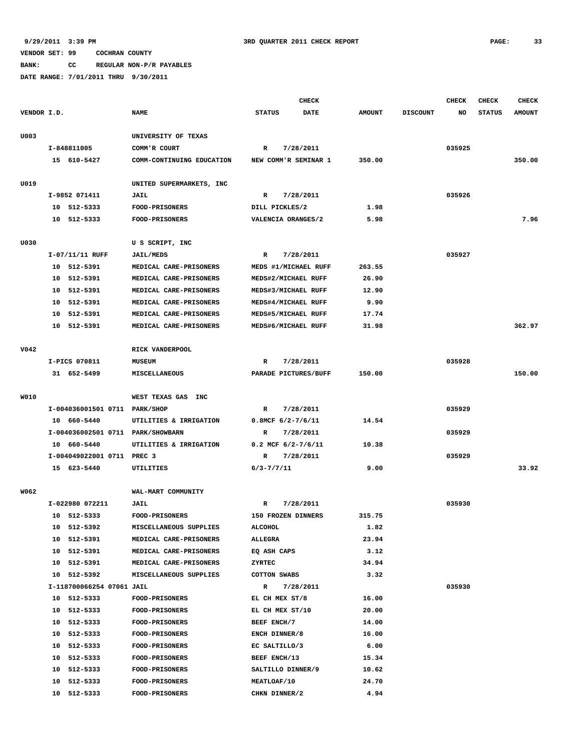# **9/29/2011 3:39 PM 3RD QUARTER 2011 CHECK REPORT PAGE: 33**

### **VENDOR SET: 99 COCHRAN COUNTY**

**BANK: CC REGULAR NON-P/R PAYABLES**

|             |                 |                               |                                   |                          | <b>CHECK</b>         |               |                 | <b>CHECK</b> | <b>CHECK</b>  | <b>CHECK</b>  |
|-------------|-----------------|-------------------------------|-----------------------------------|--------------------------|----------------------|---------------|-----------------|--------------|---------------|---------------|
| VENDOR I.D. |                 |                               | <b>NAME</b>                       | <b>STATUS</b>            | <b>DATE</b>          | <b>AMOUNT</b> | <b>DISCOUNT</b> | NO           | <b>STATUS</b> | <b>AMOUNT</b> |
| U003        |                 |                               | UNIVERSITY OF TEXAS               |                          |                      |               |                 |              |               |               |
|             | I-848811005     |                               | COMM'R COURT                      | R                        | 7/28/2011            |               |                 | 035925       |               |               |
|             | 15 610-5427     |                               | COMM-CONTINUING EDUCATION         |                          | NEW COMM'R SEMINAR 1 | 350.00        |                 |              |               | 350.00        |
| U019        |                 |                               | UNITED SUPERMARKETS, INC          |                          |                      |               |                 |              |               |               |
|             | I-9852 071411   |                               | <b>JAIL</b>                       | R                        | 7/28/2011            |               |                 | 035926       |               |               |
|             | 10 512-5333     |                               | <b>FOOD-PRISONERS</b>             | DILL PICKLES/2           |                      | 1.98          |                 |              |               |               |
|             | 10 512-5333     |                               | <b>FOOD-PRISONERS</b>             | VALENCIA ORANGES/2       |                      | 5.98          |                 |              |               | 7.96          |
| U030        |                 |                               | U S SCRIPT, INC                   |                          |                      |               |                 |              |               |               |
|             | I-07/11/11 RUFF |                               | <b>JAIL/MEDS</b>                  | R                        | 7/28/2011            |               |                 | 035927       |               |               |
|             | 10 512-5391     |                               | MEDICAL CARE-PRISONERS            |                          | MEDS #1/MICHAEL RUFF | 263.55        |                 |              |               |               |
|             | 10 512-5391     |                               | MEDICAL CARE-PRISONERS            | MEDS#2/MICHAEL RUFF      |                      | 26.90         |                 |              |               |               |
|             | 10 512-5391     |                               | MEDICAL CARE-PRISONERS            | MEDS#3/MICHAEL RUFF      |                      | 12.90         |                 |              |               |               |
|             | 10              | 512-5391                      | MEDICAL CARE-PRISONERS            | MEDS#4/MICHAEL RUFF      |                      | 9.90          |                 |              |               |               |
|             | 10 512-5391     |                               | MEDICAL CARE-PRISONERS            | MEDS#5/MICHAEL RUFF      |                      | 17.74         |                 |              |               |               |
|             | 10 512-5391     |                               | MEDICAL CARE-PRISONERS            | MEDS#6/MICHAEL RUFF      |                      | 31.98         |                 |              |               | 362.97        |
|             |                 |                               |                                   |                          |                      |               |                 |              |               |               |
| V042        |                 |                               | RICK VANDERPOOL                   |                          |                      |               |                 |              |               |               |
|             | I-PICS 070811   |                               | <b>MUSEUM</b>                     | R                        | 7/28/2011            |               |                 | 035928       |               |               |
|             | 31 652-5499     |                               | MISCELLANEOUS                     |                          | PARADE PICTURES/BUFF | 150.00        |                 |              |               | 150.00        |
|             |                 |                               |                                   |                          |                      |               |                 |              |               |               |
| W010        |                 |                               | WEST TEXAS GAS<br>INC             |                          |                      |               |                 |              |               |               |
|             |                 | I-004036001501 0711 PARK/SHOP |                                   | R                        | 7/28/2011            |               |                 | 035929       |               |               |
|             | 10 660-5440     |                               | UTILITIES & IRRIGATION            | $0.8MCF$ 6/2-7/6/11      |                      | 14.54         |                 |              |               |               |
|             |                 |                               | I-004036002501 0711 PARK/SHOWBARN | R                        | 7/28/2011            |               |                 | 035929       |               |               |
|             | 10 660-5440     |                               | UTILITIES & IRRIGATION            | $0.2$ MCF $6/2 - 7/6/11$ |                      | 10.38         |                 |              |               |               |
|             |                 | I-004049022001 0711 PREC 3    |                                   | R                        | 7/28/2011            |               |                 | 035929       |               |               |
|             | 15 623-5440     |                               | UTILITIES                         | $6/3 - 7/7/11$           |                      | 9.00          |                 |              |               | 33.92         |
| W062        |                 |                               | WAL-MART COMMUNITY                |                          |                      |               |                 |              |               |               |
|             | I-022980 072211 |                               | JAIL                              | R                        | 7/28/2011            |               |                 | 035930       |               |               |
|             | 10 512-5333     |                               | <b>FOOD-PRISONERS</b>             | 150 FROZEN DINNERS       |                      | 315.75        |                 |              |               |               |
|             | 10 512-5392     |                               | MISCELLANEOUS SUPPLIES            | ALCOHOL                  |                      | 1.82          |                 |              |               |               |
|             | 10 512-5391     |                               | MEDICAL CARE-PRISONERS            | ALLEGRA                  |                      | 23.94         |                 |              |               |               |
|             | 10 512-5391     |                               | MEDICAL CARE-PRISONERS            | EQ ASH CAPS              |                      | 3.12          |                 |              |               |               |
|             | 10 512-5391     |                               | MEDICAL CARE-PRISONERS            | ZYRTEC                   |                      | 34.94         |                 |              |               |               |
|             | 10 512-5392     |                               | MISCELLANEOUS SUPPLIES            | <b>COTTON SWABS</b>      |                      | 3.32          |                 |              |               |               |
|             |                 | I-118700066254 07061 JAIL     |                                   | R                        | 7/28/2011            |               |                 | 035930       |               |               |
|             | 10 512-5333     |                               | <b>FOOD-PRISONERS</b>             | EL CH MEX ST/8           |                      | 16.00         |                 |              |               |               |
|             | 10 512-5333     |                               | <b>FOOD-PRISONERS</b>             | EL CH MEX ST/10          |                      | 20.00         |                 |              |               |               |
|             | 10 512-5333     |                               | <b>FOOD-PRISONERS</b>             | BEEF ENCH/7              |                      | 14.00         |                 |              |               |               |
|             | 10 512-5333     |                               | <b>FOOD-PRISONERS</b>             | ENCH DINNER/8            |                      | 16.00         |                 |              |               |               |
|             | 10 512-5333     |                               | <b>FOOD-PRISONERS</b>             | EC SALTILLO/3            |                      | 6.00          |                 |              |               |               |
|             | 10 512-5333     |                               | <b>FOOD-PRISONERS</b>             | BEEF ENCH/13             |                      | 15.34         |                 |              |               |               |
|             | 10 512-5333     |                               | FOOD-PRISONERS                    | SALTILLO DINNER/9        |                      | 10.62         |                 |              |               |               |
|             | 10 512-5333     |                               | <b>FOOD-PRISONERS</b>             | MEATLOAF/10              |                      | 24.70         |                 |              |               |               |
|             | 10 512-5333     |                               | <b>FOOD-PRISONERS</b>             | CHKN DINNER/2            |                      | 4.94          |                 |              |               |               |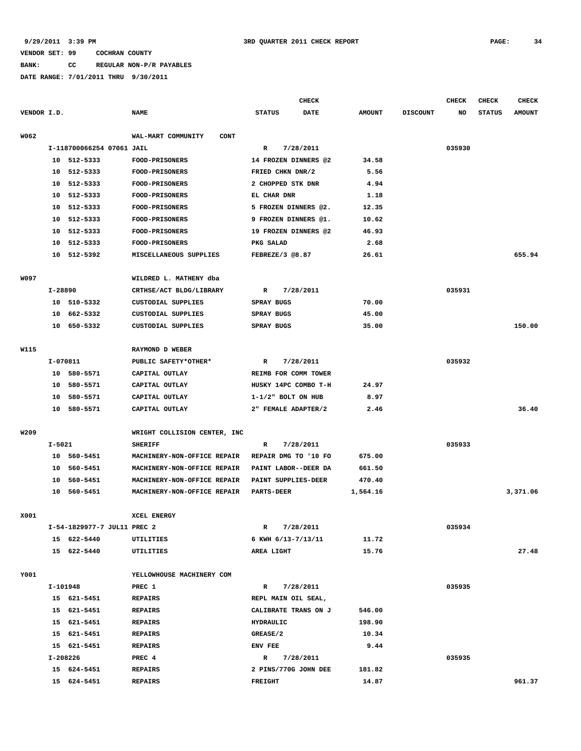**BANK: CC REGULAR NON-P/R PAYABLES**

|             |          |                             |                                   |                         | <b>CHECK</b> |               |                 | <b>CHECK</b> | CHECK         | <b>CHECK</b>  |
|-------------|----------|-----------------------------|-----------------------------------|-------------------------|--------------|---------------|-----------------|--------------|---------------|---------------|
| VENDOR I.D. |          |                             | <b>NAME</b>                       | <b>STATUS</b>           | <b>DATE</b>  | <b>AMOUNT</b> | <b>DISCOUNT</b> | NO           | <b>STATUS</b> | <b>AMOUNT</b> |
| W062        |          |                             | WAL-MART COMMUNITY<br><b>CONT</b> |                         |              |               |                 |              |               |               |
|             |          | I-118700066254 07061 JAIL   |                                   | R                       | 7/28/2011    |               |                 | 035930       |               |               |
|             |          | 10 512-5333                 | FOOD-PRISONERS                    | 14 FROZEN DINNERS @2    |              | 34.58         |                 |              |               |               |
|             |          | 10 512-5333                 | <b>FOOD-PRISONERS</b>             | FRIED CHKN DNR/2        |              | 5.56          |                 |              |               |               |
|             | 10       | 512-5333                    | <b>FOOD-PRISONERS</b>             | 2 CHOPPED STK DNR       |              | 4.94          |                 |              |               |               |
|             | 10       | 512-5333                    | <b>FOOD-PRISONERS</b>             | EL CHAR DNR             |              | 1.18          |                 |              |               |               |
|             | 10       | 512-5333                    | <b>FOOD-PRISONERS</b>             | 5 FROZEN DINNERS @2.    |              | 12.35         |                 |              |               |               |
|             | 10       | 512-5333                    | FOOD-PRISONERS                    | 9 FROZEN DINNERS @1.    |              | 10.62         |                 |              |               |               |
|             | 10       | 512-5333                    | <b>FOOD-PRISONERS</b>             | 19 FROZEN DINNERS @2    |              | 46.93         |                 |              |               |               |
|             | 10       | 512-5333                    | FOOD-PRISONERS                    | PKG SALAD               |              | 2.68          |                 |              |               |               |
|             | 10       | 512-5392                    | MISCELLANEOUS SUPPLIES            | FEBREZE/3 @8.87         |              | 26.61         |                 |              |               | 655.94        |
| <b>W097</b> |          |                             | WILDRED L. MATHENY dba            |                         |              |               |                 |              |               |               |
|             | I-28890  |                             | CRTHSE/ACT BLDG/LIBRARY           | R                       | 7/28/2011    |               |                 | 035931       |               |               |
|             |          | 10 510-5332                 | CUSTODIAL SUPPLIES                | SPRAY BUGS              |              | 70.00         |                 |              |               |               |
|             | 10       | 662-5332                    | CUSTODIAL SUPPLIES                | SPRAY BUGS              |              | 45.00         |                 |              |               |               |
|             | 10       | 650-5332                    | CUSTODIAL SUPPLIES                | SPRAY BUGS              |              | 35.00         |                 |              |               | 150.00        |
|             |          |                             |                                   |                         |              |               |                 |              |               |               |
| W115        |          |                             | RAYMOND D WEBER                   |                         |              |               |                 |              |               |               |
|             | I-070811 |                             | PUBLIC SAFETY*OTHER*              | R                       | 7/28/2011    |               |                 | 035932       |               |               |
|             | 10       | 580-5571                    | CAPITAL OUTLAY                    | REIMB FOR COMM TOWER    |              |               |                 |              |               |               |
|             | 10       | 580-5571                    | CAPITAL OUTLAY                    | HUSKY 14PC COMBO T-H    |              | 24.97         |                 |              |               |               |
|             | 10       | 580-5571                    | CAPITAL OUTLAY                    | $1 - 1/2$ " BOLT ON HUB |              | 8.97          |                 |              |               |               |
|             | 10       | 580-5571                    | CAPITAL OUTLAY                    | 2" FEMALE ADAPTER/2     |              | 2.46          |                 |              |               | 36.40         |
| W209        |          |                             | WRIGHT COLLISION CENTER, INC      |                         |              |               |                 |              |               |               |
|             | I-5021   |                             | <b>SHERIFF</b>                    | R                       | 7/28/2011    |               |                 | 035933       |               |               |
|             |          | 10 560-5451                 | MACHINERY-NON-OFFICE REPAIR       | REPAIR DMG TO '10 FO    |              | 675.00        |                 |              |               |               |
|             | 10       | 560-5451                    | MACHINERY-NON-OFFICE REPAIR       | PAINT LABOR--DEER DA    |              | 661.50        |                 |              |               |               |
|             | 10       | 560-5451                    | MACHINERY-NON-OFFICE REPAIR       | PAINT SUPPLIES-DEER     |              | 470.40        |                 |              |               |               |
|             | 10       | 560-5451                    | MACHINERY-NON-OFFICE REPAIR       | <b>PARTS-DEER</b>       |              | 1,564.16      |                 |              |               | 3,371.06      |
| X001        |          |                             | XCEL ENERGY                       |                         |              |               |                 |              |               |               |
|             |          | I-54-1829977-7 JUL11 PREC 2 |                                   | $\mathbf{R}$            | 7/28/2011    |               |                 | 035934       |               |               |
|             |          | 15 622-5440                 | UTILITIES                         | 6 KWH 6/13-7/13/11      |              | 11.72         |                 |              |               |               |
|             |          | 15 622-5440                 | UTILITIES                         | AREA LIGHT              |              | 15.76         |                 |              |               | 27.48         |
|             |          |                             |                                   |                         |              |               |                 |              |               |               |
| Y001        |          |                             | YELLOWHOUSE MACHINERY COM         |                         |              |               |                 |              |               |               |
|             |          | I-101948                    | PREC 1                            | R                       | 7/28/2011    |               |                 | 035935       |               |               |
|             |          | 15 621-5451                 | <b>REPAIRS</b>                    | REPL MAIN OIL SEAL,     |              |               |                 |              |               |               |
|             |          | 15 621-5451                 | <b>REPAIRS</b>                    | CALIBRATE TRANS ON J    |              | 546.00        |                 |              |               |               |
|             |          | 15 621-5451                 | <b>REPAIRS</b>                    | HYDRAULIC               |              | 198.90        |                 |              |               |               |
|             |          | 15 621-5451                 | <b>REPAIRS</b>                    | GREASE/2                |              | 10.34         |                 |              |               |               |
|             | I-208226 | 15 621-5451                 | REPAIRS<br>PREC 4                 | ENV FEE<br>$\mathbb{R}$ | 7/28/2011    | 9.44          |                 | 035935       |               |               |
|             |          | 15 624-5451                 | <b>REPAIRS</b>                    | 2 PINS/770G JOHN DEE    |              | 181.82        |                 |              |               |               |
|             |          | 15 624-5451                 | <b>REPAIRS</b>                    | <b>FREIGHT</b>          |              | 14.87         |                 |              |               | 961.37        |
|             |          |                             |                                   |                         |              |               |                 |              |               |               |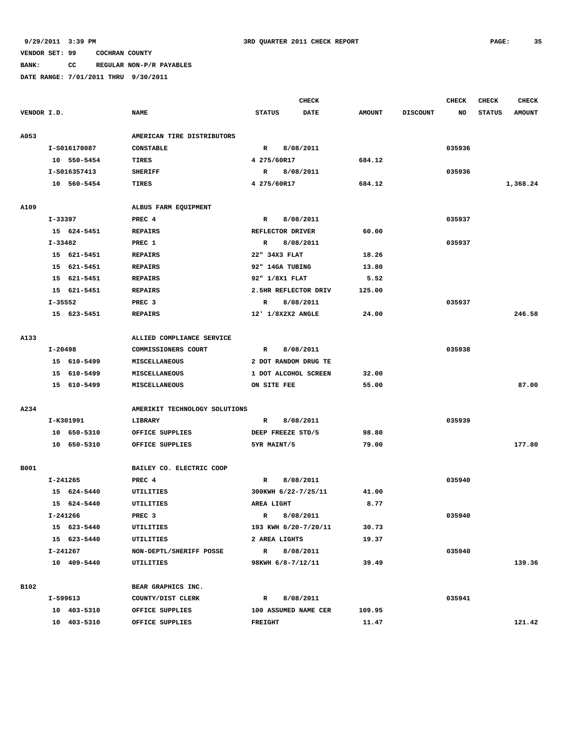### **BANK: CC REGULAR NON-P/R PAYABLES**

|             |                                     |              |                               | <b>CHECK</b>              |                      |  |               |                 | <b>CHECK</b> | <b>CHECK</b>  | <b>CHECK</b>  |
|-------------|-------------------------------------|--------------|-------------------------------|---------------------------|----------------------|--|---------------|-----------------|--------------|---------------|---------------|
| VENDOR I.D. |                                     |              | <b>NAME</b>                   | <b>STATUS</b>             | <b>DATE</b>          |  | <b>AMOUNT</b> | <b>DISCOUNT</b> | NO           | <b>STATUS</b> | <b>AMOUNT</b> |
| A053        |                                     |              | AMERICAN TIRE DISTRIBUTORS    |                           |                      |  |               |                 |              |               |               |
|             | I-S016170087                        |              | <b>CONSTABLE</b>              | $\mathbb{R}$<br>8/08/2011 |                      |  |               |                 | 035936       |               |               |
|             |                                     | 10 550-5454  | TIRES                         | 4 275/60R17               |                      |  | 684.12        |                 |              |               |               |
|             |                                     | I-S016357413 | <b>SHERIFF</b>                | R                         | 8/08/2011            |  |               |                 | 035936       |               |               |
|             |                                     | 10 560-5454  | TIRES                         | 4 275/60R17               |                      |  | 684.12        |                 |              |               | 1,368.24      |
| A109        |                                     |              | ALBUS FARM EQUIPMENT          |                           |                      |  |               |                 |              |               |               |
|             | I-33397                             |              | PREC <sub>4</sub>             | R                         | 8/08/2011            |  |               |                 | 035937       |               |               |
|             |                                     | 15 624-5451  | <b>REPAIRS</b>                |                           | REFLECTOR DRIVER     |  | 60.00         |                 |              |               |               |
|             | $I - 33482$                         |              | PREC 1                        | R                         | 8/08/2011            |  |               |                 | 035937       |               |               |
|             |                                     | 15 621-5451  | <b>REPAIRS</b>                |                           | 22" 34X3 FLAT        |  | 18.26         |                 |              |               |               |
|             |                                     | 15 621-5451  | <b>REPAIRS</b>                |                           | 92" 14GA TUBING      |  | 13.80         |                 |              |               |               |
|             |                                     | 15 621-5451  | <b>REPAIRS</b>                |                           | 92" 1/8X1 FLAT       |  | 5.52          |                 |              |               |               |
|             |                                     | 15 621-5451  | <b>REPAIRS</b>                |                           | 2.5HR REFLECTOR DRIV |  | 125.00        |                 |              |               |               |
|             | I-35552                             |              | PREC <sub>3</sub>             | R                         | 8/08/2011            |  |               |                 | 035937       |               |               |
|             |                                     | 15 623-5451  | <b>REPAIRS</b>                |                           | 12' 1/8X2X2 ANGLE    |  | 24.00         |                 |              |               | 246.58        |
| A133        |                                     |              | ALLIED COMPLIANCE SERVICE     |                           |                      |  |               |                 |              |               |               |
|             | I-20498                             |              | COMMISSIONERS COURT           | R                         | 8/08/2011            |  |               |                 | 035938       |               |               |
|             |                                     | 15 610-5499  | <b>MISCELLANEOUS</b>          |                           | 2 DOT RANDOM DRUG TE |  |               |                 |              |               |               |
|             |                                     | 15 610-5499  | MISCELLANEOUS                 |                           | 1 DOT ALCOHOL SCREEN |  | 32.00         |                 |              |               |               |
|             |                                     | 15 610-5499  | MISCELLANEOUS                 | ON SITE FEE               |                      |  | 55.00         |                 |              |               | 87.00         |
| A234        |                                     |              | AMERIKIT TECHNOLOGY SOLUTIONS |                           |                      |  |               |                 |              |               |               |
|             |                                     | I-K301991    | LIBRARY                       | $\mathbb{R}$              | 8/08/2011            |  |               |                 | 035939       |               |               |
|             |                                     | 10 650-5310  | OFFICE SUPPLIES               |                           | DEEP FREEZE STD/5    |  | 98.80         |                 |              |               |               |
|             |                                     | 10 650-5310  | OFFICE SUPPLIES               | 5YR MAINT/5               |                      |  | 79.00         |                 |              |               | 177.80        |
|             |                                     |              |                               |                           |                      |  |               |                 |              |               |               |
| <b>B001</b> |                                     |              | BAILEY CO. ELECTRIC COOP      |                           |                      |  |               |                 |              |               |               |
|             | I-241265                            |              | PREC 4                        | R                         | 8/08/2011            |  |               |                 | 035940       |               |               |
|             |                                     | 15 624-5440  | UTILITIES                     |                           | 300KWH 6/22-7/25/11  |  | 41.00         |                 |              |               |               |
|             |                                     | 15 624-5440  | UTILITIES                     | AREA LIGHT                |                      |  | 8.77          |                 |              |               |               |
|             | I-241266                            |              | PREC <sub>3</sub>             | $\mathbb{R}$              | 8/08/2011            |  |               |                 | 035940       |               |               |
|             |                                     | 15 623-5440  | UTILITIES                     |                           | 193 KWH 6/20-7/20/11 |  | 30.73         |                 |              |               |               |
|             |                                     | 15 623-5440  | UTILITIES                     |                           | 2 AREA LIGHTS        |  | 19.37         |                 |              |               |               |
|             | I-241267<br>NON-DEPTL/SHERIFF POSSE |              | R 8/08/2011                   |                           |                      |  |               | 035940          |              |               |               |
|             |                                     | 10 409-5440  | UTILITIES                     |                           | 98KWH 6/8-7/12/11    |  | 39.49         |                 |              |               | 139.36        |
| B102        |                                     |              | BEAR GRAPHICS INC.            |                           |                      |  |               |                 |              |               |               |
|             |                                     | I-599613     | COUNTY/DIST CLERK             | $\mathbf R$               | 8/08/2011            |  |               |                 | 035941       |               |               |
|             |                                     | 10 403-5310  | OFFICE SUPPLIES               |                           | 100 ASSUMED NAME CER |  | 109.95        |                 |              |               |               |
|             |                                     | 10 403-5310  | OFFICE SUPPLIES               | <b>FREIGHT</b>            |                      |  | 11.47         |                 |              |               | 121.42        |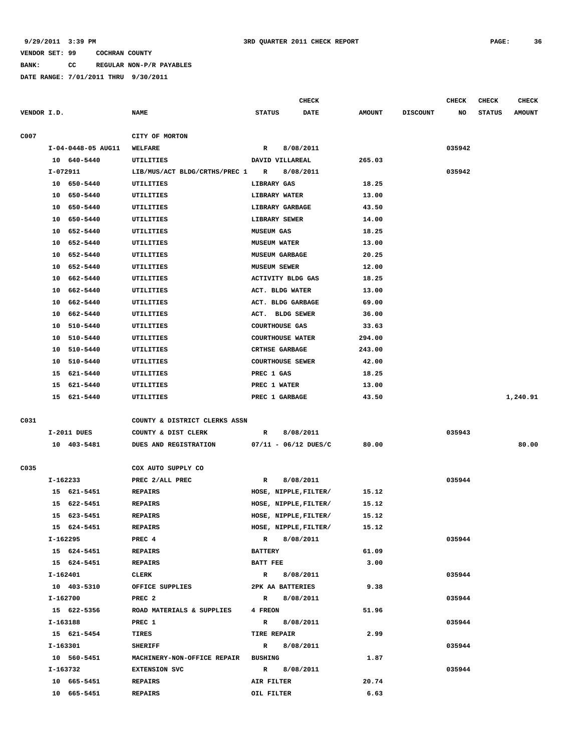**BANK: CC REGULAR NON-P/R PAYABLES**

**DATE RANGE: 7/01/2011 THRU 9/30/2011**

|             |                                     |             |                                            | <b>CHECK</b>             |                         |                       |               |                 | <b>CHECK</b> | CHECK         | <b>CHECK</b>  |
|-------------|-------------------------------------|-------------|--------------------------------------------|--------------------------|-------------------------|-----------------------|---------------|-----------------|--------------|---------------|---------------|
| VENDOR I.D. |                                     |             | <b>NAME</b>                                | <b>STATUS</b>            |                         | DATE                  | <b>AMOUNT</b> | <b>DISCOUNT</b> | NO           | <b>STATUS</b> | <b>AMOUNT</b> |
| C007        |                                     |             | CITY OF MORTON                             |                          |                         |                       |               |                 |              |               |               |
|             | I-04-0448-05 AUG11                  |             |                                            |                          | 8/08/2011               |                       |               |                 | 035942       |               |               |
|             |                                     | 10 640-5440 | WELFARE<br>UTILITIES                       | R<br>DAVID VILLAREAL     |                         |                       | 265.03        |                 |              |               |               |
|             | I-072911                            |             |                                            | R                        |                         |                       |               |                 |              |               |               |
|             |                                     | 10 650-5440 | LIB/MUS/ACT BLDG/CRTHS/PREC 1<br>UTILITIES | LIBRARY GAS              | 8/08/2011               |                       | 18.25         |                 | 035942       |               |               |
|             |                                     | 10 650-5440 | UTILITIES                                  | LIBRARY WATER            |                         |                       | 13.00         |                 |              |               |               |
|             |                                     | 10 650-5440 | UTILITIES                                  | LIBRARY GARBAGE          |                         |                       | 43.50         |                 |              |               |               |
|             |                                     | 10 650-5440 | UTILITIES                                  | LIBRARY SEWER            |                         |                       | 14.00         |                 |              |               |               |
|             |                                     | 10 652-5440 | UTILITIES                                  | <b>MUSEUM GAS</b>        |                         |                       | 18.25         |                 |              |               |               |
|             |                                     | 10 652-5440 | UTILITIES                                  | <b>MUSEUM WATER</b>      |                         |                       | 13.00         |                 |              |               |               |
|             | 10                                  | 652-5440    | UTILITIES                                  | <b>MUSEUM GARBAGE</b>    |                         |                       | 20.25         |                 |              |               |               |
|             |                                     | 10 652-5440 | UTILITIES                                  | <b>MUSEUM SEWER</b>      |                         |                       | 12.00         |                 |              |               |               |
|             |                                     | 10 662-5440 | UTILITIES                                  | <b>ACTIVITY BLDG GAS</b> |                         |                       | 18.25         |                 |              |               |               |
|             | 10                                  | 662-5440    | UTILITIES                                  | ACT. BLDG WATER          |                         |                       | 13.00         |                 |              |               |               |
|             | 10                                  | 662-5440    | UTILITIES                                  | ACT. BLDG GARBAGE        |                         |                       | 69.00         |                 |              |               |               |
|             | 10                                  | 662–5440    | UTILITIES                                  | ACT. BLDG SEWER          |                         |                       | 36.00         |                 |              |               |               |
|             |                                     | 10 510-5440 | UTILITIES                                  |                          | <b>COURTHOUSE GAS</b>   |                       | 33.63         |                 |              |               |               |
|             |                                     | 10 510-5440 | UTILITIES                                  |                          | <b>COURTHOUSE WATER</b> |                       | 294.00        |                 |              |               |               |
|             |                                     | 10 510-5440 | UTILITIES                                  |                          | <b>CRTHSE GARBAGE</b>   |                       | 243.00        |                 |              |               |               |
|             | 10                                  | 510-5440    | UTILITIES                                  |                          | <b>COURTHOUSE SEWER</b> |                       | 42.00         |                 |              |               |               |
|             |                                     | 15 621-5440 | UTILITIES                                  | PREC 1 GAS               |                         |                       | 18.25         |                 |              |               |               |
|             |                                     | 15 621-5440 | UTILITIES                                  | PREC 1 WATER             |                         |                       | 13.00         |                 |              |               |               |
|             |                                     | 15 621-5440 | UTILITIES                                  |                          | PREC 1 GARBAGE          |                       | 43.50         |                 |              |               | 1,240.91      |
|             |                                     |             |                                            |                          |                         |                       |               |                 |              |               |               |
| C031        |                                     |             | COUNTY & DISTRICT CLERKS ASSN              |                          |                         |                       |               |                 |              |               |               |
|             | I-2011 DUES                         |             | COUNTY & DIST CLERK                        | R                        | 8/08/2011               |                       |               |                 | 035943       |               |               |
|             |                                     | 10 403-5481 | DUES AND REGISTRATION                      |                          |                         | 07/11 - 06/12 DUES/C  | 80.00         |                 |              |               | 80.00         |
|             |                                     |             |                                            |                          |                         |                       |               |                 |              |               |               |
| C035        |                                     |             | COX AUTO SUPPLY CO                         |                          |                         |                       |               |                 |              |               |               |
|             | I-162233                            |             | PREC 2/ALL PREC                            | $\mathbf R$              | 8/08/2011               |                       |               |                 | 035944       |               |               |
|             |                                     | 15 621-5451 | <b>REPAIRS</b>                             |                          |                         | HOSE, NIPPLE, FILTER/ | 15.12         |                 |              |               |               |
|             |                                     | 15 622-5451 | <b>REPAIRS</b>                             |                          |                         | HOSE, NIPPLE, FILTER/ | 15.12         |                 |              |               |               |
|             |                                     | 15 623-5451 | <b>REPAIRS</b>                             |                          |                         | HOSE, NIPPLE, FILTER/ | 15.12         |                 |              |               |               |
|             |                                     | 15 624-5451 | <b>REPAIRS</b>                             |                          |                         | HOSE, NIPPLE, FILTER/ | 15.12         |                 |              |               |               |
|             | I-162295                            |             | PREC 4                                     |                          | R 8/08/2011             |                       |               |                 | 035944       |               |               |
|             |                                     | 15 624-5451 | <b>REPAIRS</b>                             | <b>BATTERY</b>           |                         |                       | 61.09         |                 |              |               |               |
|             |                                     | 15 624-5451 | <b>REPAIRS</b>                             | BATT FEE                 |                         |                       | 3.00          |                 |              |               |               |
|             | I-162401                            |             | CLERK                                      | $\mathbf R$              | 8/08/2011               |                       |               |                 | 035944       |               |               |
|             |                                     | 10 403-5310 | OFFICE SUPPLIES                            |                          | 2PK AA BATTERIES        |                       | 9.38          |                 |              |               |               |
|             | I-162700<br>15 622-5356<br>I-163188 |             | PREC <sub>2</sub>                          | $\mathbb{R}$             | 8/08/2011               |                       |               |                 | 035944       |               |               |
|             |                                     |             | ROAD MATERIALS & SUPPLIES                  | 4 FREON                  |                         |                       | 51.96         |                 |              |               |               |
|             |                                     |             | PREC 1                                     | $\mathbb{R}$             | 8/08/2011               |                       |               |                 | 035944       |               |               |
|             |                                     | 15 621-5454 | TIRES                                      | <b>TIRE REPAIR</b>       |                         |                       | 2.99          |                 |              |               |               |
|             |                                     | I-163301    | <b>SHERIFF</b>                             |                          | R 8/08/2011             |                       |               |                 | 035944       |               |               |
|             | 10 560-5451                         |             | MACHINERY-NON-OFFICE REPAIR                | <b>BUSHING</b>           |                         |                       | 1.87          |                 |              |               |               |
|             |                                     | I-163732    | <b>EXTENSION SVC</b>                       |                          | R 8/08/2011             |                       |               |                 | 035944       |               |               |
|             |                                     | 10 665-5451 | <b>REPAIRS</b>                             | AIR FILTER               |                         |                       | 20.74         |                 |              |               |               |

 **10 665-5451 REPAIRS OIL FILTER 6.63**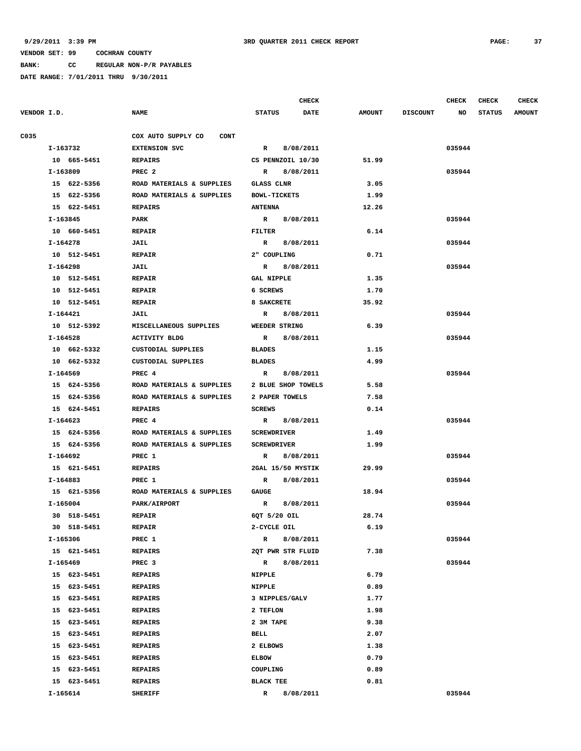**BANK: CC REGULAR NON-P/R PAYABLES**

|             |                            |                                                        |                                          | <b>CHECK</b> |               |                 | CHECK  | <b>CHECK</b>  | <b>CHECK</b>  |
|-------------|----------------------------|--------------------------------------------------------|------------------------------------------|--------------|---------------|-----------------|--------|---------------|---------------|
| VENDOR I.D. |                            | <b>NAME</b>                                            | <b>STATUS</b>                            | <b>DATE</b>  | <b>AMOUNT</b> | <b>DISCOUNT</b> | NO     | <b>STATUS</b> | <b>AMOUNT</b> |
| C035        |                            | COX AUTO SUPPLY CO<br><b>CONT</b>                      |                                          |              |               |                 |        |               |               |
|             | I-163732                   | <b>EXTENSION SVC</b>                                   | $\mathbb{R}$                             | 8/08/2011    |               |                 | 035944 |               |               |
|             | 10 665-5451                | <b>REPAIRS</b>                                         | CS PENNZOIL 10/30                        |              | 51.99         |                 |        |               |               |
|             | I-163809                   | PREC <sub>2</sub>                                      | R                                        | 8/08/2011    |               |                 | 035944 |               |               |
|             | 15 622-5356                | ROAD MATERIALS & SUPPLIES                              | GLASS CLNR                               |              | 3.05          |                 |        |               |               |
|             | 15 622-5356                | ROAD MATERIALS & SUPPLIES                              | <b>BOWL-TICKETS</b>                      |              | 1.99          |                 |        |               |               |
|             | 15 622-5451                | <b>REPAIRS</b>                                         | <b>ANTENNA</b>                           |              | 12.26         |                 |        |               |               |
|             | I-163845                   | PARK                                                   | R 8/08/2011                              |              |               |                 | 035944 |               |               |
|             | 10 660-5451                | <b>REPAIR</b>                                          | FILTER                                   |              | 6.14          |                 |        |               |               |
|             | I-164278                   | <b>JAIL</b>                                            | R 8/08/2011                              |              |               |                 | 035944 |               |               |
|             | 10 512-5451                | <b>REPAIR</b>                                          | 2" COUPLING                              |              | 0.71          |                 |        |               |               |
|             | I-164298                   | JAIL                                                   | R 8/08/2011                              |              |               |                 | 035944 |               |               |
|             | 10 512-5451                | <b>REPAIR</b>                                          | <b>GAL NIPPLE</b>                        |              | 1.35          |                 |        |               |               |
|             | 10 512-5451                | <b>REPAIR</b>                                          | 6 SCREWS                                 |              | 1.70          |                 |        |               |               |
|             | 10 512-5451                | <b>REPAIR</b>                                          | 8 SAKCRETE                               |              | 35.92         |                 |        |               |               |
|             |                            |                                                        |                                          |              |               |                 |        |               |               |
|             | I-164421                   | JAIL                                                   | R 8/08/2011                              |              |               |                 | 035944 |               |               |
|             | 10 512-5392                | MISCELLANEOUS SUPPLIES<br><b>ACTIVITY BLDG</b>         | WEEDER STRING<br>R 8/08/2011             |              | 6.39          |                 |        |               |               |
|             | I-164528                   | CUSTODIAL SUPPLIES                                     |                                          |              |               |                 | 035944 |               |               |
|             | 10 662-5332                |                                                        | <b>BLADES</b>                            |              | 1.15          |                 |        |               |               |
|             | 10 662-5332                | CUSTODIAL SUPPLIES                                     | <b>BLADES</b>                            |              | 4.99          |                 |        |               |               |
|             | I-164569                   | PREC 4                                                 | $\mathbb{R}$                             | 8/08/2011    |               |                 | 035944 |               |               |
|             | 15 624-5356                | ROAD MATERIALS & SUPPLIES                              | 2 BLUE SHOP TOWELS                       |              | 5.58          |                 |        |               |               |
|             | 15 624-5356<br>15 624-5451 | ROAD MATERIALS & SUPPLIES<br><b>REPAIRS</b>            | 2 PAPER TOWELS<br><b>SCREWS</b>          |              | 7.58<br>0.14  |                 |        |               |               |
|             | I-164623                   | PREC 4                                                 | $\mathbb{R}$                             |              |               |                 | 035944 |               |               |
|             |                            |                                                        |                                          | 8/08/2011    |               |                 |        |               |               |
|             | 15 624-5356<br>15 624-5356 | ROAD MATERIALS & SUPPLIES<br>ROAD MATERIALS & SUPPLIES | <b>SCREWDRIVER</b><br><b>SCREWDRIVER</b> |              | 1.49<br>1.99  |                 |        |               |               |
|             |                            |                                                        |                                          |              |               |                 | 035944 |               |               |
|             | I-164692<br>15 621-5451    | PREC 1                                                 | $\mathbb{R}$<br>2GAL 15/50 MYSTIK        | 8/08/2011    | 29.99         |                 |        |               |               |
|             | I-164883                   | <b>REPAIRS</b><br>PREC 1                               | $\mathbb{R}$                             | 8/08/2011    |               |                 | 035944 |               |               |
|             | 15 621-5356                | ROAD MATERIALS & SUPPLIES                              | GAUGE                                    |              | 18.94         |                 |        |               |               |
|             | I-165004                   | PARK/AIRPORT                                           | R 8/08/2011                              |              |               |                 | 035944 |               |               |
|             | 30 518-5451                | <b>REPAIR</b>                                          | 6QT 5/20 OIL                             |              | 28.74         |                 |        |               |               |
|             | 30 518-5451                | <b>REPAIR</b>                                          | 2-CYCLE OIL                              |              | 6.19          |                 |        |               |               |
|             | I-165306                   | PREC 1                                                 | $\mathbb{R}$                             | 8/08/2011    |               |                 | 035944 |               |               |
|             | 15 621-5451                | <b>REPAIRS</b>                                         | 2QT PWR STR FLUID                        |              | 7.38          |                 |        |               |               |
|             | I-165469                   | PREC 3                                                 | $\mathbf{R}$                             | 8/08/2011    |               |                 | 035944 |               |               |
|             | 15 623-5451                | <b>REPAIRS</b>                                         | <b>NIPPLE</b>                            |              | 6.79          |                 |        |               |               |
|             | 15 623-5451                | <b>REPAIRS</b>                                         | NIPPLE                                   |              | 0.89          |                 |        |               |               |
|             | 15 623-5451                | <b>REPAIRS</b>                                         | 3 NIPPLES/GALV                           |              | 1.77          |                 |        |               |               |
|             | 15 623-5451                | <b>REPAIRS</b>                                         | 2 TEFLON                                 |              | 1.98          |                 |        |               |               |
|             | 15 623-5451                | <b>REPAIRS</b>                                         | 2 3M TAPE                                |              | 9.38          |                 |        |               |               |
|             | 15 623-5451                | <b>REPAIRS</b>                                         | BELL                                     |              | 2.07          |                 |        |               |               |
|             | 15 623-5451                | REPAIRS                                                | 2 ELBOWS                                 |              | 1.38          |                 |        |               |               |
|             | 15 623-5451                | <b>REPAIRS</b>                                         | <b>ELBOW</b>                             |              | 0.79          |                 |        |               |               |
|             | 15 623-5451                | <b>REPAIRS</b>                                         | COUPLING                                 |              | 0.89          |                 |        |               |               |
|             | 15 623-5451                | <b>REPAIRS</b>                                         | <b>BLACK TEE</b>                         |              | 0.81          |                 |        |               |               |
|             | I-165614                   | <b>SHERIFF</b>                                         | $\mathbb{R}$                             | 8/08/2011    |               |                 | 035944 |               |               |
|             |                            |                                                        |                                          |              |               |                 |        |               |               |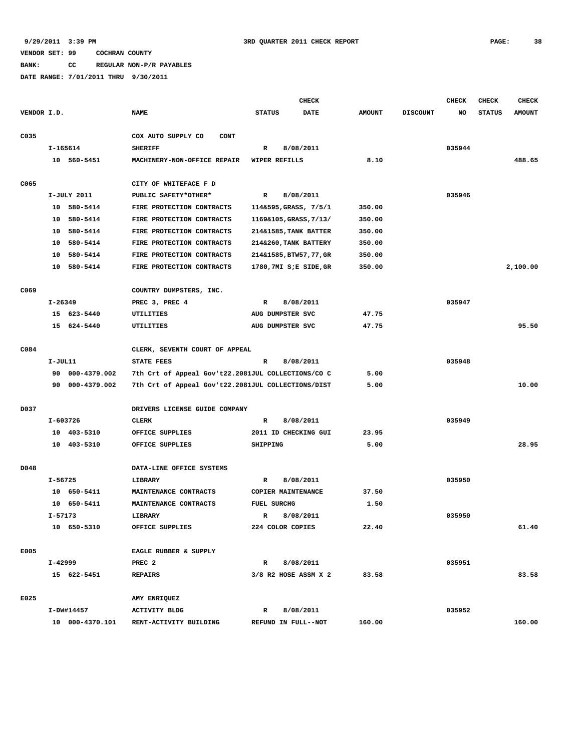**BANK: CC REGULAR NON-P/R PAYABLES**

|             |             |                 |                                                    |                    | <b>CHECK</b>            |               |                 | <b>CHECK</b> | CHECK         | <b>CHECK</b>  |
|-------------|-------------|-----------------|----------------------------------------------------|--------------------|-------------------------|---------------|-----------------|--------------|---------------|---------------|
| VENDOR I.D. |             |                 | <b>NAME</b>                                        | <b>STATUS</b>      | <b>DATE</b>             | <b>AMOUNT</b> | <b>DISCOUNT</b> | NO.          | <b>STATUS</b> | <b>AMOUNT</b> |
| C035        |             |                 | COX AUTO SUPPLY CO<br><b>CONT</b>                  |                    |                         |               |                 |              |               |               |
|             |             | I-165614        | <b>SHERIFF</b>                                     | R                  | 8/08/2011               |               |                 | 035944       |               |               |
|             |             | 10 560-5451     | MACHINERY-NON-OFFICE REPAIR                        | WIPER REFILLS      |                         | 8.10          |                 |              |               | 488.65        |
| C065        |             |                 | CITY OF WHITEFACE F D                              |                    |                         |               |                 |              |               |               |
|             |             | I-JULY 2011     | PUBLIC SAFETY*OTHER*                               | $\mathbb{R}$       | 8/08/2011               |               |                 | 035946       |               |               |
|             |             | 10 580-5414     | FIRE PROTECTION CONTRACTS                          |                    | 114&595, GRASS, 7/5/1   | 350.00        |                 |              |               |               |
|             | 10          | 580-5414        | FIRE PROTECTION CONTRACTS                          |                    | 1169&105, GRASS, 7/13/  | 350.00        |                 |              |               |               |
|             |             | 10 580-5414     | FIRE PROTECTION CONTRACTS                          |                    | 214&1585, TANK BATTER   | 350.00        |                 |              |               |               |
|             | 10          | 580-5414        | FIRE PROTECTION CONTRACTS                          |                    | 214&260, TANK BATTERY   | 350.00        |                 |              |               |               |
|             | 10          | 580-5414        | FIRE PROTECTION CONTRACTS                          |                    | 214&1585, BTW57, 77, GR | 350.00        |                 |              |               |               |
|             |             | 10 580-5414     | FIRE PROTECTION CONTRACTS                          |                    | 1780,7MI S;E SIDE, GR   | 350.00        |                 |              |               | 2,100.00      |
| C069        |             |                 | COUNTRY DUMPSTERS, INC.                            |                    |                         |               |                 |              |               |               |
|             | $I - 26349$ |                 | PREC 3, PREC 4                                     | R                  | 8/08/2011               |               |                 | 035947       |               |               |
|             |             | 15 623-5440     | UTILITIES                                          | AUG DUMPSTER SVC   |                         | 47.75         |                 |              |               |               |
|             |             | 15 624-5440     | UTILITIES                                          | AUG DUMPSTER SVC   |                         | 47.75         |                 |              |               | 95.50         |
| C084        |             |                 | CLERK, SEVENTH COURT OF APPEAL                     |                    |                         |               |                 |              |               |               |
|             | I-JUL11     |                 | <b>STATE FEES</b>                                  | R                  | 8/08/2011               |               |                 | 035948       |               |               |
|             | 90          | 000-4379.002    | 7th Crt of Appeal Gov't22.2081JUL COLLECTIONS/CO C |                    |                         | 5.00          |                 |              |               |               |
|             |             | 90 000-4379.002 | 7th Crt of Appeal Gov't22.2081JUL COLLECTIONS/DIST |                    |                         | 5.00          |                 |              |               | 10.00         |
| D037        |             |                 | DRIVERS LICENSE GUIDE COMPANY                      |                    |                         |               |                 |              |               |               |
|             |             | I-603726        | <b>CLERK</b>                                       | R                  | 8/08/2011               |               |                 | 035949       |               |               |
|             |             | 10 403-5310     | OFFICE SUPPLIES                                    |                    | 2011 ID CHECKING GUI    | 23.95         |                 |              |               |               |
|             |             | 10 403-5310     | OFFICE SUPPLIES                                    | SHIPPING           |                         | 5.00          |                 |              |               | 28.95         |
| D048        |             |                 | DATA-LINE OFFICE SYSTEMS                           |                    |                         |               |                 |              |               |               |
|             | I-56725     |                 | LIBRARY                                            | R                  | 8/08/2011               |               |                 | 035950       |               |               |
|             |             | 10 650-5411     | MAINTENANCE CONTRACTS                              |                    | COPIER MAINTENANCE      | 37.50         |                 |              |               |               |
|             |             | 10 650-5411     | MAINTENANCE CONTRACTS                              | <b>FUEL SURCHG</b> |                         | 1.50          |                 |              |               |               |
|             | I-57173     |                 | LIBRARY                                            | R                  | 8/08/2011               |               |                 | 035950       |               |               |
|             |             | 10 650-5310     | OFFICE SUPPLIES                                    | 224 COLOR COPIES   |                         | 22.40         |                 |              |               | 61.40         |
| E005        |             |                 | EAGLE RUBBER & SUPPLY                              |                    |                         |               |                 |              |               |               |
|             |             | I-42999         | PREC 2                                             | $\mathbb{R}$       | 8/08/2011               |               |                 | 035951       |               |               |
|             |             | 15 622-5451     | <b>REPAIRS</b>                                     |                    | 3/8 R2 HOSE ASSM X 2    | 83.58         |                 |              |               | 83.58         |
| E025        |             |                 | AMY ENRIQUEZ                                       |                    |                         |               |                 |              |               |               |
|             |             | I-DW#14457      | <b>ACTIVITY BLDG</b>                               | $\mathbb{R}$       | 8/08/2011               |               |                 | 035952       |               |               |
|             |             |                 | 10 000-4370.101 RENT-ACTIVITY BUILDING             |                    | REFUND IN FULL--NOT     | 160.00        |                 |              |               | 160.00        |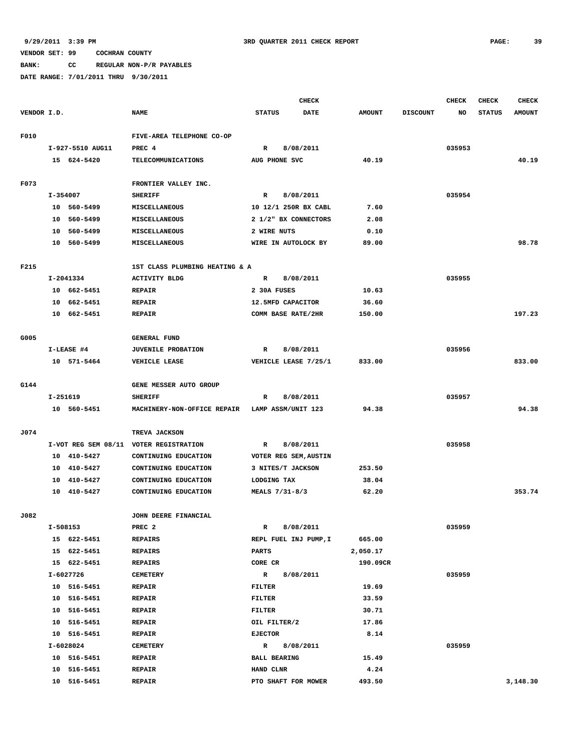**BANK: CC REGULAR NON-P/R PAYABLES**

|             |          |                            |                                        |                                     | <b>CHECK</b>          |               |                 | <b>CHECK</b> | <b>CHECK</b>  | <b>CHECK</b>  |
|-------------|----------|----------------------------|----------------------------------------|-------------------------------------|-----------------------|---------------|-----------------|--------------|---------------|---------------|
| VENDOR I.D. |          |                            | <b>NAME</b>                            | <b>STATUS</b>                       | DATE                  | <b>AMOUNT</b> | <b>DISCOUNT</b> | NO           | <b>STATUS</b> | <b>AMOUNT</b> |
|             |          |                            |                                        |                                     |                       |               |                 |              |               |               |
| F010        |          |                            | FIVE-AREA TELEPHONE CO-OP              |                                     |                       |               |                 |              |               |               |
|             |          | I-927-5510 AUG11           | PREC 4                                 | R                                   | 8/08/2011             |               |                 | 035953       |               |               |
|             |          | 15 624-5420                | <b>TELECOMMUNICATIONS</b>              | AUG PHONE SVC                       |                       | 40.19         |                 |              |               | 40.19         |
|             |          |                            |                                        |                                     |                       |               |                 |              |               |               |
| F073        |          |                            | FRONTIER VALLEY INC.                   |                                     |                       |               |                 |              |               |               |
|             | I-354007 |                            | <b>SHERIFF</b>                         | R                                   | 8/08/2011             |               |                 | 035954       |               |               |
|             |          | 10 560-5499                | MISCELLANEOUS                          |                                     | 10 12/1 250R BX CABL  | 7.60          |                 |              |               |               |
|             |          | 10 560-5499                | MISCELLANEOUS                          |                                     | 2 1/2" BX CONNECTORS  | 2.08          |                 |              |               |               |
|             | 10       | 560-5499                   | <b>MISCELLANEOUS</b>                   | 2 WIRE NUTS                         |                       | 0.10          |                 |              |               |               |
|             |          | 10 560-5499                | MISCELLANEOUS                          | WIRE IN AUTOLOCK BY                 |                       | 89.00         |                 |              |               | 98.78         |
| F215        |          |                            | 1ST CLASS PLUMBING HEATING & A         |                                     |                       |               |                 |              |               |               |
|             |          | I-2041334                  | <b>ACTIVITY BLDG</b>                   | $\mathbb{R}$                        | 8/08/2011             |               |                 | 035955       |               |               |
|             |          | 10 662-5451                | <b>REPAIR</b>                          | 2 30A FUSES                         |                       | 10.63         |                 |              |               |               |
|             | 10       | 662-5451                   | <b>REPAIR</b>                          | 12.5MFD CAPACITOR                   |                       | 36.60         |                 |              |               |               |
|             |          | 10 662-5451                | <b>REPAIR</b>                          | COMM BASE RATE/2HR                  |                       | 150.00        |                 |              |               | 197.23        |
|             |          |                            |                                        |                                     |                       |               |                 |              |               |               |
| G005        |          |                            | <b>GENERAL FUND</b>                    |                                     |                       |               |                 |              |               |               |
|             |          | I-LEASE #4                 | <b>JUVENILE PROBATION</b>              | $\mathbb{R}$                        | 8/08/2011             |               |                 | 035956       |               |               |
|             |          | 10 571-5464                | VEHICLE LEASE                          |                                     | VEHICLE LEASE 7/25/1  | 833.00        |                 |              |               | 833.00        |
|             |          |                            |                                        |                                     |                       |               |                 |              |               |               |
| G144        |          |                            | GENE MESSER AUTO GROUP                 |                                     |                       |               |                 |              |               |               |
|             | I-251619 |                            | <b>SHERIFF</b>                         | R                                   | 8/08/2011             |               |                 | 035957       |               |               |
|             |          | 10 560-5451                | MACHINERY-NON-OFFICE REPAIR            | LAMP ASSM/UNIT 123                  |                       | 94.38         |                 |              |               | 94.38         |
|             |          |                            |                                        |                                     |                       |               |                 |              |               |               |
| J074        |          |                            | TREVA JACKSON                          |                                     |                       |               |                 |              |               |               |
|             |          |                            | I-VOT REG SEM 08/11 VOTER REGISTRATION | R                                   | 8/08/2011             |               |                 | 035958       |               |               |
|             | 10       | 410-5427                   | CONTINUING EDUCATION                   |                                     | VOTER REG SEM, AUSTIN |               |                 |              |               |               |
|             | 10       | 410-5427                   | CONTINUING EDUCATION                   | 3 NITES/T JACKSON                   |                       | 253.50        |                 |              |               |               |
|             | 10       | 410-5427                   | CONTINUING EDUCATION                   | LODGING TAX                         |                       | 38.04         |                 |              |               |               |
|             |          | 10 410-5427                | CONTINUING EDUCATION                   | MEALS 7/31-8/3                      |                       | 62.20         |                 |              |               | 353.74        |
|             |          |                            |                                        |                                     |                       |               |                 |              |               |               |
| J082        |          |                            | JOHN DEERE FINANCIAL                   |                                     |                       |               |                 |              |               |               |
|             |          | I-508153                   | PREC <sub>2</sub>                      | R                                   | 8/08/2011             |               |                 | 035959       |               |               |
|             |          | 15 622-5451                | <b>REPAIRS</b>                         |                                     | REPL FUEL INJ PUMP, I | 665.00        |                 |              |               |               |
|             |          | 15 622-5451                | <b>REPAIRS</b>                         | <b>PARTS</b>                        |                       | 2,050.17      |                 |              |               |               |
|             |          | 15 622-5451                | <b>REPAIRS</b>                         | CORE CR                             |                       | 190.09CR      |                 |              |               |               |
|             |          | I-6027726                  | <b>CEMETERY</b>                        | $\mathbb{R}$                        | 8/08/2011             |               |                 | 035959       |               |               |
|             |          | 10 516-5451                | <b>REPAIR</b>                          | FILTER                              |                       | 19.69         |                 |              |               |               |
|             |          | 10 516-5451                | <b>REPAIR</b>                          | FILTER                              |                       | 33.59         |                 |              |               |               |
|             |          | 10 516-5451                | <b>REPAIR</b>                          | <b>FILTER</b>                       |                       | 30.71         |                 |              |               |               |
|             |          | 10 516-5451<br>10 516-5451 | <b>REPAIR</b><br><b>REPAIR</b>         | OIL FILTER/2<br><b>EJECTOR</b>      |                       | 17.86<br>8.14 |                 |              |               |               |
|             |          | I-6028024                  |                                        |                                     | 8/08/2011             |               |                 | 035959       |               |               |
|             |          | 10 516-5451                | <b>CEMETERY</b><br><b>REPAIR</b>       | $\mathbb{R}$<br><b>BALL BEARING</b> |                       | 15.49         |                 |              |               |               |
|             |          | 10 516-5451                | <b>REPAIR</b>                          | HAND CLNR                           |                       | 4.24          |                 |              |               |               |
|             |          | 10 516-5451                | <b>REPAIR</b>                          | PTO SHAFT FOR MOWER                 |                       | 493.50        |                 |              |               | 3,148.30      |
|             |          |                            |                                        |                                     |                       |               |                 |              |               |               |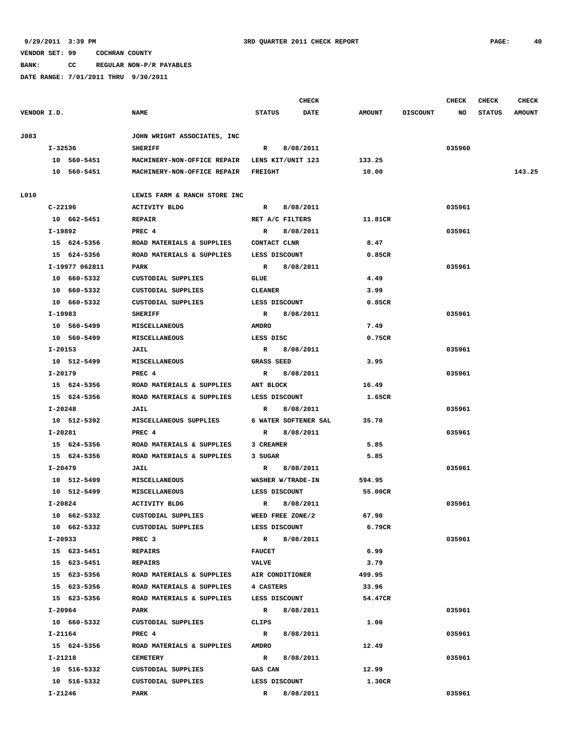**BANK: CC REGULAR NON-P/R PAYABLES**

|             |                |                              | <b>CHECK</b>                 |               |                 | CHECK  | <b>CHECK</b>  | <b>CHECK</b>  |
|-------------|----------------|------------------------------|------------------------------|---------------|-----------------|--------|---------------|---------------|
| VENDOR I.D. |                | <b>NAME</b>                  | <b>STATUS</b><br><b>DATE</b> | <b>AMOUNT</b> | <b>DISCOUNT</b> | NO     | <b>STATUS</b> | <b>AMOUNT</b> |
| J083        |                | JOHN WRIGHT ASSOCIATES, INC  |                              |               |                 |        |               |               |
|             | I-32536        | <b>SHERIFF</b>               | R 8/08/2011                  |               |                 | 035960 |               |               |
|             | 10 560-5451    | MACHINERY-NON-OFFICE REPAIR  | LENS KIT/UNIT 123            | 133.25        |                 |        |               |               |
|             | 10 560-5451    | MACHINERY-NON-OFFICE REPAIR  | FREIGHT                      | 10.00         |                 |        |               | 143.25        |
| L010        |                | LEWIS FARM & RANCH STORE INC |                              |               |                 |        |               |               |
|             | $C - 22196$    | <b>ACTIVITY BLDG</b>         | $\mathbb{R}$<br>8/08/2011    |               |                 | 035961 |               |               |
|             | 10 662-5451    | <b>REPAIR</b>                | RET A/C FILTERS              | 11.81CR       |                 |        |               |               |
|             | I-19892        | PREC 4                       | 8/08/2011<br>R               |               |                 | 035961 |               |               |
|             | 15 624-5356    | ROAD MATERIALS & SUPPLIES    | CONTACT CLNR                 | 8.47          |                 |        |               |               |
|             | 15 624-5356    | ROAD MATERIALS & SUPPLIES    | LESS DISCOUNT                | 0.85CR        |                 |        |               |               |
|             | I-19977 062811 | <b>PARK</b>                  | 8/08/2011<br>R               |               |                 | 035961 |               |               |
|             | 10 660-5332    | <b>CUSTODIAL SUPPLIES</b>    | GLUE                         | 4.49          |                 |        |               |               |
|             | 10 660-5332    | CUSTODIAL SUPPLIES           | <b>CLEANER</b>               | 3.99          |                 |        |               |               |
|             | 10 660-5332    | CUSTODIAL SUPPLIES           | LESS DISCOUNT                | 0.85CR        |                 |        |               |               |
|             | I-19983        | <b>SHERIFF</b>               | $\mathbb{R}$<br>8/08/2011    |               |                 | 035961 |               |               |
|             | 10 560-5499    | MISCELLANEOUS                | <b>AMDRO</b>                 | 7.49          |                 |        |               |               |
|             | 10 560-5499    | MISCELLANEOUS                | LESS DISC                    | 0.75CR        |                 |        |               |               |
|             | I-20153        | JAIL                         | 8/08/2011<br>R               |               |                 | 035961 |               |               |
|             | 10 512-5499    | <b>MISCELLANEOUS</b>         | GRASS SEED                   | 3.95          |                 |        |               |               |
|             | I-20179        | PREC 4                       | 8/08/2011<br>R               |               |                 | 035961 |               |               |
|             | 15 624-5356    | ROAD MATERIALS & SUPPLIES    | ANT BLOCK                    | 16.49         |                 |        |               |               |
|             | 15 624-5356    | ROAD MATERIALS & SUPPLIES    | LESS DISCOUNT                | 1.65CR        |                 |        |               |               |
|             | $I - 20248$    | <b>JAIL</b>                  | 8/08/2011<br>R               |               |                 | 035961 |               |               |
|             | 10 512-5392    | MISCELLANEOUS SUPPLIES       | 6 WATER SOFTENER SAL         | 35.70         |                 |        |               |               |
|             | I-20281        | PREC 4                       | 8/08/2011<br>R               |               |                 | 035961 |               |               |
|             | 15 624-5356    | ROAD MATERIALS & SUPPLIES    | 3 CREAMER                    | 5.85          |                 |        |               |               |
|             | 15 624-5356    | ROAD MATERIALS & SUPPLIES    | 3 SUGAR                      | 5.85          |                 |        |               |               |
|             | I-20479        | JAIL                         | $\mathbb{R}$<br>8/08/2011    |               |                 | 035961 |               |               |
|             | 10 512-5499    | MISCELLANEOUS                | WASHER W/TRADE-IN            | 594.95        |                 |        |               |               |
|             | 10 512-5499    | <b>MISCELLANEOUS</b>         | LESS DISCOUNT                | 55.00CR       |                 |        |               |               |
|             | I-20824        | <b>ACTIVITY BLDG</b>         | 8/08/2011<br>R               |               |                 | 035961 |               |               |
|             | 10 662-5332    | CUSTODIAL SUPPLIES           | WEED FREE ZONE/2             | 67.90         |                 |        |               |               |
|             | 10 662-5332    | CUSTODIAL SUPPLIES           | LESS DISCOUNT                | 6.79CR        |                 |        |               |               |
|             | I-20933        | PREC <sub>3</sub>            | $\mathbb{R}$<br>8/08/2011    |               |                 | 035961 |               |               |
|             | 15 623-5451    | REPAIRS                      | <b>FAUCET</b>                | 6.99          |                 |        |               |               |
|             | 15 623-5451    | <b>REPAIRS</b>               | <b>VALVE</b>                 | 3.79          |                 |        |               |               |
|             | 15 623-5356    | ROAD MATERIALS & SUPPLIES    | AIR CONDITIONER              | 499.95        |                 |        |               |               |
|             | 15 623-5356    | ROAD MATERIALS & SUPPLIES    | 4 CASTERS                    | 33.96         |                 |        |               |               |
|             | 15 623-5356    | ROAD MATERIALS & SUPPLIES    | LESS DISCOUNT                | 54.47CR       |                 |        |               |               |
|             | I-20964        | PARK                         | $\mathbf{R}$<br>8/08/2011    |               |                 | 035961 |               |               |
|             | 10 660-5332    | CUSTODIAL SUPPLIES           | CLIPS                        | 1.00          |                 |        |               |               |
|             | I-21164        | PREC 4                       | $\mathbb{R}$<br>8/08/2011    |               |                 | 035961 |               |               |
|             | 15 624-5356    | ROAD MATERIALS & SUPPLIES    | <b>AMDRO</b>                 | 12.49         |                 |        |               |               |
|             | I-21218        | <b>CEMETERY</b>              | $\mathbb{R}$<br>8/08/2011    |               |                 | 035961 |               |               |
|             | 10 516-5332    | CUSTODIAL SUPPLIES           | GAS CAN                      | 12.99         |                 |        |               |               |
|             | 10 516-5332    | CUSTODIAL SUPPLIES           | LESS DISCOUNT                | 1.30CR        |                 |        |               |               |
|             | I-21246        | PARK                         | 8/08/2011<br>R               |               |                 | 035961 |               |               |
|             |                |                              |                              |               |                 |        |               |               |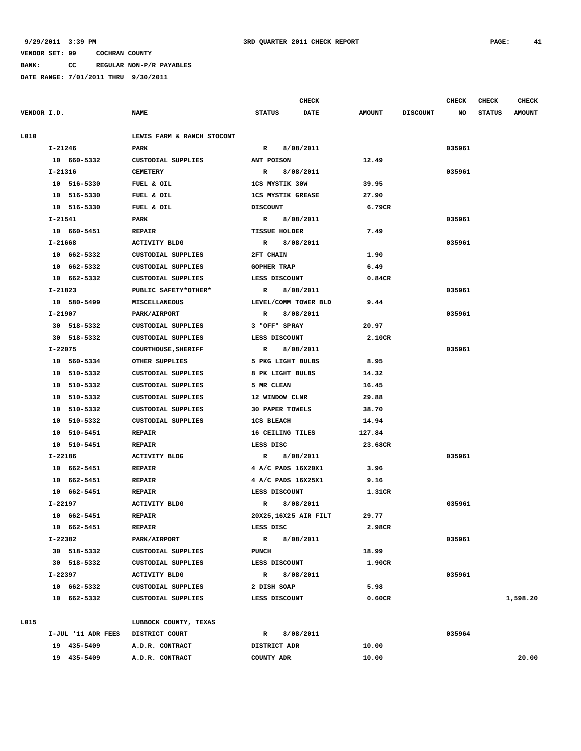**BANK: CC REGULAR NON-P/R PAYABLES**

|             |             |                    |                            |                          | <b>CHECK</b>          |               |                 | <b>CHECK</b> | <b>CHECK</b>  | <b>CHECK</b>  |
|-------------|-------------|--------------------|----------------------------|--------------------------|-----------------------|---------------|-----------------|--------------|---------------|---------------|
| VENDOR I.D. |             |                    | <b>NAME</b>                | <b>STATUS</b>            | <b>DATE</b>           | <b>AMOUNT</b> | <b>DISCOUNT</b> | NO           | <b>STATUS</b> | <b>AMOUNT</b> |
| L010        |             |                    | LEWIS FARM & RANCH STOCONT |                          |                       |               |                 |              |               |               |
|             | $I - 21246$ |                    | PARK                       | $\mathbb{R}$             | 8/08/2011             |               |                 | 035961       |               |               |
|             |             | 10 660-5332        | CUSTODIAL SUPPLIES         | ANT POISON               |                       | 12.49         |                 |              |               |               |
|             | I-21316     |                    | <b>CEMETERY</b>            | $\mathbb{R}$             | 8/08/2011             |               |                 | 035961       |               |               |
|             |             | 10 516-5330        | FUEL & OIL                 | <b>1CS MYSTIK 30W</b>    |                       | 39.95         |                 |              |               |               |
|             |             | 10 516-5330        | FUEL & OIL                 | <b>1CS MYSTIK GREASE</b> |                       | 27.90         |                 |              |               |               |
|             |             | 10 516-5330        | FUEL & OIL                 | <b>DISCOUNT</b>          |                       | 6.79CR        |                 |              |               |               |
|             | I-21541     |                    | PARK                       | R                        | 8/08/2011             |               |                 | 035961       |               |               |
|             |             | 10 660-5451        | <b>REPAIR</b>              | <b>TISSUE HOLDER</b>     |                       | 7.49          |                 |              |               |               |
|             | I-21668     |                    | <b>ACTIVITY BLDG</b>       | $\mathbb{R}$             | 8/08/2011             |               |                 | 035961       |               |               |
|             |             | 10 662-5332        | CUSTODIAL SUPPLIES         | 2FT CHAIN                |                       | 1.90          |                 |              |               |               |
|             |             | 10 662-5332        | CUSTODIAL SUPPLIES         | <b>GOPHER TRAP</b>       |                       | 6.49          |                 |              |               |               |
|             |             | 10 662-5332        | CUSTODIAL SUPPLIES         | LESS DISCOUNT            |                       | 0.84CR        |                 |              |               |               |
|             | I-21823     |                    | PUBLIC SAFETY*OTHER*       | R                        | 8/08/2011             |               |                 | 035961       |               |               |
|             |             | 10 580-5499        | <b>MISCELLANEOUS</b>       | LEVEL/COMM TOWER BLD     |                       | 9.44          |                 |              |               |               |
|             | I-21907     |                    | PARK/AIRPORT               | R                        | 8/08/2011             |               |                 | 035961       |               |               |
|             |             | 30 518-5332        | CUSTODIAL SUPPLIES         | 3 "OFF" SPRAY            |                       | 20.97         |                 |              |               |               |
|             |             | 30 518-5332        | CUSTODIAL SUPPLIES         | LESS DISCOUNT            |                       | 2.10CR        |                 |              |               |               |
|             | I-22075     |                    | <b>COURTHOUSE, SHERIFF</b> | $\mathbb{R}$             | 8/08/2011             |               |                 | 035961       |               |               |
|             |             | 10 560-5334        | OTHER SUPPLIES             | 5 PKG LIGHT BULBS        |                       | 8.95          |                 |              |               |               |
|             |             | 10 510-5332        | CUSTODIAL SUPPLIES         | 8 PK LIGHT BULBS         |                       | 14.32         |                 |              |               |               |
|             |             | 10 510-5332        | CUSTODIAL SUPPLIES         | 5 MR CLEAN               |                       | 16.45         |                 |              |               |               |
|             |             | 10 510-5332        | CUSTODIAL SUPPLIES         | 12 WINDOW CLNR           |                       | 29.88         |                 |              |               |               |
|             |             | 10 510-5332        | CUSTODIAL SUPPLIES         | <b>30 PAPER TOWELS</b>   |                       | 38.70         |                 |              |               |               |
|             |             | 10 510-5332        | CUSTODIAL SUPPLIES         | <b>1CS BLEACH</b>        |                       | 14.94         |                 |              |               |               |
|             |             | 10 510-5451        | <b>REPAIR</b>              | 16 CEILING TILES         |                       | 127.84        |                 |              |               |               |
|             |             | 10 510-5451        | <b>REPAIR</b>              | LESS DISC                |                       | 23.68CR       |                 |              |               |               |
|             | I-22186     |                    | <b>ACTIVITY BLDG</b>       | $\mathbf R$              | 8/08/2011             |               |                 | 035961       |               |               |
|             |             | 10 662-5451        | <b>REPAIR</b>              | 4 A/C PADS 16X20X1       |                       | 3.96          |                 |              |               |               |
|             |             | 10 662-5451        | <b>REPAIR</b>              | 4 A/C PADS 16X25X1       |                       | 9.16          |                 |              |               |               |
|             |             | 10 662-5451        | <b>REPAIR</b>              | LESS DISCOUNT            |                       | 1.31CR        |                 |              |               |               |
|             | I-22197     |                    | <b>ACTIVITY BLDG</b>       | R                        | 8/08/2011             |               |                 | 035961       |               |               |
|             |             | 10 662-5451        | <b>REPAIR</b>              |                          | 20X25, 16X25 AIR FILT | 29.77         |                 |              |               |               |
|             |             | 10 662-5451        | <b>REPAIR</b>              | LESS DISC                |                       | 2.98CR        |                 |              |               |               |
|             | I-22382     |                    | PARK/AIRPORT               | $\mathbb{R}$             | 8/08/2011             |               |                 | 035961       |               |               |
|             |             | 30 518-5332        | CUSTODIAL SUPPLIES         | <b>PUNCH</b>             |                       | 18.99         |                 |              |               |               |
|             |             | 30 518-5332        | CUSTODIAL SUPPLIES         | LESS DISCOUNT            |                       | 1.90CR        |                 |              |               |               |
|             |             | I-22397            | <b>ACTIVITY BLDG</b>       | $\mathbb{R}$             | 8/08/2011             |               |                 | 035961       |               |               |
|             |             | 10 662-5332        | CUSTODIAL SUPPLIES         | 2 DISH SOAP              |                       | 5.98          |                 |              |               |               |
|             |             | 10 662-5332        | CUSTODIAL SUPPLIES         | LESS DISCOUNT            |                       | 0.60CR        |                 |              |               | 1,598.20      |
| L015        |             |                    | LUBBOCK COUNTY, TEXAS      |                          |                       |               |                 |              |               |               |
|             |             | I-JUL '11 ADR FEES | DISTRICT COURT             | $\mathbf{R}$             | 8/08/2011             |               |                 | 035964       |               |               |
|             |             | 19 435-5409        | A.D.R. CONTRACT            | DISTRICT ADR             |                       | 10.00         |                 |              |               |               |
|             |             | 19 435-5409        | A.D.R. CONTRACT            | COUNTY ADR               |                       | 10.00         |                 |              |               | 20.00         |
|             |             |                    |                            |                          |                       |               |                 |              |               |               |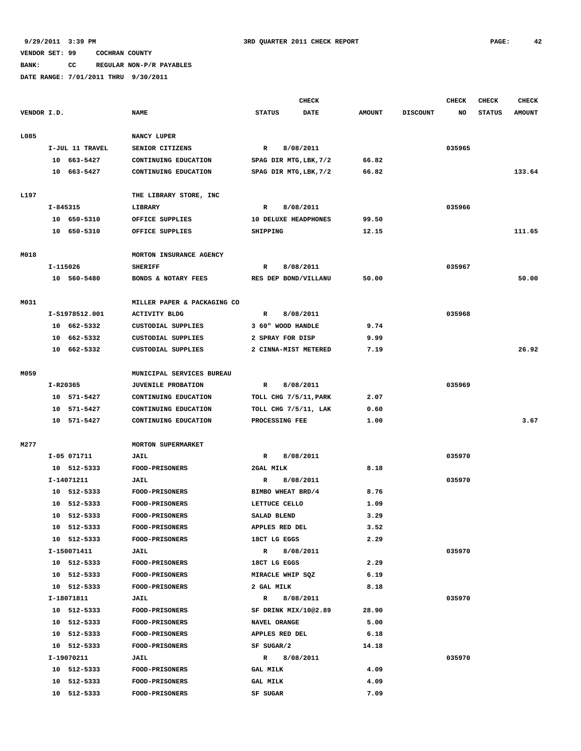## **BANK: CC REGULAR NON-P/R PAYABLES**

|             |          |                 |                             |                 | <b>CHECK</b>                |               |                 | <b>CHECK</b> | <b>CHECK</b>  | <b>CHECK</b>  |
|-------------|----------|-----------------|-----------------------------|-----------------|-----------------------------|---------------|-----------------|--------------|---------------|---------------|
| VENDOR I.D. |          |                 | <b>NAME</b>                 | <b>STATUS</b>   | <b>DATE</b>                 | <b>AMOUNT</b> | <b>DISCOUNT</b> | NO           | <b>STATUS</b> | <b>AMOUNT</b> |
| L085        |          |                 | NANCY LUPER                 |                 |                             |               |                 |              |               |               |
|             |          | I-JUL 11 TRAVEL | SENIOR CITIZENS             | $\mathbb{R}$    | 8/08/2011                   |               |                 | 035965       |               |               |
|             |          | 10 663-5427     | CONTINUING EDUCATION        |                 | SPAG DIR MTG, LBK, 7/2      | 66.82         |                 |              |               |               |
|             |          | 10 663-5427     | CONTINUING EDUCATION        |                 | SPAG DIR MTG, LBK, 7/2      | 66.82         |                 |              |               | 133.64        |
| L197        |          |                 | THE LIBRARY STORE, INC      |                 |                             |               |                 |              |               |               |
|             | I-845315 |                 | LIBRARY                     | R               | 8/08/2011                   |               |                 | 035966       |               |               |
|             |          | 10 650-5310     | OFFICE SUPPLIES             |                 | <b>10 DELUXE HEADPHONES</b> | 99.50         |                 |              |               |               |
|             |          | 10 650-5310     | OFFICE SUPPLIES             | SHIPPING        |                             | 12.15         |                 |              |               | 111.65        |
| M018        |          |                 | MORTON INSURANCE AGENCY     |                 |                             |               |                 |              |               |               |
|             | I-115026 |                 | <b>SHERIFF</b>              | R               | 8/08/2011                   |               |                 | 035967       |               |               |
|             |          | 10 560-5480     | BONDS & NOTARY FEES         |                 | RES DEP BOND/VILLANU        | 50.00         |                 |              |               | 50.00         |
| M031        |          |                 | MILLER PAPER & PACKAGING CO |                 |                             |               |                 |              |               |               |
|             |          | I-S1978512.001  | <b>ACTIVITY BLDG</b>        | $\mathbb{R}$    | 8/08/2011                   |               |                 | 035968       |               |               |
|             |          | 10 662-5332     | CUSTODIAL SUPPLIES          |                 | 3 60" WOOD HANDLE           | 9.74          |                 |              |               |               |
|             | 10       | 662-5332        | <b>CUSTODIAL SUPPLIES</b>   |                 | 2 SPRAY FOR DISP            | 9.99          |                 |              |               |               |
|             |          | 10 662-5332     | CUSTODIAL SUPPLIES          |                 | 2 CINNA-MIST METERED        | 7.19          |                 |              |               | 26.92         |
| M059        |          |                 | MUNICIPAL SERVICES BUREAU   |                 |                             |               |                 |              |               |               |
|             |          | I-R20365        | JUVENILE PROBATION          | $\mathbb{R}$    | 8/08/2011                   |               |                 | 035969       |               |               |
|             |          | 10 571-5427     | CONTINUING EDUCATION        |                 | TOLL CHG 7/5/11, PARK       | 2.07          |                 |              |               |               |
|             | 10       | 571-5427        | CONTINUING EDUCATION        |                 | TOLL CHG 7/5/11, LAK        | 0.60          |                 |              |               |               |
|             |          | 10 571-5427     | CONTINUING EDUCATION        |                 | PROCESSING FEE              | 1.00          |                 |              |               | 3.67          |
| M277        |          |                 | <b>MORTON SUPERMARKET</b>   |                 |                             |               |                 |              |               |               |
|             |          | I-05 071711     | <b>JAIL</b>                 | $\mathbb{R}$    | 8/08/2011                   |               |                 | 035970       |               |               |
|             |          | 10 512-5333     | <b>FOOD-PRISONERS</b>       | 2GAL MILK       |                             | 8.18          |                 |              |               |               |
|             |          | I-14071211      | <b>JAIL</b>                 | R               | 8/08/2011                   |               |                 | 035970       |               |               |
|             |          | 10 512-5333     | FOOD-PRISONERS              |                 | BIMBO WHEAT BRD/4           | 8.76          |                 |              |               |               |
|             | 10       | 512-5333        | <b>FOOD-PRISONERS</b>       |                 | LETTUCE CELLO               | 1.09          |                 |              |               |               |
|             |          | 10 512-5333     | FOOD-PRISONERS              |                 | SALAD BLEND                 | 3.29          |                 |              |               |               |
|             |          | 10 512-5333     | <b>FOOD-PRISONERS</b>       |                 | APPLES RED DEL              | 3.52          |                 |              |               |               |
|             |          | 10 512-5333     | <b>FOOD-PRISONERS</b>       |                 | 18CT LG EGGS                | 2.29          |                 |              |               |               |
|             |          | I-150071411     | JAIL                        |                 | R 8/08/2011                 |               |                 | 035970       |               |               |
|             |          | 10 512-5333     | <b>FOOD-PRISONERS</b>       |                 | 18CT LG EGGS                | 2.29          |                 |              |               |               |
|             |          | 10 512-5333     | <b>FOOD-PRISONERS</b>       |                 | MIRACLE WHIP SQZ            | 6.19          |                 |              |               |               |
|             |          | 10 512-5333     | <b>FOOD-PRISONERS</b>       |                 | 2 GAL MILK                  | 8.18          |                 |              |               |               |
|             |          | I-18071811      | JAIL                        |                 | R 8/08/2011                 |               |                 | 035970       |               |               |
|             |          | 10 512-5333     | <b>FOOD-PRISONERS</b>       |                 | SF DRINK MIX/10@2.89        | 28.90         |                 |              |               |               |
|             |          | 10 512-5333     | <b>FOOD-PRISONERS</b>       |                 | NAVEL ORANGE                | 5.00          |                 |              |               |               |
|             |          | 10 512-5333     | <b>FOOD-PRISONERS</b>       |                 | APPLES RED DEL              | 6.18          |                 |              |               |               |
|             |          | 10 512-5333     | <b>FOOD-PRISONERS</b>       |                 | SF SUGAR/2                  | 14.18         |                 |              |               |               |
|             |          | I-19070211      | JAIL                        |                 | R 8/08/2011                 |               |                 | 035970       |               |               |
|             |          | 10 512-5333     | FOOD-PRISONERS              | <b>GAL MILK</b> |                             | 4.09          |                 |              |               |               |
|             |          | 10 512-5333     | <b>FOOD-PRISONERS</b>       | GAL MILK        |                             | 4.09          |                 |              |               |               |
|             |          | 10 512-5333     | <b>FOOD-PRISONERS</b>       | SF SUGAR        |                             | 7.09          |                 |              |               |               |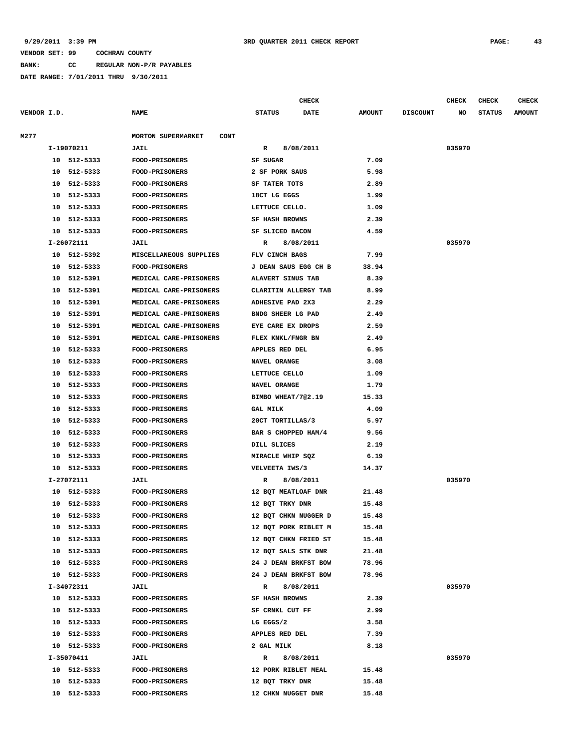**BANK: CC REGULAR NON-P/R PAYABLES**

|             |    |             |                                          |                       | <b>CHECK</b>         |               |                 | <b>CHECK</b> | <b>CHECK</b>  | <b>CHECK</b>  |
|-------------|----|-------------|------------------------------------------|-----------------------|----------------------|---------------|-----------------|--------------|---------------|---------------|
| VENDOR I.D. |    |             | <b>NAME</b>                              | <b>STATUS</b>         | <b>DATE</b>          | <b>AMOUNT</b> | <b>DISCOUNT</b> | NO           | <b>STATUS</b> | <b>AMOUNT</b> |
| M277        |    |             | <b>MORTON SUPERMARKET</b><br><b>CONT</b> |                       |                      |               |                 |              |               |               |
|             |    | I-19070211  | JAIL                                     | R                     | 8/08/2011            |               |                 | 035970       |               |               |
|             |    | 10 512-5333 | <b>FOOD-PRISONERS</b>                    | SF SUGAR              |                      | 7.09          |                 |              |               |               |
|             | 10 | 512-5333    | <b>FOOD-PRISONERS</b>                    | 2 SF PORK SAUS        |                      | 5.98          |                 |              |               |               |
|             | 10 | 512-5333    | <b>FOOD-PRISONERS</b>                    | SF TATER TOTS         |                      | 2.89          |                 |              |               |               |
|             | 10 | 512-5333    | <b>FOOD-PRISONERS</b>                    | 18CT LG EGGS          |                      | 1.99          |                 |              |               |               |
|             | 10 | 512-5333    | FOOD-PRISONERS                           | LETTUCE CELLO.        |                      | 1.09          |                 |              |               |               |
|             | 10 | 512-5333    | FOOD-PRISONERS                           | <b>SF HASH BROWNS</b> |                      | 2.39          |                 |              |               |               |
|             | 10 | 512-5333    | FOOD-PRISONERS                           | SF SLICED BACON       |                      | 4.59          |                 |              |               |               |
|             |    | I-26072111  | JAIL                                     | R                     | 8/08/2011            |               |                 | 035970       |               |               |
|             |    | 10 512-5392 | MISCELLANEOUS SUPPLIES                   | FLV CINCH BAGS        |                      | 7.99          |                 |              |               |               |
|             | 10 | 512-5333    | <b>FOOD-PRISONERS</b>                    | J DEAN SAUS EGG CH B  |                      | 38.94         |                 |              |               |               |
|             | 10 | 512-5391    | MEDICAL CARE-PRISONERS                   | ALAVERT SINUS TAB     |                      | 8.39          |                 |              |               |               |
|             | 10 | 512-5391    | MEDICAL CARE-PRISONERS                   | CLARITIN ALLERGY TAB  |                      | 8.99          |                 |              |               |               |
|             | 10 | 512-5391    | MEDICAL CARE-PRISONERS                   | ADHESIVE PAD 2X3      |                      | 2.29          |                 |              |               |               |
|             | 10 | 512-5391    | MEDICAL CARE-PRISONERS                   | BNDG SHEER LG PAD     |                      | 2.49          |                 |              |               |               |
|             | 10 | 512-5391    | MEDICAL CARE-PRISONERS                   | EYE CARE EX DROPS     |                      | 2.59          |                 |              |               |               |
|             | 10 | 512-5391    | MEDICAL CARE-PRISONERS                   | FLEX KNKL/FNGR BN     |                      | 2.49          |                 |              |               |               |
|             | 10 | 512-5333    | FOOD-PRISONERS                           | APPLES RED DEL        |                      | 6.95          |                 |              |               |               |
|             | 10 | 512-5333    | FOOD-PRISONERS                           | NAVEL ORANGE          |                      | 3.08          |                 |              |               |               |
|             | 10 | 512-5333    | FOOD-PRISONERS                           | LETTUCE CELLO         |                      | 1.09          |                 |              |               |               |
|             | 10 | 512-5333    | FOOD-PRISONERS                           | NAVEL ORANGE          |                      | 1.79          |                 |              |               |               |
|             | 10 | 512-5333    | <b>FOOD-PRISONERS</b>                    | BIMBO WHEAT/7@2.19    |                      | 15.33         |                 |              |               |               |
|             | 10 | 512-5333    | <b>FOOD-PRISONERS</b>                    | <b>GAL MILK</b>       |                      | 4.09          |                 |              |               |               |
|             | 10 | 512-5333    | FOOD-PRISONERS                           | 20CT TORTILLAS/3      |                      | 5.97          |                 |              |               |               |
|             | 10 | 512-5333    | <b>FOOD-PRISONERS</b>                    | BAR S CHOPPED HAM/4   |                      | 9.56          |                 |              |               |               |
|             | 10 | 512-5333    | <b>FOOD-PRISONERS</b>                    | DILL SLICES           |                      | 2.19          |                 |              |               |               |
|             | 10 | 512-5333    | FOOD-PRISONERS                           | MIRACLE WHIP SQZ      |                      | 6.19          |                 |              |               |               |
|             | 10 | 512-5333    | <b>FOOD-PRISONERS</b>                    | VELVEETA IWS/3        |                      | 14.37         |                 |              |               |               |
|             |    | I-27072111  | JAIL                                     | R                     | 8/08/2011            |               |                 | 035970       |               |               |
|             |    | 10 512-5333 | <b>FOOD-PRISONERS</b>                    | 12 BQT MEATLOAF DNR   |                      | 21.48         |                 |              |               |               |
|             | 10 | 512-5333    | <b>FOOD-PRISONERS</b>                    | 12 BQT TRKY DNR       |                      | 15.48         |                 |              |               |               |
|             | 10 | 512-5333    | <b>FOOD-PRISONERS</b>                    | 12 BQT CHKN NUGGER D  |                      | 15.48         |                 |              |               |               |
|             | 10 | 512-5333    | <b>FOOD-PRISONERS</b>                    |                       | 12 BQT PORK RIBLET M | 15.48         |                 |              |               |               |
|             |    | 10 512-5333 | <b>FOOD-PRISONERS</b>                    | 12 BQT CHKN FRIED ST  |                      | 15.48         |                 |              |               |               |
|             |    | 10 512-5333 | <b>FOOD-PRISONERS</b>                    | 12 BOT SALS STK DNR   |                      | 21.48         |                 |              |               |               |
|             |    | 10 512-5333 | <b>FOOD-PRISONERS</b>                    |                       | 24 J DEAN BRKFST BOW | 78.96         |                 |              |               |               |
|             |    | 10 512-5333 | <b>FOOD-PRISONERS</b>                    |                       | 24 J DEAN BRKFST BOW | 78.96         |                 |              |               |               |
|             |    | I-34072311  | <b>JAIL</b>                              | $\mathbb{R}$          | 8/08/2011            |               |                 | 035970       |               |               |
|             |    | 10 512-5333 | <b>FOOD-PRISONERS</b>                    | SF HASH BROWNS        |                      | 2.39          |                 |              |               |               |
|             |    | 10 512-5333 | <b>FOOD-PRISONERS</b>                    | SF CRNKL CUT FF       |                      | 2.99          |                 |              |               |               |
|             |    | 10 512-5333 | <b>FOOD-PRISONERS</b>                    | LG EGGS/2             |                      | 3.58          |                 |              |               |               |
|             |    | 10 512-5333 | <b>FOOD-PRISONERS</b>                    | APPLES RED DEL        |                      | 7.39          |                 |              |               |               |
|             |    | 10 512-5333 | <b>FOOD-PRISONERS</b>                    | 2 GAL MILK            |                      | 8.18          |                 |              |               |               |
|             |    | I-35070411  | <b>JAIL</b>                              | $\mathbb{R}$          | 8/08/2011            |               |                 | 035970       |               |               |
|             |    | 10 512-5333 | <b>FOOD-PRISONERS</b>                    | 12 PORK RIBLET MEAL   |                      | 15.48         |                 |              |               |               |
|             |    | 10 512-5333 | <b>FOOD-PRISONERS</b>                    | 12 BQT TRKY DNR       |                      | 15.48         |                 |              |               |               |
|             |    | 10 512-5333 | <b>FOOD-PRISONERS</b>                    | 12 CHKN NUGGET DNR    |                      | 15.48         |                 |              |               |               |
|             |    |             |                                          |                       |                      |               |                 |              |               |               |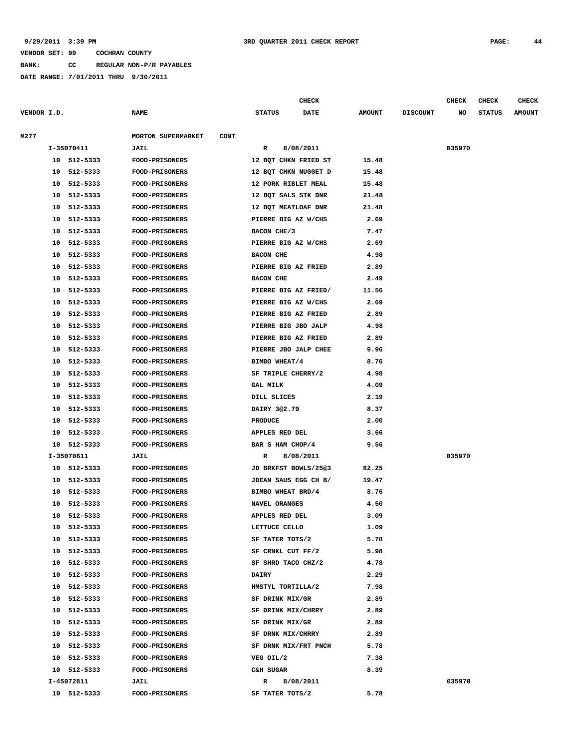**BANK: CC REGULAR NON-P/R PAYABLES**

|             |    |             |                                   |                  | <b>CHECK</b>         |               |                 | CHECK  | <b>CHECK</b>  | CHECK         |
|-------------|----|-------------|-----------------------------------|------------------|----------------------|---------------|-----------------|--------|---------------|---------------|
| VENDOR I.D. |    |             | <b>NAME</b>                       | <b>STATUS</b>    | DATE                 | <b>AMOUNT</b> | <b>DISCOUNT</b> | NO     | <b>STATUS</b> | <b>AMOUNT</b> |
| M277        |    |             | MORTON SUPERMARKET<br><b>CONT</b> |                  |                      |               |                 |        |               |               |
|             |    | I-35070411  | JAIL                              | R                | 8/08/2011            |               |                 | 035970 |               |               |
|             |    | 10 512-5333 | <b>FOOD-PRISONERS</b>             |                  | 12 BOT CHKN FRIED ST | 15.48         |                 |        |               |               |
|             | 10 | 512-5333    | <b>FOOD-PRISONERS</b>             |                  | 12 BQT CHKN NUGGET D | 15.48         |                 |        |               |               |
|             | 10 | 512-5333    | <b>FOOD-PRISONERS</b>             |                  | 12 PORK RIBLET MEAL  | 15.48         |                 |        |               |               |
|             | 10 | 512-5333    | <b>FOOD-PRISONERS</b>             |                  | 12 BQT SALS STK DNR  | 21.48         |                 |        |               |               |
|             | 10 | 512-5333    | FOOD-PRISONERS                    |                  | 12 BQT MEATLOAF DNR  | 21.48         |                 |        |               |               |
|             | 10 | 512-5333    | FOOD-PRISONERS                    |                  | PIERRE BIG AZ W/CHS  | 2.69          |                 |        |               |               |
|             | 10 | 512-5333    | <b>FOOD-PRISONERS</b>             | BACON CHE/3      |                      | 7.47          |                 |        |               |               |
|             | 10 | 512-5333    | <b>FOOD-PRISONERS</b>             |                  | PIERRE BIG AZ W/CHS  | 2.69          |                 |        |               |               |
|             | 10 | 512-5333    | <b>FOOD-PRISONERS</b>             | <b>BACON CHE</b> |                      | 4.98          |                 |        |               |               |
|             | 10 | 512-5333    | <b>FOOD-PRISONERS</b>             |                  | PIERRE BIG AZ FRIED  | 2.89          |                 |        |               |               |
|             | 10 | 512-5333    | <b>FOOD-PRISONERS</b>             | <b>BACON CHE</b> |                      | 2.49          |                 |        |               |               |
|             | 10 | 512-5333    | <b>FOOD-PRISONERS</b>             |                  | PIERRE BIG AZ FRIED/ | 11.56         |                 |        |               |               |
|             | 10 | 512-5333    | <b>FOOD-PRISONERS</b>             |                  | PIERRE BIG AZ W/CHS  | 2.69          |                 |        |               |               |
|             | 10 | 512-5333    | <b>FOOD-PRISONERS</b>             |                  | PIERRE BIG AZ FRIED  | 2.89          |                 |        |               |               |
|             | 10 | 512-5333    | <b>FOOD-PRISONERS</b>             |                  | PIERRE BIG JBO JALP  | 4.98          |                 |        |               |               |
|             | 10 | 512-5333    | <b>FOOD-PRISONERS</b>             |                  | PIERRE BIG AZ FRIED  | 2.89          |                 |        |               |               |
|             | 10 | 512-5333    | <b>FOOD-PRISONERS</b>             |                  | PIERRE JBO JALP CHEE | 9.96          |                 |        |               |               |
|             | 10 | 512-5333    | <b>FOOD-PRISONERS</b>             | BIMBO WHEAT/4    |                      | 8.76          |                 |        |               |               |
|             | 10 | 512-5333    | <b>FOOD-PRISONERS</b>             |                  | SF TRIPLE CHERRY/2   | 4.98          |                 |        |               |               |
|             | 10 | 512-5333    | <b>FOOD-PRISONERS</b>             | <b>GAL MILK</b>  |                      | 4.09          |                 |        |               |               |
|             | 10 | 512-5333    | <b>FOOD-PRISONERS</b>             | DILL SLICES      |                      | 2.19          |                 |        |               |               |
|             | 10 | 512-5333    | <b>FOOD-PRISONERS</b>             | DAIRY 302.79     |                      | 8.37          |                 |        |               |               |
|             | 10 | 512-5333    | <b>FOOD-PRISONERS</b>             | <b>PRODUCE</b>   |                      | 2.00          |                 |        |               |               |
|             | 10 | 512-5333    | <b>FOOD-PRISONERS</b>             | APPLES RED DEL   |                      | 3.66          |                 |        |               |               |
|             | 10 | 512-5333    | <b>FOOD-PRISONERS</b>             |                  | BAR S HAM CHOP/4     | 9.56          |                 |        |               |               |
|             |    | I-35070611  | <b>JAIL</b>                       | R                | 8/08/2011            |               |                 | 035970 |               |               |
|             | 10 | 512-5333    | FOOD-PRISONERS                    |                  | JD BRKFST BOWLS/2503 | 82.25         |                 |        |               |               |
|             | 10 | 512-5333    | <b>FOOD-PRISONERS</b>             |                  | JDEAN SAUS EGG CH B/ | 19.47         |                 |        |               |               |
|             | 10 | 512-5333    | <b>FOOD-PRISONERS</b>             |                  | BIMBO WHEAT BRD/4    | 8.76          |                 |        |               |               |
|             | 10 | 512-5333    | FOOD-PRISONERS                    | NAVEL ORANGES    |                      | 4.50          |                 |        |               |               |
|             | 10 | 512-5333    | <b>FOOD-PRISONERS</b>             | APPLES RED DEL   |                      | 3.09          |                 |        |               |               |
|             | 10 | 512-5333    | <b>FOOD-PRISONERS</b>             | LETTUCE CELLO    |                      | 1.09          |                 |        |               |               |
|             |    | 10 512-5333 | <b>FOOD-PRISONERS</b>             |                  | SF TATER TOTS/2      | 5.78          |                 |        |               |               |
|             |    | 10 512-5333 | <b>FOOD-PRISONERS</b>             |                  | SF CRNKL CUT FF/2    | 5.98          |                 |        |               |               |
|             |    | 10 512-5333 | <b>FOOD-PRISONERS</b>             |                  | SF SHRD TACO CHZ/2   | 4.78          |                 |        |               |               |
|             |    | 10 512-5333 | <b>FOOD-PRISONERS</b>             | DAIRY            |                      | 2.29          |                 |        |               |               |
|             |    | 10 512-5333 | <b>FOOD-PRISONERS</b>             |                  | HMSTYL TORTILLA/2    | 7.98          |                 |        |               |               |
|             |    | 10 512-5333 | <b>FOOD-PRISONERS</b>             |                  | SF DRINK MIX/GR      | 2.89          |                 |        |               |               |
|             |    | 10 512-5333 | <b>FOOD-PRISONERS</b>             |                  | SF DRINK MIX/CHRRY   | 2.89          |                 |        |               |               |
|             |    | 10 512-5333 | FOOD-PRISONERS                    | SF DRINK MIX/GR  |                      | 2.89          |                 |        |               |               |
|             |    | 10 512-5333 | <b>FOOD-PRISONERS</b>             |                  | SF DRNK MIX/CHRRY    | 2.89          |                 |        |               |               |
|             |    | 10 512-5333 | <b>FOOD-PRISONERS</b>             |                  | SF DRNK MIX/FRT PNCH | 5.78          |                 |        |               |               |
|             |    | 10 512-5333 | <b>FOOD-PRISONERS</b>             | VEG OIL/2        |                      | 7.38          |                 |        |               |               |
|             |    | 10 512-5333 | <b>FOOD-PRISONERS</b>             | C&H SUGAR        |                      | 8.39          |                 |        |               |               |
|             |    | I-45072811  | <b>JAIL</b>                       | R                | 8/08/2011            |               |                 | 035970 |               |               |
|             |    | 10 512-5333 | <b>FOOD-PRISONERS</b>             | SF TATER TOTS/2  |                      | 5.78          |                 |        |               |               |
|             |    |             |                                   |                  |                      |               |                 |        |               |               |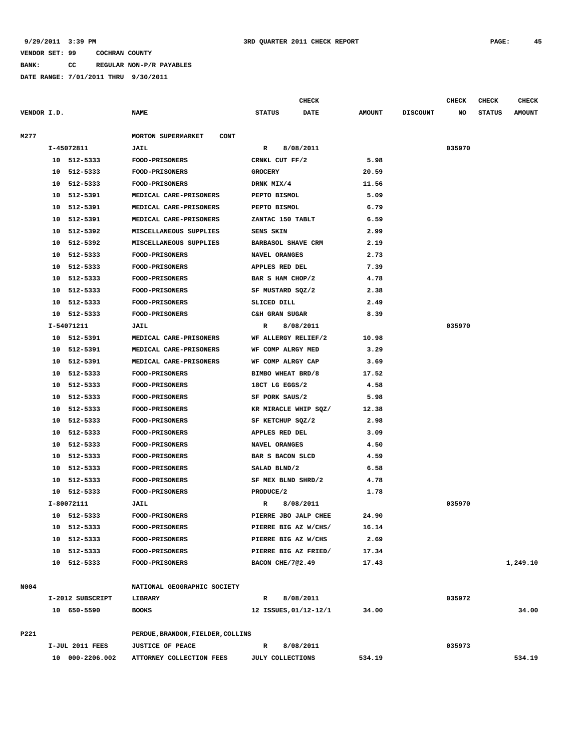**BANK: CC REGULAR NON-P/R PAYABLES**

|             |    |                  |                                          |                       | <b>CHECK</b> |               |                 | <b>CHECK</b> | <b>CHECK</b>  | <b>CHECK</b>  |
|-------------|----|------------------|------------------------------------------|-----------------------|--------------|---------------|-----------------|--------------|---------------|---------------|
| VENDOR I.D. |    |                  | <b>NAME</b>                              | <b>STATUS</b>         | <b>DATE</b>  | <b>AMOUNT</b> | <b>DISCOUNT</b> | NO           | <b>STATUS</b> | <b>AMOUNT</b> |
|             |    |                  |                                          |                       |              |               |                 |              |               |               |
| M277        |    |                  | <b>MORTON SUPERMARKET</b><br><b>CONT</b> |                       |              |               |                 |              |               |               |
|             |    | I-45072811       | <b>JAIL</b>                              | R                     | 8/08/2011    |               |                 | 035970       |               |               |
|             |    | 10 512-5333      | <b>FOOD-PRISONERS</b>                    | CRNKL CUT FF/2        |              | 5.98          |                 |              |               |               |
|             | 10 | 512-5333         | FOOD-PRISONERS                           | <b>GROCERY</b>        |              | 20.59         |                 |              |               |               |
|             | 10 | 512-5333         | <b>FOOD-PRISONERS</b>                    | DRNK MIX/4            |              | 11.56         |                 |              |               |               |
|             | 10 | 512-5391         | MEDICAL CARE-PRISONERS                   | PEPTO BISMOL          |              | 5.09          |                 |              |               |               |
|             | 10 | 512-5391         | MEDICAL CARE-PRISONERS                   | PEPTO BISMOL          |              | 6.79          |                 |              |               |               |
|             | 10 | 512-5391         | MEDICAL CARE-PRISONERS                   | ZANTAC 150 TABLT      |              | 6.59          |                 |              |               |               |
|             | 10 | 512-5392         | MISCELLANEOUS SUPPLIES                   | SENS SKIN             |              | 2.99          |                 |              |               |               |
|             | 10 | 512-5392         | MISCELLANEOUS SUPPLIES                   | BARBASOL SHAVE CRM    |              | 2.19          |                 |              |               |               |
|             | 10 | 512-5333         | <b>FOOD-PRISONERS</b>                    | NAVEL ORANGES         |              | 2.73          |                 |              |               |               |
|             | 10 | 512-5333         | <b>FOOD-PRISONERS</b>                    | APPLES RED DEL        |              | 7.39          |                 |              |               |               |
|             | 10 | 512-5333         | FOOD-PRISONERS                           | BAR S HAM CHOP/2      |              | 4.78          |                 |              |               |               |
|             | 10 | 512-5333         | FOOD-PRISONERS                           | SF MUSTARD SQZ/2      |              | 2.38          |                 |              |               |               |
|             | 10 | 512-5333         | FOOD-PRISONERS                           | SLICED DILL           |              | 2.49          |                 |              |               |               |
|             | 10 | 512-5333         | FOOD-PRISONERS                           | C&H GRAN SUGAR        |              | 8.39          |                 |              |               |               |
|             |    | I-54071211       | <b>JAIL</b>                              | R                     | 8/08/2011    |               |                 | 035970       |               |               |
|             | 10 | 512-5391         | MEDICAL CARE-PRISONERS                   | WF ALLERGY RELIEF/2   |              | 10.98         |                 |              |               |               |
|             | 10 | 512-5391         | MEDICAL CARE-PRISONERS                   | WF COMP ALRGY MED     |              | 3.29          |                 |              |               |               |
|             | 10 | 512-5391         | MEDICAL CARE-PRISONERS                   | WF COMP ALRGY CAP     |              | 3.69          |                 |              |               |               |
|             | 10 | 512-5333         | <b>FOOD-PRISONERS</b>                    | BIMBO WHEAT BRD/8     |              | 17.52         |                 |              |               |               |
|             | 10 | 512-5333         | <b>FOOD-PRISONERS</b>                    | 18CT LG EGGS/2        |              | 4.58          |                 |              |               |               |
|             | 10 | 512-5333         | <b>FOOD-PRISONERS</b>                    | SF PORK SAUS/2        |              | 5.98          |                 |              |               |               |
|             | 10 | 512-5333         | <b>FOOD-PRISONERS</b>                    | KR MIRACLE WHIP SQZ/  |              | 12.38         |                 |              |               |               |
|             | 10 | 512-5333         | <b>FOOD-PRISONERS</b>                    | SF KETCHUP SQZ/2      |              | 2.98          |                 |              |               |               |
|             | 10 | 512-5333         | <b>FOOD-PRISONERS</b>                    | APPLES RED DEL        |              | 3.09          |                 |              |               |               |
|             | 10 | 512-5333         | FOOD-PRISONERS                           | NAVEL ORANGES         |              | 4.50          |                 |              |               |               |
|             | 10 | 512-5333         | <b>FOOD-PRISONERS</b>                    | BAR S BACON SLCD      |              | 4.59          |                 |              |               |               |
|             | 10 | 512-5333         | <b>FOOD-PRISONERS</b>                    | SALAD BLND/2          |              | 6.58          |                 |              |               |               |
|             | 10 | 512-5333         | <b>FOOD-PRISONERS</b>                    | SF MEX BLND SHRD/2    |              | 4.78          |                 |              |               |               |
|             | 10 | 512-5333         | FOOD-PRISONERS                           | PRODUCE/2             |              | 1.78          |                 |              |               |               |
|             |    | I-80072111       | <b>JAIL</b>                              | R                     | 8/08/2011    |               |                 | 035970       |               |               |
|             | 10 | 512-5333         | FOOD-PRISONERS                           | PIERRE JBO JALP CHEE  |              | 24.90         |                 |              |               |               |
|             |    | 10 512-5333      | <b>FOOD-PRISONERS</b>                    | PIERRE BIG AZ W/CHS/  |              | 16.14         |                 |              |               |               |
|             |    | 10 512-5333      | <b>FOOD-PRISONERS</b>                    | PIERRE BIG AZ W/CHS   |              | 2.69          |                 |              |               |               |
|             |    | 10 512-5333      | <b>FOOD-PRISONERS</b>                    | PIERRE BIG AZ FRIED/  |              | 17.34         |                 |              |               |               |
|             |    | 10 512-5333      | FOOD-PRISONERS                           | BACON CHE/7@2.49      |              | 17.43         |                 |              |               | 1,249.10      |
|             |    |                  |                                          |                       |              |               |                 |              |               |               |
| N004        |    |                  | NATIONAL GEOGRAPHIC SOCIETY              |                       |              |               |                 |              |               |               |
|             |    | I-2012 SUBSCRIPT | LIBRARY                                  | $\mathbb{R}$          | 8/08/2011    |               |                 | 035972       |               |               |
|             |    | 10 650-5590      | <b>BOOKS</b>                             | 12 ISSUES, 01/12-12/1 |              | 34.00         |                 |              |               | 34.00         |
|             |    |                  |                                          |                       |              |               |                 |              |               |               |
| P221        |    |                  | PERDUE, BRANDON, FIELDER, COLLINS        |                       |              |               |                 |              |               |               |
|             |    | I-JUL 2011 FEES  | <b>JUSTICE OF PEACE</b>                  | R                     | 8/08/2011    |               |                 | 035973       |               |               |
|             |    | 10 000-2206.002  | ATTORNEY COLLECTION FEES                 | JULY COLLECTIONS      |              | 534.19        |                 |              |               | 534.19        |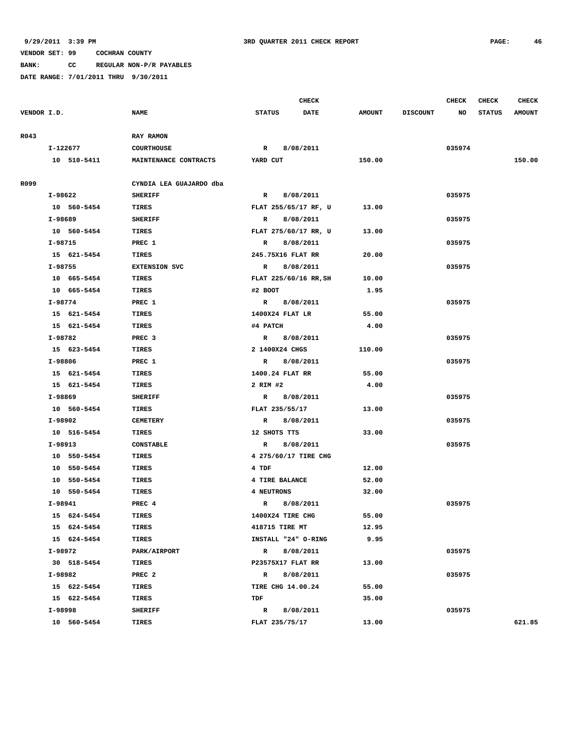**BANK: CC REGULAR NON-P/R PAYABLES**

|             |          |             |                         |               | <b>CHECK</b>         |               |                 | <b>CHECK</b> | <b>CHECK</b>  | <b>CHECK</b>  |
|-------------|----------|-------------|-------------------------|---------------|----------------------|---------------|-----------------|--------------|---------------|---------------|
| VENDOR I.D. |          |             | <b>NAME</b>             | <b>STATUS</b> | <b>DATE</b>          | <b>AMOUNT</b> | <b>DISCOUNT</b> | NO           | <b>STATUS</b> | <b>AMOUNT</b> |
|             |          |             |                         |               |                      |               |                 |              |               |               |
| R043        |          |             | <b>RAY RAMON</b>        |               |                      |               |                 |              |               |               |
|             | I-122677 |             | <b>COURTHOUSE</b>       | $\mathbb{R}$  | 8/08/2011            |               |                 | 035974       |               |               |
|             | 10       | 510-5411    | MAINTENANCE CONTRACTS   | YARD CUT      |                      | 150.00        |                 |              |               | 150.00        |
|             |          |             |                         |               |                      |               |                 |              |               |               |
| R099        |          |             | CYNDIA LEA GUAJARDO dba |               |                      |               |                 |              |               |               |
|             | I-98622  |             | <b>SHERIFF</b>          | $\mathbb{R}$  | 8/08/2011            |               |                 | 035975       |               |               |
|             |          | 10 560-5454 | TIRES                   |               | FLAT 255/65/17 RF, U | 13.00         |                 |              |               |               |
|             | I-98689  |             | <b>SHERIFF</b>          | $\mathbb{R}$  | 8/08/2011            |               |                 | 035975       |               |               |
|             | 10       | 560-5454    | TIRES                   |               | FLAT 275/60/17 RR, U | 13.00         |                 |              |               |               |

|      | I-122677    | <b>COURTHOUSE</b>       | 8/08/2011<br>$\mathbf{R}$ |        | 035974 |        |
|------|-------------|-------------------------|---------------------------|--------|--------|--------|
|      | 10 510-5411 | MAINTENANCE CONTRACTS   | YARD CUT                  | 150.00 |        | 150.00 |
| R099 |             | CYNDIA LEA GUAJARDO dba |                           |        |        |        |
|      | I-98622     | <b>SHERIFF</b>          | 8/08/2011<br>$\mathbf{R}$ |        | 035975 |        |
|      | 10 560-5454 | TIRES                   | FLAT 255/65/17 RF, U      | 13.00  |        |        |
|      | I-98689     | <b>SHERIFF</b>          | 8/08/2011<br>$\mathbb{R}$ |        | 035975 |        |
|      | 10 560-5454 | <b>TIRES</b>            | FLAT 275/60/17 RR, U      | 13.00  |        |        |
|      | I-98715     | PREC 1                  | 8/08/2011<br>$\mathbb{R}$ |        | 035975 |        |
|      | 15 621-5454 | <b>TIRES</b>            | 245.75X16 FLAT RR         | 20.00  |        |        |
|      | I-98755     | <b>EXTENSION SVC</b>    | 8/08/2011<br>$\mathbb{R}$ |        | 035975 |        |
|      | 10 665-5454 | TIRES                   | FLAT 225/60/16 RR, SH     | 10.00  |        |        |
|      | 10 665-5454 | <b>TIRES</b>            | #2 BOOT                   | 1.95   |        |        |
|      | I-98774     | PREC 1                  | R 8/08/2011               |        | 035975 |        |
|      | 15 621-5454 | TIRES                   | 1400X24 FLAT LR           | 55.00  |        |        |
|      | 15 621-5454 | <b>TIRES</b>            | #4 PATCH                  | 4.00   |        |        |
|      | I-98782     | PREC <sub>3</sub>       | R 8/08/2011               |        | 035975 |        |
|      | 15 623-5454 | <b>TIRES</b>            | 2 1400X24 CHGS            | 110.00 |        |        |
|      | I-98806     | PREC 1                  | 8/08/2011<br>$\mathbb{R}$ |        | 035975 |        |
|      | 15 621-5454 | TIRES                   | 1400.24 FLAT RR           | 55.00  |        |        |
|      | 15 621-5454 | <b>TIRES</b>            | 2 RIM #2                  | 4.00   |        |        |
|      | I-98869     | <b>SHERIFF</b>          | R 8/08/2011               |        | 035975 |        |
|      | 10 560-5454 | <b>TIRES</b>            | FLAT 235/55/17            | 13.00  |        |        |
|      | I-98902     | <b>CEMETERY</b>         | R 8/08/2011               |        | 035975 |        |
|      | 10 516-5454 | <b>TIRES</b>            | 12 SHOTS TTS              | 33.00  |        |        |
|      | I-98913     | <b>CONSTABLE</b>        | 8/08/2011<br>$\mathbb{R}$ |        | 035975 |        |
|      | 10 550-5454 | <b>TIRES</b>            | 4 275/60/17 TIRE CHG      |        |        |        |
|      | 10 550-5454 | <b>TIRES</b>            | 4 TDF                     | 12.00  |        |        |
|      | 10 550-5454 | <b>TIRES</b>            | 4 TIRE BALANCE            | 52.00  |        |        |
|      | 10 550-5454 | TIRES                   | 4 NEUTRONS                | 32.00  |        |        |
|      | I-98941     | PREC 4                  | 8/08/2011<br>$\mathbb{R}$ |        | 035975 |        |
|      | 15 624-5454 | TIRES                   | 1400X24 TIRE CHG          | 55.00  |        |        |
|      | 15 624-5454 | TIRES                   | 418715 TIRE MT            | 12.95  |        |        |
|      | 15 624-5454 | TIRES                   | INSTALL "24" O-RING       | 9.95   |        |        |
|      | I-98972     | PARK/AIRPORT            | 8/08/2011<br>$\mathbf{R}$ |        | 035975 |        |
|      | 30 518-5454 | TIRES                   | P23575X17 FLAT RR         | 13.00  |        |        |
|      | I-98982     | PREC <sub>2</sub>       | 8/08/2011<br>$\mathbf{R}$ |        | 035975 |        |
|      | 15 622-5454 | <b>TIRES</b>            | <b>TIRE CHG 14.00.24</b>  | 55.00  |        |        |
|      | 15 622-5454 | <b>TIRES</b>            | TDF                       | 35.00  |        |        |
|      | I-98998     | <b>SHERIFF</b>          | 8/08/2011<br>$\mathbf{R}$ |        | 035975 |        |
|      | 10 560-5454 | TIRES                   | FLAT 235/75/17            | 13.00  |        | 621.85 |
|      |             |                         |                           |        |        |        |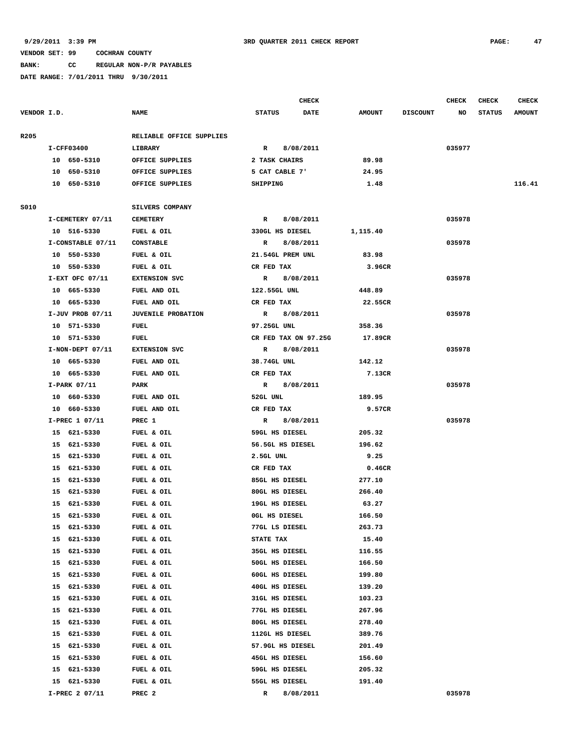**BANK: CC REGULAR NON-P/R PAYABLES**

|             |                   |                          |                       | <b>CHECK</b> |               |                 | CHECK  | CHECK         | <b>CHECK</b>  |
|-------------|-------------------|--------------------------|-----------------------|--------------|---------------|-----------------|--------|---------------|---------------|
| VENDOR I.D. |                   | <b>NAME</b>              | <b>STATUS</b>         | <b>DATE</b>  | <b>AMOUNT</b> | <b>DISCOUNT</b> | NO     | <b>STATUS</b> | <b>AMOUNT</b> |
| R205        |                   | RELIABLE OFFICE SUPPLIES |                       |              |               |                 |        |               |               |
|             | I-CFF03400        | LIBRARY                  | R                     | 8/08/2011    |               |                 | 035977 |               |               |
|             | 10 650-5310       | OFFICE SUPPLIES          | 2 TASK CHAIRS         |              | 89.98         |                 |        |               |               |
|             | 10 650-5310       | OFFICE SUPPLIES          | 5 CAT CABLE 7'        |              | 24.95         |                 |        |               |               |
|             | 10 650-5310       | OFFICE SUPPLIES          | SHIPPING              |              | 1.48          |                 |        |               | 116.41        |
|             |                   |                          |                       |              |               |                 |        |               |               |
| S010        |                   | SILVERS COMPANY          |                       |              |               |                 |        |               |               |
|             | I-CEMETERY 07/11  | <b>CEMETERY</b>          | R                     | 8/08/2011    |               |                 | 035978 |               |               |
|             | 10 516-5330       | FUEL & OIL               | 330GL HS DIESEL       |              | 1,115.40      |                 |        |               |               |
|             | I-CONSTABLE 07/11 | <b>CONSTABLE</b>         | R                     | 8/08/2011    |               |                 | 035978 |               |               |
|             | 10 550-5330       | FUEL & OIL               | 21.54GL PREM UNL      |              | 83.98         |                 |        |               |               |
|             | 10 550-5330       | FUEL & OIL               | CR FED TAX            |              | 3.96CR        |                 |        |               |               |
|             | I-EXT OFC 07/11   | <b>EXTENSION SVC</b>     | $\mathbb{R}$          | 8/08/2011    |               |                 | 035978 |               |               |
|             | 10 665-5330       | FUEL AND OIL             | 122.55GL UNL          |              | 448.89        |                 |        |               |               |
|             | 10 665-5330       | FUEL AND OIL             | CR FED TAX            |              | 22.55CR       |                 |        |               |               |
|             | I-JUV PROB 07/11  | JUVENILE PROBATION       | R                     | 8/08/2011    |               |                 | 035978 |               |               |
|             | 10 571-5330       | FUEL                     | 97.25GL UNL           |              | 358.36        |                 |        |               |               |
|             | 10 571-5330       | FUEL                     | CR FED TAX ON 97.25G  |              | 17.89CR       |                 |        |               |               |
|             | I-NON-DEPT 07/11  | <b>EXTENSION SVC</b>     | R 8/08/2011           |              |               |                 | 035978 |               |               |
|             | 10 665-5330       | FUEL AND OIL             | 38.74GL UNL           |              | 142.12        |                 |        |               |               |
|             | 10 665-5330       | FUEL AND OIL             | CR FED TAX            |              | 7.13CR        |                 |        |               |               |
|             | $I-PARK$ 07/11    | PARK                     | R                     | 8/08/2011    |               |                 | 035978 |               |               |
|             | 10 660-5330       | FUEL AND OIL             | 52GL UNL              |              | 189.95        |                 |        |               |               |
|             | 10 660-5330       | FUEL AND OIL             | CR FED TAX            |              | 9.57CR        |                 |        |               |               |
|             | I-PREC 1 07/11    | PREC 1                   | $\mathbf{R}$          | 8/08/2011    |               |                 | 035978 |               |               |
|             | 15 621-5330       | FUEL & OIL               | 59GL HS DIESEL        |              | 205.32        |                 |        |               |               |
|             | 15 621-5330       | FUEL & OIL               | 56.5GL HS DIESEL      |              | 196.62        |                 |        |               |               |
|             | 15 621-5330       | FUEL & OIL               | 2.5GL UNL             |              | 9.25          |                 |        |               |               |
|             | 15 621-5330       | FUEL & OIL               | CR FED TAX            |              | 0.46CR        |                 |        |               |               |
|             | 15 621-5330       | FUEL & OIL               | 85GL HS DIESEL        |              | 277.10        |                 |        |               |               |
|             | 15 621-5330       | FUEL & OIL               | 80GL HS DIESEL        |              | 266.40        |                 |        |               |               |
|             | 15<br>621-5330    | FUEL & OIL               | 19GL HS DIESEL        |              | 63.27         |                 |        |               |               |
|             | 15 621-5330       | FUEL & OIL               | OGL HS DIESEL         |              | 166.50        |                 |        |               |               |
|             | 621-5330<br>15    | FUEL & OIL               | 77GL LS DIESEL        |              | 263.73        |                 |        |               |               |
|             | 15<br>621-5330    | FUEL & OIL               | STATE TAX             |              | 15.40         |                 |        |               |               |
|             | 621-5330<br>15    | FUEL & OIL               | <b>35GL HS DIESEL</b> |              | 116.55        |                 |        |               |               |
|             | 621-5330<br>15    | FUEL & OIL               | 50GL HS DIESEL        |              | 166.50        |                 |        |               |               |
|             | 621-5330<br>15    | FUEL & OIL               | 60GL HS DIESEL        |              | 199.80        |                 |        |               |               |
|             | 621-5330<br>15    | FUEL & OIL               | 40GL HS DIESEL        |              | 139.20        |                 |        |               |               |
|             | 621-5330<br>15    | FUEL & OIL               | 31GL HS DIESEL        |              | 103.23        |                 |        |               |               |
|             | 15<br>621-5330    | FUEL & OIL               | 77GL HS DIESEL        |              | 267.96        |                 |        |               |               |
|             | 621-5330<br>15    | FUEL & OIL               | 80GL HS DIESEL        |              | 278.40        |                 |        |               |               |
|             | 621-5330<br>15    | FUEL & OIL               | 112GL HS DIESEL       |              | 389.76        |                 |        |               |               |
|             | 15<br>621-5330    | FUEL & OIL               | 57.9GL HS DIESEL      |              | 201.49        |                 |        |               |               |
|             | 621-5330<br>15    | FUEL & OIL               | 45GL HS DIESEL        |              | 156.60        |                 |        |               |               |
|             | 15<br>621-5330    | FUEL & OIL               | 59GL HS DIESEL        |              | 205.32        |                 |        |               |               |
|             | 15<br>621-5330    | FUEL & OIL               | 55GL HS DIESEL        |              | 191.40        |                 |        |               |               |
|             | I-PREC 2 07/11    | PREC 2                   | R                     | 8/08/2011    |               |                 | 035978 |               |               |
|             |                   |                          |                       |              |               |                 |        |               |               |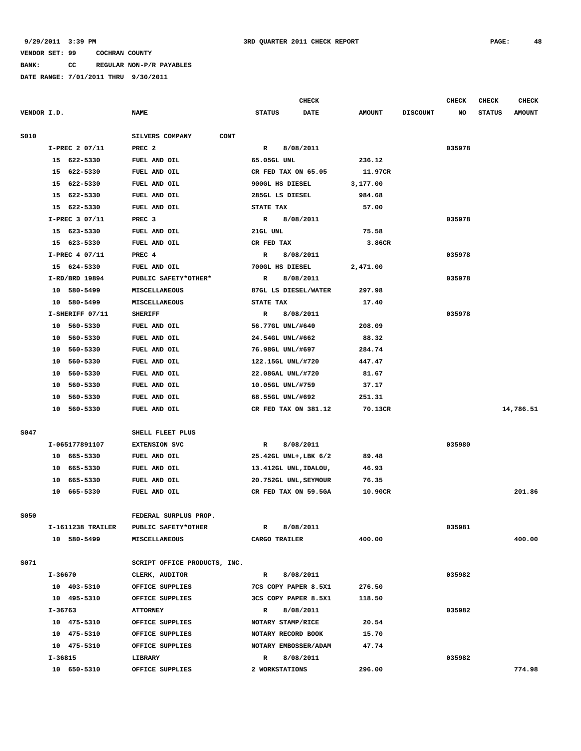**BANK: CC REGULAR NON-P/R PAYABLES**

|             |         |                   |                                |                       | CHECK                |                |                 | <b>CHECK</b> | <b>CHECK</b>  | <b>CHECK</b>  |
|-------------|---------|-------------------|--------------------------------|-----------------------|----------------------|----------------|-----------------|--------------|---------------|---------------|
| VENDOR I.D. |         |                   | <b>NAME</b>                    | <b>STATUS</b>         | DATE                 | <b>AMOUNT</b>  | <b>DISCOUNT</b> | NO           | <b>STATUS</b> | <b>AMOUNT</b> |
| S010        |         |                   | SILVERS COMPANY<br><b>CONT</b> |                       |                      |                |                 |              |               |               |
|             |         | I-PREC 2 07/11    | PREC <sub>2</sub>              | R                     | 8/08/2011            |                |                 | 035978       |               |               |
|             |         | 15 622-5330       | FUEL AND OIL                   | 65.05GL UNL           |                      | 236.12         |                 |              |               |               |
|             | 15      | 622-5330          | FUEL AND OIL                   | CR FED TAX ON 65.05   |                      | 11.97CR        |                 |              |               |               |
|             | 15      | 622-5330          | FUEL AND OIL                   | 900GL HS DIESEL       |                      | 3,177.00       |                 |              |               |               |
|             | 15      | 622-5330          | FUEL AND OIL                   | 285GL LS DIESEL       |                      | 984.68         |                 |              |               |               |
|             | 15      | 622-5330          | FUEL AND OIL                   | STATE TAX             |                      | 57.00          |                 |              |               |               |
|             |         | I-PREC 3 07/11    | PREC <sub>3</sub>              | R                     | 8/08/2011            |                |                 | 035978       |               |               |
|             |         | 15 623-5330       | FUEL AND OIL                   | 21GL UNL              |                      | 75.58          |                 |              |               |               |
|             |         | 15 623-5330       | FUEL AND OIL                   | CR FED TAX            |                      | 3.86CR         |                 |              |               |               |
|             |         | I-PREC 4 07/11    | PREC 4                         | R                     | 8/08/2011            |                |                 | 035978       |               |               |
|             |         | 15 624-5330       | FUEL AND OIL                   | 700GL HS DIESEL       |                      | 2,471.00       |                 |              |               |               |
|             |         | I-RD/BRD 19894    | PUBLIC SAFETY*OTHER*           | R                     | 8/08/2011            |                |                 | 035978       |               |               |
|             |         | 10 580-5499       | MISCELLANEOUS                  | 87GL LS DIESEL/WATER  |                      | 297.98         |                 |              |               |               |
|             | 10      | 580-5499          | <b>MISCELLANEOUS</b>           | STATE TAX             |                      | 17.40          |                 |              |               |               |
|             |         | I-SHERIFF 07/11   | <b>SHERIFF</b>                 | $\mathbb{R}$          | 8/08/2011            |                |                 | 035978       |               |               |
|             | 10      | 560-5330          | FUEL AND OIL                   | 56.77GL UNL/#640      |                      | 208.09         |                 |              |               |               |
|             | 10      | 560-5330          | FUEL AND OIL                   | 24.54GL UNL/#662      |                      | 88.32          |                 |              |               |               |
|             | 10      | 560-5330          | FUEL AND OIL                   | 76.98GL UNL/#697      |                      | 284.74         |                 |              |               |               |
|             | 10      | 560-5330          | FUEL AND OIL                   | 122.15GL UNL/#720     |                      | 447.47         |                 |              |               |               |
|             | 10      | 560-5330          | <b>FUEL AND OIL</b>            | 22.08GAL UNL/#720     |                      | 81.67          |                 |              |               |               |
|             | 10      | 560-5330          | FUEL AND OIL                   | 10.05GL UNL/#759      |                      | 37.17          |                 |              |               |               |
|             | 10      | 560-5330          | FUEL AND OIL                   | 68.55GL UNL/#692      |                      | 251.31         |                 |              |               |               |
|             | 10      | 560-5330          | FUEL AND OIL                   | CR FED TAX ON 381.12  |                      | 70.13CR        |                 |              |               | 14,786.51     |
| S047        |         |                   | SHELL FLEET PLUS               |                       |                      |                |                 |              |               |               |
|             |         | I-065177891107    | <b>EXTENSION SVC</b>           | R                     | 8/08/2011            |                |                 | 035980       |               |               |
|             |         | 10 665-5330       | FUEL AND OIL                   | 25.42GL UNL+, LBK 6/2 |                      | 89.48          |                 |              |               |               |
|             | 10      | 665-5330          | FUEL AND OIL                   | 13.412GL UNL, IDALOU, |                      | 46.93          |                 |              |               |               |
|             | 10      | 665-5330          | FUEL AND OIL                   | 20.752GL UNL, SEYMOUR |                      | 76.35          |                 |              |               |               |
|             |         | 10 665-5330       | FUEL AND OIL                   | CR FED TAX ON 59.5GA  |                      | 10.90CR        |                 |              |               | 201.86        |
| S050        |         |                   | FEDERAL SURPLUS PROP.          |                       |                      |                |                 |              |               |               |
|             |         | I-1611238 TRAILER | PUBLIC SAFETY*OTHER            | R                     | 8/08/2011            |                |                 | 035981       |               |               |
|             |         | 10 580-5499       | <b>MISCELLANEOUS</b>           | CARGO TRAILER         |                      | 400.00         |                 |              |               | 400.00        |
|             |         |                   |                                |                       |                      |                |                 |              |               |               |
| S071        |         |                   | SCRIPT OFFICE PRODUCTS, INC.   |                       |                      |                |                 |              |               |               |
|             | I-36670 | 10 403-5310       | CLERK, AUDITOR                 | $\mathbf{R}$          | 8/08/2011            |                |                 | 035982       |               |               |
|             |         |                   | OFFICE SUPPLIES                | 7CS COPY PAPER 8.5X1  |                      | 276.50         |                 |              |               |               |
|             |         | 10 495-5310       | OFFICE SUPPLIES                | 3CS COPY PAPER 8.5X1  |                      | 118.50         |                 |              |               |               |
|             | I-36763 |                   | <b>ATTORNEY</b>                | R                     | 8/08/2011            |                |                 | 035982       |               |               |
|             |         | 10 475-5310       | OFFICE SUPPLIES                | NOTARY STAMP/RICE     |                      | 20.54<br>15.70 |                 |              |               |               |
|             |         | 10 475-5310       | OFFICE SUPPLIES                | NOTARY RECORD BOOK    |                      |                |                 |              |               |               |
|             |         | 10 475-5310       | OFFICE SUPPLIES                |                       | NOTARY EMBOSSER/ADAM | 47.74          |                 |              |               |               |
|             | I-36815 |                   | LIBRARY                        | R                     | 8/08/2011            |                |                 | 035982       |               |               |
|             |         | 10 650-5310       | OFFICE SUPPLIES                | 2 WORKSTATIONS        |                      | 296.00         |                 |              |               | 774.98        |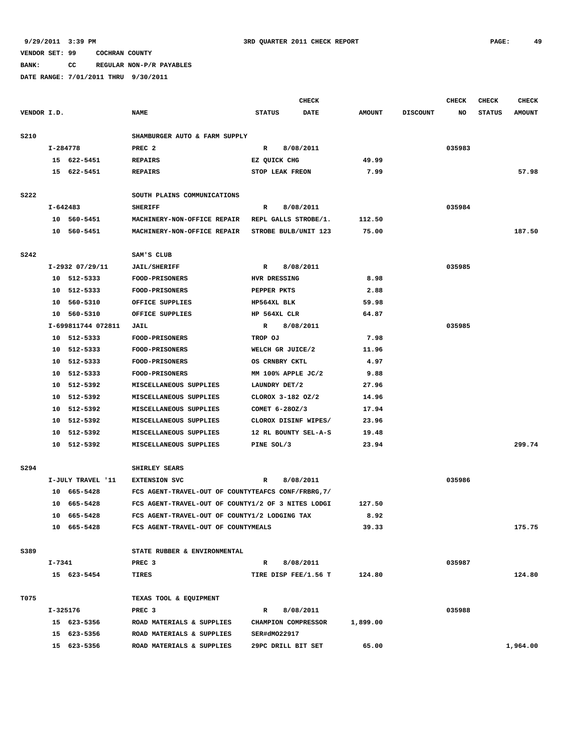**BANK: CC REGULAR NON-P/R PAYABLES**

|             |          |                    |                                                     | <b>CHECK</b>         |             |               |                 | <b>CHECK</b> | <b>CHECK</b>  | <b>CHECK</b>  |
|-------------|----------|--------------------|-----------------------------------------------------|----------------------|-------------|---------------|-----------------|--------------|---------------|---------------|
| VENDOR I.D. |          |                    | <b>NAME</b>                                         | <b>STATUS</b>        | <b>DATE</b> | <b>AMOUNT</b> | <b>DISCOUNT</b> | NO           | <b>STATUS</b> | <b>AMOUNT</b> |
|             |          |                    |                                                     |                      |             |               |                 |              |               |               |
| S210        |          |                    | SHAMBURGER AUTO & FARM SUPPLY                       |                      |             |               |                 |              |               |               |
|             |          | I-284778           | PREC <sub>2</sub>                                   | R                    | 8/08/2011   |               |                 | 035983       |               |               |
|             |          | 15 622-5451        | <b>REPAIRS</b>                                      | EZ OUICK CHG         |             | 49.99         |                 |              |               |               |
|             |          | 15 622-5451        | <b>REPAIRS</b>                                      | STOP LEAK FREON      |             | 7.99          |                 |              |               | 57.98         |
|             |          |                    |                                                     |                      |             |               |                 |              |               |               |
| <b>S222</b> |          |                    | SOUTH PLAINS COMMUNICATIONS                         |                      |             |               |                 |              |               |               |
|             | I-642483 |                    | <b>SHERIFF</b>                                      | R                    | 8/08/2011   |               |                 | 035984       |               |               |
|             |          | 10 560-5451        | MACHINERY-NON-OFFICE REPAIR                         | REPL GALLS STROBE/1. |             | 112.50        |                 |              |               |               |
|             |          | 10 560-5451        | MACHINERY-NON-OFFICE REPAIR                         | STROBE BULB/UNIT 123 |             | 75.00         |                 |              |               | 187.50        |
|             |          |                    |                                                     |                      |             |               |                 |              |               |               |
| <b>S242</b> |          |                    | SAM'S CLUB                                          |                      |             |               |                 |              |               |               |
|             |          | I-2932 07/29/11    | <b>JAIL/SHERIFF</b>                                 | R                    | 8/08/2011   |               |                 | 035985       |               |               |
|             |          | 10 512-5333        | <b>FOOD-PRISONERS</b>                               | HVR DRESSING         |             | 8.98          |                 |              |               |               |
|             |          | 10 512-5333        | <b>FOOD-PRISONERS</b>                               | PEPPER PKTS          |             | 2.88          |                 |              |               |               |
|             | 10       | 560-5310           | OFFICE SUPPLIES                                     | HP564XL BLK          |             | 59.98         |                 |              |               |               |
|             | 10       | 560-5310           | OFFICE SUPPLIES                                     | HP 564XL CLR         |             | 64.87         |                 |              |               |               |
|             |          | I-699811744 072811 | JAIL                                                | R                    | 8/08/2011   |               |                 | 035985       |               |               |
|             |          | 10 512-5333        | FOOD-PRISONERS                                      | TROP OJ              |             | 7.98          |                 |              |               |               |
|             |          | 10 512-5333        | <b>FOOD-PRISONERS</b>                               | WELCH GR JUICE/2     |             | 11.96         |                 |              |               |               |
|             |          | 10 512-5333        | FOOD-PRISONERS                                      | OS CRNBRY CKTL       |             | 4.97          |                 |              |               |               |
|             |          | 10 512-5333        | <b>FOOD-PRISONERS</b>                               | MM 100% APPLE JC/2   |             | 9.88          |                 |              |               |               |
|             |          | 10 512-5392        | MISCELLANEOUS SUPPLIES                              | LAUNDRY DET/2        |             | 27.96         |                 |              |               |               |
|             |          | 10 512-5392        | MISCELLANEOUS SUPPLIES                              | CLOROX 3-182 OZ/2    |             | 14.96         |                 |              |               |               |
|             |          | 10 512-5392        | MISCELLANEOUS SUPPLIES                              | COMET 6-280Z/3       |             | 17.94         |                 |              |               |               |
|             |          | 10 512-5392        | MISCELLANEOUS SUPPLIES                              | CLOROX DISINF WIPES/ |             | 23.96         |                 |              |               |               |
|             |          | 10 512-5392        | MISCELLANEOUS SUPPLIES                              | 12 RL BOUNTY SEL-A-S |             | 19.48         |                 |              |               |               |
|             |          | 10 512-5392        | MISCELLANEOUS SUPPLIES                              | PINE SOL/3           |             | 23.94         |                 |              |               | 299.74        |
|             |          |                    |                                                     |                      |             |               |                 |              |               |               |
| S294        |          |                    | SHIRLEY SEARS                                       |                      |             |               |                 |              |               |               |
|             |          | I-JULY TRAVEL '11  | <b>EXTENSION SVC</b>                                | R                    | 8/08/2011   |               |                 | 035986       |               |               |
|             |          | 10 665-5428        | FCS AGENT-TRAVEL-OUT OF COUNTYTEAFCS CONF/FRBRG, 7/ |                      |             |               |                 |              |               |               |
|             |          | 10 665-5428        | FCS AGENT-TRAVEL-OUT OF COUNTY1/2 OF 3 NITES LODGI  |                      |             | 127.50        |                 |              |               |               |
|             |          | 10 665-5428        | FCS AGENT-TRAVEL-OUT OF COUNTY1/2 LODGING TAX       |                      |             | 8.92          |                 |              |               |               |
|             |          | 10 665-5428        | FCS AGENT-TRAVEL-OUT OF COUNTYMEALS                 |                      |             | 39.33         |                 |              |               | 175.75        |
|             |          |                    |                                                     |                      |             |               |                 |              |               |               |
| S389        |          |                    | STATE RUBBER & ENVIRONMENTAL                        |                      |             |               |                 |              |               |               |
|             | I-7341   |                    | PREC <sub>3</sub>                                   | $\mathbb{R}$         | 8/08/2011   |               |                 | 035987       |               |               |
|             |          | 15 623-5454        | TIRES                                               | TIRE DISP FEE/1.56 T |             | 124.80        |                 |              |               | 124.80        |
| T075        |          |                    | TEXAS TOOL & EQUIPMENT                              |                      |             |               |                 |              |               |               |
|             | I-325176 |                    | PREC <sub>3</sub>                                   | R                    | 8/08/2011   |               |                 | 035988       |               |               |
|             |          | 15 623-5356        | ROAD MATERIALS & SUPPLIES                           | CHAMPION COMPRESSOR  |             | 1,899.00      |                 |              |               |               |
|             |          | 15 623-5356        | ROAD MATERIALS & SUPPLIES                           | SER#dM022917         |             |               |                 |              |               |               |
|             |          | 15 623-5356        | ROAD MATERIALS & SUPPLIES                           | 29PC DRILL BIT SET   |             | 65.00         |                 |              |               | 1,964.00      |
|             |          |                    |                                                     |                      |             |               |                 |              |               |               |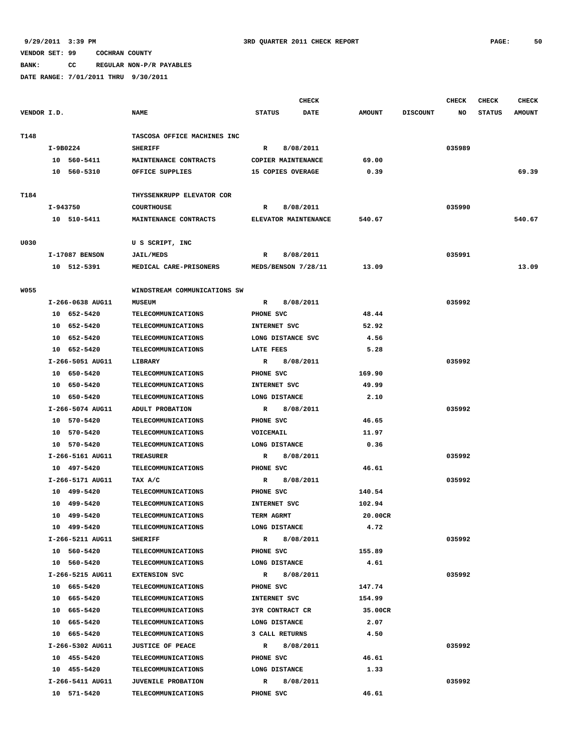**BANK: CC REGULAR NON-P/R PAYABLES**

|             |                  |                                               |                        | <b>CHECK</b> |               |                 | CHECK  | CHECK         | <b>CHECK</b>  |
|-------------|------------------|-----------------------------------------------|------------------------|--------------|---------------|-----------------|--------|---------------|---------------|
| VENDOR I.D. |                  | <b>NAME</b>                                   | <b>STATUS</b>          | <b>DATE</b>  | <b>AMOUNT</b> | <b>DISCOUNT</b> | NO.    | <b>STATUS</b> | <b>AMOUNT</b> |
| T148        |                  | TASCOSA OFFICE MACHINES INC                   |                        |              |               |                 |        |               |               |
|             | I-9B0224         | <b>SHERIFF</b>                                | R                      | 8/08/2011    |               |                 | 035989 |               |               |
|             | 10 560-5411      | MAINTENANCE CONTRACTS                         | COPIER MAINTENANCE     |              | 69.00         |                 |        |               |               |
|             | 10 560-5310      | OFFICE SUPPLIES                               | 15 COPIES OVERAGE      |              | 0.39          |                 |        |               | 69.39         |
|             |                  |                                               |                        |              |               |                 |        |               |               |
| T184        |                  | THYSSENKRUPP ELEVATOR COR                     |                        |              |               |                 |        |               |               |
|             | I-943750         | <b>COURTHOUSE</b>                             | R                      | 8/08/2011    |               |                 | 035990 |               |               |
|             | 10 510-5411      | MAINTENANCE CONTRACTS                         | ELEVATOR MAINTENANCE   |              | 540.67        |                 |        |               | 540.67        |
| U030        |                  | U S SCRIPT, INC                               |                        |              |               |                 |        |               |               |
|             | I-17087 BENSON   | <b>JAIL/MEDS</b>                              | $\mathbb{R}$           | 8/08/2011    |               |                 | 035991 |               |               |
|             | 10 512-5391      | MEDICAL CARE-PRISONERS                        | MEDS/BENSON 7/28/11    |              | 13.09         |                 |        |               | 13.09         |
|             |                  |                                               |                        |              |               |                 |        |               |               |
| <b>W055</b> | I-266-0638 AUG11 | WINDSTREAM COMMUNICATIONS SW<br><b>MUSEUM</b> | R                      | 8/08/2011    |               |                 | 035992 |               |               |
|             | 10 652-5420      | <b>TELECOMMUNICATIONS</b>                     | PHONE SVC              |              | 48.44         |                 |        |               |               |
|             | 10 652-5420      | <b>TELECOMMUNICATIONS</b>                     | INTERNET SVC           |              | 52.92         |                 |        |               |               |
|             | 10 652-5420      | TELECOMMUNICATIONS                            | LONG DISTANCE SVC      |              | 4.56          |                 |        |               |               |
|             | 10 652-5420      | <b>TELECOMMUNICATIONS</b>                     | LATE FEES              |              | 5.28          |                 |        |               |               |
|             | I-266-5051 AUG11 | LIBRARY                                       | R                      | 8/08/2011    |               |                 | 035992 |               |               |
|             | 10 650-5420      | TELECOMMUNICATIONS                            | PHONE SVC              |              | 169.90        |                 |        |               |               |
|             | 10 650-5420      | <b>TELECOMMUNICATIONS</b>                     | INTERNET SVC           |              | 49.99         |                 |        |               |               |
|             | 10 650-5420      | TELECOMMUNICATIONS                            | LONG DISTANCE          |              | 2.10          |                 |        |               |               |
|             | I-266-5074 AUG11 | ADULT PROBATION                               | $\mathbb{R}$           | 8/08/2011    |               |                 | 035992 |               |               |
|             | 10 570-5420      | TELECOMMUNICATIONS                            | PHONE SVC              |              | 46.65         |                 |        |               |               |
|             | 10 570-5420      | TELECOMMUNICATIONS                            | VOICEMAIL              |              | 11.97         |                 |        |               |               |
|             | 10 570-5420      | <b>TELECOMMUNICATIONS</b>                     | LONG DISTANCE          |              | 0.36          |                 |        |               |               |
|             | I-266-5161 AUG11 | TREASURER                                     | R                      | 8/08/2011    |               |                 | 035992 |               |               |
|             | 10 497-5420      | <b>TELECOMMUNICATIONS</b>                     | PHONE SVC              |              | 46.61         |                 |        |               |               |
|             | I-266-5171 AUG11 | TAX A/C                                       | R                      | 8/08/2011    |               |                 | 035992 |               |               |
|             | 10 499-5420      | TELECOMMUNICATIONS                            | PHONE SVC              |              | 140.54        |                 |        |               |               |
|             | 499-5420<br>10   | <b>TELECOMMUNICATIONS</b>                     | INTERNET SVC           |              | 102.94        |                 |        |               |               |
|             | 10 499-5420      | TELECOMMUNICATIONS                            | TERM AGRMT             |              | 20.00CR       |                 |        |               |               |
|             | 10 499-5420      | <b>TELECOMMUNICATIONS</b>                     | LONG DISTANCE          |              | 4.72          |                 |        |               |               |
|             | I-266-5211 AUG11 | <b>SHERIFF</b>                                | $\mathbb{R}$           | 8/08/2011    |               |                 | 035992 |               |               |
|             | 10 560-5420      | <b>TELECOMMUNICATIONS</b>                     | PHONE SVC              |              | 155.89        |                 |        |               |               |
|             | 10 560-5420      | TELECOMMUNICATIONS                            | LONG DISTANCE          |              | 4.61          |                 |        |               |               |
|             | I-266-5215 AUG11 | <b>EXTENSION SVC</b>                          | R 8/08/2011            |              |               |                 | 035992 |               |               |
|             | 10 665-5420      | TELECOMMUNICATIONS                            | PHONE SVC              |              | 147.74        |                 |        |               |               |
|             | 10 665-5420      | <b>TELECOMMUNICATIONS</b>                     | <b>INTERNET SVC</b>    |              | 154.99        |                 |        |               |               |
|             | 10 665-5420      | <b>TELECOMMUNICATIONS</b>                     | <b>3YR CONTRACT CR</b> |              | 35.00CR       |                 |        |               |               |
|             | 10 665-5420      | TELECOMMUNICATIONS                            | LONG DISTANCE          |              | 2.07          |                 |        |               |               |
|             | 10 665-5420      | <b>TELECOMMUNICATIONS</b>                     | 3 CALL RETURNS         |              | 4.50          |                 |        |               |               |
|             | I-266-5302 AUG11 | <b>JUSTICE OF PEACE</b>                       | $\mathbb{R}$           | 8/08/2011    |               |                 | 035992 |               |               |
|             | 10 455-5420      | TELECOMMUNICATIONS                            | PHONE SVC              |              | 46.61         |                 |        |               |               |
|             | 10 455-5420      | <b>TELECOMMUNICATIONS</b>                     | LONG DISTANCE          |              | 1.33          |                 |        |               |               |
|             | I-266-5411 AUG11 | <b>JUVENILE PROBATION</b>                     | $\mathbb{R}$           | 8/08/2011    |               |                 | 035992 |               |               |
|             | 10 571-5420      | TELECOMMUNICATIONS                            | PHONE SVC              |              | 46.61         |                 |        |               |               |
|             |                  |                                               |                        |              |               |                 |        |               |               |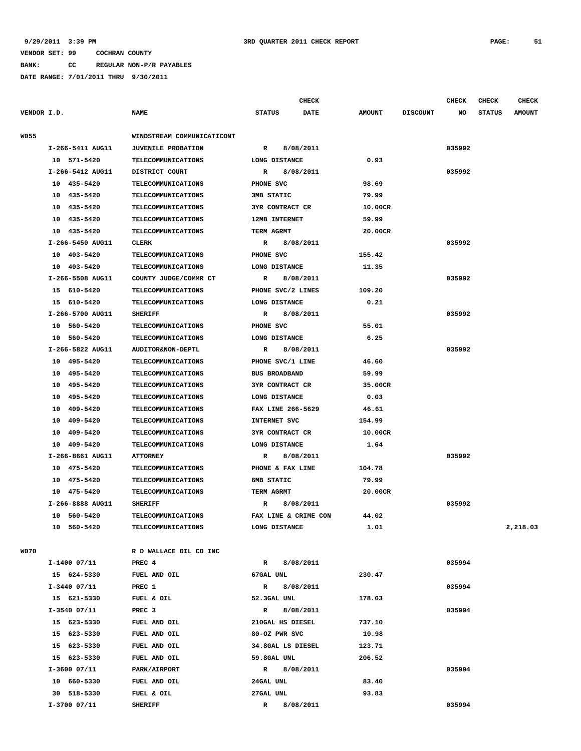**BANK: CC REGULAR NON-P/R PAYABLES**

|             |                  |                            | <b>CHECK</b>                 |               |                 | <b>CHECK</b> | <b>CHECK</b>  | CHECK         |
|-------------|------------------|----------------------------|------------------------------|---------------|-----------------|--------------|---------------|---------------|
| VENDOR I.D. |                  | <b>NAME</b>                | <b>STATUS</b><br><b>DATE</b> | <b>AMOUNT</b> | <b>DISCOUNT</b> | NO           | <b>STATUS</b> | <b>AMOUNT</b> |
| <b>W055</b> |                  | WINDSTREAM COMMUNICATICONT |                              |               |                 |              |               |               |
|             | I-266-5411 AUG11 | <b>JUVENILE PROBATION</b>  | 8/08/2011<br>R               |               |                 | 035992       |               |               |
|             | 10 571-5420      | <b>TELECOMMUNICATIONS</b>  | LONG DISTANCE                | 0.93          |                 |              |               |               |
|             | I-266-5412 AUG11 | DISTRICT COURT             | 8/08/2011<br>R               |               |                 | 035992       |               |               |
|             | 10 435-5420      | <b>TELECOMMUNICATIONS</b>  | PHONE SVC                    | 98.69         |                 |              |               |               |
|             | 10 435-5420      | <b>TELECOMMUNICATIONS</b>  | 3MB STATIC                   | 79.99         |                 |              |               |               |
|             | 10 435-5420      | <b>TELECOMMUNICATIONS</b>  | <b>3YR CONTRACT CR</b>       | 10.00CR       |                 |              |               |               |
|             | 10<br>435-5420   | <b>TELECOMMUNICATIONS</b>  | 12MB INTERNET                | 59.99         |                 |              |               |               |
|             | 435-5420<br>10   | <b>TELECOMMUNICATIONS</b>  | TERM AGRMT                   | 20.00CR       |                 |              |               |               |
|             | I-266-5450 AUG11 | <b>CLERK</b>               | $\mathbb{R}$<br>8/08/2011    |               |                 | 035992       |               |               |
|             | 10 403-5420      | <b>TELECOMMUNICATIONS</b>  | PHONE SVC                    | 155.42        |                 |              |               |               |
|             | 10 403-5420      | <b>TELECOMMUNICATIONS</b>  | LONG DISTANCE                | 11.35         |                 |              |               |               |
|             | I-266-5508 AUG11 | COUNTY JUDGE/COMMR CT      | 8/08/2011<br>R               |               |                 | 035992       |               |               |
|             | 15 610-5420      | <b>TELECOMMUNICATIONS</b>  | PHONE SVC/2 LINES            | 109.20        |                 |              |               |               |
|             | 15 610-5420      | <b>TELECOMMUNICATIONS</b>  | LONG DISTANCE                | 0.21          |                 |              |               |               |
|             | I-266-5700 AUG11 | <b>SHERIFF</b>             | 8/08/2011<br>R               |               |                 | 035992       |               |               |
|             | 10 560-5420      | <b>TELECOMMUNICATIONS</b>  | PHONE SVC                    | 55.01         |                 |              |               |               |
|             | 10 560-5420      | <b>TELECOMMUNICATIONS</b>  | LONG DISTANCE                | 6.25          |                 |              |               |               |
|             | I-266-5822 AUG11 | AUDITOR&NON-DEPTL          | 8/08/2011<br>R               |               |                 | 035992       |               |               |
|             | 10<br>495–5420   | <b>TELECOMMUNICATIONS</b>  | PHONE SVC/1 LINE             | 46.60         |                 |              |               |               |
|             | 495-5420<br>10   | <b>TELECOMMUNICATIONS</b>  | <b>BUS BROADBAND</b>         | 59.99         |                 |              |               |               |
|             | 495-5420<br>10   | TELECOMMUNICATIONS         | 3YR CONTRACT CR              | 35.00CR       |                 |              |               |               |
|             | 495-5420<br>10   | <b>TELECOMMUNICATIONS</b>  | LONG DISTANCE                | 0.03          |                 |              |               |               |
|             | 409-5420<br>10   | <b>TELECOMMUNICATIONS</b>  | FAX LINE 266-5629            | 46.61         |                 |              |               |               |
|             | 409-5420<br>10   | <b>TELECOMMUNICATIONS</b>  | INTERNET SVC                 | 154.99        |                 |              |               |               |
|             | 10<br>409-5420   | <b>TELECOMMUNICATIONS</b>  | <b>3YR CONTRACT CR</b>       | 10.00CR       |                 |              |               |               |
|             | 409-5420<br>10   | <b>TELECOMMUNICATIONS</b>  | LONG DISTANCE                | 1.64          |                 |              |               |               |
|             | I-266-8661 AUG11 | <b>ATTORNEY</b>            | 8/08/2011<br>R               |               |                 | 035992       |               |               |
|             | 10 475-5420      | <b>TELECOMMUNICATIONS</b>  | PHONE & FAX LINE             | 104.78        |                 |              |               |               |
|             | 475-5420<br>10   | <b>TELECOMMUNICATIONS</b>  | 6MB STATIC                   | 79.99         |                 |              |               |               |
|             | 10 475-5420      | <b>TELECOMMUNICATIONS</b>  | TERM AGRMT                   | 20.00CR       |                 |              |               |               |
|             | I-266-8888 AUG11 | <b>SHERIFF</b>             | R<br>8/08/2011               |               |                 | 035992       |               |               |
|             | 10 560-5420      | <b>TELECOMMUNICATIONS</b>  | FAX LINE & CRIME CON         | 44.02         |                 |              |               |               |
|             | 10 560-5420      | <b>TELECOMMUNICATIONS</b>  | LONG DISTANCE                | 1.01          |                 |              |               | 2,218.03      |
| <b>W070</b> |                  | R D WALLACE OIL CO INC     |                              |               |                 |              |               |               |
|             | I-1400 07/11     | PREC 4                     | R 8/08/2011                  |               |                 | 035994       |               |               |
|             | 15 624-5330      | FUEL AND OIL               | 67GAL UNL                    | 230.47        |                 |              |               |               |
|             | $I-3440$ $07/11$ | PREC 1                     | 8/08/2011<br>$\mathbb{R}$    |               |                 | 035994       |               |               |
|             | 15 621-5330      | FUEL & OIL                 | 52.3GAL UNL                  | 178.63        |                 |              |               |               |
|             | $I-3540$ 07/11   | PREC <sub>3</sub>          | R 8/08/2011                  |               |                 | 035994       |               |               |
|             | 15 623-5330      | FUEL AND OIL               | 210GAL HS DIESEL             | 737.10        |                 |              |               |               |
|             | 15 623-5330      | FUEL AND OIL               | 80-OZ PWR SVC                | 10.98         |                 |              |               |               |
|             | 15 623-5330      | FUEL AND OIL               | 34.8GAL LS DIESEL            | 123.71        |                 |              |               |               |
|             | 15 623-5330      | FUEL AND OIL               | 59.8GAL UNL                  | 206.52        |                 |              |               |               |
|             | $I-3600$ $07/11$ | PARK/AIRPORT               | R 8/08/2011                  |               |                 | 035994       |               |               |
|             | 10 660-5330      | FUEL AND OIL               | 24GAL UNL                    | 83.40         |                 |              |               |               |
|             | 30 518-5330      | FUEL & OIL                 | 27GAL UNL                    | 93.83         |                 |              |               |               |
|             | $I-3700$ 07/11   | <b>SHERIFF</b>             | R 8/08/2011                  |               |                 | 035994       |               |               |
|             |                  |                            |                              |               |                 |              |               |               |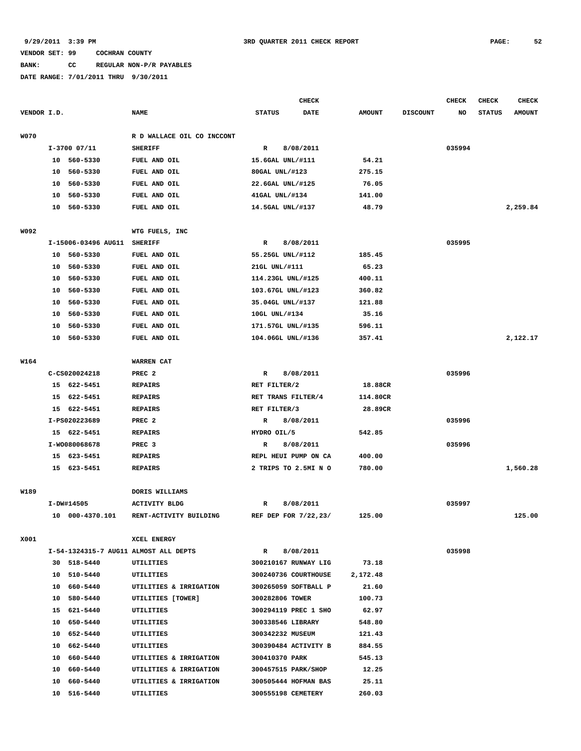## **BANK: CC REGULAR NON-P/R PAYABLES**

|             |    |                     |                                       |                      | <b>CHECK</b> |               |                 | <b>CHECK</b> | <b>CHECK</b>  | <b>CHECK</b>  |
|-------------|----|---------------------|---------------------------------------|----------------------|--------------|---------------|-----------------|--------------|---------------|---------------|
| VENDOR I.D. |    |                     | <b>NAME</b>                           | <b>STATUS</b>        | <b>DATE</b>  | <b>AMOUNT</b> | <b>DISCOUNT</b> | NO           | <b>STATUS</b> | <b>AMOUNT</b> |
| <b>W070</b> |    |                     | R D WALLACE OIL CO INCCONT            |                      |              |               |                 |              |               |               |
|             |    | $I-3700$ 07/11      | <b>SHERIFF</b>                        | R                    | 8/08/2011    |               |                 | 035994       |               |               |
|             |    | 10 560-5330         | FUEL AND OIL                          | 15.6GAL UNL/#111     |              | 54.21         |                 |              |               |               |
|             | 10 | 560-5330            | FUEL AND OIL                          | 80GAL UNL/#123       |              | 275.15        |                 |              |               |               |
|             | 10 | 560-5330            | FUEL AND OIL                          | 22.6GAL UNL/#125     |              | 76.05         |                 |              |               |               |
|             | 10 | 560-5330            | FUEL AND OIL                          | 41GAL UNL/#134       |              | 141.00        |                 |              |               |               |
|             |    | 10 560-5330         | FUEL AND OIL                          | 14.5GAL UNL/#137     |              | 48.79         |                 |              |               | 2,259.84      |
| W092        |    |                     | WTG FUELS, INC                        |                      |              |               |                 |              |               |               |
|             |    | I-15006-03496 AUG11 | <b>SHERIFF</b>                        | R                    | 8/08/2011    |               |                 | 035995       |               |               |
|             |    | 10 560-5330         | FUEL AND OIL                          | 55.25GL UNL/#112     |              | 185.45        |                 |              |               |               |
|             |    | 10 560-5330         | FUEL AND OIL                          | 21GL UNL/#111        |              | 65.23         |                 |              |               |               |
|             |    | 10 560-5330         | FUEL AND OIL                          | 114.23GL UNL/#125    |              | 400.11        |                 |              |               |               |
|             | 10 | 560-5330            | FUEL AND OIL                          | 103.67GL UNL/#123    |              | 360.82        |                 |              |               |               |
|             | 10 | 560-5330            | FUEL AND OIL                          | 35.04GL UNL/#137     |              | 121.88        |                 |              |               |               |
|             | 10 | 560-5330            | FUEL AND OIL                          | 10GL UNL/#134        |              | 35.16         |                 |              |               |               |
|             | 10 | 560-5330            | FUEL AND OIL                          | 171.57GL UNL/#135    |              | 596.11        |                 |              |               |               |
|             | 10 | 560-5330            | FUEL AND OIL                          | 104.06GL UNL/#136    |              | 357.41        |                 |              |               | 2,122.17      |
|             |    |                     |                                       |                      |              |               |                 |              |               |               |
| W164        |    |                     | WARREN CAT                            |                      |              |               |                 |              |               |               |
|             |    | C-CS020024218       | PREC <sub>2</sub>                     | R                    | 8/08/2011    |               |                 | 035996       |               |               |
|             |    | 15 622-5451         | <b>REPAIRS</b>                        | RET FILTER/2         |              | 18.88CR       |                 |              |               |               |
|             |    | 15 622-5451         | <b>REPAIRS</b>                        | RET TRANS FILTER/4   |              | 114.80CR      |                 |              |               |               |
|             |    | 15 622-5451         | <b>REPAIRS</b>                        | RET FILTER/3         |              | 28.89CR       |                 |              |               |               |
|             |    | I-PS020223689       | PREC <sub>2</sub>                     | R                    | 8/08/2011    |               |                 | 035996       |               |               |
|             |    | 15 622-5451         | <b>REPAIRS</b>                        | HYDRO OIL/5          |              | 542.85        |                 |              |               |               |
|             |    | I-W0080068678       | PREC <sub>3</sub>                     | R                    | 8/08/2011    |               |                 | 035996       |               |               |
|             |    | 15 623-5451         | <b>REPAIRS</b>                        | REPL HEUI PUMP ON CA |              | 400.00        |                 |              |               |               |
|             |    | 15 623-5451         | <b>REPAIRS</b>                        | 2 TRIPS TO 2.5MI N O |              | 780.00        |                 |              |               | 1,560.28      |
| W189        |    |                     | DORIS WILLIAMS                        |                      |              |               |                 |              |               |               |
|             |    | I-DW#14505          | <b>ACTIVITY BLDG</b>                  | R                    | 8/08/2011    |               |                 | 035997       |               |               |
|             |    | 10 000-4370.101     | RENT-ACTIVITY BUILDING                | REF DEP FOR 7/22,23/ |              | 125.00        |                 |              |               | 125.00        |
|             |    |                     |                                       |                      |              |               |                 |              |               |               |
| X001        |    |                     | XCEL ENERGY                           |                      |              |               |                 |              |               |               |
|             |    |                     | I-54-1324315-7 AUG11 ALMOST ALL DEPTS | $\mathbb{R}$         | 8/08/2011    |               |                 | 035998       |               |               |
|             |    | 30 518-5440         | UTILITIES                             | 300210167 RUNWAY LIG |              | 73.18         |                 |              |               |               |
|             |    | 10 510-5440         | UTILITIES                             | 300240736 COURTHOUSE |              | 2,172.48      |                 |              |               |               |
|             |    | 10 660-5440         | UTILITIES & IRRIGATION                | 300265059 SOFTBALL P |              | 21.60         |                 |              |               |               |
|             |    | 10 580-5440         | UTILITIES [TOWER]                     | 300282806 TOWER      |              | 100.73        |                 |              |               |               |
|             |    | 15 621-5440         | <b>UTILITIES</b>                      | 300294119 PREC 1 SHO |              | 62.97         |                 |              |               |               |
|             |    | 10 650-5440         | <b>UTILITIES</b>                      | 300338546 LIBRARY    |              | 548.80        |                 |              |               |               |
|             |    | 10 652-5440         | <b>UTILITIES</b>                      | 300342232 MUSEUM     |              | 121.43        |                 |              |               |               |
|             |    | 10 662-5440         | UTILITIES                             | 300390484 ACTIVITY B |              | 884.55        |                 |              |               |               |
|             |    | 10 660-5440         | UTILITIES & IRRIGATION                | 300410370 PARK       |              | 545.13        |                 |              |               |               |
|             |    | 10 660-5440         | UTILITIES & IRRIGATION                | 300457515 PARK/SHOP  |              | 12.25         |                 |              |               |               |
|             |    | 10 660-5440         | UTILITIES & IRRIGATION                | 300505444 HOFMAN BAS |              | 25.11         |                 |              |               |               |
|             |    | 10 516-5440         | UTILITIES                             | 300555198 CEMETERY   |              | 260.03        |                 |              |               |               |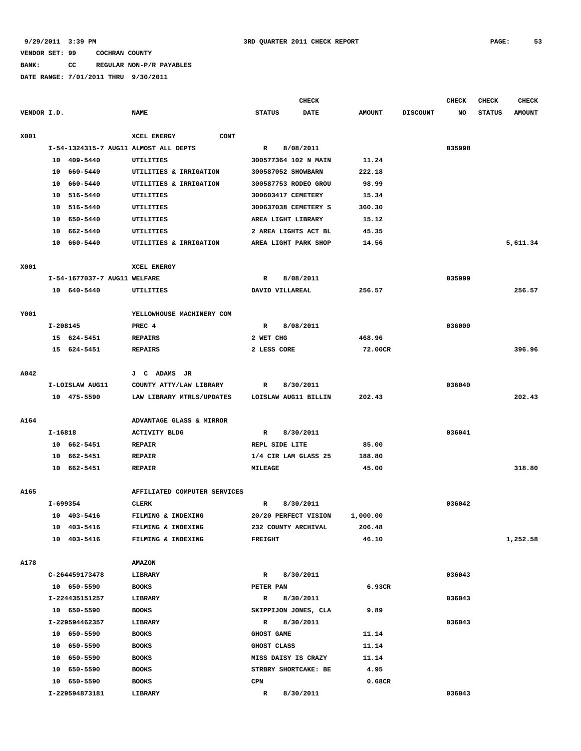**BANK: CC REGULAR NON-P/R PAYABLES**

|             |          |                              |                                       |                     | <b>CHECK</b>         |               |                 | <b>CHECK</b> | <b>CHECK</b>  | <b>CHECK</b>  |
|-------------|----------|------------------------------|---------------------------------------|---------------------|----------------------|---------------|-----------------|--------------|---------------|---------------|
| VENDOR I.D. |          |                              | <b>NAME</b>                           | <b>STATUS</b>       | DATE                 | <b>AMOUNT</b> | <b>DISCOUNT</b> | <b>NO</b>    | <b>STATUS</b> | <b>AMOUNT</b> |
| X001        |          |                              | XCEL ENERGY<br><b>CONT</b>            |                     |                      |               |                 |              |               |               |
|             |          |                              | I-54-1324315-7 AUG11 ALMOST ALL DEPTS | $\mathbf R$         | 8/08/2011            |               |                 | 035998       |               |               |
|             |          | 10 409-5440                  | UTILITIES                             |                     | 300577364 102 N MAIN | 11.24         |                 |              |               |               |
|             |          | 10 660-5440                  | UTILITIES & IRRIGATION                | 300587052 SHOWBARN  |                      | 222.18        |                 |              |               |               |
|             | 10       | 660-5440                     | UTILITIES & IRRIGATION                |                     | 300587753 RODEO GROU | 98.99         |                 |              |               |               |
|             | 10       | 516-5440                     | UTILITIES                             | 300603417 CEMETERY  |                      | 15.34         |                 |              |               |               |
|             | 10       | 516-5440                     | UTILITIES                             |                     | 300637038 CEMETERY S | 360.30        |                 |              |               |               |
|             | 10       | 650-5440                     | UTILITIES                             | AREA LIGHT LIBRARY  |                      | 15.12         |                 |              |               |               |
|             | 10       | 662-5440                     | UTILITIES                             |                     | 2 AREA LIGHTS ACT BL | 45.35         |                 |              |               |               |
|             |          | 10 660-5440                  | UTILITIES & IRRIGATION                |                     | AREA LIGHT PARK SHOP | 14.56         |                 |              |               | 5,611.34      |
| X001        |          |                              | XCEL ENERGY                           |                     |                      |               |                 |              |               |               |
|             |          | I-54-1677037-7 AUG11 WELFARE |                                       | R                   | 8/08/2011            |               |                 | 035999       |               |               |
|             |          | 10 640-5440                  | UTILITIES                             | DAVID VILLAREAL     |                      | 256.57        |                 |              |               | 256.57        |
|             |          |                              |                                       |                     |                      |               |                 |              |               |               |
| Y001        |          |                              | YELLOWHOUSE MACHINERY COM             |                     |                      |               |                 |              |               |               |
|             | I-208145 |                              | PREC 4                                | $\mathbb{R}$        | 8/08/2011            |               |                 | 036000       |               |               |
|             |          | 15 624-5451                  | <b>REPAIRS</b>                        | 2 WET CHG           |                      | 468.96        |                 |              |               |               |
|             |          | 15 624-5451                  | <b>REPAIRS</b>                        | 2 LESS CORE         |                      | 72.00CR       |                 |              |               | 396.96        |
| A042        |          |                              | J C ADAMS JR                          |                     |                      |               |                 |              |               |               |
|             |          | I-LOISLAW AUG11              | COUNTY ATTY/LAW LIBRARY               | $\mathbb{R}$        | 8/30/2011            |               |                 | 036040       |               |               |
|             |          | 10 475-5590                  | LAW LIBRARY MTRLS/UPDATES             |                     | LOISLAW AUG11 BILLIN | 202.43        |                 |              |               | 202.43        |
|             |          |                              |                                       |                     |                      |               |                 |              |               |               |
| A164        |          |                              | ADVANTAGE GLASS & MIRROR              |                     |                      |               |                 |              |               |               |
|             | I-16818  |                              | <b>ACTIVITY BLDG</b>                  | $\mathbf R$         | 8/30/2011            |               |                 | 036041       |               |               |
|             |          | 10 662-5451                  | <b>REPAIR</b>                         | REPL SIDE LITE      |                      | 85.00         |                 |              |               |               |
|             |          | 10 662-5451                  | <b>REPAIR</b>                         |                     | 1/4 CIR LAM GLASS 25 | 188.80        |                 |              |               |               |
|             |          | 10 662-5451                  | <b>REPAIR</b>                         | <b>MILEAGE</b>      |                      | 45.00         |                 |              |               | 318.80        |
| A165        |          |                              | AFFILIATED COMPUTER SERVICES          |                     |                      |               |                 |              |               |               |
|             | I-699354 |                              | <b>CLERK</b>                          | R                   | 8/30/2011            |               |                 | 036042       |               |               |
|             |          | 10 403-5416                  | FILMING & INDEXING                    |                     | 20/20 PERFECT VISION | 1,000.00      |                 |              |               |               |
|             |          | 10 403-5416                  | FILMING & INDEXING                    | 232 COUNTY ARCHIVAL |                      | 206.48        |                 |              |               |               |
|             |          | 10 403-5416                  | FILMING & INDEXING                    | FREIGHT             |                      | 46.10         |                 |              |               | 1,252.58      |
| A178        |          |                              | <b>AMAZON</b>                         |                     |                      |               |                 |              |               |               |
|             |          | C-264459173478               | LIBRARY                               | R                   | 8/30/2011            |               |                 | 036043       |               |               |
|             |          | 10 650-5590                  | <b>BOOKS</b>                          | PETER PAN           |                      | 6.93CR        |                 |              |               |               |
|             |          | I-224435151257               | LIBRARY                               | R                   | 8/30/2011            |               |                 | 036043       |               |               |
|             |          | 10 650-5590                  | <b>BOOKS</b>                          |                     | SKIPPIJON JONES, CLA | 9.89          |                 |              |               |               |
|             |          | I-229594462357               | LIBRARY                               | R                   | 8/30/2011            |               |                 | 036043       |               |               |
|             |          | 10 650-5590                  | <b>BOOKS</b>                          | <b>GHOST GAME</b>   |                      | 11.14         |                 |              |               |               |
|             |          | 10 650-5590                  | <b>BOOKS</b>                          | GHOST CLASS         |                      | 11.14         |                 |              |               |               |
|             |          | 10 650-5590                  | <b>BOOKS</b>                          |                     | MISS DAISY IS CRAZY  | 11.14         |                 |              |               |               |
|             |          | 10 650-5590                  | <b>BOOKS</b>                          |                     | STRBRY SHORTCAKE: BE | 4.95          |                 |              |               |               |
|             |          | 10 650-5590                  | <b>BOOKS</b>                          | $\mathtt{CPN}$      |                      | 0.68CR        |                 |              |               |               |
|             |          | I-229594873181               | LIBRARY                               | R                   | 8/30/2011            |               |                 | 036043       |               |               |
|             |          |                              |                                       |                     |                      |               |                 |              |               |               |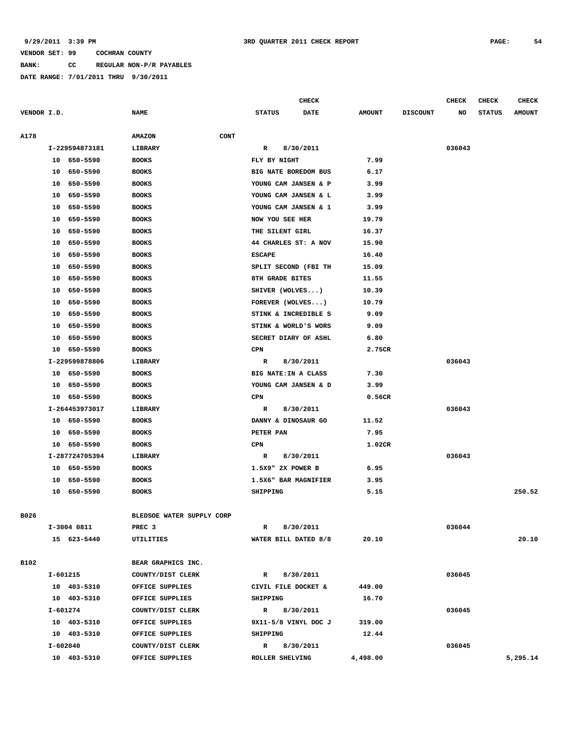## **BANK: CC REGULAR NON-P/R PAYABLES**

|             |                |                              |                           | <b>CHECK</b> |               |                 | <b>CHECK</b> | <b>CHECK</b>  | <b>CHECK</b>  |
|-------------|----------------|------------------------------|---------------------------|--------------|---------------|-----------------|--------------|---------------|---------------|
| VENDOR I.D. |                | <b>NAME</b>                  | <b>STATUS</b>             | <b>DATE</b>  | <b>AMOUNT</b> | <b>DISCOUNT</b> | NO           | <b>STATUS</b> | <b>AMOUNT</b> |
| A178        |                | <b>CONT</b><br><b>AMAZON</b> |                           |              |               |                 |              |               |               |
|             | I-229594873181 | LIBRARY                      | R                         | 8/30/2011    |               |                 | 036043       |               |               |
|             | 10 650-5590    | <b>BOOKS</b>                 | FLY BY NIGHT              |              | 7.99          |                 |              |               |               |
|             | 650-5590<br>10 | <b>BOOKS</b>                 | BIG NATE BOREDOM BUS      |              | 6.17          |                 |              |               |               |
|             | 10<br>650-5590 | <b>BOOKS</b>                 | YOUNG CAM JANSEN & P      |              | 3.99          |                 |              |               |               |
|             | 10<br>650-5590 | <b>BOOKS</b>                 | YOUNG CAM JANSEN & L      |              | 3.99          |                 |              |               |               |
|             | 650-5590<br>10 | <b>BOOKS</b>                 | YOUNG CAM JANSEN & 1      |              | 3.99          |                 |              |               |               |
|             | 10<br>650-5590 | <b>BOOKS</b>                 | NOW YOU SEE HER           |              | 19.79         |                 |              |               |               |
|             | 10<br>650-5590 | <b>BOOKS</b>                 | THE SILENT GIRL           |              | 16.37         |                 |              |               |               |
|             | 650-5590<br>10 | <b>BOOKS</b>                 | 44 CHARLES ST: A NOV      |              | 15.90         |                 |              |               |               |
|             | 650-5590<br>10 | <b>BOOKS</b>                 | <b>ESCAPE</b>             |              | 16.40         |                 |              |               |               |
|             | 10<br>650-5590 | <b>BOOKS</b>                 | SPLIT SECOND (FBI TH      |              | 15.09         |                 |              |               |               |
|             | 650-5590<br>10 | <b>BOOKS</b>                 | 8TH GRADE BITES           |              | 11.55         |                 |              |               |               |
|             | 10<br>650-5590 | <b>BOOKS</b>                 | SHIVER (WOLVES)           |              | 10.39         |                 |              |               |               |
|             | 10<br>650-5590 | <b>BOOKS</b>                 | FOREVER $(WOLVES)$        |              | 10.79         |                 |              |               |               |
|             | 650-5590<br>10 | <b>BOOKS</b>                 | STINK & INCREDIBLE S      |              | 9.09          |                 |              |               |               |
|             | 10<br>650-5590 | <b>BOOKS</b>                 | STINK & WORLD'S WORS      |              | 9.09          |                 |              |               |               |
|             | 10<br>650-5590 | <b>BOOKS</b>                 | SECRET DIARY OF ASHL      |              | 6.80          |                 |              |               |               |
|             | 650-5590<br>10 | <b>BOOKS</b>                 | CPN                       |              | 2.75CR        |                 |              |               |               |
|             | I-229599878806 | LIBRARY                      | R                         | 8/30/2011    |               |                 | 036043       |               |               |
|             | 10 650-5590    | <b>BOOKS</b>                 | BIG NATE: IN A CLASS      |              | 7.30          |                 |              |               |               |
|             | 650-5590<br>10 | <b>BOOKS</b>                 | YOUNG CAM JANSEN & D      |              | 3.99          |                 |              |               |               |
|             | 10<br>650-5590 | <b>BOOKS</b>                 | CPN                       |              | 0.56CR        |                 |              |               |               |
|             | I-264453973017 | LIBRARY                      | R                         | 8/30/2011    |               |                 | 036043       |               |               |
|             | 10 650-5590    | <b>BOOKS</b>                 | DANNY & DINOSAUR GO       |              | 11.52         |                 |              |               |               |
|             | 10 650-5590    | <b>BOOKS</b>                 | PETER PAN                 |              | 7.95          |                 |              |               |               |
|             | 10<br>650-5590 | <b>BOOKS</b>                 | CPN                       |              | 1.02CR        |                 |              |               |               |
|             | I-287724705394 | LIBRARY                      | R                         | 8/30/2011    |               |                 | 036043       |               |               |
|             | 10<br>650-5590 | <b>BOOKS</b>                 | 1.5X9" 2X POWER B         |              | 6.95          |                 |              |               |               |
|             | 10<br>650-5590 | <b>BOOKS</b>                 | 1.5X6" BAR MAGNIFIER      |              | 3.95          |                 |              |               |               |
|             | 650-5590<br>10 | <b>BOOKS</b>                 | SHIPPING                  |              | 5.15          |                 |              |               | 250.52        |
| B026        |                | BLEDSOE WATER SUPPLY CORP    |                           |              |               |                 |              |               |               |
|             | I-3004 0811    | PREC 3                       | R                         | 8/30/2011    |               |                 | 036044       |               |               |
|             | 15 623-5440    | UTILITIES                    | WATER BILL DATED 8/8      |              | 20.10         |                 |              |               | 20.10         |
|             |                |                              |                           |              |               |                 |              |               |               |
| B102        |                | BEAR GRAPHICS INC.           |                           |              |               |                 |              |               |               |
|             | I-601215       | COUNTY/DIST CLERK            | $\mathbb{R}$              | 8/30/2011    |               |                 | 036045       |               |               |
|             | 10 403-5310    | OFFICE SUPPLIES              | CIVIL FILE DOCKET &       |              | 449.00        |                 |              |               |               |
|             | 10 403-5310    | OFFICE SUPPLIES              | SHIPPING                  |              | 16.70         |                 |              |               |               |
|             | $I - 601274$   | COUNTY/DIST CLERK            | 8/30/2011<br>$\mathbb{R}$ |              |               |                 | 036045       |               |               |
|             | 10 403-5310    | OFFICE SUPPLIES              | 9X11-5/8 VINYL DOC J      |              | 319.00        |                 |              |               |               |
|             | 10 403-5310    | OFFICE SUPPLIES              | SHIPPING                  |              | 12.44         |                 |              |               |               |
|             | I-602040       | COUNTY/DIST CLERK            | $\mathbb{R}$              | 8/30/2011    |               |                 | 036045       |               |               |
|             | 10 403-5310    | OFFICE SUPPLIES              | ROLLER SHELVING           |              | 4,498.00      |                 |              |               | 5,295.14      |
|             |                |                              |                           |              |               |                 |              |               |               |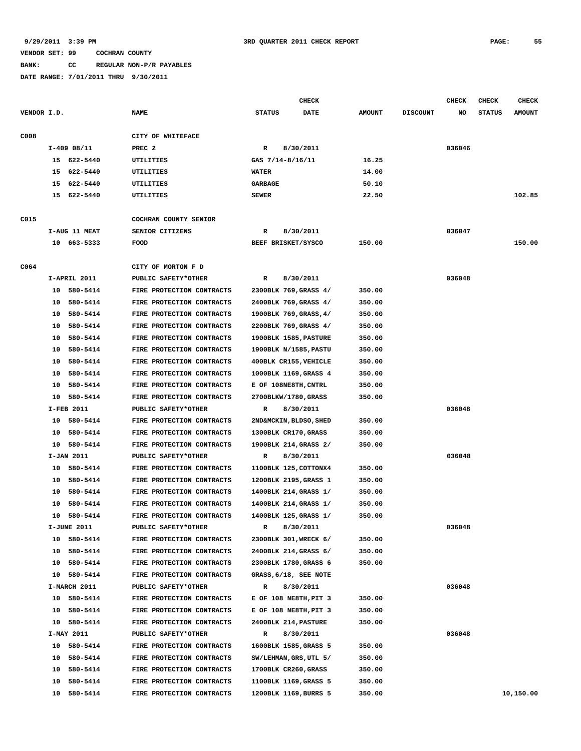# **BANK: CC REGULAR NON-P/R PAYABLES**

|             |               |             |                           |                  | <b>CHECK</b>           |               |                 | CHECK  | <b>CHECK</b>  | <b>CHECK</b>  |
|-------------|---------------|-------------|---------------------------|------------------|------------------------|---------------|-----------------|--------|---------------|---------------|
| VENDOR I.D. |               |             | <b>NAME</b>               | <b>STATUS</b>    | DATE                   | <b>AMOUNT</b> | <b>DISCOUNT</b> | NO     | <b>STATUS</b> | <b>AMOUNT</b> |
| C008        |               |             | CITY OF WHITEFACE         |                  |                        |               |                 |        |               |               |
|             | $I-409$ 08/11 |             | PREC <sub>2</sub>         | R                | 8/30/2011              |               |                 | 036046 |               |               |
|             |               | 15 622-5440 | <b>UTILITIES</b>          | GAS 7/14-8/16/11 |                        | 16.25         |                 |        |               |               |
|             |               | 15 622-5440 | UTILITIES                 | <b>WATER</b>     |                        | 14.00         |                 |        |               |               |
|             | 15            | 622-5440    | UTILITIES                 | GARBAGE          |                        | 50.10         |                 |        |               |               |
|             |               | 15 622-5440 | UTILITIES                 | <b>SEWER</b>     |                        | 22.50         |                 |        |               | 102.85        |
| C015        |               |             | COCHRAN COUNTY SENIOR     |                  |                        |               |                 |        |               |               |
|             | I-AUG 11 MEAT |             | SENIOR CITIZENS           | R                | 8/30/2011              |               |                 | 036047 |               |               |
|             |               | 10 663-5333 | <b>FOOD</b>               |                  | BEEF BRISKET/SYSCO     | 150.00        |                 |        |               | 150.00        |
| C064        |               |             | CITY OF MORTON F D        |                  |                        |               |                 |        |               |               |
|             | I-APRIL 2011  |             | PUBLIC SAFETY*OTHER       | R                | 8/30/2011              |               |                 | 036048 |               |               |
|             |               | 10 580-5414 | FIRE PROTECTION CONTRACTS |                  | 2300BLK 769, GRASS 4/  | 350.00        |                 |        |               |               |
|             | 10            | 580-5414    | FIRE PROTECTION CONTRACTS |                  | 2400BLK 769, GRASS 4/  | 350.00        |                 |        |               |               |
|             | 10            | 580-5414    | FIRE PROTECTION CONTRACTS |                  | 1900BLK 769, GRASS, 4/ | 350.00        |                 |        |               |               |
|             | 10            | 580-5414    | FIRE PROTECTION CONTRACTS |                  | 2200BLK 769, GRASS 4/  | 350.00        |                 |        |               |               |
|             | 10            | 580-5414    | FIRE PROTECTION CONTRACTS |                  | 1900BLK 1585, PASTURE  | 350.00        |                 |        |               |               |
|             | 10            | 580-5414    | FIRE PROTECTION CONTRACTS |                  | 1900BLK N/1585, PASTU  | 350.00        |                 |        |               |               |
|             | 10            | 580-5414    | FIRE PROTECTION CONTRACTS |                  | 400BLK CR155, VEHICLE  | 350.00        |                 |        |               |               |
|             | 10            | 580-5414    | FIRE PROTECTION CONTRACTS |                  | 1000BLK 1169, GRASS 4  | 350.00        |                 |        |               |               |
|             | 10            | 580-5414    | FIRE PROTECTION CONTRACTS |                  | E OF 108NE8TH, CNTRL   | 350.00        |                 |        |               |               |
|             |               | 10 580-5414 | FIRE PROTECTION CONTRACTS |                  | 2700BLKW/1780, GRASS   | 350.00        |                 |        |               |               |
|             | I-FEB 2011    |             | PUBLIC SAFETY*OTHER       | R                | 8/30/2011              |               |                 | 036048 |               |               |
|             |               | 10 580-5414 | FIRE PROTECTION CONTRACTS |                  | 2ND&MCKIN, BLDSO, SHED | 350.00        |                 |        |               |               |
|             | 10            | 580-5414    | FIRE PROTECTION CONTRACTS |                  | 1300BLK CR170, GRASS   | 350.00        |                 |        |               |               |
|             | 10            | 580-5414    | FIRE PROTECTION CONTRACTS |                  | 1900BLK 214, GRASS 2/  | 350.00        |                 |        |               |               |
|             | I-JAN 2011    |             | PUBLIC SAFETY*OTHER       | R                | 8/30/2011              |               |                 | 036048 |               |               |
|             | 10            | 580-5414    | FIRE PROTECTION CONTRACTS |                  | 1100BLK 125, COTTONX4  | 350.00        |                 |        |               |               |
|             | 10            | 580-5414    | FIRE PROTECTION CONTRACTS |                  | 1200BLK 2195, GRASS 1  | 350.00        |                 |        |               |               |
|             | 10            | 580-5414    | FIRE PROTECTION CONTRACTS |                  | 1400BLK 214, GRASS 1/  | 350.00        |                 |        |               |               |
|             | 10            | 580-5414    | FIRE PROTECTION CONTRACTS |                  | 1400BLK 214, GRASS 1/  | 350.00        |                 |        |               |               |
|             | 10            | 580-5414    | FIRE PROTECTION CONTRACTS |                  | 1400BLK 125, GRASS 1/  | 350.00        |                 |        |               |               |
|             | I-JUNE 2011   |             | PUBLIC SAFETY*OTHER       | R                | 8/30/2011              |               |                 | 036048 |               |               |
|             |               | 10 580-5414 | FIRE PROTECTION CONTRACTS |                  | 2300BLK 301, WRECK 6/  | 350.00        |                 |        |               |               |
|             | 10            | 580-5414    | FIRE PROTECTION CONTRACTS |                  | 2400BLK 214, GRASS 6/  | 350.00        |                 |        |               |               |
|             |               | 10 580-5414 | FIRE PROTECTION CONTRACTS |                  | 2300BLK 1780, GRASS 6  | 350.00        |                 |        |               |               |
|             | 10            | 580-5414    | FIRE PROTECTION CONTRACTS |                  | GRASS, 6/18, SEE NOTE  |               |                 |        |               |               |
|             | I-MARCH 2011  |             | PUBLIC SAFETY*OTHER       | R                | 8/30/2011              |               |                 | 036048 |               |               |
|             |               | 10 580-5414 | FIRE PROTECTION CONTRACTS |                  | E OF 108 NE8TH, PIT 3  | 350.00        |                 |        |               |               |
|             |               | 10 580-5414 | FIRE PROTECTION CONTRACTS |                  | E OF 108 NE8TH, PIT 3  | 350.00        |                 |        |               |               |
|             |               | 10 580-5414 | FIRE PROTECTION CONTRACTS |                  | 2400BLK 214, PASTURE   | 350.00        |                 |        |               |               |
|             | I-MAY 2011    |             | PUBLIC SAFETY*OTHER       | R                | 8/30/2011              |               |                 | 036048 |               |               |
|             | 10            | 580-5414    | FIRE PROTECTION CONTRACTS |                  | 1600BLK 1585, GRASS 5  | 350.00        |                 |        |               |               |
|             | 10            | 580-5414    | FIRE PROTECTION CONTRACTS |                  | SW/LEHMAN, GRS, UTL 5/ | 350.00        |                 |        |               |               |
|             | 10            | 580-5414    | FIRE PROTECTION CONTRACTS |                  | 1700BLK CR260, GRASS   | 350.00        |                 |        |               |               |
|             | 10            | 580-5414    | FIRE PROTECTION CONTRACTS |                  | 1100BLK 1169, GRASS 5  | 350.00        |                 |        |               |               |
|             |               | 10 580-5414 | FIRE PROTECTION CONTRACTS |                  | 1200BLK 1169, BURRS 5  | 350.00        |                 |        |               | 10,150.00     |
|             |               |             |                           |                  |                        |               |                 |        |               |               |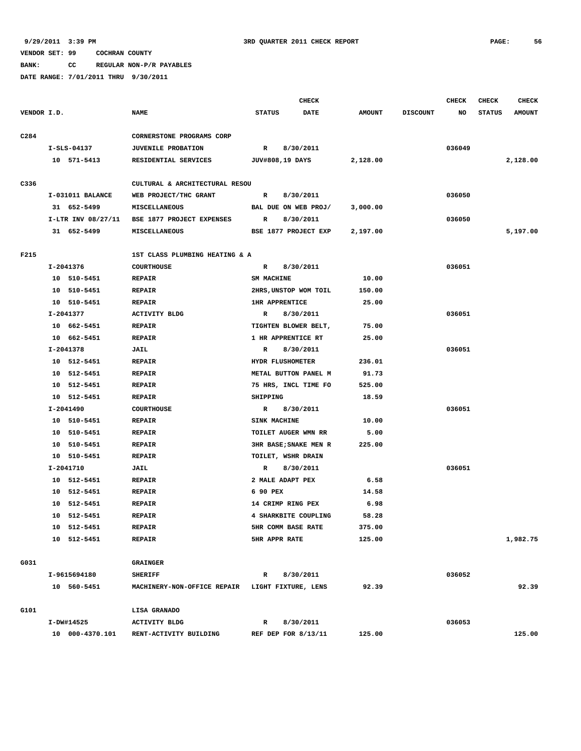**BANK: CC REGULAR NON-P/R PAYABLES**

|                  |                    |                                                 |                       | <b>CHECK</b> |               |                 | <b>CHECK</b> | <b>CHECK</b>  | <b>CHECK</b>  |
|------------------|--------------------|-------------------------------------------------|-----------------------|--------------|---------------|-----------------|--------------|---------------|---------------|
| VENDOR I.D.      |                    | <b>NAME</b>                                     | <b>STATUS</b><br>DATE |              | <b>AMOUNT</b> | <b>DISCOUNT</b> | NO           | <b>STATUS</b> | <b>AMOUNT</b> |
| C <sub>284</sub> |                    | CORNERSTONE PROGRAMS CORP                       |                       |              |               |                 |              |               |               |
|                  | $I-SLS-04137$      | <b>JUVENILE PROBATION</b>                       | $\mathbb{R}$          | 8/30/2011    |               |                 | 036049       |               |               |
|                  | 10 571-5413        | RESIDENTIAL SERVICES                            | JUV#808,19 DAYS       |              | 2,128.00      |                 |              |               | 2,128.00      |
|                  |                    |                                                 |                       |              |               |                 |              |               |               |
| C336             |                    | CULTURAL & ARCHITECTURAL RESOU                  |                       |              |               |                 |              |               |               |
|                  | I-031011 BALANCE   | WEB PROJECT/THC GRANT                           | R                     | 8/30/2011    |               |                 | 036050       |               |               |
|                  | 31 652-5499        | MISCELLANEOUS                                   | BAL DUE ON WEB PROJ/  |              | 3,000.00      |                 |              |               |               |
|                  | I-LTR INV 08/27/11 | BSE 1877 PROJECT EXPENSES                       | R                     | 8/30/2011    |               |                 | 036050       |               |               |
|                  | 31 652-5499        | MISCELLANEOUS                                   | BSE 1877 PROJECT EXP  |              | 2,197.00      |                 |              |               | 5,197.00      |
| F215             |                    | 1ST CLASS PLUMBING HEATING & A                  |                       |              |               |                 |              |               |               |
|                  | I-2041376          | <b>COURTHOUSE</b>                               | $\mathbb{R}$          | 8/30/2011    |               |                 | 036051       |               |               |
|                  | 10 510-5451        | <b>REPAIR</b>                                   | <b>SM MACHINE</b>     |              | 10.00         |                 |              |               |               |
|                  | 10 510-5451        | <b>REPAIR</b>                                   | 2HRS, UNSTOP WOM TOIL |              | 150.00        |                 |              |               |               |
|                  | 10 510-5451        | <b>REPAIR</b>                                   | <b>1HR APPRENTICE</b> |              | 25.00         |                 |              |               |               |
|                  | I-2041377          | <b>ACTIVITY BLDG</b>                            | R                     | 8/30/2011    |               |                 | 036051       |               |               |
|                  | 10 662-5451        | <b>REPAIR</b>                                   | TIGHTEN BLOWER BELT,  |              | 75.00         |                 |              |               |               |
|                  | 10 662-5451        | <b>REPAIR</b>                                   | 1 HR APPRENTICE RT    |              | 25.00         |                 |              |               |               |
|                  | I-2041378          | <b>JAIL</b>                                     | R                     | 8/30/2011    |               |                 | 036051       |               |               |
|                  | 10 512-5451        | <b>REPAIR</b>                                   | HYDR FLUSHOMETER      |              | 236.01        |                 |              |               |               |
|                  | 10 512-5451        | <b>REPAIR</b>                                   | METAL BUTTON PANEL M  |              | 91.73         |                 |              |               |               |
|                  | 10 512-5451        | <b>REPAIR</b>                                   | 75 HRS, INCL TIME FO  |              | 525.00        |                 |              |               |               |
|                  | 10 512-5451        | <b>REPAIR</b>                                   | SHIPPING              |              | 18.59         |                 |              |               |               |
|                  | I-2041490          | <b>COURTHOUSE</b>                               | $\mathbb{R}$          | 8/30/2011    |               |                 | 036051       |               |               |
|                  | 10 510-5451        | <b>REPAIR</b>                                   | SINK MACHINE          |              | 10.00         |                 |              |               |               |
|                  | 10 510-5451        | <b>REPAIR</b>                                   | TOILET AUGER WMN RR   |              | 5.00          |                 |              |               |               |
|                  | 10 510-5451        | <b>REPAIR</b>                                   | 3HR BASE; SNAKE MEN R |              | 225.00        |                 |              |               |               |
|                  | 10 510-5451        | <b>REPAIR</b>                                   | TOILET, WSHR DRAIN    |              |               |                 |              |               |               |
|                  | I-2041710          | JAIL                                            | R                     | 8/30/2011    |               |                 | 036051       |               |               |
|                  | 10 512-5451        | <b>REPAIR</b>                                   | 2 MALE ADAPT PEX      |              | 6.58          |                 |              |               |               |
|                  | 10 512-5451        | <b>REPAIR</b>                                   | 6 90 PEX              |              | 14.58         |                 |              |               |               |
|                  | 512-5451<br>10     | <b>REPAIR</b>                                   | 14 CRIMP RING PEX     |              | 6.98          |                 |              |               |               |
|                  | 10 512-5451        | <b>REPAIR</b>                                   | 4 SHARKBITE COUPLING  |              | 58.28         |                 |              |               |               |
|                  | 10 512-5451        | <b>REPAIR</b>                                   | 5HR COMM BASE RATE    |              | 375.00        |                 |              |               |               |
|                  | 10 512-5451        | <b>REPAIR</b>                                   | <b>5HR APPR RATE</b>  |              | 125.00        |                 |              |               | 1,982.75      |
|                  |                    |                                                 |                       |              |               |                 |              |               |               |
| G031             |                    | <b>GRAINGER</b>                                 |                       |              |               |                 |              |               |               |
|                  | I-9615694180       | <b>SHERIFF</b>                                  | R                     | 8/30/2011    |               |                 | 036052       |               |               |
|                  | 10 560-5451        | MACHINERY-NON-OFFICE REPAIR LIGHT FIXTURE, LENS |                       |              | 92.39         |                 |              |               | 92.39         |
| G101             |                    | LISA GRANADO                                    |                       |              |               |                 |              |               |               |
|                  | I-DW#14525         | <b>ACTIVITY BLDG</b>                            | R                     | 8/30/2011    |               |                 | 036053       |               |               |
|                  | 10 000-4370.101    | RENT-ACTIVITY BUILDING                          | REF DEP FOR 8/13/11   |              | 125.00        |                 |              |               | 125.00        |
|                  |                    |                                                 |                       |              |               |                 |              |               |               |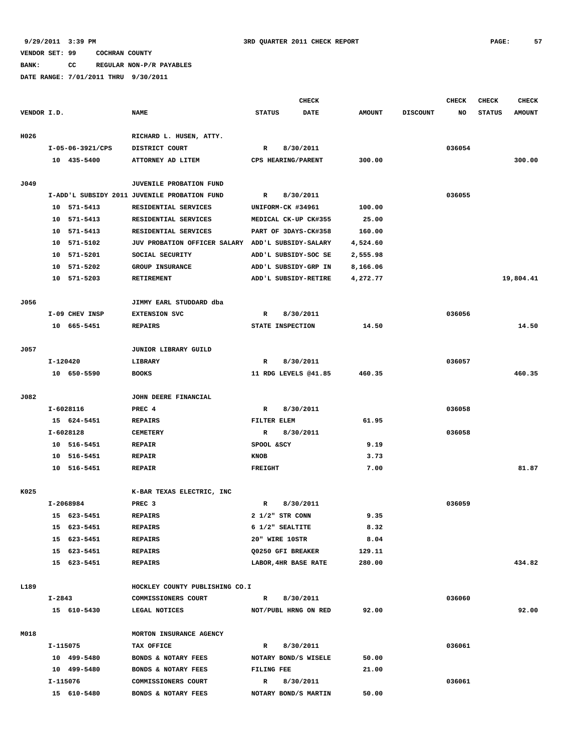**BANK: CC REGULAR NON-P/R PAYABLES**

|             |          |                  |                                                   |                | <b>CHECK</b>             |               |                 | <b>CHECK</b> | <b>CHECK</b>  | <b>CHECK</b>  |
|-------------|----------|------------------|---------------------------------------------------|----------------|--------------------------|---------------|-----------------|--------------|---------------|---------------|
| VENDOR I.D. |          |                  | <b>NAME</b>                                       | <b>STATUS</b>  | <b>DATE</b>              | <b>AMOUNT</b> | <b>DISCOUNT</b> | NO           | <b>STATUS</b> | <b>AMOUNT</b> |
| H026        |          |                  | RICHARD L. HUSEN, ATTY.                           |                |                          |               |                 |              |               |               |
|             |          | I-05-06-3921/CPS | DISTRICT COURT                                    | $\mathbb{R}$   | 8/30/2011                |               |                 | 036054       |               |               |
|             |          | 10 435-5400      | ATTORNEY AD LITEM                                 |                | CPS HEARING/PARENT       | 300.00        |                 |              |               | 300.00        |
|             |          |                  |                                                   |                |                          |               |                 |              |               |               |
| J049        |          |                  | JUVENILE PROBATION FUND                           |                |                          |               |                 |              |               |               |
|             |          |                  | I-ADD'L SUBSIDY 2011 JUVENILE PROBATION FUND      | R              | 8/30/2011                |               |                 | 036055       |               |               |
|             | 10       | 571-5413         | RESIDENTIAL SERVICES                              |                | UNIFORM-CK #34961        | 100.00        |                 |              |               |               |
|             | 10       | 571-5413         | RESIDENTIAL SERVICES                              |                | MEDICAL CK-UP CK#355     | 25.00         |                 |              |               |               |
|             | 10       | 571-5413         | RESIDENTIAL SERVICES                              |                | PART OF 3DAYS-CK#358     | 160.00        |                 |              |               |               |
|             | 10       | 571-5102         | JUV PROBATION OFFICER SALARY ADD'L SUBSIDY-SALARY |                |                          | 4,524.60      |                 |              |               |               |
|             | 10       | 571-5201         | SOCIAL SECURITY                                   |                | ADD'L SUBSIDY-SOC SE     | 2,555.98      |                 |              |               |               |
|             | 10       | 571-5202         | GROUP INSURANCE                                   |                | ADD'L SUBSIDY-GRP IN     | 8,166.06      |                 |              |               |               |
|             | 10       | 571-5203         | <b>RETIREMENT</b>                                 |                | ADD'L SUBSIDY-RETIRE     | 4,272.77      |                 |              |               | 19,804.41     |
| J056        |          |                  | JIMMY EARL STUDDARD dba                           |                |                          |               |                 |              |               |               |
|             |          | I-09 CHEV INSP   | <b>EXTENSION SVC</b>                              | $\mathbb{R}$   | 8/30/2011                |               |                 | 036056       |               |               |
|             |          | 10 665-5451      | <b>REPAIRS</b>                                    |                | STATE INSPECTION         | 14.50         |                 |              |               | 14.50         |
|             |          |                  |                                                   |                |                          |               |                 |              |               |               |
| J057        |          |                  | JUNIOR LIBRARY GUILD                              |                |                          |               |                 |              |               |               |
|             | I-120420 |                  | LIBRARY                                           | R              | 8/30/2011                |               |                 | 036057       |               |               |
|             |          | 10 650-5590      | <b>BOOKS</b>                                      |                | 11 RDG LEVELS @41.85     | 460.35        |                 |              |               | 460.35        |
| J082        |          |                  | JOHN DEERE FINANCIAL                              |                |                          |               |                 |              |               |               |
|             |          | I-6028116        | PREC 4                                            | $\mathbb{R}$   | 8/30/2011                |               |                 | 036058       |               |               |
|             |          | 15 624-5451      | <b>REPAIRS</b>                                    | FILTER ELEM    |                          | 61.95         |                 |              |               |               |
|             |          | I-6028128        | <b>CEMETERY</b>                                   | R              | 8/30/2011                |               |                 | 036058       |               |               |
|             |          | 10 516-5451      | <b>REPAIR</b>                                     | SPOOL &SCY     |                          | 9.19          |                 |              |               |               |
|             | 10       | 516-5451         | <b>REPAIR</b>                                     | KNOB           |                          | 3.73          |                 |              |               |               |
|             |          | 10 516-5451      | <b>REPAIR</b>                                     | <b>FREIGHT</b> |                          | 7.00          |                 |              |               | 81.87         |
|             |          |                  |                                                   |                |                          |               |                 |              |               |               |
| K025        |          |                  | K-BAR TEXAS ELECTRIC, INC                         |                |                          |               |                 |              |               |               |
|             |          | I-2068984        | PREC 3                                            | R              | 8/30/2011                |               |                 | 036059       |               |               |
|             |          | 15 623-5451      | <b>REPAIRS</b>                                    |                | $2 \frac{1}{2}$ str CONN | 9.35          |                 |              |               |               |
|             |          | 15 623-5451      | <b>REPAIRS</b>                                    |                | 6 1/2" SEALTITE          | 8.32          |                 |              |               |               |
|             |          | 15 623-5451      | <b>REPAIRS</b>                                    |                | 20" WIRE 10STR           | 8.04          |                 |              |               |               |
|             |          | 15 623-5451      | REPAIRS                                           |                | Q0250 GFI BREAKER        | 129.11        |                 |              |               |               |
|             |          | 15 623-5451      | <b>REPAIRS</b>                                    |                | LABOR, 4HR BASE RATE     | 280.00        |                 |              |               | 434.82        |
| L189        |          |                  | HOCKLEY COUNTY PUBLISHING CO.I                    |                |                          |               |                 |              |               |               |
|             | I-2843   |                  | COMMISSIONERS COURT                               | $\mathbf{R}$   | 8/30/2011                |               |                 | 036060       |               |               |
|             |          | 15 610-5430      | LEGAL NOTICES                                     |                | NOT/PUBL HRNG ON RED     | 92.00         |                 |              |               | 92.00         |
|             |          |                  |                                                   |                |                          |               |                 |              |               |               |
| M018        |          |                  | MORTON INSURANCE AGENCY                           |                |                          |               |                 |              |               |               |
|             | I-115075 |                  | TAX OFFICE                                        | $\mathbb{R}$   | 8/30/2011                |               |                 | 036061       |               |               |
|             |          | 10 499-5480      | BONDS & NOTARY FEES                               |                | NOTARY BOND/S WISELE     | 50.00         |                 |              |               |               |
|             |          | 10 499-5480      | BONDS & NOTARY FEES                               | FILING FEE     |                          | 21.00         |                 |              |               |               |
|             |          | I-115076         | COMMISSIONERS COURT                               | $\mathbb{R}$   | 8/30/2011                |               |                 | 036061       |               |               |
|             |          | 15 610-5480      | BONDS & NOTARY FEES                               |                | NOTARY BOND/S MARTIN     | 50.00         |                 |              |               |               |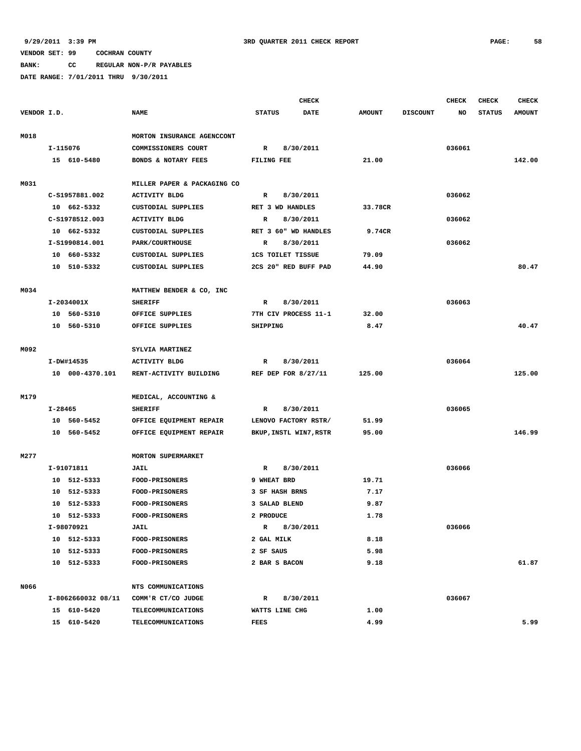**BANK: CC REGULAR NON-P/R PAYABLES**

|             |         |                    |                             | <b>CHECK</b>                 |                          |                        |               |                 | <b>CHECK</b> | <b>CHECK</b>  | <b>CHECK</b>  |
|-------------|---------|--------------------|-----------------------------|------------------------------|--------------------------|------------------------|---------------|-----------------|--------------|---------------|---------------|
| VENDOR I.D. |         |                    | <b>NAME</b>                 | <b>STATUS</b><br><b>DATE</b> |                          |                        | <b>AMOUNT</b> | <b>DISCOUNT</b> | NO           | <b>STATUS</b> | <b>AMOUNT</b> |
|             |         |                    |                             |                              |                          |                        |               |                 |              |               |               |
| M018        |         |                    | MORTON INSURANCE AGENCCONT  |                              |                          |                        |               |                 |              |               |               |
|             |         | I-115076           | COMMISSIONERS COURT         | $\mathbb{R}$<br>8/30/2011    |                          |                        |               |                 | 036061       |               |               |
|             |         | 15 610-5480        | BONDS & NOTARY FEES         | FILING FEE                   |                          |                        | 21.00         |                 |              |               | 142.00        |
|             |         |                    |                             |                              |                          |                        |               |                 |              |               |               |
| M031        |         |                    | MILLER PAPER & PACKAGING CO |                              |                          |                        |               |                 |              |               |               |
|             |         | C-S1957881.002     | <b>ACTIVITY BLDG</b>        | $\mathbb{R}$                 |                          | 8/30/2011              |               |                 | 036062       |               |               |
|             |         | 10 662-5332        | CUSTODIAL SUPPLIES          |                              | RET 3 WD HANDLES         |                        | 33.78CR       |                 |              |               |               |
|             |         | C-S1978512.003     | <b>ACTIVITY BLDG</b>        | R                            |                          | 8/30/2011              |               |                 | 036062       |               |               |
|             |         | 10 662-5332        | CUSTODIAL SUPPLIES          |                              |                          | RET 3 60" WD HANDLES   | 9.74CR        |                 |              |               |               |
|             |         | I-S1990814.001     | PARK/COURTHOUSE             | R                            |                          | 8/30/2011              |               |                 | 036062       |               |               |
|             |         | 10 660-5332        | CUSTODIAL SUPPLIES          |                              | <b>1CS TOILET TISSUE</b> |                        | 79.09         |                 |              |               |               |
|             |         | 10 510-5332        | CUSTODIAL SUPPLIES          |                              |                          | 2CS 20" RED BUFF PAD   | 44.90         |                 |              |               | 80.47         |
|             |         |                    |                             |                              |                          |                        |               |                 |              |               |               |
| M034        |         |                    | MATTHEW BENDER & CO, INC    |                              |                          |                        |               |                 |              |               |               |
|             |         | I-2034001X         | <b>SHERIFF</b>              | $\mathbb{R}$                 |                          | 8/30/2011              |               |                 | 036063       |               |               |
|             |         | 10 560-5310        | OFFICE SUPPLIES             |                              |                          | 7TH CIV PROCESS 11-1   | 32.00         |                 |              |               |               |
|             | 10      | 560-5310           | OFFICE SUPPLIES             | SHIPPING                     |                          |                        | 8.47          |                 |              |               | 40.47         |
|             |         |                    |                             |                              |                          |                        |               |                 |              |               |               |
| M092        |         |                    | SYLVIA MARTINEZ             |                              |                          |                        |               |                 |              |               |               |
|             |         | I-DW#14535         | <b>ACTIVITY BLDG</b>        | $\mathbb{R}$                 |                          | 8/30/2011              |               |                 | 036064       |               |               |
|             |         | 10 000-4370.101    | RENT-ACTIVITY BUILDING      |                              |                          | REF DEP FOR 8/27/11    | 125.00        |                 |              |               | 125.00        |
|             |         |                    |                             |                              |                          |                        |               |                 |              |               |               |
| M179        |         |                    | MEDICAL, ACCOUNTING &       |                              |                          |                        |               |                 |              |               |               |
|             | I-28465 |                    | <b>SHERIFF</b>              | $\mathbb{R}$                 |                          | 8/30/2011              |               |                 | 036065       |               |               |
|             |         | 10 560-5452        | OFFICE EQUIPMENT REPAIR     |                              |                          | LENOVO FACTORY RSTR/   | 51.99         |                 |              |               |               |
|             |         | 10 560-5452        | OFFICE EQUIPMENT REPAIR     |                              |                          | BKUP, INSTL WIN7, RSTR | 95.00         |                 |              |               | 146.99        |
|             |         |                    |                             |                              |                          |                        |               |                 |              |               |               |
| M277        |         |                    | <b>MORTON SUPERMARKET</b>   |                              |                          |                        |               |                 |              |               |               |
|             |         | I-91071811         | <b>JAIL</b>                 | R                            |                          | 8/30/2011              |               |                 | 036066       |               |               |
|             |         | 10 512-5333        | FOOD-PRISONERS              | 9 WHEAT BRD                  |                          |                        | 19.71         |                 |              |               |               |
|             |         | 10 512-5333        | <b>FOOD-PRISONERS</b>       |                              | 3 SF HASH BRNS           |                        | 7.17          |                 |              |               |               |
|             | 10      | 512-5333           | FOOD-PRISONERS              |                              | 3 SALAD BLEND            |                        | 9.87          |                 |              |               |               |
|             |         | 10 512-5333        | FOOD-PRISONERS              | 2 PRODUCE                    |                          |                        | 1.78          |                 |              |               |               |
|             |         | I-98070921         | <b>JAIL</b>                 | R                            |                          | 8/30/2011              |               |                 | 036066       |               |               |
|             |         | 10 512-5333        | FOOD-PRISONERS              | 2 GAL MILK                   |                          |                        | 8.18          |                 |              |               |               |
|             |         | 10 512-5333        | FOOD-PRISONERS              | 2 SF SAUS                    |                          |                        | 5.98          |                 |              |               |               |
|             |         | 10 512-5333        | <b>FOOD-PRISONERS</b>       |                              | 2 BAR S BACON            |                        | 9.18          |                 |              |               | 61.87         |
|             |         |                    |                             |                              |                          |                        |               |                 |              |               |               |
| N066        |         |                    | NTS COMMUNICATIONS          |                              |                          |                        |               |                 |              |               |               |
|             |         | I-8062660032 08/11 | COMM'R CT/CO JUDGE          | R                            |                          | 8/30/2011              |               |                 | 036067       |               |               |
|             |         | 15 610-5420        | TELECOMMUNICATIONS          |                              | WATTS LINE CHG           |                        | 1.00          |                 |              |               |               |
|             |         | 15 610-5420        | <b>TELECOMMUNICATIONS</b>   | FEES                         |                          |                        | 4.99          |                 |              |               | 5.99          |
|             |         |                    |                             |                              |                          |                        |               |                 |              |               |               |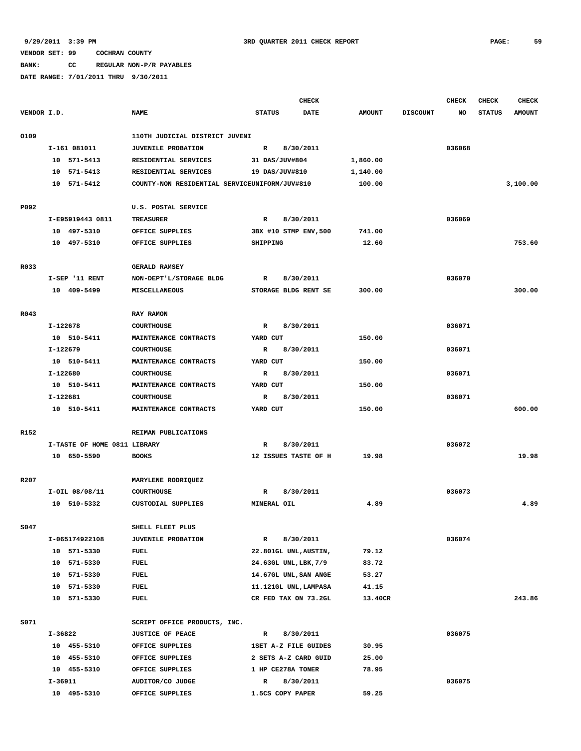**BANK: CC REGULAR NON-P/R PAYABLES**

|             |                              |                                               |                       | <b>CHECK</b> |               |                 | <b>CHECK</b> | <b>CHECK</b>  | <b>CHECK</b>  |
|-------------|------------------------------|-----------------------------------------------|-----------------------|--------------|---------------|-----------------|--------------|---------------|---------------|
| VENDOR I.D. |                              | <b>NAME</b>                                   | <b>STATUS</b>         | <b>DATE</b>  | <b>AMOUNT</b> | <b>DISCOUNT</b> | NO           | <b>STATUS</b> | <b>AMOUNT</b> |
|             |                              |                                               |                       |              |               |                 |              |               |               |
| 0109        |                              | 110TH JUDICIAL DISTRICT JUVENI                |                       |              |               |                 |              |               |               |
|             | I-161 081011                 | <b>JUVENILE PROBATION</b>                     | $\mathbf{R}$          | 8/30/2011    |               |                 | 036068       |               |               |
|             | 10 571-5413                  | RESIDENTIAL SERVICES                          | 31 DAS/JUV#804        |              | 1,860.00      |                 |              |               |               |
|             | 10 571-5413                  | RESIDENTIAL SERVICES                          | 19 DAS/JUV#810        |              | 1,140.00      |                 |              |               |               |
|             | 10 571-5412                  | COUNTY-NON RESIDENTIAL SERVICEUNIFORM/JUV#810 |                       |              | 100.00        |                 |              |               | 3,100.00      |
|             |                              |                                               |                       |              |               |                 |              |               |               |
| P092        |                              | U.S. POSTAL SERVICE                           |                       |              |               |                 |              |               |               |
|             | I-E95919443 0811             | <b>TREASURER</b>                              | $\mathbf{R}$          | 8/30/2011    |               |                 | 036069       |               |               |
|             | 10 497-5310                  | OFFICE SUPPLIES                               | 3BX #10 STMP ENV, 500 |              | 741.00        |                 |              |               |               |
|             | 10 497-5310                  | OFFICE SUPPLIES                               | SHIPPING              |              | 12.60         |                 |              |               | 753.60        |
| R033        |                              | <b>GERALD RAMSEY</b>                          |                       |              |               |                 |              |               |               |
|             | I-SEP '11 RENT               | NON-DEPT'L/STORAGE BLDG                       | R                     | 8/30/2011    |               |                 | 036070       |               |               |
|             | 10 409-5499                  | <b>MISCELLANEOUS</b>                          | STORAGE BLDG RENT SE  |              | 300.00        |                 |              |               | 300.00        |
|             |                              |                                               |                       |              |               |                 |              |               |               |
| R043        |                              | RAY RAMON                                     |                       |              |               |                 |              |               |               |
|             | I-122678                     | <b>COURTHOUSE</b>                             | R                     | 8/30/2011    |               |                 | 036071       |               |               |
|             | 10 510-5411                  | MAINTENANCE CONTRACTS                         | YARD CUT              |              | 150.00        |                 |              |               |               |
|             | I-122679                     | <b>COURTHOUSE</b>                             | R                     | 8/30/2011    |               |                 | 036071       |               |               |
|             | 10 510-5411                  | MAINTENANCE CONTRACTS                         | YARD CUT              |              | 150.00        |                 |              |               |               |
|             | I-122680                     | <b>COURTHOUSE</b>                             | R                     | 8/30/2011    |               |                 | 036071       |               |               |
|             | 10 510-5411                  | MAINTENANCE CONTRACTS                         | YARD CUT              |              | 150.00        |                 |              |               |               |
|             | I-122681                     | <b>COURTHOUSE</b>                             | R                     | 8/30/2011    |               |                 | 036071       |               |               |
|             | 10 510-5411                  | MAINTENANCE CONTRACTS                         | YARD CUT              |              | 150.00        |                 |              |               | 600.00        |
|             |                              |                                               |                       |              |               |                 |              |               |               |
| R152        |                              | REIMAN PUBLICATIONS                           |                       |              |               |                 |              |               |               |
|             | I-TASTE OF HOME 0811 LIBRARY |                                               | R                     | 8/30/2011    |               |                 | 036072       |               |               |
|             | 10 650-5590                  | <b>BOOKS</b>                                  | 12 ISSUES TASTE OF H  |              | 19.98         |                 |              |               | 19.98         |
|             |                              |                                               |                       |              |               |                 |              |               |               |
| R207        |                              | MARYLENE RODRIQUEZ                            |                       |              |               |                 |              |               |               |
|             | $I-OIL$ $08/08/11$           | <b>COURTHOUSE</b>                             | R                     | 8/30/2011    |               |                 | 036073       |               |               |
|             | 10 510-5332                  | CUSTODIAL SUPPLIES                            | MINERAL OIL           |              | 4.89          |                 |              |               | 4.89          |
|             |                              |                                               |                       |              |               |                 |              |               |               |
| S047        |                              | SHELL FLEET PLUS                              |                       |              |               |                 |              |               |               |
|             | I-065174922108               | <b>JUVENILE PROBATION</b>                     | R                     | 8/30/2011    |               |                 | 036074       |               |               |
|             | 10 571-5330                  | FUEL                                          | 22.801GL UNL, AUSTIN, |              | 79.12         |                 |              |               |               |
|             | 10 571-5330                  | FUEL                                          | 24.63GL UNL, LBK, 7/9 |              | 83.72         |                 |              |               |               |
|             | 10 571-5330                  | FUEL                                          | 14.67GL UNL, SAN ANGE |              | 53.27         |                 |              |               |               |
|             | 10 571-5330                  | FUEL                                          | 11.121GL UNL, LAMPASA |              | 41.15         |                 |              |               |               |
|             | 10 571-5330                  | FUEL                                          | CR FED TAX ON 73.2GL  |              | 13.40CR       |                 |              |               | 243.86        |
|             |                              |                                               |                       |              |               |                 |              |               |               |
| S071        |                              | SCRIPT OFFICE PRODUCTS, INC.                  |                       |              |               |                 |              |               |               |
|             | I-36822                      | <b>JUSTICE OF PEACE</b>                       | R                     | 8/30/2011    |               |                 | 036075       |               |               |
|             | 10 455-5310                  | OFFICE SUPPLIES                               | 1SET A-Z FILE GUIDES  |              | 30.95         |                 |              |               |               |
|             | 10 455-5310                  | OFFICE SUPPLIES                               | 2 SETS A-Z CARD GUID  |              | 25.00         |                 |              |               |               |
|             | 10 455-5310                  | OFFICE SUPPLIES                               | 1 HP CE278A TONER     |              | 78.95         |                 |              |               |               |
|             | I-36911                      | AUDITOR/CO JUDGE                              | R                     | 8/30/2011    |               |                 | 036075       |               |               |
|             | 10 495-5310                  | OFFICE SUPPLIES                               | 1.5CS COPY PAPER      |              | 59.25         |                 |              |               |               |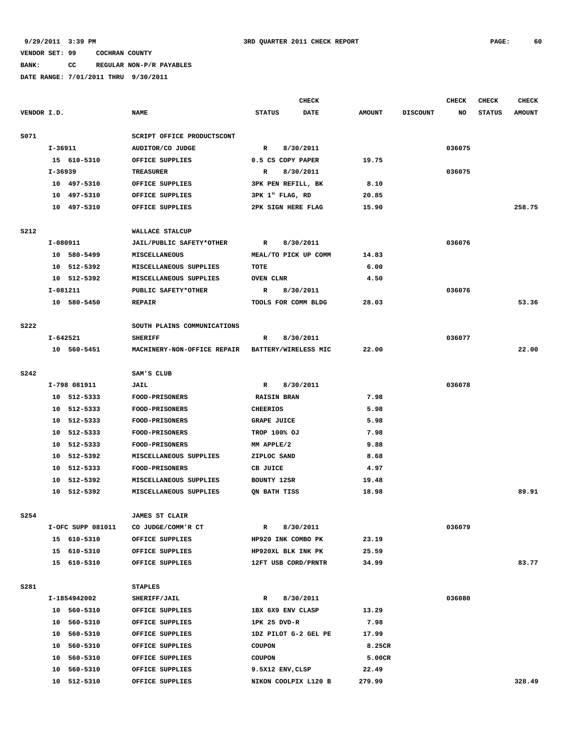# **BANK: CC REGULAR NON-P/R PAYABLES**

|                  |             |                   |                                                  |                      | <b>CHECK</b> |               |                 | <b>CHECK</b> | <b>CHECK</b>  | <b>CHECK</b>  |
|------------------|-------------|-------------------|--------------------------------------------------|----------------------|--------------|---------------|-----------------|--------------|---------------|---------------|
| VENDOR I.D.      |             |                   | <b>NAME</b>                                      | <b>STATUS</b>        | <b>DATE</b>  | <b>AMOUNT</b> | <b>DISCOUNT</b> | NO           | <b>STATUS</b> | <b>AMOUNT</b> |
| S071             |             |                   | SCRIPT OFFICE PRODUCTSCONT                       |                      |              |               |                 |              |               |               |
|                  | $I - 36911$ |                   | AUDITOR/CO JUDGE                                 | $\mathbb{R}$         | 8/30/2011    |               |                 | 036075       |               |               |
|                  |             | 15 610-5310       | OFFICE SUPPLIES                                  | 0.5 CS COPY PAPER    |              | 19.75         |                 |              |               |               |
|                  | I-36939     |                   | <b>TREASURER</b>                                 | R                    | 8/30/2011    |               |                 | 036075       |               |               |
|                  |             | 10 497-5310       | OFFICE SUPPLIES                                  | 3PK PEN REFILL, BK   |              | 8.10          |                 |              |               |               |
|                  |             | 10 497-5310       | OFFICE SUPPLIES                                  | 3PK 1" FLAG, RD      |              | 20.85         |                 |              |               |               |
|                  |             | 10 497-5310       | OFFICE SUPPLIES                                  | 2PK SIGN HERE FLAG   |              | 15.90         |                 |              |               | 258.75        |
|                  |             |                   |                                                  |                      |              |               |                 |              |               |               |
| S212             |             |                   | WALLACE STALCUP                                  |                      |              |               |                 |              |               |               |
|                  |             | I-080911          | JAIL/PUBLIC SAFETY*OTHER                         | $\mathbf R$          | 8/30/2011    |               |                 | 036076       |               |               |
|                  |             | 10 580-5499       | MISCELLANEOUS                                    | MEAL/TO PICK UP COMM |              | 14.83         |                 |              |               |               |
|                  |             | 10 512-5392       | MISCELLANEOUS SUPPLIES                           | TOTE                 |              | 6.00          |                 |              |               |               |
|                  |             | 10 512-5392       | MISCELLANEOUS SUPPLIES                           | OVEN CLNR            |              | 4.50          |                 |              |               |               |
|                  |             | I-081211          | PUBLIC SAFETY*OTHER                              | R                    | 8/30/2011    |               |                 | 036076       |               |               |
|                  |             | 10 580-5450       | <b>REPAIR</b>                                    | TOOLS FOR COMM BLDG  |              | 28.03         |                 |              |               | 53.36         |
| <b>S222</b>      |             |                   | SOUTH PLAINS COMMUNICATIONS                      |                      |              |               |                 |              |               |               |
|                  |             | I-642521          | <b>SHERIFF</b>                                   | $\mathbb{R}$         | 8/30/2011    |               |                 | 036077       |               |               |
|                  |             | 10 560-5451       | MACHINERY-NON-OFFICE REPAIR BATTERY/WIRELESS MIC |                      |              | 22.00         |                 |              |               | 22.00         |
| <b>S242</b>      |             |                   | SAM'S CLUB                                       |                      |              |               |                 |              |               |               |
|                  |             | I-798 081911      | <b>JAIL</b>                                      | R                    | 8/30/2011    |               |                 | 036078       |               |               |
|                  |             | 10 512-5333       | <b>FOOD-PRISONERS</b>                            | <b>RAISIN BRAN</b>   |              | 7.98          |                 |              |               |               |
|                  |             | 10 512-5333       | <b>FOOD-PRISONERS</b>                            | <b>CHEERIOS</b>      |              | 5.98          |                 |              |               |               |
|                  |             | 10 512-5333       | <b>FOOD-PRISONERS</b>                            | <b>GRAPE JUICE</b>   |              | 5.98          |                 |              |               |               |
|                  | 10          | 512-5333          | <b>FOOD-PRISONERS</b>                            | <b>TROP 100% OJ</b>  |              | 7.98          |                 |              |               |               |
|                  | 10          | 512-5333          | <b>FOOD-PRISONERS</b>                            | MM APPLE/2           |              | 9.88          |                 |              |               |               |
|                  |             | 10 512-5392       | MISCELLANEOUS SUPPLIES                           | ZIPLOC SAND          |              | 8.68          |                 |              |               |               |
|                  | 10          | 512-5333          | <b>FOOD-PRISONERS</b>                            | CB JUICE             |              | 4.97          |                 |              |               |               |
|                  | 10          | 512-5392          | MISCELLANEOUS SUPPLIES                           | BOUNTY 12SR          |              | 19.48         |                 |              |               |               |
|                  |             | 10 512-5392       | MISCELLANEOUS SUPPLIES                           | ON BATH TISS         |              | 18.98         |                 |              |               | 89.91         |
|                  |             |                   |                                                  |                      |              |               |                 |              |               |               |
| S <sub>254</sub> |             |                   | <b>JAMES ST CLAIR</b>                            |                      |              |               |                 |              |               |               |
|                  |             | I-OFC SUPP 081011 | CO JUDGE/COMM'R CT                               | R                    | 8/30/2011    |               |                 | 036079       |               |               |
|                  |             | 15 610-5310       | OFFICE SUPPLIES                                  | HP920 INK COMBO PK   |              | 23.19         |                 |              |               |               |
|                  |             | 15 610-5310       | OFFICE SUPPLIES                                  | HP920XL BLK INK PK   |              | 25.59         |                 |              |               |               |
|                  |             | 15 610-5310       | OFFICE SUPPLIES                                  | 12FT USB CORD/PRNTR  |              | 34.99         |                 |              |               | 83.77         |
| S281             |             |                   | <b>STAPLES</b>                                   |                      |              |               |                 |              |               |               |
|                  |             | I-1854942002      | SHERIFF/JAIL                                     | $\mathbb R$          | 8/30/2011    |               |                 | 036080       |               |               |
|                  |             | 10 560-5310       | OFFICE SUPPLIES                                  | 1BX 6X9 ENV CLASP    |              | 13.29         |                 |              |               |               |
|                  |             | 10 560-5310       | OFFICE SUPPLIES                                  | 1PK 25 DVD-R         |              | 7.98          |                 |              |               |               |
|                  |             | 10 560-5310       | OFFICE SUPPLIES                                  | 1DZ PILOT G-2 GEL PE |              | 17.99         |                 |              |               |               |
|                  |             | 10 560-5310       | OFFICE SUPPLIES                                  | <b>COUPON</b>        |              | 8.25CR        |                 |              |               |               |
|                  |             | 10 560-5310       | OFFICE SUPPLIES                                  | <b>COUPON</b>        |              | 5.00CR        |                 |              |               |               |
|                  |             | 10 560-5310       | OFFICE SUPPLIES                                  | 9.5X12 ENV, CLSP     |              | 22.49         |                 |              |               |               |
|                  |             | 10 512-5310       | OFFICE SUPPLIES                                  | NIKON COOLPIX L120 B |              | 279.99        |                 |              |               | 328.49        |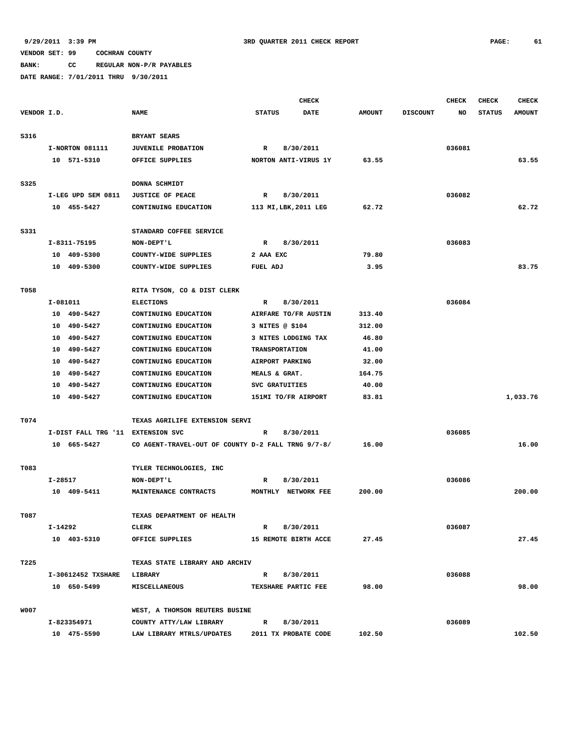**BANK: CC REGULAR NON-P/R PAYABLES**

|             |             |                                   |                                                    |               | <b>CHECK</b>          |               |                 | <b>CHECK</b> | <b>CHECK</b>  | <b>CHECK</b>  |
|-------------|-------------|-----------------------------------|----------------------------------------------------|---------------|-----------------------|---------------|-----------------|--------------|---------------|---------------|
| VENDOR I.D. |             |                                   | <b>NAME</b>                                        | <b>STATUS</b> | <b>DATE</b>           | <b>AMOUNT</b> | <b>DISCOUNT</b> | NO           | <b>STATUS</b> | <b>AMOUNT</b> |
|             |             |                                   |                                                    |               |                       |               |                 |              |               |               |
| S316        |             |                                   | BRYANT SEARS                                       |               |                       |               |                 |              |               |               |
|             |             | I-NORTON 081111                   | <b>JUVENILE PROBATION</b>                          | R             | 8/30/2011             |               |                 | 036081       |               |               |
|             |             | 10 571-5310                       | OFFICE SUPPLIES                                    |               | NORTON ANTI-VIRUS 1Y  | 63.55         |                 |              |               | 63.55         |
| S325        |             |                                   | DONNA SCHMIDT                                      |               |                       |               |                 |              |               |               |
|             |             | I-LEG UPD SEM 0811                | <b>JUSTICE OF PEACE</b>                            | $\mathbb{R}$  | 8/30/2011             |               |                 | 036082       |               |               |
|             |             | 10 455-5427                       | CONTINUING EDUCATION                               |               | 113 MI, LBK, 2011 LEG | 62.72         |                 |              |               | 62.72         |
|             |             |                                   |                                                    |               |                       |               |                 |              |               |               |
| S331        |             |                                   | STANDARD COFFEE SERVICE                            |               |                       |               |                 |              |               |               |
|             |             | I-8311-75195                      | NON-DEPT'L                                         | $\mathbf R$   | 8/30/2011             |               |                 | 036083       |               |               |
|             |             | 10 409-5300                       | COUNTY-WIDE SUPPLIES                               | 2 AAA EXC     |                       | 79.80         |                 |              |               |               |
|             |             | 10 409-5300                       | COUNTY-WIDE SUPPLIES                               | FUEL ADJ      |                       | 3.95          |                 |              |               | 83.75         |
|             |             |                                   |                                                    |               |                       |               |                 |              |               |               |
| T058        |             |                                   | RITA TYSON, CO & DIST CLERK                        |               |                       |               |                 |              |               |               |
|             |             | I-081011                          | <b>ELECTIONS</b>                                   | R             | 8/30/2011             |               |                 | 036084       |               |               |
|             |             | 10 490-5427                       | CONTINUING EDUCATION                               |               | AIRFARE TO/FR AUSTIN  | 313.40        |                 |              |               |               |
|             |             | 10 490-5427                       | CONTINUING EDUCATION                               |               | 3 NITES @ \$104       | 312.00        |                 |              |               |               |
|             | 10          | 490-5427                          | CONTINUING EDUCATION                               |               | 3 NITES LODGING TAX   | 46.80         |                 |              |               |               |
|             | 10          | 490-5427                          | CONTINUING EDUCATION                               |               | <b>TRANSPORTATION</b> | 41.00         |                 |              |               |               |
|             |             | 10 490-5427                       | CONTINUING EDUCATION                               |               | AIRPORT PARKING       | 32.00         |                 |              |               |               |
|             | 10          | 490-5427                          | CONTINUING EDUCATION                               |               | MEALS & GRAT.         | 164.75        |                 |              |               |               |
|             |             | 10 490-5427                       | CONTINUING EDUCATION                               |               | SVC GRATUITIES        | 40.00         |                 |              |               |               |
|             |             | 10 490-5427                       | CONTINUING EDUCATION                               |               | 151MI TO/FR AIRPORT   | 83.81         |                 |              |               | 1,033.76      |
|             |             |                                   |                                                    |               |                       |               |                 |              |               |               |
| T074        |             |                                   | TEXAS AGRILIFE EXTENSION SERVI                     |               |                       |               |                 |              |               |               |
|             |             | I-DIST FALL TRG '11 EXTENSION SVC |                                                    | R             | 8/30/2011             |               |                 | 036085       |               |               |
|             |             | 10 665-5427                       | CO AGENT-TRAVEL-OUT OF COUNTY D-2 FALL TRNG 9/7-8/ |               |                       | 16.00         |                 |              |               | 16.00         |
| T083        |             |                                   | TYLER TECHNOLOGIES, INC                            |               |                       |               |                 |              |               |               |
|             | $I - 28517$ |                                   | NON-DEPT'L                                         | R             | 8/30/2011             |               |                 | 036086       |               |               |
|             |             | 10 409-5411                       | MAINTENANCE CONTRACTS                              |               | MONTHLY NETWORK FEE   | 200.00        |                 |              |               | 200.00        |
|             |             |                                   |                                                    |               |                       |               |                 |              |               |               |
| T087        |             |                                   | TEXAS DEPARTMENT OF HEALTH                         |               |                       |               |                 |              |               |               |
|             | I-14292     |                                   | CLERK                                              | R             | 8/30/2011             |               |                 | 036087       |               |               |
|             |             | 10 403-5310                       | OFFICE SUPPLIES                                    |               | 15 REMOTE BIRTH ACCE  | 27.45         |                 |              |               | 27.45         |
|             |             |                                   |                                                    |               |                       |               |                 |              |               |               |
| T225        |             |                                   | TEXAS STATE LIBRARY AND ARCHIV                     |               |                       |               |                 |              |               |               |
|             |             | I-30612452 TXSHARE                | <b>LIBRARY</b>                                     | $\mathbb{R}$  | 8/30/2011             |               |                 | 036088       |               |               |
|             |             | 10 650-5499                       | <b>MISCELLANEOUS</b>                               |               | TEXSHARE PARTIC FEE   | 98.00         |                 |              |               | 98.00         |
|             |             |                                   |                                                    |               |                       |               |                 |              |               |               |
| <b>W007</b> |             |                                   | WEST, A THOMSON REUTERS BUSINE                     |               |                       |               |                 |              |               |               |
|             |             | I-823354971                       | COUNTY ATTY/LAW LIBRARY                            | $\mathbf{R}$  | 8/30/2011             |               |                 | 036089       |               |               |
|             |             | 10 475-5590                       | LAW LIBRARY MTRLS/UPDATES                          |               | 2011 TX PROBATE CODE  | 102.50        |                 |              |               | 102.50        |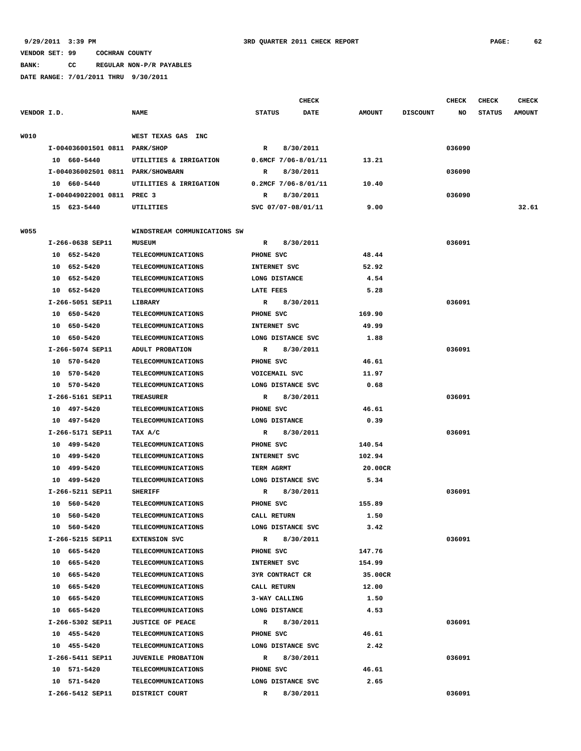# **BANK: CC REGULAR NON-P/R PAYABLES**

|             |                                   |                              |                        | <b>CHECK</b> |               |                 | CHECK  | <b>CHECK</b>  | <b>CHECK</b>  |
|-------------|-----------------------------------|------------------------------|------------------------|--------------|---------------|-----------------|--------|---------------|---------------|
| VENDOR I.D. |                                   | <b>NAME</b>                  | <b>STATUS</b>          | DATE         | <b>AMOUNT</b> | <b>DISCOUNT</b> | NO     | <b>STATUS</b> | <b>AMOUNT</b> |
| W010        |                                   | WEST TEXAS GAS INC           |                        |              |               |                 |        |               |               |
|             | I-004036001501 0811 PARK/SHOP     |                              | $\mathbb{R}$           | 8/30/2011    |               |                 | 036090 |               |               |
|             | 10 660-5440                       | UTILITIES & IRRIGATION       | $0.6MCF$ 7/06-8/01/11  |              | 13.21         |                 |        |               |               |
|             | I-004036002501 0811 PARK/SHOWBARN |                              | R                      | 8/30/2011    |               |                 | 036090 |               |               |
|             | 10 660-5440                       | UTILITIES & IRRIGATION       | $0.2MCF 7/06-8/01/11$  |              | 10.40         |                 |        |               |               |
|             | I-004049022001 0811 PREC 3        |                              | R                      | 8/30/2011    |               |                 | 036090 |               |               |
|             | 15 623-5440                       | UTILITIES                    | SVC 07/07-08/01/11     |              | 9.00          |                 |        |               | 32.61         |
|             |                                   |                              |                        |              |               |                 |        |               |               |
| <b>W055</b> |                                   | WINDSTREAM COMMUNICATIONS SW |                        |              |               |                 |        |               |               |
|             | I-266-0638 SEP11                  | <b>MUSEUM</b>                | R                      | 8/30/2011    |               |                 | 036091 |               |               |
|             | 10 652-5420                       | <b>TELECOMMUNICATIONS</b>    | PHONE SVC              |              | 48.44         |                 |        |               |               |
|             | 10 652-5420                       | <b>TELECOMMUNICATIONS</b>    | INTERNET SVC           |              | 52.92         |                 |        |               |               |
|             | 10 652-5420                       | <b>TELECOMMUNICATIONS</b>    | LONG DISTANCE          |              | 4.54          |                 |        |               |               |
|             | 10 652-5420                       | <b>TELECOMMUNICATIONS</b>    | <b>LATE FEES</b>       |              | 5.28          |                 |        |               |               |
|             | I-266-5051 SEP11                  | LIBRARY                      | R                      | 8/30/2011    |               |                 | 036091 |               |               |
|             | 10 650-5420                       | <b>TELECOMMUNICATIONS</b>    | PHONE SVC              |              | 169.90        |                 |        |               |               |
|             | 10 650-5420                       | <b>TELECOMMUNICATIONS</b>    | INTERNET SVC           |              | 49.99         |                 |        |               |               |
|             | 10 650-5420                       | <b>TELECOMMUNICATIONS</b>    | LONG DISTANCE SVC      |              | 1.88          |                 |        |               |               |
|             | I-266-5074 SEP11                  | ADULT PROBATION              | R                      | 8/30/2011    |               |                 | 036091 |               |               |
|             | 10 570-5420                       | <b>TELECOMMUNICATIONS</b>    | PHONE SVC              |              | 46.61         |                 |        |               |               |
|             | 10 570-5420                       | <b>TELECOMMUNICATIONS</b>    | VOICEMAIL SVC          |              | 11.97         |                 |        |               |               |
|             | 10 570-5420                       | <b>TELECOMMUNICATIONS</b>    | LONG DISTANCE SVC      |              | 0.68          |                 |        |               |               |
|             | I-266-5161 SEP11                  | <b>TREASURER</b>             | R                      | 8/30/2011    |               |                 | 036091 |               |               |
|             | 10 497-5420                       | <b>TELECOMMUNICATIONS</b>    | PHONE SVC              |              | 46.61         |                 |        |               |               |
|             | 10 497-5420                       | TELECOMMUNICATIONS           | LONG DISTANCE          |              | 0.39          |                 |        |               |               |
|             | I-266-5171 SEP11                  | TAX A/C                      | R                      | 8/30/2011    |               |                 | 036091 |               |               |
|             | 10 499-5420                       | <b>TELECOMMUNICATIONS</b>    | PHONE SVC              |              | 140.54        |                 |        |               |               |
|             | 10<br>499-5420                    | <b>TELECOMMUNICATIONS</b>    | INTERNET SVC           |              | 102.94        |                 |        |               |               |
|             | 499-5420<br>10                    | <b>TELECOMMUNICATIONS</b>    | TERM AGRMT             |              | 20.00CR       |                 |        |               |               |
|             | 10 499-5420                       | <b>TELECOMMUNICATIONS</b>    | LONG DISTANCE SVC      |              | 5.34          |                 |        |               |               |
|             | I-266-5211 SEP11                  | <b>SHERIFF</b>               | R                      | 8/30/2011    |               |                 | 036091 |               |               |
|             | 10 560-5420                       | <b>TELECOMMUNICATIONS</b>    | PHONE SVC              |              | 155.89        |                 |        |               |               |
|             | 10 560-5420                       | TELECOMMUNICATIONS           | CALL RETURN            |              | 1.50          |                 |        |               |               |
|             | 10 560-5420                       | <b>TELECOMMUNICATIONS</b>    | LONG DISTANCE SVC      |              | 3.42          |                 |        |               |               |
|             | I-266-5215 SEP11                  | <b>EXTENSION SVC</b>         | R                      | 8/30/2011    |               |                 | 036091 |               |               |
|             | 10 665-5420                       | TELECOMMUNICATIONS           | PHONE SVC              |              | 147.76        |                 |        |               |               |
|             | 10 665-5420                       | <b>TELECOMMUNICATIONS</b>    | INTERNET SVC           |              | 154.99        |                 |        |               |               |
|             | 10 665-5420                       | <b>TELECOMMUNICATIONS</b>    | <b>3YR CONTRACT CR</b> |              | 35.00CR       |                 |        |               |               |
|             | 10 665-5420                       | TELECOMMUNICATIONS           | CALL RETURN            |              | 12.00         |                 |        |               |               |
|             | 10 665-5420                       | <b>TELECOMMUNICATIONS</b>    | 3-WAY CALLING          |              | 1.50          |                 |        |               |               |
|             | 10 665-5420                       | <b>TELECOMMUNICATIONS</b>    | LONG DISTANCE          |              | 4.53          |                 |        |               |               |
|             | I-266-5302 SEP11                  | <b>JUSTICE OF PEACE</b>      | $\mathbb{R}$           | 8/30/2011    |               |                 | 036091 |               |               |
|             | 10 455-5420                       | <b>TELECOMMUNICATIONS</b>    | PHONE SVC              |              | 46.61         |                 |        |               |               |
|             | 10 455-5420                       | <b>TELECOMMUNICATIONS</b>    | LONG DISTANCE SVC      |              | 2.42          |                 |        |               |               |
|             | I-266-5411 SEP11                  | <b>JUVENILE PROBATION</b>    | R                      | 8/30/2011    |               |                 | 036091 |               |               |
|             | 10 571-5420                       | <b>TELECOMMUNICATIONS</b>    | PHONE SVC              |              | 46.61         |                 |        |               |               |
|             | 10 571-5420                       | <b>TELECOMMUNICATIONS</b>    | LONG DISTANCE SVC      |              | 2.65          |                 |        |               |               |
|             | I-266-5412 SEP11                  | DISTRICT COURT               | R                      |              |               |                 | 036091 |               |               |
|             |                                   |                              |                        | 8/30/2011    |               |                 |        |               |               |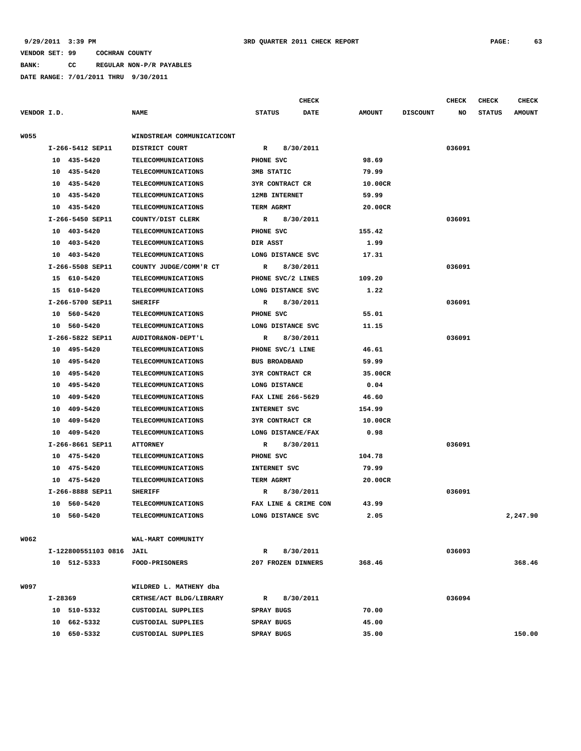**BANK: CC REGULAR NON-P/R PAYABLES**

|             |         |                          |                               |               |                        | <b>CHECK</b>         |               |                 | <b>CHECK</b> | <b>CHECK</b>  | <b>CHECK</b>  |
|-------------|---------|--------------------------|-------------------------------|---------------|------------------------|----------------------|---------------|-----------------|--------------|---------------|---------------|
| VENDOR I.D. |         |                          | <b>NAME</b>                   | <b>STATUS</b> |                        | DATE                 | <b>AMOUNT</b> | <b>DISCOUNT</b> | NO           | <b>STATUS</b> | <b>AMOUNT</b> |
| <b>W055</b> |         |                          | WINDSTREAM COMMUNICATICONT    |               |                        |                      |               |                 |              |               |               |
|             |         | I-266-5412 SEP11         | DISTRICT COURT                | R             |                        | 8/30/2011            |               |                 | 036091       |               |               |
|             |         | 10 435-5420              | <b>TELECOMMUNICATIONS</b>     |               | PHONE SVC              |                      | 98.69         |                 |              |               |               |
|             |         | 10 435-5420              | TELECOMMUNICATIONS            |               | 3MB STATIC             |                      | 79.99         |                 |              |               |               |
|             |         | 10 435-5420              | <b>TELECOMMUNICATIONS</b>     |               | 3YR CONTRACT CR        |                      | 10.00CR       |                 |              |               |               |
|             | 10      | 435-5420                 | <b>TELECOMMUNICATIONS</b>     |               | <b>12MB INTERNET</b>   |                      | 59.99         |                 |              |               |               |
|             |         | 10 435-5420              | TELECOMMUNICATIONS            |               | TERM AGRMT             |                      | 20.00CR       |                 |              |               |               |
|             |         | I-266-5450 SEP11         | COUNTY/DIST CLERK             | R             |                        | 8/30/2011            |               |                 | 036091       |               |               |
|             |         | 10 403-5420              | <b>TELECOMMUNICATIONS</b>     |               | PHONE SVC              |                      | 155.42        |                 |              |               |               |
|             |         | 10 403-5420              | <b>TELECOMMUNICATIONS</b>     | DIR ASST      |                        |                      | 1.99          |                 |              |               |               |
|             |         | 10 403-5420              | <b>TELECOMMUNICATIONS</b>     |               |                        | LONG DISTANCE SVC    | 17.31         |                 |              |               |               |
|             |         | I-266-5508 SEP11         | COUNTY JUDGE/COMM'R CT        | R             |                        | 8/30/2011            |               |                 | 036091       |               |               |
|             |         | 15 610-5420              | <b>TELECOMMUNICATIONS</b>     |               |                        | PHONE SVC/2 LINES    | 109.20        |                 |              |               |               |
|             |         | 15 610-5420              | <b>TELECOMMUNICATIONS</b>     |               |                        | LONG DISTANCE SVC    | 1.22          |                 |              |               |               |
|             |         | I-266-5700 SEP11         | <b>SHERIFF</b>                | R             |                        | 8/30/2011            |               |                 | 036091       |               |               |
|             |         | 10 560-5420              | <b>TELECOMMUNICATIONS</b>     |               | PHONE SVC              |                      | 55.01         |                 |              |               |               |
|             |         | 10 560-5420              | <b>TELECOMMUNICATIONS</b>     |               |                        | LONG DISTANCE SVC    | 11.15         |                 |              |               |               |
|             |         | I-266-5822 SEP11         | <b>AUDITOR&amp;NON-DEPT'L</b> | R             |                        | 8/30/2011            |               |                 | 036091       |               |               |
|             |         | 10 495-5420              | TELECOMMUNICATIONS            |               | PHONE SVC/1 LINE       |                      | 46.61         |                 |              |               |               |
|             | 10      | 495-5420                 | <b>TELECOMMUNICATIONS</b>     |               | <b>BUS BROADBAND</b>   |                      | 59.99         |                 |              |               |               |
|             | 10      | 495-5420                 | <b>TELECOMMUNICATIONS</b>     |               | <b>3YR CONTRACT CR</b> |                      | 35.00CR       |                 |              |               |               |
|             | 10      | 495-5420                 | TELECOMMUNICATIONS            |               | LONG DISTANCE          |                      | 0.04          |                 |              |               |               |
|             | 10      | 409-5420                 | <b>TELECOMMUNICATIONS</b>     |               |                        | FAX LINE 266-5629    | 46.60         |                 |              |               |               |
|             | 10      | 409-5420                 | TELECOMMUNICATIONS            |               | INTERNET SVC           |                      | 154.99        |                 |              |               |               |
|             | 10      | 409-5420                 | TELECOMMUNICATIONS            |               | 3YR CONTRACT CR        |                      | 10.00CR       |                 |              |               |               |
|             | 10      | 409-5420                 | <b>TELECOMMUNICATIONS</b>     |               |                        | LONG DISTANCE/FAX    | 0.98          |                 |              |               |               |
|             |         | I-266-8661 SEP11         | <b>ATTORNEY</b>               | R             |                        | 8/30/2011            |               |                 | 036091       |               |               |
|             |         | 10 475-5420              | TELECOMMUNICATIONS            |               | PHONE SVC              |                      | 104.78        |                 |              |               |               |
|             | 10      | 475-5420                 | <b>TELECOMMUNICATIONS</b>     |               | INTERNET SVC           |                      | 79.99         |                 |              |               |               |
|             |         | 10 475-5420              | <b>TELECOMMUNICATIONS</b>     |               | TERM AGRMT             |                      | 20.00CR       |                 |              |               |               |
|             |         | I-266-8888 SEP11         | <b>SHERIFF</b>                | R             |                        | 8/30/2011            |               |                 | 036091       |               |               |
|             | 10      | 560-5420                 | <b>TELECOMMUNICATIONS</b>     |               |                        | FAX LINE & CRIME CON | 43.99         |                 |              |               |               |
|             | 10      | 560-5420                 | TELECOMMUNICATIONS            |               |                        | LONG DISTANCE SVC    | 2.05          |                 |              |               | 2,247.90      |
|             |         |                          |                               |               |                        |                      |               |                 |              |               |               |
| W062        |         |                          | WAL-MART COMMUNITY            |               |                        |                      |               |                 |              |               |               |
|             |         | I-122800551103 0816 JAIL |                               | R             |                        | 8/30/2011            |               |                 | 036093       |               |               |
|             |         | 10 512-5333              | FOOD-PRISONERS                |               |                        | 207 FROZEN DINNERS   | 368.46        |                 |              |               | 368.46        |
| W097        |         |                          | WILDRED L. MATHENY dba        |               |                        |                      |               |                 |              |               |               |
|             | I-28369 |                          | CRTHSE/ACT BLDG/LIBRARY       | $\mathbb{R}$  |                        | 8/30/2011            |               |                 | 036094       |               |               |
|             |         | 10 510-5332              | CUSTODIAL SUPPLIES            |               | SPRAY BUGS             |                      | 70.00         |                 |              |               |               |
|             |         | 10 662-5332              | CUSTODIAL SUPPLIES            |               | <b>SPRAY BUGS</b>      |                      | 45.00         |                 |              |               |               |
|             |         | 10 650-5332              | CUSTODIAL SUPPLIES            |               | SPRAY BUGS             |                      | 35.00         |                 |              |               | 150.00        |
|             |         |                          |                               |               |                        |                      |               |                 |              |               |               |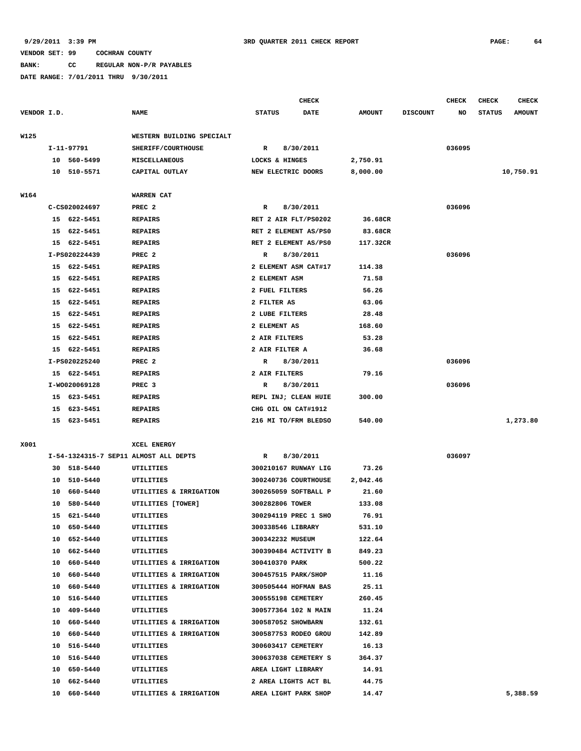**BANK: CC REGULAR NON-P/R PAYABLES**

|             |    |               |                                       |                      | <b>CHECK</b>         |               |                 | <b>CHECK</b> | <b>CHECK</b>  | CHECK         |
|-------------|----|---------------|---------------------------------------|----------------------|----------------------|---------------|-----------------|--------------|---------------|---------------|
| VENDOR I.D. |    |               | <b>NAME</b>                           | <b>STATUS</b>        | <b>DATE</b>          | <b>AMOUNT</b> | <b>DISCOUNT</b> | NO           | <b>STATUS</b> | <b>AMOUNT</b> |
| W125        |    |               | WESTERN BUILDING SPECIALT             |                      |                      |               |                 |              |               |               |
|             |    | I-11-97791    | SHERIFF/COURTHOUSE                    | R                    | 8/30/2011            |               |                 | 036095       |               |               |
|             |    | 10 560-5499   | <b>MISCELLANEOUS</b>                  | LOCKS & HINGES       |                      | 2,750.91      |                 |              |               |               |
|             |    | 10 510-5571   | CAPITAL OUTLAY                        | NEW ELECTRIC DOORS   |                      | 8,000.00      |                 |              |               | 10,750.91     |
|             |    |               |                                       |                      |                      |               |                 |              |               |               |
| W164        |    |               | WARREN CAT                            |                      |                      |               |                 |              |               |               |
|             |    | C-CS020024697 | PREC <sub>2</sub>                     | R                    | 8/30/2011            |               |                 | 036096       |               |               |
|             |    | 15 622-5451   | <b>REPAIRS</b>                        | RET 2 AIR FLT/PS0202 |                      | 36.68CR       |                 |              |               |               |
|             | 15 | 622-5451      | <b>REPAIRS</b>                        | RET 2 ELEMENT AS/PS0 |                      | 83.68CR       |                 |              |               |               |
|             |    | 15 622-5451   | <b>REPAIRS</b>                        | RET 2 ELEMENT AS/PS0 |                      | 117.32CR      |                 |              |               |               |
|             |    | I-PS020224439 | PREC <sub>2</sub>                     | R                    | 8/30/2011            |               |                 | 036096       |               |               |
|             |    | 15 622-5451   | <b>REPAIRS</b>                        | 2 ELEMENT ASM CAT#17 |                      | 114.38        |                 |              |               |               |
|             |    | 15 622-5451   | <b>REPAIRS</b>                        | 2 ELEMENT ASM        |                      | 71.58         |                 |              |               |               |
|             |    | 15 622-5451   | <b>REPAIRS</b>                        | 2 FUEL FILTERS       |                      | 56.26         |                 |              |               |               |
|             | 15 | 622-5451      | <b>REPAIRS</b>                        | 2 FILTER AS          |                      | 63.06         |                 |              |               |               |
|             | 15 | 622-5451      | <b>REPAIRS</b>                        | 2 LUBE FILTERS       |                      | 28.48         |                 |              |               |               |
|             | 15 | 622-5451      | <b>REPAIRS</b>                        | 2 ELEMENT AS         |                      | 168.60        |                 |              |               |               |
|             | 15 | 622-5451      | <b>REPAIRS</b>                        | 2 AIR FILTERS        |                      | 53.28         |                 |              |               |               |
|             | 15 | 622-5451      | <b>REPAIRS</b>                        | 2 AIR FILTER A       |                      | 36.68         |                 |              |               |               |
|             |    | I-PS020225240 | PREC <sub>2</sub>                     | R                    | 8/30/2011            |               |                 | 036096       |               |               |
|             |    | 15 622-5451   | <b>REPAIRS</b>                        | 2 AIR FILTERS        |                      | 79.16         |                 |              |               |               |
|             |    | I-W0020069128 | PREC <sub>3</sub>                     | R                    | 8/30/2011            |               |                 | 036096       |               |               |
|             |    | 15 623-5451   | <b>REPAIRS</b>                        | REPL INJ; CLEAN HUIE |                      | 300.00        |                 |              |               |               |
|             | 15 | 623-5451      | <b>REPAIRS</b>                        | CHG OIL ON CAT#1912  |                      |               |                 |              |               |               |
|             |    | 15 623-5451   | <b>REPAIRS</b>                        |                      | 216 MI TO/FRM BLEDSO | 540.00        |                 |              |               | 1,273.80      |
| X001        |    |               | XCEL ENERGY                           |                      |                      |               |                 |              |               |               |
|             |    |               | I-54-1324315-7 SEP11 ALMOST ALL DEPTS | R                    | 8/30/2011            |               |                 | 036097       |               |               |
|             |    | 30 518-5440   | UTILITIES                             |                      | 300210167 RUNWAY LIG | 73.26         |                 |              |               |               |
|             | 10 | 510-5440      | UTILITIES                             |                      | 300240736 COURTHOUSE | 2,042.46      |                 |              |               |               |
|             | 10 | 660-5440      | UTILITIES & IRRIGATION                |                      | 300265059 SOFTBALL P | 21.60         |                 |              |               |               |
|             | 10 | 580-5440      | UTILITIES [TOWER]                     | 300282806 TOWER      |                      | 133.08        |                 |              |               |               |
|             | 15 | 621-5440      | UTILITIES                             |                      | 300294119 PREC 1 SHO | 76.91         |                 |              |               |               |
|             | 10 | 650-5440      | UTILITIES                             | 300338546 LIBRARY    |                      | 531.10        |                 |              |               |               |
|             |    | 10 652-5440   | UTILITIES                             | 300342232 MUSEUM     |                      | 122.64        |                 |              |               |               |
|             |    | 10 662-5440   | UTILITIES                             |                      | 300390484 ACTIVITY B | 849.23        |                 |              |               |               |
|             |    | 10 660-5440   | UTILITIES & IRRIGATION                | 300410370 PARK       |                      | 500.22        |                 |              |               |               |
|             |    | 10 660-5440   | UTILITIES & IRRIGATION                | 300457515 PARK/SHOP  |                      | 11.16         |                 |              |               |               |
|             |    | 10 660-5440   | UTILITIES & IRRIGATION                |                      | 300505444 HOFMAN BAS | 25.11         |                 |              |               |               |
|             |    | 10 516-5440   | UTILITIES                             | 300555198 CEMETERY   |                      | 260.45        |                 |              |               |               |
|             |    |               |                                       |                      |                      |               |                 |              |               |               |
|             |    | 10 409-5440   | UTILITIES                             |                      | 300577364 102 N MAIN | 11.24         |                 |              |               |               |
|             |    | 10 660-5440   | UTILITIES & IRRIGATION                | 300587052 SHOWBARN   |                      | 132.61        |                 |              |               |               |
|             |    | 10 660-5440   | UTILITIES & IRRIGATION                |                      | 300587753 RODEO GROU | 142.89        |                 |              |               |               |
|             |    | 10 516-5440   | UTILITIES                             | 300603417 CEMETERY   |                      | 16.13         |                 |              |               |               |
|             |    | 10 516-5440   | UTILITIES                             |                      | 300637038 CEMETERY S | 364.37        |                 |              |               |               |
|             |    | 10 650-5440   | UTILITIES                             | AREA LIGHT LIBRARY   |                      | 14.91         |                 |              |               |               |
|             |    | 10 662-5440   | UTILITIES                             |                      | 2 AREA LIGHTS ACT BL | 44.75         |                 |              |               |               |
|             |    | 10 660-5440   | UTILITIES & IRRIGATION                | AREA LIGHT PARK SHOP |                      | 14.47         |                 |              |               | 5,388.59      |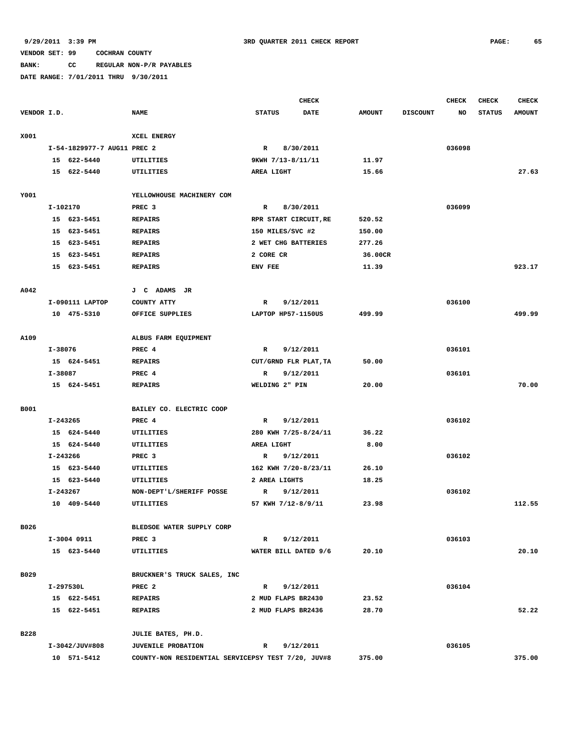# **BANK: CC REGULAR NON-P/R PAYABLES**

|             |             |                             |                                                    |                       | <b>CHECK</b> |               |                 | <b>CHECK</b> | <b>CHECK</b>  | <b>CHECK</b>  |
|-------------|-------------|-----------------------------|----------------------------------------------------|-----------------------|--------------|---------------|-----------------|--------------|---------------|---------------|
| VENDOR I.D. |             |                             | <b>NAME</b>                                        | <b>STATUS</b>         | <b>DATE</b>  | <b>AMOUNT</b> | <b>DISCOUNT</b> | NO           | <b>STATUS</b> | <b>AMOUNT</b> |
|             |             |                             |                                                    |                       |              |               |                 |              |               |               |
| X001        |             |                             | XCEL ENERGY                                        |                       |              |               |                 |              |               |               |
|             |             | I-54-1829977-7 AUG11 PREC 2 |                                                    | $\mathbb{R}$          | 8/30/2011    |               |                 | 036098       |               |               |
|             |             | 15 622-5440                 | UTILITIES                                          | 9KWH 7/13-8/11/11     |              | 11.97         |                 |              |               |               |
|             |             | 15 622-5440                 | UTILITIES                                          | AREA LIGHT            |              | 15.66         |                 |              |               | 27.63         |
|             |             |                             |                                                    |                       |              |               |                 |              |               |               |
| Y001        |             |                             | YELLOWHOUSE MACHINERY COM                          |                       |              |               |                 |              |               |               |
|             | I-102170    |                             | PREC <sub>3</sub>                                  | $\mathbb{R}$          | 8/30/2011    |               |                 | 036099       |               |               |
|             |             | 15 623-5451                 | <b>REPAIRS</b>                                     | RPR START CIRCUIT, RE |              | 520.52        |                 |              |               |               |
|             |             | 15 623-5451                 | <b>REPAIRS</b>                                     | 150 MILES/SVC #2      |              | 150.00        |                 |              |               |               |
|             |             | 15 623-5451                 | <b>REPAIRS</b>                                     | 2 WET CHG BATTERIES   |              | 277.26        |                 |              |               |               |
|             |             | 15 623-5451                 | <b>REPAIRS</b>                                     | 2 CORE CR             |              | 36.00CR       |                 |              |               |               |
|             |             | 15 623-5451                 | <b>REPAIRS</b>                                     | ENV FEE               |              | 11.39         |                 |              |               | 923.17        |
|             |             |                             |                                                    |                       |              |               |                 |              |               |               |
| A042        |             |                             | J C ADAMS JR                                       |                       |              |               |                 |              |               |               |
|             |             | I-090111 LAPTOP             | COUNTY ATTY                                        | R                     | 9/12/2011    |               |                 | 036100       |               |               |
|             |             | 10 475-5310                 | OFFICE SUPPLIES                                    | LAPTOP HP57-1150US    |              | 499.99        |                 |              |               | 499.99        |
|             |             |                             |                                                    |                       |              |               |                 |              |               |               |
| A109        |             |                             | ALBUS FARM EQUIPMENT                               |                       |              |               |                 |              |               |               |
|             | I-38076     |                             | PREC 4                                             | $\mathbb{R}$          | 9/12/2011    |               |                 | 036101       |               |               |
|             |             | 15 624-5451                 | <b>REPAIRS</b>                                     | CUT/GRND FLR PLAT, TA |              | 50.00         |                 |              |               |               |
|             | $I - 38087$ |                             | PREC 4                                             | R                     | 9/12/2011    |               |                 | 036101       |               |               |
|             |             | 15 624-5451                 | <b>REPAIRS</b>                                     | WELDING 2" PIN        |              | 20.00         |                 |              |               | 70.00         |
|             |             |                             |                                                    |                       |              |               |                 |              |               |               |
| <b>B001</b> |             |                             | BAILEY CO. ELECTRIC COOP                           |                       |              |               |                 |              |               |               |
|             | I-243265    |                             | PREC 4                                             | $\mathbf R$           | 9/12/2011    |               |                 | 036102       |               |               |
|             |             | 15 624-5440                 | UTILITIES                                          | 280 KWH 7/25-8/24/11  |              | 36.22         |                 |              |               |               |
|             |             | 15 624-5440                 | UTILITIES                                          | AREA LIGHT            |              | 8.00          |                 |              |               |               |
|             | I-243266    |                             | PREC <sub>3</sub>                                  | $\mathbb{R}$          | 9/12/2011    |               |                 | 036102       |               |               |
|             |             | 15 623-5440                 | UTILITIES                                          | 162 KWH 7/20-8/23/11  |              | 26.10         |                 |              |               |               |
|             |             | 15 623-5440                 | UTILITIES                                          | 2 AREA LIGHTS         |              | 18.25         |                 |              |               |               |
|             | I-243267    |                             | NON-DEPT'L/SHERIFF POSSE                           | R                     | 9/12/2011    |               |                 | 036102       |               |               |
|             |             | 10 409-5440                 | UTILITIES                                          | 57 KWH 7/12-8/9/11    |              | 23.98         |                 |              |               | 112.55        |
|             |             |                             |                                                    |                       |              |               |                 |              |               |               |
| B026        |             |                             | BLEDSOE WATER SUPPLY CORP                          |                       |              |               |                 |              |               |               |
|             |             | I-3004 0911                 | PREC <sub>3</sub>                                  | $\mathbb{R}$          | 9/12/2011    |               |                 | 036103       |               |               |
|             |             | 15 623-5440                 | <b>UTILITIES</b>                                   | WATER BILL DATED 9/6  |              | 20.10         |                 |              |               | 20.10         |
|             |             |                             |                                                    |                       |              |               |                 |              |               |               |
| B029        |             |                             | BRUCKNER'S TRUCK SALES, INC                        |                       |              |               |                 |              |               |               |
|             |             | I-297530L                   | PREC <sub>2</sub>                                  | R                     | 9/12/2011    |               |                 | 036104       |               |               |
|             |             | 15 622-5451                 | <b>REPAIRS</b>                                     | 2 MUD FLAPS BR2430    |              | 23.52         |                 |              |               |               |
|             |             | 15 622-5451                 | <b>REPAIRS</b>                                     | 2 MUD FLAPS BR2436    |              | 28.70         |                 |              |               | 52.22         |
|             |             |                             |                                                    |                       |              |               |                 |              |               |               |
| <b>B228</b> |             |                             | JULIE BATES, PH.D.                                 |                       |              |               |                 |              |               |               |
|             |             | I-3042/JUV#808              | <b>JUVENILE PROBATION</b>                          | R                     | 9/12/2011    |               |                 | 036105       |               |               |
|             |             | 10 571-5412                 | COUNTY-NON RESIDENTIAL SERVICEPSY TEST 7/20, JUV#8 |                       |              | 375.00        |                 |              |               | 375.00        |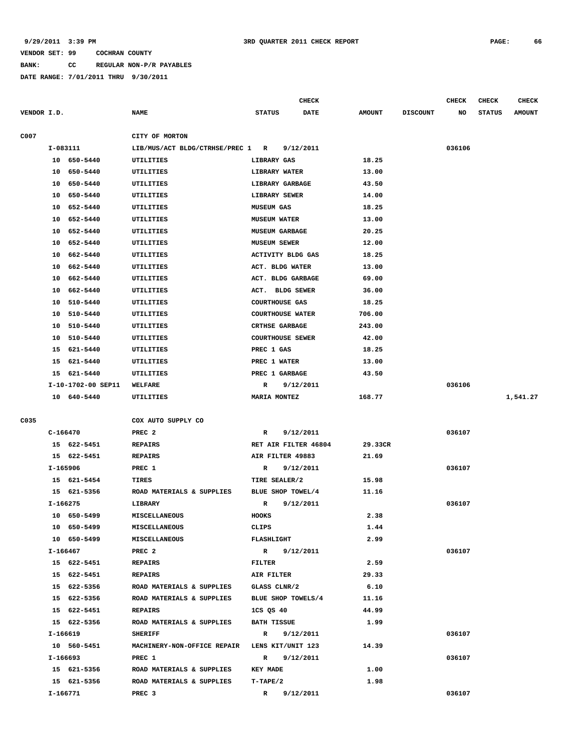**BANK: CC REGULAR NON-P/R PAYABLES**

|             |                    |                                               | <b>CHECK</b>                 |               |                 | CHECK  | CHECK         | <b>CHECK</b>  |
|-------------|--------------------|-----------------------------------------------|------------------------------|---------------|-----------------|--------|---------------|---------------|
| VENDOR I.D. |                    | <b>NAME</b>                                   | <b>STATUS</b><br><b>DATE</b> | <b>AMOUNT</b> | <b>DISCOUNT</b> | NO     | <b>STATUS</b> | <b>AMOUNT</b> |
|             |                    |                                               |                              |               |                 |        |               |               |
| C007        |                    | CITY OF MORTON                                |                              |               |                 |        |               |               |
|             | I-083111           | LIB/MUS/ACT BLDG/CTRHSE/PREC 1 R              | 9/12/2011                    |               |                 | 036106 |               |               |
|             | 10 650-5440        | UTILITIES                                     | LIBRARY GAS                  | 18.25         |                 |        |               |               |
|             | 10 650-5440        | UTILITIES                                     | LIBRARY WATER                | 13.00         |                 |        |               |               |
|             | 650-5440<br>10     | UTILITIES                                     | LIBRARY GARBAGE              | 43.50         |                 |        |               |               |
|             | 10 650-5440        | UTILITIES                                     | LIBRARY SEWER                | 14.00         |                 |        |               |               |
|             | 10 652-5440        | UTILITIES                                     | <b>MUSEUM GAS</b>            | 18.25         |                 |        |               |               |
|             | 10<br>652-5440     | UTILITIES                                     | <b>MUSEUM WATER</b>          | 13.00         |                 |        |               |               |
|             | 652-5440<br>10     | UTILITIES                                     | <b>MUSEUM GARBAGE</b>        | 20.25         |                 |        |               |               |
|             | 652-5440<br>10     | UTILITIES                                     | <b>MUSEUM SEWER</b>          | 12.00         |                 |        |               |               |
|             | 662-5440<br>10     | UTILITIES                                     | <b>ACTIVITY BLDG GAS</b>     | 18.25         |                 |        |               |               |
|             | 662-5440<br>10     | UTILITIES                                     | ACT. BLDG WATER              | 13.00         |                 |        |               |               |
|             | 10<br>662-5440     | UTILITIES                                     | ACT. BLDG GARBAGE            | 69.00         |                 |        |               |               |
|             | 662-5440<br>10     | UTILITIES                                     | ACT. BLDG SEWER              | 36.00         |                 |        |               |               |
|             | 510-5440<br>10     | UTILITIES                                     | <b>COURTHOUSE GAS</b>        | 18.25         |                 |        |               |               |
|             | 510-5440<br>10     | UTILITIES                                     | <b>COURTHOUSE WATER</b>      | 706.00        |                 |        |               |               |
|             | 510-5440<br>10     | UTILITIES                                     | <b>CRTHSE GARBAGE</b>        | 243.00        |                 |        |               |               |
|             | 510-5440<br>10     | UTILITIES                                     | <b>COURTHOUSE SEWER</b>      | 42.00         |                 |        |               |               |
|             | 15<br>621-5440     | UTILITIES                                     | PREC 1 GAS                   | 18.25         |                 |        |               |               |
|             | 15<br>621-5440     | UTILITIES                                     | PREC 1 WATER                 | 13.00         |                 |        |               |               |
|             | 15<br>621-5440     | UTILITIES                                     | PREC 1 GARBAGE               | 43.50         |                 |        |               |               |
|             | I-10-1702-00 SEP11 | WELFARE                                       | R<br>9/12/2011               |               |                 | 036106 |               |               |
|             | 10 640-5440        | UTILITIES                                     | <b>MARIA MONTEZ</b>          | 168.77        |                 |        |               | 1,541.27      |
|             |                    |                                               |                              |               |                 |        |               |               |
| C035        |                    | COX AUTO SUPPLY CO                            |                              |               |                 |        |               |               |
|             | $C-166470$         | PREC <sub>2</sub>                             | 9/12/2011<br>R               |               |                 | 036107 |               |               |
|             | 15 622-5451        | <b>REPAIRS</b>                                | RET AIR FILTER 46804         | 29.33CR       |                 |        |               |               |
|             | 15 622-5451        | <b>REPAIRS</b>                                | AIR FILTER 49883             | 21.69         |                 |        |               |               |
|             | I-165906           | PREC 1                                        | 9/12/2011<br>R               |               |                 | 036107 |               |               |
|             | 15 621-5454        | TIRES                                         | TIRE SEALER/2                | 15.98         |                 |        |               |               |
|             | 15 621-5356        | ROAD MATERIALS & SUPPLIES                     | BLUE SHOP TOWEL/4            | 11.16         |                 |        |               |               |
|             | I-166275           | LIBRARY                                       | R<br>9/12/2011               |               |                 | 036107 |               |               |
|             | 10 650-5499        | <b>MISCELLANEOUS</b>                          | <b>HOOKS</b>                 | 2.38          |                 |        |               |               |
|             | 10 650-5499        | <b>MISCELLANEOUS</b>                          | CLIPS                        | 1.44          |                 |        |               |               |
|             | 10 650-5499        | <b>MISCELLANEOUS</b>                          | <b>FLASHLIGHT</b>            | 2.99          |                 |        |               |               |
|             | I-166467           | PREC <sub>2</sub>                             | R 9/12/2011                  |               |                 | 036107 |               |               |
|             | 15 622-5451        | <b>REPAIRS</b>                                | FILTER                       | 2.59          |                 |        |               |               |
|             | 15 622-5451        | <b>REPAIRS</b>                                | AIR FILTER                   | 29.33         |                 |        |               |               |
|             | 15 622-5356        | ROAD MATERIALS & SUPPLIES                     | GLASS CLNR/2                 | 6.10          |                 |        |               |               |
|             | 15 622-5356        | ROAD MATERIALS & SUPPLIES                     | BLUE SHOP TOWELS/4           | 11.16         |                 |        |               |               |
|             | 15 622-5451        | <b>REPAIRS</b>                                | 1CS QS 40                    | 44.99         |                 |        |               |               |
|             | 15 622-5356        | ROAD MATERIALS & SUPPLIES                     | <b>BATH TISSUE</b>           | 1.99          |                 |        |               |               |
|             | I-166619           | <b>SHERIFF</b>                                | R 9/12/2011                  |               |                 | 036107 |               |               |
|             | 10 560-5451        | MACHINERY-NON-OFFICE REPAIR LENS KIT/UNIT 123 |                              | 14.39         |                 |        |               |               |
|             | I-166693           | PREC 1                                        | R 9/12/2011                  |               |                 | 036107 |               |               |
|             | 15 621-5356        | ROAD MATERIALS & SUPPLIES                     | <b>KEY MADE</b>              | 1.00          |                 |        |               |               |
|             | 15 621-5356        | ROAD MATERIALS & SUPPLIES                     | $T-TAPE/2$                   | 1.98          |                 |        |               |               |
|             | I-166771           | PREC <sub>3</sub>                             | $\mathbb{R}$<br>9/12/2011    |               |                 | 036107 |               |               |
|             |                    |                                               |                              |               |                 |        |               |               |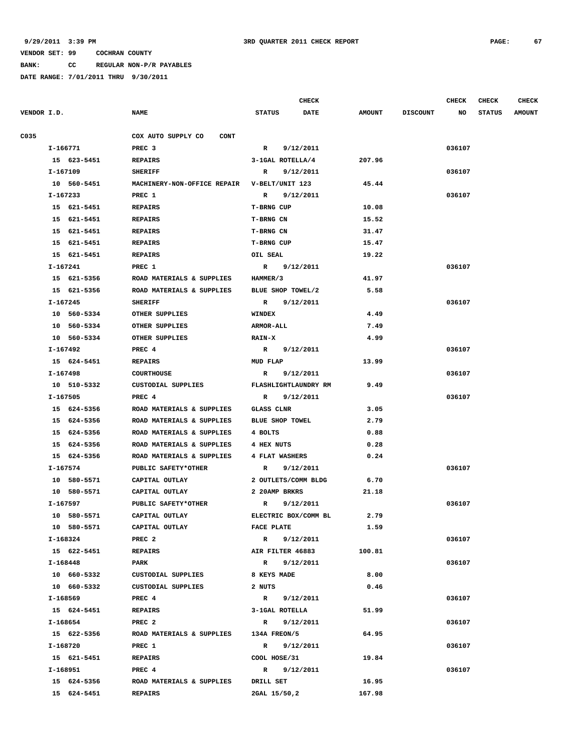**BANK: CC REGULAR NON-P/R PAYABLES**

|             |             |                                       | <b>CHECK</b>                 |               |                 | <b>CHECK</b> | <b>CHECK</b>  | <b>CHECK</b>  |
|-------------|-------------|---------------------------------------|------------------------------|---------------|-----------------|--------------|---------------|---------------|
| VENDOR I.D. |             | <b>NAME</b>                           | <b>STATUS</b><br><b>DATE</b> | <b>AMOUNT</b> | <b>DISCOUNT</b> | NO           | <b>STATUS</b> | <b>AMOUNT</b> |
| C035        |             | COX AUTO SUPPLY CO<br><b>CONT</b>     |                              |               |                 |              |               |               |
|             | I-166771    | PREC <sub>3</sub>                     | $\mathbb{R}$<br>9/12/2011    |               |                 | 036107       |               |               |
|             | 15 623-5451 | <b>REPAIRS</b>                        | 3-1GAL ROTELLA/4             | 207.96        |                 |              |               |               |
|             | I-167109    | <b>SHERIFF</b>                        | 9/12/2011<br>R               |               |                 | 036107       |               |               |
|             | 10 560-5451 | MACHINERY-NON-OFFICE REPAIR           | V-BELT/UNIT 123              | 45.44         |                 |              |               |               |
|             | I-167233    | PREC 1                                | 9/12/2011<br>$\mathbb{R}$    |               |                 | 036107       |               |               |
|             | 15 621-5451 | <b>REPAIRS</b>                        | <b>T-BRNG CUP</b>            | 10.08         |                 |              |               |               |
|             | 15 621-5451 | <b>REPAIRS</b>                        | T-BRNG CN                    | 15.52         |                 |              |               |               |
|             | 15 621-5451 | <b>REPAIRS</b>                        | T-BRNG CN                    | 31.47         |                 |              |               |               |
|             | 15 621-5451 | <b>REPAIRS</b>                        | T-BRNG CUP                   | 15.47         |                 |              |               |               |
|             | 15 621-5451 | <b>REPAIRS</b>                        | OIL SEAL                     | 19.22         |                 |              |               |               |
|             | I-167241    | PREC 1                                | $\mathbb{R}$<br>9/12/2011    |               |                 | 036107       |               |               |
|             | 15 621-5356 | ROAD MATERIALS & SUPPLIES             | HAMMER/3                     | 41.97         |                 |              |               |               |
|             | 15 621-5356 | ROAD MATERIALS & SUPPLIES             | BLUE SHOP TOWEL/2            | 5.58          |                 |              |               |               |
|             | I-167245    | <b>SHERIFF</b>                        | 9/12/2011<br>R               |               |                 | 036107       |               |               |
|             | 10 560-5334 | OTHER SUPPLIES                        | WINDEX                       | 4.49          |                 |              |               |               |
|             | 10 560-5334 | OTHER SUPPLIES                        | <b>ARMOR-ALL</b>             | 7.49          |                 |              |               |               |
|             | 10 560-5334 | OTHER SUPPLIES                        | RAIN-X                       | 4.99          |                 |              |               |               |
|             | I-167492    | PREC 4                                | R 9/12/2011                  |               |                 | 036107       |               |               |
|             | 15 624-5451 | REPAIRS                               | MUD FLAP                     | 13.99         |                 |              |               |               |
|             | I-167498    | <b>COURTHOUSE</b>                     | 9/12/2011<br>$\mathbf{R}$    |               |                 | 036107       |               |               |
|             | 10 510-5332 | CUSTODIAL SUPPLIES                    | FLASHLIGHTLAUNDRY RM         | 9.49          |                 |              |               |               |
|             | I-167505    | PREC <sub>4</sub>                     | $\mathbb{R}$<br>9/12/2011    |               |                 | 036107       |               |               |
|             | 15 624-5356 | ROAD MATERIALS & SUPPLIES             | <b>GLASS CLNR</b>            | 3.05          |                 |              |               |               |
|             | 15 624-5356 | ROAD MATERIALS & SUPPLIES             | <b>BLUE SHOP TOWEL</b>       | 2.79          |                 |              |               |               |
|             | 15 624-5356 | ROAD MATERIALS & SUPPLIES             | 4 BOLTS                      | 0.88          |                 |              |               |               |
|             | 15 624-5356 | ROAD MATERIALS & SUPPLIES             | <b>4 HEX NUTS</b>            | 0.28          |                 |              |               |               |
|             | 15 624-5356 | ROAD MATERIALS & SUPPLIES             | 4 FLAT WASHERS               | 0.24          |                 |              |               |               |
|             | I-167574    | PUBLIC SAFETY*OTHER                   | R<br>9/12/2011               |               |                 | 036107       |               |               |
|             | 10 580-5571 | CAPITAL OUTLAY                        | 2 OUTLETS/COMM BLDG          | 6.70          |                 |              |               |               |
|             | 10 580-5571 | CAPITAL OUTLAY                        | 2 20AMP BRKRS                | 21.18         |                 |              |               |               |
|             | I-167597    | PUBLIC SAFETY*OTHER                   | R<br>9/12/2011               |               |                 | 036107       |               |               |
|             | 10 580-5571 | CAPITAL OUTLAY                        | ELECTRIC BOX/COMM BL         | 2.79          |                 |              |               |               |
|             | 10 580-5571 | CAPITAL OUTLAY                        | <b>FACE PLATE</b>            | 1.59          |                 |              |               |               |
|             | I-168324    | PREC <sub>2</sub>                     | R 9/12/2011                  |               |                 | 036107       |               |               |
|             | 15 622-5451 | <b>REPAIRS</b>                        | AIR FILTER 46883             | 100.81        |                 |              |               |               |
|             | I-168448    | PARK                                  | R 9/12/2011                  |               |                 | 036107       |               |               |
|             | 10 660-5332 | CUSTODIAL SUPPLIES                    | 8 KEYS MADE                  | 8.00          |                 |              |               |               |
|             | 10 660-5332 | CUSTODIAL SUPPLIES                    | 2 NUTS                       | 0.46          |                 |              |               |               |
|             | I-168569    | PREC 4                                | R 9/12/2011                  |               |                 | 036107       |               |               |
|             | 15 624-5451 | REPAIRS                               | 3-1GAL ROTELLA               | 51.99         |                 |              |               |               |
|             | I-168654    | PREC <sub>2</sub>                     | R 9/12/2011                  |               |                 | 036107       |               |               |
|             | 15 622-5356 | ROAD MATERIALS & SUPPLIES             | 134A FREON/5                 | 64.95         |                 |              |               |               |
|             | I-168720    | PREC 1                                | $\mathbf R$<br>9/12/2011     |               |                 | 036107       |               |               |
|             | 15 621-5451 | REPAIRS                               | COOL HOSE/31                 | 19.84         |                 |              |               |               |
|             | I-168951    | PREC 4                                | R 9/12/2011                  |               |                 | 036107       |               |               |
|             |             | 15 624-5356 ROAD MATERIALS & SUPPLIES | DRILL SET                    | 16.95         |                 |              |               |               |
|             | 15 624-5451 | <b>REPAIRS</b>                        | 2GAL 15/50,2                 | 167.98        |                 |              |               |               |
|             |             |                                       |                              |               |                 |              |               |               |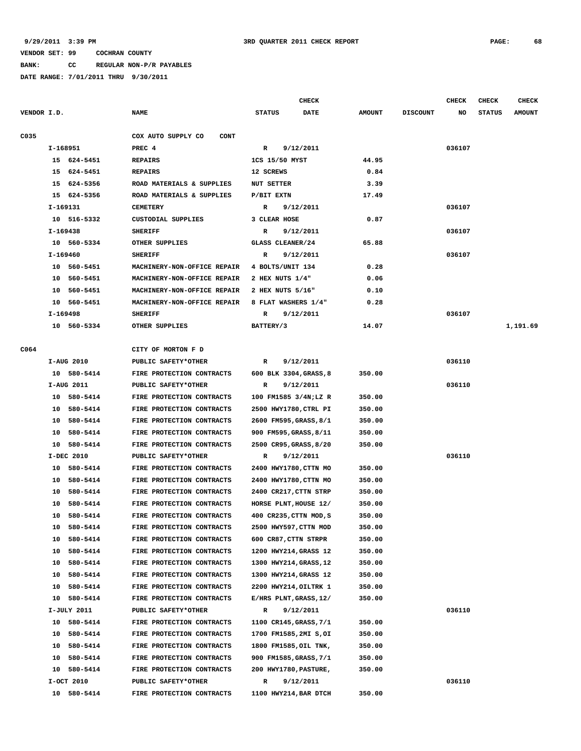**BANK: CC REGULAR NON-P/R PAYABLES**

|             |                |          |                                   |                   | <b>CHECK</b>           |               |                 | CHECK  | <b>CHECK</b>  | CHECK         |
|-------------|----------------|----------|-----------------------------------|-------------------|------------------------|---------------|-----------------|--------|---------------|---------------|
| VENDOR I.D. |                |          | <b>NAME</b>                       | <b>STATUS</b>     | DATE                   | <b>AMOUNT</b> | <b>DISCOUNT</b> | NO     | <b>STATUS</b> | <b>AMOUNT</b> |
| C035        |                |          | COX AUTO SUPPLY CO<br><b>CONT</b> |                   |                        |               |                 |        |               |               |
|             | I-168951       |          | PREC <sub>4</sub>                 | R                 | 9/12/2011              |               |                 | 036107 |               |               |
|             | 15 624-5451    |          | <b>REPAIRS</b>                    | 1CS 15/50 MYST    |                        | 44.95         |                 |        |               |               |
|             | 15 624-5451    |          | <b>REPAIRS</b>                    | 12 SCREWS         |                        | 0.84          |                 |        |               |               |
|             | 624-5356<br>15 |          | ROAD MATERIALS & SUPPLIES         | <b>NUT SETTER</b> |                        | 3.39          |                 |        |               |               |
|             | 15 624-5356    |          | ROAD MATERIALS & SUPPLIES         | P/BIT EXTN        |                        | 17.49         |                 |        |               |               |
|             | I-169131       |          | <b>CEMETERY</b>                   | R                 | 9/12/2011              |               |                 | 036107 |               |               |
|             | 10 516-5332    |          | CUSTODIAL SUPPLIES                | 3 CLEAR HOSE      |                        | 0.87          |                 |        |               |               |
|             | I-169438       |          | <b>SHERIFF</b>                    | R                 | 9/12/2011              |               |                 | 036107 |               |               |
|             | 10 560-5334    |          | OTHER SUPPLIES                    | GLASS CLEANER/24  |                        | 65.88         |                 |        |               |               |
|             | I-169460       |          | <b>SHERIFF</b>                    | R                 | 9/12/2011              |               |                 | 036107 |               |               |
|             | 10 560-5451    |          | MACHINERY-NON-OFFICE REPAIR       | 4 BOLTS/UNIT 134  |                        | 0.28          |                 |        |               |               |
|             | 10 560-5451    |          | MACHINERY-NON-OFFICE REPAIR       | 2 HEX NUTS 1/4"   |                        | 0.06          |                 |        |               |               |
|             | 10 560-5451    |          | MACHINERY-NON-OFFICE REPAIR       | 2 HEX NUTS 5/16"  |                        | 0.10          |                 |        |               |               |
|             | 10 560-5451    |          | MACHINERY-NON-OFFICE REPAIR       |                   | 8 FLAT WASHERS 1/4"    | 0.28          |                 |        |               |               |
|             | I-169498       |          | <b>SHERIFF</b>                    | R                 | 9/12/2011              |               |                 | 036107 |               |               |
|             | 10 560-5334    |          | OTHER SUPPLIES                    | BATTERY/3         |                        | 14.07         |                 |        |               | 1,191.69      |
|             |                |          |                                   |                   |                        |               |                 |        |               |               |
| C064        |                |          | CITY OF MORTON F D                |                   |                        |               |                 |        |               |               |
|             | I-AUG 2010     |          | PUBLIC SAFETY*OTHER               | R                 | 9/12/2011              |               |                 | 036110 |               |               |
|             | 10 580-5414    |          | FIRE PROTECTION CONTRACTS         |                   | 600 BLK 3304, GRASS, 8 | 350.00        |                 |        |               |               |
|             | I-AUG 2011     |          | PUBLIC SAFETY*OTHER               | R                 | 9/12/2011              |               |                 | 036110 |               |               |
|             | 10 580-5414    |          | FIRE PROTECTION CONTRACTS         |                   | 100 FM1585 3/4N;LZ R   | 350.00        |                 |        |               |               |
|             | 10 580-5414    |          | FIRE PROTECTION CONTRACTS         |                   | 2500 HWY1780, CTRL PI  | 350.00        |                 |        |               |               |
|             | 10 580-5414    |          | FIRE PROTECTION CONTRACTS         |                   | 2600 FM595, GRASS, 8/1 | 350.00        |                 |        |               |               |
|             | 10             | 580-5414 | FIRE PROTECTION CONTRACTS         |                   | 900 FM595, GRASS, 8/11 | 350.00        |                 |        |               |               |
|             | 10 580-5414    |          | FIRE PROTECTION CONTRACTS         |                   | 2500 CR95, GRASS, 8/20 | 350.00        |                 |        |               |               |
|             | I-DEC 2010     |          | PUBLIC SAFETY*OTHER               | R                 | 9/12/2011              |               |                 | 036110 |               |               |
|             | 10             | 580-5414 | FIRE PROTECTION CONTRACTS         |                   | 2400 HWY1780, CTTN MO  | 350.00        |                 |        |               |               |
|             | 10             | 580-5414 | FIRE PROTECTION CONTRACTS         |                   | 2400 HWY1780, CTTN MO  | 350.00        |                 |        |               |               |
|             | 10 580-5414    |          | FIRE PROTECTION CONTRACTS         |                   | 2400 CR217, CTTN STRP  | 350.00        |                 |        |               |               |
|             | 10             | 580-5414 | FIRE PROTECTION CONTRACTS         |                   | HORSE PLNT, HOUSE 12/  | 350.00        |                 |        |               |               |
|             | 10 580-5414    |          | FIRE PROTECTION CONTRACTS         |                   | 400 CR235, CTTN MOD, S | 350.00        |                 |        |               |               |
|             | 10             | 580-5414 | FIRE PROTECTION CONTRACTS         |                   | 2500 HWY597, CTTN MOD  | 350.00        |                 |        |               |               |
|             | 10             | 580-5414 | FIRE PROTECTION CONTRACTS         |                   | 600 CR87, CTTN STRPR   | 350.00        |                 |        |               |               |
|             | 10             | 580-5414 | FIRE PROTECTION CONTRACTS         |                   | 1200 HWY214, GRASS 12  | 350.00        |                 |        |               |               |
|             | 10             | 580-5414 | FIRE PROTECTION CONTRACTS         |                   | 1300 HWY214, GRASS, 12 | 350.00        |                 |        |               |               |
|             | 10             | 580-5414 | FIRE PROTECTION CONTRACTS         |                   | 1300 HWY214, GRASS 12  | 350.00        |                 |        |               |               |
|             | 10 580-5414    |          | FIRE PROTECTION CONTRACTS         |                   | 2200 HWY214, OILTRK 1  | 350.00        |                 |        |               |               |
|             | 10 580-5414    |          | FIRE PROTECTION CONTRACTS         |                   | E/HRS PLNT, GRASS, 12/ | 350.00        |                 |        |               |               |
|             | I-JULY 2011    |          | PUBLIC SAFETY*OTHER               | R                 | 9/12/2011              |               |                 | 036110 |               |               |
|             | 10 580-5414    |          | FIRE PROTECTION CONTRACTS         |                   | 1100 CR145, GRASS, 7/1 | 350.00        |                 |        |               |               |
|             | 10 580-5414    |          | FIRE PROTECTION CONTRACTS         |                   | 1700 FM1585,2MI S,OI   | 350.00        |                 |        |               |               |
|             | 10 580-5414    |          | FIRE PROTECTION CONTRACTS         |                   | 1800 FM1585, OIL TNK,  | 350.00        |                 |        |               |               |
|             | 10 580-5414    |          | FIRE PROTECTION CONTRACTS         |                   | 900 FM1585, GRASS, 7/1 | 350.00        |                 |        |               |               |
|             | 10 580-5414    |          | FIRE PROTECTION CONTRACTS         |                   | 200 HWY1780, PASTURE,  | 350.00        |                 |        |               |               |
|             | I-OCT 2010     |          | PUBLIC SAFETY*OTHER               | R                 | 9/12/2011              |               |                 | 036110 |               |               |
|             | 10 580-5414    |          | FIRE PROTECTION CONTRACTS         |                   | 1100 HWY214, BAR DTCH  | 350.00        |                 |        |               |               |
|             |                |          |                                   |                   |                        |               |                 |        |               |               |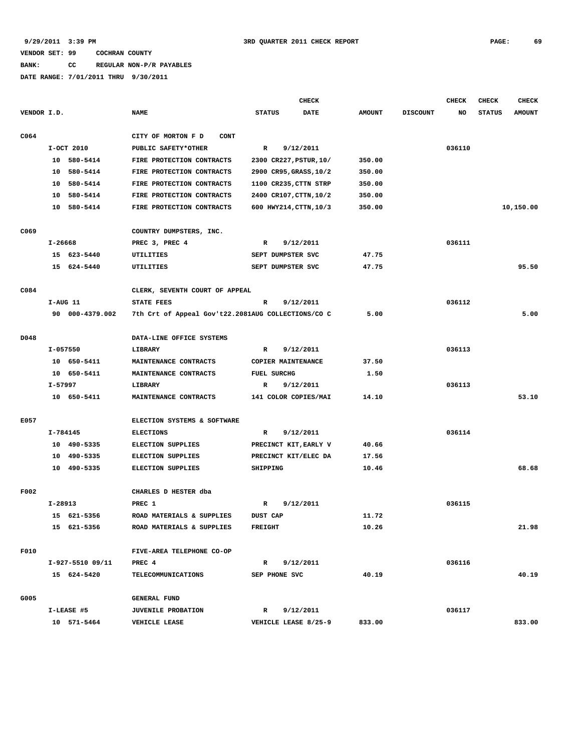# **BANK: CC REGULAR NON-P/R PAYABLES**

|                  |             |                  |                                                    |                |                    | CHECK                          |               |                 | <b>CHECK</b> | <b>CHECK</b>  | CHECK         |
|------------------|-------------|------------------|----------------------------------------------------|----------------|--------------------|--------------------------------|---------------|-----------------|--------------|---------------|---------------|
| VENDOR I.D.      |             |                  | <b>NAME</b>                                        | <b>STATUS</b>  |                    | DATE                           | <b>AMOUNT</b> | <b>DISCOUNT</b> | NO           | <b>STATUS</b> | <b>AMOUNT</b> |
| C <sub>064</sub> |             |                  | CITY OF MORTON F D<br><b>CONT</b>                  |                |                    |                                |               |                 |              |               |               |
|                  |             | I-OCT 2010       | PUBLIC SAFETY*OTHER                                | $\mathbb{R}$   |                    | 9/12/2011                      |               |                 | 036110       |               |               |
|                  |             | 10 580-5414      | FIRE PROTECTION CONTRACTS                          |                |                    | 2300 CR227, PSTUR, 10/         | 350.00        |                 |              |               |               |
|                  | 10          | 580-5414         | FIRE PROTECTION CONTRACTS                          |                |                    | 2900 CR95, GRASS, 10/2         | 350.00        |                 |              |               |               |
|                  | 10          | 580-5414         | FIRE PROTECTION CONTRACTS                          |                |                    | 1100 CR235, CTTN STRP          | 350.00        |                 |              |               |               |
|                  | 10          | 580-5414         | FIRE PROTECTION CONTRACTS                          |                |                    | 2400 CR107, CTTN, 10/2         | 350.00        |                 |              |               |               |
|                  |             | 10 580-5414      | FIRE PROTECTION CONTRACTS                          |                |                    | 600 HWY214, CTTN, 10/3         | 350.00        |                 |              |               | 10,150.00     |
| C069             |             |                  |                                                    |                |                    |                                |               |                 |              |               |               |
|                  |             |                  | COUNTRY DUMPSTERS, INC.                            |                |                    |                                |               |                 |              |               |               |
|                  | $I - 26668$ | 15 623-5440      | PREC 3, PREC 4                                     | $\mathbb{R}$   |                    | 9/12/2011<br>SEPT DUMPSTER SVC | 47.75         |                 | 036111       |               |               |
|                  |             |                  | UTILITIES                                          |                |                    |                                |               |                 |              |               | 95.50         |
|                  |             | 15 624-5440      | UTILITIES                                          |                |                    | SEPT DUMPSTER SVC              | 47.75         |                 |              |               |               |
| C084             |             |                  | CLERK, SEVENTH COURT OF APPEAL                     |                |                    |                                |               |                 |              |               |               |
|                  | I-AUG 11    |                  | STATE FEES                                         | R              |                    | 9/12/2011                      |               |                 | 036112       |               |               |
|                  |             | 90 000-4379.002  | 7th Crt of Appeal Gov't22.2081AUG COLLECTIONS/CO C |                |                    |                                | 5.00          |                 |              |               | 5.00          |
| D048             |             |                  | DATA-LINE OFFICE SYSTEMS                           |                |                    |                                |               |                 |              |               |               |
|                  | I-057550    |                  | <b>LIBRARY</b>                                     | $\mathbb{R}$   |                    | 9/12/2011                      |               |                 | 036113       |               |               |
|                  |             | 10 650-5411      | MAINTENANCE CONTRACTS                              |                |                    | COPIER MAINTENANCE             | 37.50         |                 |              |               |               |
|                  |             | 10 650-5411      | MAINTENANCE CONTRACTS                              |                | <b>FUEL SURCHG</b> |                                | 1.50          |                 |              |               |               |
|                  | I-57997     |                  | LIBRARY                                            | R              |                    | 9/12/2011                      |               |                 | 036113       |               |               |
|                  |             | 10 650-5411      | MAINTENANCE CONTRACTS                              |                |                    | 141 COLOR COPIES/MAI           | 14.10         |                 |              |               | 53.10         |
|                  |             |                  |                                                    |                |                    |                                |               |                 |              |               |               |
| E057             |             |                  | ELECTION SYSTEMS & SOFTWARE                        |                |                    |                                |               |                 |              |               |               |
|                  | I-784145    |                  | <b>ELECTIONS</b>                                   | R              |                    | 9/12/2011                      |               |                 | 036114       |               |               |
|                  |             | 10 490-5335      | <b>ELECTION SUPPLIES</b>                           |                |                    | PRECINCT KIT, EARLY V          | 40.66         |                 |              |               |               |
|                  |             | 10 490-5335      | <b>ELECTION SUPPLIES</b>                           |                |                    | PRECINCT KIT/ELEC DA           | 17.56         |                 |              |               |               |
|                  |             | 10 490-5335      | <b>ELECTION SUPPLIES</b>                           | SHIPPING       |                    |                                | 10.46         |                 |              |               | 68.68         |
| <b>F002</b>      |             |                  | CHARLES D HESTER dba                               |                |                    |                                |               |                 |              |               |               |
|                  | $I-28913$   |                  | PREC 1                                             | R              |                    | 9/12/2011                      |               |                 | 036115       |               |               |
|                  |             | 15 621-5356      | ROAD MATERIALS & SUPPLIES                          | DUST CAP       |                    |                                | 11.72         |                 |              |               |               |
|                  |             | 15 621-5356      | ROAD MATERIALS & SUPPLIES                          | <b>FREIGHT</b> |                    |                                | 10.26         |                 |              |               | 21.98         |
| F010             |             |                  | FIVE-AREA TELEPHONE CO-OP                          |                |                    |                                |               |                 |              |               |               |
|                  |             | I-927-5510 09/11 | PREC 4                                             | $\mathbb{R}$   |                    | 9/12/2011                      |               |                 | 036116       |               |               |
|                  |             | 15 624-5420      | TELECOMMUNICATIONS                                 |                | SEP PHONE SVC      |                                | 40.19         |                 |              |               | 40.19         |
| G005             |             |                  | <b>GENERAL FUND</b>                                |                |                    |                                |               |                 |              |               |               |
|                  |             | I-LEASE #5       | JUVENILE PROBATION                                 | $\mathbb{R}$   |                    | 9/12/2011                      |               |                 | 036117       |               |               |
|                  |             | 10 571-5464      | VEHICLE LEASE                                      |                |                    | VEHICLE LEASE 8/25-9           | 833.00        |                 |              |               | 833.00        |
|                  |             |                  |                                                    |                |                    |                                |               |                 |              |               |               |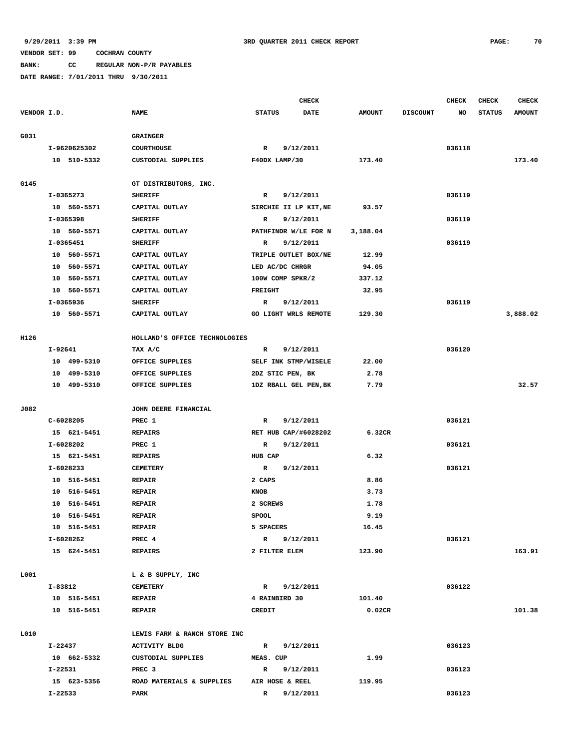**BANK: CC REGULAR NON-P/R PAYABLES**

|             |                |                               |                       | <b>CHECK</b> |               |                 | <b>CHECK</b> | <b>CHECK</b>  | <b>CHECK</b>  |
|-------------|----------------|-------------------------------|-----------------------|--------------|---------------|-----------------|--------------|---------------|---------------|
| VENDOR I.D. |                | <b>NAME</b>                   | <b>STATUS</b>         | DATE         | <b>AMOUNT</b> | <b>DISCOUNT</b> | NO           | <b>STATUS</b> | <b>AMOUNT</b> |
| G031        |                | <b>GRAINGER</b>               |                       |              |               |                 |              |               |               |
|             | I-9620625302   | COURTHOUSE                    | $\mathbb{R}$          | 9/12/2011    |               |                 | 036118       |               |               |
|             | 10 510-5332    | CUSTODIAL SUPPLIES            | F40DX LAMP/30         |              | 173.40        |                 |              |               | 173.40        |
|             |                |                               |                       |              |               |                 |              |               |               |
| G145        |                | GT DISTRIBUTORS, INC.         |                       |              |               |                 |              |               |               |
|             | I-0365273      | <b>SHERIFF</b>                | $\mathbb{R}$          | 9/12/2011    |               |                 | 036119       |               |               |
|             | 10 560-5571    | CAPITAL OUTLAY                | SIRCHIE II LP KIT, NE |              | 93.57         |                 |              |               |               |
|             | I-0365398      | <b>SHERIFF</b>                | R                     | 9/12/2011    |               |                 | 036119       |               |               |
|             | 10 560-5571    | CAPITAL OUTLAY                | PATHFINDR W/LE FOR N  |              | 3,188.04      |                 |              |               |               |
|             | I-0365451      | <b>SHERIFF</b>                | R                     | 9/12/2011    |               |                 | 036119       |               |               |
|             | 10 560-5571    | CAPITAL OUTLAY                | TRIPLE OUTLET BOX/NE  |              | 12.99         |                 |              |               |               |
|             | 10 560-5571    | CAPITAL OUTLAY                | LED AC/DC CHRGR       |              | 94.05         |                 |              |               |               |
|             | 10 560-5571    | CAPITAL OUTLAY                | 100W COMP SPKR/2      |              | 337.12        |                 |              |               |               |
|             | 10 560-5571    | CAPITAL OUTLAY                | <b>FREIGHT</b>        |              | 32.95         |                 |              |               |               |
|             | I-0365936      | <b>SHERIFF</b>                | R                     | 9/12/2011    |               |                 | 036119       |               |               |
|             | 10 560-5571    | CAPITAL OUTLAY                | GO LIGHT WRLS REMOTE  |              | 129.30        |                 |              |               | 3,888.02      |
| H126        |                | HOLLAND'S OFFICE TECHNOLOGIES |                       |              |               |                 |              |               |               |
|             | I-92641        | TAX A/C                       | $\mathbb{R}$          |              |               |                 | 036120       |               |               |
|             |                |                               |                       | 9/12/2011    |               |                 |              |               |               |
|             | 10 499-5310    | OFFICE SUPPLIES               | SELF INK STMP/WISELE  |              | 22.00         |                 |              |               |               |
|             | 10 499-5310    | OFFICE SUPPLIES               | 2DZ STIC PEN, BK      |              | 2.78          |                 |              |               |               |
|             | 10 499-5310    | OFFICE SUPPLIES               | 1DZ RBALL GEL PEN, BK |              | 7.79          |                 |              |               | 32.57         |
| J082        |                | JOHN DEERE FINANCIAL          |                       |              |               |                 |              |               |               |
|             | C-6028205      | PREC 1                        | $\mathbb{R}$          | 9/12/2011    |               |                 | 036121       |               |               |
|             | 15 621-5451    | <b>REPAIRS</b>                | RET HUB CAP/#6028202  |              | 6.32CR        |                 |              |               |               |
|             | I-6028202      | PREC 1                        | R                     | 9/12/2011    |               |                 | 036121       |               |               |
|             | 15 621-5451    | <b>REPAIRS</b>                | HUB CAP               |              | 6.32          |                 |              |               |               |
|             | I-6028233      | <b>CEMETERY</b>               | $\mathbb{R}$          | 9/12/2011    |               |                 | 036121       |               |               |
|             | 10 516-5451    | <b>REPAIR</b>                 | 2 CAPS                |              | 8.86          |                 |              |               |               |
|             | 516-5451<br>10 | <b>REPAIR</b>                 | KNOB                  |              | 3.73          |                 |              |               |               |
|             | 516-5451<br>10 | <b>REPAIR</b>                 | 2 SCREWS              |              | 1.78          |                 |              |               |               |
|             | 10 516-5451    | <b>REPAIR</b>                 | <b>SPOOL</b>          |              | 9.19          |                 |              |               |               |
|             | 10 516-5451    | <b>REPAIR</b>                 | 5 SPACERS             |              | 16.45         |                 |              |               |               |
|             | I-6028262      | PREC 4                        | $\mathbb{R}$          | 9/12/2011    |               |                 | 036121       |               |               |
|             | 15 624-5451    | <b>REPAIRS</b>                | 2 FILTER ELEM         |              | 123.90        |                 |              |               | 163.91        |
| L001        |                | L & B SUPPLY, INC             |                       |              |               |                 |              |               |               |
|             | I-83812        | <b>CEMETERY</b>               | $\mathbf{R}$          | 9/12/2011    |               |                 | 036122       |               |               |
|             | 10 516-5451    | <b>REPAIR</b>                 | 4 RAINBIRD 30         |              | 101.40        |                 |              |               |               |
|             | 10 516-5451    | <b>REPAIR</b>                 | <b>CREDIT</b>         |              | 0.02CR        |                 |              |               | 101.38        |
|             |                |                               |                       |              |               |                 |              |               |               |
| L010        |                | LEWIS FARM & RANCH STORE INC  |                       |              |               |                 |              |               |               |
|             | I-22437        | ACTIVITY BLDG                 | R 9/12/2011           |              |               |                 | 036123       |               |               |
|             | 10 662-5332    | CUSTODIAL SUPPLIES            | MEAS. CUP             |              | 1.99          |                 |              |               |               |
|             | I-22531        | PREC <sub>3</sub>             | $\mathbb{R}$          | 9/12/2011    |               |                 | 036123       |               |               |
|             | 15 623-5356    | ROAD MATERIALS & SUPPLIES     | AIR HOSE & REEL       |              | 119.95        |                 |              |               |               |
|             | $I - 22533$    | PARK                          | $\mathbb{R}$          | 9/12/2011    |               |                 | 036123       |               |               |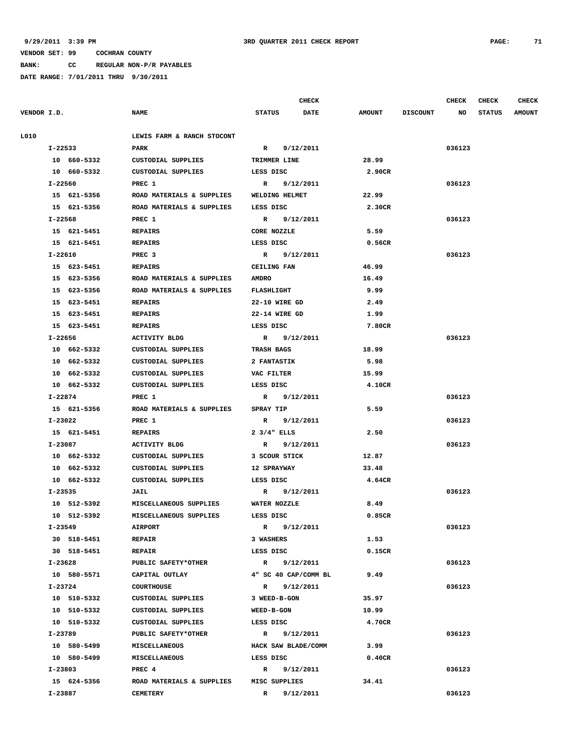**BANK: CC REGULAR NON-P/R PAYABLES**

|             |             |                            |                      | <b>CHECK</b>         |               |                 | <b>CHECK</b> | <b>CHECK</b>  | <b>CHECK</b>  |
|-------------|-------------|----------------------------|----------------------|----------------------|---------------|-----------------|--------------|---------------|---------------|
| VENDOR I.D. |             | <b>NAME</b>                | <b>STATUS</b>        | <b>DATE</b>          | <b>AMOUNT</b> | <b>DISCOUNT</b> | NO           | <b>STATUS</b> | <b>AMOUNT</b> |
|             |             |                            |                      |                      |               |                 |              |               |               |
| L010        |             | LEWIS FARM & RANCH STOCONT |                      |                      |               |                 |              |               |               |
|             | I-22533     | PARK                       | $\mathbb{R}$         | 9/12/2011            |               |                 | 036123       |               |               |
|             | 10 660-5332 | CUSTODIAL SUPPLIES         | TRIMMER LINE         |                      | 28.99         |                 |              |               |               |
|             | 10 660-5332 | CUSTODIAL SUPPLIES         | LESS DISC            |                      | 2.90CR        |                 |              |               |               |
|             | I-22560     | PREC 1                     |                      | R 9/12/2011          |               |                 | 036123       |               |               |
|             | 15 621-5356 | ROAD MATERIALS & SUPPLIES  | WELDING HELMET       |                      | 22.99         |                 |              |               |               |
|             | 15 621-5356 | ROAD MATERIALS & SUPPLIES  | LESS DISC            |                      | 2.30CR        |                 |              |               |               |
|             | I-22568     | PREC 1                     |                      | R 9/12/2011          |               |                 | 036123       |               |               |
|             | 15 621-5451 | <b>REPAIRS</b>             | CORE NOZZLE          |                      | 5.59          |                 |              |               |               |
|             | 15 621-5451 | REPAIRS                    | LESS DISC            |                      | 0.56CR        |                 |              |               |               |
|             | I-22610     | PREC <sub>3</sub>          |                      | R 9/12/2011          |               |                 | 036123       |               |               |
|             | 15 623-5451 | <b>REPAIRS</b>             | <b>CEILING FAN</b>   |                      | 46.99         |                 |              |               |               |
|             | 15 623-5356 | ROAD MATERIALS & SUPPLIES  | <b>AMDRO</b>         |                      | 16.49         |                 |              |               |               |
|             | 15 623-5356 | ROAD MATERIALS & SUPPLIES  | <b>FLASHLIGHT</b>    |                      | 9.99          |                 |              |               |               |
|             | 15 623-5451 | <b>REPAIRS</b>             | 22-10 WIRE GD        |                      | 2.49          |                 |              |               |               |
|             | 15 623-5451 | <b>REPAIRS</b>             | 22-14 WIRE GD        |                      | 1.99          |                 |              |               |               |
|             | 15 623-5451 | REPAIRS                    | LESS DISC            |                      | 7.80CR        |                 |              |               |               |
|             | I-22656     | ACTIVITY BLDG              |                      | R 9/12/2011          |               |                 | 036123       |               |               |
|             | 10 662-5332 | CUSTODIAL SUPPLIES         | <b>TRASH BAGS</b>    |                      | 18.99         |                 |              |               |               |
|             | 10 662-5332 | CUSTODIAL SUPPLIES         | <b>2 FANTASTIK</b>   |                      | 5.98          |                 |              |               |               |
|             | 10 662-5332 | CUSTODIAL SUPPLIES         | VAC FILTER           |                      | 15.99         |                 |              |               |               |
|             | 10 662-5332 | CUSTODIAL SUPPLIES         | LESS DISC            |                      | 4.10CR        |                 |              |               |               |
|             | I-22874     | PREC 1                     |                      | R 9/12/2011          |               |                 | 036123       |               |               |
|             | 15 621-5356 | ROAD MATERIALS & SUPPLIES  | <b>SPRAY TIP</b>     |                      | 5.59          |                 |              |               |               |
|             | I-23022     | PREC 1                     |                      | R 9/12/2011          |               |                 | 036123       |               |               |
|             | 15 621-5451 | REPAIRS                    | $2 \frac{3}{4}$ ELLS |                      | 2.50          |                 |              |               |               |
|             | I-23087     | ACTIVITY BLDG              |                      | R 9/12/2011          |               |                 | 036123       |               |               |
|             | 10 662-5332 | CUSTODIAL SUPPLIES         | 3 SCOUR STICK        |                      | 12.87         |                 |              |               |               |
|             | 10 662-5332 | CUSTODIAL SUPPLIES         | <b>12 SPRAYWAY</b>   |                      | 33.48         |                 |              |               |               |
|             | 10 662-5332 | CUSTODIAL SUPPLIES         | LESS DISC            |                      | 4.64CR        |                 |              |               |               |
|             | I-23535     | <b>JAIL</b>                |                      | R 9/12/2011          |               |                 | 036123       |               |               |
|             | 10 512-5392 | MISCELLANEOUS SUPPLIES     | WATER NOZZLE         |                      | 8.49          |                 |              |               |               |
|             | 10 512-5392 | MISCELLANEOUS SUPPLIES     | LESS DISC            |                      | 0.85CR        |                 |              |               |               |
|             | I-23549     | <b>AIRPORT</b>             |                      | R 9/12/2011          |               |                 | 036123       |               |               |
|             | 30 518-5451 | <b>REPAIR</b>              | 3 WASHERS            |                      | 1.53          |                 |              |               |               |
|             | 30 518-5451 | <b>REPAIR</b>              | LESS DISC            |                      | 0.15CR        |                 |              |               |               |
|             | I-23628     | PUBLIC SAFETY*OTHER        |                      | R 9/12/2011          |               |                 | 036123       |               |               |
|             | 10 580-5571 | CAPITAL OUTLAY             |                      | 4" SC 40 CAP/COMM BL | 9.49          |                 |              |               |               |
|             | I-23724     | <b>COURTHOUSE</b>          |                      | R 9/12/2011          |               |                 | 036123       |               |               |
|             | 10 510-5332 | CUSTODIAL SUPPLIES         | 3 WEED-B-GON         |                      | 35.97         |                 |              |               |               |
|             | 10 510-5332 | CUSTODIAL SUPPLIES         | <b>WEED-B-GON</b>    |                      | 10.99         |                 |              |               |               |
|             | 10 510-5332 | CUSTODIAL SUPPLIES         | LESS DISC            |                      | 4.70CR        |                 |              |               |               |
|             | I-23789     | PUBLIC SAFETY*OTHER        |                      | R 9/12/2011          |               |                 | 036123       |               |               |
|             | 10 580-5499 | <b>MISCELLANEOUS</b>       |                      | HACK SAW BLADE/COMM  | 3.99          |                 |              |               |               |
|             | 10 580-5499 | <b>MISCELLANEOUS</b>       | LESS DISC            |                      | 0.40CR        |                 |              |               |               |
|             | I-23803     | PREC 4                     |                      | R 9/12/2011          |               |                 | 036123       |               |               |
|             | 15 624-5356 | ROAD MATERIALS & SUPPLIES  | MISC SUPPLIES        |                      | 34.41         |                 |              |               |               |
|             | I-23887     | <b>CEMETERY</b>            |                      | R 9/12/2011          |               |                 | 036123       |               |               |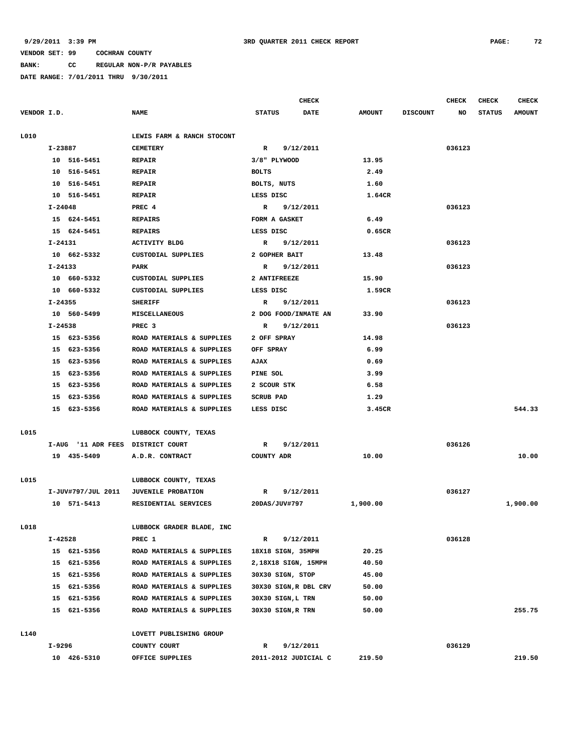**BANK: CC REGULAR NON-P/R PAYABLES**

|             |             |                                   |                           |                           |                   | <b>CHECK</b>          |               |                 | <b>CHECK</b> | <b>CHECK</b>  | <b>CHECK</b>  |
|-------------|-------------|-----------------------------------|---------------------------|---------------------------|-------------------|-----------------------|---------------|-----------------|--------------|---------------|---------------|
| VENDOR I.D. |             |                                   | <b>NAME</b>               | STATUS                    |                   | <b>DATE</b>           | <b>AMOUNT</b> | <b>DISCOUNT</b> | NO           | <b>STATUS</b> | <b>AMOUNT</b> |
|             |             |                                   |                           |                           |                   |                       |               |                 |              |               |               |
| L010        |             | LEWIS FARM & RANCH STOCONT        |                           |                           |                   |                       |               |                 |              |               |               |
|             | I-23887     |                                   | <b>CEMETERY</b>           | $\mathbb{R}$<br>9/12/2011 |                   |                       |               |                 | 036123       |               |               |
|             |             | 10 516-5451                       | <b>REPAIR</b>             |                           | 3/8" PLYWOOD      |                       | 13.95         |                 |              |               |               |
|             |             | 10 516-5451                       | <b>REPAIR</b>             | <b>BOLTS</b>              |                   |                       | 2.49          |                 |              |               |               |
|             |             | 10 516-5451                       | <b>REPAIR</b>             |                           | BOLTS, NUTS       |                       | 1.60          |                 |              |               |               |
|             |             | 10 516-5451                       | <b>REPAIR</b>             | LESS DISC                 |                   | 1.64CR                |               |                 |              |               |               |
|             | I-24048     |                                   | PREC 4                    |                           |                   | R 9/12/2011           |               |                 | 036123       |               |               |
|             |             | 15 624-5451                       | <b>REPAIRS</b>            |                           | FORM A GASKET     |                       | 6.49          |                 |              |               |               |
|             |             | 15 624-5451                       | <b>REPAIRS</b>            | LESS DISC                 |                   |                       | 0.65CR        |                 |              |               |               |
|             |             | I-24131<br>ACTIVITY BLDG          |                           |                           |                   | R 9/12/2011           |               |                 | 036123       |               |               |
|             |             | 10 662-5332                       | CUSTODIAL SUPPLIES        |                           | 2 GOPHER BAIT     |                       | 13.48         |                 |              |               |               |
|             | I-24133     |                                   | PARK                      |                           |                   | R 9/12/2011           |               |                 | 036123       |               |               |
|             |             | 10 660-5332                       | CUSTODIAL SUPPLIES        |                           | 2 ANTIFREEZE      |                       | 15.90         |                 |              |               |               |
|             |             | 10 660-5332                       | CUSTODIAL SUPPLIES        |                           | LESS DISC         |                       | 1.59CR        |                 |              |               |               |
|             | $I - 24355$ |                                   | <b>SHERIFF</b>            |                           |                   | R 9/12/2011           |               |                 | 036123       |               |               |
|             |             | 10 560-5499                       | <b>MISCELLANEOUS</b>      |                           |                   | 2 DOG FOOD/INMATE AN  | 33.90         |                 |              |               |               |
|             |             | I-24538<br>PREC <sub>3</sub>      |                           |                           |                   | R 9/12/2011           |               |                 | 036123       |               |               |
|             |             | 15 623-5356                       | ROAD MATERIALS & SUPPLIES |                           | 2 OFF SPRAY       |                       | 14.98         |                 |              |               |               |
|             |             | 15 623-5356                       | ROAD MATERIALS & SUPPLIES | OFF SPRAY                 |                   |                       | 6.99          |                 |              |               |               |
|             |             | 15 623-5356                       | ROAD MATERIALS & SUPPLIES | <b>AJAX</b>               |                   |                       | 0.69          |                 |              |               |               |
|             |             | 15 623-5356                       | ROAD MATERIALS & SUPPLIES | PINE SOL                  |                   |                       | 3.99          |                 |              |               |               |
|             |             | 15 623-5356                       | ROAD MATERIALS & SUPPLIES |                           | 2 SCOUR STK       |                       | 6.58          |                 |              |               |               |
|             |             | 15 623-5356                       | ROAD MATERIALS & SUPPLIES | <b>SCRUB PAD</b>          |                   |                       | 1.29          |                 |              |               |               |
|             |             | 15 623-5356                       | ROAD MATERIALS & SUPPLIES | LESS DISC                 |                   |                       | 3.45CR        |                 |              |               | 544.33        |
|             |             |                                   |                           |                           |                   |                       |               |                 |              |               |               |
| L015        |             | LUBBOCK COUNTY, TEXAS             |                           |                           |                   |                       |               |                 |              |               |               |
|             |             | I-AUG '11 ADR FEES DISTRICT COURT |                           | $\mathbb{R}$              |                   | 9/12/2011             |               |                 | 036126       |               |               |
|             |             | 19 435-5409                       | A.D.R. CONTRACT           |                           | COUNTY ADR        |                       | 10.00         |                 |              |               | 10.00         |
|             |             |                                   |                           |                           |                   |                       |               |                 |              |               |               |
| L015        |             |                                   | LUBBOCK COUNTY, TEXAS     |                           |                   |                       |               |                 |              |               |               |
|             |             | I-JUV#797/JUL 2011                | <b>JUVENILE PROBATION</b> | R                         |                   | 9/12/2011             |               |                 | 036127       |               |               |
|             |             | 10 571-5413                       | RESIDENTIAL SERVICES      |                           | 20DAS/JUV#797     |                       | 1,900.00      |                 |              |               | 1,900.00      |
|             |             |                                   |                           |                           |                   |                       |               |                 |              |               |               |
| L018        |             |                                   | LUBBOCK GRADER BLADE, INC |                           |                   |                       |               |                 |              |               |               |
|             | I-42528     |                                   | PREC 1                    | $\mathbb{R}$              |                   | 9/12/2011             |               |                 | 036128       |               |               |
|             |             | 15 621-5356                       | ROAD MATERIALS & SUPPLIES |                           |                   | 18X18 SIGN, 35MPH     | 20.25         |                 |              |               |               |
|             |             | 15 621-5356                       | ROAD MATERIALS & SUPPLIES |                           |                   | 2,18X18 SIGN, 15MPH   | 40.50         |                 |              |               |               |
|             |             | 15 621-5356                       | ROAD MATERIALS & SUPPLIES |                           | 30X30 SIGN, STOP  |                       | 45.00         |                 |              |               |               |
|             |             | 15 621-5356                       | ROAD MATERIALS & SUPPLIES |                           |                   | 30X30 SIGN, R DBL CRV | 50.00         |                 |              |               |               |
|             |             | 15 621-5356                       | ROAD MATERIALS & SUPPLIES |                           | 30X30 SIGN,L TRN  |                       | 50.00         |                 |              |               |               |
|             |             | 15 621-5356                       | ROAD MATERIALS & SUPPLIES |                           | 30X30 SIGN, R TRN |                       | 50.00         |                 |              |               | 255.75        |
|             |             |                                   |                           |                           |                   |                       |               |                 |              |               |               |
| L140        |             |                                   | LOVETT PUBLISHING GROUP   |                           |                   |                       |               |                 |              |               |               |
|             | I-9296      |                                   | COUNTY COURT              | R                         |                   | 9/12/2011             |               |                 | 036129       |               |               |
|             |             | 10 426-5310                       | OFFICE SUPPLIES           |                           |                   | 2011-2012 JUDICIAL C  | 219.50        |                 |              |               | 219.50        |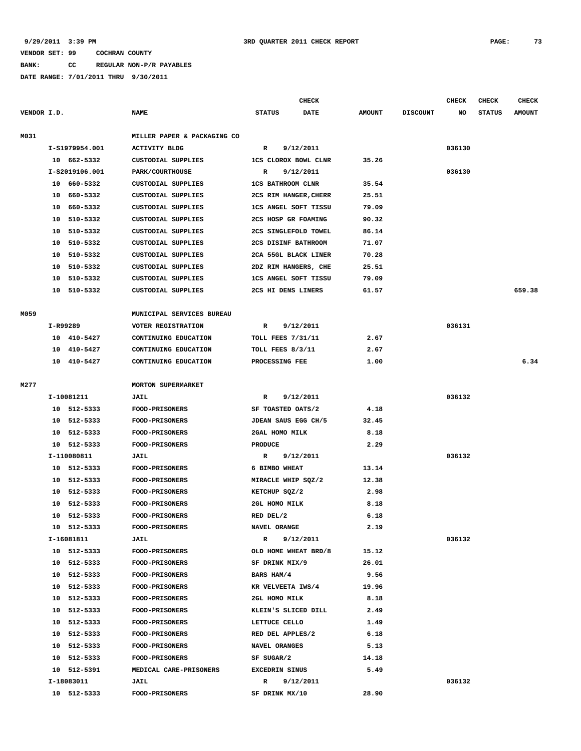# **BANK: CC REGULAR NON-P/R PAYABLES**

|             |                    |                |                             |                          | CHECK       |               |                 | <b>CHECK</b> | <b>CHECK</b>  | <b>CHECK</b>  |
|-------------|--------------------|----------------|-----------------------------|--------------------------|-------------|---------------|-----------------|--------------|---------------|---------------|
| VENDOR I.D. |                    |                | <b>NAME</b>                 | <b>STATUS</b>            | <b>DATE</b> | <b>AMOUNT</b> | <b>DISCOUNT</b> | NO           | <b>STATUS</b> | <b>AMOUNT</b> |
| M031        |                    |                | MILLER PAPER & PACKAGING CO |                          |             |               |                 |              |               |               |
|             |                    | I-S1979954.001 | <b>ACTIVITY BLDG</b>        | R                        | 9/12/2011   |               |                 | 036130       |               |               |
|             |                    | 10 662-5332    | CUSTODIAL SUPPLIES          | 1CS CLOROX BOWL CLNR     |             | 35.26         |                 |              |               |               |
|             |                    | I-S2019106.001 | PARK/COURTHOUSE             | R                        | 9/12/2011   |               |                 | 036130       |               |               |
|             |                    | 10 660-5332    | CUSTODIAL SUPPLIES          | <b>1CS BATHROOM CLNR</b> |             | 35.54         |                 |              |               |               |
|             | 10                 | 660-5332       | <b>CUSTODIAL SUPPLIES</b>   | 2CS RIM HANGER, CHERR    |             | 25.51         |                 |              |               |               |
|             | 10                 | 660-5332       | CUSTODIAL SUPPLIES          | 1CS ANGEL SOFT TISSU     |             | 79.09         |                 |              |               |               |
|             | 10                 | 510-5332       | CUSTODIAL SUPPLIES          | 2CS HOSP GR FOAMING      |             | 90.32         |                 |              |               |               |
|             |                    | 10 510-5332    | <b>CUSTODIAL SUPPLIES</b>   | 2CS SINGLEFOLD TOWEL     |             | 86.14         |                 |              |               |               |
|             | 10                 | 510-5332       | CUSTODIAL SUPPLIES          | 2CS DISINF BATHROOM      |             | 71.07         |                 |              |               |               |
|             | 10                 | 510-5332       | <b>CUSTODIAL SUPPLIES</b>   | 2CA 55GL BLACK LINER     |             | 70.28         |                 |              |               |               |
|             | 10                 | 510-5332       | CUSTODIAL SUPPLIES          | 2DZ RIM HANGERS, CHE     |             | 25.51         |                 |              |               |               |
|             | 10                 | 510-5332       | CUSTODIAL SUPPLIES          | 1CS ANGEL SOFT TISSU     |             | 79.09         |                 |              |               |               |
|             | 10                 | 510-5332       | CUSTODIAL SUPPLIES          | 2CS HI DENS LINERS       |             | 61.57         |                 |              |               | 659.38        |
| M059        |                    |                | MUNICIPAL SERVICES BUREAU   |                          |             |               |                 |              |               |               |
|             | I-R99289           |                | <b>VOTER REGISTRATION</b>   | 9/12/2011<br>R           |             |               |                 | 036131       |               |               |
|             | 10                 | 410-5427       | CONTINUING EDUCATION        | <b>TOLL FEES 7/31/11</b> |             | 2.67          |                 |              |               |               |
|             | 10                 | 410-5427       | CONTINUING EDUCATION        | TOLL FEES 8/3/11         |             | 2.67          |                 |              |               |               |
|             |                    | 10 410-5427    | CONTINUING EDUCATION        | PROCESSING FEE           |             | 1.00          |                 |              |               | 6.34          |
|             |                    |                |                             |                          |             |               |                 |              |               |               |
| M277        | MORTON SUPERMARKET |                |                             |                          |             |               |                 |              |               |               |
|             |                    | I-10081211     | <b>JAIL</b>                 | R                        | 9/12/2011   |               |                 | 036132       |               |               |
|             |                    | 10 512-5333    | <b>FOOD-PRISONERS</b>       | SF TOASTED OATS/2        |             | 4.18          |                 |              |               |               |
|             |                    | 10 512-5333    | <b>FOOD-PRISONERS</b>       | JDEAN SAUS EGG CH/5      |             | 32.45         |                 |              |               |               |
|             | 10                 | 512-5333       | <b>FOOD-PRISONERS</b>       | 2GAL HOMO MILK           |             | 8.18          |                 |              |               |               |
|             |                    | 10 512-5333    | FOOD-PRISONERS              | <b>PRODUCE</b>           |             | 2.29          |                 |              |               |               |
|             |                    | I-110080811    | <b>JAIL</b>                 | R                        | 9/12/2011   |               |                 | 036132       |               |               |
|             | 10                 | 512-5333       | <b>FOOD-PRISONERS</b>       | 6 BIMBO WHEAT            |             | 13.14         |                 |              |               |               |
|             | 10                 | 512-5333       | <b>FOOD-PRISONERS</b>       | MIRACLE WHIP SQZ/2       |             | 12.38         |                 |              |               |               |
|             | 10                 | 512-5333       | <b>FOOD-PRISONERS</b>       | KETCHUP SQZ/2            |             | 2.98          |                 |              |               |               |
|             | 10                 | 512-5333       | <b>FOOD-PRISONERS</b>       | 2GL HOMO MILK            |             | 8.18          |                 |              |               |               |
|             |                    | 10 512-5333    | FOOD-PRISONERS              | RED DEL/2                |             | 6.18          |                 |              |               |               |
|             |                    | 10 512-5333    | <b>FOOD-PRISONERS</b>       | NAVEL ORANGE             |             | 2.19          |                 |              |               |               |
|             |                    | I-16081811     | <b>JAIL</b>                 | R                        | 9/12/2011   |               |                 | 036132       |               |               |
|             |                    | 10 512-5333    | FOOD-PRISONERS              | OLD HOME WHEAT BRD/8     |             | 15.12         |                 |              |               |               |
|             |                    | 10 512-5333    | FOOD-PRISONERS              | SF DRINK MIX/9           |             | 26.01         |                 |              |               |               |
|             |                    | 10 512-5333    | <b>FOOD-PRISONERS</b>       | BARS HAM/4               |             | 9.56          |                 |              |               |               |
|             |                    | 10 512-5333    | <b>FOOD-PRISONERS</b>       | KR VELVEETA IWS/4        |             | 19.96         |                 |              |               |               |
|             |                    | 10 512-5333    | <b>FOOD-PRISONERS</b>       | 2GL HOMO MILK            |             | 8.18          |                 |              |               |               |
|             |                    | 10 512-5333    | FOOD-PRISONERS              | KLEIN'S SLICED DILL      |             | 2.49          |                 |              |               |               |
|             |                    | 10 512-5333    | <b>FOOD-PRISONERS</b>       | LETTUCE CELLO            |             | 1.49          |                 |              |               |               |
|             |                    | 10 512-5333    | <b>FOOD-PRISONERS</b>       | RED DEL APPLES/2         |             | 6.18          |                 |              |               |               |
|             |                    | 10 512-5333    | <b>FOOD-PRISONERS</b>       | NAVEL ORANGES            |             | 5.13          |                 |              |               |               |
|             |                    | 10 512-5333    | <b>FOOD-PRISONERS</b>       | SF SUGAR/2               |             | 14.18         |                 |              |               |               |
|             |                    | 10 512-5391    | MEDICAL CARE-PRISONERS      | EXCEDRIN SINUS           |             | 5.49          |                 |              |               |               |
|             |                    | I-18083011     | <b>JAIL</b>                 | R                        | 9/12/2011   |               |                 | 036132       |               |               |
|             |                    | 10 512-5333    | <b>FOOD-PRISONERS</b>       | SF DRINK MX/10           |             | 28.90         |                 |              |               |               |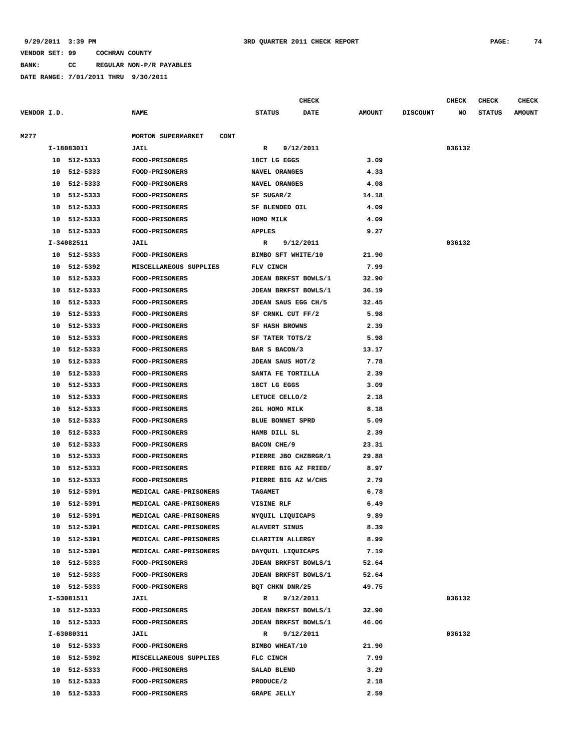**BANK: CC REGULAR NON-P/R PAYABLES**

|             |    |             |                                   | <b>CHECK</b>                |             |               |                 | <b>CHECK</b> | <b>CHECK</b>  | <b>CHECK</b>  |
|-------------|----|-------------|-----------------------------------|-----------------------------|-------------|---------------|-----------------|--------------|---------------|---------------|
| VENDOR I.D. |    |             | <b>NAME</b>                       | <b>STATUS</b>               | <b>DATE</b> | <b>AMOUNT</b> | <b>DISCOUNT</b> | NO           | <b>STATUS</b> | <b>AMOUNT</b> |
| M277        |    |             | MORTON SUPERMARKET<br><b>CONT</b> |                             |             |               |                 |              |               |               |
|             |    | I-18083011  | JAIL                              | R                           | 9/12/2011   |               |                 | 036132       |               |               |
|             |    | 10 512-5333 | FOOD-PRISONERS                    | 18CT LG EGGS                |             | 3.09          |                 |              |               |               |
|             | 10 | 512-5333    | <b>FOOD-PRISONERS</b>             | NAVEL ORANGES               |             | 4.33          |                 |              |               |               |
|             | 10 | 512-5333    | FOOD-PRISONERS                    | NAVEL ORANGES               |             | 4.08          |                 |              |               |               |
|             | 10 | 512-5333    | <b>FOOD-PRISONERS</b>             | SF SUGAR/2                  |             | 14.18         |                 |              |               |               |
|             | 10 | 512-5333    | FOOD-PRISONERS                    | SF BLENDED OIL              |             | 4.09          |                 |              |               |               |
|             | 10 | 512-5333    | FOOD-PRISONERS                    | HOMO MILK                   |             | 4.09          |                 |              |               |               |
|             |    | 10 512-5333 | FOOD-PRISONERS                    | <b>APPLES</b>               |             | 9.27          |                 |              |               |               |
|             |    | I-34082511  | JAIL                              | R                           | 9/12/2011   |               |                 | 036132       |               |               |
|             |    | 10 512-5333 | <b>FOOD-PRISONERS</b>             | BIMBO SFT WHITE/10          |             | 21.90         |                 |              |               |               |
|             | 10 | 512-5392    | MISCELLANEOUS SUPPLIES            | FLV CINCH                   |             | 7.99          |                 |              |               |               |
|             | 10 | 512-5333    | <b>FOOD-PRISONERS</b>             | JDEAN BRKFST BOWLS/1        |             | 32.90         |                 |              |               |               |
|             | 10 | 512-5333    | <b>FOOD-PRISONERS</b>             | JDEAN BRKFST BOWLS/1        |             | 36.19         |                 |              |               |               |
|             | 10 | 512-5333    | FOOD-PRISONERS                    | JDEAN SAUS EGG CH/5         |             | 32.45         |                 |              |               |               |
|             | 10 | 512-5333    | FOOD-PRISONERS                    | SF CRNKL CUT FF/2           |             | 5.98          |                 |              |               |               |
|             | 10 | 512-5333    | FOOD-PRISONERS                    | <b>SF HASH BROWNS</b>       |             | 2.39          |                 |              |               |               |
|             | 10 | 512-5333    | FOOD-PRISONERS                    | SF TATER TOTS/2             |             | 5.98          |                 |              |               |               |
|             | 10 | 512-5333    | <b>FOOD-PRISONERS</b>             | BAR S BACON/3               |             | 13.17         |                 |              |               |               |
|             | 10 | 512-5333    | <b>FOOD-PRISONERS</b>             | JDEAN SAUS HOT/2            |             | 7.78          |                 |              |               |               |
|             | 10 | 512-5333    | FOOD-PRISONERS                    | SANTA FE TORTILLA           |             | 2.39          |                 |              |               |               |
|             | 10 | 512-5333    | <b>FOOD-PRISONERS</b>             | 18CT LG EGGS                |             | 3.09          |                 |              |               |               |
|             | 10 | 512-5333    | FOOD-PRISONERS                    | LETUCE CELLO/2              |             | 2.18          |                 |              |               |               |
|             | 10 | 512-5333    | <b>FOOD-PRISONERS</b>             | 2GL HOMO MILK               |             | 8.18          |                 |              |               |               |
|             | 10 | 512-5333    | <b>FOOD-PRISONERS</b>             | BLUE BONNET SPRD            |             | 5.09          |                 |              |               |               |
|             | 10 | 512-5333    | FOOD-PRISONERS                    | HAMB DILL SL                |             | 2.39          |                 |              |               |               |
|             | 10 | 512-5333    | <b>FOOD-PRISONERS</b>             | BACON CHE/9                 |             | 23.31         |                 |              |               |               |
|             | 10 | 512-5333    | <b>FOOD-PRISONERS</b>             | PIERRE JBO CHZBRGR/1        |             | 29.88         |                 |              |               |               |
|             | 10 | 512-5333    | FOOD-PRISONERS                    | PIERRE BIG AZ FRIED/        |             | 8.97          |                 |              |               |               |
|             | 10 | 512-5333    | <b>FOOD-PRISONERS</b>             | PIERRE BIG AZ W/CHS         |             | 2.79          |                 |              |               |               |
|             | 10 | 512-5391    | MEDICAL CARE-PRISONERS            | <b>TAGAMET</b>              |             | 6.78          |                 |              |               |               |
|             | 10 | 512-5391    | MEDICAL CARE-PRISONERS            | VISINE RLF                  |             | 6.49          |                 |              |               |               |
|             | 10 | 512-5391    | MEDICAL CARE-PRISONERS            | NYQUIL LIQUICAPS            |             | 9.89          |                 |              |               |               |
|             |    | 10 512-5391 | MEDICAL CARE-PRISONERS            | ALAVERT SINUS               |             | 8.39          |                 |              |               |               |
|             |    | 10 512-5391 | MEDICAL CARE-PRISONERS            | CLARITIN ALLERGY            |             | 8.99          |                 |              |               |               |
|             |    | 10 512-5391 | MEDICAL CARE-PRISONERS            | DAYQUIL LIQUICAPS           |             | 7.19          |                 |              |               |               |
|             |    | 10 512-5333 | <b>FOOD-PRISONERS</b>             | <b>JDEAN BRKFST BOWLS/1</b> |             | 52.64         |                 |              |               |               |
|             |    | 10 512-5333 | FOOD-PRISONERS                    | JDEAN BRKFST BOWLS/1        |             | 52.64         |                 |              |               |               |
|             |    | 10 512-5333 | <b>FOOD-PRISONERS</b>             | BQT CHKN DNR/25             |             | 49.75         |                 |              |               |               |
|             |    | I-53081511  | <b>JAIL</b>                       | R                           | 9/12/2011   |               |                 | 036132       |               |               |
|             |    | 10 512-5333 | <b>FOOD-PRISONERS</b>             | JDEAN BRKFST BOWLS/1        |             | 32.90         |                 |              |               |               |
|             |    | 10 512-5333 | <b>FOOD-PRISONERS</b>             | <b>JDEAN BRKFST BOWLS/1</b> |             | 46.06         |                 |              |               |               |
|             |    | I-63080311  | <b>JAIL</b>                       | R                           | 9/12/2011   |               |                 | 036132       |               |               |
|             |    | 10 512-5333 | <b>FOOD-PRISONERS</b>             | BIMBO WHEAT/10              |             | 21.90         |                 |              |               |               |
|             |    | 10 512-5392 | MISCELLANEOUS SUPPLIES            | FLC CINCH                   |             | 7.99          |                 |              |               |               |
|             |    | 10 512-5333 | <b>FOOD-PRISONERS</b>             | SALAD BLEND                 |             | 3.29          |                 |              |               |               |
|             |    | 10 512-5333 | FOOD-PRISONERS                    | PRODUCE/2                   |             | 2.18          |                 |              |               |               |
|             |    | 10 512-5333 | <b>FOOD-PRISONERS</b>             | <b>GRAPE JELLY</b>          |             | 2.59          |                 |              |               |               |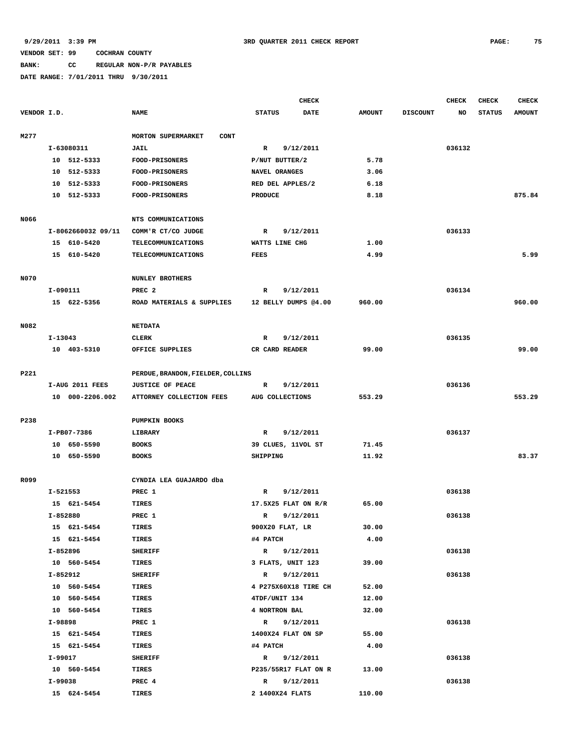# **BANK: CC REGULAR NON-P/R PAYABLES**

|             |          |                    |                                   |                  | <b>CHECK</b>         |               |                 | CHECK  | CHECK         | <b>CHECK</b>  |
|-------------|----------|--------------------|-----------------------------------|------------------|----------------------|---------------|-----------------|--------|---------------|---------------|
| VENDOR I.D. |          |                    | <b>NAME</b>                       | <b>STATUS</b>    | DATE                 | <b>AMOUNT</b> | <b>DISCOUNT</b> | NO     | <b>STATUS</b> | <b>AMOUNT</b> |
| M277        |          |                    | MORTON SUPERMARKET<br><b>CONT</b> |                  |                      |               |                 |        |               |               |
|             |          | I-63080311         | <b>JAIL</b>                       | $\mathbb{R}$     | 9/12/2011            |               |                 | 036132 |               |               |
|             |          | 10 512-5333        | <b>FOOD-PRISONERS</b>             | P/NUT BUTTER/2   |                      | 5.78          |                 |        |               |               |
|             |          | 10 512-5333        | FOOD-PRISONERS                    | NAVEL ORANGES    |                      | 3.06          |                 |        |               |               |
|             |          | 10 512-5333        | <b>FOOD-PRISONERS</b>             | RED DEL APPLES/2 |                      | 6.18          |                 |        |               |               |
|             |          | 10 512-5333        | <b>FOOD-PRISONERS</b>             | <b>PRODUCE</b>   |                      | 8.18          |                 |        |               | 875.84        |
|             |          |                    |                                   |                  |                      |               |                 |        |               |               |
| N066        |          |                    | NTS COMMUNICATIONS                |                  |                      |               |                 |        |               |               |
|             |          | I-8062660032 09/11 | COMM'R CT/CO JUDGE                | R                | 9/12/2011            |               |                 | 036133 |               |               |
|             |          | 15 610-5420        | TELECOMMUNICATIONS                | WATTS LINE CHG   |                      | 1.00          |                 |        |               |               |
|             |          | 15 610-5420        | <b>TELECOMMUNICATIONS</b>         | <b>FEES</b>      |                      | 4.99          |                 |        |               | 5.99          |
| N070        |          |                    | NUNLEY BROTHERS                   |                  |                      |               |                 |        |               |               |
|             | I-090111 |                    | PREC <sub>2</sub>                 | R                | 9/12/2011            |               |                 | 036134 |               |               |
|             |          | 15 622-5356        | ROAD MATERIALS & SUPPLIES         |                  | 12 BELLY DUMPS @4.00 | 960.00        |                 |        |               | 960.00        |
| N082        |          |                    | <b>NETDATA</b>                    |                  |                      |               |                 |        |               |               |
|             | I-13043  |                    | CLERK                             | $\mathbb{R}$     | 9/12/2011            |               |                 | 036135 |               |               |
|             |          | 10 403-5310        | OFFICE SUPPLIES                   | CR CARD READER   |                      | 99.00         |                 |        |               | 99.00         |
|             |          |                    |                                   |                  |                      |               |                 |        |               |               |
| P221        |          |                    | PERDUE, BRANDON, FIELDER, COLLINS |                  |                      |               |                 |        |               |               |
|             |          | I-AUG 2011 FEES    | <b>JUSTICE OF PEACE</b>           | R                | 9/12/2011            |               |                 | 036136 |               |               |
|             |          | 10 000-2206.002    | ATTORNEY COLLECTION FEES          | AUG COLLECTIONS  |                      | 553.29        |                 |        |               | 553.29        |
| P238        |          |                    | PUMPKIN BOOKS                     |                  |                      |               |                 |        |               |               |
|             |          | I-PB07-7386        | LIBRARY                           | $\mathbb{R}$     | 9/12/2011            |               |                 | 036137 |               |               |
|             |          | 10 650-5590        | <b>BOOKS</b>                      |                  | 39 CLUES, 11VOL ST   | 71.45         |                 |        |               |               |
|             |          | 10 650-5590        | <b>BOOKS</b>                      | SHIPPING         |                      | 11.92         |                 |        |               | 83.37         |
|             |          |                    |                                   |                  |                      |               |                 |        |               |               |
| R099        |          |                    | CYNDIA LEA GUAJARDO dba           |                  |                      |               |                 |        |               |               |
|             |          | I-521553           | PREC 1                            | R                | 9/12/2011            |               |                 | 036138 |               |               |
|             |          | 15 621-5454        | TIRES                             |                  | 17.5X25 FLAT ON R/R  | 65.00         |                 |        |               |               |
|             | I-852880 |                    | PREC 1                            | $\mathbb{R}$     | 9/12/2011            |               |                 | 036138 |               |               |
|             |          | 15 621-5454        | TIRES                             | 900X20 FLAT, LR  |                      | 30.00         |                 |        |               |               |
|             |          | 15 621-5454        | TIRES                             | #4 PATCH         |                      | 4.00          |                 |        |               |               |
|             |          | I-852896           | <b>SHERIFF</b>                    |                  | R 9/12/2011          |               |                 | 036138 |               |               |
|             |          | 10 560-5454        | TIRES                             |                  | 3 FLATS, UNIT 123    | 39.00         |                 |        |               |               |
|             |          | I-852912           | <b>SHERIFF</b>                    |                  | R 9/12/2011          |               |                 | 036138 |               |               |
|             |          | 10 560-5454        | TIRES                             |                  | 4 P275X60X18 TIRE CH | 52.00         |                 |        |               |               |
|             |          | 10 560-5454        | <b>TIRES</b>                      | 4TDF/UNIT 134    |                      | 12.00         |                 |        |               |               |
|             |          | 10 560-5454        | TIRES                             | 4 NORTRON BAL    |                      | 32.00         |                 |        |               |               |
|             |          | I-98898            | PREC 1                            |                  | R 9/12/2011          |               |                 | 036138 |               |               |
|             |          | 15 621-5454        | TIRES                             |                  | 1400X24 FLAT ON SP   | 55.00         |                 |        |               |               |
|             |          | 15 621-5454        | TIRES                             | #4 PATCH         |                      | 4.00          |                 |        |               |               |
|             | I-99017  |                    | <b>SHERIFF</b>                    |                  | R 9/12/2011          |               |                 | 036138 |               |               |
|             |          | 10 560-5454        | TIRES                             |                  | P235/55R17 FLAT ON R | 13.00         |                 |        |               |               |
|             | I-99038  |                    | PREC 4                            | $\mathbf{R}$     | 9/12/2011            |               |                 | 036138 |               |               |
|             |          | 15 624-5454        | <b>TIRES</b>                      | 2 1400X24 FLATS  |                      | 110.00        |                 |        |               |               |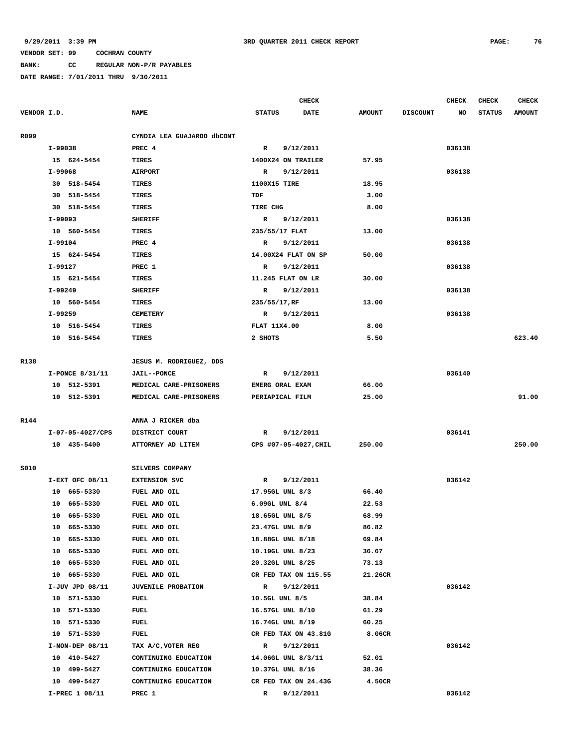**BANK: CC REGULAR NON-P/R PAYABLES**

|             |                   |                            |                     | CHECK                 |               |                 | <b>CHECK</b> | <b>CHECK</b>  | <b>CHECK</b>  |
|-------------|-------------------|----------------------------|---------------------|-----------------------|---------------|-----------------|--------------|---------------|---------------|
| VENDOR I.D. |                   | <b>NAME</b>                | <b>STATUS</b>       | DATE                  | <b>AMOUNT</b> | <b>DISCOUNT</b> | NO           | <b>STATUS</b> | <b>AMOUNT</b> |
| R099        |                   | CYNDIA LEA GUAJARDO dbCONT |                     |                       |               |                 |              |               |               |
|             | I-99038           | PREC 4                     | $\mathbb{R}$        | 9/12/2011             |               |                 | 036138       |               |               |
|             | 15 624-5454       | <b>TIRES</b>               | 1400X24 ON TRAILER  |                       | 57.95         |                 |              |               |               |
|             | I-99068           | <b>AIRPORT</b>             | R                   | 9/12/2011             |               |                 | 036138       |               |               |
|             | 30 518-5454       | TIRES                      | 1100X15 TIRE        |                       | 18.95         |                 |              |               |               |
|             | 30 518-5454       | TIRES                      | TDF                 |                       | 3.00          |                 |              |               |               |
|             | 30 518-5454       | TIRES                      | TIRE CHG            |                       | 8.00          |                 |              |               |               |
|             | I-99093           | <b>SHERIFF</b>             | R                   | 9/12/2011             |               |                 | 036138       |               |               |
|             | 10 560-5454       | <b>TIRES</b>               | 235/55/17 FLAT      |                       | 13.00         |                 |              |               |               |
|             | I-99104           | PREC 4                     | R                   | 9/12/2011             |               |                 | 036138       |               |               |
|             | 15 624-5454       | TIRES                      | 14.00X24 FLAT ON SP |                       | 50.00         |                 |              |               |               |
|             | I-99127           | PREC 1                     | R                   | 9/12/2011             |               |                 | 036138       |               |               |
|             | 15 621-5454       | TIRES                      | 11.245 FLAT ON LR   |                       | 30.00         |                 |              |               |               |
|             | I-99249           | <b>SHERIFF</b>             | R                   | 9/12/2011             |               |                 | 036138       |               |               |
|             | 10 560-5454       | <b>TIRES</b>               | 235/55/17, RF       |                       | 13.00         |                 |              |               |               |
|             | I-99259           | <b>CEMETERY</b>            | R                   | 9/12/2011             |               |                 | 036138       |               |               |
|             | 10 516-5454       | TIRES                      | FLAT 11X4.00        |                       | 8.00          |                 |              |               |               |
|             | 10 516-5454       | <b>TIRES</b>               | 2 SHOTS             |                       | 5.50          |                 |              |               | 623.40        |
|             |                   |                            |                     |                       |               |                 |              |               |               |
| R138        |                   | JESUS M. RODRIGUEZ, DDS    |                     |                       |               |                 |              |               |               |
|             | I-PONCE 8/31/11   | <b>JAIL--PONCE</b>         | R                   | 9/12/2011             |               |                 | 036140       |               |               |
|             | 10 512-5391       | MEDICAL CARE-PRISONERS     | EMERG ORAL EXAM     |                       | 66.00         |                 |              |               |               |
|             | 10 512-5391       | MEDICAL CARE-PRISONERS     | PERIAPICAL FILM     |                       | 25.00         |                 |              |               | 91.00         |
|             |                   |                            |                     |                       |               |                 |              |               |               |
| R144        |                   | ANNA J RICKER dba          |                     |                       |               |                 |              |               |               |
|             | I-07-05-4027/CPS  | DISTRICT COURT             | $\mathbb{R}$        | 9/12/2011             |               |                 | 036141       |               |               |
|             | 10 435-5400       | ATTORNEY AD LITEM          |                     | CPS #07-05-4027, CHIL | 250.00        |                 |              |               | 250.00        |
| S010        |                   | SILVERS COMPANY            |                     |                       |               |                 |              |               |               |
|             | $I-EXT$ OFC 08/11 | <b>EXTENSION SVC</b>       | $\mathbf R$         | 9/12/2011             |               |                 | 036142       |               |               |
|             | 10 665-5330       | FUEL AND OIL               | 17.95GL UNL 8/3     |                       | 66.40         |                 |              |               |               |
|             | 665-5330<br>10    | FUEL AND OIL               | $6.09GL$ UNL $8/4$  |                       | 22.53         |                 |              |               |               |
|             | 10 665-5330       | FUEL AND OIL               | 18.65GL UNL 8/5     |                       | 68.99         |                 |              |               |               |
|             | 665-5330<br>10    | FUEL AND OIL               | 23.47GL UNL 8/9     |                       | 86.82         |                 |              |               |               |
|             | 10 665-5330       | FUEL AND OIL               | 18.88GL UNL 8/18    |                       | 69.84         |                 |              |               |               |
|             | 10 665-5330       | FUEL AND OIL               | 10.19GL UNL 8/23    |                       | 36.67         |                 |              |               |               |
|             | 10 665-5330       | FUEL AND OIL               | 20.32GL UNL 8/25    |                       | 73.13         |                 |              |               |               |
|             | 665-5330<br>10    | FUEL AND OIL               |                     | CR FED TAX ON 115.55  | 21.26CR       |                 |              |               |               |
|             | I-JUV JPD 08/11   | <b>JUVENILE PROBATION</b>  | $\mathbb{R}$        | 9/12/2011             |               |                 | 036142       |               |               |
|             | 10 571-5330       | FUEL                       | 10.5GL UNL 8/5      |                       | 38.84         |                 |              |               |               |
|             | 10 571-5330       | FUEL                       | 16.57GL UNL 8/10    |                       | 61.29         |                 |              |               |               |
|             | 10 571-5330       | <b>FUEL</b>                | 16.74GL UNL 8/19    |                       | 60.25         |                 |              |               |               |
|             | 10 571-5330       | <b>FUEL</b>                |                     | CR FED TAX ON 43.81G  | 8.06CR        |                 |              |               |               |
|             | $I-NON-DEF$ 08/11 | TAX A/C, VOTER REG         | $\mathbb{R}$        | 9/12/2011             |               |                 | 036142       |               |               |
|             | 10 410-5427       | CONTINUING EDUCATION       | 14.06GL UNL 8/3/11  |                       | 52.01         |                 |              |               |               |
|             | 10 499-5427       | CONTINUING EDUCATION       | 10.37GL UNL 8/16    |                       | 38.36         |                 |              |               |               |
|             | 10 499-5427       | CONTINUING EDUCATION       |                     | CR FED TAX ON 24.43G  | 4.50CR        |                 |              |               |               |
|             | I-PREC 1 08/11    | PREC 1                     | $\mathbb{R}$        | 9/12/2011             |               |                 | 036142       |               |               |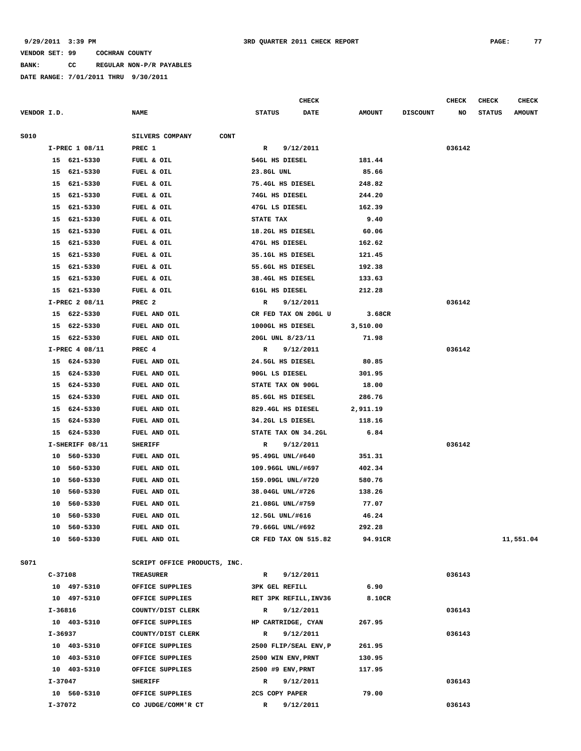**BANK: CC REGULAR NON-P/R PAYABLES**

|             |                                                               |                              | <b>CHECK</b>                 |               |                 | <b>CHECK</b> | CHECK         | <b>CHECK</b>  |
|-------------|---------------------------------------------------------------|------------------------------|------------------------------|---------------|-----------------|--------------|---------------|---------------|
| VENDOR I.D. |                                                               | <b>NAME</b>                  | <b>STATUS</b><br><b>DATE</b> | <b>AMOUNT</b> | <b>DISCOUNT</b> | NO           | <b>STATUS</b> | <b>AMOUNT</b> |
| S010        |                                                               | SILVERS COMPANY<br>CONT      |                              |               |                 |              |               |               |
|             | I-PREC 1 08/11                                                | PREC 1                       | R<br>9/12/2011               |               |                 | 036142       |               |               |
|             | 15 621-5330                                                   | FUEL & OIL                   | 54GL HS DIESEL               | 181.44        |                 |              |               |               |
|             | 621-5330<br>15                                                | FUEL & OIL                   | 23.8GL UNL                   | 85.66         |                 |              |               |               |
|             | 621-5330<br>15                                                | FUEL & OIL                   | 75.4GL HS DIESEL             | 248.82        |                 |              |               |               |
|             | 621-5330<br>15                                                | FUEL & OIL                   | 74GL HS DIESEL               | 244.20        |                 |              |               |               |
|             | 621-5330<br>15                                                | FUEL & OIL                   | 47GL LS DIESEL               | 162.39        |                 |              |               |               |
|             | 15<br>621-5330                                                | FUEL & OIL                   | STATE TAX                    | 9.40          |                 |              |               |               |
|             | 621-5330<br>15                                                | FUEL & OIL                   | 18.2GL HS DIESEL             | 60.06         |                 |              |               |               |
|             | 621-5330<br>15                                                | FUEL & OIL                   | 47GL HS DIESEL               | 162.62        |                 |              |               |               |
|             | 621-5330<br>15                                                | FUEL & OIL                   | 35.1GL HS DIESEL             | 121.45        |                 |              |               |               |
|             | 621-5330<br>15                                                | FUEL & OIL                   | 55.6GL HS DIESEL             | 192.38        |                 |              |               |               |
|             | 621-5330<br>15                                                | FUEL & OIL                   | 38.4GL HS DIESEL             | 133.63        |                 |              |               |               |
|             | 15<br>621-5330                                                | FUEL & OIL                   | 61GL HS DIESEL               | 212.28        |                 |              |               |               |
|             | I-PREC 2 08/11                                                | PREC <sub>2</sub>            | 9/12/2011<br>R               |               |                 | 036142       |               |               |
|             | 622-5330<br>15                                                | FUEL AND OIL                 | CR FED TAX ON 20GL U         | 3.68CR        |                 |              |               |               |
|             | 622-5330<br>15                                                | FUEL AND OIL                 | 1000GL HS DIESEL             | 3,510.00      |                 |              |               |               |
|             | 622-5330<br>15                                                | FUEL AND OIL                 | 20GL UNL 8/23/11             | 71.98         |                 |              |               |               |
|             | I-PREC 4 08/11                                                | PREC 4                       | 9/12/2011<br>R               |               |                 | 036142       |               |               |
|             | 15 624-5330                                                   | FUEL AND OIL                 | 24.5GL HS DIESEL             | 80.85         |                 |              |               |               |
|             | 15 624-5330                                                   | FUEL AND OIL                 | 90GL LS DIESEL               | 301.95        |                 |              |               |               |
|             | 15 624-5330<br>FUEL AND OIL<br>624-5330<br>15<br>FUEL AND OIL |                              | STATE TAX ON 90GL            | 18.00         |                 |              |               |               |
|             |                                                               |                              | 85.6GL HS DIESEL             | 286.76        |                 |              |               |               |
|             | 624-5330<br>15                                                | FUEL AND OIL                 | 829.4GL HS DIESEL            | 2,911.19      |                 |              |               |               |
|             | 624-5330<br>15                                                | FUEL AND OIL                 | 34.2GL LS DIESEL             | 118.16        |                 |              |               |               |
|             | 15<br>624-5330                                                | FUEL AND OIL                 | STATE TAX ON 34.2GL          | 6.84          |                 |              |               |               |
|             | I-SHERIFF 08/11                                               | <b>SHERIFF</b>               | $\mathbb{R}$<br>9/12/2011    |               |                 | 036142       |               |               |
|             | 560-5330<br>10                                                | FUEL AND OIL                 | 95.49GL UNL/#640             | 351.31        |                 |              |               |               |
|             | 10<br>560-5330                                                | FUEL AND OIL                 | 109.96GL UNL/#697            | 402.34        |                 |              |               |               |
|             | 560-5330<br>10                                                | FUEL AND OIL                 | 159.09GL UNL/#720            | 580.76        |                 |              |               |               |
|             | 560-5330<br>10                                                | FUEL AND OIL                 | 38.04GL UNL/#726             | 138.26        |                 |              |               |               |
|             | 10<br>560-5330                                                | FUEL AND OIL                 | 21.08GL UNL/#759             | 77.07         |                 |              |               |               |
|             | 10<br>560-5330                                                | FUEL AND OIL                 | 12.5GL UNL/#616              | 46.24         |                 |              |               |               |
|             | 10 560-5330                                                   | FUEL AND OIL                 | 79.66GL UNL/#692             | 292.28        |                 |              |               |               |
|             | 10 560-5330                                                   | FUEL AND OIL                 | CR FED TAX ON 515.82         | 94.91CR       |                 |              |               | 11,551.04     |
| S071        |                                                               | SCRIPT OFFICE PRODUCTS, INC. |                              |               |                 |              |               |               |
|             | C-37108                                                       | <b>TREASURER</b>             | 9/12/2011<br>R               |               |                 | 036143       |               |               |
|             | 10 497-5310                                                   | OFFICE SUPPLIES              | <b>3PK GEL REFILL</b>        | 6.90          |                 |              |               |               |
|             | 10 497-5310                                                   | OFFICE SUPPLIES              | RET 3PK REFILL, INV36        | 8.10CR        |                 |              |               |               |
|             | I-36816                                                       | COUNTY/DIST CLERK            | 9/12/2011<br>R               |               |                 | 036143       |               |               |
|             | 10 403-5310                                                   | OFFICE SUPPLIES              | HP CARTRIDGE, CYAN           | 267.95        |                 |              |               |               |
|             | I-36937                                                       | COUNTY/DIST CLERK            | $\mathbb{R}$<br>9/12/2011    |               |                 | 036143       |               |               |
|             | 10 403-5310                                                   | OFFICE SUPPLIES              | 2500 FLIP/SEAL ENV, P        | 261.95        |                 |              |               |               |
|             | 10 403-5310                                                   | OFFICE SUPPLIES              | 2500 WIN ENV, PRNT           | 130.95        |                 |              |               |               |
|             | 10 403-5310                                                   | OFFICE SUPPLIES              | 2500 #9 ENV, PRNT            | 117.95        |                 |              |               |               |
|             | I-37047                                                       | <b>SHERIFF</b>               | 9/12/2011<br>R               |               |                 | 036143       |               |               |
|             | 10 560-5310                                                   | OFFICE SUPPLIES              | 2CS COPY PAPER               | 79.00         |                 |              |               |               |
|             | I-37072                                                       | CO JUDGE/COMM'R CT           | $\mathbb{R}$<br>9/12/2011    |               |                 | 036143       |               |               |
|             |                                                               |                              |                              |               |                 |              |               |               |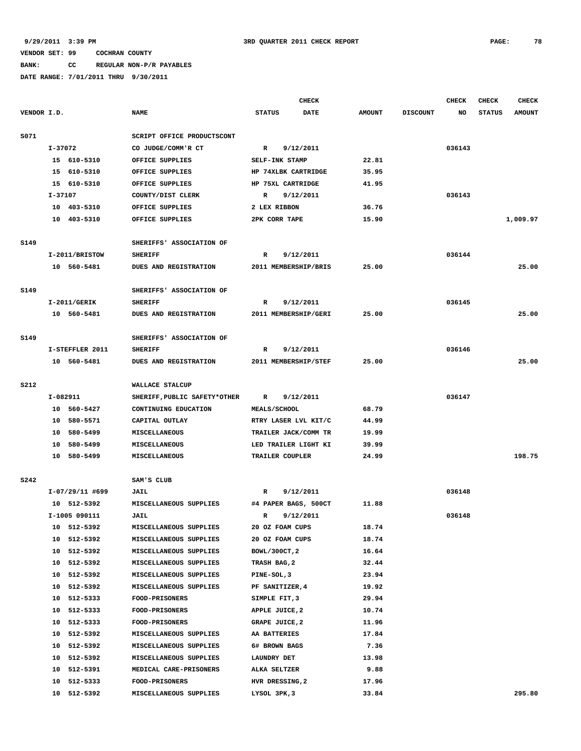# **BANK: CC REGULAR NON-P/R PAYABLES**

|             |                |                                          |                               |                 | <b>CHECK</b>         |               |                 | <b>CHECK</b> | <b>CHECK</b>  | <b>CHECK</b>  |
|-------------|----------------|------------------------------------------|-------------------------------|-----------------|----------------------|---------------|-----------------|--------------|---------------|---------------|
| VENDOR I.D. |                |                                          | <b>NAME</b>                   | <b>STATUS</b>   | <b>DATE</b>          | <b>AMOUNT</b> | <b>DISCOUNT</b> | NO.          | <b>STATUS</b> | <b>AMOUNT</b> |
| S071        |                |                                          | SCRIPT OFFICE PRODUCTSCONT    |                 |                      |               |                 |              |               |               |
|             | I-37072        |                                          | CO JUDGE/COMM'R CT            | $\mathbb{R}$    | 9/12/2011            |               |                 | 036143       |               |               |
|             |                | 15 610-5310                              | OFFICE SUPPLIES               | SELF-INK STAMP  |                      | 22.81         |                 |              |               |               |
|             |                | 15 610-5310                              | OFFICE SUPPLIES               |                 | HP 74XLBK CARTRIDGE  | 35.95         |                 |              |               |               |
|             |                | 15 610-5310                              | OFFICE SUPPLIES               |                 | HP 75XL CARTRIDGE    | 41.95         |                 |              |               |               |
|             | I-37107        |                                          | COUNTY/DIST CLERK             | R               | 9/12/2011            |               |                 | 036143       |               |               |
|             |                | 10 403-5310                              | OFFICE SUPPLIES               | 2 LEX RIBBON    |                      | 36.76         |                 |              |               |               |
|             |                | 10 403-5310                              | OFFICE SUPPLIES               | 2PK CORR TAPE   |                      | 15.90         |                 |              |               | 1,009.97      |
| S149        |                |                                          | SHERIFFS' ASSOCIATION OF      |                 |                      |               |                 |              |               |               |
|             |                | I-2011/BRISTOW                           | <b>SHERIFF</b>                | R               | 9/12/2011            |               |                 | 036144       |               |               |
|             |                | 10 560-5481                              | DUES AND REGISTRATION         |                 | 2011 MEMBERSHIP/BRIS | 25.00         |                 |              |               | 25.00         |
| S149        |                |                                          | SHERIFFS' ASSOCIATION OF      |                 |                      |               |                 |              |               |               |
|             | $I-2011/GERIK$ |                                          | <b>SHERIFF</b>                | R               | 9/12/2011            |               |                 | 036145       |               |               |
|             |                | 10 560-5481                              | DUES AND REGISTRATION         |                 | 2011 MEMBERSHIP/GERI | 25.00         |                 |              |               | 25.00         |
|             |                |                                          |                               |                 |                      |               |                 |              |               |               |
| S149        |                |                                          | SHERIFFS' ASSOCIATION OF      |                 |                      |               |                 |              |               |               |
|             |                | I-STEFFLER 2011                          | <b>SHERIFF</b>                | R               | 9/12/2011            |               |                 | 036146       |               |               |
|             |                | 10 560-5481                              | DUES AND REGISTRATION         |                 | 2011 MEMBERSHIP/STEF | 25.00         |                 |              |               | 25.00         |
| <b>S212</b> |                | WALLACE STALCUP                          |                               |                 |                      |               |                 |              |               |               |
|             |                | I-082911<br>SHERIFF, PUBLIC SAFETY*OTHER |                               | R               | 9/12/2011            |               |                 | 036147       |               |               |
|             |                | 10 560-5427                              | CONTINUING EDUCATION          | MEALS/SCHOOL    |                      | 68.79         |                 |              |               |               |
|             |                | 10 580-5571                              | CAPITAL OUTLAY                |                 | RTRY LASER LVL KIT/C | 44.99         |                 |              |               |               |
|             |                | 10 580-5499                              | MISCELLANEOUS                 |                 | TRAILER JACK/COMM TR | 19.99         |                 |              |               |               |
|             |                | 10 580-5499                              | MISCELLANEOUS                 |                 | LED TRAILER LIGHT KI | 39.99         |                 |              |               |               |
|             |                | 10 580-5499                              | <b>MISCELLANEOUS</b>          | TRAILER COUPLER |                      | 24.99         |                 |              |               | 198.75        |
| <b>S242</b> |                |                                          | SAM'S CLUB                    |                 |                      |               |                 |              |               |               |
|             |                | I-07/29/11 #699                          | <b>JAIL</b>                   | R               | 9/12/2011            |               |                 | 036148       |               |               |
|             |                | 10 512-5392                              | MISCELLANEOUS SUPPLIES        |                 | #4 PAPER BAGS, 500CT | 11.88         |                 |              |               |               |
|             | I-1005 090111  |                                          | JAIL                          | R               | 9/12/2011            |               |                 | 036148       |               |               |
|             | 10             | 512-5392                                 | <b>MISCELLANEOUS SUPPLIES</b> | 20 OZ FOAM CUPS |                      | 18.74         |                 |              |               |               |
|             |                | 10 512-5392                              | MISCELLANEOUS SUPPLIES        | 20 OZ FOAM CUPS |                      | 18.74         |                 |              |               |               |
|             |                | 10 512-5392                              | MISCELLANEOUS SUPPLIES        | BOWL/300CT, 2   |                      | 16.64         |                 |              |               |               |
|             | 10             | 512-5392                                 | MISCELLANEOUS SUPPLIES        | TRASH BAG, 2    |                      | 32.44         |                 |              |               |               |
|             |                | 10 512-5392                              | MISCELLANEOUS SUPPLIES        | PINE-SOL, 3     |                      | 23.94         |                 |              |               |               |
|             |                | 10 512-5392                              | MISCELLANEOUS SUPPLIES        | PF SANITIZER, 4 |                      | 19.92         |                 |              |               |               |
|             | 10             | 512-5333                                 | <b>FOOD-PRISONERS</b>         | SIMPLE FIT, 3   |                      | 29.94         |                 |              |               |               |
|             |                | 10 512-5333                              | <b>FOOD-PRISONERS</b>         | APPLE JUICE, 2  |                      | 10.74         |                 |              |               |               |
|             |                | 10 512-5333                              | <b>FOOD-PRISONERS</b>         | GRAPE JUICE, 2  |                      | 11.96         |                 |              |               |               |
|             | 10             | 512-5392                                 | MISCELLANEOUS SUPPLIES        | AA BATTERIES    |                      | 17.84         |                 |              |               |               |
|             |                | 10 512-5392                              | MISCELLANEOUS SUPPLIES        | 6# BROWN BAGS   |                      | 7.36          |                 |              |               |               |
|             |                | 10 512-5392                              | MISCELLANEOUS SUPPLIES        | LAUNDRY DET     |                      | 13.98         |                 |              |               |               |
|             |                | 10 512-5391                              | MEDICAL CARE-PRISONERS        | ALKA SELTZER    |                      | 9.88          |                 |              |               |               |
|             |                | 10 512-5333                              | FOOD-PRISONERS                | HVR DRESSING, 2 |                      | 17.96         |                 |              |               |               |
|             |                | 10 512-5392                              | MISCELLANEOUS SUPPLIES        | LYSOL 3PK, 3    |                      | 33.84         |                 |              |               | 295.80        |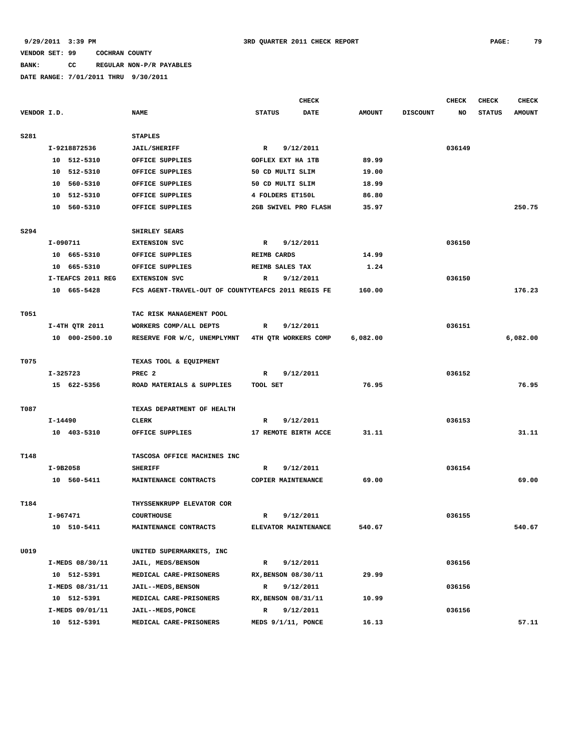# **BANK: CC REGULAR NON-P/R PAYABLES**

|             |                   |                                                    | <b>CHECK</b>                 |               |                 | CHECK  | CHECK         | <b>CHECK</b>  |
|-------------|-------------------|----------------------------------------------------|------------------------------|---------------|-----------------|--------|---------------|---------------|
| VENDOR I.D. |                   | <b>NAME</b>                                        | <b>STATUS</b><br><b>DATE</b> | <b>AMOUNT</b> | <b>DISCOUNT</b> | NO     | <b>STATUS</b> | <b>AMOUNT</b> |
| <b>S281</b> |                   | <b>STAPLES</b>                                     |                              |               |                 |        |               |               |
|             | I-9218872536      | <b>JAIL/SHERIFF</b>                                | $\mathbb{R}$<br>9/12/2011    |               |                 | 036149 |               |               |
|             | 10 512-5310       | OFFICE SUPPLIES                                    | <b>GOFLEX EXT HA 1TB</b>     | 89.99         |                 |        |               |               |
|             | 10 512-5310       | OFFICE SUPPLIES                                    | 50 CD MULTI SLIM             | 19.00         |                 |        |               |               |
|             | 10 560-5310       | OFFICE SUPPLIES                                    | 50 CD MULTI SLIM             | 18.99         |                 |        |               |               |
|             | 10 512-5310       | OFFICE SUPPLIES                                    | 4 FOLDERS ET150L             | 86.80         |                 |        |               |               |
|             | 10 560-5310       | OFFICE SUPPLIES                                    | 2GB SWIVEL PRO FLASH         | 35.97         |                 |        |               | 250.75        |
|             |                   |                                                    |                              |               |                 |        |               |               |
| S294        |                   | SHIRLEY SEARS                                      |                              |               |                 |        |               |               |
|             | I-090711          | <b>EXTENSION SVC</b>                               | 9/12/2011<br>R               |               |                 | 036150 |               |               |
|             | 10 665-5310       | OFFICE SUPPLIES                                    | <b>REIMB CARDS</b>           | 14.99         |                 |        |               |               |
|             | 10 665-5310       | OFFICE SUPPLIES                                    | REIMB SALES TAX              | 1.24          |                 |        |               |               |
|             | I-TEAFCS 2011 REG | <b>EXTENSION SVC</b>                               | R<br>9/12/2011               |               |                 | 036150 |               |               |
|             | 10 665-5428       | FCS AGENT-TRAVEL-OUT OF COUNTYTEAFCS 2011 REGIS FE |                              | 160.00        |                 |        |               | 176.23        |
| T051        |                   | TAC RISK MANAGEMENT POOL                           |                              |               |                 |        |               |               |
|             | I-4TH QTR 2011    | WORKERS COMP/ALL DEPTS                             | 9/12/2011<br>R               |               |                 | 036151 |               |               |
|             | 10 000-2500.10    | RESERVE FOR W/C, UNEMPLYMNT 4TH QTR WORKERS COMP   |                              | 6,082.00      |                 |        |               | 6,082.00      |
|             |                   |                                                    |                              |               |                 |        |               |               |
| T075        |                   | TEXAS TOOL & EQUIPMENT                             |                              |               |                 |        |               |               |
|             | I-325723          | PREC <sub>2</sub>                                  | 9/12/2011<br>R               |               |                 | 036152 |               |               |
|             | 15 622-5356       | ROAD MATERIALS & SUPPLIES                          | TOOL SET                     | 76.95         |                 |        |               | 76.95         |
| T087        |                   | TEXAS DEPARTMENT OF HEALTH                         |                              |               |                 |        |               |               |
|             | I-14490           | <b>CLERK</b>                                       | $\mathbb{R}$<br>9/12/2011    |               |                 | 036153 |               |               |
|             | 10 403-5310       | OFFICE SUPPLIES                                    | 17 REMOTE BIRTH ACCE         | 31.11         |                 |        |               | 31.11         |
|             |                   |                                                    |                              |               |                 |        |               |               |
| T148        |                   | TASCOSA OFFICE MACHINES INC                        |                              |               |                 |        |               |               |
|             | I-9B2058          | <b>SHERIFF</b>                                     | 9/12/2011<br>R               |               |                 | 036154 |               |               |
|             | 10 560-5411       | MAINTENANCE CONTRACTS                              | COPIER MAINTENANCE           | 69.00         |                 |        |               | 69.00         |
| T184        |                   | THYSSENKRUPP ELEVATOR COR                          |                              |               |                 |        |               |               |
|             | I-967471          | <b>COURTHOUSE</b>                                  | 9/12/2011<br>R               |               |                 | 036155 |               |               |
|             | 10 510-5411       | MAINTENANCE CONTRACTS                              | ELEVATOR MAINTENANCE         | 540.67        |                 |        |               | 540.67        |
| U019        |                   | UNITED SUPERMARKETS, INC                           |                              |               |                 |        |               |               |
|             | I-MEDS 08/30/11   | JAIL, MEDS/BENSON                                  | 9/12/2011<br>$\mathbf R$     |               |                 | 036156 |               |               |
|             | 10 512-5391       | MEDICAL CARE-PRISONERS                             | RX, BENSON 08/30/11          | 29.99         |                 |        |               |               |
|             |                   |                                                    |                              |               |                 |        |               |               |
|             | I-MEDS 08/31/11   | <b>JAIL--MEDS, BENSON</b>                          | 9/12/2011<br>$\mathbb{R}$    |               |                 | 036156 |               |               |
|             | 10 512-5391       | MEDICAL CARE-PRISONERS                             | RX, BENSON 08/31/11          | 10.99         |                 |        |               |               |
|             | I-MEDS 09/01/11   | JAIL--MEDS, PONCE                                  | $\mathbb{R}$<br>9/12/2011    |               |                 | 036156 |               |               |
|             | 10 512-5391       | MEDICAL CARE-PRISONERS                             | MEDS 9/1/11, PONCE           | 16.13         |                 |        |               | 57.11         |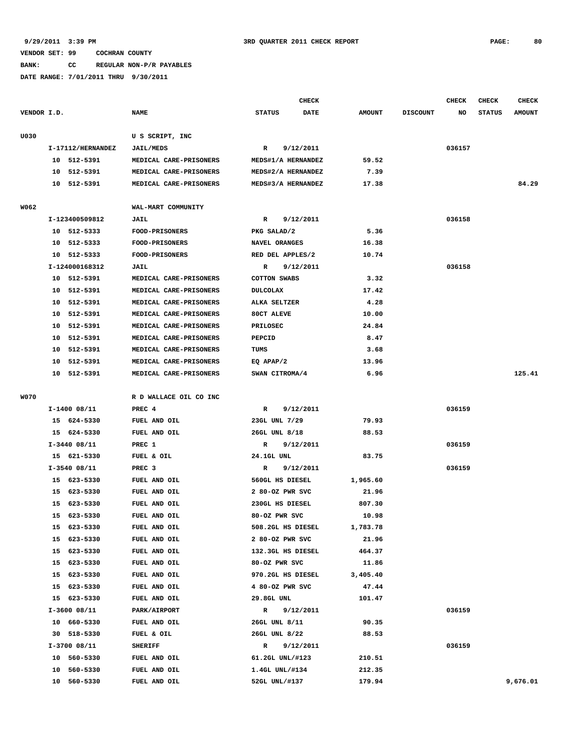**BANK: CC REGULAR NON-P/R PAYABLES**

|             |                   |                        | CHECK                 |               |                 | <b>CHECK</b> | <b>CHECK</b>  | <b>CHECK</b>  |
|-------------|-------------------|------------------------|-----------------------|---------------|-----------------|--------------|---------------|---------------|
| VENDOR I.D. |                   | <b>NAME</b>            | DATE<br><b>STATUS</b> | <b>AMOUNT</b> | <b>DISCOUNT</b> | NO           | <b>STATUS</b> | <b>AMOUNT</b> |
| U030        |                   | U S SCRIPT, INC        |                       |               |                 |              |               |               |
|             | I-17112/HERNANDEZ | <b>JAIL/MEDS</b>       | 9/12/2011<br>R        |               |                 | 036157       |               |               |
|             | 10 512-5391       | MEDICAL CARE-PRISONERS | MEDS#1/A HERNANDEZ    | 59.52         |                 |              |               |               |
|             | 10 512-5391       | MEDICAL CARE-PRISONERS | MEDS#2/A HERNANDEZ    | 7.39          |                 |              |               |               |
|             | 10<br>512-5391    | MEDICAL CARE-PRISONERS | MEDS#3/A HERNANDEZ    | 17.38         |                 |              |               | 84.29         |
| W062        |                   | WAL-MART COMMUNITY     |                       |               |                 |              |               |               |
|             | I-123400509812    | JAIL                   | R<br>9/12/2011        |               |                 | 036158       |               |               |
|             | 10 512-5333       | <b>FOOD-PRISONERS</b>  | PKG SALAD/2           | 5.36          |                 |              |               |               |
|             | 10 512-5333       | <b>FOOD-PRISONERS</b>  | NAVEL ORANGES         | 16.38         |                 |              |               |               |
|             | 10 512-5333       | <b>FOOD-PRISONERS</b>  | RED DEL APPLES/2      | 10.74         |                 |              |               |               |
|             | I-124000168312    | JAIL                   | 9/12/2011<br>R        |               |                 | 036158       |               |               |
|             | 10 512-5391       | MEDICAL CARE-PRISONERS | <b>COTTON SWABS</b>   | 3.32          |                 |              |               |               |
|             | 512-5391<br>10    | MEDICAL CARE-PRISONERS | <b>DULCOLAX</b>       | 17.42         |                 |              |               |               |
|             | 10 512-5391       | MEDICAL CARE-PRISONERS | ALKA SELTZER          | 4.28          |                 |              |               |               |
|             | 512-5391<br>10    | MEDICAL CARE-PRISONERS | 80CT ALEVE            | 10.00         |                 |              |               |               |
|             | 10<br>512-5391    | MEDICAL CARE-PRISONERS | <b>PRILOSEC</b>       | 24.84         |                 |              |               |               |
|             | 10 512-5391       | MEDICAL CARE-PRISONERS | PEPCID                | 8.47          |                 |              |               |               |
|             | 10 512-5391       | MEDICAL CARE-PRISONERS | TUMS                  | 3.68          |                 |              |               |               |
|             | 10<br>512-5391    | MEDICAL CARE-PRISONERS | EQ APAP/2             | 13.96         |                 |              |               |               |
|             | 512-5391<br>10    | MEDICAL CARE-PRISONERS | SWAN CITROMA/4        | 6.96          |                 |              |               | 125.41        |
| W070        |                   | R D WALLACE OIL CO INC |                       |               |                 |              |               |               |
|             | $I-1400$ 08/11    | PREC 4                 | 9/12/2011<br>R        |               |                 | 036159       |               |               |
|             | 15 624-5330       | FUEL AND OIL           | 23GL UNL 7/29         | 79.93         |                 |              |               |               |
|             | 15 624-5330       | FUEL AND OIL           | 26GL UNL 8/18         | 88.53         |                 |              |               |               |
|             | $I-3440$ 08/11    | PREC 1                 | 9/12/2011<br>R        |               |                 | 036159       |               |               |
|             | 15 621-5330       | FUEL & OIL             | 24.1GL UNL            | 83.75         |                 |              |               |               |
|             | $I-3540$ 08/11    | PREC <sub>3</sub>      | 9/12/2011<br>R        |               |                 | 036159       |               |               |
|             | 15 623-5330       | FUEL AND OIL           | 560GL HS DIESEL       | 1,965.60      |                 |              |               |               |
|             | 15 623-5330       | FUEL AND OIL           | 2 80-OZ PWR SVC       | 21.96         |                 |              |               |               |
|             | 15<br>623-5330    | FUEL AND OIL           | 230GL HS DIESEL       | 807.30        |                 |              |               |               |
|             | 15 623-5330       | FUEL AND OIL           | 80-OZ PWR SVC         | 10.98         |                 |              |               |               |
|             | 623-5330<br>15    | FUEL AND OIL           | 508.2GL HS DIESEL     | 1,783.78      |                 |              |               |               |
|             | 623-5330<br>15    | FUEL AND OIL           | 2 80-OZ PWR SVC       | 21.96         |                 |              |               |               |
|             | 15 623-5330       | FUEL AND OIL           | 132.3GL HS DIESEL     | 464.37        |                 |              |               |               |
|             | 15 623-5330       | FUEL AND OIL           | 80-OZ PWR SVC         | 11.86         |                 |              |               |               |
|             | 623-5330<br>15    | FUEL AND OIL           | 970.2GL HS DIESEL     | 3,405.40      |                 |              |               |               |
|             | 15 623-5330       | FUEL AND OIL           | 4 80-OZ PWR SVC       | 47.44         |                 |              |               |               |
|             | 15 623-5330       | FUEL AND OIL           | 29.8GL UNL            | 101.47        |                 |              |               |               |
|             | I-3600 08/11      | PARK/AIRPORT           | 9/12/2011<br>R        |               |                 | 036159       |               |               |
|             | 10 660-5330       | FUEL AND OIL           | 26GL UNL 8/11         | 90.35         |                 |              |               |               |
|             | 30 518-5330       | FUEL & OIL             | 26GL UNL 8/22         | 88.53         |                 |              |               |               |
|             | I-3700 08/11      | <b>SHERIFF</b>         | R<br>9/12/2011        |               |                 | 036159       |               |               |
|             | 10 560-5330       | FUEL AND OIL           | 61.2GL UNL/#123       | 210.51        |                 |              |               |               |
|             | 560-5330<br>10    | FUEL AND OIL           | 1.4GL UNL/#134        | 212.35        |                 |              |               |               |
|             | 560-5330<br>10    | FUEL AND OIL           | 52GL UNL/#137         | 179.94        |                 |              |               | 9,676.01      |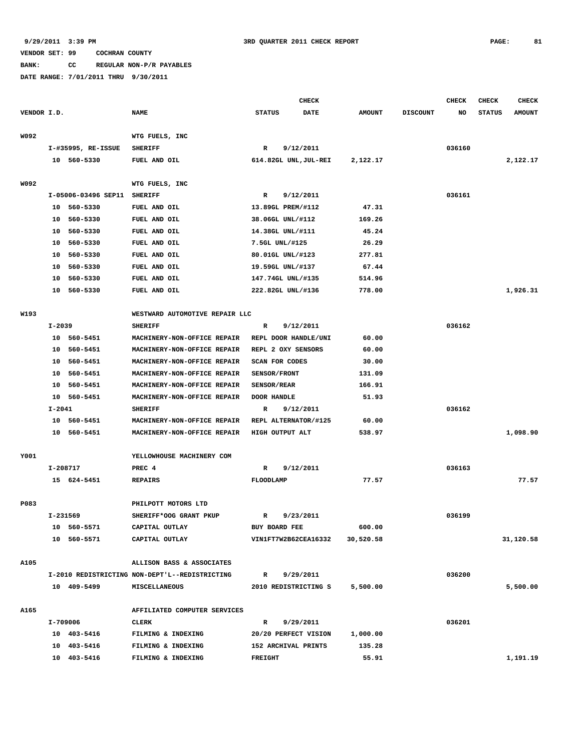**BANK: CC REGULAR NON-P/R PAYABLES**

**DATE RANGE: 7/01/2011 THRU 9/30/2011**

**CHECK CHECK CHECK CHECK** 

| VENDOR I.D. |            |                       | <b>NAME</b>                                    | <b>STATUS</b>      | <b>DATE</b>           | <b>AMOUNT</b> | <b>DISCOUNT</b> | NO     | <b>STATUS</b> | <b>AMOUNT</b> |
|-------------|------------|-----------------------|------------------------------------------------|--------------------|-----------------------|---------------|-----------------|--------|---------------|---------------|
| W092        |            |                       | WTG FUELS, INC                                 |                    |                       |               |                 |        |               |               |
|             |            | $I$ -#35995, RE-ISSUE | <b>SHERIFF</b>                                 | $\mathbb{R}$       | 9/12/2011             |               |                 | 036160 |               |               |
|             |            | 10 560-5330           | FUEL AND OIL                                   |                    | 614.82GL UNL, JUL-REI | 2,122.17      |                 |        |               | 2,122.17      |
|             |            |                       |                                                |                    |                       |               |                 |        |               |               |
| W092        |            |                       | WTG FUELS, INC                                 |                    |                       |               |                 |        |               |               |
|             |            | I-05006-03496 SEP11   | <b>SHERIFF</b>                                 | $\mathbb{R}$       | 9/12/2011             |               |                 | 036161 |               |               |
|             |            | 10 560-5330           | FUEL AND OIL                                   |                    | 13.89GL PREM/#112     | 47.31         |                 |        |               |               |
|             |            | 10 560-5330           | FUEL AND OIL                                   |                    | 38.06GL UNL/#112      | 169.26        |                 |        |               |               |
|             |            | 10 560-5330           | FUEL AND OIL                                   |                    | 14.38GL UNL/#111      | 45.24         |                 |        |               |               |
|             |            | 10 560-5330           | FUEL AND OIL                                   |                    | 7.5GL UNL/#125        | 26.29         |                 |        |               |               |
|             |            | 10 560-5330           | FUEL AND OIL                                   |                    | 80.01GL UNL/#123      | 277.81        |                 |        |               |               |
|             |            | 10 560-5330           | FUEL AND OIL                                   |                    | 19.59GL UNL/#137      | 67.44         |                 |        |               |               |
|             |            | 10 560-5330           | FUEL AND OIL                                   |                    | 147.74GL UNL/#135     | 514.96        |                 |        |               |               |
|             |            | 10 560-5330           | FUEL AND OIL                                   |                    | 222.82GL UNL/#136     | 778.00        |                 |        |               | 1,926.31      |
|             |            |                       |                                                |                    |                       |               |                 |        |               |               |
| W193        |            |                       | WESTWARD AUTOMOTIVE REPAIR LLC                 |                    |                       |               |                 |        |               |               |
|             | $I - 2039$ |                       | <b>SHERIFF</b>                                 | R                  | 9/12/2011             |               |                 | 036162 |               |               |
|             |            | 10 560-5451           | MACHINERY-NON-OFFICE REPAIR                    |                    | REPL DOOR HANDLE/UNI  | 60.00         |                 |        |               |               |
|             |            | 10 560-5451           | MACHINERY-NON-OFFICE REPAIR                    |                    | REPL 2 OXY SENSORS    | 60.00         |                 |        |               |               |
|             |            | 10 560-5451           | MACHINERY-NON-OFFICE REPAIR                    |                    | <b>SCAN FOR CODES</b> | 30.00         |                 |        |               |               |
|             |            | 10 560-5451           | MACHINERY-NON-OFFICE REPAIR                    | SENSOR/FRONT       |                       | 131.09        |                 |        |               |               |
|             | 10         | 560-5451              | MACHINERY-NON-OFFICE REPAIR                    | <b>SENSOR/REAR</b> |                       | 166.91        |                 |        |               |               |
|             |            | 10 560-5451           | MACHINERY-NON-OFFICE REPAIR                    | DOOR HANDLE        |                       | 51.93         |                 |        |               |               |
|             | I-2041     |                       | <b>SHERIFF</b>                                 | R                  | 9/12/2011             |               |                 | 036162 |               |               |
|             |            | 10 560-5451           | MACHINERY-NON-OFFICE REPAIR                    |                    | REPL ALTERNATOR/#125  | 60.00         |                 |        |               |               |
|             |            | 10 560-5451           | MACHINERY-NON-OFFICE REPAIR                    |                    | HIGH OUTPUT ALT       | 538.97        |                 |        |               | 1,098.90      |
|             |            |                       |                                                |                    |                       |               |                 |        |               |               |
| Y001        |            |                       | YELLOWHOUSE MACHINERY COM                      |                    |                       |               |                 |        |               |               |
|             |            | I-208717              | PREC 4                                         | R                  | 9/12/2011             |               |                 | 036163 |               |               |
|             |            | 15 624-5451           | <b>REPAIRS</b>                                 | FLOODLAMP          |                       | 77.57         |                 |        |               | 77.57         |
| P083        |            |                       | PHILPOTT MOTORS LTD                            |                    |                       |               |                 |        |               |               |
|             | I-231569   |                       | SHERIFF*OOG GRANT PKUP                         | R                  | 9/23/2011             |               |                 | 036199 |               |               |
|             |            | 10 560-5571           | CAPITAL OUTLAY                                 | BUY BOARD FEE      |                       | 600.00        |                 |        |               |               |
|             |            | 10 560-5571           | CAPITAL OUTLAY                                 |                    | VIN1FT7W2B62CEA16332  | 30,520.58     |                 |        |               | 31,120.58     |
|             |            |                       |                                                |                    |                       |               |                 |        |               |               |
| A105        |            |                       | ALLISON BASS & ASSOCIATES                      |                    |                       |               |                 |        |               |               |
|             |            |                       | I-2010 REDISTRICTING NON-DEPT'L--REDISTRICTING | $\mathbb{R}$       | 9/29/2011             |               |                 | 036200 |               |               |
|             |            | 10 409-5499           | MISCELLANEOUS                                  |                    | 2010 REDISTRICTING S  | 5,500.00      |                 |        |               | 5,500.00      |
| A165        |            |                       | AFFILIATED COMPUTER SERVICES                   |                    |                       |               |                 |        |               |               |
|             |            | I-709006              | CLERK                                          | $\mathbb{R}$       | 9/29/2011             |               |                 | 036201 |               |               |
|             |            | 10 403-5416           | FILMING & INDEXING                             |                    | 20/20 PERFECT VISION  | 1,000.00      |                 |        |               |               |
|             |            | 10 403-5416           | FILMING & INDEXING                             |                    | 152 ARCHIVAL PRINTS   | 135.28        |                 |        |               |               |
|             |            | 10 403-5416           | FILMING & INDEXING                             | <b>FREIGHT</b>     |                       | 55.91         |                 |        |               | 1,191.19      |
|             |            |                       |                                                |                    |                       |               |                 |        |               |               |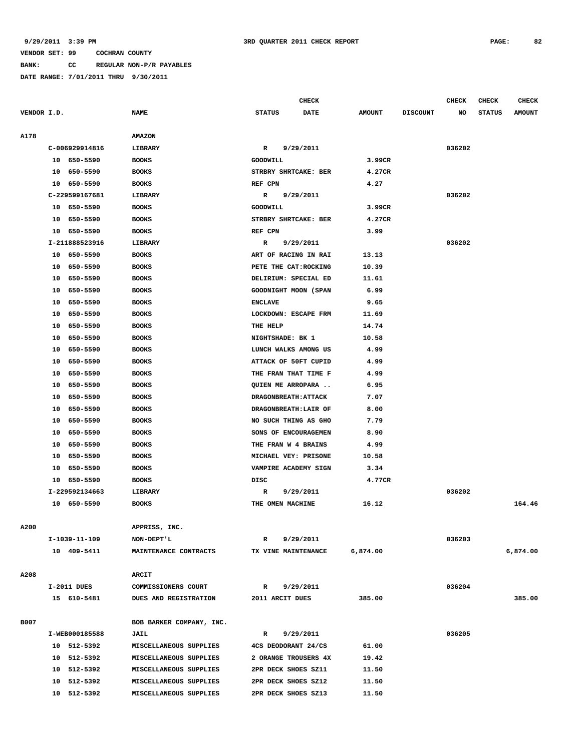**BANK: CC REGULAR NON-P/R PAYABLES**

**DATE RANGE: 7/01/2011 THRU 9/30/2011**

**CHECK CHECK CHECK CHECK CHECK CHECK CHECK** 

| VENDOR I.D. |                | <b>NAME</b>              | <b>STATUS</b><br><b>DATE</b> | <b>AMOUNT</b> | <b>DISCOUNT</b> | NO     | <b>STATUS</b> | <b>AMOUNT</b> |
|-------------|----------------|--------------------------|------------------------------|---------------|-----------------|--------|---------------|---------------|
| A178        |                | <b>AMAZON</b>            |                              |               |                 |        |               |               |
|             | C-006929914816 | LIBRARY                  | 9/29/2011<br>R               |               |                 | 036202 |               |               |
|             | 10 650-5590    | <b>BOOKS</b>             | GOODWILL                     | 3.99CR        |                 |        |               |               |
|             | 10 650-5590    | <b>BOOKS</b>             | STRBRY SHRTCAKE: BER         | 4.27CR        |                 |        |               |               |
|             | 10 650-5590    | <b>BOOKS</b>             | REF CPN                      | 4.27          |                 |        |               |               |
|             | C-229599167681 | LIBRARY                  | 9/29/2011<br>R               |               |                 | 036202 |               |               |
|             | 10 650-5590    | <b>BOOKS</b>             | GOODWILL                     | 3.99CR        |                 |        |               |               |
|             | 10 650-5590    | <b>BOOKS</b>             | STRBRY SHRTCAKE: BER         | 4.27CR        |                 |        |               |               |
|             | 10 650-5590    | <b>BOOKS</b>             | REF CPN                      | 3.99          |                 |        |               |               |
|             | I-211888523916 | LIBRARY                  | 9/29/2011<br>R               |               |                 | 036202 |               |               |
|             | 10 650-5590    | <b>BOOKS</b>             | ART OF RACING IN RAI         | 13.13         |                 |        |               |               |
|             | 10 650-5590    | <b>BOOKS</b>             | PETE THE CAT:ROCKING         | 10.39         |                 |        |               |               |
|             | 10 650-5590    | <b>BOOKS</b>             | DELIRIUM: SPECIAL ED         | 11.61         |                 |        |               |               |
|             | 10<br>650-5590 | <b>BOOKS</b>             | GOODNIGHT MOON (SPAN         | 6.99          |                 |        |               |               |
|             | 10<br>650-5590 | <b>BOOKS</b>             | <b>ENCLAVE</b>               | 9.65          |                 |        |               |               |
|             | 650-5590<br>10 | <b>BOOKS</b>             | LOCKDOWN: ESCAPE FRM         | 11.69         |                 |        |               |               |
|             | 650-5590<br>10 | <b>BOOKS</b>             | THE HELP                     | 14.74         |                 |        |               |               |
|             | 10<br>650-5590 | <b>BOOKS</b>             | NIGHTSHADE: BK 1             | 10.58         |                 |        |               |               |
|             | 10 650-5590    | <b>BOOKS</b>             | LUNCH WALKS AMONG US         | 4.99          |                 |        |               |               |
|             | 10<br>650-5590 | <b>BOOKS</b>             | ATTACK OF 50FT CUPID         | 4.99          |                 |        |               |               |
|             | 10<br>650-5590 | <b>BOOKS</b>             | THE FRAN THAT TIME F         | 4.99          |                 |        |               |               |
|             | 650-5590<br>10 | <b>BOOKS</b>             | QUIEN ME ARROPARA            | 6.95          |                 |        |               |               |
|             | 10<br>650-5590 | <b>BOOKS</b>             | DRAGONBREATH: ATTACK         | 7.07          |                 |        |               |               |
|             | 10<br>650-5590 | <b>BOOKS</b>             | DRAGONBREATH: LAIR OF        | 8.00          |                 |        |               |               |
|             | 10<br>650-5590 | <b>BOOKS</b>             | NO SUCH THING AS GHO         | 7.79          |                 |        |               |               |
|             | 10<br>650-5590 | <b>BOOKS</b>             | SONS OF ENCOURAGEMEN         | 8.90          |                 |        |               |               |
|             | 10<br>650-5590 | <b>BOOKS</b>             | THE FRAN W 4 BRAINS          | 4.99          |                 |        |               |               |
|             | 650-5590<br>10 | <b>BOOKS</b>             | MICHAEL VEY: PRISONE         | 10.58         |                 |        |               |               |
|             | 10 650-5590    | <b>BOOKS</b>             | VAMPIRE ACADEMY SIGN         | 3.34          |                 |        |               |               |
|             | 10 650-5590    | <b>BOOKS</b>             | DISC                         | 4.77CR        |                 |        |               |               |
|             | I-229592134663 | LIBRARY                  | R<br>9/29/2011               |               |                 | 036202 |               |               |
|             | 10 650-5590    | <b>BOOKS</b>             | THE OMEN MACHINE             | 16.12         |                 |        |               | 164.46        |
|             |                |                          |                              |               |                 |        |               |               |
| <b>A200</b> |                | APPRISS, INC.            |                              |               |                 |        |               |               |
|             | I-1039-11-109  | NON-DEPT'L               | 9/29/2011<br>R               |               |                 | 036203 |               |               |
|             | 10 409-5411    | MAINTENANCE CONTRACTS    | TX VINE MAINTENANCE          | 6,874.00      |                 |        |               | 6,874.00      |
|             |                |                          |                              |               |                 |        |               |               |
| A208        |                | <b>ARCIT</b>             |                              |               |                 |        |               |               |
|             | I-2011 DUES    | COMMISSIONERS COURT      | 9/29/2011<br>R               |               |                 | 036204 |               |               |
|             | 15 610-5481    | DUES AND REGISTRATION    | 2011 ARCIT DUES              | 385.00        |                 |        |               | 385.00        |
|             |                |                          |                              |               |                 |        |               |               |
| B007        |                | BOB BARKER COMPANY, INC. |                              |               |                 |        |               |               |
|             | I-WEB000185588 | <b>JAIL</b>              | 9/29/2011<br>R               |               |                 | 036205 |               |               |
|             | 10 512-5392    | MISCELLANEOUS SUPPLIES   | 4CS DEODORANT 24/CS          | 61.00         |                 |        |               |               |
|             | 10 512-5392    | MISCELLANEOUS SUPPLIES   | 2 ORANGE TROUSERS 4X         | 19.42         |                 |        |               |               |
|             | 10 512-5392    | MISCELLANEOUS SUPPLIES   | 2PR DECK SHOES SZ11          | 11.50         |                 |        |               |               |
|             | 10 512-5392    | MISCELLANEOUS SUPPLIES   | 2PR DECK SHOES SZ12          | 11.50         |                 |        |               |               |
|             | 10 512-5392    | MISCELLANEOUS SUPPLIES   | 2PR DECK SHOES SZ13          | 11.50         |                 |        |               |               |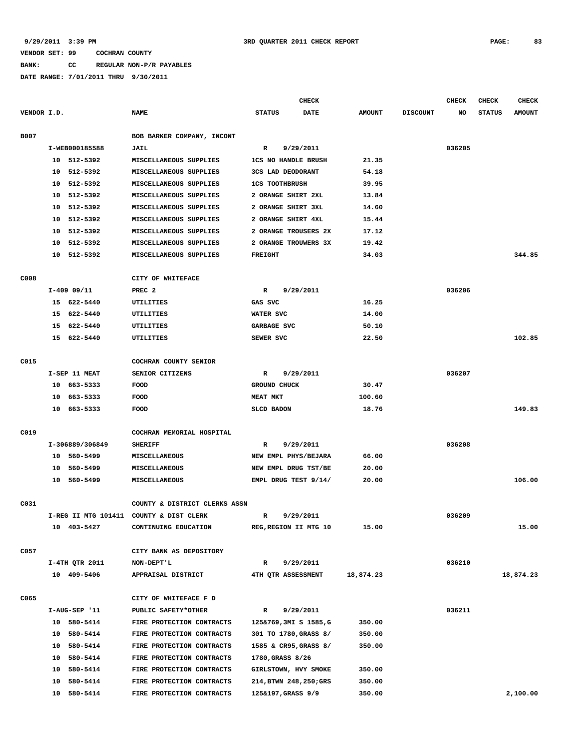**BANK: CC REGULAR NON-P/R PAYABLES**

|             |                     |                 |                                         |                            | <b>CHECK</b> |               |                 | <b>CHECK</b> | CHECK         | <b>CHECK</b>  |
|-------------|---------------------|-----------------|-----------------------------------------|----------------------------|--------------|---------------|-----------------|--------------|---------------|---------------|
| VENDOR I.D. |                     |                 | <b>NAME</b>                             | <b>STATUS</b>              | <b>DATE</b>  | <b>AMOUNT</b> | <b>DISCOUNT</b> | NO           | <b>STATUS</b> | <b>AMOUNT</b> |
|             |                     |                 |                                         |                            |              |               |                 |              |               |               |
| B007        |                     |                 | BOB BARKER COMPANY, INCONT              |                            |              |               |                 |              |               |               |
|             |                     | I-WEB000185588  | <b>JAIL</b>                             | R                          | 9/29/2011    |               |                 | 036205       |               |               |
|             |                     | 10 512-5392     | MISCELLANEOUS SUPPLIES                  | <b>1CS NO HANDLE BRUSH</b> |              | 21.35         |                 |              |               |               |
|             | 10                  | 512-5392        | MISCELLANEOUS SUPPLIES                  | 3CS LAD DEODORANT          |              | 54.18         |                 |              |               |               |
|             | 10                  | 512-5392        | MISCELLANEOUS SUPPLIES                  | <b>1CS TOOTHBRUSH</b>      |              | 39.95         |                 |              |               |               |
|             | 10                  | 512-5392        | MISCELLANEOUS SUPPLIES                  | 2 ORANGE SHIRT 2XL         |              | 13.84         |                 |              |               |               |
|             | 10                  | 512-5392        | MISCELLANEOUS SUPPLIES                  | 2 ORANGE SHIRT 3XL         |              | 14.60         |                 |              |               |               |
|             | 10                  | 512-5392        | MISCELLANEOUS SUPPLIES                  | 2 ORANGE SHIRT 4XL         |              | 15.44         |                 |              |               |               |
|             | 10                  | 512-5392        | MISCELLANEOUS SUPPLIES                  | 2 ORANGE TROUSERS 2X       |              | 17.12         |                 |              |               |               |
|             | 10                  | 512-5392        | MISCELLANEOUS SUPPLIES                  | 2 ORANGE TROUWERS 3X       |              | 19.42         |                 |              |               |               |
|             | 10                  | 512-5392        | MISCELLANEOUS SUPPLIES                  | <b>FREIGHT</b>             |              | 34.03         |                 |              |               | 344.85        |
| C008        |                     |                 | CITY OF WHITEFACE                       |                            |              |               |                 |              |               |               |
|             |                     | $I-409$ 09/11   | PREC <sub>2</sub>                       | $\mathbb R$                | 9/29/2011    |               |                 | 036206       |               |               |
|             |                     | 15 622-5440     | UTILITIES                               | GAS SVC                    |              | 16.25         |                 |              |               |               |
|             |                     | 15 622-5440     | UTILITIES                               | WATER SVC                  |              | 14.00         |                 |              |               |               |
|             | 15                  | 622-5440        | UTILITIES                               | GARBAGE SVC                |              | 50.10         |                 |              |               |               |
|             |                     | 15 622-5440     | UTILITIES                               | SEWER SVC                  |              | 22.50         |                 |              |               | 102.85        |
|             |                     |                 |                                         |                            |              |               |                 |              |               |               |
| C015        |                     |                 | COCHRAN COUNTY SENIOR                   |                            |              |               |                 |              |               |               |
|             |                     | I-SEP 11 MEAT   | SENIOR CITIZENS                         | R                          | 9/29/2011    |               |                 | 036207       |               |               |
|             | 10 663-5333<br>FOOD |                 | <b>GROUND CHUCK</b>                     |                            | 30.47        |               |                 |              |               |               |
|             | 10                  | 663-5333        | FOOD                                    | <b>MEAT MKT</b>            |              | 100.60        |                 |              |               |               |
|             |                     | 10 663-5333     | FOOD                                    | <b>SLCD BADON</b>          |              | 18.76         |                 |              |               | 149.83        |
|             |                     |                 |                                         |                            |              |               |                 |              |               |               |
| C019        |                     |                 | COCHRAN MEMORIAL HOSPITAL               |                            |              |               |                 |              |               |               |
|             |                     | I-306889/306849 | <b>SHERIFF</b>                          | R                          | 9/29/2011    |               |                 | 036208       |               |               |
|             |                     | 10 560-5499     | MISCELLANEOUS                           | NEW EMPL PHYS/BEJARA       |              | 66.00         |                 |              |               |               |
|             | 10                  | 560-5499        | <b>MISCELLANEOUS</b>                    | NEW EMPL DRUG TST/BE       |              | 20.00         |                 |              |               |               |
|             | 10                  | 560-5499        | MISCELLANEOUS                           | EMPL DRUG TEST 9/14/       |              | 20.00         |                 |              |               | 106.00        |
|             |                     |                 |                                         |                            |              |               |                 |              |               |               |
| C031        |                     |                 | COUNTY & DISTRICT CLERKS ASSN           |                            |              |               |                 |              |               |               |
|             |                     |                 | I-REG II MTG 101411 COUNTY & DIST CLERK | $\mathbb{R}$               | 9/29/2011    |               |                 | 036209       |               |               |
|             |                     | 10 403-5427     | CONTINUING EDUCATION                    | REG, REGION II MTG 10      |              | 15.00         |                 |              |               | 15.00         |
| C057        |                     |                 | CITY BANK AS DEPOSITORY                 |                            |              |               |                 |              |               |               |
|             |                     | I-4TH QTR 2011  | NON-DEPT'L                              | R                          | 9/29/2011    |               |                 | 036210       |               |               |
|             |                     | 10 409-5406     | APPRAISAL DISTRICT                      | 4TH OTR ASSESSMENT         |              | 18,874.23     |                 |              |               | 18,874.23     |
|             |                     |                 |                                         |                            |              |               |                 |              |               |               |
| C065        |                     |                 | CITY OF WHITEFACE F D                   |                            |              |               |                 |              |               |               |
|             |                     | I-AUG-SEP '11   | PUBLIC SAFETY*OTHER                     | $\mathbb{R}$               | 9/29/2011    |               |                 | 036211       |               |               |
|             |                     | 10 580-5414     | FIRE PROTECTION CONTRACTS               | 125&769,3MI S 1585,G       |              | 350.00        |                 |              |               |               |
|             |                     | 10 580-5414     | FIRE PROTECTION CONTRACTS               | 301 TO 1780, GRASS 8/      |              | 350.00        |                 |              |               |               |
|             |                     | 10 580-5414     | FIRE PROTECTION CONTRACTS               | 1585 & CR95, GRASS 8/      |              | 350.00        |                 |              |               |               |
|             |                     | 10 580-5414     | FIRE PROTECTION CONTRACTS               | 1780, GRASS 8/26           |              |               |                 |              |               |               |
|             |                     | 10 580-5414     | FIRE PROTECTION CONTRACTS               | GIRLSTOWN, HVY SMOKE       |              | 350.00        |                 |              |               |               |
|             | 10                  | 580-5414        | FIRE PROTECTION CONTRACTS               | 214, BTWN 248, 250; GRS    |              | 350.00        |                 |              |               |               |
|             |                     | 10 580-5414     | FIRE PROTECTION CONTRACTS               | 125&197, GRASS 9/9         |              | 350.00        |                 |              |               | 2,100.00      |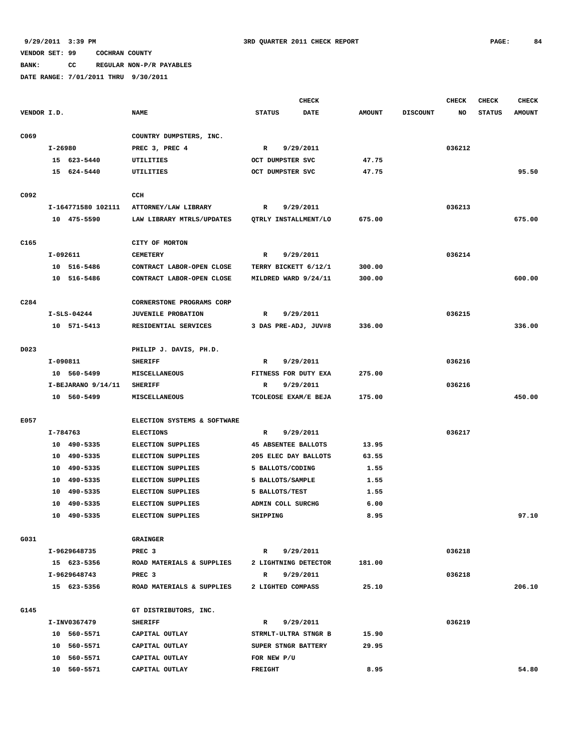**BANK: CC REGULAR NON-P/R PAYABLES**

|                  |         |                      |                             |                              | <b>CHECK</b> |               |                 | <b>CHECK</b> | <b>CHECK</b>  | <b>CHECK</b>  |
|------------------|---------|----------------------|-----------------------------|------------------------------|--------------|---------------|-----------------|--------------|---------------|---------------|
| VENDOR I.D.      |         |                      | <b>NAME</b>                 | <b>STATUS</b><br><b>DATE</b> |              | <b>AMOUNT</b> | <b>DISCOUNT</b> | NO           | <b>STATUS</b> | <b>AMOUNT</b> |
| C069             |         |                      | COUNTRY DUMPSTERS, INC.     |                              |              |               |                 |              |               |               |
|                  | I-26980 |                      | PREC 3, PREC 4              | $\mathbb{R}$                 | 9/29/2011    |               |                 | 036212       |               |               |
|                  |         | 15 623-5440          | UTILITIES                   | OCT DUMPSTER SVC             |              | 47.75         |                 |              |               |               |
|                  |         | 15 624-5440          | UTILITIES                   | OCT DUMPSTER SVC             |              | 47.75         |                 |              |               | 95.50         |
|                  |         |                      |                             |                              |              |               |                 |              |               |               |
| C092             |         |                      | CCH                         |                              |              |               |                 |              |               |               |
|                  |         | I-164771580 102111   | ATTORNEY/LAW LIBRARY        | 9/29/2011<br>R               |              |               |                 | 036213       |               |               |
|                  |         | 10 475-5590          | LAW LIBRARY MTRLS/UPDATES   | QTRLY INSTALLMENT/LO         |              | 675.00        |                 |              |               | 675.00        |
|                  |         |                      |                             |                              |              |               |                 |              |               |               |
| C165             |         |                      | CITY OF MORTON              |                              |              |               |                 |              |               |               |
|                  |         | I-092611             | <b>CEMETERY</b>             | R                            | 9/29/2011    |               |                 | 036214       |               |               |
|                  |         | 10 516-5486          | CONTRACT LABOR-OPEN CLOSE   | TERRY BICKETT 6/12/1         |              | 300.00        |                 |              |               |               |
|                  |         | 10 516-5486          | CONTRACT LABOR-OPEN CLOSE   | MILDRED WARD 9/24/11         |              | 300.00        |                 |              |               | 600.00        |
|                  |         |                      |                             |                              |              |               |                 |              |               |               |
| C <sub>284</sub> |         |                      | CORNERSTONE PROGRAMS CORP   |                              |              |               |                 |              |               |               |
|                  |         | $I-SLS-04244$        | <b>JUVENILE PROBATION</b>   | R                            | 9/29/2011    |               |                 | 036215       |               |               |
|                  |         | 10 571-5413          | RESIDENTIAL SERVICES        | 3 DAS PRE-ADJ, JUV#8         |              | 336.00        |                 |              |               | 336.00        |
|                  |         |                      |                             |                              |              |               |                 |              |               |               |
| D023             |         |                      | PHILIP J. DAVIS, PH.D.      |                              |              |               |                 |              |               |               |
|                  |         | I-090811             | <b>SHERIFF</b>              | R                            | 9/29/2011    |               |                 | 036216       |               |               |
|                  |         | 10 560-5499          | MISCELLANEOUS               | FITNESS FOR DUTY EXA         |              | 275.00        |                 |              |               |               |
|                  |         | $I-BEJARANO$ 9/14/11 | <b>SHERIFF</b>              | 9/29/2011<br>R               |              |               |                 | 036216       |               |               |
|                  |         | 10 560-5499          | <b>MISCELLANEOUS</b>        | TCOLEOSE EXAM/E BEJA         |              | 175.00        |                 |              |               | 450.00        |
|                  |         |                      |                             |                              |              |               |                 |              |               |               |
| E057             |         |                      | ELECTION SYSTEMS & SOFTWARE |                              |              |               |                 |              |               |               |
|                  |         | I-784763             | <b>ELECTIONS</b>            | R                            | 9/29/2011    |               |                 | 036217       |               |               |
|                  |         | 10 490-5335          | <b>ELECTION SUPPLIES</b>    | <b>45 ABSENTEE BALLOTS</b>   |              | 13.95         |                 |              |               |               |
|                  | 10      | 490-5335             | <b>ELECTION SUPPLIES</b>    | 205 ELEC DAY BALLOTS         |              | 63.55         |                 |              |               |               |
|                  | 10      | 490-5335             | <b>ELECTION SUPPLIES</b>    | 5 BALLOTS/CODING             |              | 1.55          |                 |              |               |               |
|                  |         | 10 490-5335          | <b>ELECTION SUPPLIES</b>    | 5 BALLOTS/SAMPLE             |              | 1.55          |                 |              |               |               |
|                  | 10      | 490-5335             | <b>ELECTION SUPPLIES</b>    | 5 BALLOTS/TEST               |              | 1.55          |                 |              |               |               |
|                  | 10      | 490-5335             | <b>ELECTION SUPPLIES</b>    | ADMIN COLL SURCHG            |              | 6.00          |                 |              |               |               |
|                  |         | 10 490-5335          | <b>ELECTION SUPPLIES</b>    | SHIPPING                     |              | 8.95          |                 |              |               | 97.10         |
|                  |         |                      |                             |                              |              |               |                 |              |               |               |
| G031             |         |                      | <b>GRAINGER</b>             |                              |              |               |                 |              |               |               |
|                  |         | I-9629648735         | PREC <sub>3</sub>           | $\mathbb{R}$                 | 9/29/2011    |               |                 | 036218       |               |               |
|                  |         | 15 623-5356          | ROAD MATERIALS & SUPPLIES   | 2 LIGHTNING DETECTOR         |              | 181.00        |                 |              |               |               |
|                  |         | I-9629648743         | PREC <sub>3</sub>           | $\mathbb{R}$                 | 9/29/2011    |               |                 | 036218       |               |               |
|                  |         | 15 623-5356          | ROAD MATERIALS & SUPPLIES   | 2 LIGHTED COMPASS            |              | 25.10         |                 |              |               | 206.10        |
|                  |         |                      |                             |                              |              |               |                 |              |               |               |
| G145             |         |                      | GT DISTRIBUTORS, INC.       |                              |              |               |                 |              |               |               |
|                  |         | I-INV0367479         | <b>SHERIFF</b>              | $\mathbf R$                  | 9/29/2011    |               |                 | 036219       |               |               |
|                  |         | 10 560-5571          | CAPITAL OUTLAY              | STRMLT-ULTRA STNGR B         |              | 15.90         |                 |              |               |               |
|                  |         | 10 560-5571          | CAPITAL OUTLAY              | SUPER STNGR BATTERY          |              | 29.95         |                 |              |               |               |
|                  |         | 10 560-5571          | CAPITAL OUTLAY              | FOR NEW P/U                  |              |               |                 |              |               |               |
|                  |         | 10 560-5571          | CAPITAL OUTLAY              | <b>FREIGHT</b>               |              | 8.95          |                 |              |               | 54.80         |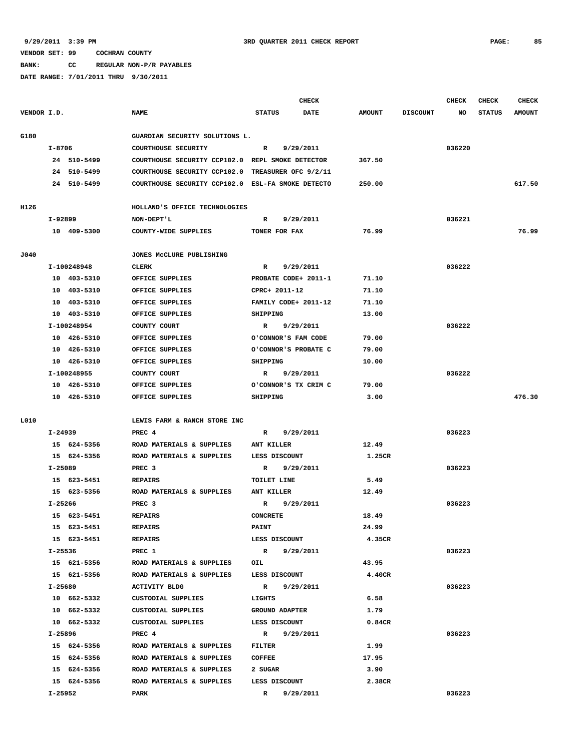**BANK: CC REGULAR NON-P/R PAYABLES**

|             |             |             |                                                   |                       | CHECK       |               |                 | <b>CHECK</b> | <b>CHECK</b>  | <b>CHECK</b>  |
|-------------|-------------|-------------|---------------------------------------------------|-----------------------|-------------|---------------|-----------------|--------------|---------------|---------------|
| VENDOR I.D. |             |             | <b>NAME</b>                                       | <b>STATUS</b>         | <b>DATE</b> | <b>AMOUNT</b> | <b>DISCOUNT</b> | NO           | <b>STATUS</b> | <b>AMOUNT</b> |
| G180        |             |             | GUARDIAN SECURITY SOLUTIONS L.                    |                       |             |               |                 |              |               |               |
|             | I-8706      |             | COURTHOUSE SECURITY                               | R                     | 9/29/2011   |               |                 | 036220       |               |               |
|             |             | 24 510-5499 | COURTHOUSE SECURITY CCP102.0 REPL SMOKE DETECTOR  |                       |             | 367.50        |                 |              |               |               |
|             |             | 24 510-5499 | COURTHOUSE SECURITY CCP102.0                      | TREASURER OFC 9/2/11  |             |               |                 |              |               |               |
|             |             | 24 510-5499 | COURTHOUSE SECURITY CCP102.0 ESL-FA SMOKE DETECTO |                       |             | 250.00        |                 |              |               | 617.50        |
|             |             |             |                                                   |                       |             |               |                 |              |               |               |
| H126        |             |             | HOLLAND'S OFFICE TECHNOLOGIES                     |                       |             |               |                 |              |               |               |
|             | I-92899     |             | NON-DEPT'L                                        | R                     | 9/29/2011   |               |                 | 036221       |               |               |
|             |             | 10 409-5300 | COUNTY-WIDE SUPPLIES                              | TONER FOR FAX         |             | 76.99         |                 |              |               | 76.99         |
| J040        |             |             | JONES MCCLURE PUBLISHING                          |                       |             |               |                 |              |               |               |
|             | I-100248948 |             | CLERK                                             | R                     | 9/29/2011   |               |                 | 036222       |               |               |
|             |             | 10 403-5310 | OFFICE SUPPLIES                                   | PROBATE CODE+ 2011-1  |             | 71.10         |                 |              |               |               |
|             |             | 10 403-5310 | OFFICE SUPPLIES                                   | CPRC+ 2011-12         |             | 71.10         |                 |              |               |               |
|             |             | 10 403-5310 | OFFICE SUPPLIES                                   | FAMILY CODE+ 2011-12  |             | 71.10         |                 |              |               |               |
|             |             | 10 403-5310 | OFFICE SUPPLIES                                   | SHIPPING              |             | 13.00         |                 |              |               |               |
|             | I-100248954 |             | COUNTY COURT                                      | R                     | 9/29/2011   |               |                 | 036222       |               |               |
|             |             | 10 426-5310 | OFFICE SUPPLIES                                   | O'CONNOR'S FAM CODE   |             | 79.00         |                 |              |               |               |
|             |             | 10 426-5310 | OFFICE SUPPLIES                                   | O'CONNOR'S PROBATE C  |             | 79.00         |                 |              |               |               |
|             |             | 10 426-5310 | OFFICE SUPPLIES                                   | SHIPPING              |             | 10.00         |                 |              |               |               |
|             | I-100248955 |             | COUNTY COURT                                      | $\mathbb{R}$          | 9/29/2011   |               |                 | 036222       |               |               |
|             |             | 10 426-5310 | OFFICE SUPPLIES                                   | O'CONNOR'S TX CRIM C  |             | 79.00         |                 |              |               |               |
|             |             | 10 426-5310 | OFFICE SUPPLIES                                   | SHIPPING              |             | 3.00          |                 |              |               | 476.30        |
|             |             |             |                                                   |                       |             |               |                 |              |               |               |
| L010        |             |             | LEWIS FARM & RANCH STORE INC                      |                       |             |               |                 |              |               |               |
|             | I-24939     |             | PREC 4                                            | R                     | 9/29/2011   |               |                 | 036223       |               |               |
|             |             | 15 624-5356 | ROAD MATERIALS & SUPPLIES                         | ANT KILLER            |             | 12.49         |                 |              |               |               |
|             |             | 15 624-5356 | ROAD MATERIALS & SUPPLIES                         | LESS DISCOUNT         |             | 1.25CR        |                 |              |               |               |
|             | I-25089     |             | PREC <sub>3</sub>                                 | R                     | 9/29/2011   |               |                 | 036223       |               |               |
|             |             | 15 623-5451 | <b>REPAIRS</b>                                    | TOILET LINE           |             | 5.49          |                 |              |               |               |
|             |             | 15 623-5356 | ROAD MATERIALS & SUPPLIES                         | ANT KILLER            |             | 12.49         |                 |              |               |               |
|             | I-25266     |             | PREC 3                                            | R                     | 9/29/2011   |               |                 | 036223       |               |               |
|             |             | 15 623-5451 | <b>REPAIRS</b>                                    | <b>CONCRETE</b>       |             | 18.49         |                 |              |               |               |
|             |             | 15 623-5451 | <b>REPAIRS</b>                                    | <b>PAINT</b>          |             | 24.99         |                 |              |               |               |
|             |             | 15 623-5451 | REPAIRS                                           | LESS DISCOUNT         |             | 4.35CR        |                 |              |               |               |
|             | I-25536     |             | PREC 1                                            | R 9/29/2011           |             |               |                 | 036223       |               |               |
|             |             | 15 621-5356 | ROAD MATERIALS & SUPPLIES                         | OIL                   |             | 43.95         |                 |              |               |               |
|             |             | 15 621-5356 | ROAD MATERIALS & SUPPLIES                         | LESS DISCOUNT         |             | 4.40CR        |                 |              |               |               |
|             | I-25680     |             | ACTIVITY BLDG                                     | R 9/29/2011           |             |               |                 | 036223       |               |               |
|             |             | 10 662-5332 | CUSTODIAL SUPPLIES                                | LIGHTS                |             | 6.58          |                 |              |               |               |
|             |             | 10 662-5332 | CUSTODIAL SUPPLIES                                | <b>GROUND ADAPTER</b> |             | 1.79          |                 |              |               |               |
|             |             | 10 662-5332 | CUSTODIAL SUPPLIES                                | LESS DISCOUNT         |             | 0.84CR        |                 |              |               |               |
|             | I-25896     |             | PREC 4                                            | R 9/29/2011           |             |               |                 | 036223       |               |               |
|             |             | 15 624-5356 | ROAD MATERIALS & SUPPLIES                         | <b>FILTER</b>         |             | 1.99          |                 |              |               |               |
|             |             | 15 624-5356 | ROAD MATERIALS & SUPPLIES                         | <b>COFFEE</b>         |             | 17.95         |                 |              |               |               |
|             |             | 15 624-5356 | ROAD MATERIALS & SUPPLIES                         | 2 SUGAR               |             | 3.90          |                 |              |               |               |
|             |             | 15 624-5356 | ROAD MATERIALS & SUPPLIES                         | LESS DISCOUNT         |             | 2.38CR        |                 |              |               |               |
|             | I-25952     |             | PARK                                              | R 9/29/2011           |             |               |                 | 036223       |               |               |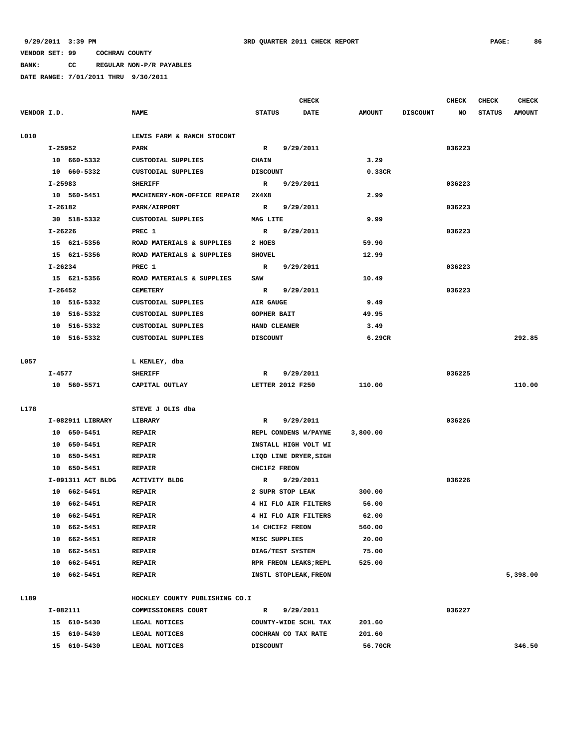**BANK: CC REGULAR NON-P/R PAYABLES**

|             |             |                   |                                |                    | <b>CHECK</b>          |               |                 | CHECK  | CHECK         | <b>CHECK</b>  |
|-------------|-------------|-------------------|--------------------------------|--------------------|-----------------------|---------------|-----------------|--------|---------------|---------------|
| VENDOR I.D. |             |                   | <b>NAME</b>                    | <b>STATUS</b>      | DATE                  | <b>AMOUNT</b> | <b>DISCOUNT</b> | NO     | <b>STATUS</b> | <b>AMOUNT</b> |
| L010        |             |                   | LEWIS FARM & RANCH STOCONT     |                    |                       |               |                 |        |               |               |
|             | I-25952     |                   | PARK                           | $\mathbb{R}$       | 9/29/2011             |               |                 | 036223 |               |               |
|             |             | 10 660-5332       | CUSTODIAL SUPPLIES             | <b>CHAIN</b>       |                       | 3.29          |                 |        |               |               |
|             |             | 10 660-5332       | CUSTODIAL SUPPLIES             | <b>DISCOUNT</b>    |                       | 0.33CR        |                 |        |               |               |
|             | $I-25983$   |                   | <b>SHERIFF</b>                 | R                  | 9/29/2011             |               |                 | 036223 |               |               |
|             |             | 10 560-5451       | MACHINERY-NON-OFFICE REPAIR    | 2X4X8              |                       | 2.99          |                 |        |               |               |
|             | I-26182     |                   | PARK/AIRPORT                   | R                  | 9/29/2011             |               |                 | 036223 |               |               |
|             |             | 30 518-5332       | CUSTODIAL SUPPLIES             | MAG LITE           |                       | 9.99          |                 |        |               |               |
|             | $I - 26226$ |                   | PREC 1                         | R                  | 9/29/2011             |               |                 | 036223 |               |               |
|             |             | 15 621-5356       | ROAD MATERIALS & SUPPLIES      | 2 HOES             |                       | 59.90         |                 |        |               |               |
|             |             | 15 621-5356       | ROAD MATERIALS & SUPPLIES      | <b>SHOVEL</b>      |                       | 12.99         |                 |        |               |               |
|             | $I - 26234$ |                   | PREC 1                         | $\mathbb{R}$       | 9/29/2011             |               |                 | 036223 |               |               |
|             |             | 15 621-5356       | ROAD MATERIALS & SUPPLIES      | SAW                |                       | 10.49         |                 |        |               |               |
|             | I-26452     |                   | <b>CEMETERY</b>                | $\mathbf R$        | 9/29/2011             |               |                 | 036223 |               |               |
|             |             | 10 516-5332       | CUSTODIAL SUPPLIES             | AIR GAUGE          |                       | 9.49          |                 |        |               |               |
|             |             | 10 516-5332       | CUSTODIAL SUPPLIES             | <b>GOPHER BAIT</b> |                       | 49.95         |                 |        |               |               |
|             |             | 10 516-5332       | <b>CUSTODIAL SUPPLIES</b>      | HAND CLEANER       |                       | 3.49          |                 |        |               |               |
|             |             | 10 516-5332       | <b>CUSTODIAL SUPPLIES</b>      | <b>DISCOUNT</b>    |                       | 6.29CR        |                 |        |               | 292.85        |
| L057        |             |                   | L KENLEY, dba                  |                    |                       |               |                 |        |               |               |
|             | I-4577      |                   | <b>SHERIFF</b>                 | R                  | 9/29/2011             |               |                 | 036225 |               |               |
|             |             | 10 560-5571       | CAPITAL OUTLAY                 |                    | LETTER 2012 F250      | 110.00        |                 |        |               | 110.00        |
|             |             |                   |                                |                    |                       |               |                 |        |               |               |
| L178        |             |                   | STEVE J OLIS dba               |                    |                       |               |                 |        |               |               |
|             |             | I-082911 LIBRARY  | LIBRARY                        | R                  | 9/29/2011             |               |                 | 036226 |               |               |
|             |             | 10 650-5451       | <b>REPAIR</b>                  |                    | REPL CONDENS W/PAYNE  | 3,800.00      |                 |        |               |               |
|             |             | 10 650-5451       | <b>REPAIR</b>                  |                    | INSTALL HIGH VOLT WI  |               |                 |        |               |               |
|             |             | 10 650-5451       | <b>REPAIR</b>                  |                    | LIQD LINE DRYER, SIGH |               |                 |        |               |               |
|             |             | 10 650-5451       | <b>REPAIR</b>                  | CHC1F2 FREON       |                       |               |                 |        |               |               |
|             |             | I-091311 ACT BLDG | <b>ACTIVITY BLDG</b>           | R                  | 9/29/2011             |               |                 | 036226 |               |               |
|             |             | 10 662-5451       | <b>REPAIR</b>                  |                    | 2 SUPR STOP LEAK      | 300.00        |                 |        |               |               |
|             | 10          | 662-5451          | <b>REPAIR</b>                  |                    | 4 HI FLO AIR FILTERS  | 56.00         |                 |        |               |               |
|             |             | 10 662-5451       | <b>REPAIR</b>                  |                    | 4 HI FLO AIR FILTERS  | 62.00         |                 |        |               |               |
|             | 10          | 662-5451          | <b>REPAIR</b>                  |                    | 14 CHCIF2 FREON       | 560.00        |                 |        |               |               |
|             |             | 10 662-5451       | <b>REPAIR</b>                  | MISC SUPPLIES      |                       | 20.00         |                 |        |               |               |
|             |             | 10 662-5451       | <b>REPAIR</b>                  |                    | DIAG/TEST SYSTEM      | 75.00         |                 |        |               |               |
|             |             | 10 662-5451       | <b>REPAIR</b>                  |                    | RPR FREON LEAKS; REPL | 525.00        |                 |        |               |               |
|             |             | 10 662-5451       | <b>REPAIR</b>                  |                    | INSTL STOPLEAK, FREON |               |                 |        |               | 5,398.00      |
| L189        |             |                   | HOCKLEY COUNTY PUBLISHING CO.I |                    |                       |               |                 |        |               |               |
|             |             | I-082111          | COMMISSIONERS COURT            | R                  | 9/29/2011             |               |                 | 036227 |               |               |
|             |             | 15 610-5430       | LEGAL NOTICES                  |                    | COUNTY-WIDE SCHL TAX  | 201.60        |                 |        |               |               |
|             |             | 15 610-5430       | LEGAL NOTICES                  |                    | COCHRAN CO TAX RATE   | 201.60        |                 |        |               |               |
|             |             | 15 610-5430       | LEGAL NOTICES                  | <b>DISCOUNT</b>    |                       | 56.70CR       |                 |        |               | 346.50        |
|             |             |                   |                                |                    |                       |               |                 |        |               |               |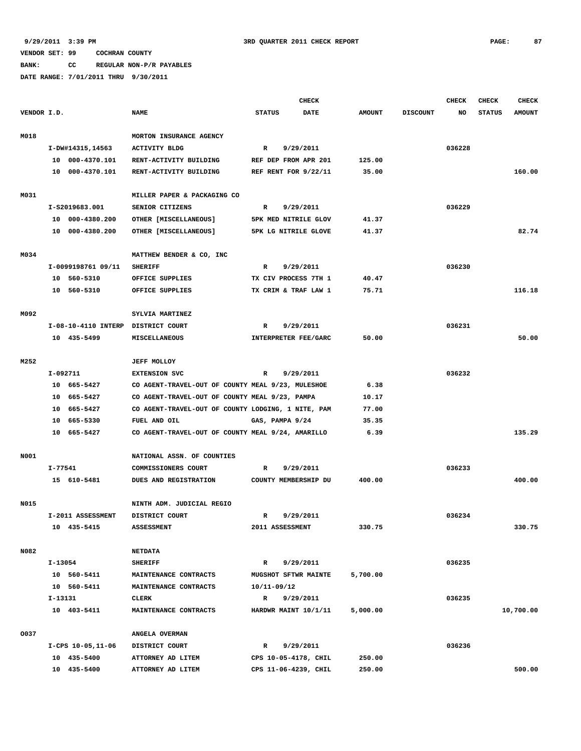**BANK: CC REGULAR NON-P/R PAYABLES**

|             |          |                                    |                                                    |                      | <b>CHECK</b> |               |                 | <b>CHECK</b> | <b>CHECK</b>  | CHECK         |
|-------------|----------|------------------------------------|----------------------------------------------------|----------------------|--------------|---------------|-----------------|--------------|---------------|---------------|
| VENDOR I.D. |          |                                    | <b>NAME</b>                                        | <b>STATUS</b>        | <b>DATE</b>  | <b>AMOUNT</b> | <b>DISCOUNT</b> | NO           | <b>STATUS</b> | <b>AMOUNT</b> |
| M018        |          |                                    | MORTON INSURANCE AGENCY                            |                      |              |               |                 |              |               |               |
|             |          | I-DW#14315,14563                   | <b>ACTIVITY BLDG</b>                               | $\mathbb{R}$         | 9/29/2011    |               |                 | 036228       |               |               |
|             |          | 10 000-4370.101                    | RENT-ACTIVITY BUILDING                             | REF DEP FROM APR 201 |              | 125.00        |                 |              |               |               |
|             |          | 10 000-4370.101                    | RENT-ACTIVITY BUILDING                             | REF RENT FOR 9/22/11 |              | 35.00         |                 |              |               | 160.00        |
|             |          |                                    |                                                    |                      |              |               |                 |              |               |               |
| M031        |          |                                    | MILLER PAPER & PACKAGING CO                        |                      |              |               |                 |              |               |               |
|             |          | I-S2019683.001                     | SENIOR CITIZENS                                    | R                    | 9/29/2011    |               |                 | 036229       |               |               |
|             |          | 10 000-4380.200                    | OTHER [MISCELLANEOUS]                              | 5PK MED NITRILE GLOV |              | 41.37         |                 |              |               |               |
|             |          | 10 000-4380.200                    | OTHER [MISCELLANEOUS]                              | 5PK LG NITRILE GLOVE |              | 41.37         |                 |              |               | 82.74         |
|             |          |                                    |                                                    |                      |              |               |                 |              |               |               |
| M034        |          |                                    | MATTHEW BENDER & CO, INC                           |                      |              |               |                 |              |               |               |
|             |          | I-0099198761 09/11                 | <b>SHERIFF</b>                                     | $\mathbb{R}$         | 9/29/2011    |               |                 | 036230       |               |               |
|             |          | 10 560-5310                        | OFFICE SUPPLIES                                    | TX CIV PROCESS 7TH 1 |              | 40.47         |                 |              |               |               |
|             |          | 10 560-5310                        | OFFICE SUPPLIES                                    | TX CRIM & TRAF LAW 1 |              | 75.71         |                 |              |               | 116.18        |
|             |          |                                    |                                                    |                      |              |               |                 |              |               |               |
| M092        |          |                                    | SYLVIA MARTINEZ                                    |                      |              |               |                 |              |               |               |
|             |          | I-08-10-4110 INTERP DISTRICT COURT |                                                    | R                    | 9/29/2011    |               |                 | 036231       |               |               |
|             |          | 10 435-5499                        | MISCELLANEOUS                                      | INTERPRETER FEE/GARC |              | 50.00         |                 |              |               | 50.00         |
|             |          |                                    |                                                    |                      |              |               |                 |              |               |               |
| M252        |          |                                    | <b>JEFF MOLLOY</b>                                 |                      |              |               |                 |              |               |               |
|             | I-092711 |                                    | <b>EXTENSION SVC</b>                               | R                    | 9/29/2011    |               |                 | 036232       |               |               |
|             |          | 10 665-5427                        | CO AGENT-TRAVEL-OUT OF COUNTY MEAL 9/23, MULESHOE  |                      |              | 6.38          |                 |              |               |               |
|             |          | 10 665-5427                        | CO AGENT-TRAVEL-OUT OF COUNTY MEAL 9/23, PAMPA     |                      |              | 10.17         |                 |              |               |               |
|             |          | 10 665-5427                        | CO AGENT-TRAVEL-OUT OF COUNTY LODGING, 1 NITE, PAM |                      |              | 77.00         |                 |              |               |               |
|             |          | 10 665-5330                        | FUEL AND OIL                                       | GAS, PAMPA 9/24      |              | 35.35         |                 |              |               |               |
|             |          | 10 665-5427                        | CO AGENT-TRAVEL-OUT OF COUNTY MEAL 9/24, AMARILLO  |                      |              | 6.39          |                 |              |               | 135.29        |
| <b>NO01</b> |          |                                    | NATIONAL ASSN. OF COUNTIES                         |                      |              |               |                 |              |               |               |
|             | I-77541  |                                    | COMMISSIONERS COURT                                | R                    | 9/29/2011    |               |                 | 036233       |               |               |
|             |          | 15 610-5481                        | DUES AND REGISTRATION                              | COUNTY MEMBERSHIP DU |              | 400.00        |                 |              |               | 400.00        |
|             |          |                                    |                                                    |                      |              |               |                 |              |               |               |
| N015        |          |                                    | NINTH ADM. JUDICIAL REGIO                          |                      |              |               |                 |              |               |               |
|             |          | I-2011 ASSESSMENT                  | DISTRICT COURT                                     | $\mathbb{R}$         | 9/29/2011    |               |                 | 036234       |               |               |
|             |          | 10 435-5415                        | <b>ASSESSMENT</b>                                  | 2011 ASSESSMENT      |              | 330.75        |                 |              |               | 330.75        |
|             |          |                                    |                                                    |                      |              |               |                 |              |               |               |
| N082        |          |                                    | <b>NETDATA</b>                                     |                      |              |               |                 |              |               |               |
|             | I-13054  |                                    | SHERIFF                                            | $\mathbf R$          | 9/29/2011    |               |                 | 036235       |               |               |
|             |          | 10 560-5411                        | MAINTENANCE CONTRACTS                              | MUGSHOT SFTWR MAINTE |              | 5,700.00      |                 |              |               |               |
|             |          | 10 560-5411                        | MAINTENANCE CONTRACTS                              | 10/11-09/12          |              |               |                 |              |               |               |
|             | I-13131  |                                    | <b>CLERK</b>                                       | R 9/29/2011          |              |               |                 | 036235       |               |               |
|             |          | 10 403-5411                        | MAINTENANCE CONTRACTS                              | HARDWR MAINT 10/1/11 |              | 5,000.00      |                 |              |               | 10,700.00     |
|             |          |                                    |                                                    |                      |              |               |                 |              |               |               |
| 0037        |          |                                    | ANGELA OVERMAN                                     |                      |              |               |                 |              |               |               |
|             |          | I-CPS 10-05, 11-06                 | DISTRICT COURT                                     | R                    | 9/29/2011    |               |                 | 036236       |               |               |
|             |          | 10 435-5400                        | ATTORNEY AD LITEM                                  | CPS 10-05-4178, CHIL |              | 250.00        |                 |              |               |               |
|             |          | 10 435-5400                        | ATTORNEY AD LITEM                                  | CPS 11-06-4239, CHIL |              | 250.00        |                 |              |               | 500.00        |
|             |          |                                    |                                                    |                      |              |               |                 |              |               |               |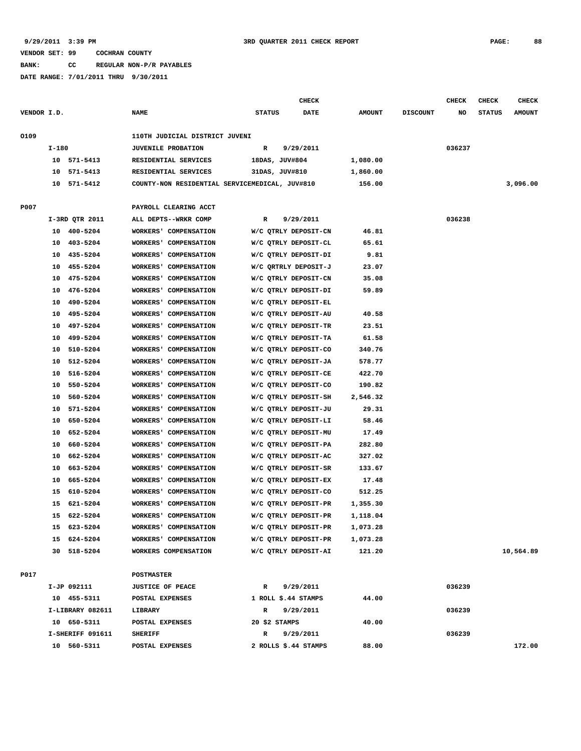**BANK: CC REGULAR NON-P/R PAYABLES**

|             |       |                  |                                                |                      | <b>CHECK</b>         |               |                 | CHECK  | <b>CHECK</b>  | <b>CHECK</b>  |
|-------------|-------|------------------|------------------------------------------------|----------------------|----------------------|---------------|-----------------|--------|---------------|---------------|
| VENDOR I.D. |       |                  | <b>NAME</b>                                    | <b>STATUS</b>        | <b>DATE</b>          | <b>AMOUNT</b> | <b>DISCOUNT</b> | NO     | <b>STATUS</b> | <b>AMOUNT</b> |
|             |       |                  |                                                |                      |                      |               |                 |        |               |               |
| 0109        |       |                  | 110TH JUDICIAL DISTRICT JUVENI                 |                      |                      |               |                 |        |               |               |
|             | I-180 |                  | <b>JUVENILE PROBATION</b>                      | $\mathbb{R}$         | 9/29/2011            |               |                 | 036237 |               |               |
|             |       | 10 571-5413      | RESIDENTIAL SERVICES                           | 18DAS, JUV#804       |                      | 1,080.00      |                 |        |               |               |
|             | 10    | 571-5413         | RESIDENTIAL SERVICES                           | 31DAS, JUV#810       |                      | 1,860.00      |                 |        |               |               |
|             | 10    | 571-5412         | COUNTY-NON RESIDENTIAL SERVICEMEDICAL, JUV#810 |                      |                      | 156.00        |                 |        |               | 3,096.00      |
|             |       |                  |                                                |                      |                      |               |                 |        |               |               |
| P007        |       |                  | PAYROLL CLEARING ACCT                          |                      |                      |               |                 |        |               |               |
|             |       | I-3RD QTR 2011   | ALL DEPTS--WRKR COMP                           | R                    | 9/29/2011            |               |                 | 036238 |               |               |
|             |       | 10 400-5204      | WORKERS' COMPENSATION                          | W/C QTRLY DEPOSIT-CN |                      | 46.81         |                 |        |               |               |
|             | 10    | 403-5204         | WORKERS' COMPENSATION                          | W/C QTRLY DEPOSIT-CL |                      | 65.61         |                 |        |               |               |
|             | 10    | 435-5204         | WORKERS' COMPENSATION                          | W/C QTRLY DEPOSIT-DI |                      | 9.81          |                 |        |               |               |
|             | 10    | 455-5204         | WORKERS' COMPENSATION                          | W/C QRTRLY DEPOSIT-J |                      | 23.07         |                 |        |               |               |
|             | 10    | 475-5204         | WORKERS' COMPENSATION                          | W/C QTRLY DEPOSIT-CN |                      | 35.08         |                 |        |               |               |
|             |       | 476-5204         |                                                |                      |                      |               |                 |        |               |               |
|             | 10    |                  | WORKERS' COMPENSATION                          | W/C QTRLY DEPOSIT-DI |                      | 59.89         |                 |        |               |               |
|             | 10    | 490-5204         | WORKERS' COMPENSATION                          | W/C QTRLY DEPOSIT-EL |                      |               |                 |        |               |               |
|             | 10    | 495-5204         | WORKERS' COMPENSATION                          | W/C QTRLY DEPOSIT-AU |                      | 40.58         |                 |        |               |               |
|             | 10    | 497-5204         | WORKERS' COMPENSATION                          | W/C QTRLY DEPOSIT-TR |                      | 23.51         |                 |        |               |               |
|             | 10    | 499-5204         | WORKERS' COMPENSATION                          | W/C QTRLY DEPOSIT-TA |                      | 61.58         |                 |        |               |               |
|             | 10    | 510-5204         | WORKERS' COMPENSATION                          |                      | W/C QTRLY DEPOSIT-CO | 340.76        |                 |        |               |               |
|             | 10    | 512-5204         | WORKERS' COMPENSATION                          | W/C QTRLY DEPOSIT-JA |                      | 578.77        |                 |        |               |               |
|             | 10    | 516-5204         | WORKERS' COMPENSATION                          | W/C QTRLY DEPOSIT-CE |                      | 422.70        |                 |        |               |               |
|             | 10    | 550-5204         | WORKERS' COMPENSATION                          | W/C QTRLY DEPOSIT-CO |                      | 190.82        |                 |        |               |               |
|             | 10    | 560-5204         | WORKERS' COMPENSATION                          |                      | W/C QTRLY DEPOSIT-SH | 2,546.32      |                 |        |               |               |
|             | 10    | 571-5204         | WORKERS' COMPENSATION                          | W/C QTRLY DEPOSIT-JU |                      | 29.31         |                 |        |               |               |
|             | 10    | 650-5204         | WORKERS' COMPENSATION                          |                      | W/C QTRLY DEPOSIT-LI | 58.46         |                 |        |               |               |
|             | 10    | 652-5204         | WORKERS' COMPENSATION                          | W/C QTRLY DEPOSIT-MU |                      | 17.49         |                 |        |               |               |
|             | 10    | 660-5204         | WORKERS' COMPENSATION                          | W/C QTRLY DEPOSIT-PA |                      | 282.80        |                 |        |               |               |
|             | 10    | 662-5204         | WORKERS' COMPENSATION                          | W/C QTRLY DEPOSIT-AC |                      | 327.02        |                 |        |               |               |
|             | 10    | 663-5204         | WORKERS' COMPENSATION                          | W/C QTRLY DEPOSIT-SR |                      | 133.67        |                 |        |               |               |
|             | 10    | 665-5204         | WORKERS' COMPENSATION                          | W/C QTRLY DEPOSIT-EX |                      | 17.48         |                 |        |               |               |
|             | 15    | 610-5204         | WORKERS' COMPENSATION                          | W/C QTRLY DEPOSIT-CO |                      | 512.25        |                 |        |               |               |
|             | 15    | 621-5204         | WORKERS' COMPENSATION                          |                      | W/C QTRLY DEPOSIT-PR | 1,355.30      |                 |        |               |               |
|             |       | 15 622-5204      | WORKERS' COMPENSATION                          | W/C QTRLY DEPOSIT-PR |                      | 1,118.04      |                 |        |               |               |
|             |       | 15 623-5204      | WORKERS' COMPENSATION                          | W/C QTRLY DEPOSIT-PR |                      | 1,073.28      |                 |        |               |               |
|             |       | 15 624-5204      | WORKERS' COMPENSATION                          |                      | W/C QTRLY DEPOSIT-PR | 1,073.28      |                 |        |               |               |
|             |       | 30 518-5204      | WORKERS COMPENSATION                           |                      | W/C QTRLY DEPOSIT-AI | 121.20        |                 |        |               | 10,564.89     |
|             |       |                  |                                                |                      |                      |               |                 |        |               |               |
| P017        |       |                  | <b>POSTMASTER</b>                              |                      |                      |               |                 |        |               |               |
|             |       | I-JP 092111      | <b>JUSTICE OF PEACE</b>                        | R                    | 9/29/2011            |               |                 | 036239 |               |               |
|             |       | 10 455-5311      | POSTAL EXPENSES                                | 1 ROLL \$.44 STAMPS  |                      | 44.00         |                 |        |               |               |
|             |       | I-LIBRARY 082611 | LIBRARY                                        | R                    | 9/29/2011            |               |                 | 036239 |               |               |
|             |       | 10 650-5311      | POSTAL EXPENSES                                | 20 \$2 STAMPS        |                      | 40.00         |                 |        |               |               |
|             |       | I-SHERIFF 091611 | <b>SHERIFF</b>                                 | R                    | 9/29/2011            |               |                 | 036239 |               |               |
|             |       | 10 560-5311      | POSTAL EXPENSES                                | 2 ROLLS \$.44 STAMPS |                      | 88.00         |                 |        |               | 172.00        |
|             |       |                  |                                                |                      |                      |               |                 |        |               |               |
|             |       |                  |                                                |                      |                      |               |                 |        |               |               |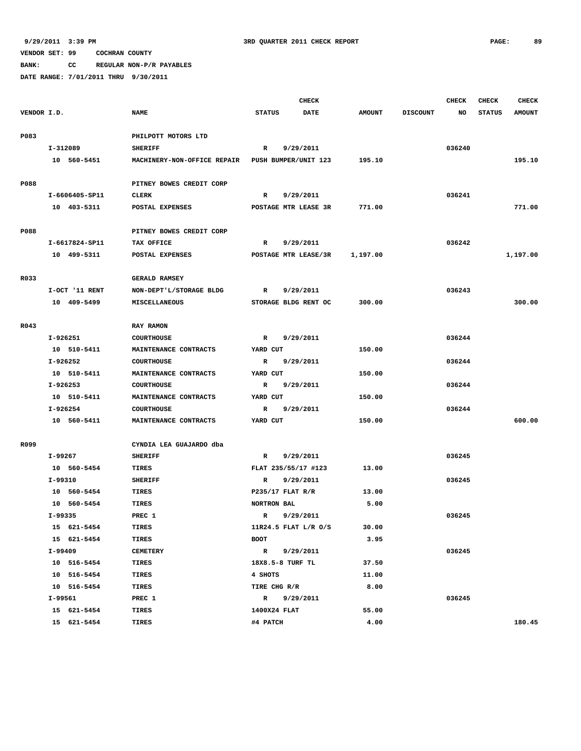**BANK: CC REGULAR NON-P/R PAYABLES**

|             |          |                |                             |                              | <b>CHECK</b>         |               |                 | CHECK  | <b>CHECK</b>  | <b>CHECK</b>  |
|-------------|----------|----------------|-----------------------------|------------------------------|----------------------|---------------|-----------------|--------|---------------|---------------|
| VENDOR I.D. |          |                | <b>NAME</b>                 | <b>STATUS</b>                | <b>DATE</b>          | <b>AMOUNT</b> | <b>DISCOUNT</b> | NO     | <b>STATUS</b> | <b>AMOUNT</b> |
|             |          |                |                             |                              |                      |               |                 |        |               |               |
| P083        |          |                | PHILPOTT MOTORS LTD         |                              |                      |               |                 |        |               |               |
|             | I-312089 |                | <b>SHERIFF</b>              | R                            | 9/29/2011            |               |                 | 036240 |               |               |
|             |          | 10 560-5451    | MACHINERY-NON-OFFICE REPAIR |                              | PUSH BUMPER/UNIT 123 | 195.10        |                 |        |               | 195.10        |
|             |          |                |                             |                              |                      |               |                 |        |               |               |
| P088        |          |                | PITNEY BOWES CREDIT CORP    |                              |                      |               |                 |        |               |               |
|             |          | I-6606405-SP11 | <b>CLERK</b>                | $\mathbb{R}$                 | 9/29/2011            |               |                 | 036241 |               |               |
|             |          | 10 403-5311    | POSTAL EXPENSES             |                              | POSTAGE MTR LEASE 3R | 771.00        |                 |        |               | 771.00        |
| P088        |          |                | PITNEY BOWES CREDIT CORP    |                              |                      |               |                 |        |               |               |
|             |          | I-6617824-SP11 | TAX OFFICE                  | R                            | 9/29/2011            |               |                 | 036242 |               |               |
|             |          | 10 499-5311    | POSTAL EXPENSES             |                              | POSTAGE MTR LEASE/3R | 1,197.00      |                 |        |               | 1,197.00      |
|             |          |                |                             |                              |                      |               |                 |        |               |               |
| R033        |          |                | <b>GERALD RAMSEY</b>        |                              |                      |               |                 |        |               |               |
|             |          | I-OCT '11 RENT | NON-DEPT'L/STORAGE BLDG     | R                            | 9/29/2011            |               |                 | 036243 |               |               |
|             |          | 10 409-5499    | <b>MISCELLANEOUS</b>        |                              | STORAGE BLDG RENT OC | 300.00        |                 |        |               | 300.00        |
|             |          |                |                             |                              |                      |               |                 |        |               |               |
| R043        |          |                | RAY RAMON                   |                              |                      |               |                 |        |               |               |
|             | I-926251 |                | <b>COURTHOUSE</b>           | $\mathbb{R}$                 | 9/29/2011            |               |                 | 036244 |               |               |
|             |          | 10 510-5411    | MAINTENANCE CONTRACTS       | YARD CUT                     |                      | 150.00        |                 |        |               |               |
|             | I-926252 |                | <b>COURTHOUSE</b>           | R                            | 9/29/2011            |               |                 | 036244 |               |               |
|             |          | 10 510-5411    | MAINTENANCE CONTRACTS       | YARD CUT                     |                      | 150.00        |                 |        |               |               |
|             | I-926253 |                | <b>COURTHOUSE</b>           | $\mathbf R$                  | 9/29/2011            |               |                 | 036244 |               |               |
|             |          | 10 510-5411    | MAINTENANCE CONTRACTS       | YARD CUT                     |                      | 150.00        |                 |        |               |               |
|             | I-926254 |                | <b>COURTHOUSE</b>           | R                            | 9/29/2011            |               |                 | 036244 |               |               |
|             |          | 10 560-5411    | MAINTENANCE CONTRACTS       | YARD CUT                     |                      | 150.00        |                 |        |               | 600.00        |
|             |          |                |                             |                              |                      |               |                 |        |               |               |
| R099        |          |                | CYNDIA LEA GUAJARDO dba     |                              |                      |               |                 |        |               |               |
|             | I-99267  |                | <b>SHERIFF</b>              | R                            | 9/29/2011            |               |                 | 036245 |               |               |
|             |          | 10 560-5454    | TIRES                       |                              | FLAT 235/55/17 #123  | 13.00         |                 |        |               |               |
|             | I-99310  |                | <b>SHERIFF</b>              | R                            | 9/29/2011            |               |                 | 036245 |               |               |
|             |          | 10 560-5454    | <b>TIRES</b>                |                              | $P$ 235/17 FLAT R/R  | 13.00         |                 |        |               |               |
|             |          | 10 560-5454    | TIRES                       | NORTRON BAL                  |                      | 5.00          |                 |        |               |               |
|             | I-99335  |                | PREC 1                      | $\mathbb{R}$                 | 9/29/2011            |               |                 | 036245 |               |               |
|             |          | 15 621-5454    | TIRES                       |                              | 11R24.5 FLAT L/R O/S | 30.00         |                 |        |               |               |
|             |          | 15 621-5454    | TIRES                       | BOOT                         |                      | 3.95          |                 |        |               |               |
|             | I-99409  |                | <b>CEMETERY</b>             | $\mathbb{R}$                 | 9/29/2011            |               |                 | 036245 |               |               |
|             |          | 10 516-5454    | TIRES                       |                              | 18X8.5-8 TURF TL     | 37.50         |                 |        |               |               |
|             |          | 10 516-5454    | TIRES                       | 4 SHOTS                      |                      | 11.00         |                 |        |               |               |
|             | I-99561  | 10 516-5454    | TIRES<br>PREC 1             | TIRE CHG R/R<br>$\mathbf{R}$ | 9/29/2011            | 8.00          |                 | 036245 |               |               |
|             |          | 15 621-5454    | TIRES                       | 1400X24 FLAT                 |                      | 55.00         |                 |        |               |               |
|             |          | 15 621-5454    | TIRES                       | #4 PATCH                     |                      | 4.00          |                 |        |               | 180.45        |
|             |          |                |                             |                              |                      |               |                 |        |               |               |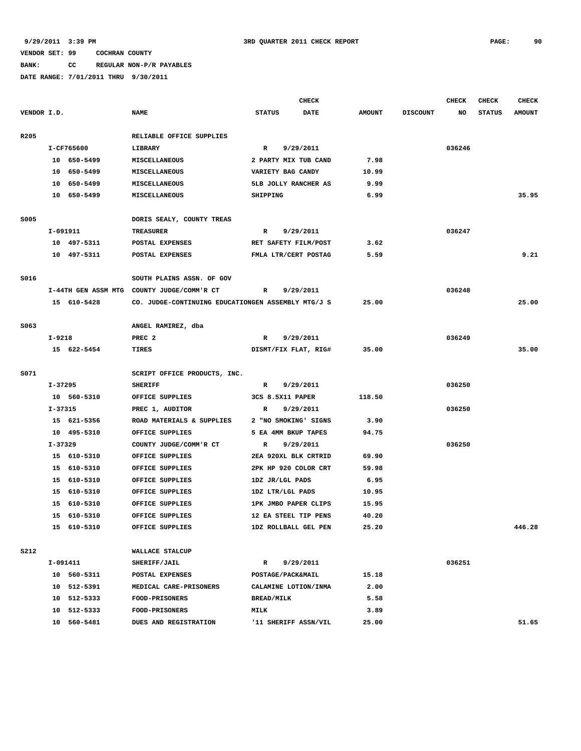# **BANK: CC REGULAR NON-P/R PAYABLES**

|             |          |             |                                                    |                   | <b>CHECK</b>         |               |                 | <b>CHECK</b> | CHECK         | <b>CHECK</b>  |
|-------------|----------|-------------|----------------------------------------------------|-------------------|----------------------|---------------|-----------------|--------------|---------------|---------------|
| VENDOR I.D. |          |             | <b>NAME</b>                                        | <b>STATUS</b>     | <b>DATE</b>          | <b>AMOUNT</b> | <b>DISCOUNT</b> | NO           | <b>STATUS</b> | <b>AMOUNT</b> |
| R205        |          |             | RELIABLE OFFICE SUPPLIES                           |                   |                      |               |                 |              |               |               |
|             |          | I-CF765600  | LIBRARY                                            | $\mathbf{R}$      | 9/29/2011            |               |                 | 036246       |               |               |
|             |          | 10 650-5499 | MISCELLANEOUS                                      |                   | 2 PARTY MIX TUB CAND | 7.98          |                 |              |               |               |
|             |          | 10 650-5499 | MISCELLANEOUS                                      |                   | VARIETY BAG CANDY    | 10.99         |                 |              |               |               |
|             |          | 10 650-5499 | <b>MISCELLANEOUS</b>                               |                   | 5LB JOLLY RANCHER AS | 9.99          |                 |              |               |               |
|             |          | 10 650-5499 | MISCELLANEOUS                                      | SHIPPING          |                      | 6.99          |                 |              |               | 35.95         |
| S005        |          |             | DORIS SEALY, COUNTY TREAS                          |                   |                      |               |                 |              |               |               |
|             | I-091911 |             | <b>TREASURER</b>                                   | R                 | 9/29/2011            |               |                 | 036247       |               |               |
|             |          | 10 497-5311 | POSTAL EXPENSES                                    |                   | RET SAFETY FILM/POST | 3.62          |                 |              |               |               |
|             |          | 10 497-5311 | POSTAL EXPENSES                                    |                   | FMLA LTR/CERT POSTAG | 5.59          |                 |              |               | 9.21          |
| S016        |          |             | SOUTH PLAINS ASSN. OF GOV                          |                   |                      |               |                 |              |               |               |
|             |          |             | I-44TH GEN ASSM MTG COUNTY JUDGE/COMM'R CT         | R                 | 9/29/2011            |               |                 | 036248       |               |               |
|             |          | 15 610-5428 | CO. JUDGE-CONTINUING EDUCATIONGEN ASSEMBLY MTG/J S |                   |                      | 25.00         |                 |              |               | 25.00         |
| S063        |          |             | ANGEL RAMIREZ, dba                                 |                   |                      |               |                 |              |               |               |
|             | $I-9218$ |             | PREC <sub>2</sub>                                  | R                 | 9/29/2011            |               |                 | 036249       |               |               |
|             |          | 15 622-5454 | TIRES                                              |                   | DISMT/FIX FLAT, RIG# | 35.00         |                 |              |               | 35.00         |
|             |          |             |                                                    |                   |                      |               |                 |              |               |               |
| S071        |          |             | SCRIPT OFFICE PRODUCTS, INC.                       |                   |                      |               |                 |              |               |               |
|             | I-37295  |             | <b>SHERIFF</b>                                     | R                 | 9/29/2011            |               |                 | 036250       |               |               |
|             |          | 10 560-5310 | OFFICE SUPPLIES                                    |                   | 3CS 8.5X11 PAPER     | 118.50        |                 |              |               |               |
|             | I-37315  |             | PREC 1, AUDITOR                                    | R                 | 9/29/2011            |               |                 | 036250       |               |               |
|             |          | 15 621-5356 | ROAD MATERIALS & SUPPLIES                          |                   | 2 "NO SMOKING' SIGNS | 3.90          |                 |              |               |               |
|             |          | 10 495-5310 | OFFICE SUPPLIES                                    |                   | 5 EA 4MM BKUP TAPES  | 94.75         |                 |              |               |               |
|             | I-37329  |             | COUNTY JUDGE/COMM'R CT                             | R                 | 9/29/2011            |               |                 | 036250       |               |               |
|             |          | 15 610-5310 | OFFICE SUPPLIES                                    |                   | 2EA 920XL BLK CRTRID | 69.90         |                 |              |               |               |
|             |          | 15 610-5310 | OFFICE SUPPLIES                                    |                   | 2PK HP 920 COLOR CRT | 59.98         |                 |              |               |               |
|             |          | 15 610-5310 | OFFICE SUPPLIES                                    | 1DZ JR/LGL PADS   |                      | 6.95          |                 |              |               |               |
|             |          | 15 610-5310 | OFFICE SUPPLIES                                    |                   | 1DZ LTR/LGL PADS     | 10.95         |                 |              |               |               |
|             |          | 15 610-5310 | OFFICE SUPPLIES                                    |                   | 1PK JMBO PAPER CLIPS | 15.95         |                 |              |               |               |
|             |          | 15 610-5310 | OFFICE SUPPLIES                                    |                   | 12 EA STEEL TIP PENS | 40.20         |                 |              |               |               |
|             |          | 15 610-5310 | OFFICE SUPPLIES                                    |                   | 1DZ ROLLBALL GEL PEN | 25.20         |                 |              |               | 446.28        |
| <b>S212</b> |          |             | WALLACE STALCUP                                    |                   |                      |               |                 |              |               |               |
|             |          | I-091411    | SHERIFF/JAIL                                       | R                 | 9/29/2011            |               |                 | 036251       |               |               |
|             |          | 10 560-5311 | POSTAL EXPENSES                                    |                   | POSTAGE/PACK&MAIL    | 15.18         |                 |              |               |               |
|             |          | 10 512-5391 | MEDICAL CARE-PRISONERS                             |                   | CALAMINE LOTION/INMA | 2.00          |                 |              |               |               |
|             |          | 10 512-5333 | FOOD-PRISONERS                                     | <b>BREAD/MILK</b> |                      | 5.58          |                 |              |               |               |
|             |          | 10 512-5333 | FOOD-PRISONERS                                     | MILK              |                      | 3.89          |                 |              |               |               |
|             |          | 10 560-5481 | DUES AND REGISTRATION                              |                   | '11 SHERIFF ASSN/VIL | 25.00         |                 |              |               | 51.65         |
|             |          |             |                                                    |                   |                      |               |                 |              |               |               |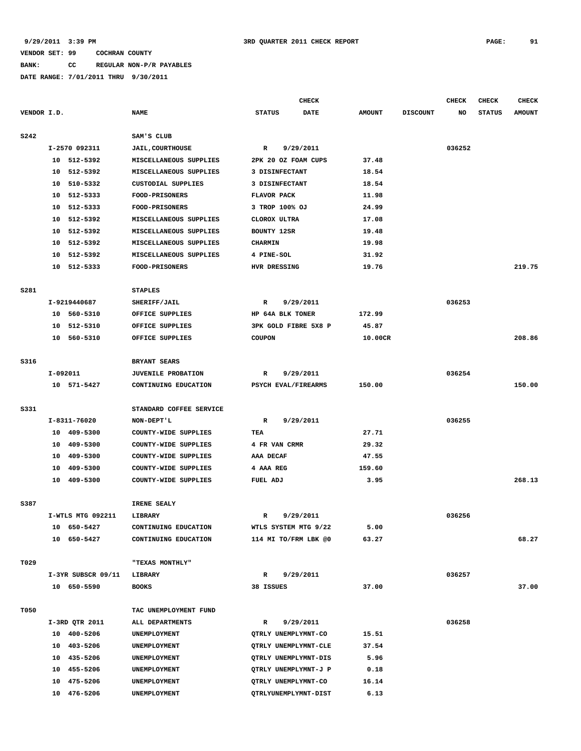# **BANK: CC REGULAR NON-P/R PAYABLES**

|             |          |                    |                             |                      | CHECK       |               |                 | <b>CHECK</b> | <b>CHECK</b>  | <b>CHECK</b>  |
|-------------|----------|--------------------|-----------------------------|----------------------|-------------|---------------|-----------------|--------------|---------------|---------------|
| VENDOR I.D. |          |                    | <b>NAME</b>                 | <b>STATUS</b>        | <b>DATE</b> | <b>AMOUNT</b> | <b>DISCOUNT</b> | NO           | <b>STATUS</b> | <b>AMOUNT</b> |
| S242        |          |                    | SAM'S CLUB                  |                      |             |               |                 |              |               |               |
|             |          | I-2570 092311      | <b>JAIL, COURTHOUSE</b>     | R                    | 9/29/2011   |               |                 | 036252       |               |               |
|             |          | 10 512-5392        | MISCELLANEOUS SUPPLIES      | 2PK 20 OZ FOAM CUPS  |             | 37.48         |                 |              |               |               |
|             | 10       | 512-5392           | MISCELLANEOUS SUPPLIES      | 3 DISINFECTANT       |             | 18.54         |                 |              |               |               |
|             | 10       | 510-5332           | <b>CUSTODIAL SUPPLIES</b>   | 3 DISINFECTANT       |             | 18.54         |                 |              |               |               |
|             | 10       | 512-5333           | <b>FOOD-PRISONERS</b>       | <b>FLAVOR PACK</b>   |             | 11.98         |                 |              |               |               |
|             | 10       | 512-5333           | <b>FOOD-PRISONERS</b>       | 3 TROP 100% OJ       |             | 24.99         |                 |              |               |               |
|             | 10       | 512-5392           | MISCELLANEOUS SUPPLIES      | CLOROX ULTRA         |             | 17.08         |                 |              |               |               |
|             | 10       | 512-5392           | MISCELLANEOUS SUPPLIES      | <b>BOUNTY 12SR</b>   |             | 19.48         |                 |              |               |               |
|             | 10       | 512-5392           | MISCELLANEOUS SUPPLIES      | <b>CHARMIN</b>       |             | 19.98         |                 |              |               |               |
|             | 10       | 512-5392           | MISCELLANEOUS SUPPLIES      | 4 PINE-SOL           |             | 31.92         |                 |              |               |               |
|             | 10       | 512-5333           | <b>FOOD-PRISONERS</b>       | HVR DRESSING         |             | 19.76         |                 |              |               | 219.75        |
|             |          |                    |                             |                      |             |               |                 |              |               |               |
| S281        |          |                    | <b>STAPLES</b>              |                      |             |               |                 |              |               |               |
|             |          | I-9219440687       | SHERIFF/JAIL                | R                    | 9/29/2011   |               |                 | 036253       |               |               |
|             |          | 10 560-5310        | OFFICE SUPPLIES             | HP 64A BLK TONER     |             | 172.99        |                 |              |               |               |
|             | 10       | 512-5310           | OFFICE SUPPLIES             | 3PK GOLD FIBRE 5X8 P |             | 45.87         |                 |              |               |               |
|             | 10       | 560-5310           | OFFICE SUPPLIES             | <b>COUPON</b>        |             | 10.00CR       |                 |              |               | 208.86        |
|             |          |                    |                             |                      |             |               |                 |              |               |               |
| S316        |          |                    | BRYANT SEARS                |                      |             |               |                 |              |               |               |
|             | I-092011 |                    | <b>JUVENILE PROBATION</b>   | R                    | 9/29/2011   |               |                 | 036254       |               |               |
|             |          | 10 571-5427        | CONTINUING EDUCATION        | PSYCH EVAL/FIREARMS  |             | 150.00        |                 |              |               | 150.00        |
| S331        |          |                    | STANDARD COFFEE SERVICE     |                      |             |               |                 |              |               |               |
|             |          | I-8311-76020       | NON-DEPT'L                  | R                    | 9/29/2011   |               |                 | 036255       |               |               |
|             |          | 10 409-5300        | COUNTY-WIDE SUPPLIES        | TEA                  |             | 27.71         |                 |              |               |               |
|             | 10       | 409-5300           | COUNTY-WIDE SUPPLIES        | 4 FR VAN CRMR        |             | 29.32         |                 |              |               |               |
|             | 10       | 409-5300           | COUNTY-WIDE SUPPLIES        | AAA DECAF            |             | 47.55         |                 |              |               |               |
|             | 10       | 409-5300           | COUNTY-WIDE SUPPLIES        | 4 AAA REG            |             | 159.60        |                 |              |               |               |
|             | 10       | 409-5300           | <b>COUNTY-WIDE SUPPLIES</b> | FUEL ADJ             |             | 3.95          |                 |              |               | 268.13        |
|             |          |                    |                             |                      |             |               |                 |              |               |               |
| S387        |          |                    | IRENE SEALY                 |                      |             |               |                 |              |               |               |
|             |          | I-WTLS MTG 092211  | <b>LIBRARY</b>              | R                    | 9/29/2011   |               |                 | 036256       |               |               |
|             | 10       | 650-5427           | CONTINUING EDUCATION        | WTLS SYSTEM MTG 9/22 |             | 5.00          |                 |              |               |               |
|             |          | 10 650-5427        | CONTINUING EDUCATION        | 114 MI TO/FRM LBK @0 |             | 63.27         |                 |              |               | 68.27         |
| T029        |          |                    | "TEXAS MONTHLY"             |                      |             |               |                 |              |               |               |
|             |          | I-3YR SUBSCR 09/11 | LIBRARY                     | R                    | 9/29/2011   |               |                 | 036257       |               |               |
|             |          | 10 650-5590        | <b>BOOKS</b>                | 38 ISSUES            |             | 37.00         |                 |              |               | 37.00         |
|             |          |                    |                             |                      |             |               |                 |              |               |               |
| T050        |          |                    | TAC UNEMPLOYMENT FUND       |                      |             |               |                 |              |               |               |
|             |          | I-3RD QTR 2011     | ALL DEPARTMENTS             | $\mathbb{R}$         | 9/29/2011   |               |                 | 036258       |               |               |
|             |          | 10 400-5206        | UNEMPLOYMENT                | QTRLY UNEMPLYMNT-CO  |             | 15.51         |                 |              |               |               |
|             |          | 10 403-5206        | UNEMPLOYMENT                | QTRLY UNEMPLYMNT-CLE |             | 37.54         |                 |              |               |               |
|             | 10       | 435-5206           | UNEMPLOYMENT                | QTRLY UNEMPLYMNT-DIS |             | 5.96          |                 |              |               |               |
|             |          | 10 455-5206        | UNEMPLOYMENT                | QTRLY UNEMPLYMNT-J P |             | 0.18          |                 |              |               |               |
|             | 10       | 475-5206           | UNEMPLOYMENT                | QTRLY UNEMPLYMNT-CO  |             | 16.14         |                 |              |               |               |
|             |          | 10 476-5206        | UNEMPLOYMENT                | QTRLYUNEMPLYMNT-DIST |             | 6.13          |                 |              |               |               |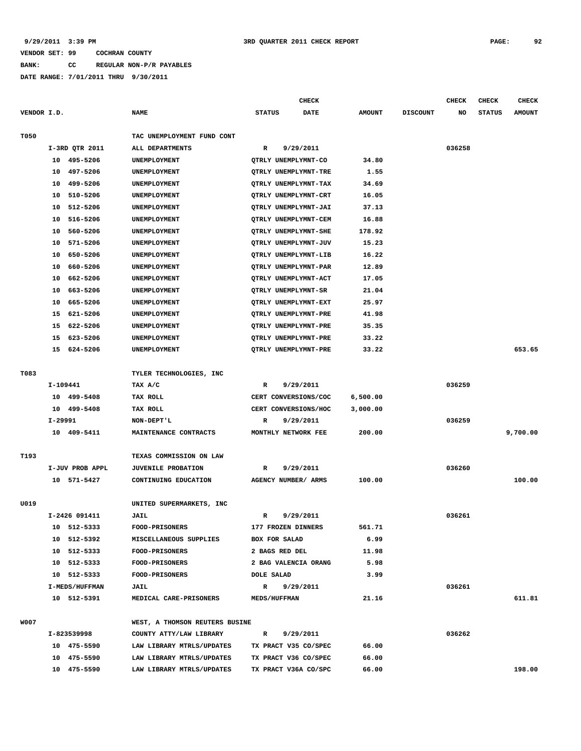**BANK: CC REGULAR NON-P/R PAYABLES**

|             |          |                 |                                |                     | <b>CHECK</b>         |               |                 | CHECK  | <b>CHECK</b>  | <b>CHECK</b>  |
|-------------|----------|-----------------|--------------------------------|---------------------|----------------------|---------------|-----------------|--------|---------------|---------------|
| VENDOR I.D. |          |                 | <b>NAME</b>                    | <b>STATUS</b>       | <b>DATE</b>          | <b>AMOUNT</b> | <b>DISCOUNT</b> | NO     | <b>STATUS</b> | <b>AMOUNT</b> |
| T050        |          |                 | TAC UNEMPLOYMENT FUND CONT     |                     |                      |               |                 |        |               |               |
|             |          | I-3RD QTR 2011  | ALL DEPARTMENTS                | R                   | 9/29/2011            |               |                 | 036258 |               |               |
|             | 10       | 495-5206        | UNEMPLOYMENT                   |                     | QTRLY UNEMPLYMNT-CO  | 34.80         |                 |        |               |               |
|             | 10       | 497-5206        | UNEMPLOYMENT                   |                     | QTRLY UNEMPLYMNT-TRE | 1.55          |                 |        |               |               |
|             | 10       | 499-5206        | UNEMPLOYMENT                   |                     | QTRLY UNEMPLYMNT-TAX | 34.69         |                 |        |               |               |
|             | 10       | 510-5206        | UNEMPLOYMENT                   |                     | QTRLY UNEMPLYMNT-CRT | 16.05         |                 |        |               |               |
|             | 10       | 512-5206        | UNEMPLOYMENT                   |                     | QTRLY UNEMPLYMNT-JAI | 37.13         |                 |        |               |               |
|             | 10       | 516-5206        | UNEMPLOYMENT                   |                     | QTRLY UNEMPLYMNT-CEM | 16.88         |                 |        |               |               |
|             | 10       | 560-5206        | UNEMPLOYMENT                   |                     | QTRLY UNEMPLYMNT-SHE | 178.92        |                 |        |               |               |
|             | 10       | 571-5206        | UNEMPLOYMENT                   |                     | QTRLY UNEMPLYMNT-JUV | 15.23         |                 |        |               |               |
|             | 10       | 650-5206        | UNEMPLOYMENT                   |                     | QTRLY UNEMPLYMNT-LIB | 16.22         |                 |        |               |               |
|             | 10       | 660-5206        | UNEMPLOYMENT                   |                     | QTRLY UNEMPLYMNT-PAR | 12.89         |                 |        |               |               |
|             | 10       | 662-5206        | UNEMPLOYMENT                   |                     | QTRLY UNEMPLYMNT-ACT | 17.05         |                 |        |               |               |
|             | 10       | 663-5206        | UNEMPLOYMENT                   |                     | OTRLY UNEMPLYMNT-SR  | 21.04         |                 |        |               |               |
|             | 10       | 665-5206        | UNEMPLOYMENT                   |                     | QTRLY UNEMPLYMNT-EXT | 25.97         |                 |        |               |               |
|             | 15       | 621-5206        | UNEMPLOYMENT                   |                     | QTRLY UNEMPLYMNT-PRE | 41.98         |                 |        |               |               |
|             | 15       | 622-5206        | UNEMPLOYMENT                   |                     | QTRLY UNEMPLYMNT-PRE | 35.35         |                 |        |               |               |
|             | 15       | 623-5206        | UNEMPLOYMENT                   |                     | QTRLY UNEMPLYMNT-PRE | 33.22         |                 |        |               |               |
|             | 15       | 624-5206        | UNEMPLOYMENT                   |                     | QTRLY UNEMPLYMNT-PRE | 33.22         |                 |        |               | 653.65        |
| T083        |          |                 | TYLER TECHNOLOGIES, INC        |                     |                      |               |                 |        |               |               |
|             | I-109441 |                 | TAX A/C                        | R                   | 9/29/2011            |               |                 | 036259 |               |               |
|             | 10       | 499-5408        | <b>TAX ROLL</b>                |                     | CERT CONVERSIONS/COC | 6,500.00      |                 |        |               |               |
|             |          | 10 499-5408     | TAX ROLL                       |                     | CERT CONVERSIONS/HOC | 3,000.00      |                 |        |               |               |
|             | I-29991  |                 | NON-DEPT'L                     | R                   | 9/29/2011            |               |                 | 036259 |               |               |
|             |          | 10 409-5411     | MAINTENANCE CONTRACTS          |                     | MONTHLY NETWORK FEE  | 200.00        |                 |        |               | 9,700.00      |
|             |          |                 |                                |                     |                      |               |                 |        |               |               |
| T193        |          |                 | TEXAS COMMISSION ON LAW        |                     |                      |               |                 |        |               |               |
|             |          | I-JUV PROB APPL | <b>JUVENILE PROBATION</b>      | R                   | 9/29/2011            |               |                 | 036260 |               |               |
|             |          | 10 571-5427     | CONTINUING EDUCATION           |                     | AGENCY NUMBER/ ARMS  | 100.00        |                 |        |               | 100.00        |
| U019        |          |                 | UNITED SUPERMARKETS, INC       |                     |                      |               |                 |        |               |               |
|             |          | I-2426 091411   | <b>JAIL</b>                    | R                   | 9/29/2011            |               |                 | 036261 |               |               |
|             | 10       | 512-5333        | FOOD-PRISONERS                 |                     | 177 FROZEN DINNERS   | 561.71        |                 |        |               |               |
|             |          | 10 512-5392     | MISCELLANEOUS SUPPLIES         |                     | <b>BOX FOR SALAD</b> | 6.99          |                 |        |               |               |
|             |          | 10 512-5333     | FOOD-PRISONERS                 |                     | 2 BAGS RED DEL       | 11.98         |                 |        |               |               |
|             |          | 10 512-5333     | <b>FOOD-PRISONERS</b>          |                     | 2 BAG VALENCIA ORANG | 5.98          |                 |        |               |               |
|             |          | 10 512-5333     | <b>FOOD-PRISONERS</b>          | <b>DOLE SALAD</b>   |                      | 3.99          |                 |        |               |               |
|             |          | I-MEDS/HUFFMAN  | <b>JAIL</b>                    | R                   | 9/29/2011            |               |                 | 036261 |               |               |
|             |          | 10 512-5391     | MEDICAL CARE-PRISONERS         | <b>MEDS/HUFFMAN</b> |                      | 21.16         |                 |        |               | 611.81        |
| W007        |          |                 | WEST, A THOMSON REUTERS BUSINE |                     |                      |               |                 |        |               |               |
|             |          | I-823539998     | COUNTY ATTY/LAW LIBRARY        | $\mathbb{R}$        | 9/29/2011            |               |                 | 036262 |               |               |
|             |          | 10 475-5590     | LAW LIBRARY MTRLS/UPDATES      |                     | TX PRACT V35 CO/SPEC | 66.00         |                 |        |               |               |
|             |          | 10 475-5590     | LAW LIBRARY MTRLS/UPDATES      |                     | TX PRACT V36 CO/SPEC | 66.00         |                 |        |               |               |
|             |          | 10 475-5590     | LAW LIBRARY MTRLS/UPDATES      |                     | TX PRACT V36A CO/SPC | 66.00         |                 |        |               | 198.00        |
|             |          |                 |                                |                     |                      |               |                 |        |               |               |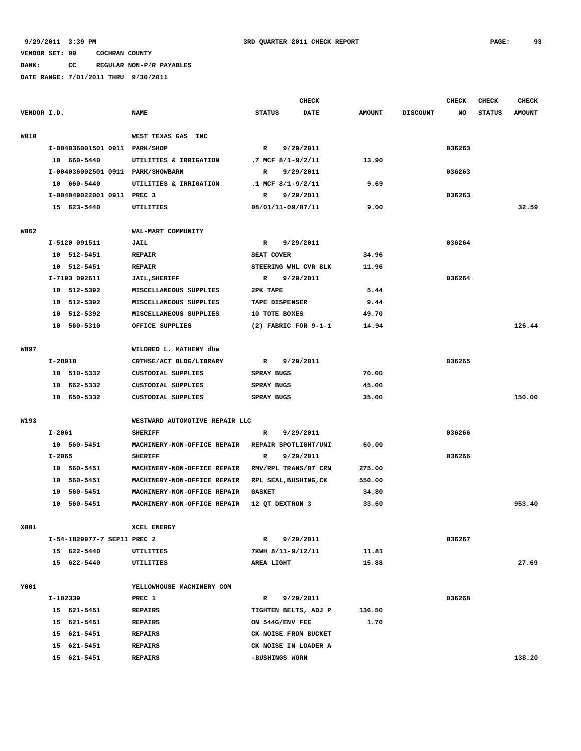**BANK: CC REGULAR NON-P/R PAYABLES**

|             |            |                                   |                                |                | <b>CHECK</b>             |               |                 | <b>CHECK</b> | <b>CHECK</b>  | <b>CHECK</b>  |
|-------------|------------|-----------------------------------|--------------------------------|----------------|--------------------------|---------------|-----------------|--------------|---------------|---------------|
| VENDOR I.D. |            |                                   | <b>NAME</b>                    | <b>STATUS</b>  | <b>DATE</b>              | <b>AMOUNT</b> | <b>DISCOUNT</b> | NO           | <b>STATUS</b> | <b>AMOUNT</b> |
|             |            |                                   |                                |                |                          |               |                 |              |               |               |
| W010        |            |                                   | WEST TEXAS GAS<br>INC          |                |                          |               |                 |              |               |               |
|             |            | I-004036001501 0911 PARK/SHOP     |                                | $\mathbb{R}$   | 9/29/2011                |               |                 | 036263       |               |               |
|             |            | 10 660-5440                       | UTILITIES & IRRIGATION         |                | .7 MCF $8/1 - 9/2/11$    | 13.90         |                 |              |               |               |
|             |            | I-004036002501 0911 PARK/SHOWBARN |                                | R              | 9/29/2011                |               |                 | 036263       |               |               |
|             |            | 10 660-5440                       | UTILITIES & IRRIGATION         |                | $.1$ MCF $8/1 - 9/2/11$  | 9.69          |                 |              |               |               |
|             |            | I-004049022001 0911 PREC 3        |                                | R              | 9/29/2011                |               |                 | 036263       |               |               |
|             |            | 15 623-5440                       | UTILITIES                      |                | 08/01/11-09/07/11        | 9.00          |                 |              |               | 32.59         |
|             |            |                                   |                                |                |                          |               |                 |              |               |               |
| W062        |            |                                   | WAL-MART COMMUNITY             |                |                          |               |                 |              |               |               |
|             |            | I-5120 091511                     | <b>JAIL</b>                    | R              | 9/29/2011                |               |                 | 036264       |               |               |
|             |            | 10 512-5451                       | <b>REPAIR</b>                  | SEAT COVER     |                          | 34.96         |                 |              |               |               |
|             | 10         | 512-5451                          | <b>REPAIR</b>                  |                | STEERING WHL CVR BLK     | 11.96         |                 |              |               |               |
|             |            | I-7193 092611                     | <b>JAIL, SHERIFF</b>           | R              | 9/29/2011                |               |                 | 036264       |               |               |
|             |            | 10 512-5392                       | MISCELLANEOUS SUPPLIES         | 2PK TAPE       |                          | 5.44          |                 |              |               |               |
|             |            | 10 512-5392                       | MISCELLANEOUS SUPPLIES         | TAPE DISPENSER |                          | 9.44          |                 |              |               |               |
|             |            | 10 512-5392                       | MISCELLANEOUS SUPPLIES         | 10 TOTE BOXES  |                          | 49.70         |                 |              |               |               |
|             |            | 10 560-5310                       | OFFICE SUPPLIES                |                | $(2)$ FABRIC FOR $9-1-1$ | 14.94         |                 |              |               | 126.44        |
| W097        |            |                                   | WILDRED L. MATHENY dba         |                |                          |               |                 |              |               |               |
|             | I-28910    |                                   | CRTHSE/ACT BLDG/LIBRARY        | R              | 9/29/2011                |               |                 | 036265       |               |               |
|             |            | 10 510-5332                       | <b>CUSTODIAL SUPPLIES</b>      | SPRAY BUGS     |                          | 70.00         |                 |              |               |               |
|             | 10         | 662–5332                          | CUSTODIAL SUPPLIES             | SPRAY BUGS     |                          | 45.00         |                 |              |               |               |
|             |            | 10 650-5332                       | CUSTODIAL SUPPLIES             | SPRAY BUGS     |                          | 35.00         |                 |              |               | 150.00        |
|             |            |                                   |                                |                |                          |               |                 |              |               |               |
| W193        |            |                                   | WESTWARD AUTOMOTIVE REPAIR LLC |                |                          |               |                 |              |               |               |
|             | $I - 2061$ |                                   | <b>SHERIFF</b>                 | R              | 9/29/2011                |               |                 | 036266       |               |               |
|             |            | 10 560-5451                       | MACHINERY-NON-OFFICE REPAIR    |                | REPAIR SPOTLIGHT/UNI     | 60.00         |                 |              |               |               |
|             | $I - 2065$ |                                   | <b>SHERIFF</b>                 | R              | 9/29/2011                |               |                 | 036266       |               |               |
|             |            | 10 560-5451                       | MACHINERY-NON-OFFICE REPAIR    |                | RMV/RPL TRANS/07 CRN     | 275.00        |                 |              |               |               |
|             |            | 10 560-5451                       | MACHINERY-NON-OFFICE REPAIR    |                | RPL SEAL, BUSHING, CK    | 550.00        |                 |              |               |               |
|             |            | 10 560-5451                       | MACHINERY-NON-OFFICE REPAIR    | <b>GASKET</b>  |                          | 34.80         |                 |              |               |               |
|             |            | 10 560-5451                       | MACHINERY-NON-OFFICE REPAIR    |                | 12 QT DEXTRON 3          | 33.60         |                 |              |               | 953.40        |
| X001        |            |                                   | XCEL ENERGY                    |                |                          |               |                 |              |               |               |
|             |            | I-54-1829977-7 SEP11 PREC 2       |                                | R              | 9/29/2011                |               |                 | 036267       |               |               |
|             |            | 15 622-5440                       | <b>UTILITIES</b>               |                | 7KWH 8/11-9/12/11        | 11.81         |                 |              |               |               |
|             |            | 15 622-5440                       | UTILITIES                      | AREA LIGHT     |                          | 15.88         |                 |              |               | 27.69         |
|             |            |                                   |                                |                |                          |               |                 |              |               |               |
| Y001        |            |                                   | YELLOWHOUSE MACHINERY COM      |                |                          |               |                 |              |               |               |
|             | I-102339   |                                   | PREC 1                         | $\mathbb{R}$   | 9/29/2011                |               |                 | 036268       |               |               |
|             |            | 15 621-5451                       | <b>REPAIRS</b>                 |                | TIGHTEN BELTS, ADJ P     | 136.50        |                 |              |               |               |
|             |            | 15 621-5451                       | <b>REPAIRS</b>                 |                | ON 544G/ENV FEE          | 1.70          |                 |              |               |               |
|             |            | 15 621-5451                       | <b>REPAIRS</b>                 |                | CK NOISE FROM BUCKET     |               |                 |              |               |               |
|             |            | 15 621-5451                       | <b>REPAIRS</b>                 |                | CK NOISE IN LOADER A     |               |                 |              |               |               |
|             |            | 15 621-5451                       | <b>REPAIRS</b>                 | -BUSHINGS WORN |                          |               |                 |              |               | 138.20        |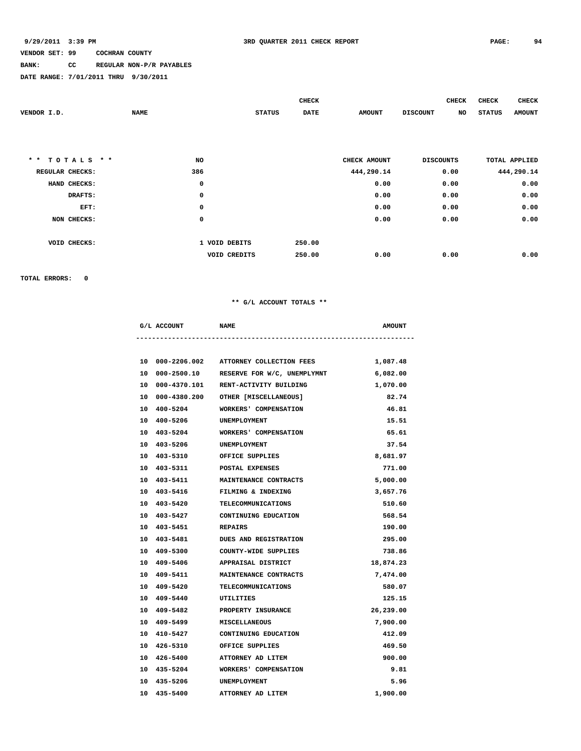## **BANK: CC REGULAR NON-P/R PAYABLES**

**DATE RANGE: 7/01/2011 THRU 9/30/2011**

|                               |             |               | <b>CHECK</b> |               | <b>CHECK</b>     | <b>CHECK</b>         | <b>CHECK</b>  |
|-------------------------------|-------------|---------------|--------------|---------------|------------------|----------------------|---------------|
| VENDOR I.D.                   | <b>NAME</b> | <b>STATUS</b> | DATE         | <b>AMOUNT</b> | <b>DISCOUNT</b>  | NO<br><b>STATUS</b>  | <b>AMOUNT</b> |
|                               |             |               |              |               |                  |                      |               |
|                               |             |               |              |               |                  |                      |               |
|                               |             |               |              |               |                  |                      |               |
| $\star$ $\star$<br>TOTALS * * | NO          |               |              | CHECK AMOUNT  | <b>DISCOUNTS</b> | <b>TOTAL APPLIED</b> |               |
| REGULAR CHECKS:               | 386         |               |              | 444,290.14    | 0.00             |                      | 444,290.14    |
| HAND CHECKS:                  | 0           |               |              | 0.00          | 0.00             |                      | 0.00          |
| DRAFTS:                       | $\mathbf 0$ |               |              | 0.00          | 0.00             |                      | 0.00          |
| EFT:                          | $\mathbf 0$ |               |              | 0.00          | 0.00             |                      | 0.00          |
| NON CHECKS:                   | $\mathbf 0$ |               |              | 0.00          | 0.00             |                      | 0.00          |
|                               |             |               |              |               |                  |                      |               |
| VOID CHECKS:                  |             | 1 VOID DEBITS | 250.00       |               |                  |                      |               |
|                               |             | VOID CREDITS  | 250.00       | 0.00          | 0.00             |                      | 0.00          |

**TOTAL ERRORS: 0**

### **\*\* G/L ACCOUNT TOTALS \*\***

|  | G/L ACCOUNT NAME          |                                            | <b>AMOUNT</b> |
|--|---------------------------|--------------------------------------------|---------------|
|  |                           |                                            |               |
|  |                           | 10 000-2206.002 ATTORNEY COLLECTION FEES   | 1,087.48      |
|  |                           | 10 000-2500.10 RESERVE FOR W/C, UNEMPLYMNT | 6,082.00      |
|  |                           | 10 000-4370.101 RENT-ACTIVITY BUILDING     | 1,070.00      |
|  |                           | 10 000-4380.200 OTHER [MISCELLANEOUS]      | 82.74         |
|  |                           | 10 400-5204 WORKERS' COMPENSATION          | 46.81         |
|  | 10 400-5206 UNEMPLOYMENT  |                                            | 15.51         |
|  |                           | 10 403-5204 WORKERS' COMPENSATION          | 65.61         |
|  | 10 403-5206 UNEMPLOYMENT  |                                            | 37.54         |
|  |                           | 10 403-5310 OFFICE SUPPLIES                | 8,681.97      |
|  |                           | 10 403-5311 POSTAL EXPENSES                | 771.00        |
|  |                           | 10 403-5411 MAINTENANCE CONTRACTS          | 5,000.00      |
|  | 10 403-5416               | FILMING & INDEXING                         | 3,657.76      |
|  |                           | 10 403-5420 TELECOMMUNICATIONS             | 510.60        |
|  | 10 403-5427               | CONTINUING EDUCATION                       | 568.54        |
|  | 10 403-5451 REPAIRS       |                                            | 190.00        |
|  | 10 403-5481               | <b>DUES AND REGISTRATION</b>               | 295.00        |
|  |                           | 10 409-5300 COUNTY-WIDE SUPPLIES           | 738.86        |
|  | 10 409-5406               | APPRAISAL DISTRICT                         | 18,874.23     |
|  |                           | 10 409-5411 MAINTENANCE CONTRACTS          | 7,474.00      |
|  | 10 409-5420               | TELECOMMUNICATIONS                         | 580.07        |
|  | 10 409-5440 UTILITIES     |                                            | 125.15        |
|  | 10 409-5482               | PROPERTY INSURANCE                         | 26,239.00     |
|  | 10 409-5499 MISCELLANEOUS |                                            | 7,900.00      |
|  |                           | 10 410-5427 CONTINUING EDUCATION           | 412.09        |
|  |                           | 10 426-5310 OFFICE SUPPLIES                | 469.50        |
|  |                           | 10 426-5400 ATTORNEY AD LITEM              | 900.00        |
|  |                           | 10 435-5204 WORKERS' COMPENSATION          | 9.81          |
|  |                           |                                            |               |

 **10 435-5206 UNEMPLOYMENT 5.96 10 435-5400 ATTORNEY AD LITEM 1,900.00**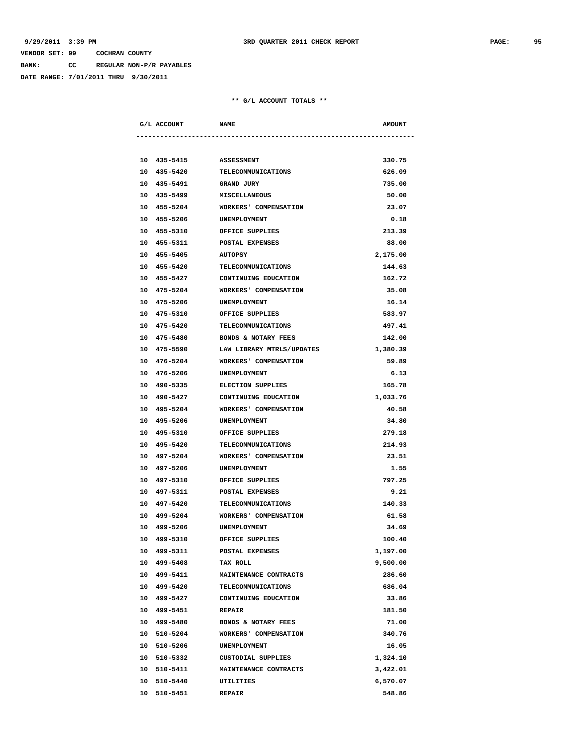**BANK: CC REGULAR NON-P/R PAYABLES**

**DATE RANGE: 7/01/2011 THRU 9/30/2011**

| G/L ACCOUNT NAME           |                                      | <b>AMOUNT</b>   |
|----------------------------|--------------------------------------|-----------------|
|                            |                                      |                 |
| 10 435-5415                | <b>ASSESSMENT</b>                    | 330.75          |
| 10 435-5420                | TELECOMMUNICATIONS                   | 626.09          |
| 10 435-5491                | <b>GRAND JURY</b>                    | 735.00          |
| 10 435-5499                | <b>MISCELLANEOUS</b>                 | 50.00           |
| 10 455-5204                | <b>WORKERS' COMPENSATION</b>         | 23.07           |
| 10 455-5206                | <b>UNEMPLOYMENT</b>                  | 0.18            |
|                            | 10 455-5310 OFFICE SUPPLIES          | 213.39          |
|                            | 10 455-5311 POSTAL EXPENSES          | 88.00           |
|                            | 10 455-5405 AUTOPSY                  | 2,175.00        |
|                            | 10 455-5420 TELECOMMUNICATIONS       | 144.63          |
|                            | 10 455-5427 CONTINUING EDUCATION     | 162.72          |
| 10 475-5204                | WORKERS' COMPENSATION                | 35.08           |
| 10 475-5206                | <b>UNEMPLOYMENT</b>                  | 16.14           |
| 10 475-5310                | OFFICE SUPPLIES                      | 583.97          |
| 10 475-5420                | TELECOMMUNICATIONS                   | 497.41          |
| 10 475-5480                | <b>BONDS &amp; NOTARY FEES</b>       | 142.00          |
| 10 475-5590                | LAW LIBRARY MTRLS/UPDATES            | 1,380.39        |
| 10 476-5204                | <b>WORKERS' COMPENSATION</b>         | 59.89           |
|                            | 10 476-5206 UNEMPLOYMENT             | 6.13            |
|                            | 10 490-5335 ELECTION SUPPLIES        | 165.78          |
|                            | 10 490-5427 CONTINUING EDUCATION     | 1,033.76        |
|                            | 10 495-5204 WORKERS' COMPENSATION    | 40.58           |
|                            | 10 495-5206 UNEMPLOYMENT             | 34.80           |
| 10 495-5310                | OFFICE SUPPLIES                      | 279.18          |
| 10 495-5420                | TELECOMMUNICATIONS                   | 214.93          |
| 10 497-5204                | WORKERS' COMPENSATION                | 23.51           |
| 10 497-5206                | <b>UNEMPLOYMENT</b>                  | 1.55            |
| 10 497-5310                | OFFICE SUPPLIES                      | 797.25          |
| 10 497-5311                | POSTAL EXPENSES                      | 9.21            |
| 10 497-5420                | TELECOMMUNICATIONS                   | 140.33          |
| 10 499-5204                | <b>WORKERS' COMPENSATION</b>         | 61.58           |
| 10 499-5206                | UNEMPLOYMENT                         | 34.69           |
| 10 499-5310                | OFFICE SUPPLIES                      | 100.40          |
| 10 499-5311                | POSTAL EXPENSES                      | 1,197.00        |
| 10 499-5408                | TAX ROLL                             | 9,500.00        |
| 499-5411<br>10             | MAINTENANCE CONTRACTS                | 286.60          |
| 10 499-5420                | <b>TELECOMMUNICATIONS</b>            | 686.04          |
| 10 499-5427                | CONTINUING EDUCATION                 | 33.86           |
|                            |                                      |                 |
| 10 499-5451<br>10 499-5480 | <b>REPAIR</b><br>BONDS & NOTARY FEES | 181.50<br>71.00 |
| 10 510-5204                | WORKERS' COMPENSATION                | 340.76          |
|                            |                                      |                 |
| 10 510-5206                | UNEMPLOYMENT                         | 16.05           |
| 10 510-5332                | CUSTODIAL SUPPLIES                   | 1,324.10        |
| 10 510-5411                | MAINTENANCE CONTRACTS                | 3,422.01        |
| 10<br>510-5440             | UTILITIES                            | 6,570.07        |
| 10 510-5451                | <b>REPAIR</b>                        | 548.86          |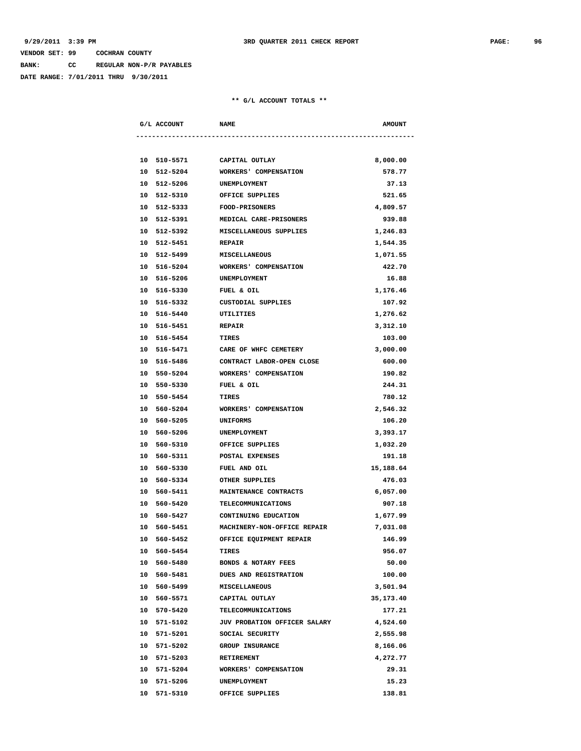**BANK: CC REGULAR NON-P/R PAYABLES**

**DATE RANGE: 7/01/2011 THRU 9/30/2011**

|    | G/L ACCOUNT                | <b>NAME</b>                        | <b>AMOUNT</b> |
|----|----------------------------|------------------------------------|---------------|
|    |                            |                                    |               |
|    | 10 510-5571 CAPITAL OUTLAY |                                    | 8,000.00      |
|    | 10 512-5204                | WORKERS' COMPENSATION              | 578.77        |
|    | 10 512-5206                | UNEMPLOYMENT                       | 37.13         |
|    | 10 512-5310                | OFFICE SUPPLIES                    | 521.65        |
| 10 | 512-5333                   | <b>FOOD-PRISONERS</b>              | 4,809.57      |
|    | 10 512-5391                | MEDICAL CARE-PRISONERS             | 939.88        |
|    | 10 512-5392                | MISCELLANEOUS SUPPLIES             | 1,246.83      |
|    | 10 512-5451                | <b>REPAIR</b>                      | 1,544.35      |
|    | 10 512-5499                | <b>MISCELLANEOUS</b>               | 1,071.55      |
|    | 10 516-5204                | WORKERS' COMPENSATION              | 422.70        |
|    | 10 516-5206                | UNEMPLOYMENT                       | 16.88         |
|    | 10 516-5330                | FUEL & OIL                         | 1,176.46      |
|    | 10 516-5332                | CUSTODIAL SUPPLIES                 | 107.92        |
|    | 10 516-5440                | UTILITIES                          | 1,276.62      |
|    | 10 516-5451                | <b>REPAIR</b>                      | 3,312.10      |
|    | 10 516-5454                | TIRES                              | 103.00        |
|    | 10 516-5471                | CARE OF WHFC CEMETERY              | 3,000.00      |
|    | 10 516-5486                | CONTRACT LABOR-OPEN CLOSE          | 600.00        |
|    | 10 550-5204                | WORKERS' COMPENSATION              | 190.82        |
|    | 10 550-5330                | FUEL & OIL                         | 244.31        |
|    | 10 550-5454                | TIRES                              | 780.12        |
|    | 10 560-5204                | WORKERS' COMPENSATION              | 2,546.32      |
|    | 10 560-5205                | UNIFORMS                           | 106.20        |
|    | 10 560-5206                | UNEMPLOYMENT                       | 3,393.17      |
|    | 10 560-5310                | OFFICE SUPPLIES                    | 1,032.20      |
|    | 10 560-5311                | POSTAL EXPENSES                    | 191.18        |
|    | 10 560-5330                | FUEL AND OIL                       | 15,188.64     |
|    | 10 560-5334                | OTHER SUPPLIES                     | 476.03        |
| 10 | 560-5411                   | MAINTENANCE CONTRACTS              | 6,057.00      |
|    | 10 560-5420                | TELECOMMUNICATIONS                 | 907.18        |
|    | 10 560-5427                | CONTINUING EDUCATION               | 1,677.99      |
|    | 10 560-5451                | <b>MACHINERY-NON-OFFICE REPAIR</b> | 7,031.08      |
|    | 10 560-5452                | OFFICE EQUIPMENT REPAIR            | 146.99        |
|    | 10 560-5454                | TIRES                              | 956.07        |
|    | 10 560-5480                | BONDS & NOTARY FEES                | 50.00         |
|    | 10 560-5481                | DUES AND REGISTRATION              | 100.00        |
|    | 10 560-5499                | MISCELLANEOUS                      | 3,501.94      |
|    | 10 560-5571                | CAPITAL OUTLAY                     | 35,173.40     |
|    | 10 570-5420                | <b>TELECOMMUNICATIONS</b>          | 177.21        |
|    | 10 571-5102                | JUV PROBATION OFFICER SALARY       | 4,524.60      |
|    | 10 571-5201                | SOCIAL SECURITY                    | 2,555.98      |
|    | 10 571-5202                | <b>GROUP INSURANCE</b>             | 8,166.06      |
|    | 10 571-5203                | RETIREMENT                         | 4,272.77      |
|    | 10 571-5204                | WORKERS' COMPENSATION              | 29.31         |
|    | 10 571-5206                | UNEMPLOYMENT                       | 15.23         |
|    | 10 571-5310                | OFFICE SUPPLIES                    | 138.81        |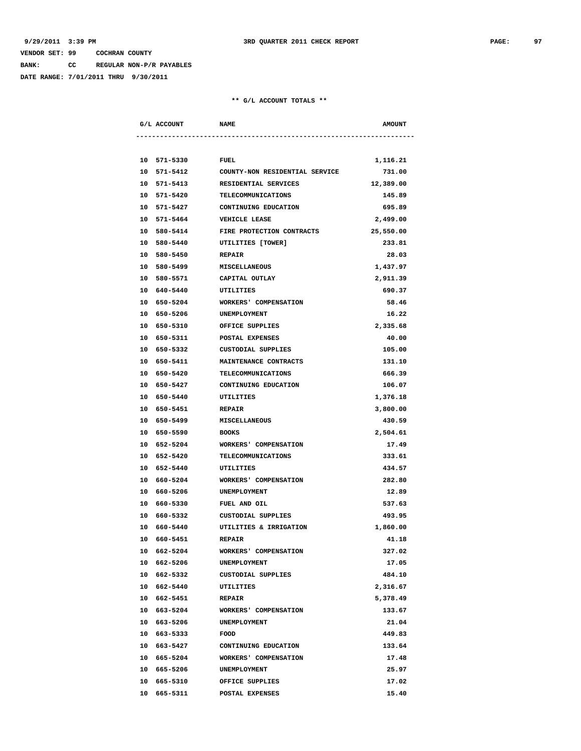**BANK: CC REGULAR NON-P/R PAYABLES**

**DATE RANGE: 7/01/2011 THRU 9/30/2011**

|    | G/L ACCOUNT<br><b>NAME</b> |                                | <b>AMOUNT</b> |
|----|----------------------------|--------------------------------|---------------|
|    |                            |                                |               |
|    | 10 571-5330 FUEL           |                                | 1,116.21      |
|    | 10 571-5412                | COUNTY-NON RESIDENTIAL SERVICE | 731.00        |
|    | 10 571-5413                | RESIDENTIAL SERVICES           | 12,389.00     |
|    | 10 571-5420                | TELECOMMUNICATIONS             | 145.89        |
|    | 10 571-5427                | CONTINUING EDUCATION           | 695.89        |
|    | 10 571-5464                | <b>VEHICLE LEASE</b>           | 2,499.00      |
|    | 10 580-5414                | FIRE PROTECTION CONTRACTS      | 25,550.00     |
|    | 10 580-5440                | UTILITIES [TOWER]              | 233.81        |
|    | 10 580-5450                | <b>REPAIR</b>                  | 28.03         |
|    | 10 580-5499 MISCELLANEOUS  |                                | 1,437.97      |
|    |                            | 10 580-5571 CAPITAL OUTLAY     | 2,911.39      |
|    | 10 640-5440 UTILITIES      |                                | 690.37        |
|    | 10 650-5204                | WORKERS' COMPENSATION          | 58.46         |
|    | 10 650-5206                | UNEMPLOYMENT                   | 16.22         |
|    | 10 650-5310                | OFFICE SUPPLIES                | 2,335.68      |
|    | 10 650-5311                | POSTAL EXPENSES                | 40.00         |
|    | 10 650-5332                | CUSTODIAL SUPPLIES             | 105.00        |
|    | 10 650-5411                | <b>MAINTENANCE CONTRACTS</b>   | 131.10        |
|    | 10 650-5420                | TELECOMMUNICATIONS             | 666.39        |
|    | 10 650-5427                | CONTINUING EDUCATION           | 106.07        |
|    | 10 650-5440                | UTILITIES                      | 1,376.18      |
|    |                            |                                |               |
|    | 10 650-5451                | <b>REPAIR</b>                  | 3,800.00      |
|    | 10 650-5499 MISCELLANEOUS  |                                | 430.59        |
|    | 10 650-5590 BOOKS          |                                | 2,504.61      |
|    | 10 652-5204                | WORKERS' COMPENSATION          | 17.49         |
|    | 10 652-5420                | TELECOMMUNICATIONS             | 333.61        |
|    | 10 652-5440                | UTILITIES                      | 434.57        |
|    | 10 660-5204                | WORKERS' COMPENSATION          | 282.80        |
|    | 10 660-5206                | <b>UNEMPLOYMENT</b>            | 12.89         |
|    | 10 660-5330                | FUEL AND OIL                   | 537.63        |
|    | 10 660-5332                | CUSTODIAL SUPPLIES             | 493.95        |
|    | 10 660-5440                | UTILITIES & IRRIGATION         | 1,860.00      |
|    | 10 660-5451                | <b>REPAIR</b>                  | 41.18         |
|    | 10 662-5204                | WORKERS' COMPENSATION          | 327.02        |
|    | 10 662-5206                | UNEMPLOYMENT                   | 17.05         |
|    | 10 662-5332                | <b>CUSTODIAL SUPPLIES</b>      | 484.10        |
|    | 10 662-5440                | UTILITIES                      | 2,316.67      |
|    | 10 662-5451                | <b>REPAIR</b>                  | 5,378.49      |
|    | 10 663-5204                | WORKERS' COMPENSATION          | 133.67        |
|    | 10 663-5206                | UNEMPLOYMENT                   | 21.04         |
|    | 10 663-5333                | FOOD                           | 449.83        |
|    | 10 663-5427                | CONTINUING EDUCATION           | 133.64        |
|    | 10 665-5204                | WORKERS' COMPENSATION          | 17.48         |
|    | 10 665-5206                | UNEMPLOYMENT                   | 25.97         |
| 10 | 665-5310                   | OFFICE SUPPLIES                | 17.02         |
|    | 10 665-5311                | POSTAL EXPENSES                | 15.40         |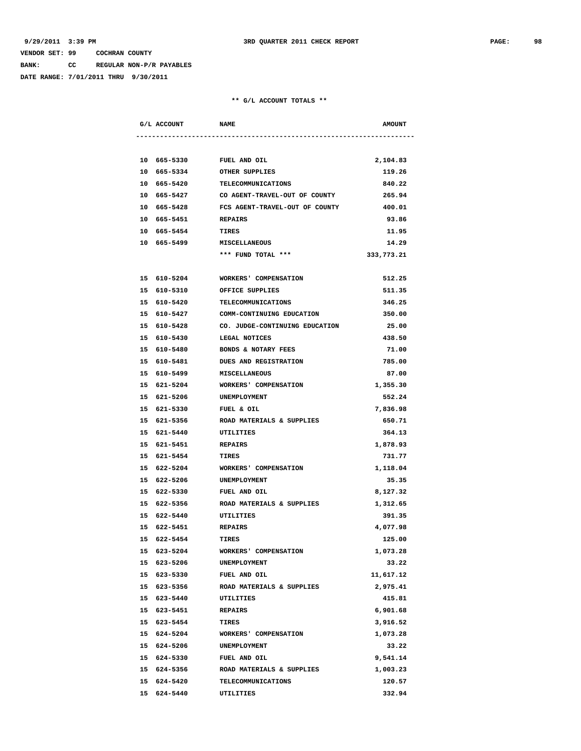**BANK: CC REGULAR NON-P/R PAYABLES**

**DATE RANGE: 7/01/2011 THRU 9/30/2011**

| G/L ACCOUNT | <b>NAME</b>                                | <b>AMOUNT</b> |
|-------------|--------------------------------------------|---------------|
|             |                                            |               |
|             | 10 665-5330 FUEL AND OIL                   | 2,104.83      |
|             | 10 665-5334 OTHER SUPPLIES                 | 119.26        |
|             | 10 665-5420 TELECOMMUNICATIONS             | 840.22        |
|             | 10 665-5427 CO AGENT-TRAVEL-OUT OF COUNTY  | 265.94        |
|             | 10 665-5428 FCS AGENT-TRAVEL-OUT OF COUNTY | 400.01        |
| 10 665-5451 | <b>REPAIRS</b>                             | 93.86         |
| 10 665-5454 | TIRES                                      | 11.95         |
| 10 665-5499 | <b>MISCELLANEOUS</b>                       | 14.29         |
|             | *** FUND TOTAL ***                         | 333,773.21    |
| 15 610-5204 | WORKERS' COMPENSATION                      | 512.25        |
| 15 610-5310 | OFFICE SUPPLIES                            | 511.35        |
|             | 15 610-5420 TELECOMMUNICATIONS             | 346.25        |
|             | 15 610-5427 COMM-CONTINUING EDUCATION      | 350.00        |
|             | 15 610-5428 CO. JUDGE-CONTINUING EDUCATION | 25.00         |
|             | 15 610-5430 LEGAL NOTICES                  | 438.50        |
| 15 610-5480 | <b>BONDS &amp; NOTARY FEES</b>             | 71.00         |
| 15 610-5481 | <b>DUES AND REGISTRATION</b>               | 785.00        |
| 15 610-5499 | <b>MISCELLANEOUS</b>                       | 87.00         |
| 15 621-5204 | <b>WORKERS' COMPENSATION</b>               | 1,355.30      |
| 15 621-5206 | UNEMPLOYMENT                               | 552.24        |
| 15 621-5330 | FUEL & OIL                                 | 7,836.98      |
| 15 621-5356 | ROAD MATERIALS & SUPPLIES                  | 650.71        |
| 15 621-5440 | UTILITIES                                  | 364.13        |
|             | 15 621-5451 REPAIRS                        | 1,878.93      |
|             | 15 621-5454 TIRES                          | 731.77        |
|             |                                            |               |
|             | 15 622-5204 WORKERS' COMPENSATION          | 1,118.04      |
|             | 15 622-5206<br><b>UNEMPLOYMENT</b>         | 35.35         |
|             | 15 622-5330<br><b>FUEL AND OIL</b>         | 8,127.32      |
| 15 622-5356 | ROAD MATERIALS & SUPPLIES                  | 1,312.65      |
| 15 622-5440 | UTILITIES                                  | 391.35        |
| 15 622-5451 | <b>REPAIRS</b>                             | 4,077.98      |
| 15 622-5454 | <b>TIRES</b>                               | 125.00        |
| 15 623-5204 | WORKERS' COMPENSATION                      | 1,073.28      |
| 15 623-5206 | UNEMPLOYMENT                               | 33.22         |
| 15 623-5330 | FUEL AND OIL                               | 11,617.12     |
| 15 623-5356 | ROAD MATERIALS & SUPPLIES                  | 2,975.41      |
| 15 623-5440 | UTILITIES                                  | 415.81        |
| 15 623-5451 | REPAIRS                                    | 6,901.68      |
| 15 623-5454 | TIRES                                      | 3,916.52      |
| 15 624-5204 | WORKERS' COMPENSATION                      | 1,073.28      |
| 15 624-5206 | UNEMPLOYMENT                               | 33.22         |
| 15 624-5330 | FUEL AND OIL                               | 9,541.14      |
| 15 624-5356 | ROAD MATERIALS & SUPPLIES                  | 1,003.23      |
| 15 624-5420 | <b>TELECOMMUNICATIONS</b>                  | 120.57        |
| 15 624-5440 | UTILITIES                                  | 332.94        |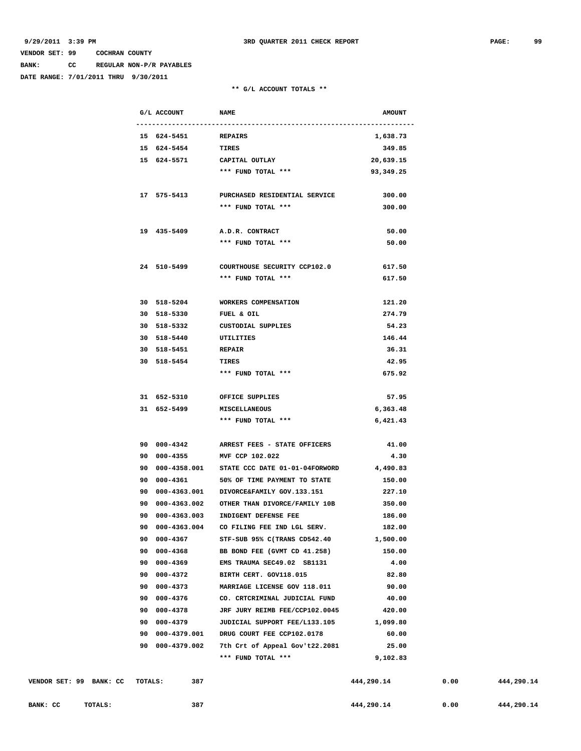**BANK: CC REGULAR NON-P/R PAYABLES**

**DATE RANGE: 7/01/2011 THRU 9/30/2011**

### **\*\* G/L ACCOUNT TOTALS \*\***

|                         |         | G/L ACCOUNT                | <b>NAME</b>                                      | <b>AMOUNT</b>   |      |            |
|-------------------------|---------|----------------------------|--------------------------------------------------|-----------------|------|------------|
|                         |         |                            |                                                  |                 |      |            |
|                         |         | 15 624-5451 REPAIRS        |                                                  | 1,638.73        |      |            |
|                         |         | 15 624-5454 TIRES          |                                                  | 349.85          |      |            |
|                         |         |                            | 15 624-5571 CAPITAL OUTLAY                       | 20,639.15       |      |            |
|                         |         |                            | *** FUND TOTAL ***                               | 93,349.25       |      |            |
|                         |         |                            |                                                  |                 |      |            |
|                         |         | 17 575-5413                | PURCHASED RESIDENTIAL SERVICE                    | 300.00          |      |            |
|                         |         |                            | *** FUND TOTAL ***                               | 300.00          |      |            |
|                         |         |                            |                                                  |                 |      |            |
|                         |         | 19 435-5409                | A.D.R. CONTRACT                                  | 50.00           |      |            |
|                         |         |                            | *** FUND TOTAL ***                               | 50.00           |      |            |
|                         |         |                            |                                                  |                 |      |            |
|                         |         | 24 510-5499                | COURTHOUSE SECURITY CCP102.0                     | 617.50          |      |            |
|                         |         |                            | *** FUND TOTAL ***                               | 617.50          |      |            |
|                         |         | 30 518-5204                | WORKERS COMPENSATION                             |                 |      |            |
|                         |         |                            |                                                  | 121.20          |      |            |
|                         |         | 30 518-5330<br>30 518-5332 | FUEL & OIL<br>CUSTODIAL SUPPLIES                 | 274.79<br>54.23 |      |            |
|                         |         | 30 518-5440                |                                                  | 146.44          |      |            |
|                         |         | 30 518-5451                | UTILITIES<br><b>REPAIR</b>                       | 36.31           |      |            |
|                         |         | 30 518-5454                | TIRES                                            | 42.95           |      |            |
|                         |         |                            | *** FUND TOTAL ***                               | 675.92          |      |            |
|                         |         |                            |                                                  |                 |      |            |
|                         |         |                            | 31 652-5310 OFFICE SUPPLIES                      | 57.95           |      |            |
|                         |         | 31 652-5499 MISCELLANEOUS  |                                                  | 6,363.48        |      |            |
|                         |         |                            | *** FUND TOTAL ***                               | 6,421.43        |      |            |
|                         |         |                            |                                                  |                 |      |            |
|                         |         |                            | 90 000-4342 ARREST FEES - STATE OFFICERS         | 41.00           |      |            |
|                         |         | 90 000-4355                | MVF CCP 102.022                                  | 4.30            |      |            |
|                         |         |                            | 90  000-4358.001  STATE CCC DATE 01-01-04FORWORD | 4,490.83        |      |            |
|                         |         | 90 000-4361                | 50% OF TIME PAYMENT TO STATE                     | 150.00          |      |            |
|                         |         |                            | 90  000-4363.001  DIVORCE&FAMILY GOV.133.151     | 227.10          |      |            |
|                         |         | 90 000-4363.002            | OTHER THAN DIVORCE/FAMILY 10B                    | 350.00          |      |            |
|                         |         | 90 000-4363.003            | INDIGENT DEFENSE FEE                             | 186.00          |      |            |
|                         | 90      | 000-4363.004               | CO FILING FEE IND LGL SERV.                      | 182.00          |      |            |
|                         |         | 90 000-4367                | STF-SUB 95% C(TRANS CD542.40                     | 1,500.00        |      |            |
|                         |         | 90 000-4368                | BB BOND FEE (GVMT CD 41.258)                     | 150.00          |      |            |
|                         |         | 90 000-4369                | EMS TRAUMA SEC49.02 SB1131                       | 4.00            |      |            |
|                         |         | 90 000-4372                | BIRTH CERT. GOV118.015                           | 82.80           |      |            |
|                         |         | 90 000-4373                | MARRIAGE LICENSE GOV 118.011                     | 90.00           |      |            |
|                         |         | 90 000-4376                | CO. CRTCRIMINAL JUDICIAL FUND                    | 40.00           |      |            |
|                         |         | 90 000-4378                | JRF JURY REIMB FEE/CCP102.0045                   | 420.00          |      |            |
|                         |         | 90 000-4379                | JUDICIAL SUPPORT FEE/L133.105                    | 1,099.80        |      |            |
|                         |         | 90 000-4379.001            | DRUG COURT FEE CCP102.0178                       | 60.00           |      |            |
|                         |         | 90 000-4379.002            | 7th Crt of Appeal Gov't22.2081                   | 25.00           |      |            |
|                         |         |                            | *** FUND TOTAL ***                               | 9,102.83        |      |            |
|                         |         |                            |                                                  |                 |      |            |
| VENDOR SET: 99 BANK: CC | TOTALS: | 387                        |                                                  | 444,290.14      | 0.00 | 444,290.14 |

**BANK: CC** TOTALS: 387 387 444,290.14 0.00 444,290.14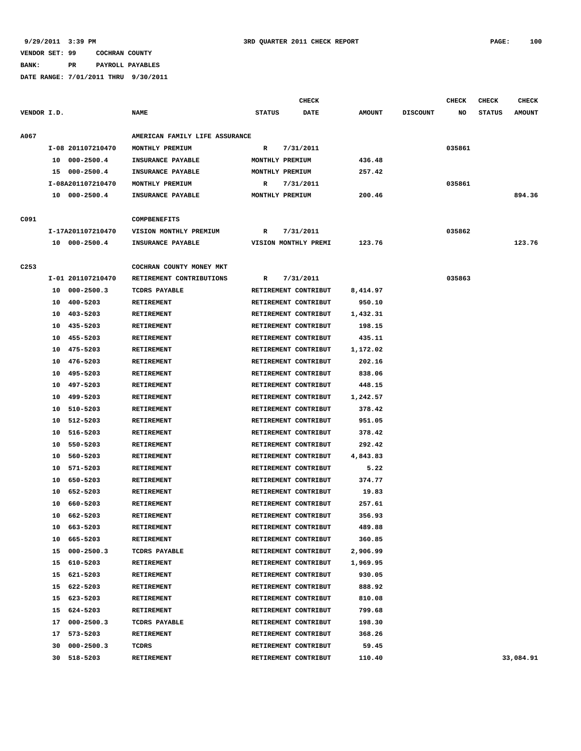**BANK: PR PAYROLL PAYABLES**

|                  |    |                   |                                | <b>CHECK</b>  | <b>CHECK</b><br>CHECK |               |                 |        | <b>CHECK</b>  |               |
|------------------|----|-------------------|--------------------------------|---------------|-----------------------|---------------|-----------------|--------|---------------|---------------|
| VENDOR I.D.      |    |                   | <b>NAME</b>                    | <b>STATUS</b> | <b>DATE</b>           | <b>AMOUNT</b> | <b>DISCOUNT</b> | NO     | <b>STATUS</b> | <b>AMOUNT</b> |
| A067             |    |                   | AMERICAN FAMILY LIFE ASSURANCE |               |                       |               |                 |        |               |               |
|                  |    | I-08 201107210470 | MONTHLY PREMIUM                | R             | 7/31/2011             |               |                 | 035861 |               |               |
|                  |    | 10 000-2500.4     | INSURANCE PAYABLE              |               | MONTHLY PREMIUM       | 436.48        |                 |        |               |               |
|                  |    | 15 000-2500.4     | INSURANCE PAYABLE              |               | MONTHLY PREMIUM       | 257.42        |                 |        |               |               |
|                  |    | I-08A201107210470 | MONTHLY PREMIUM                | R             | 7/31/2011             |               |                 | 035861 |               |               |
|                  |    | 10 000-2500.4     | INSURANCE PAYABLE              |               | MONTHLY PREMIUM       | 200.46        |                 |        |               | 894.36        |
| C091             |    |                   | <b>COMPBENEFITS</b>            |               |                       |               |                 |        |               |               |
|                  |    | I-17A201107210470 | VISION MONTHLY PREMIUM         | R             | 7/31/2011             |               |                 | 035862 |               |               |
|                  |    | 10 000-2500.4     | INSURANCE PAYABLE              |               | VISION MONTHLY PREMI  | 123.76        |                 |        |               | 123.76        |
| C <sub>253</sub> |    |                   | COCHRAN COUNTY MONEY MKT       |               |                       |               |                 |        |               |               |
|                  |    | I-01 201107210470 | RETIREMENT CONTRIBUTIONS       | R             | 7/31/2011             |               |                 | 035863 |               |               |
|                  | 10 | $000 - 2500.3$    | TCDRS PAYABLE                  |               | RETIREMENT CONTRIBUT  | 8,414.97      |                 |        |               |               |
|                  | 10 | 400-5203          | <b>RETIREMENT</b>              |               | RETIREMENT CONTRIBUT  | 950.10        |                 |        |               |               |
|                  | 10 | 403-5203          | RETIREMENT                     |               | RETIREMENT CONTRIBUT  | 1,432.31      |                 |        |               |               |
|                  | 10 | 435-5203          | <b>RETIREMENT</b>              |               | RETIREMENT CONTRIBUT  | 198.15        |                 |        |               |               |
|                  |    | 10 455-5203       | <b>RETIREMENT</b>              |               | RETIREMENT CONTRIBUT  | 435.11        |                 |        |               |               |
|                  |    | 10 475-5203       | <b>RETIREMENT</b>              |               | RETIREMENT CONTRIBUT  | 1,172.02      |                 |        |               |               |
|                  | 10 | 476-5203          | <b>RETIREMENT</b>              |               | RETIREMENT CONTRIBUT  | 202.16        |                 |        |               |               |
|                  | 10 | 495-5203          | <b>RETIREMENT</b>              |               | RETIREMENT CONTRIBUT  | 838.06        |                 |        |               |               |
|                  | 10 | 497-5203          | <b>RETIREMENT</b>              |               | RETIREMENT CONTRIBUT  | 448.15        |                 |        |               |               |
|                  | 10 | 499-5203          | <b>RETIREMENT</b>              |               | RETIREMENT CONTRIBUT  | 1,242.57      |                 |        |               |               |
|                  | 10 | 510-5203          | <b>RETIREMENT</b>              |               | RETIREMENT CONTRIBUT  | 378.42        |                 |        |               |               |
|                  | 10 | 512-5203          | RETIREMENT                     |               | RETIREMENT CONTRIBUT  | 951.05        |                 |        |               |               |
|                  | 10 | 516-5203          | <b>RETIREMENT</b>              |               | RETIREMENT CONTRIBUT  | 378.42        |                 |        |               |               |
|                  | 10 | 550-5203          | <b>RETIREMENT</b>              |               | RETIREMENT CONTRIBUT  | 292.42        |                 |        |               |               |
|                  | 10 | 560-5203          | RETIREMENT                     |               | RETIREMENT CONTRIBUT  | 4,843.83      |                 |        |               |               |
|                  | 10 | 571-5203          | <b>RETIREMENT</b>              |               | RETIREMENT CONTRIBUT  | 5.22          |                 |        |               |               |
|                  | 10 | 650-5203          | RETIREMENT                     |               | RETIREMENT CONTRIBUT  | 374.77        |                 |        |               |               |
|                  | 10 | 652-5203          | RETIREMENT                     |               | RETIREMENT CONTRIBUT  | 19.83         |                 |        |               |               |
|                  | 10 | 660-5203          | <b>RETIREMENT</b>              |               | RETIREMENT CONTRIBUT  | 257.61        |                 |        |               |               |
|                  |    | 10 662-5203       | <b>RETIREMENT</b>              |               | RETIREMENT CONTRIBUT  | 356.93        |                 |        |               |               |
|                  |    | 10 663-5203       | <b>RETIREMENT</b>              |               | RETIREMENT CONTRIBUT  | 489.88        |                 |        |               |               |
|                  |    | 10 665-5203       | RETIREMENT                     |               | RETIREMENT CONTRIBUT  | 360.85        |                 |        |               |               |
|                  |    | 15 000-2500.3     | TCDRS PAYABLE                  |               | RETIREMENT CONTRIBUT  | 2,906.99      |                 |        |               |               |
|                  |    | 15 610-5203       | RETIREMENT                     |               | RETIREMENT CONTRIBUT  | 1,969.95      |                 |        |               |               |
|                  |    | 15 621-5203       | RETIREMENT                     |               | RETIREMENT CONTRIBUT  | 930.05        |                 |        |               |               |
|                  |    | 15 622-5203       | RETIREMENT                     |               | RETIREMENT CONTRIBUT  | 888.92        |                 |        |               |               |
|                  |    | 15 623-5203       | RETIREMENT                     |               | RETIREMENT CONTRIBUT  | 810.08        |                 |        |               |               |
|                  |    | 15 624-5203       | RETIREMENT                     |               | RETIREMENT CONTRIBUT  | 799.68        |                 |        |               |               |
|                  |    | 17 000-2500.3     | TCDRS PAYABLE                  |               | RETIREMENT CONTRIBUT  | 198.30        |                 |        |               |               |
|                  |    | 17 573-5203       | RETIREMENT                     |               | RETIREMENT CONTRIBUT  | 368.26        |                 |        |               |               |
|                  |    | 30 000-2500.3     | TCDRS                          |               | RETIREMENT CONTRIBUT  | 59.45         |                 |        |               |               |
|                  |    | 30 518-5203       | <b>RETIREMENT</b>              |               | RETIREMENT CONTRIBUT  | 110.40        |                 |        |               | 33,084.91     |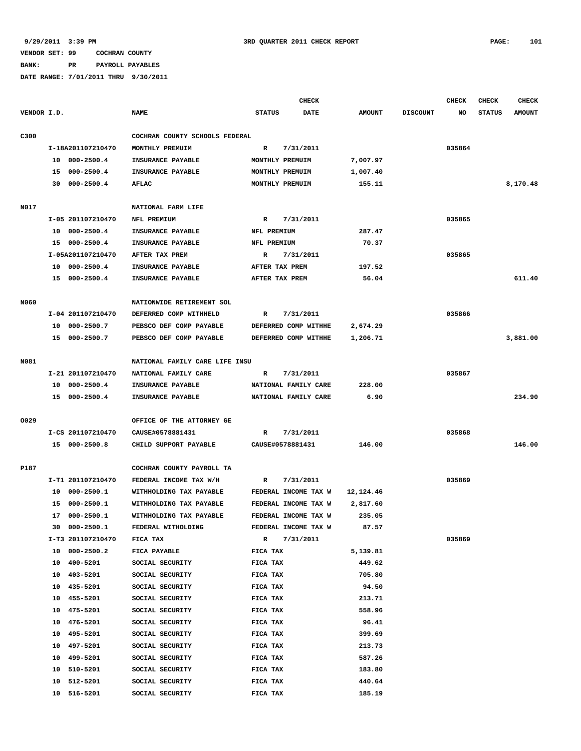**BANK: PR PAYROLL PAYABLES**

|             |    |                   |                                |                | CHECK                |               |                 | <b>CHECK</b> | <b>CHECK</b>  | <b>CHECK</b>  |
|-------------|----|-------------------|--------------------------------|----------------|----------------------|---------------|-----------------|--------------|---------------|---------------|
| VENDOR I.D. |    |                   | <b>NAME</b>                    | <b>STATUS</b>  | <b>DATE</b>          | <b>AMOUNT</b> | <b>DISCOUNT</b> | NO           | <b>STATUS</b> | <b>AMOUNT</b> |
| C300        |    |                   | COCHRAN COUNTY SCHOOLS FEDERAL |                |                      |               |                 |              |               |               |
|             |    | I-18A201107210470 | MONTHLY PREMUIM                | $\mathbb{R}$   | 7/31/2011            |               |                 | 035864       |               |               |
|             | 10 | $000 - 2500.4$    | INSURANCE PAYABLE              |                | MONTHLY PREMUIM      | 7,007.97      |                 |              |               |               |
|             |    | 15 000-2500.4     | INSURANCE PAYABLE              |                | MONTHLY PREMUIM      | 1,007.40      |                 |              |               |               |
|             | 30 | $000 - 2500.4$    | <b>AFLAC</b>                   |                | MONTHLY PREMUIM      | 155.11        |                 |              |               | 8,170.48      |
|             |    |                   |                                |                |                      |               |                 |              |               |               |
| N017        |    |                   | NATIONAL FARM LIFE             |                |                      |               |                 |              |               |               |
|             |    | I-05 201107210470 | NFL PREMIUM                    | R              | 7/31/2011            |               |                 | 035865       |               |               |
|             | 10 | $000 - 2500.4$    | INSURANCE PAYABLE              | NFL PREMIUM    |                      | 287.47        |                 |              |               |               |
|             |    | 15 000-2500.4     | INSURANCE PAYABLE              | NFL PREMIUM    |                      | 70.37         |                 |              |               |               |
|             |    | I-05A201107210470 | AFTER TAX PREM                 | R              | 7/31/2011            |               |                 | 035865       |               |               |
|             |    | 10 000-2500.4     | INSURANCE PAYABLE              | AFTER TAX PREM |                      | 197.52        |                 |              |               |               |
|             |    | 15 000-2500.4     | INSURANCE PAYABLE              | AFTER TAX PREM |                      | 56.04         |                 |              |               | 611.40        |
|             |    |                   |                                |                |                      |               |                 |              |               |               |
| <b>N060</b> |    |                   | NATIONWIDE RETIREMENT SOL      |                |                      |               |                 |              |               |               |
|             |    | I-04 201107210470 | DEFERRED COMP WITHHELD         | R              | 7/31/2011            |               |                 | 035866       |               |               |
|             | 10 | $000 - 2500.7$    | PEBSCO DEF COMP PAYABLE        |                | DEFERRED COMP WITHHE | 2,674.29      |                 |              |               |               |
|             |    | 15 000-2500.7     | PEBSCO DEF COMP PAYABLE        |                | DEFERRED COMP WITHHE | 1,206.71      |                 |              |               | 3,881.00      |
| N081        |    |                   | NATIONAL FAMILY CARE LIFE INSU |                |                      |               |                 |              |               |               |
|             |    | I-21 201107210470 |                                |                |                      |               |                 |              |               |               |
|             |    |                   | NATIONAL FAMILY CARE           | R              | 7/31/2011            |               |                 | 035867       |               |               |
|             | 10 | $000 - 2500.4$    | INSURANCE PAYABLE              |                | NATIONAL FAMILY CARE | 228.00        |                 |              |               |               |
|             |    | 15 000-2500.4     | INSURANCE PAYABLE              |                | NATIONAL FAMILY CARE | 6.90          |                 |              |               | 234.90        |
| 0029        |    |                   | OFFICE OF THE ATTORNEY GE      |                |                      |               |                 |              |               |               |
|             |    | I-CS 201107210470 | CAUSE#0578881431               | R              | 7/31/2011            |               |                 | 035868       |               |               |
|             |    | 15 000-2500.8     | CHILD SUPPORT PAYABLE          |                | CAUSE#0578881431     | 146.00        |                 |              |               | 146.00        |
|             |    |                   |                                |                |                      |               |                 |              |               |               |
| P187        |    |                   | COCHRAN COUNTY PAYROLL TA      |                |                      |               |                 |              |               |               |
|             |    | I-T1 201107210470 | FEDERAL INCOME TAX W/H         | R              | 7/31/2011            |               |                 | 035869       |               |               |
|             | 10 | 000-2500.1        | WITHHOLDING TAX PAYABLE        |                | FEDERAL INCOME TAX W | 12,124.46     |                 |              |               |               |
|             | 15 | $000 - 2500.1$    | WITHHOLDING TAX PAYABLE        |                | FEDERAL INCOME TAX W | 2,817.60      |                 |              |               |               |
|             | 17 | 000-2500.1        | WITHHOLDING TAX PAYABLE        |                | FEDERAL INCOME TAX W | 235.05        |                 |              |               |               |
|             | 30 | 000-2500.1        | FEDERAL WITHOLDING             |                | FEDERAL INCOME TAX W | 87.57         |                 |              |               |               |
|             |    | I-T3 201107210470 | FICA TAX                       | $\mathbb{R}$   | 7/31/2011            |               |                 | 035869       |               |               |
|             |    | 10 000-2500.2     | FICA PAYABLE                   | FICA TAX       |                      | 5,139.81      |                 |              |               |               |
|             | 10 | 400-5201          | SOCIAL SECURITY                | FICA TAX       |                      | 449.62        |                 |              |               |               |
|             | 10 | 403-5201          | SOCIAL SECURITY                | FICA TAX       |                      | 705.80        |                 |              |               |               |
|             | 10 | 435-5201          | SOCIAL SECURITY                | FICA TAX       |                      | 94.50         |                 |              |               |               |
|             | 10 | 455-5201          | SOCIAL SECURITY                | FICA TAX       |                      | 213.71        |                 |              |               |               |
|             | 10 | 475-5201          | SOCIAL SECURITY                | FICA TAX       |                      | 558.96        |                 |              |               |               |
|             | 10 | 476-5201          | SOCIAL SECURITY                | FICA TAX       |                      | 96.41         |                 |              |               |               |
|             | 10 | 495-5201          | SOCIAL SECURITY                | FICA TAX       |                      | 399.69        |                 |              |               |               |
|             | 10 | 497-5201          | SOCIAL SECURITY                | FICA TAX       |                      | 213.73        |                 |              |               |               |
|             | 10 | 499-5201          | SOCIAL SECURITY                | FICA TAX       |                      | 587.26        |                 |              |               |               |
|             | 10 | 510-5201          | SOCIAL SECURITY                | FICA TAX       |                      | 183.80        |                 |              |               |               |
|             | 10 | 512-5201          | SOCIAL SECURITY                | FICA TAX       |                      | 440.64        |                 |              |               |               |
|             | 10 | 516-5201          | SOCIAL SECURITY                | FICA TAX       |                      | 185.19        |                 |              |               |               |
|             |    |                   |                                |                |                      |               |                 |              |               |               |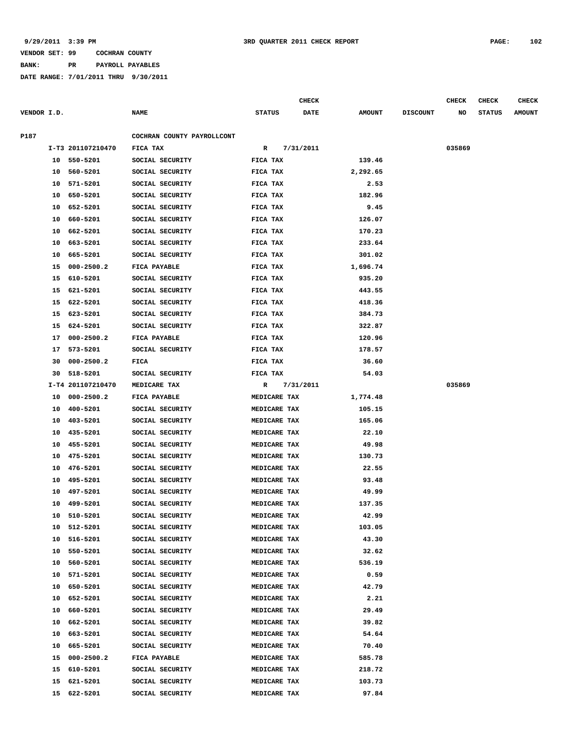**BANK: PR PAYROLL PAYABLES**

|             |    |                   |                            |               |              | <b>CHECK</b> |               |                 | <b>CHECK</b> | <b>CHECK</b>  | <b>CHECK</b>  |
|-------------|----|-------------------|----------------------------|---------------|--------------|--------------|---------------|-----------------|--------------|---------------|---------------|
| VENDOR I.D. |    |                   | <b>NAME</b>                | <b>STATUS</b> |              | <b>DATE</b>  | <b>AMOUNT</b> | <b>DISCOUNT</b> | NO           | <b>STATUS</b> | <b>AMOUNT</b> |
|             |    |                   |                            |               |              |              |               |                 |              |               |               |
| P187        |    |                   | COCHRAN COUNTY PAYROLLCONT |               |              |              |               |                 |              |               |               |
|             |    | I-T3 201107210470 | FICA TAX                   | R             |              | 7/31/2011    |               |                 | 035869       |               |               |
|             |    | 10 550-5201       | SOCIAL SECURITY            | FICA TAX      |              |              | 139.46        |                 |              |               |               |
|             | 10 | 560-5201          | SOCIAL SECURITY            | FICA TAX      |              |              | 2,292.65      |                 |              |               |               |
|             | 10 | 571-5201          | SOCIAL SECURITY            | FICA TAX      |              |              | 2.53          |                 |              |               |               |
|             | 10 | 650-5201          | SOCIAL SECURITY            | FICA TAX      |              |              | 182.96        |                 |              |               |               |
|             | 10 | 652-5201          | SOCIAL SECURITY            | FICA TAX      |              |              | 9.45          |                 |              |               |               |
|             | 10 | 660-5201          | SOCIAL SECURITY            | FICA TAX      |              |              | 126.07        |                 |              |               |               |
|             | 10 | 662-5201          | SOCIAL SECURITY            | FICA TAX      |              |              | 170.23        |                 |              |               |               |
|             | 10 | 663-5201          | SOCIAL SECURITY            | FICA TAX      |              |              | 233.64        |                 |              |               |               |
|             | 10 | 665-5201          | SOCIAL SECURITY            | FICA TAX      |              |              | 301.02        |                 |              |               |               |
|             | 15 | $000 - 2500.2$    | FICA PAYABLE               | FICA TAX      |              |              | 1,696.74      |                 |              |               |               |
|             | 15 | 610-5201          | SOCIAL SECURITY            | FICA TAX      |              |              | 935.20        |                 |              |               |               |
|             | 15 | 621-5201          | SOCIAL SECURITY            | FICA TAX      |              |              | 443.55        |                 |              |               |               |
|             | 15 | 622-5201          | SOCIAL SECURITY            | FICA TAX      |              |              | 418.36        |                 |              |               |               |
|             | 15 | 623-5201          | SOCIAL SECURITY            | FICA TAX      |              |              | 384.73        |                 |              |               |               |
|             | 15 | 624-5201          | SOCIAL SECURITY            | FICA TAX      |              |              | 322.87        |                 |              |               |               |
|             | 17 | $000 - 2500.2$    | FICA PAYABLE               | FICA TAX      |              |              | 120.96        |                 |              |               |               |
|             | 17 | 573-5201          | SOCIAL SECURITY            | FICA TAX      |              |              | 178.57        |                 |              |               |               |
|             | 30 | $000 - 2500.2$    | FICA                       | FICA TAX      |              |              | 36.60         |                 |              |               |               |
|             | 30 | 518-5201          | SOCIAL SECURITY            | FICA TAX      |              |              | 54.03         |                 |              |               |               |
|             |    | I-T4 201107210470 | MEDICARE TAX               | R             |              | 7/31/2011    |               |                 | 035869       |               |               |
|             | 10 | $000 - 2500.2$    | FICA PAYABLE               |               | MEDICARE TAX |              | 1,774.48      |                 |              |               |               |
|             | 10 | 400-5201          | SOCIAL SECURITY            |               | MEDICARE TAX |              | 105.15        |                 |              |               |               |
|             | 10 | 403-5201          | SOCIAL SECURITY            |               | MEDICARE TAX |              | 165.06        |                 |              |               |               |
|             | 10 | 435-5201          | SOCIAL SECURITY            |               | MEDICARE TAX |              | 22.10         |                 |              |               |               |
|             | 10 | 455-5201          | SOCIAL SECURITY            |               | MEDICARE TAX |              | 49.98         |                 |              |               |               |
|             | 10 | 475-5201          | SOCIAL SECURITY            |               | MEDICARE TAX |              | 130.73        |                 |              |               |               |
|             | 10 | 476-5201          | SOCIAL SECURITY            |               | MEDICARE TAX |              | 22.55         |                 |              |               |               |
|             | 10 | 495-5201          | SOCIAL SECURITY            |               | MEDICARE TAX |              | 93.48         |                 |              |               |               |
|             | 10 | 497-5201          | SOCIAL SECURITY            |               | MEDICARE TAX |              | 49.99         |                 |              |               |               |
|             | 10 | 499-5201          | SOCIAL SECURITY            |               | MEDICARE TAX |              | 137.35        |                 |              |               |               |
|             | 10 | 510-5201          | SOCIAL SECURITY            |               | MEDICARE TAX |              | 42.99         |                 |              |               |               |
|             | 10 | 512-5201          | SOCIAL SECURITY            |               | MEDICARE TAX |              | 103.05        |                 |              |               |               |
|             | 10 | 516-5201          | SOCIAL SECURITY            |               | MEDICARE TAX |              | 43.30         |                 |              |               |               |
|             | 10 | 550-5201          | SOCIAL SECURITY            |               | MEDICARE TAX |              | 32.62         |                 |              |               |               |
|             | 10 | 560-5201          | SOCIAL SECURITY            |               | MEDICARE TAX |              | 536.19        |                 |              |               |               |
|             | 10 | 571-5201          | SOCIAL SECURITY            |               | MEDICARE TAX |              | 0.59          |                 |              |               |               |
|             | 10 | 650-5201          | SOCIAL SECURITY            |               | MEDICARE TAX |              | 42.79         |                 |              |               |               |
|             | 10 | 652-5201          | SOCIAL SECURITY            |               | MEDICARE TAX |              | 2.21          |                 |              |               |               |
|             | 10 | 660-5201          | SOCIAL SECURITY            |               | MEDICARE TAX |              | 29.49         |                 |              |               |               |
|             | 10 | 662-5201          | SOCIAL SECURITY            |               | MEDICARE TAX |              | 39.82         |                 |              |               |               |
|             |    | 10 663-5201       | SOCIAL SECURITY            |               | MEDICARE TAX |              | 54.64         |                 |              |               |               |
|             | 10 | 665-5201          | SOCIAL SECURITY            |               | MEDICARE TAX |              | 70.40         |                 |              |               |               |
|             | 15 | $000 - 2500.2$    | FICA PAYABLE               |               | MEDICARE TAX |              | 585.78        |                 |              |               |               |
|             | 15 | 610-5201          | SOCIAL SECURITY            |               | MEDICARE TAX |              | 218.72        |                 |              |               |               |
|             | 15 | 621-5201          | SOCIAL SECURITY            |               | MEDICARE TAX |              | 103.73        |                 |              |               |               |
|             |    | 15 622-5201       | SOCIAL SECURITY            |               | MEDICARE TAX |              | 97.84         |                 |              |               |               |
|             |    |                   |                            |               |              |              |               |                 |              |               |               |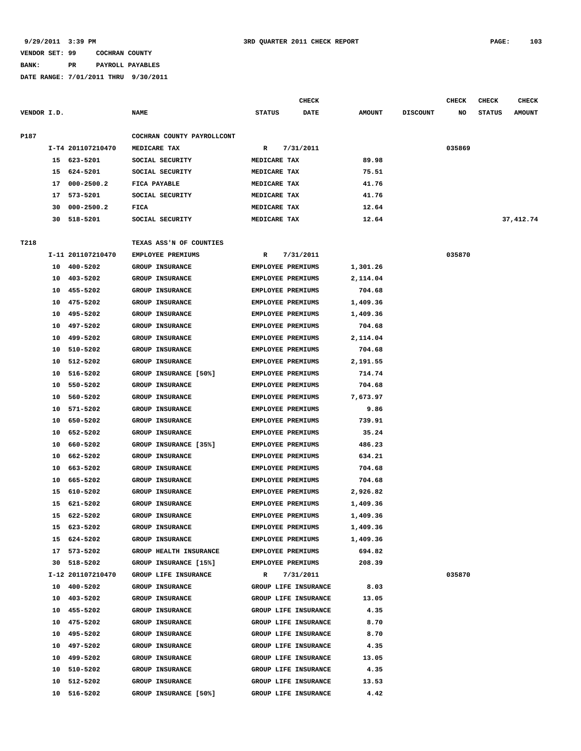# **BANK: PR PAYROLL PAYABLES**

|             |    |                   |                               |                          | <b>CHECK</b>         |               |                 | <b>CHECK</b> | <b>CHECK</b>  | <b>CHECK</b>  |
|-------------|----|-------------------|-------------------------------|--------------------------|----------------------|---------------|-----------------|--------------|---------------|---------------|
| VENDOR I.D. |    |                   | <b>NAME</b>                   | <b>STATUS</b>            | <b>DATE</b>          | <b>AMOUNT</b> | <b>DISCOUNT</b> | NO           | <b>STATUS</b> | <b>AMOUNT</b> |
| P187        |    |                   | COCHRAN COUNTY PAYROLLCONT    |                          |                      |               |                 |              |               |               |
|             |    | I-T4 201107210470 | MEDICARE TAX                  | R                        | 7/31/2011            |               |                 | 035869       |               |               |
|             | 15 | 623-5201          | SOCIAL SECURITY               | MEDICARE TAX             |                      | 89.98         |                 |              |               |               |
|             | 15 | 624-5201          | SOCIAL SECURITY               | MEDICARE TAX             |                      | 75.51         |                 |              |               |               |
|             | 17 | $000 - 2500.2$    | FICA PAYABLE                  | MEDICARE TAX             |                      | 41.76         |                 |              |               |               |
|             | 17 | 573-5201          | SOCIAL SECURITY               | MEDICARE TAX             |                      | 41.76         |                 |              |               |               |
|             | 30 | $000 - 2500.2$    | FICA                          | MEDICARE TAX             |                      | 12.64         |                 |              |               |               |
|             | 30 | 518-5201          | SOCIAL SECURITY               | MEDICARE TAX             |                      | 12.64         |                 |              |               | 37, 412.74    |
|             |    |                   |                               |                          |                      |               |                 |              |               |               |
| T218        |    |                   | TEXAS ASS'N OF COUNTIES       |                          |                      |               |                 |              |               |               |
|             |    | I-11 201107210470 | EMPLOYEE PREMIUMS             | R                        | 7/31/2011            |               |                 | 035870       |               |               |
|             | 10 | 400-5202          | <b>GROUP INSURANCE</b>        | <b>EMPLOYEE PREMIUMS</b> |                      | 1,301.26      |                 |              |               |               |
|             | 10 | 403-5202          | <b>GROUP INSURANCE</b>        | EMPLOYEE PREMIUMS        |                      | 2,114.04      |                 |              |               |               |
|             | 10 | 455-5202          | <b>GROUP INSURANCE</b>        | EMPLOYEE PREMIUMS        |                      | 704.68        |                 |              |               |               |
|             | 10 | 475-5202          | <b>GROUP INSURANCE</b>        | <b>EMPLOYEE PREMIUMS</b> |                      | 1,409.36      |                 |              |               |               |
|             | 10 | 495-5202          | <b>GROUP INSURANCE</b>        | EMPLOYEE PREMIUMS        |                      | 1,409.36      |                 |              |               |               |
|             | 10 | 497-5202          | <b>GROUP INSURANCE</b>        | <b>EMPLOYEE PREMIUMS</b> |                      | 704.68        |                 |              |               |               |
|             | 10 | 499-5202          | <b>GROUP INSURANCE</b>        | <b>EMPLOYEE PREMIUMS</b> |                      | 2,114.04      |                 |              |               |               |
|             | 10 | 510-5202          | <b>GROUP INSURANCE</b>        | <b>EMPLOYEE PREMIUMS</b> |                      | 704.68        |                 |              |               |               |
|             | 10 | 512-5202          | <b>GROUP INSURANCE</b>        | EMPLOYEE PREMIUMS        |                      | 2,191.55      |                 |              |               |               |
|             | 10 | 516-5202          | GROUP INSURANCE [50%]         | EMPLOYEE PREMIUMS        |                      | 714.74        |                 |              |               |               |
|             | 10 | 550-5202          | <b>GROUP INSURANCE</b>        | EMPLOYEE PREMIUMS        |                      | 704.68        |                 |              |               |               |
|             | 10 | 560-5202          | <b>GROUP INSURANCE</b>        | EMPLOYEE PREMIUMS        |                      | 7,673.97      |                 |              |               |               |
|             | 10 | 571-5202          | <b>GROUP INSURANCE</b>        | EMPLOYEE PREMIUMS        |                      | 9.86          |                 |              |               |               |
|             | 10 | 650-5202          | <b>GROUP INSURANCE</b>        | EMPLOYEE PREMIUMS        |                      | 739.91        |                 |              |               |               |
|             | 10 | 652-5202          | <b>GROUP INSURANCE</b>        | EMPLOYEE PREMIUMS        |                      | 35.24         |                 |              |               |               |
|             | 10 | 660-5202          | GROUP INSURANCE [35%]         | EMPLOYEE PREMIUMS        |                      | 486.23        |                 |              |               |               |
|             | 10 | 662-5202          | <b>GROUP INSURANCE</b>        | <b>EMPLOYEE PREMIUMS</b> |                      | 634.21        |                 |              |               |               |
|             | 10 | 663-5202          | <b>GROUP INSURANCE</b>        | <b>EMPLOYEE PREMIUMS</b> |                      | 704.68        |                 |              |               |               |
|             | 10 | 665-5202          | <b>GROUP INSURANCE</b>        | <b>EMPLOYEE PREMIUMS</b> |                      | 704.68        |                 |              |               |               |
|             | 15 | 610-5202          | <b>GROUP INSURANCE</b>        | EMPLOYEE PREMIUMS        |                      | 2,926.82      |                 |              |               |               |
|             | 15 | 621-5202          | GROUP INSURANCE               | EMPLOYEE PREMIUMS        |                      | 1,409.36      |                 |              |               |               |
|             | 15 | 622-5202          | GROUP INSURANCE               | EMPLOYEE PREMIUMS        |                      | 1,409.36      |                 |              |               |               |
|             |    | 15 623-5202       | <b>GROUP INSURANCE</b>        | EMPLOYEE PREMIUMS        |                      | 1,409.36      |                 |              |               |               |
|             | 15 | 624-5202          | <b>GROUP INSURANCE</b>        | <b>EMPLOYEE PREMIUMS</b> |                      | 1,409.36      |                 |              |               |               |
|             | 17 | 573-5202          | <b>GROUP HEALTH INSURANCE</b> | <b>EMPLOYEE PREMIUMS</b> |                      | 694.82        |                 |              |               |               |
|             | 30 | 518-5202          | GROUP INSURANCE [15%]         | EMPLOYEE PREMIUMS        |                      | 208.39        |                 |              |               |               |
|             |    | I-12 201107210470 | GROUP LIFE INSURANCE          | R                        | 7/31/2011            |               |                 | 035870       |               |               |
|             |    | 10 400-5202       | <b>GROUP INSURANCE</b>        |                          | GROUP LIFE INSURANCE | 8.03          |                 |              |               |               |
|             | 10 | 403-5202          | <b>GROUP INSURANCE</b>        |                          | GROUP LIFE INSURANCE | 13.05         |                 |              |               |               |
|             | 10 | 455-5202          | GROUP INSURANCE               |                          | GROUP LIFE INSURANCE | 4.35          |                 |              |               |               |
|             | 10 | 475-5202          | GROUP INSURANCE               |                          | GROUP LIFE INSURANCE | 8.70          |                 |              |               |               |
|             | 10 | 495-5202          | <b>GROUP INSURANCE</b>        |                          | GROUP LIFE INSURANCE | 8.70          |                 |              |               |               |
|             | 10 | 497-5202          | GROUP INSURANCE               | GROUP LIFE INSURANCE     |                      | 4.35          |                 |              |               |               |
|             | 10 | 499-5202          | GROUP INSURANCE               |                          | GROUP LIFE INSURANCE | 13.05         |                 |              |               |               |
|             | 10 | 510-5202          | GROUP INSURANCE               |                          | GROUP LIFE INSURANCE | 4.35          |                 |              |               |               |
|             | 10 | 512-5202          | GROUP INSURANCE               |                          | GROUP LIFE INSURANCE | 13.53         |                 |              |               |               |
|             | 10 | 516-5202          | GROUP INSURANCE [50%]         |                          | GROUP LIFE INSURANCE | 4.42          |                 |              |               |               |
|             |    |                   |                               |                          |                      |               |                 |              |               |               |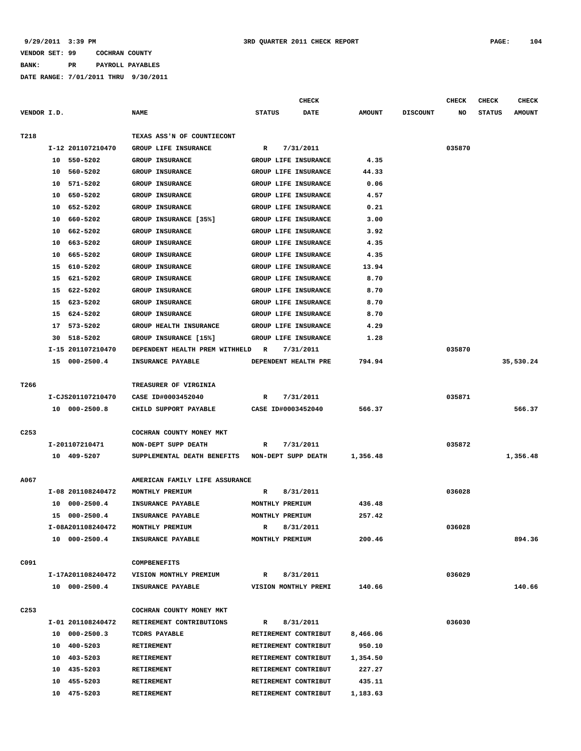**BANK: PR PAYROLL PAYABLES**

|                  |                      |                                                 | <b>CHECK</b>                 |               |                 | <b>CHECK</b> | <b>CHECK</b>  | <b>CHECK</b>  |
|------------------|----------------------|-------------------------------------------------|------------------------------|---------------|-----------------|--------------|---------------|---------------|
| VENDOR I.D.      |                      | <b>NAME</b>                                     | <b>STATUS</b><br><b>DATE</b> | <b>AMOUNT</b> | <b>DISCOUNT</b> | NO           | <b>STATUS</b> | <b>AMOUNT</b> |
|                  |                      |                                                 |                              |               |                 |              |               |               |
| T218             |                      | TEXAS ASS'N OF COUNTIECONT                      |                              |               |                 |              |               |               |
|                  | I-12 201107210470    | GROUP LIFE INSURANCE                            | 7/31/2011<br>R               |               |                 | 035870       |               |               |
|                  | 10 550-5202          | <b>GROUP INSURANCE</b>                          | GROUP LIFE INSURANCE         | 4.35          |                 |              |               |               |
|                  | 560-5202<br>10       | <b>GROUP INSURANCE</b>                          | <b>GROUP LIFE INSURANCE</b>  | 44.33         |                 |              |               |               |
|                  | 10<br>571-5202       | <b>GROUP INSURANCE</b>                          | GROUP LIFE INSURANCE         | 0.06          |                 |              |               |               |
|                  | 650-5202<br>10       | <b>GROUP INSURANCE</b>                          | GROUP LIFE INSURANCE         | 4.57          |                 |              |               |               |
|                  | 652-5202<br>10       | <b>GROUP INSURANCE</b>                          | GROUP LIFE INSURANCE         | 0.21          |                 |              |               |               |
|                  | 10<br>660-5202       | GROUP INSURANCE [35%]                           | GROUP LIFE INSURANCE         | 3.00          |                 |              |               |               |
|                  | 662-5202<br>10       | <b>GROUP INSURANCE</b>                          | GROUP LIFE INSURANCE         | 3.92          |                 |              |               |               |
|                  | 663-5202<br>10       | <b>GROUP INSURANCE</b>                          | GROUP LIFE INSURANCE         | 4.35          |                 |              |               |               |
|                  | 10<br>665-5202       | <b>GROUP INSURANCE</b>                          | GROUP LIFE INSURANCE         | 4.35          |                 |              |               |               |
|                  | 610-5202<br>15       | GROUP INSURANCE                                 | GROUP LIFE INSURANCE         | 13.94         |                 |              |               |               |
|                  | 15<br>621-5202       | <b>GROUP INSURANCE</b>                          | GROUP LIFE INSURANCE         | 8.70          |                 |              |               |               |
|                  | 15<br>622-5202       | <b>GROUP INSURANCE</b>                          | GROUP LIFE INSURANCE         | 8.70          |                 |              |               |               |
|                  | 623-5202<br>15       | GROUP INSURANCE                                 | GROUP LIFE INSURANCE         | 8.70          |                 |              |               |               |
|                  | 624-5202<br>15       | <b>GROUP INSURANCE</b>                          | GROUP LIFE INSURANCE         | 8.70          |                 |              |               |               |
|                  | 17<br>573-5202       | GROUP HEALTH INSURANCE                          | GROUP LIFE INSURANCE         | 4.29          |                 |              |               |               |
|                  | 518-5202<br>30       | GROUP INSURANCE [15%]                           | GROUP LIFE INSURANCE         | 1.28          |                 |              |               |               |
|                  | I-15 201107210470    | DEPENDENT HEALTH PREM WITHHELD                  | 7/31/2011<br>R               |               |                 | 035870       |               |               |
|                  | 15 000-2500.4        | INSURANCE PAYABLE                               | DEPENDENT HEALTH PRE         | 794.94        |                 |              |               | 35,530.24     |
|                  |                      |                                                 |                              |               |                 |              |               |               |
| T266             |                      | TREASURER OF VIRGINIA                           |                              |               |                 |              |               |               |
|                  | I-CJS201107210470    | CASE ID#0003452040                              | 7/31/2011<br>R               |               |                 | 035871       |               |               |
|                  | 10 000-2500.8        | CHILD SUPPORT PAYABLE                           | CASE ID#0003452040           | 566.37        |                 |              |               | 566.37        |
|                  |                      |                                                 |                              |               |                 |              |               |               |
| C <sub>253</sub> |                      | COCHRAN COUNTY MONEY MKT                        |                              |               |                 |              |               |               |
|                  | I-201107210471       | NON-DEPT SUPP DEATH                             | 7/31/2011<br>R               |               |                 | 035872       |               |               |
|                  | 10 409-5207          | SUPPLEMENTAL DEATH BENEFITS NON-DEPT SUPP DEATH |                              | 1,356.48      |                 |              |               | 1,356.48      |
|                  |                      |                                                 |                              |               |                 |              |               |               |
| A067             |                      | AMERICAN FAMILY LIFE ASSURANCE                  |                              |               |                 |              |               |               |
|                  | I-08 201108240472    | MONTHLY PREMIUM                                 | 8/31/2011<br>R               |               |                 | 036028       |               |               |
|                  | $000 - 2500.4$<br>10 | INSURANCE PAYABLE                               | MONTHLY PREMIUM              | 436.48        |                 |              |               |               |
|                  | 15 000-2500.4        | INSURANCE PAYABLE                               | MONTHLY PREMIUM              | 257.42        |                 |              |               |               |
|                  | I-08A201108240472    | MONTHLY PREMIUM                                 | R<br>8/31/2011               |               |                 | 036028       |               |               |
|                  | 10 000-2500.4        | INSURANCE PAYABLE                               | MONTHLY PREMIUM              | 200.46        |                 |              |               | 894.36        |
|                  |                      |                                                 |                              |               |                 |              |               |               |
| C091             |                      | <b>COMPBENEFITS</b>                             |                              |               |                 |              |               |               |
|                  | I-17A201108240472    | VISION MONTHLY PREMIUM                          | 8/31/2011<br>R               |               |                 | 036029       |               |               |
|                  | 10 000-2500.4        | INSURANCE PAYABLE                               | VISION MONTHLY PREMI         | 140.66        |                 |              |               | 140.66        |
|                  |                      |                                                 |                              |               |                 |              |               |               |
| C <sub>253</sub> |                      | COCHRAN COUNTY MONEY MKT                        |                              |               |                 |              |               |               |
|                  | I-01 201108240472    | RETIREMENT CONTRIBUTIONS                        | 8/31/2011<br>R               |               |                 | 036030       |               |               |
|                  | 10 000-2500.3        | TCDRS PAYABLE                                   | RETIREMENT CONTRIBUT         | 8,466.06      |                 |              |               |               |
|                  | 10 400-5203          | RETIREMENT                                      | RETIREMENT CONTRIBUT         | 950.10        |                 |              |               |               |
|                  | 10 403-5203          | RETIREMENT                                      | RETIREMENT CONTRIBUT         | 1,354.50      |                 |              |               |               |
|                  | 10 435-5203          | RETIREMENT                                      | RETIREMENT CONTRIBUT         | 227.27        |                 |              |               |               |
|                  | 10 455-5203          | RETIREMENT                                      | RETIREMENT CONTRIBUT         | 435.11        |                 |              |               |               |
|                  | 10 475-5203          | RETIREMENT                                      | RETIREMENT CONTRIBUT         | 1,183.63      |                 |              |               |               |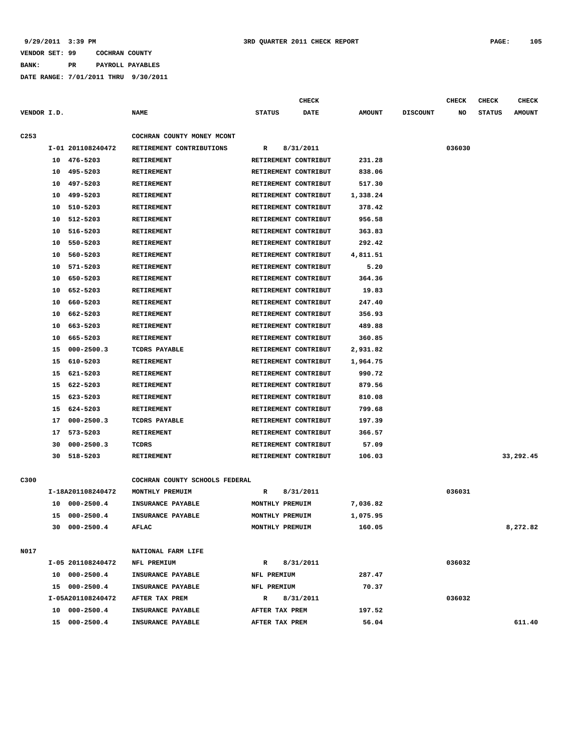# **BANK: PR PAYROLL PAYABLES**

|                  |    |                   |                                | <b>CHECK</b>         |             |               |                 | <b>CHECK</b> | <b>CHECK</b>  | <b>CHECK</b>  |
|------------------|----|-------------------|--------------------------------|----------------------|-------------|---------------|-----------------|--------------|---------------|---------------|
| VENDOR I.D.      |    |                   | <b>NAME</b>                    | <b>STATUS</b>        | <b>DATE</b> | <b>AMOUNT</b> | <b>DISCOUNT</b> | NO           | <b>STATUS</b> | <b>AMOUNT</b> |
|                  |    |                   |                                |                      |             |               |                 |              |               |               |
| C <sub>253</sub> |    |                   | COCHRAN COUNTY MONEY MCONT     |                      |             |               |                 |              |               |               |
|                  |    | I-01 201108240472 | RETIREMENT CONTRIBUTIONS       | R                    | 8/31/2011   |               |                 | 036030       |               |               |
|                  |    | 10 476-5203       | <b>RETIREMENT</b>              | RETIREMENT CONTRIBUT |             | 231.28        |                 |              |               |               |
|                  | 10 | 495-5203          | RETIREMENT                     | RETIREMENT CONTRIBUT |             | 838.06        |                 |              |               |               |
|                  | 10 | 497-5203          | <b>RETIREMENT</b>              | RETIREMENT CONTRIBUT |             | 517.30        |                 |              |               |               |
|                  | 10 | 499-5203          | <b>RETIREMENT</b>              | RETIREMENT CONTRIBUT |             | 1,338.24      |                 |              |               |               |
|                  | 10 | 510-5203          | RETIREMENT                     | RETIREMENT CONTRIBUT |             | 378.42        |                 |              |               |               |
|                  | 10 | 512-5203          | <b>RETIREMENT</b>              | RETIREMENT CONTRIBUT |             | 956.58        |                 |              |               |               |
|                  | 10 | 516-5203          | <b>RETIREMENT</b>              | RETIREMENT CONTRIBUT |             | 363.83        |                 |              |               |               |
|                  | 10 | 550-5203          | <b>RETIREMENT</b>              | RETIREMENT CONTRIBUT |             | 292.42        |                 |              |               |               |
|                  | 10 | 560-5203          | <b>RETIREMENT</b>              | RETIREMENT CONTRIBUT |             | 4,811.51      |                 |              |               |               |
|                  | 10 | 571-5203          | <b>RETIREMENT</b>              | RETIREMENT CONTRIBUT |             | 5.20          |                 |              |               |               |
|                  | 10 | 650-5203          | RETIREMENT                     | RETIREMENT CONTRIBUT |             | 364.36        |                 |              |               |               |
|                  | 10 | 652-5203          | <b>RETIREMENT</b>              | RETIREMENT CONTRIBUT |             | 19.83         |                 |              |               |               |
|                  | 10 | 660-5203          | <b>RETIREMENT</b>              | RETIREMENT CONTRIBUT |             | 247.40        |                 |              |               |               |
|                  | 10 | 662-5203          | RETIREMENT                     | RETIREMENT CONTRIBUT |             | 356.93        |                 |              |               |               |
|                  | 10 | 663-5203          | <b>RETIREMENT</b>              | RETIREMENT CONTRIBUT |             | 489.88        |                 |              |               |               |
|                  | 10 | 665-5203          | <b>RETIREMENT</b>              | RETIREMENT CONTRIBUT |             | 360.85        |                 |              |               |               |
|                  | 15 | $000 - 2500.3$    | <b>TCDRS PAYABLE</b>           | RETIREMENT CONTRIBUT |             | 2,931.82      |                 |              |               |               |
|                  | 15 | 610-5203          | <b>RETIREMENT</b>              | RETIREMENT CONTRIBUT |             | 1,964.75      |                 |              |               |               |
|                  | 15 | 621-5203          | <b>RETIREMENT</b>              | RETIREMENT CONTRIBUT |             | 990.72        |                 |              |               |               |
|                  | 15 | 622-5203          | <b>RETIREMENT</b>              | RETIREMENT CONTRIBUT |             | 879.56        |                 |              |               |               |
|                  | 15 | 623-5203          | <b>RETIREMENT</b>              | RETIREMENT CONTRIBUT |             | 810.08        |                 |              |               |               |
|                  | 15 | 624-5203          | <b>RETIREMENT</b>              | RETIREMENT CONTRIBUT |             | 799.68        |                 |              |               |               |
|                  | 17 | $000 - 2500.3$    | <b>TCDRS PAYABLE</b>           | RETIREMENT CONTRIBUT |             | 197.39        |                 |              |               |               |
|                  | 17 | 573-5203          | <b>RETIREMENT</b>              | RETIREMENT CONTRIBUT |             | 366.57        |                 |              |               |               |
|                  | 30 | $000 - 2500.3$    | TCDRS                          | RETIREMENT CONTRIBUT |             | 57.09         |                 |              |               |               |
|                  | 30 | 518-5203          | RETIREMENT                     | RETIREMENT CONTRIBUT |             | 106.03        |                 |              |               | 33,292.45     |
|                  |    |                   |                                |                      |             |               |                 |              |               |               |
| C300             |    |                   | COCHRAN COUNTY SCHOOLS FEDERAL |                      |             |               |                 |              |               |               |
|                  |    | I-18A201108240472 | MONTHLY PREMUIM                | R                    | 8/31/2011   |               |                 | 036031       |               |               |
|                  | 10 | $000 - 2500.4$    | INSURANCE PAYABLE              | MONTHLY PREMUIM      |             | 7,036.82      |                 |              |               |               |
|                  | 15 | $000 - 2500.4$    | INSURANCE PAYABLE              | MONTHLY PREMUIM      |             | 1,075.95      |                 |              |               |               |
|                  |    | 30 000-2500.4     | AFLAC                          | MONTHLY PREMUIM      |             | 160.05        |                 |              |               | 8,272.82      |
|                  |    |                   |                                |                      |             |               |                 |              |               |               |
| N017             |    |                   | NATIONAL FARM LIFE             |                      |             |               |                 |              |               |               |
|                  |    | I-05 201108240472 | NFL PREMIUM                    | $\mathbb{R}$         | 8/31/2011   |               |                 | 036032       |               |               |
|                  |    | 10 000-2500.4     | <b>INSURANCE PAYABLE</b>       | NFL PREMIUM          |             | 287.47        |                 |              |               |               |
|                  |    | 15 000-2500.4     | <b>INSURANCE PAYABLE</b>       | NFL PREMIUM          |             | 70.37         |                 |              |               |               |
|                  |    | I-05A201108240472 | AFTER TAX PREM                 | $\mathbf{R}$         | 8/31/2011   |               |                 | 036032       |               |               |
|                  |    | 10 000-2500.4     | INSURANCE PAYABLE              | AFTER TAX PREM       |             | 197.52        |                 |              |               |               |
|                  |    | 15 000-2500.4     | INSURANCE PAYABLE              | AFTER TAX PREM       |             | 56.04         |                 |              |               | 611.40        |
|                  |    |                   |                                |                      |             |               |                 |              |               |               |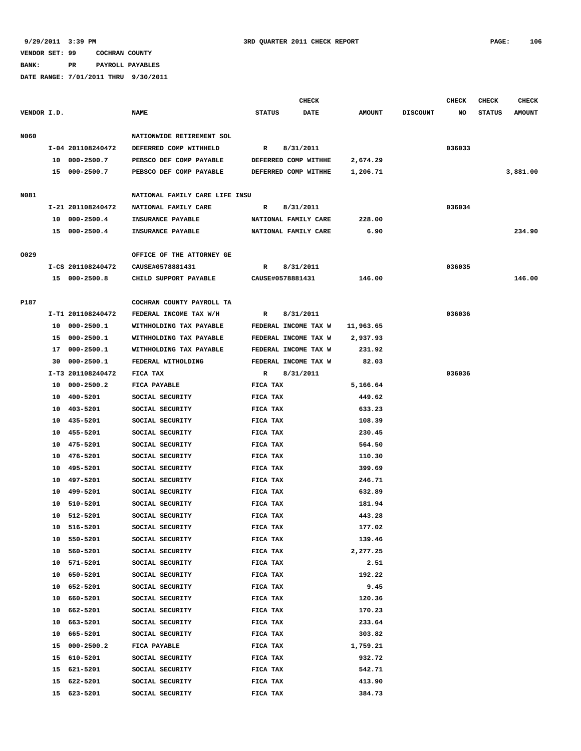**BANK: PR PAYROLL PAYABLES**

|             |    |                   |                                | <b>CHECK</b>  |                      |               |                 | <b>CHECK</b> | CHECK         | <b>CHECK</b>  |
|-------------|----|-------------------|--------------------------------|---------------|----------------------|---------------|-----------------|--------------|---------------|---------------|
| VENDOR I.D. |    |                   | <b>NAME</b>                    | <b>STATUS</b> | <b>DATE</b>          | <b>AMOUNT</b> | <b>DISCOUNT</b> | NO           | <b>STATUS</b> | <b>AMOUNT</b> |
| <b>N060</b> |    |                   | NATIONWIDE RETIREMENT SOL      |               |                      |               |                 |              |               |               |
|             |    | I-04 201108240472 | DEFERRED COMP WITHHELD         | $\mathbb{R}$  | 8/31/2011            |               |                 | 036033       |               |               |
|             |    | 10 000-2500.7     | PEBSCO DEF COMP PAYABLE        |               | DEFERRED COMP WITHHE | 2,674.29      |                 |              |               |               |
|             |    | 15 000-2500.7     | PEBSCO DEF COMP PAYABLE        |               | DEFERRED COMP WITHHE | 1,206.71      |                 |              |               | 3,881.00      |
|             |    |                   |                                |               |                      |               |                 |              |               |               |
| N081        |    |                   | NATIONAL FAMILY CARE LIFE INSU |               |                      |               |                 |              |               |               |
|             |    | I-21 201108240472 | NATIONAL FAMILY CARE           | R             | 8/31/2011            |               |                 | 036034       |               |               |
|             |    | 10 000-2500.4     | INSURANCE PAYABLE              |               | NATIONAL FAMILY CARE | 228.00        |                 |              |               |               |
|             |    | 15 000-2500.4     | INSURANCE PAYABLE              |               | NATIONAL FAMILY CARE | 6.90          |                 |              |               | 234.90        |
|             |    |                   |                                |               |                      |               |                 |              |               |               |
| 0029        |    |                   | OFFICE OF THE ATTORNEY GE      |               |                      |               |                 |              |               |               |
|             |    | I-CS 201108240472 | CAUSE#0578881431               | R             | 8/31/2011            |               |                 | 036035       |               |               |
|             |    | 15 000-2500.8     | CHILD SUPPORT PAYABLE          |               | CAUSE#0578881431     | 146.00        |                 |              |               | 146.00        |
| P187        |    |                   | COCHRAN COUNTY PAYROLL TA      |               |                      |               |                 |              |               |               |
|             |    | I-T1 201108240472 | FEDERAL INCOME TAX W/H         | R             | 8/31/2011            |               |                 | 036036       |               |               |
|             | 10 | $000 - 2500.1$    | WITHHOLDING TAX PAYABLE        |               | FEDERAL INCOME TAX W | 11,963.65     |                 |              |               |               |
|             | 15 | 000-2500.1        | WITHHOLDING TAX PAYABLE        |               | FEDERAL INCOME TAX W | 2,937.93      |                 |              |               |               |
|             | 17 | 000-2500.1        | WITHHOLDING TAX PAYABLE        |               | FEDERAL INCOME TAX W | 231.92        |                 |              |               |               |
|             | 30 | $000 - 2500.1$    | FEDERAL WITHOLDING             |               | FEDERAL INCOME TAX W | 82.03         |                 |              |               |               |
|             |    | I-T3 201108240472 | FICA TAX                       | R             | 8/31/2011            |               |                 | 036036       |               |               |
|             | 10 | $000 - 2500.2$    | FICA PAYABLE                   | FICA TAX      |                      | 5,166.64      |                 |              |               |               |
|             | 10 | 400-5201          | SOCIAL SECURITY                | FICA TAX      |                      | 449.62        |                 |              |               |               |
|             | 10 | 403-5201          | SOCIAL SECURITY                | FICA TAX      |                      | 633.23        |                 |              |               |               |
|             | 10 | 435-5201          | SOCIAL SECURITY                | FICA TAX      |                      | 108.39        |                 |              |               |               |
|             | 10 | 455-5201          | SOCIAL SECURITY                | FICA TAX      |                      | 230.45        |                 |              |               |               |
|             | 10 | 475-5201          | SOCIAL SECURITY                | FICA TAX      |                      | 564.50        |                 |              |               |               |
|             | 10 | 476-5201          | SOCIAL SECURITY                | FICA TAX      |                      | 110.30        |                 |              |               |               |
|             | 10 | 495-5201          | SOCIAL SECURITY                | FICA TAX      |                      | 399.69        |                 |              |               |               |
|             | 10 | 497-5201          | SOCIAL SECURITY                | FICA TAX      |                      | 246.71        |                 |              |               |               |
|             | 10 | 499-5201          | SOCIAL SECURITY                | FICA TAX      |                      | 632.89        |                 |              |               |               |
|             | 10 | 510-5201          | SOCIAL SECURITY                | FICA TAX      |                      | 181.94        |                 |              |               |               |
|             |    | 10 512-5201       | SOCIAL SECURITY                | FICA TAX      |                      | 443.28        |                 |              |               |               |
|             |    | 10 516-5201       | SOCIAL SECURITY                | FICA TAX      |                      | 177.02        |                 |              |               |               |
|             | 10 | 550-5201          | SOCIAL SECURITY                | FICA TAX      |                      | 139.46        |                 |              |               |               |
|             | 10 | 560-5201          | SOCIAL SECURITY                | FICA TAX      |                      | 2,277.25      |                 |              |               |               |
|             | 10 | 571-5201          | SOCIAL SECURITY                | FICA TAX      |                      | 2.51          |                 |              |               |               |
|             | 10 | 650-5201          | SOCIAL SECURITY                | FICA TAX      |                      | 192.22        |                 |              |               |               |
|             | 10 | 652-5201          | SOCIAL SECURITY                | FICA TAX      |                      | 9.45          |                 |              |               |               |
|             | 10 | 660-5201          | SOCIAL SECURITY                | FICA TAX      |                      | 120.36        |                 |              |               |               |
|             | 10 | 662-5201          | SOCIAL SECURITY                | FICA TAX      |                      | 170.23        |                 |              |               |               |
|             | 10 | 663-5201          | SOCIAL SECURITY                | FICA TAX      |                      | 233.64        |                 |              |               |               |
|             | 10 | 665-5201          | SOCIAL SECURITY                | FICA TAX      |                      | 303.82        |                 |              |               |               |
|             | 15 | $000 - 2500.2$    | FICA PAYABLE                   | FICA TAX      |                      | 1,759.21      |                 |              |               |               |
|             | 15 | 610-5201          | SOCIAL SECURITY                | FICA TAX      |                      | 932.72        |                 |              |               |               |
|             | 15 | 621-5201          | SOCIAL SECURITY                | FICA TAX      |                      | 542.71        |                 |              |               |               |
|             | 15 | 622-5201          | SOCIAL SECURITY                | FICA TAX      |                      | 413.90        |                 |              |               |               |
|             |    | 15 623-5201       | SOCIAL SECURITY                | FICA TAX      |                      | 384.73        |                 |              |               |               |
|             |    |                   |                                |               |                      |               |                 |              |               |               |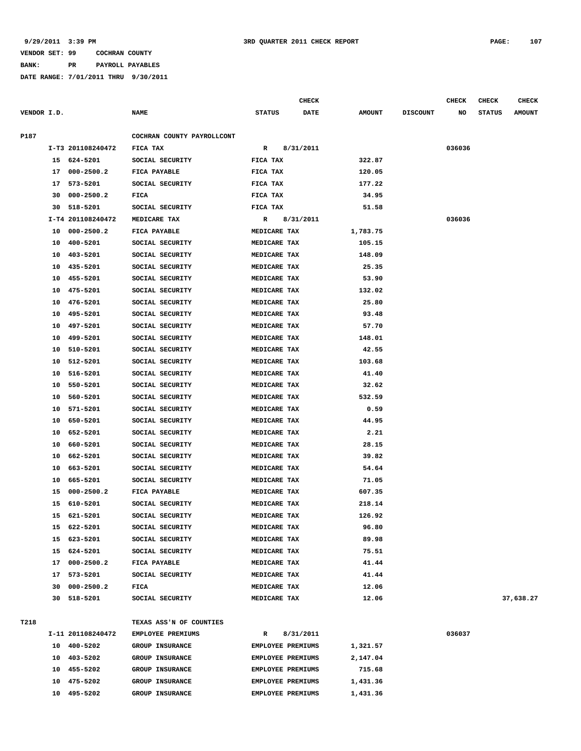**BANK: PR PAYROLL PAYABLES**

|             |    |                   |                                    |                   | <b>CHECK</b> |                 |                 | <b>CHECK</b> | <b>CHECK</b>  | <b>CHECK</b>  |
|-------------|----|-------------------|------------------------------------|-------------------|--------------|-----------------|-----------------|--------------|---------------|---------------|
| VENDOR I.D. |    |                   | <b>NAME</b>                        | <b>STATUS</b>     | DATE         | <b>AMOUNT</b>   | <b>DISCOUNT</b> | NO           | <b>STATUS</b> | <b>AMOUNT</b> |
| P187        |    |                   | COCHRAN COUNTY PAYROLLCONT         |                   |              |                 |                 |              |               |               |
|             |    | I-T3 201108240472 | FICA TAX                           | R                 | 8/31/2011    |                 |                 | 036036       |               |               |
|             |    | 15 624-5201       | SOCIAL SECURITY                    | FICA TAX          |              | 322.87          |                 |              |               |               |
|             | 17 | $000 - 2500.2$    | FICA PAYABLE                       | FICA TAX          |              | 120.05          |                 |              |               |               |
|             | 17 | 573-5201          | SOCIAL SECURITY                    | FICA TAX          |              | 177.22          |                 |              |               |               |
|             | 30 | $000 - 2500.2$    | FICA                               | FICA TAX          |              | 34.95           |                 |              |               |               |
|             | 30 | 518-5201          | SOCIAL SECURITY                    | FICA TAX          |              | 51.58           |                 |              |               |               |
|             |    | I-T4 201108240472 | MEDICARE TAX                       | R                 | 8/31/2011    |                 |                 | 036036       |               |               |
|             | 10 | $000 - 2500.2$    | FICA PAYABLE                       | MEDICARE TAX      |              | 1,783.75        |                 |              |               |               |
|             | 10 | 400-5201          | SOCIAL SECURITY                    | MEDICARE TAX      |              | 105.15          |                 |              |               |               |
|             | 10 | 403-5201          | SOCIAL SECURITY                    | MEDICARE TAX      |              | 148.09          |                 |              |               |               |
|             | 10 | 435-5201          | SOCIAL SECURITY                    | MEDICARE TAX      |              | 25.35           |                 |              |               |               |
|             | 10 | 455-5201          | SOCIAL SECURITY                    | MEDICARE TAX      |              | 53.90           |                 |              |               |               |
|             | 10 | 475-5201          | SOCIAL SECURITY                    | MEDICARE TAX      |              | 132.02          |                 |              |               |               |
|             | 10 | 476-5201          | SOCIAL SECURITY                    | MEDICARE TAX      |              | 25.80           |                 |              |               |               |
|             | 10 | 495-5201          | SOCIAL SECURITY                    | MEDICARE TAX      |              | 93.48           |                 |              |               |               |
|             | 10 | 497-5201          | SOCIAL SECURITY                    | MEDICARE TAX      |              | 57.70           |                 |              |               |               |
|             | 10 | 499-5201          | SOCIAL SECURITY                    | MEDICARE TAX      |              | 148.01          |                 |              |               |               |
|             | 10 | 510-5201          | SOCIAL SECURITY                    | MEDICARE TAX      |              | 42.55           |                 |              |               |               |
|             | 10 | 512-5201          | SOCIAL SECURITY                    | MEDICARE TAX      |              | 103.68          |                 |              |               |               |
|             | 10 | 516-5201          | SOCIAL SECURITY                    | MEDICARE TAX      |              | 41.40           |                 |              |               |               |
|             |    | 550-5201          |                                    |                   |              |                 |                 |              |               |               |
|             | 10 | 560-5201          | SOCIAL SECURITY<br>SOCIAL SECURITY | MEDICARE TAX      |              | 32.62<br>532.59 |                 |              |               |               |
|             | 10 | 571-5201          | SOCIAL SECURITY                    | MEDICARE TAX      |              | 0.59            |                 |              |               |               |
|             | 10 |                   |                                    | MEDICARE TAX      |              |                 |                 |              |               |               |
|             | 10 | 650-5201          | SOCIAL SECURITY                    | MEDICARE TAX      |              | 44.95           |                 |              |               |               |
|             | 10 | 652-5201          | SOCIAL SECURITY                    | MEDICARE TAX      |              | 2.21            |                 |              |               |               |
|             | 10 | 660-5201          | SOCIAL SECURITY                    | MEDICARE TAX      |              | 28.15           |                 |              |               |               |
|             | 10 | 662-5201          | SOCIAL SECURITY                    | MEDICARE TAX      |              | 39.82           |                 |              |               |               |
|             | 10 | 663-5201          | SOCIAL SECURITY                    | MEDICARE TAX      |              | 54.64           |                 |              |               |               |
|             | 10 | 665-5201          | SOCIAL SECURITY                    | MEDICARE TAX      |              | 71.05           |                 |              |               |               |
|             | 15 | $000 - 2500.2$    | <b>FICA PAYABLE</b>                | MEDICARE TAX      |              | 607.35          |                 |              |               |               |
|             | 15 | 610-5201          | SOCIAL SECURITY                    | MEDICARE TAX      |              | 218.14          |                 |              |               |               |
|             |    | 15 621-5201       | SOCIAL SECURITY                    | MEDICARE TAX      |              | 126.92          |                 |              |               |               |
|             | 15 | 622-5201          | SOCIAL SECURITY                    | MEDICARE TAX      |              | 96.80           |                 |              |               |               |
|             |    | 15 623-5201       | SOCIAL SECURITY                    | MEDICARE TAX      |              | 89.98           |                 |              |               |               |
|             |    | 15 624-5201       | SOCIAL SECURITY                    | MEDICARE TAX      |              | 75.51           |                 |              |               |               |
|             |    | 17 000-2500.2     | FICA PAYABLE                       | MEDICARE TAX      |              | 41.44           |                 |              |               |               |
|             | 17 | 573-5201          | SOCIAL SECURITY                    | MEDICARE TAX      |              | 41.44           |                 |              |               |               |
|             | 30 | 000-2500.2        | FICA                               | MEDICARE TAX      |              | 12.06           |                 |              |               |               |
|             |    | 30 518-5201       | SOCIAL SECURITY                    | MEDICARE TAX      |              | 12.06           |                 |              |               | 37,638.27     |
| T218        |    |                   | TEXAS ASS'N OF COUNTIES            |                   |              |                 |                 |              |               |               |
|             |    | I-11 201108240472 |                                    |                   |              |                 |                 |              |               |               |
|             |    |                   | EMPLOYEE PREMIUMS                  | R                 | 8/31/2011    |                 |                 | 036037       |               |               |
|             |    | 10 400-5202       | GROUP INSURANCE                    | EMPLOYEE PREMIUMS |              | 1,321.57        |                 |              |               |               |
|             |    | 10 403-5202       | GROUP INSURANCE                    | EMPLOYEE PREMIUMS |              | 2,147.04        |                 |              |               |               |
|             |    | 10 455-5202       | GROUP INSURANCE                    | EMPLOYEE PREMIUMS |              | 715.68          |                 |              |               |               |
|             | 10 | 475-5202          | GROUP INSURANCE                    | EMPLOYEE PREMIUMS |              | 1,431.36        |                 |              |               |               |
|             |    | 10 495-5202       | GROUP INSURANCE                    | EMPLOYEE PREMIUMS |              | 1,431.36        |                 |              |               |               |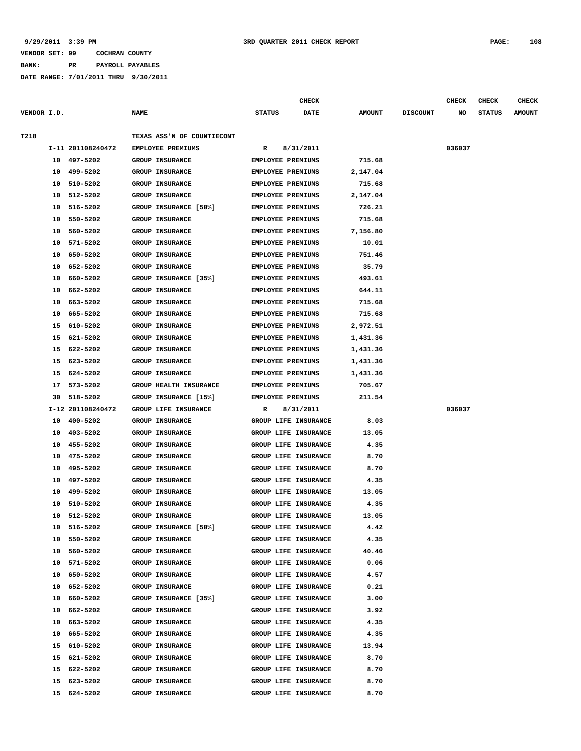**BANK: PR PAYROLL PAYABLES**

|             |    |                   |                            |                          | <b>CHECK</b>                |               |                 | <b>CHECK</b> | <b>CHECK</b>  | <b>CHECK</b>  |
|-------------|----|-------------------|----------------------------|--------------------------|-----------------------------|---------------|-----------------|--------------|---------------|---------------|
| VENDOR I.D. |    |                   | <b>NAME</b>                | <b>STATUS</b>            | DATE                        | <b>AMOUNT</b> | <b>DISCOUNT</b> | NO           | <b>STATUS</b> | <b>AMOUNT</b> |
|             |    |                   |                            |                          |                             |               |                 |              |               |               |
| T218        |    |                   | TEXAS ASS'N OF COUNTIECONT |                          |                             |               |                 |              |               |               |
|             |    | I-11 201108240472 | EMPLOYEE PREMIUMS          | R                        | 8/31/2011                   |               |                 | 036037       |               |               |
|             | 10 | 497-5202          | <b>GROUP INSURANCE</b>     | <b>EMPLOYEE PREMIUMS</b> |                             | 715.68        |                 |              |               |               |
|             | 10 | 499-5202          | <b>GROUP INSURANCE</b>     | <b>EMPLOYEE PREMIUMS</b> |                             | 2,147.04      |                 |              |               |               |
|             | 10 | 510-5202          | GROUP INSURANCE            | <b>EMPLOYEE PREMIUMS</b> |                             | 715.68        |                 |              |               |               |
|             | 10 | 512-5202          | GROUP INSURANCE            | EMPLOYEE PREMIUMS        |                             | 2,147.04      |                 |              |               |               |
|             | 10 | 516-5202          | GROUP INSURANCE [50%]      | <b>EMPLOYEE PREMIUMS</b> |                             | 726.21        |                 |              |               |               |
|             | 10 | 550-5202          | <b>GROUP INSURANCE</b>     | <b>EMPLOYEE PREMIUMS</b> |                             | 715.68        |                 |              |               |               |
|             | 10 | 560-5202          | GROUP INSURANCE            | <b>EMPLOYEE PREMIUMS</b> |                             | 7,156.80      |                 |              |               |               |
|             | 10 | 571-5202          | <b>GROUP INSURANCE</b>     | <b>EMPLOYEE PREMIUMS</b> |                             | 10.01         |                 |              |               |               |
|             | 10 | 650-5202          | <b>GROUP INSURANCE</b>     | <b>EMPLOYEE PREMIUMS</b> |                             | 751.46        |                 |              |               |               |
|             | 10 | 652-5202          | GROUP INSURANCE            | <b>EMPLOYEE PREMIUMS</b> |                             | 35.79         |                 |              |               |               |
|             | 10 | 660-5202          | GROUP INSURANCE [35%]      | <b>EMPLOYEE PREMIUMS</b> |                             | 493.61        |                 |              |               |               |
|             | 10 | 662-5202          | <b>GROUP INSURANCE</b>     | <b>EMPLOYEE PREMIUMS</b> |                             | 644.11        |                 |              |               |               |
|             | 10 | 663-5202          | GROUP INSURANCE            | <b>EMPLOYEE PREMIUMS</b> |                             | 715.68        |                 |              |               |               |
|             | 10 | 665-5202          | <b>GROUP INSURANCE</b>     | <b>EMPLOYEE PREMIUMS</b> |                             | 715.68        |                 |              |               |               |
|             | 15 | 610-5202          | <b>GROUP INSURANCE</b>     | <b>EMPLOYEE PREMIUMS</b> |                             | 2,972.51      |                 |              |               |               |
|             | 15 | 621-5202          | <b>GROUP INSURANCE</b>     | <b>EMPLOYEE PREMIUMS</b> |                             | 1,431.36      |                 |              |               |               |
|             | 15 | 622-5202          | <b>GROUP INSURANCE</b>     | <b>EMPLOYEE PREMIUMS</b> |                             | 1,431.36      |                 |              |               |               |
|             | 15 | 623-5202          | <b>GROUP INSURANCE</b>     | <b>EMPLOYEE PREMIUMS</b> |                             | 1,431.36      |                 |              |               |               |
|             | 15 | 624-5202          | <b>GROUP INSURANCE</b>     | <b>EMPLOYEE PREMIUMS</b> |                             | 1,431.36      |                 |              |               |               |
|             | 17 | 573-5202          | GROUP HEALTH INSURANCE     | <b>EMPLOYEE PREMIUMS</b> |                             | 705.67        |                 |              |               |               |
|             | 30 | 518-5202          | GROUP INSURANCE [15%]      | <b>EMPLOYEE PREMIUMS</b> |                             | 211.54        |                 |              |               |               |
|             |    | I-12 201108240472 | GROUP LIFE INSURANCE       | R                        | 8/31/2011                   |               |                 | 036037       |               |               |
|             | 10 | 400-5202          | <b>GROUP INSURANCE</b>     |                          | GROUP LIFE INSURANCE        | 8.03          |                 |              |               |               |
|             | 10 | 403-5202          | GROUP INSURANCE            |                          | GROUP LIFE INSURANCE        | 13.05         |                 |              |               |               |
|             | 10 | 455-5202          | GROUP INSURANCE            |                          | GROUP LIFE INSURANCE        | 4.35          |                 |              |               |               |
|             | 10 | 475-5202          | <b>GROUP INSURANCE</b>     |                          | <b>GROUP LIFE INSURANCE</b> | 8.70          |                 |              |               |               |
|             | 10 | 495-5202          | GROUP INSURANCE            |                          | GROUP LIFE INSURANCE        | 8.70          |                 |              |               |               |
|             | 10 | 497-5202          | GROUP INSURANCE            |                          | GROUP LIFE INSURANCE        | 4.35          |                 |              |               |               |
|             | 10 | 499-5202          | <b>GROUP INSURANCE</b>     |                          | <b>GROUP LIFE INSURANCE</b> | 13.05         |                 |              |               |               |
|             | 10 | 510-5202          | <b>GROUP INSURANCE</b>     |                          | GROUP LIFE INSURANCE        | 4.35          |                 |              |               |               |
|             | 10 | 512-5202          | GROUP INSURANCE            |                          | GROUP LIFE INSURANCE        | 13.05         |                 |              |               |               |
|             |    | 10 516-5202       | GROUP INSURANCE [50%]      |                          | GROUP LIFE INSURANCE        | 4.42          |                 |              |               |               |
|             | 10 | 550-5202          | GROUP INSURANCE            |                          | GROUP LIFE INSURANCE        | 4.35          |                 |              |               |               |
|             | 10 | 560-5202          | GROUP INSURANCE            |                          | GROUP LIFE INSURANCE        | 40.46         |                 |              |               |               |
|             | 10 | 571-5202          | GROUP INSURANCE            |                          | GROUP LIFE INSURANCE        | 0.06          |                 |              |               |               |
|             | 10 | 650-5202          | GROUP INSURANCE            |                          | GROUP LIFE INSURANCE        | 4.57          |                 |              |               |               |
|             | 10 | 652-5202          | GROUP INSURANCE            |                          | GROUP LIFE INSURANCE        | 0.21          |                 |              |               |               |
|             |    | 10 660-5202       | GROUP INSURANCE [35%]      |                          | GROUP LIFE INSURANCE        | 3.00          |                 |              |               |               |
|             |    | 10 662-5202       | GROUP INSURANCE            |                          | GROUP LIFE INSURANCE        | 3.92          |                 |              |               |               |
|             |    | 10 663-5202       | <b>GROUP INSURANCE</b>     |                          | GROUP LIFE INSURANCE        | 4.35          |                 |              |               |               |
|             | 10 | 665-5202          | GROUP INSURANCE            |                          | GROUP LIFE INSURANCE        | 4.35          |                 |              |               |               |
|             |    | 15 610-5202       | GROUP INSURANCE            |                          | GROUP LIFE INSURANCE        | 13.94         |                 |              |               |               |
|             |    | 15 621-5202       | GROUP INSURANCE            |                          | GROUP LIFE INSURANCE        | 8.70          |                 |              |               |               |
|             | 15 | 622-5202          | GROUP INSURANCE            |                          | GROUP LIFE INSURANCE        | 8.70          |                 |              |               |               |
|             |    | 15 623-5202       | GROUP INSURANCE            |                          | GROUP LIFE INSURANCE        | 8.70          |                 |              |               |               |
|             |    | 15 624-5202       | GROUP INSURANCE            |                          | GROUP LIFE INSURANCE        | 8.70          |                 |              |               |               |
|             |    |                   |                            |                          |                             |               |                 |              |               |               |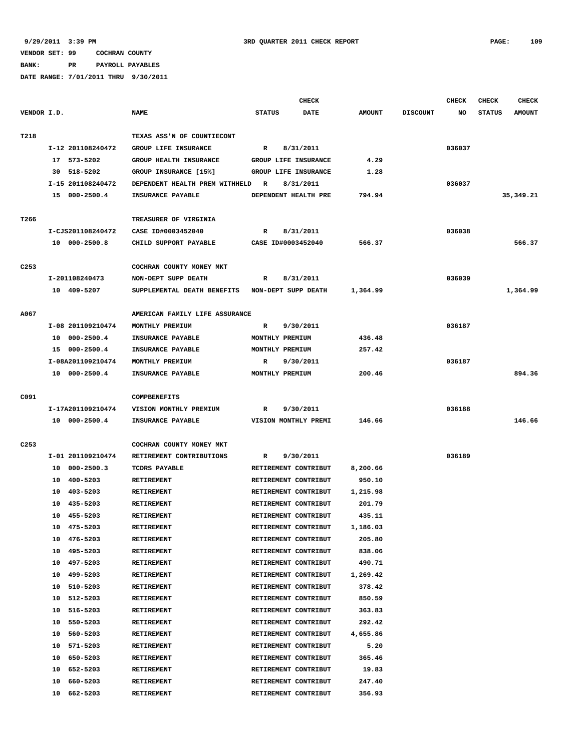**BANK: PR PAYROLL PAYABLES**

|                  |                                  |                                                 | <b>CHECK</b>                                 |                    |                 | CHECK  | <b>CHECK</b>  | <b>CHECK</b>  |
|------------------|----------------------------------|-------------------------------------------------|----------------------------------------------|--------------------|-----------------|--------|---------------|---------------|
| VENDOR I.D.      |                                  | <b>NAME</b>                                     | <b>STATUS</b><br><b>DATE</b>                 | <b>AMOUNT</b>      | <b>DISCOUNT</b> | NO     | <b>STATUS</b> | <b>AMOUNT</b> |
| T218             |                                  | TEXAS ASS'N OF COUNTIECONT                      |                                              |                    |                 |        |               |               |
|                  | I-12 201108240472                | <b>GROUP LIFE INSURANCE</b>                     | $\mathbb{R}$<br>8/31/2011                    |                    |                 | 036037 |               |               |
|                  | 17 573-5202                      | GROUP HEALTH INSURANCE                          | GROUP LIFE INSURANCE                         | 4.29               |                 |        |               |               |
|                  | 30 518-5202                      | GROUP INSURANCE [15%]                           | GROUP LIFE INSURANCE                         | 1.28               |                 |        |               |               |
|                  | I-15 201108240472                | DEPENDENT HEALTH PREM WITHHELD                  | 8/31/2011<br>R                               |                    |                 | 036037 |               |               |
|                  | 15 000-2500.4                    | INSURANCE PAYABLE                               | DEPENDENT HEALTH PRE                         | 794.94             |                 |        |               | 35, 349.21    |
|                  |                                  |                                                 |                                              |                    |                 |        |               |               |
| T266             |                                  | TREASURER OF VIRGINIA                           |                                              |                    |                 |        |               |               |
|                  | I-CJS201108240472                | CASE ID#0003452040                              | 8/31/2011<br>R                               |                    |                 | 036038 |               |               |
|                  | 10 000-2500.8                    | CHILD SUPPORT PAYABLE                           | CASE ID#0003452040                           | 566.37             |                 |        |               | 566.37        |
| C <sub>253</sub> |                                  | COCHRAN COUNTY MONEY MKT                        |                                              |                    |                 |        |               |               |
|                  | I-201108240473                   | NON-DEPT SUPP DEATH                             | 8/31/2011<br>R                               |                    |                 | 036039 |               |               |
|                  | 10 409-5207                      | SUPPLEMENTAL DEATH BENEFITS NON-DEPT SUPP DEATH |                                              | 1,364.99           |                 |        |               | 1,364.99      |
|                  |                                  |                                                 |                                              |                    |                 |        |               |               |
| A067             |                                  | AMERICAN FAMILY LIFE ASSURANCE                  |                                              |                    |                 |        |               |               |
|                  | I-08 201109210474                | MONTHLY PREMIUM                                 | 9/30/2011<br>R                               |                    |                 | 036187 |               |               |
|                  | 10 000-2500.4                    | INSURANCE PAYABLE                               | MONTHLY PREMIUM                              | 436.48             |                 |        |               |               |
|                  | 15 000-2500.4                    | INSURANCE PAYABLE                               | MONTHLY PREMIUM                              | 257.42             |                 |        |               |               |
|                  | I-08A201109210474                | MONTHLY PREMIUM                                 | 9/30/2011<br>R                               |                    |                 | 036187 |               |               |
|                  | 10 000-2500.4                    | INSURANCE PAYABLE                               | MONTHLY PREMIUM                              | 200.46             |                 |        |               | 894.36        |
|                  |                                  |                                                 |                                              |                    |                 |        |               |               |
| C091             |                                  | COMPBENEFITS                                    |                                              |                    |                 |        |               |               |
|                  | I-17A201109210474                | VISION MONTHLY PREMIUM                          | $\mathbb{R}$<br>9/30/2011                    |                    |                 | 036188 |               |               |
|                  | 10 000-2500.4                    | INSURANCE PAYABLE                               | VISION MONTHLY PREMI                         | 146.66             |                 |        |               | 146.66        |
| C <sub>253</sub> |                                  | COCHRAN COUNTY MONEY MKT                        |                                              |                    |                 |        |               |               |
|                  | I-01 201109210474                | RETIREMENT CONTRIBUTIONS                        | 9/30/2011<br>R                               |                    |                 | 036189 |               |               |
|                  | 10 000-2500.3                    | TCDRS PAYABLE                                   | RETIREMENT CONTRIBUT                         | 8,200.66           |                 |        |               |               |
|                  | 10 400-5203                      | RETIREMENT                                      | RETIREMENT CONTRIBUT                         | 950.10             |                 |        |               |               |
|                  | 403-5203<br>10                   | <b>RETIREMENT</b>                               | RETIREMENT CONTRIBUT                         | 1,215.98           |                 |        |               |               |
|                  | 435-5203<br>10                   |                                                 | RETIREMENT CONTRIBUT                         | 201.79             |                 |        |               |               |
|                  | 10 455-5203                      | <b>RETIREMENT</b>                               |                                              | 435.11             |                 |        |               |               |
|                  |                                  | RETIREMENT                                      | RETIREMENT CONTRIBUT                         |                    |                 |        |               |               |
|                  | 10<br>475-5203<br>476-5203<br>10 | RETIREMENT<br><b>RETIREMENT</b>                 | RETIREMENT CONTRIBUT<br>RETIREMENT CONTRIBUT | 1,186.03<br>205.80 |                 |        |               |               |
|                  | 495-5203<br>10                   | RETIREMENT                                      | RETIREMENT CONTRIBUT                         | 838.06             |                 |        |               |               |
|                  | 497-5203<br>10                   | RETIREMENT                                      | RETIREMENT CONTRIBUT                         | 490.71             |                 |        |               |               |
|                  | 499-5203<br>10                   | <b>RETIREMENT</b>                               | RETIREMENT CONTRIBUT                         | 1,269.42           |                 |        |               |               |
|                  | 510-5203<br>10                   | RETIREMENT                                      | RETIREMENT CONTRIBUT                         | 378.42             |                 |        |               |               |
|                  | 10<br>512-5203                   | RETIREMENT                                      | RETIREMENT CONTRIBUT                         | 850.59             |                 |        |               |               |
|                  | 516-5203                         |                                                 | RETIREMENT CONTRIBUT                         | 363.83             |                 |        |               |               |
|                  | 10<br>550-5203<br>10             | <b>RETIREMENT</b><br>RETIREMENT                 | RETIREMENT CONTRIBUT                         | 292.42             |                 |        |               |               |
|                  | 560-5203<br>10                   | RETIREMENT                                      | RETIREMENT CONTRIBUT                         | 4,655.86           |                 |        |               |               |
|                  | 571-5203<br>10                   | RETIREMENT                                      | RETIREMENT CONTRIBUT                         | 5.20               |                 |        |               |               |
|                  | 650-5203<br>10                   | RETIREMENT                                      | RETIREMENT CONTRIBUT                         | 365.46             |                 |        |               |               |
|                  | 10<br>652-5203                   | RETIREMENT                                      | RETIREMENT CONTRIBUT                         | 19.83              |                 |        |               |               |
|                  |                                  |                                                 |                                              |                    |                 |        |               |               |
|                  | 660-5203<br>10                   | RETIREMENT                                      | RETIREMENT CONTRIBUT                         | 247.40             |                 |        |               |               |
|                  | 10 662-5203                      | RETIREMENT                                      | RETIREMENT CONTRIBUT                         | 356.93             |                 |        |               |               |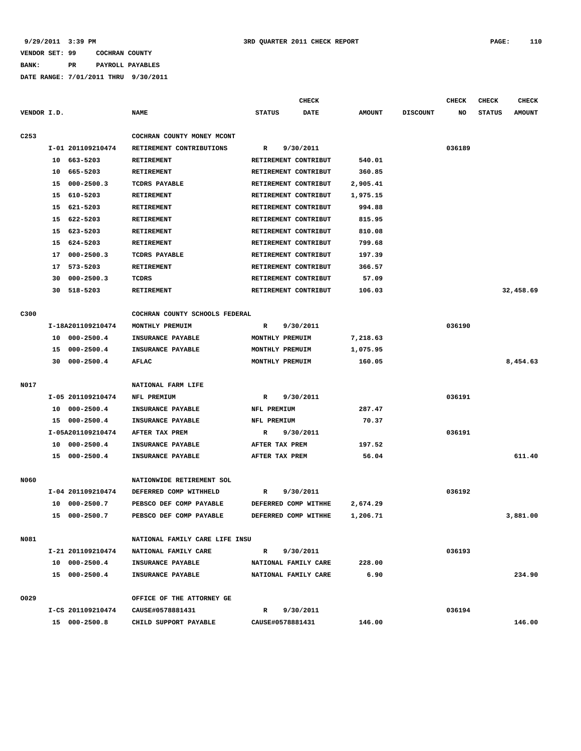**BANK: PR PAYROLL PAYABLES**

|                  |                      |                                | <b>CHECK</b>                 |               |                 | <b>CHECK</b> | <b>CHECK</b>  | <b>CHECK</b>  |
|------------------|----------------------|--------------------------------|------------------------------|---------------|-----------------|--------------|---------------|---------------|
| VENDOR I.D.      |                      | <b>NAME</b>                    | <b>STATUS</b><br><b>DATE</b> | <b>AMOUNT</b> | <b>DISCOUNT</b> | NO           | <b>STATUS</b> | <b>AMOUNT</b> |
| C <sub>253</sub> |                      | COCHRAN COUNTY MONEY MCONT     |                              |               |                 |              |               |               |
|                  | I-01 201109210474    | RETIREMENT CONTRIBUTIONS       | R<br>9/30/2011               |               |                 | 036189       |               |               |
|                  | 10 663-5203          | <b>RETIREMENT</b>              | RETIREMENT CONTRIBUT         | 540.01        |                 |              |               |               |
|                  | 665-5203<br>10       | <b>RETIREMENT</b>              | RETIREMENT CONTRIBUT         | 360.85        |                 |              |               |               |
|                  | $000 - 2500.3$<br>15 | TCDRS PAYABLE                  | RETIREMENT CONTRIBUT         | 2,905.41      |                 |              |               |               |
|                  | 610-5203<br>15       | <b>RETIREMENT</b>              | RETIREMENT CONTRIBUT         | 1,975.15      |                 |              |               |               |
|                  | 621-5203<br>15       | <b>RETIREMENT</b>              | RETIREMENT CONTRIBUT         | 994.88        |                 |              |               |               |
|                  | 622-5203<br>15       | <b>RETIREMENT</b>              | RETIREMENT CONTRIBUT         | 815.95        |                 |              |               |               |
|                  | 623-5203<br>15       | <b>RETIREMENT</b>              | RETIREMENT CONTRIBUT         | 810.08        |                 |              |               |               |
|                  | 15<br>624-5203       | <b>RETIREMENT</b>              | RETIREMENT CONTRIBUT         | 799.68        |                 |              |               |               |
|                  | $000 - 2500.3$<br>17 | TCDRS PAYABLE                  | RETIREMENT CONTRIBUT         | 197.39        |                 |              |               |               |
|                  | 17 573-5203          | <b>RETIREMENT</b>              | RETIREMENT CONTRIBUT         | 366.57        |                 |              |               |               |
|                  | $000 - 2500.3$<br>30 | TCDRS                          | RETIREMENT CONTRIBUT         | 57.09         |                 |              |               |               |
|                  | 518-5203<br>30       | <b>RETIREMENT</b>              | RETIREMENT CONTRIBUT         | 106.03        |                 |              |               | 32,458.69     |
| C300             |                      | COCHRAN COUNTY SCHOOLS FEDERAL |                              |               |                 |              |               |               |
|                  | I-18A201109210474    | MONTHLY PREMUIM                | R<br>9/30/2011               |               |                 | 036190       |               |               |
|                  | $000 - 2500.4$<br>10 | INSURANCE PAYABLE              | MONTHLY PREMUIM              | 7,218.63      |                 |              |               |               |
|                  | $000 - 2500.4$<br>15 | INSURANCE PAYABLE              | MONTHLY PREMUIM              | 1,075.95      |                 |              |               |               |
|                  | $000 - 2500.4$<br>30 | <b>AFLAC</b>                   | MONTHLY PREMUIM              | 160.05        |                 |              |               | 8,454.63      |
| N017             |                      | NATIONAL FARM LIFE             |                              |               |                 |              |               |               |
|                  | I-05 201109210474    | NFL PREMIUM                    | 9/30/2011<br>R               |               |                 | 036191       |               |               |
|                  | $000 - 2500.4$<br>10 | INSURANCE PAYABLE              | NFL PREMIUM                  | 287.47        |                 |              |               |               |
|                  | 15 000-2500.4        | INSURANCE PAYABLE              | NFL PREMIUM                  | 70.37         |                 |              |               |               |
|                  | I-05A201109210474    | AFTER TAX PREM                 | 9/30/2011<br>R               |               |                 | 036191       |               |               |
|                  | $000 - 2500.4$<br>10 | INSURANCE PAYABLE              | AFTER TAX PREM               | 197.52        |                 |              |               |               |
|                  | 15 000-2500.4        | INSURANCE PAYABLE              | AFTER TAX PREM               | 56.04         |                 |              |               | 611.40        |
|                  |                      |                                |                              |               |                 |              |               |               |
| N060             |                      | NATIONWIDE RETIREMENT SOL      |                              |               |                 |              |               |               |
|                  | I-04 201109210474    | DEFERRED COMP WITHHELD         | 9/30/2011<br>R               |               |                 | 036192       |               |               |
|                  | 10<br>000-2500.7     | PEBSCO DEF COMP PAYABLE        | DEFERRED COMP WITHHE         | 2,674.29      |                 |              |               |               |
|                  | 15 000-2500.7        | PEBSCO DEF COMP PAYABLE        | DEFERRED COMP WITHHE         | 1,206.71      |                 |              |               | 3,881.00      |
| N081             |                      | NATIONAL FAMILY CARE LIFE INSU |                              |               |                 |              |               |               |
|                  | I-21 201109210474    | NATIONAL FAMILY CARE           | 9/30/2011<br>$\mathbf{R}$    |               |                 | 036193       |               |               |
|                  | 10 000-2500.4        | <b>INSURANCE PAYABLE</b>       | NATIONAL FAMILY CARE         | 228.00        |                 |              |               |               |
|                  | 15 000-2500.4        | <b>INSURANCE PAYABLE</b>       | NATIONAL FAMILY CARE         | 6.90          |                 |              |               | 234.90        |
| 0029             |                      | OFFICE OF THE ATTORNEY GE      |                              |               |                 |              |               |               |
|                  | I-CS 201109210474    | CAUSE#0578881431               | $\mathbb{R}$<br>9/30/2011    |               |                 | 036194       |               |               |
|                  | 15 000-2500.8        | CHILD SUPPORT PAYABLE          | CAUSE#0578881431             | 146.00        |                 |              |               | 146.00        |
|                  |                      |                                |                              |               |                 |              |               |               |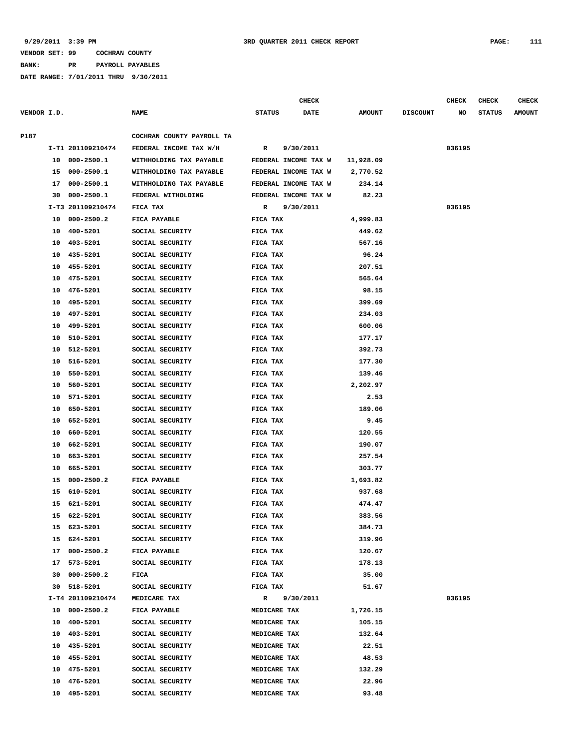**BANK: PR PAYROLL PAYABLES**

|             |    |                   |                           |               | CHECK                |               |                 | <b>CHECK</b> | <b>CHECK</b>  | CHECK         |
|-------------|----|-------------------|---------------------------|---------------|----------------------|---------------|-----------------|--------------|---------------|---------------|
| VENDOR I.D. |    |                   | <b>NAME</b>               | <b>STATUS</b> | <b>DATE</b>          | <b>AMOUNT</b> | <b>DISCOUNT</b> | NO           | <b>STATUS</b> | <b>AMOUNT</b> |
| P187        |    |                   | COCHRAN COUNTY PAYROLL TA |               |                      |               |                 |              |               |               |
|             |    | I-T1 201109210474 | FEDERAL INCOME TAX W/H    | R             | 9/30/2011            |               |                 | 036195       |               |               |
|             |    | 10 000-2500.1     | WITHHOLDING TAX PAYABLE   |               | FEDERAL INCOME TAX W | 11,928.09     |                 |              |               |               |
|             | 15 | $000 - 2500.1$    | WITHHOLDING TAX PAYABLE   |               | FEDERAL INCOME TAX W | 2,770.52      |                 |              |               |               |
|             | 17 | $000 - 2500.1$    | WITHHOLDING TAX PAYABLE   |               | FEDERAL INCOME TAX W | 234.14        |                 |              |               |               |
|             | 30 | $000 - 2500.1$    | FEDERAL WITHOLDING        |               | FEDERAL INCOME TAX W | 82.23         |                 |              |               |               |
|             |    | I-T3 201109210474 | FICA TAX                  | R             | 9/30/2011            |               |                 | 036195       |               |               |
|             | 10 | $000 - 2500.2$    | FICA PAYABLE              | FICA TAX      |                      | 4,999.83      |                 |              |               |               |
|             | 10 | 400-5201          | SOCIAL SECURITY           | FICA TAX      |                      | 449.62        |                 |              |               |               |
|             | 10 | 403-5201          | SOCIAL SECURITY           | FICA TAX      |                      | 567.16        |                 |              |               |               |
|             | 10 | 435-5201          | SOCIAL SECURITY           | FICA TAX      |                      | 96.24         |                 |              |               |               |
|             | 10 | 455-5201          | SOCIAL SECURITY           | FICA TAX      |                      | 207.51        |                 |              |               |               |
|             | 10 | 475-5201          | SOCIAL SECURITY           | FICA TAX      |                      | 565.64        |                 |              |               |               |
|             | 10 | 476-5201          | SOCIAL SECURITY           | FICA TAX      |                      | 98.15         |                 |              |               |               |
|             | 10 | 495-5201          | SOCIAL SECURITY           | FICA TAX      |                      | 399.69        |                 |              |               |               |
|             | 10 | 497-5201          | SOCIAL SECURITY           | FICA TAX      |                      | 234.03        |                 |              |               |               |
|             | 10 | 499-5201          | SOCIAL SECURITY           | FICA TAX      |                      | 600.06        |                 |              |               |               |
|             | 10 | 510-5201          | SOCIAL SECURITY           | FICA TAX      |                      | 177.17        |                 |              |               |               |
|             | 10 | 512-5201          | SOCIAL SECURITY           | FICA TAX      |                      | 392.73        |                 |              |               |               |
|             | 10 | 516-5201          | SOCIAL SECURITY           | FICA TAX      |                      | 177.30        |                 |              |               |               |
|             | 10 | 550-5201          | SOCIAL SECURITY           | FICA TAX      |                      | 139.46        |                 |              |               |               |
|             | 10 | 560-5201          | SOCIAL SECURITY           | FICA TAX      |                      | 2,202.97      |                 |              |               |               |
|             | 10 | 571-5201          | SOCIAL SECURITY           | FICA TAX      |                      | 2.53          |                 |              |               |               |
|             | 10 | 650-5201          | SOCIAL SECURITY           | FICA TAX      |                      | 189.06        |                 |              |               |               |
|             | 10 | 652-5201          | SOCIAL SECURITY           | FICA TAX      |                      | 9.45          |                 |              |               |               |
|             | 10 | 660-5201          | SOCIAL SECURITY           | FICA TAX      |                      | 120.55        |                 |              |               |               |
|             | 10 | 662-5201          | SOCIAL SECURITY           | FICA TAX      |                      | 190.07        |                 |              |               |               |
|             | 10 | 663-5201          | SOCIAL SECURITY           | FICA TAX      |                      | 257.54        |                 |              |               |               |
|             | 10 | 665-5201          | SOCIAL SECURITY           | FICA TAX      |                      | 303.77        |                 |              |               |               |
|             | 15 | $000 - 2500.2$    | FICA PAYABLE              | FICA TAX      |                      | 1,693.82      |                 |              |               |               |
|             | 15 | 610-5201          | SOCIAL SECURITY           | FICA TAX      |                      | 937.68        |                 |              |               |               |
|             | 15 | 621-5201          | SOCIAL SECURITY           | FICA TAX      |                      | 474.47        |                 |              |               |               |
|             |    | 15 622-5201       | SOCIAL SECURITY           | FICA TAX      |                      | 383.56        |                 |              |               |               |
|             |    | 15 623-5201       | SOCIAL SECURITY           | FICA TAX      |                      | 384.73        |                 |              |               |               |
|             |    | 15 624-5201       | SOCIAL SECURITY           | FICA TAX      |                      | 319.96        |                 |              |               |               |
|             |    | 17 000-2500.2     | FICA PAYABLE              | FICA TAX      |                      | 120.67        |                 |              |               |               |
|             |    | 17 573-5201       | SOCIAL SECURITY           | FICA TAX      |                      | 178.13        |                 |              |               |               |
|             | 30 | $000 - 2500.2$    | FICA                      | FICA TAX      |                      | 35.00         |                 |              |               |               |
|             |    | 30 518-5201       | SOCIAL SECURITY           | FICA TAX      |                      | 51.67         |                 |              |               |               |
|             |    | I-T4 201109210474 | MEDICARE TAX              | $\mathbb{R}$  | 9/30/2011            |               |                 | 036195       |               |               |
|             |    | 10 000-2500.2     | FICA PAYABLE              |               | MEDICARE TAX         | 1,726.15      |                 |              |               |               |
|             |    | 10 400-5201       | SOCIAL SECURITY           |               | MEDICARE TAX         | 105.15        |                 |              |               |               |
|             |    | 10 403-5201       | SOCIAL SECURITY           |               | MEDICARE TAX         | 132.64        |                 |              |               |               |
|             |    | 10 435-5201       | SOCIAL SECURITY           |               | MEDICARE TAX         | 22.51         |                 |              |               |               |
|             |    | 10 455-5201       | SOCIAL SECURITY           |               | MEDICARE TAX         | 48.53         |                 |              |               |               |
|             |    | 10 475-5201       | SOCIAL SECURITY           |               | MEDICARE TAX         | 132.29        |                 |              |               |               |
|             |    | 10 476-5201       | SOCIAL SECURITY           |               | MEDICARE TAX         | 22.96         |                 |              |               |               |
|             |    | 10 495-5201       | SOCIAL SECURITY           |               | MEDICARE TAX         | 93.48         |                 |              |               |               |
|             |    |                   |                           |               |                      |               |                 |              |               |               |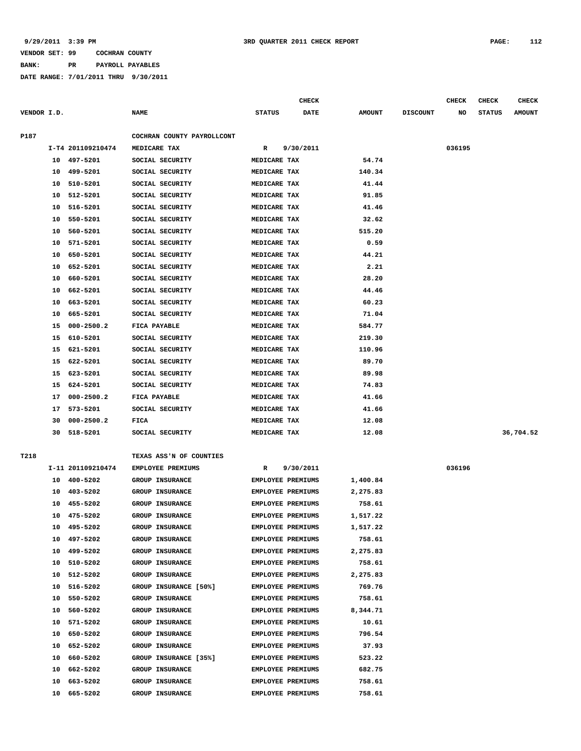## **BANK: PR PAYROLL PAYABLES**

|             |    |                   |                            |                          | <b>CHECK</b> |               |                 | CHECK  | <b>CHECK</b>  | <b>CHECK</b>  |
|-------------|----|-------------------|----------------------------|--------------------------|--------------|---------------|-----------------|--------|---------------|---------------|
| VENDOR I.D. |    |                   | <b>NAME</b>                | <b>STATUS</b>            | <b>DATE</b>  | <b>AMOUNT</b> | <b>DISCOUNT</b> | NO     | <b>STATUS</b> | <b>AMOUNT</b> |
| P187        |    |                   | COCHRAN COUNTY PAYROLLCONT |                          |              |               |                 |        |               |               |
|             |    | I-T4 201109210474 | MEDICARE TAX               | R                        | 9/30/2011    |               |                 | 036195 |               |               |
|             | 10 | 497-5201          | SOCIAL SECURITY            | MEDICARE TAX             |              | 54.74         |                 |        |               |               |
|             | 10 | 499-5201          | SOCIAL SECURITY            | MEDICARE TAX             |              | 140.34        |                 |        |               |               |
|             | 10 | 510-5201          | SOCIAL SECURITY            | MEDICARE TAX             |              | 41.44         |                 |        |               |               |
|             | 10 | 512-5201          | SOCIAL SECURITY            | MEDICARE TAX             |              | 91.85         |                 |        |               |               |
|             | 10 | 516-5201          | SOCIAL SECURITY            | MEDICARE TAX             |              | 41.46         |                 |        |               |               |
|             | 10 | 550-5201          | SOCIAL SECURITY            | MEDICARE TAX             |              | 32.62         |                 |        |               |               |
|             | 10 | 560-5201          | SOCIAL SECURITY            | MEDICARE TAX             |              | 515.20        |                 |        |               |               |
|             | 10 | 571-5201          | SOCIAL SECURITY            | MEDICARE TAX             |              | 0.59          |                 |        |               |               |
|             | 10 | 650-5201          | SOCIAL SECURITY            | MEDICARE TAX             |              | 44.21         |                 |        |               |               |
|             | 10 | 652-5201          | SOCIAL SECURITY            | MEDICARE TAX             |              | 2.21          |                 |        |               |               |
|             | 10 | 660-5201          | SOCIAL SECURITY            | MEDICARE TAX             |              | 28.20         |                 |        |               |               |
|             | 10 | 662-5201          | SOCIAL SECURITY            | MEDICARE TAX             |              | 44.46         |                 |        |               |               |
|             | 10 | 663-5201          | SOCIAL SECURITY            | MEDICARE TAX             |              | 60.23         |                 |        |               |               |
|             | 10 | 665-5201          | SOCIAL SECURITY            | MEDICARE TAX             |              | 71.04         |                 |        |               |               |
|             | 15 | $000 - 2500.2$    | FICA PAYABLE               | MEDICARE TAX             |              | 584.77        |                 |        |               |               |
|             | 15 | 610-5201          | SOCIAL SECURITY            | MEDICARE TAX             |              | 219.30        |                 |        |               |               |
|             | 15 | 621-5201          | SOCIAL SECURITY            | MEDICARE TAX             |              | 110.96        |                 |        |               |               |
|             | 15 | 622-5201          | SOCIAL SECURITY            | MEDICARE TAX             |              | 89.70         |                 |        |               |               |
|             | 15 | 623-5201          | SOCIAL SECURITY            | MEDICARE TAX             |              | 89.98         |                 |        |               |               |
|             | 15 | 624-5201          | SOCIAL SECURITY            | MEDICARE TAX             |              | 74.83         |                 |        |               |               |
|             | 17 | $000 - 2500.2$    | FICA PAYABLE               | MEDICARE TAX             |              | 41.66         |                 |        |               |               |
|             | 17 | 573-5201          | SOCIAL SECURITY            | MEDICARE TAX             |              | 41.66         |                 |        |               |               |
|             | 30 | $000 - 2500.2$    | FICA                       | MEDICARE TAX             |              | 12.08         |                 |        |               |               |
|             | 30 | 518-5201          | SOCIAL SECURITY            | MEDICARE TAX             |              | 12.08         |                 |        |               | 36,704.52     |
| T218        |    |                   | TEXAS ASS'N OF COUNTIES    |                          |              |               |                 |        |               |               |
|             |    | I-11 201109210474 | EMPLOYEE PREMIUMS          | R                        | 9/30/2011    |               |                 | 036196 |               |               |
|             | 10 | 400-5202          | GROUP INSURANCE            | <b>EMPLOYEE PREMIUMS</b> |              | 1,400.84      |                 |        |               |               |
|             | 10 | 403-5202          | <b>GROUP INSURANCE</b>     | EMPLOYEE PREMIUMS        |              | 2,275.83      |                 |        |               |               |
|             | 10 | 455-5202          | <b>GROUP INSURANCE</b>     | <b>EMPLOYEE PREMIUMS</b> |              | 758.61        |                 |        |               |               |
|             | 10 | 475-5202          | GROUP INSURANCE            | EMPLOYEE PREMIUMS        |              | 1,517.22      |                 |        |               |               |
|             | 10 | 495-5202          | GROUP INSURANCE            | EMPLOYEE PREMIUMS        |              | 1,517.22      |                 |        |               |               |
|             | 10 | 497-5202          | GROUP INSURANCE            | EMPLOYEE PREMIUMS        |              | 758.61        |                 |        |               |               |
|             | 10 | 499-5202          | <b>GROUP INSURANCE</b>     | <b>EMPLOYEE PREMIUMS</b> |              | 2,275.83      |                 |        |               |               |
|             | 10 | 510-5202          | GROUP INSURANCE            | <b>EMPLOYEE PREMIUMS</b> |              | 758.61        |                 |        |               |               |
|             | 10 | 512-5202          | GROUP INSURANCE            | EMPLOYEE PREMIUMS        |              | 2,275.83      |                 |        |               |               |
|             | 10 | 516-5202          | GROUP INSURANCE [50%]      | <b>EMPLOYEE PREMIUMS</b> |              | 769.76        |                 |        |               |               |
|             | 10 | 550-5202          | GROUP INSURANCE            | EMPLOYEE PREMIUMS        |              | 758.61        |                 |        |               |               |
|             | 10 | 560-5202          | GROUP INSURANCE            | EMPLOYEE PREMIUMS        |              | 8,344.71      |                 |        |               |               |
|             | 10 | 571-5202          | GROUP INSURANCE            | <b>EMPLOYEE PREMIUMS</b> |              | 10.61         |                 |        |               |               |
|             | 10 | 650-5202          | GROUP INSURANCE            | EMPLOYEE PREMIUMS        |              | 796.54        |                 |        |               |               |
|             | 10 | 652-5202          | GROUP INSURANCE            | EMPLOYEE PREMIUMS        |              | 37.93         |                 |        |               |               |
|             | 10 | 660-5202          | GROUP INSURANCE [35%]      | EMPLOYEE PREMIUMS        |              | 523.22        |                 |        |               |               |
|             | 10 | 662-5202          | GROUP INSURANCE            | EMPLOYEE PREMIUMS        |              | 682.75        |                 |        |               |               |
|             | 10 | 663-5202          | GROUP INSURANCE            | EMPLOYEE PREMIUMS        |              | 758.61        |                 |        |               |               |
|             | 10 | 665-5202          | GROUP INSURANCE            | EMPLOYEE PREMIUMS        |              | 758.61        |                 |        |               |               |
|             |    |                   |                            |                          |              |               |                 |        |               |               |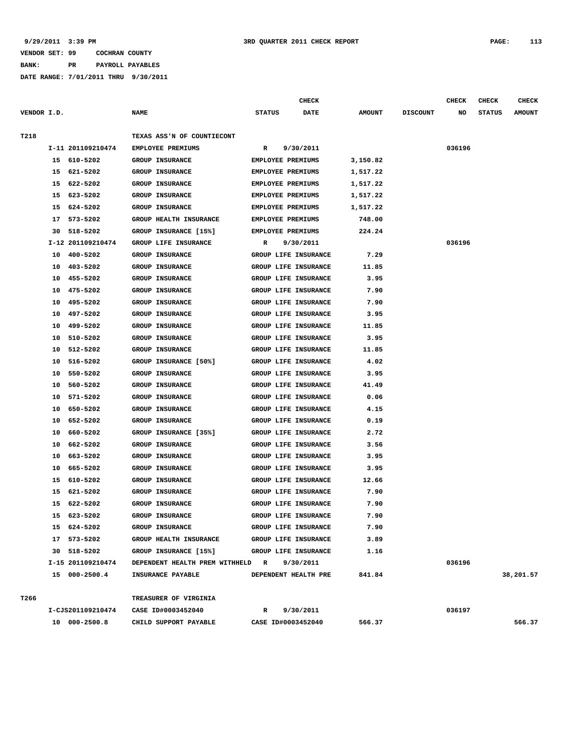**BANK: PR PAYROLL PAYABLES**

|             |    |                   |                                  |               | <b>CHECK</b>             |               |                 | <b>CHECK</b> | CHECK         | <b>CHECK</b>  |
|-------------|----|-------------------|----------------------------------|---------------|--------------------------|---------------|-----------------|--------------|---------------|---------------|
| VENDOR I.D. |    |                   | <b>NAME</b>                      | <b>STATUS</b> | DATE                     | <b>AMOUNT</b> | <b>DISCOUNT</b> | NO           | <b>STATUS</b> | <b>AMOUNT</b> |
|             |    |                   |                                  |               |                          |               |                 |              |               |               |
| T218        |    |                   | TEXAS ASS'N OF COUNTIECONT       |               |                          |               |                 |              |               |               |
|             |    | I-11 201109210474 | EMPLOYEE PREMIUMS                | R             | 9/30/2011                |               |                 | 036196       |               |               |
|             |    | 15 610-5202       | <b>GROUP INSURANCE</b>           |               | EMPLOYEE PREMIUMS        | 3,150.82      |                 |              |               |               |
|             |    | 15 621-5202       | <b>GROUP INSURANCE</b>           |               | EMPLOYEE PREMIUMS        | 1,517.22      |                 |              |               |               |
|             | 15 | 622-5202          | <b>GROUP INSURANCE</b>           |               | EMPLOYEE PREMIUMS        | 1,517.22      |                 |              |               |               |
|             | 15 | 623-5202          | <b>GROUP INSURANCE</b>           |               | EMPLOYEE PREMIUMS        | 1,517.22      |                 |              |               |               |
|             | 15 | 624-5202          | <b>GROUP INSURANCE</b>           |               | EMPLOYEE PREMIUMS        | 1,517.22      |                 |              |               |               |
|             | 17 | 573-5202          | GROUP HEALTH INSURANCE           |               | EMPLOYEE PREMIUMS        | 748.00        |                 |              |               |               |
|             | 30 | 518-5202          | GROUP INSURANCE [15%]            |               | <b>EMPLOYEE PREMIUMS</b> | 224.24        |                 |              |               |               |
|             |    | I-12 201109210474 | GROUP LIFE INSURANCE             | R             | 9/30/2011                |               |                 | 036196       |               |               |
|             | 10 | 400-5202          | <b>GROUP INSURANCE</b>           |               | GROUP LIFE INSURANCE     | 7.29          |                 |              |               |               |
|             | 10 | 403-5202          | <b>GROUP INSURANCE</b>           |               | GROUP LIFE INSURANCE     | 11.85         |                 |              |               |               |
|             | 10 | 455-5202          | GROUP INSURANCE                  |               | GROUP LIFE INSURANCE     | 3.95          |                 |              |               |               |
|             | 10 | 475-5202          | <b>GROUP INSURANCE</b>           |               | GROUP LIFE INSURANCE     | 7.90          |                 |              |               |               |
|             | 10 | 495-5202          | <b>GROUP INSURANCE</b>           |               | GROUP LIFE INSURANCE     | 7.90          |                 |              |               |               |
|             | 10 | 497-5202          | <b>GROUP INSURANCE</b>           |               | GROUP LIFE INSURANCE     | 3.95          |                 |              |               |               |
|             | 10 | 499-5202          | <b>GROUP INSURANCE</b>           |               | GROUP LIFE INSURANCE     | 11.85         |                 |              |               |               |
|             | 10 | 510-5202          | <b>GROUP INSURANCE</b>           |               | GROUP LIFE INSURANCE     | 3.95          |                 |              |               |               |
|             | 10 | 512-5202          | <b>GROUP INSURANCE</b>           |               | GROUP LIFE INSURANCE     | 11.85         |                 |              |               |               |
|             | 10 | 516-5202          | GROUP INSURANCE [50%]            |               | GROUP LIFE INSURANCE     | 4.02          |                 |              |               |               |
|             | 10 | 550-5202          | <b>GROUP INSURANCE</b>           |               | GROUP LIFE INSURANCE     | 3.95          |                 |              |               |               |
|             | 10 | 560-5202          | <b>GROUP INSURANCE</b>           |               | GROUP LIFE INSURANCE     | 41.49         |                 |              |               |               |
|             | 10 | 571-5202          | <b>GROUP INSURANCE</b>           |               | GROUP LIFE INSURANCE     | 0.06          |                 |              |               |               |
|             | 10 | 650-5202          | <b>GROUP INSURANCE</b>           |               | GROUP LIFE INSURANCE     | 4.15          |                 |              |               |               |
|             | 10 | 652-5202          | GROUP INSURANCE                  |               | GROUP LIFE INSURANCE     | 0.19          |                 |              |               |               |
|             | 10 | 660-5202          | GROUP INSURANCE [35%]            |               | GROUP LIFE INSURANCE     | 2.72          |                 |              |               |               |
|             | 10 | 662-5202          | <b>GROUP INSURANCE</b>           |               | GROUP LIFE INSURANCE     | 3.56          |                 |              |               |               |
|             | 10 | 663-5202          | <b>GROUP INSURANCE</b>           |               | GROUP LIFE INSURANCE     | 3.95          |                 |              |               |               |
|             | 10 | 665-5202          | <b>GROUP INSURANCE</b>           |               | GROUP LIFE INSURANCE     | 3.95          |                 |              |               |               |
|             | 15 | 610-5202          | <b>GROUP INSURANCE</b>           |               | GROUP LIFE INSURANCE     | 12.66         |                 |              |               |               |
|             | 15 | 621-5202          | GROUP INSURANCE                  |               | GROUP LIFE INSURANCE     | 7.90          |                 |              |               |               |
|             | 15 | 622-5202          | <b>GROUP INSURANCE</b>           |               | GROUP LIFE INSURANCE     | 7.90          |                 |              |               |               |
|             | 15 | 623-5202          | <b>GROUP INSURANCE</b>           |               | GROUP LIFE INSURANCE     | 7.90          |                 |              |               |               |
|             |    | 15 624-5202       | <b>GROUP INSURANCE</b>           |               | GROUP LIFE INSURANCE     | 7.90          |                 |              |               |               |
|             |    | 17 573-5202       | GROUP HEALTH INSURANCE           |               | GROUP LIFE INSURANCE     | 3.89          |                 |              |               |               |
|             |    | 30 518-5202       | GROUP INSURANCE [15%]            |               | GROUP LIFE INSURANCE     | 1.16          |                 |              |               |               |
|             |    | I-15 201109210474 | DEPENDENT HEALTH PREM WITHHELD R |               | 9/30/2011                |               |                 | 036196       |               |               |
|             |    | 15 000-2500.4     | INSURANCE PAYABLE                |               | DEPENDENT HEALTH PRE     | 841.84        |                 |              |               | 38,201.57     |
|             |    |                   |                                  |               |                          |               |                 |              |               |               |
| T266        |    |                   | TREASURER OF VIRGINIA            |               |                          |               |                 |              |               |               |
|             |    | I-CJS201109210474 | CASE ID#0003452040               | R             | 9/30/2011                |               |                 | 036197       |               |               |
|             |    | 10 000-2500.8     | CHILD SUPPORT PAYABLE            |               | CASE ID#0003452040       | 566.37        |                 |              |               | 566.37        |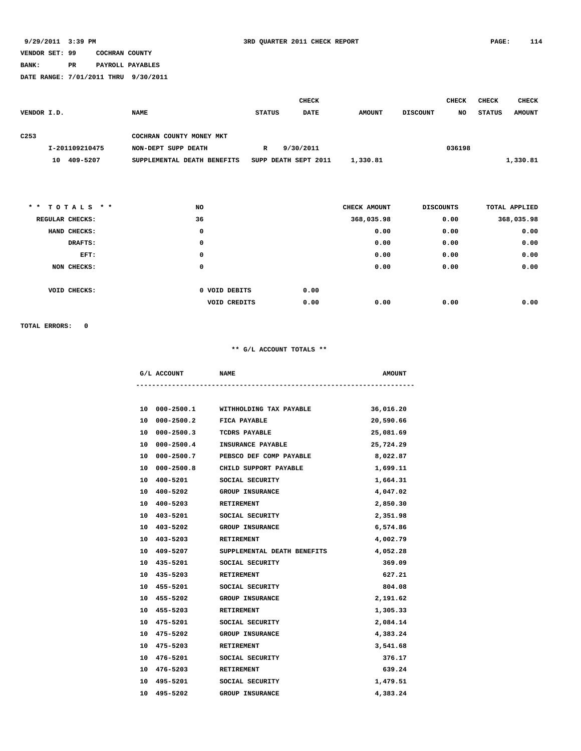### **BANK: PR PAYROLL PAYABLES**

**DATE RANGE: 7/01/2011 THRU 9/30/2011**

|                  |                 |                             |               | <b>CHECK</b>         |               |                  | <b>CHECK</b> | <b>CHECK</b>  | <b>CHECK</b>  |
|------------------|-----------------|-----------------------------|---------------|----------------------|---------------|------------------|--------------|---------------|---------------|
| VENDOR I.D.      |                 | <b>NAME</b>                 | <b>STATUS</b> | <b>DATE</b>          | <b>AMOUNT</b> | <b>DISCOUNT</b>  | NO           | <b>STATUS</b> | <b>AMOUNT</b> |
|                  |                 |                             |               |                      |               |                  |              |               |               |
| C <sub>253</sub> |                 | COCHRAN COUNTY MONEY MKT    |               |                      |               |                  |              |               |               |
|                  | I-201109210475  | NON-DEPT SUPP DEATH         | $\mathbf{R}$  | 9/30/2011            |               |                  | 036198       |               |               |
|                  | 10 409-5207     | SUPPLEMENTAL DEATH BENEFITS |               | SUPP DEATH SEPT 2011 | 1,330.81      |                  |              |               | 1,330.81      |
|                  |                 |                             |               |                      |               |                  |              |               |               |
|                  |                 |                             |               |                      |               |                  |              |               |               |
|                  |                 |                             |               |                      |               |                  |              |               |               |
| $*$ $*$          | $TOTALS$ * *    | NO                          |               |                      | CHECK AMOUNT  | <b>DISCOUNTS</b> |              |               | TOTAL APPLIED |
|                  | REGULAR CHECKS: | 36                          |               |                      | 368,035.98    |                  | 0.00         |               | 368,035.98    |
|                  | HAND CHECKS:    | 0                           |               |                      | 0.00          |                  | 0.00         |               | 0.00          |
|                  | DRAFTS:         | 0                           |               |                      | 0.00          |                  | 0.00         |               | 0.00          |

|              | EFT: | 0             |      | 0.00 | 0.00 | 0.00 |
|--------------|------|---------------|------|------|------|------|
| NON CHECKS:  |      | 0             |      | 0.00 | 0.00 | 0.00 |
|              |      |               |      |      |      |      |
| VOID CHECKS: |      | 0 VOID DEBITS | 0.00 |      |      |      |
|              |      | VOID CREDITS  | 0.00 | 0.00 | 0.00 | 0.00 |

**TOTAL ERRORS: 0**

### **\*\* G/L ACCOUNT TOTALS \*\***

|    | G/L ACCOUNT                 | <b>NAME</b>                           | <b>AMOUNT</b> |
|----|-----------------------------|---------------------------------------|---------------|
|    |                             |                                       |               |
|    |                             | 10 000-2500.1 WITHHOLDING TAX PAYABLE | 36,016.20     |
| 10 | 000-2500.2 FICA PAYABLE     |                                       | 20,590.66     |
| 10 | 000-2500.3 TCDRS PAYABLE    |                                       | 25,081.69     |
| 10 |                             | 000-2500.4 INSURANCE PAYABLE          | 25,724.29     |
| 10 |                             | 000-2500.7 PEBSCO DEF COMP PAYABLE    | 8,022.87      |
| 10 |                             | 000-2500.8 CHILD SUPPORT PAYABLE      | 1,699.11      |
| 10 |                             | 400-5201 SOCIAL SECURITY              | 1,664.31      |
| 10 | 400-5202                    | <b>GROUP INSURANCE</b>                | 4,047.02      |
|    | 400-5203 RETIREMENT<br>10   |                                       | 2,850.30      |
|    | 10                          | 403-5201 SOCIAL SECURITY              | 2,351.98      |
|    | 10                          | 403-5202 GROUP INSURANCE              | 6,574.86      |
| 10 | 403-5203 RETIREMENT         |                                       | 4,002.79      |
| 10 | 409-5207                    | SUPPLEMENTAL DEATH BENEFITS           | 4,052.28      |
|    | 10 435-5201 SOCIAL SECURITY |                                       | 369.09        |
|    | 10 435-5203                 | <b>RETIREMENT</b>                     | 627.21        |
| 10 |                             | 455-5201 SOCIAL SECURITY              | 804.08        |
| 10 | 455-5202 GROUP INSURANCE    |                                       | 2,191.62      |
| 10 | 455-5203                    | <b>RETIREMENT</b>                     | 1,305.33      |
| 10 |                             | 475-5201 SOCIAL SECURITY              | 2,084.14      |
|    | 10 475-5202                 | <b>GROUP INSURANCE</b>                | 4,383.24      |
|    | 10<br>475-5203 RETIREMENT   |                                       | 3,541.68      |
|    | 10 476-5201                 | SOCIAL SECURITY                       | 376.17        |
|    | 10<br>476-5203              | <b>RETIREMENT</b>                     | 639.24        |
| 10 |                             | 495-5201 SOCIAL SECURITY              | 1,479.51      |
|    | 10<br>495-5202              | <b>GROUP INSURANCE</b>                | 4,383.24      |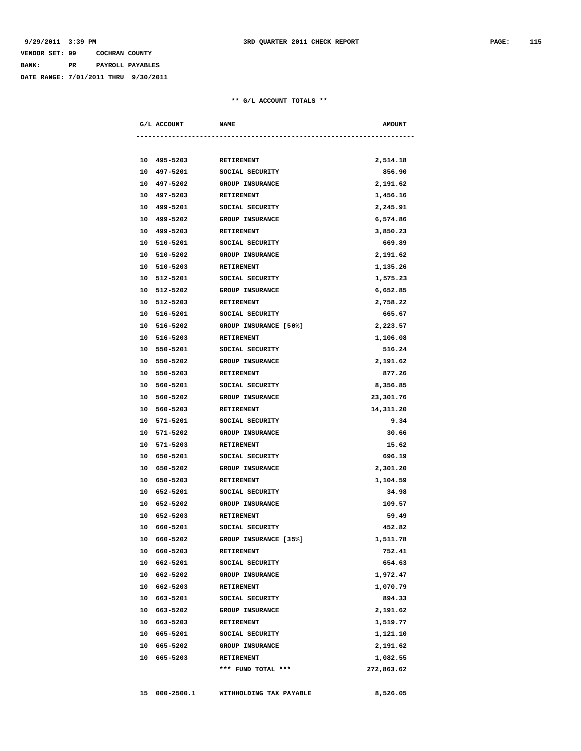# **VENDOR SET: 99 COCHRAN COUNTY BANK: PR PAYROLL PAYABLES**

**DATE RANGE: 7/01/2011 THRU 9/30/2011**

### **\*\* G/L ACCOUNT TOTALS \*\***

|    | G/L ACCOUNT   | <b>NAME</b>                  | <b>AMOUNT</b> |
|----|---------------|------------------------------|---------------|
|    |               |                              |               |
|    | 10 495-5203   | <b>RETIREMENT</b>            | 2,514.18      |
|    | 10 497-5201   | SOCIAL SECURITY              | 856.90        |
|    | 10 497-5202   | <b>GROUP INSURANCE</b>       | 2,191.62      |
|    | 10 497-5203   | <b>RETIREMENT</b>            | 1,456.16      |
|    | 10 499-5201   | SOCIAL SECURITY              | 2,245.91      |
|    | 10 499-5202   | <b>GROUP INSURANCE</b>       | 6,574.86      |
|    | 10 499-5203   | <b>RETIREMENT</b>            | 3,850.23      |
|    | 10 510-5201   | SOCIAL SECURITY              | 669.89        |
|    | 10 510-5202   | <b>GROUP INSURANCE</b>       | 2,191.62      |
|    | 10 510-5203   | RETIREMENT                   | 1,135.26      |
|    | 10 512-5201   | SOCIAL SECURITY              | 1,575.23      |
|    | 10 512-5202   | <b>GROUP INSURANCE</b>       | 6,652.85      |
|    | 10 512-5203   | <b>RETIREMENT</b>            | 2,758.22      |
|    | 10 516-5201   | SOCIAL SECURITY              | 665.67        |
|    | 10 516-5202   | <b>GROUP INSURANCE [50%]</b> | 2,223.57      |
|    | 10 516-5203   | RETIREMENT                   | 1,106.08      |
|    | 10 550-5201   | SOCIAL SECURITY              | 516.24        |
|    | 10 550-5202   | <b>GROUP INSURANCE</b>       | 2,191.62      |
|    | 10 550-5203   | <b>RETIREMENT</b>            | 877.26        |
|    | 10 560-5201   | SOCIAL SECURITY              | 8,356.85      |
|    | 10 560-5202   | <b>GROUP INSURANCE</b>       | 23,301.76     |
|    | 10 560-5203   | <b>RETIREMENT</b>            | 14,311.20     |
| 10 | 571-5201      | SOCIAL SECURITY              | 9.34          |
| 10 | 571-5202      | <b>GROUP INSURANCE</b>       | 30.66         |
|    | 10 571-5203   | <b>RETIREMENT</b>            | 15.62         |
|    | 10 650-5201   | SOCIAL SECURITY              | 696.19        |
|    | 10 650-5202   | <b>GROUP INSURANCE</b>       | 2,301.20      |
|    | 10 650-5203   | <b>RETIREMENT</b>            | 1,104.59      |
|    | 10 652-5201   | SOCIAL SECURITY              | 34.98         |
|    | 10 652-5202   | <b>GROUP INSURANCE</b>       | 109.57        |
|    | 10 652-5203   | <b>RETIREMENT</b>            | 59.49         |
| 10 | 660-5201      | SOCIAL SECURITY              | 452.82        |
| 10 | 660-5202      | GROUP INSURANCE [35%]        | 1,511.78      |
|    | 10 660-5203   | <b>RETIREMENT</b>            | 752.41        |
|    | 10 662-5201   | SOCIAL SECURITY              | 654.63        |
|    | 10 662-5202   | <b>GROUP INSURANCE</b>       | 1,972.47      |
|    | 10 662-5203   | RETIREMENT                   | 1,070.79      |
|    | 10 663-5201   | SOCIAL SECURITY              | 894.33        |
|    | 10 663-5202   | <b>GROUP INSURANCE</b>       | 2,191.62      |
|    | 10 663-5203   | RETIREMENT                   | 1,519.77      |
|    | 10 665-5201   | SOCIAL SECURITY              | 1,121.10      |
|    | 10 665-5202   | <b>GROUP INSURANCE</b>       | 2,191.62      |
|    | 10 665-5203   | RETIREMENT                   | 1,082.55      |
|    |               | *** FUND TOTAL ***           | 272,863.62    |
|    |               |                              |               |
|    | 15 000-2500.1 | WITHHOLDING TAX PAYABLE      | 8,526.05      |